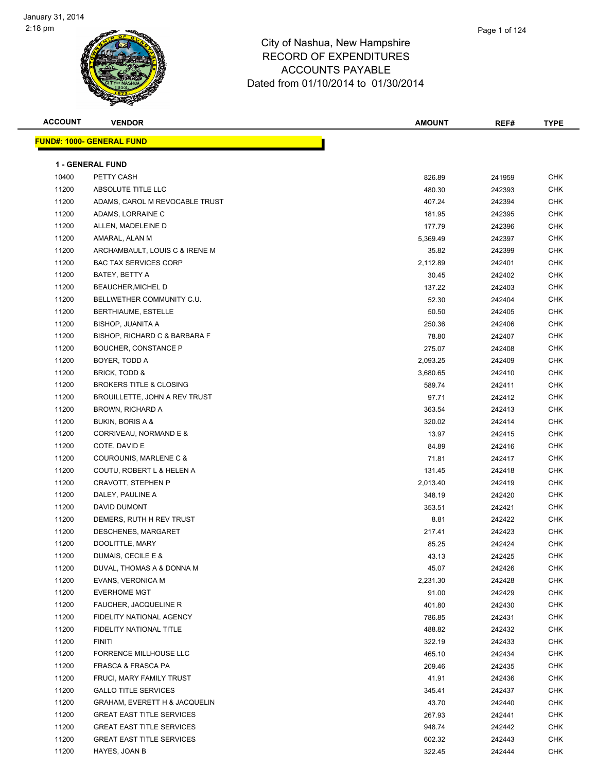

| <b>ACCOUNT</b> | <b>VENDOR</b>                            | <b>AMOUNT</b> | REF#   | <b>TYPE</b> |
|----------------|------------------------------------------|---------------|--------|-------------|
|                | <u> FUND#: 1000- GENERAL FUND</u>        |               |        |             |
|                |                                          |               |        |             |
|                | <b>1 - GENERAL FUND</b>                  |               |        |             |
| 10400          | PETTY CASH                               | 826.89        | 241959 | <b>CHK</b>  |
| 11200          | ABSOLUTE TITLE LLC                       | 480.30        | 242393 | <b>CHK</b>  |
| 11200          | ADAMS, CAROL M REVOCABLE TRUST           | 407.24        | 242394 | <b>CHK</b>  |
| 11200          | ADAMS, LORRAINE C                        | 181.95        | 242395 | <b>CHK</b>  |
| 11200          | ALLEN, MADELEINE D                       | 177.79        | 242396 | <b>CHK</b>  |
| 11200          | AMARAL, ALAN M                           | 5,369.49      | 242397 | CHK         |
| 11200          | ARCHAMBAULT, LOUIS C & IRENE M           | 35.82         | 242399 | <b>CHK</b>  |
| 11200          | <b>BAC TAX SERVICES CORP</b>             | 2,112.89      | 242401 | <b>CHK</b>  |
| 11200          | BATEY, BETTY A                           | 30.45         | 242402 | <b>CHK</b>  |
| 11200          | <b>BEAUCHER, MICHEL D</b>                | 137.22        | 242403 | <b>CHK</b>  |
| 11200          | BELLWETHER COMMUNITY C.U.                | 52.30         | 242404 | <b>CHK</b>  |
| 11200          | BERTHIAUME, ESTELLE                      | 50.50         | 242405 | <b>CHK</b>  |
| 11200          | <b>BISHOP, JUANITA A</b>                 | 250.36        | 242406 | <b>CHK</b>  |
| 11200          | BISHOP, RICHARD C & BARBARA F            | 78.80         | 242407 | <b>CHK</b>  |
| 11200          | BOUCHER, CONSTANCE P                     | 275.07        | 242408 | <b>CHK</b>  |
| 11200          | BOYER, TODD A                            | 2,093.25      | 242409 | <b>CHK</b>  |
| 11200          | <b>BRICK, TODD &amp;</b>                 | 3,680.65      | 242410 | <b>CHK</b>  |
| 11200          | <b>BROKERS TITLE &amp; CLOSING</b>       | 589.74        | 242411 | <b>CHK</b>  |
| 11200          | BROUILLETTE, JOHN A REV TRUST            | 97.71         | 242412 | <b>CHK</b>  |
| 11200          | BROWN, RICHARD A                         | 363.54        | 242413 | <b>CHK</b>  |
| 11200          | BUKIN, BORIS A &                         | 320.02        | 242414 | <b>CHK</b>  |
| 11200          | CORRIVEAU, NORMAND E &                   | 13.97         | 242415 | <b>CHK</b>  |
| 11200          | COTE, DAVID E                            | 84.89         | 242416 | <b>CHK</b>  |
| 11200          | COUROUNIS, MARLENE C &                   | 71.81         | 242417 | <b>CHK</b>  |
| 11200          | COUTU, ROBERT L & HELEN A                | 131.45        | 242418 | <b>CHK</b>  |
| 11200          | <b>CRAVOTT, STEPHEN P</b>                | 2,013.40      | 242419 | CHK         |
| 11200          | DALEY, PAULINE A                         | 348.19        | 242420 | <b>CHK</b>  |
| 11200          | <b>DAVID DUMONT</b>                      | 353.51        | 242421 | CHK         |
| 11200          | DEMERS, RUTH H REV TRUST                 | 8.81          | 242422 | <b>CHK</b>  |
| 11200          | DESCHENES, MARGARET                      | 217.41        | 242423 | <b>CHK</b>  |
| 11200          | DOOLITTLE, MARY                          | 85.25         | 242424 | <b>CHK</b>  |
| 11200          | DUMAIS, CECILE E &                       | 43.13         | 242425 | <b>CHK</b>  |
| 11200          | DUVAL, THOMAS A & DONNA M                | 45.07         | 242426 | <b>CHK</b>  |
| 11200          | EVANS, VERONICA M                        | 2,231.30      | 242428 | <b>CHK</b>  |
| 11200          | <b>EVERHOME MGT</b>                      | 91.00         | 242429 | <b>CHK</b>  |
| 11200          | <b>FAUCHER, JACQUELINE R</b>             | 401.80        | 242430 | <b>CHK</b>  |
| 11200          | FIDELITY NATIONAL AGENCY                 | 786.85        | 242431 | <b>CHK</b>  |
| 11200          | FIDELITY NATIONAL TITLE                  | 488.82        | 242432 | CHK         |
| 11200          | <b>FINITI</b>                            | 322.19        | 242433 | CHK         |
| 11200          | FORRENCE MILLHOUSE LLC                   | 465.10        | 242434 | <b>CHK</b>  |
| 11200          | FRASCA & FRASCA PA                       | 209.46        | 242435 | <b>CHK</b>  |
| 11200          | FRUCI, MARY FAMILY TRUST                 | 41.91         | 242436 | <b>CHK</b>  |
| 11200          | <b>GALLO TITLE SERVICES</b>              | 345.41        | 242437 | <b>CHK</b>  |
| 11200          | <b>GRAHAM, EVERETT H &amp; JACQUELIN</b> | 43.70         | 242440 | <b>CHK</b>  |
| 11200          | <b>GREAT EAST TITLE SERVICES</b>         | 267.93        | 242441 | <b>CHK</b>  |
| 11200          | <b>GREAT EAST TITLE SERVICES</b>         | 948.74        | 242442 | <b>CHK</b>  |
| 11200          | <b>GREAT EAST TITLE SERVICES</b>         | 602.32        | 242443 | CHK         |
| 11200          | HAYES, JOAN B                            | 322.45        | 242444 | <b>CHK</b>  |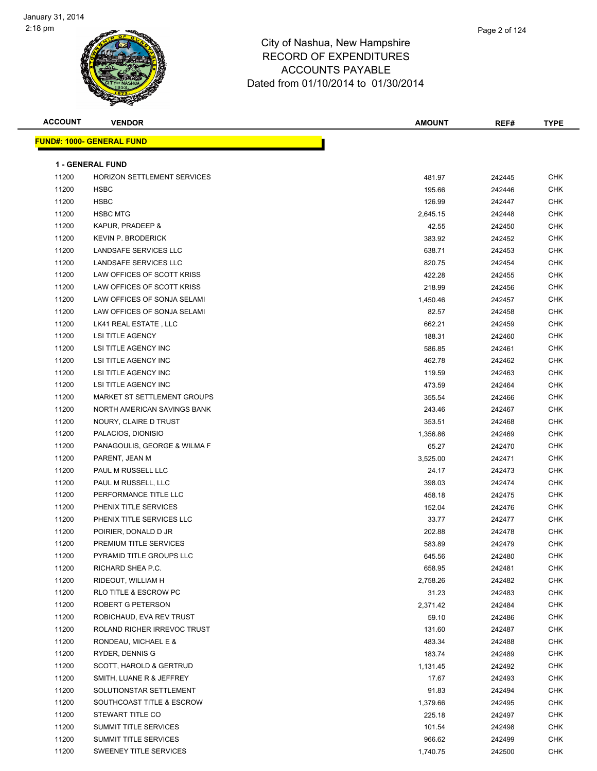

| <b>ACCOUNT</b> | <b>VENDOR</b>                    | <b>AMOUNT</b> | REF#   | <b>TYPE</b> |
|----------------|----------------------------------|---------------|--------|-------------|
|                | <b>FUND#: 1000- GENERAL FUND</b> |               |        |             |
|                |                                  |               |        |             |
|                | <b>1 - GENERAL FUND</b>          |               |        |             |
| 11200          | HORIZON SETTLEMENT SERVICES      | 481.97        | 242445 | <b>CHK</b>  |
| 11200          | <b>HSBC</b>                      | 195.66        | 242446 | <b>CHK</b>  |
| 11200          | <b>HSBC</b>                      | 126.99        | 242447 | <b>CHK</b>  |
| 11200          | <b>HSBC MTG</b>                  | 2,645.15      | 242448 | <b>CHK</b>  |
| 11200          | KAPUR, PRADEEP &                 | 42.55         | 242450 | <b>CHK</b>  |
| 11200          | <b>KEVIN P. BRODERICK</b>        | 383.92        | 242452 | <b>CHK</b>  |
| 11200          | LANDSAFE SERVICES LLC            | 638.71        | 242453 | <b>CHK</b>  |
| 11200          | LANDSAFE SERVICES LLC            | 820.75        | 242454 | <b>CHK</b>  |
| 11200          | LAW OFFICES OF SCOTT KRISS       | 422.28        | 242455 | <b>CHK</b>  |
| 11200          | LAW OFFICES OF SCOTT KRISS       | 218.99        | 242456 | <b>CHK</b>  |
| 11200          | LAW OFFICES OF SONJA SELAMI      | 1,450.46      | 242457 | <b>CHK</b>  |
| 11200          | LAW OFFICES OF SONJA SELAMI      | 82.57         | 242458 | <b>CHK</b>  |
| 11200          | LK41 REAL ESTATE, LLC            | 662.21        | 242459 | <b>CHK</b>  |
| 11200          | <b>LSI TITLE AGENCY</b>          | 188.31        | 242460 | <b>CHK</b>  |
| 11200          | <b>LSI TITLE AGENCY INC</b>      | 586.85        | 242461 | <b>CHK</b>  |
| 11200          | LSI TITLE AGENCY INC             | 462.78        | 242462 | <b>CHK</b>  |
| 11200          | LSI TITLE AGENCY INC             | 119.59        | 242463 | <b>CHK</b>  |
| 11200          | LSI TITLE AGENCY INC             | 473.59        | 242464 | <b>CHK</b>  |
| 11200          | MARKET ST SETTLEMENT GROUPS      | 355.54        | 242466 | <b>CHK</b>  |
| 11200          | NORTH AMERICAN SAVINGS BANK      | 243.46        | 242467 | <b>CHK</b>  |
| 11200          | NOURY, CLAIRE D TRUST            | 353.51        | 242468 | <b>CHK</b>  |
| 11200          | PALACIOS, DIONISIO               | 1,356.86      | 242469 | <b>CHK</b>  |
| 11200          | PANAGOULIS, GEORGE & WILMA F     | 65.27         | 242470 | <b>CHK</b>  |
| 11200          | PARENT, JEAN M                   | 3,525.00      | 242471 | <b>CHK</b>  |
| 11200          | PAUL M RUSSELL LLC               | 24.17         | 242473 | <b>CHK</b>  |
| 11200          | PAUL M RUSSELL, LLC              | 398.03        | 242474 | <b>CHK</b>  |
| 11200          | PERFORMANCE TITLE LLC            | 458.18        | 242475 | <b>CHK</b>  |
| 11200          | PHENIX TITLE SERVICES            | 152.04        | 242476 | <b>CHK</b>  |
| 11200          | PHENIX TITLE SERVICES LLC        | 33.77         | 242477 | <b>CHK</b>  |
| 11200          | POIRIER, DONALD D JR             | 202.88        | 242478 | <b>CHK</b>  |
| 11200          | PREMIUM TITLE SERVICES           | 583.89        | 242479 | <b>CHK</b>  |
| 11200          | PYRAMID TITLE GROUPS LLC         | 645.56        | 242480 | <b>CHK</b>  |
| 11200          | RICHARD SHEA P.C.                | 658.95        | 242481 | <b>CHK</b>  |
| 11200          | RIDEOUT, WILLIAM H               | 2,758.26      | 242482 | <b>CHK</b>  |
| 11200          | RLO TITLE & ESCROW PC            | 31.23         | 242483 | <b>CHK</b>  |
| 11200          | ROBERT G PETERSON                | 2,371.42      | 242484 | <b>CHK</b>  |
| 11200          | ROBICHAUD, EVA REV TRUST         | 59.10         | 242486 | <b>CHK</b>  |
| 11200          | ROLAND RICHER IRREVOC TRUST      | 131.60        | 242487 | <b>CHK</b>  |
| 11200          | RONDEAU, MICHAEL E &             | 483.34        | 242488 | <b>CHK</b>  |
| 11200          | RYDER, DENNIS G                  | 183.74        | 242489 | <b>CHK</b>  |
| 11200          | SCOTT, HAROLD & GERTRUD          | 1,131.45      | 242492 | <b>CHK</b>  |
| 11200          | SMITH, LUANE R & JEFFREY         | 17.67         | 242493 | <b>CHK</b>  |
| 11200          | SOLUTIONSTAR SETTLEMENT          | 91.83         | 242494 | <b>CHK</b>  |
| 11200          | SOUTHCOAST TITLE & ESCROW        | 1,379.66      | 242495 | <b>CHK</b>  |
| 11200          | STEWART TITLE CO                 | 225.18        | 242497 | <b>CHK</b>  |
| 11200          | SUMMIT TITLE SERVICES            | 101.54        | 242498 | CHK         |
| 11200          | SUMMIT TITLE SERVICES            | 966.62        | 242499 | <b>CHK</b>  |
| 11200          | SWEENEY TITLE SERVICES           | 1,740.75      | 242500 | <b>CHK</b>  |
|                |                                  |               |        |             |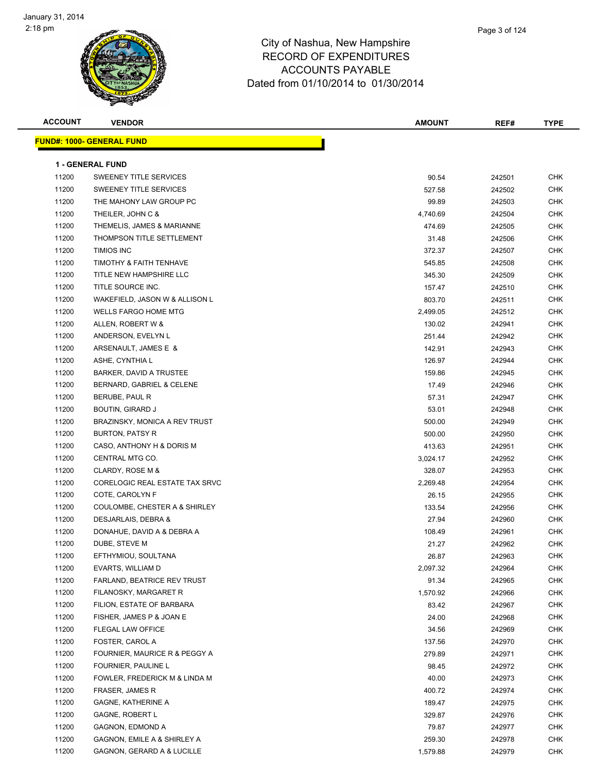

| <b>ACCOUNT</b> | <b>VENDOR</b>                                     | <b>AMOUNT</b>      | REF#             | <b>TYPE</b>              |
|----------------|---------------------------------------------------|--------------------|------------------|--------------------------|
|                | <b>FUND#: 1000- GENERAL FUND</b>                  |                    |                  |                          |
|                | <b>1 - GENERAL FUND</b>                           |                    |                  |                          |
| 11200          | SWEENEY TITLE SERVICES                            | 90.54              | 242501           | <b>CHK</b>               |
| 11200          | SWEENEY TITLE SERVICES                            | 527.58             | 242502           | <b>CHK</b>               |
| 11200          | THE MAHONY LAW GROUP PC                           | 99.89              | 242503           | <b>CHK</b>               |
| 11200          | THEILER, JOHN C &                                 |                    | 242504           | <b>CHK</b>               |
| 11200          | THEMELIS, JAMES & MARIANNE                        | 4,740.69<br>474.69 | 242505           | <b>CHK</b>               |
| 11200          | THOMPSON TITLE SETTLEMENT                         | 31.48              | 242506           | <b>CHK</b>               |
| 11200          | <b>TIMIOS INC</b>                                 | 372.37             | 242507           | <b>CHK</b>               |
| 11200          | TIMOTHY & FAITH TENHAVE                           | 545.85             | 242508           | <b>CHK</b>               |
| 11200          | TITLE NEW HAMPSHIRE LLC                           | 345.30             | 242509           | <b>CHK</b>               |
| 11200          | TITLE SOURCE INC.                                 |                    |                  | <b>CHK</b>               |
| 11200          | WAKEFIELD, JASON W & ALLISON L                    | 157.47<br>803.70   | 242510<br>242511 | <b>CHK</b>               |
| 11200          | <b>WELLS FARGO HOME MTG</b>                       | 2,499.05           | 242512           | <b>CHK</b>               |
| 11200          | ALLEN, ROBERT W &                                 | 130.02             |                  | <b>CHK</b>               |
| 11200          | ANDERSON, EVELYN L                                | 251.44             | 242941           | <b>CHK</b>               |
| 11200          |                                                   |                    | 242942           | <b>CHK</b>               |
|                | ARSENAULT, JAMES E &                              | 142.91             | 242943           |                          |
| 11200          | ASHE, CYNTHIA L<br><b>BARKER, DAVID A TRUSTEE</b> | 126.97             | 242944           | <b>CHK</b>               |
| 11200<br>11200 |                                                   | 159.86             | 242945           | <b>CHK</b>               |
|                | BERNARD, GABRIEL & CELENE<br>BERUBE, PAUL R       | 17.49              | 242946           | <b>CHK</b><br><b>CHK</b> |
| 11200          |                                                   | 57.31              | 242947           |                          |
| 11200          | BOUTIN, GIRARD J                                  | 53.01              | 242948           | <b>CHK</b>               |
| 11200          | BRAZINSKY, MONICA A REV TRUST                     | 500.00             | 242949           | <b>CHK</b>               |
| 11200          | BURTON, PATSY R                                   | 500.00             | 242950           | <b>CHK</b>               |
| 11200          | CASO, ANTHONY H & DORIS M                         | 413.63             | 242951           | <b>CHK</b>               |
| 11200          | CENTRAL MTG CO.                                   | 3,024.17           | 242952           | <b>CHK</b>               |
| 11200          | CLARDY, ROSE M &                                  | 328.07             | 242953           | <b>CHK</b>               |
| 11200          | CORELOGIC REAL ESTATE TAX SRVC                    | 2,269.48           | 242954           | <b>CHK</b>               |
| 11200          | COTE, CAROLYN F                                   | 26.15              | 242955           | <b>CHK</b>               |
| 11200          | COULOMBE, CHESTER A & SHIRLEY                     | 133.54             | 242956           | <b>CHK</b>               |
| 11200          | DESJARLAIS, DEBRA &                               | 27.94              | 242960           | <b>CHK</b>               |
| 11200          | DONAHUE, DAVID A & DEBRA A                        | 108.49             | 242961           | <b>CHK</b>               |
| 11200          | DUBE, STEVE M                                     | 21.27              | 242962           | <b>CHK</b>               |
| 11200          | EFTHYMIOU, SOULTANA                               | 26.87              | 242963           | CHK                      |
| 11200          | EVARTS, WILLIAM D                                 | 2,097.32           | 242964           | CHK                      |
| 11200          | FARLAND, BEATRICE REV TRUST                       | 91.34              | 242965           | <b>CHK</b>               |
| 11200          | FILANOSKY, MARGARET R                             | 1,570.92           | 242966           | <b>CHK</b>               |
| 11200          | FILION, ESTATE OF BARBARA                         | 83.42              | 242967           | <b>CHK</b>               |
| 11200          | FISHER, JAMES P & JOAN E                          | 24.00              | 242968           | <b>CHK</b>               |
| 11200          | FLEGAL LAW OFFICE                                 | 34.56              | 242969           | <b>CHK</b>               |
| 11200          | FOSTER, CAROL A                                   | 137.56             | 242970           | <b>CHK</b>               |
| 11200          | FOURNIER, MAURICE R & PEGGY A                     | 279.89             | 242971           | <b>CHK</b>               |
| 11200          | FOURNIER, PAULINE L                               | 98.45              | 242972           | <b>CHK</b>               |
| 11200          | FOWLER, FREDERICK M & LINDA M                     | 40.00              | 242973           | <b>CHK</b>               |
| 11200          | FRASER, JAMES R                                   | 400.72             | 242974           | <b>CHK</b>               |
| 11200          | GAGNE, KATHERINE A                                | 189.47             | 242975           | CHK                      |
| 11200          | <b>GAGNE, ROBERT L</b>                            | 329.87             | 242976           | <b>CHK</b>               |
| 11200          | GAGNON, EDMOND A                                  | 79.87              | 242977           | <b>CHK</b>               |
| 11200          | GAGNON, EMILE A & SHIRLEY A                       | 259.30             | 242978           | <b>CHK</b>               |
| 11200          | GAGNON, GERARD A & LUCILLE                        | 1,579.88           | 242979           | <b>CHK</b>               |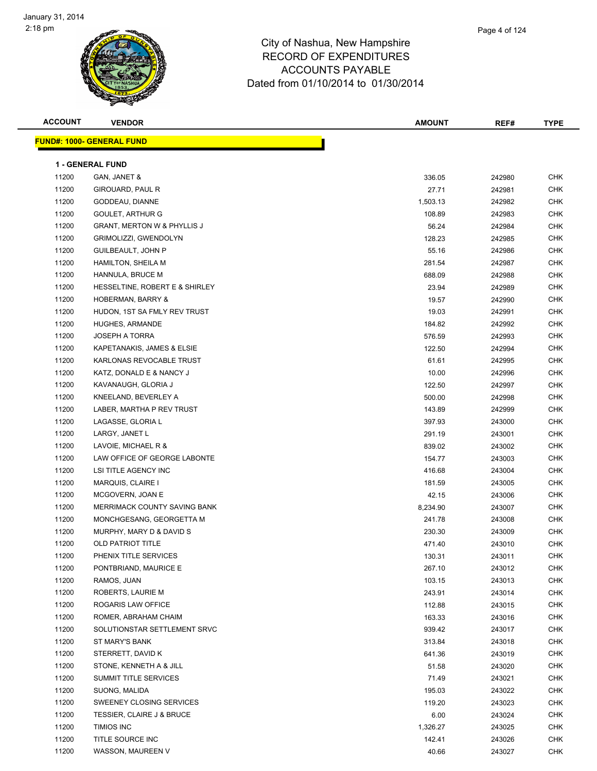

| <b>ACCOUNT</b> | <b>VENDOR</b>                          | <b>AMOUNT</b> | REF#   | <b>TYPE</b> |  |  |  |
|----------------|----------------------------------------|---------------|--------|-------------|--|--|--|
|                | <u> FUND#: 1000- GENERAL FUND</u>      |               |        |             |  |  |  |
|                |                                        |               |        |             |  |  |  |
|                | <b>1 - GENERAL FUND</b>                |               |        |             |  |  |  |
| 11200          | GAN, JANET &                           | 336.05        | 242980 | <b>CHK</b>  |  |  |  |
| 11200          | GIROUARD, PAUL R                       | 27.71         | 242981 | <b>CHK</b>  |  |  |  |
| 11200          | GODDEAU, DIANNE                        | 1,503.13      | 242982 | <b>CHK</b>  |  |  |  |
| 11200          | <b>GOULET, ARTHUR G</b>                | 108.89        | 242983 | CHK         |  |  |  |
| 11200          | <b>GRANT, MERTON W &amp; PHYLLIS J</b> | 56.24         | 242984 | <b>CHK</b>  |  |  |  |
| 11200          | GRIMOLIZZI, GWENDOLYN                  | 128.23        | 242985 | CHK         |  |  |  |
| 11200          | GUILBEAULT, JOHN P                     | 55.16         | 242986 | CHK         |  |  |  |
| 11200          | HAMILTON, SHEILA M                     | 281.54        | 242987 | <b>CHK</b>  |  |  |  |
| 11200          | HANNULA, BRUCE M                       | 688.09        | 242988 | CHK         |  |  |  |
| 11200          | HESSELTINE, ROBERT E & SHIRLEY         | 23.94         | 242989 | <b>CHK</b>  |  |  |  |
| 11200          | HOBERMAN, BARRY &                      | 19.57         | 242990 | <b>CHK</b>  |  |  |  |
| 11200          | HUDON, 1ST SA FMLY REV TRUST           | 19.03         | 242991 | CHK         |  |  |  |
| 11200          | HUGHES, ARMANDE                        | 184.82        | 242992 | <b>CHK</b>  |  |  |  |
| 11200          | <b>JOSEPH A TORRA</b>                  | 576.59        | 242993 | CHK         |  |  |  |
| 11200          | KAPETANAKIS, JAMES & ELSIE             | 122.50        | 242994 | CHK         |  |  |  |
| 11200          | KARLONAS REVOCABLE TRUST               | 61.61         | 242995 | CHK         |  |  |  |
| 11200          | KATZ, DONALD E & NANCY J               | 10.00         | 242996 | CHK         |  |  |  |
| 11200          | KAVANAUGH, GLORIA J                    | 122.50        | 242997 | CHK         |  |  |  |
| 11200          | KNEELAND, BEVERLEY A                   | 500.00        | 242998 | <b>CHK</b>  |  |  |  |
| 11200          | LABER, MARTHA P REV TRUST              | 143.89        | 242999 | CHK         |  |  |  |
| 11200          | LAGASSE, GLORIA L                      | 397.93        | 243000 | <b>CHK</b>  |  |  |  |
| 11200          | LARGY, JANET L                         | 291.19        | 243001 | <b>CHK</b>  |  |  |  |
| 11200          | LAVOIE, MICHAEL R &                    | 839.02        | 243002 | CHK         |  |  |  |
| 11200          | LAW OFFICE OF GEORGE LABONTE           | 154.77        | 243003 | <b>CHK</b>  |  |  |  |
| 11200          | LSI TITLE AGENCY INC                   | 416.68        | 243004 | CHK         |  |  |  |
| 11200          | MARQUIS, CLAIRE I                      | 181.59        | 243005 | CHK         |  |  |  |
| 11200          | MCGOVERN, JOAN E                       | 42.15         | 243006 | <b>CHK</b>  |  |  |  |
| 11200          | MERRIMACK COUNTY SAVING BANK           | 8,234.90      | 243007 | <b>CHK</b>  |  |  |  |
| 11200          | MONCHGESANG, GEORGETTA M               | 241.78        | 243008 | CHK         |  |  |  |
| 11200          | MURPHY, MARY D & DAVID S               | 230.30        | 243009 | <b>CHK</b>  |  |  |  |
| 11200          | <b>OLD PATRIOT TITLE</b>               | 471.40        | 243010 | <b>CHK</b>  |  |  |  |
| 11200          | PHENIX TITLE SERVICES                  | 130.31        | 243011 | CHK         |  |  |  |
| 11200          | PONTBRIAND, MAURICE E                  | 267.10        | 243012 | <b>CHK</b>  |  |  |  |
| 11200          | RAMOS, JUAN                            | 103.15        | 243013 | CHK         |  |  |  |
| 11200          | ROBERTS, LAURIE M                      | 243.91        | 243014 | <b>CHK</b>  |  |  |  |
| 11200          | ROGARIS LAW OFFICE                     | 112.88        | 243015 | <b>CHK</b>  |  |  |  |
| 11200          | ROMER, ABRAHAM CHAIM                   | 163.33        | 243016 | <b>CHK</b>  |  |  |  |
| 11200          | SOLUTIONSTAR SETTLEMENT SRVC           | 939.42        | 243017 | <b>CHK</b>  |  |  |  |
| 11200          | ST MARY'S BANK                         | 313.84        | 243018 | CHK         |  |  |  |
| 11200          | STERRETT, DAVID K                      | 641.36        | 243019 | CHK         |  |  |  |
| 11200          | STONE, KENNETH A & JILL                | 51.58         | 243020 | <b>CHK</b>  |  |  |  |
| 11200          | SUMMIT TITLE SERVICES                  | 71.49         | 243021 | CHK         |  |  |  |
| 11200          | SUONG, MALIDA                          | 195.03        | 243022 | CHK         |  |  |  |
| 11200          | SWEENEY CLOSING SERVICES               | 119.20        | 243023 | <b>CHK</b>  |  |  |  |
| 11200          | <b>TESSIER, CLAIRE J &amp; BRUCE</b>   | 6.00          | 243024 | CHK         |  |  |  |
| 11200          | <b>TIMIOS INC</b>                      | 1,326.27      | 243025 | <b>CHK</b>  |  |  |  |
| 11200          | TITLE SOURCE INC                       | 142.41        | 243026 | <b>CHK</b>  |  |  |  |
| 11200          | WASSON, MAUREEN V                      | 40.66         | 243027 | <b>CHK</b>  |  |  |  |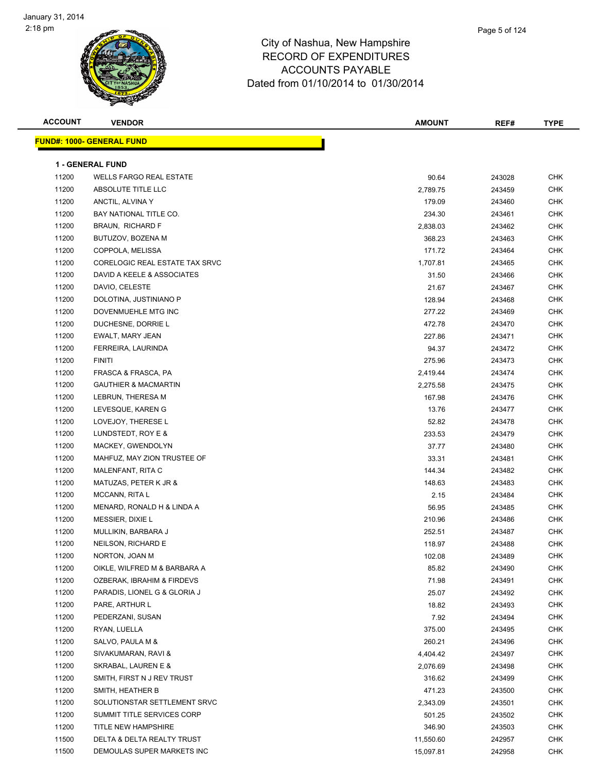| <b>FUND#: 1000- GENERAL FUND</b><br><b>1 - GENERAL FUND</b><br>11200<br>90.64<br><b>CHK</b><br><b>WELLS FARGO REAL ESTATE</b><br>243028<br>11200<br><b>CHK</b><br>ABSOLUTE TITLE LLC<br>2,789.75<br>243459<br>11200<br>ANCTIL, ALVINA Y<br><b>CHK</b><br>179.09<br>243460<br>11200<br>BAY NATIONAL TITLE CO.<br>CHK<br>234.30<br>243461<br>11200<br><b>BRAUN, RICHARD F</b><br>2,838.03<br>243462<br>CHK<br>11200<br>BUTUZOV, BOZENA M<br>368.23<br>243463<br>CHK<br>11200<br>COPPOLA, MELISSA<br>171.72<br><b>CHK</b><br>243464<br>11200<br>CORELOGIC REAL ESTATE TAX SRVC<br>1,707.81<br>CHK<br>243465<br>11200<br>DAVID A KEELE & ASSOCIATES<br>31.50<br><b>CHK</b><br>243466<br>11200<br>DAVIO, CELESTE<br>CHK<br>21.67<br>243467<br>11200<br>DOLOTINA, JUSTINIANO P<br>CHK<br>128.94<br>243468<br>11200<br><b>CHK</b><br>DOVENMUEHLE MTG INC<br>277.22<br>243469<br>11200<br>DUCHESNE, DORRIE L<br>CHK<br>472.78<br>243470<br>11200<br>227.86<br>243471<br>CHK<br>EWALT, MARY JEAN<br>11200<br>CHK<br>FERREIRA, LAURINDA<br>94.37<br>243472<br>11200<br><b>FINITI</b><br>275.96<br>243473<br>CHK<br>11200<br>FRASCA & FRASCA, PA<br>CHK<br>2,419.44<br>243474<br>11200<br><b>GAUTHIER &amp; MACMARTIN</b><br><b>CHK</b><br>2,275.58<br>243475<br>11200<br>LEBRUN, THERESA M<br>CHK<br>167.98<br>243476<br>11200<br>LEVESQUE, KAREN G<br>13.76<br><b>CHK</b><br>243477<br>11200<br><b>CHK</b><br>LOVEJOY, THERESE L<br>52.82<br>243478<br>11200<br>LUNDSTEDT, ROY E &<br>233.53<br><b>CHK</b><br>243479<br>11200<br><b>CHK</b><br>MACKEY, GWENDOLYN<br>37.77<br>243480<br>11200<br>MAHFUZ, MAY ZION TRUSTEE OF<br><b>CHK</b><br>33.31<br>243481<br>11200<br><b>CHK</b><br>MALENFANT, RITA C<br>144.34<br>243482<br>11200<br><b>CHK</b><br>MATUZAS, PETER K JR &<br>148.63<br>243483<br>11200<br>MCCANN, RITA L<br>2.15<br>243484<br>CHK<br>11200<br>MENARD, RONALD H & LINDA A<br>56.95<br>CHK<br>243485<br>11200<br>210.96<br>MESSIER, DIXIE L<br>243486<br>CHK<br>11200<br>252.51<br>CHK<br>MULLIKIN, BARBARA J<br>243487<br>11200<br><b>CHK</b><br>118.97<br>243488<br>NEILSON, RICHARD E<br>11200<br>NORTON, JOAN M<br><b>CHK</b><br>102.08<br>243489<br>11200<br>OIKLE, WILFRED M & BARBARA A<br>85.82<br>243490<br><b>CHK</b><br>11200<br><b>CHK</b><br>OZBERAK, IBRAHIM & FIRDEVS<br>71.98<br>243491<br>11200<br>PARADIS, LIONEL G & GLORIA J<br>25.07<br>243492<br>CHK<br>11200<br>PARE, ARTHUR L<br>18.82<br>CHK<br>243493<br>11200<br>PEDERZANI, SUSAN<br>7.92<br>243494<br>CHK<br>11200<br>RYAN, LUELLA<br>375.00<br>CHK<br>243495<br>11200<br>SALVO, PAULA M &<br>260.21<br>243496<br>CHK<br>11200<br>SIVAKUMARAN, RAVI &<br>CHK<br>4,404.42<br>243497<br>11200<br>SKRABAL, LAUREN E &<br>CHK<br>2,076.69<br>243498<br>11200<br><b>CHK</b><br>SMITH, FIRST N J REV TRUST<br>316.62<br>243499<br>11200<br>SMITH, HEATHER B<br>CHK<br>471.23<br>243500<br>11200<br>SOLUTIONSTAR SETTLEMENT SRVC<br>2,343.09<br>243501<br>CHK<br>11200<br>SUMMIT TITLE SERVICES CORP<br>CHK<br>501.25<br>243502<br>11200<br>TITLE NEW HAMPSHIRE<br>346.90<br>CHK<br>243503<br>11500<br>DELTA & DELTA REALTY TRUST<br>CHK<br>11,550.60<br>242957 | <b>ACCOUNT</b> | <b>VENDOR</b>              | <b>AMOUNT</b> | REF#   | <b>TYPE</b> |
|----------------------------------------------------------------------------------------------------------------------------------------------------------------------------------------------------------------------------------------------------------------------------------------------------------------------------------------------------------------------------------------------------------------------------------------------------------------------------------------------------------------------------------------------------------------------------------------------------------------------------------------------------------------------------------------------------------------------------------------------------------------------------------------------------------------------------------------------------------------------------------------------------------------------------------------------------------------------------------------------------------------------------------------------------------------------------------------------------------------------------------------------------------------------------------------------------------------------------------------------------------------------------------------------------------------------------------------------------------------------------------------------------------------------------------------------------------------------------------------------------------------------------------------------------------------------------------------------------------------------------------------------------------------------------------------------------------------------------------------------------------------------------------------------------------------------------------------------------------------------------------------------------------------------------------------------------------------------------------------------------------------------------------------------------------------------------------------------------------------------------------------------------------------------------------------------------------------------------------------------------------------------------------------------------------------------------------------------------------------------------------------------------------------------------------------------------------------------------------------------------------------------------------------------------------------------------------------------------------------------------------------------------------------------------------------------------------------------------------------------------------------------------------------------------------------------------------------------------------------------------------------------------------------------------------------------------------------------------------------------------------------------------------------------------------------------------------------------------------------------------------------------|----------------|----------------------------|---------------|--------|-------------|
|                                                                                                                                                                                                                                                                                                                                                                                                                                                                                                                                                                                                                                                                                                                                                                                                                                                                                                                                                                                                                                                                                                                                                                                                                                                                                                                                                                                                                                                                                                                                                                                                                                                                                                                                                                                                                                                                                                                                                                                                                                                                                                                                                                                                                                                                                                                                                                                                                                                                                                                                                                                                                                                                                                                                                                                                                                                                                                                                                                                                                                                                                                                                              |                |                            |               |        |             |
|                                                                                                                                                                                                                                                                                                                                                                                                                                                                                                                                                                                                                                                                                                                                                                                                                                                                                                                                                                                                                                                                                                                                                                                                                                                                                                                                                                                                                                                                                                                                                                                                                                                                                                                                                                                                                                                                                                                                                                                                                                                                                                                                                                                                                                                                                                                                                                                                                                                                                                                                                                                                                                                                                                                                                                                                                                                                                                                                                                                                                                                                                                                                              |                |                            |               |        |             |
|                                                                                                                                                                                                                                                                                                                                                                                                                                                                                                                                                                                                                                                                                                                                                                                                                                                                                                                                                                                                                                                                                                                                                                                                                                                                                                                                                                                                                                                                                                                                                                                                                                                                                                                                                                                                                                                                                                                                                                                                                                                                                                                                                                                                                                                                                                                                                                                                                                                                                                                                                                                                                                                                                                                                                                                                                                                                                                                                                                                                                                                                                                                                              |                |                            |               |        |             |
|                                                                                                                                                                                                                                                                                                                                                                                                                                                                                                                                                                                                                                                                                                                                                                                                                                                                                                                                                                                                                                                                                                                                                                                                                                                                                                                                                                                                                                                                                                                                                                                                                                                                                                                                                                                                                                                                                                                                                                                                                                                                                                                                                                                                                                                                                                                                                                                                                                                                                                                                                                                                                                                                                                                                                                                                                                                                                                                                                                                                                                                                                                                                              |                |                            |               |        |             |
|                                                                                                                                                                                                                                                                                                                                                                                                                                                                                                                                                                                                                                                                                                                                                                                                                                                                                                                                                                                                                                                                                                                                                                                                                                                                                                                                                                                                                                                                                                                                                                                                                                                                                                                                                                                                                                                                                                                                                                                                                                                                                                                                                                                                                                                                                                                                                                                                                                                                                                                                                                                                                                                                                                                                                                                                                                                                                                                                                                                                                                                                                                                                              |                |                            |               |        |             |
|                                                                                                                                                                                                                                                                                                                                                                                                                                                                                                                                                                                                                                                                                                                                                                                                                                                                                                                                                                                                                                                                                                                                                                                                                                                                                                                                                                                                                                                                                                                                                                                                                                                                                                                                                                                                                                                                                                                                                                                                                                                                                                                                                                                                                                                                                                                                                                                                                                                                                                                                                                                                                                                                                                                                                                                                                                                                                                                                                                                                                                                                                                                                              |                |                            |               |        |             |
|                                                                                                                                                                                                                                                                                                                                                                                                                                                                                                                                                                                                                                                                                                                                                                                                                                                                                                                                                                                                                                                                                                                                                                                                                                                                                                                                                                                                                                                                                                                                                                                                                                                                                                                                                                                                                                                                                                                                                                                                                                                                                                                                                                                                                                                                                                                                                                                                                                                                                                                                                                                                                                                                                                                                                                                                                                                                                                                                                                                                                                                                                                                                              |                |                            |               |        |             |
|                                                                                                                                                                                                                                                                                                                                                                                                                                                                                                                                                                                                                                                                                                                                                                                                                                                                                                                                                                                                                                                                                                                                                                                                                                                                                                                                                                                                                                                                                                                                                                                                                                                                                                                                                                                                                                                                                                                                                                                                                                                                                                                                                                                                                                                                                                                                                                                                                                                                                                                                                                                                                                                                                                                                                                                                                                                                                                                                                                                                                                                                                                                                              |                |                            |               |        |             |
|                                                                                                                                                                                                                                                                                                                                                                                                                                                                                                                                                                                                                                                                                                                                                                                                                                                                                                                                                                                                                                                                                                                                                                                                                                                                                                                                                                                                                                                                                                                                                                                                                                                                                                                                                                                                                                                                                                                                                                                                                                                                                                                                                                                                                                                                                                                                                                                                                                                                                                                                                                                                                                                                                                                                                                                                                                                                                                                                                                                                                                                                                                                                              |                |                            |               |        |             |
|                                                                                                                                                                                                                                                                                                                                                                                                                                                                                                                                                                                                                                                                                                                                                                                                                                                                                                                                                                                                                                                                                                                                                                                                                                                                                                                                                                                                                                                                                                                                                                                                                                                                                                                                                                                                                                                                                                                                                                                                                                                                                                                                                                                                                                                                                                                                                                                                                                                                                                                                                                                                                                                                                                                                                                                                                                                                                                                                                                                                                                                                                                                                              |                |                            |               |        |             |
|                                                                                                                                                                                                                                                                                                                                                                                                                                                                                                                                                                                                                                                                                                                                                                                                                                                                                                                                                                                                                                                                                                                                                                                                                                                                                                                                                                                                                                                                                                                                                                                                                                                                                                                                                                                                                                                                                                                                                                                                                                                                                                                                                                                                                                                                                                                                                                                                                                                                                                                                                                                                                                                                                                                                                                                                                                                                                                                                                                                                                                                                                                                                              |                |                            |               |        |             |
|                                                                                                                                                                                                                                                                                                                                                                                                                                                                                                                                                                                                                                                                                                                                                                                                                                                                                                                                                                                                                                                                                                                                                                                                                                                                                                                                                                                                                                                                                                                                                                                                                                                                                                                                                                                                                                                                                                                                                                                                                                                                                                                                                                                                                                                                                                                                                                                                                                                                                                                                                                                                                                                                                                                                                                                                                                                                                                                                                                                                                                                                                                                                              |                |                            |               |        |             |
|                                                                                                                                                                                                                                                                                                                                                                                                                                                                                                                                                                                                                                                                                                                                                                                                                                                                                                                                                                                                                                                                                                                                                                                                                                                                                                                                                                                                                                                                                                                                                                                                                                                                                                                                                                                                                                                                                                                                                                                                                                                                                                                                                                                                                                                                                                                                                                                                                                                                                                                                                                                                                                                                                                                                                                                                                                                                                                                                                                                                                                                                                                                                              |                |                            |               |        |             |
|                                                                                                                                                                                                                                                                                                                                                                                                                                                                                                                                                                                                                                                                                                                                                                                                                                                                                                                                                                                                                                                                                                                                                                                                                                                                                                                                                                                                                                                                                                                                                                                                                                                                                                                                                                                                                                                                                                                                                                                                                                                                                                                                                                                                                                                                                                                                                                                                                                                                                                                                                                                                                                                                                                                                                                                                                                                                                                                                                                                                                                                                                                                                              |                |                            |               |        |             |
|                                                                                                                                                                                                                                                                                                                                                                                                                                                                                                                                                                                                                                                                                                                                                                                                                                                                                                                                                                                                                                                                                                                                                                                                                                                                                                                                                                                                                                                                                                                                                                                                                                                                                                                                                                                                                                                                                                                                                                                                                                                                                                                                                                                                                                                                                                                                                                                                                                                                                                                                                                                                                                                                                                                                                                                                                                                                                                                                                                                                                                                                                                                                              |                |                            |               |        |             |
|                                                                                                                                                                                                                                                                                                                                                                                                                                                                                                                                                                                                                                                                                                                                                                                                                                                                                                                                                                                                                                                                                                                                                                                                                                                                                                                                                                                                                                                                                                                                                                                                                                                                                                                                                                                                                                                                                                                                                                                                                                                                                                                                                                                                                                                                                                                                                                                                                                                                                                                                                                                                                                                                                                                                                                                                                                                                                                                                                                                                                                                                                                                                              |                |                            |               |        |             |
|                                                                                                                                                                                                                                                                                                                                                                                                                                                                                                                                                                                                                                                                                                                                                                                                                                                                                                                                                                                                                                                                                                                                                                                                                                                                                                                                                                                                                                                                                                                                                                                                                                                                                                                                                                                                                                                                                                                                                                                                                                                                                                                                                                                                                                                                                                                                                                                                                                                                                                                                                                                                                                                                                                                                                                                                                                                                                                                                                                                                                                                                                                                                              |                |                            |               |        |             |
|                                                                                                                                                                                                                                                                                                                                                                                                                                                                                                                                                                                                                                                                                                                                                                                                                                                                                                                                                                                                                                                                                                                                                                                                                                                                                                                                                                                                                                                                                                                                                                                                                                                                                                                                                                                                                                                                                                                                                                                                                                                                                                                                                                                                                                                                                                                                                                                                                                                                                                                                                                                                                                                                                                                                                                                                                                                                                                                                                                                                                                                                                                                                              |                |                            |               |        |             |
|                                                                                                                                                                                                                                                                                                                                                                                                                                                                                                                                                                                                                                                                                                                                                                                                                                                                                                                                                                                                                                                                                                                                                                                                                                                                                                                                                                                                                                                                                                                                                                                                                                                                                                                                                                                                                                                                                                                                                                                                                                                                                                                                                                                                                                                                                                                                                                                                                                                                                                                                                                                                                                                                                                                                                                                                                                                                                                                                                                                                                                                                                                                                              |                |                            |               |        |             |
|                                                                                                                                                                                                                                                                                                                                                                                                                                                                                                                                                                                                                                                                                                                                                                                                                                                                                                                                                                                                                                                                                                                                                                                                                                                                                                                                                                                                                                                                                                                                                                                                                                                                                                                                                                                                                                                                                                                                                                                                                                                                                                                                                                                                                                                                                                                                                                                                                                                                                                                                                                                                                                                                                                                                                                                                                                                                                                                                                                                                                                                                                                                                              |                |                            |               |        |             |
|                                                                                                                                                                                                                                                                                                                                                                                                                                                                                                                                                                                                                                                                                                                                                                                                                                                                                                                                                                                                                                                                                                                                                                                                                                                                                                                                                                                                                                                                                                                                                                                                                                                                                                                                                                                                                                                                                                                                                                                                                                                                                                                                                                                                                                                                                                                                                                                                                                                                                                                                                                                                                                                                                                                                                                                                                                                                                                                                                                                                                                                                                                                                              |                |                            |               |        |             |
|                                                                                                                                                                                                                                                                                                                                                                                                                                                                                                                                                                                                                                                                                                                                                                                                                                                                                                                                                                                                                                                                                                                                                                                                                                                                                                                                                                                                                                                                                                                                                                                                                                                                                                                                                                                                                                                                                                                                                                                                                                                                                                                                                                                                                                                                                                                                                                                                                                                                                                                                                                                                                                                                                                                                                                                                                                                                                                                                                                                                                                                                                                                                              |                |                            |               |        |             |
|                                                                                                                                                                                                                                                                                                                                                                                                                                                                                                                                                                                                                                                                                                                                                                                                                                                                                                                                                                                                                                                                                                                                                                                                                                                                                                                                                                                                                                                                                                                                                                                                                                                                                                                                                                                                                                                                                                                                                                                                                                                                                                                                                                                                                                                                                                                                                                                                                                                                                                                                                                                                                                                                                                                                                                                                                                                                                                                                                                                                                                                                                                                                              |                |                            |               |        |             |
|                                                                                                                                                                                                                                                                                                                                                                                                                                                                                                                                                                                                                                                                                                                                                                                                                                                                                                                                                                                                                                                                                                                                                                                                                                                                                                                                                                                                                                                                                                                                                                                                                                                                                                                                                                                                                                                                                                                                                                                                                                                                                                                                                                                                                                                                                                                                                                                                                                                                                                                                                                                                                                                                                                                                                                                                                                                                                                                                                                                                                                                                                                                                              |                |                            |               |        |             |
|                                                                                                                                                                                                                                                                                                                                                                                                                                                                                                                                                                                                                                                                                                                                                                                                                                                                                                                                                                                                                                                                                                                                                                                                                                                                                                                                                                                                                                                                                                                                                                                                                                                                                                                                                                                                                                                                                                                                                                                                                                                                                                                                                                                                                                                                                                                                                                                                                                                                                                                                                                                                                                                                                                                                                                                                                                                                                                                                                                                                                                                                                                                                              |                |                            |               |        |             |
|                                                                                                                                                                                                                                                                                                                                                                                                                                                                                                                                                                                                                                                                                                                                                                                                                                                                                                                                                                                                                                                                                                                                                                                                                                                                                                                                                                                                                                                                                                                                                                                                                                                                                                                                                                                                                                                                                                                                                                                                                                                                                                                                                                                                                                                                                                                                                                                                                                                                                                                                                                                                                                                                                                                                                                                                                                                                                                                                                                                                                                                                                                                                              |                |                            |               |        |             |
|                                                                                                                                                                                                                                                                                                                                                                                                                                                                                                                                                                                                                                                                                                                                                                                                                                                                                                                                                                                                                                                                                                                                                                                                                                                                                                                                                                                                                                                                                                                                                                                                                                                                                                                                                                                                                                                                                                                                                                                                                                                                                                                                                                                                                                                                                                                                                                                                                                                                                                                                                                                                                                                                                                                                                                                                                                                                                                                                                                                                                                                                                                                                              |                |                            |               |        |             |
|                                                                                                                                                                                                                                                                                                                                                                                                                                                                                                                                                                                                                                                                                                                                                                                                                                                                                                                                                                                                                                                                                                                                                                                                                                                                                                                                                                                                                                                                                                                                                                                                                                                                                                                                                                                                                                                                                                                                                                                                                                                                                                                                                                                                                                                                                                                                                                                                                                                                                                                                                                                                                                                                                                                                                                                                                                                                                                                                                                                                                                                                                                                                              |                |                            |               |        |             |
|                                                                                                                                                                                                                                                                                                                                                                                                                                                                                                                                                                                                                                                                                                                                                                                                                                                                                                                                                                                                                                                                                                                                                                                                                                                                                                                                                                                                                                                                                                                                                                                                                                                                                                                                                                                                                                                                                                                                                                                                                                                                                                                                                                                                                                                                                                                                                                                                                                                                                                                                                                                                                                                                                                                                                                                                                                                                                                                                                                                                                                                                                                                                              |                |                            |               |        |             |
|                                                                                                                                                                                                                                                                                                                                                                                                                                                                                                                                                                                                                                                                                                                                                                                                                                                                                                                                                                                                                                                                                                                                                                                                                                                                                                                                                                                                                                                                                                                                                                                                                                                                                                                                                                                                                                                                                                                                                                                                                                                                                                                                                                                                                                                                                                                                                                                                                                                                                                                                                                                                                                                                                                                                                                                                                                                                                                                                                                                                                                                                                                                                              |                |                            |               |        |             |
|                                                                                                                                                                                                                                                                                                                                                                                                                                                                                                                                                                                                                                                                                                                                                                                                                                                                                                                                                                                                                                                                                                                                                                                                                                                                                                                                                                                                                                                                                                                                                                                                                                                                                                                                                                                                                                                                                                                                                                                                                                                                                                                                                                                                                                                                                                                                                                                                                                                                                                                                                                                                                                                                                                                                                                                                                                                                                                                                                                                                                                                                                                                                              |                |                            |               |        |             |
|                                                                                                                                                                                                                                                                                                                                                                                                                                                                                                                                                                                                                                                                                                                                                                                                                                                                                                                                                                                                                                                                                                                                                                                                                                                                                                                                                                                                                                                                                                                                                                                                                                                                                                                                                                                                                                                                                                                                                                                                                                                                                                                                                                                                                                                                                                                                                                                                                                                                                                                                                                                                                                                                                                                                                                                                                                                                                                                                                                                                                                                                                                                                              |                |                            |               |        |             |
|                                                                                                                                                                                                                                                                                                                                                                                                                                                                                                                                                                                                                                                                                                                                                                                                                                                                                                                                                                                                                                                                                                                                                                                                                                                                                                                                                                                                                                                                                                                                                                                                                                                                                                                                                                                                                                                                                                                                                                                                                                                                                                                                                                                                                                                                                                                                                                                                                                                                                                                                                                                                                                                                                                                                                                                                                                                                                                                                                                                                                                                                                                                                              |                |                            |               |        |             |
|                                                                                                                                                                                                                                                                                                                                                                                                                                                                                                                                                                                                                                                                                                                                                                                                                                                                                                                                                                                                                                                                                                                                                                                                                                                                                                                                                                                                                                                                                                                                                                                                                                                                                                                                                                                                                                                                                                                                                                                                                                                                                                                                                                                                                                                                                                                                                                                                                                                                                                                                                                                                                                                                                                                                                                                                                                                                                                                                                                                                                                                                                                                                              |                |                            |               |        |             |
|                                                                                                                                                                                                                                                                                                                                                                                                                                                                                                                                                                                                                                                                                                                                                                                                                                                                                                                                                                                                                                                                                                                                                                                                                                                                                                                                                                                                                                                                                                                                                                                                                                                                                                                                                                                                                                                                                                                                                                                                                                                                                                                                                                                                                                                                                                                                                                                                                                                                                                                                                                                                                                                                                                                                                                                                                                                                                                                                                                                                                                                                                                                                              |                |                            |               |        |             |
|                                                                                                                                                                                                                                                                                                                                                                                                                                                                                                                                                                                                                                                                                                                                                                                                                                                                                                                                                                                                                                                                                                                                                                                                                                                                                                                                                                                                                                                                                                                                                                                                                                                                                                                                                                                                                                                                                                                                                                                                                                                                                                                                                                                                                                                                                                                                                                                                                                                                                                                                                                                                                                                                                                                                                                                                                                                                                                                                                                                                                                                                                                                                              |                |                            |               |        |             |
|                                                                                                                                                                                                                                                                                                                                                                                                                                                                                                                                                                                                                                                                                                                                                                                                                                                                                                                                                                                                                                                                                                                                                                                                                                                                                                                                                                                                                                                                                                                                                                                                                                                                                                                                                                                                                                                                                                                                                                                                                                                                                                                                                                                                                                                                                                                                                                                                                                                                                                                                                                                                                                                                                                                                                                                                                                                                                                                                                                                                                                                                                                                                              |                |                            |               |        |             |
|                                                                                                                                                                                                                                                                                                                                                                                                                                                                                                                                                                                                                                                                                                                                                                                                                                                                                                                                                                                                                                                                                                                                                                                                                                                                                                                                                                                                                                                                                                                                                                                                                                                                                                                                                                                                                                                                                                                                                                                                                                                                                                                                                                                                                                                                                                                                                                                                                                                                                                                                                                                                                                                                                                                                                                                                                                                                                                                                                                                                                                                                                                                                              |                |                            |               |        |             |
|                                                                                                                                                                                                                                                                                                                                                                                                                                                                                                                                                                                                                                                                                                                                                                                                                                                                                                                                                                                                                                                                                                                                                                                                                                                                                                                                                                                                                                                                                                                                                                                                                                                                                                                                                                                                                                                                                                                                                                                                                                                                                                                                                                                                                                                                                                                                                                                                                                                                                                                                                                                                                                                                                                                                                                                                                                                                                                                                                                                                                                                                                                                                              |                |                            |               |        |             |
|                                                                                                                                                                                                                                                                                                                                                                                                                                                                                                                                                                                                                                                                                                                                                                                                                                                                                                                                                                                                                                                                                                                                                                                                                                                                                                                                                                                                                                                                                                                                                                                                                                                                                                                                                                                                                                                                                                                                                                                                                                                                                                                                                                                                                                                                                                                                                                                                                                                                                                                                                                                                                                                                                                                                                                                                                                                                                                                                                                                                                                                                                                                                              |                |                            |               |        |             |
|                                                                                                                                                                                                                                                                                                                                                                                                                                                                                                                                                                                                                                                                                                                                                                                                                                                                                                                                                                                                                                                                                                                                                                                                                                                                                                                                                                                                                                                                                                                                                                                                                                                                                                                                                                                                                                                                                                                                                                                                                                                                                                                                                                                                                                                                                                                                                                                                                                                                                                                                                                                                                                                                                                                                                                                                                                                                                                                                                                                                                                                                                                                                              |                |                            |               |        |             |
|                                                                                                                                                                                                                                                                                                                                                                                                                                                                                                                                                                                                                                                                                                                                                                                                                                                                                                                                                                                                                                                                                                                                                                                                                                                                                                                                                                                                                                                                                                                                                                                                                                                                                                                                                                                                                                                                                                                                                                                                                                                                                                                                                                                                                                                                                                                                                                                                                                                                                                                                                                                                                                                                                                                                                                                                                                                                                                                                                                                                                                                                                                                                              |                |                            |               |        |             |
|                                                                                                                                                                                                                                                                                                                                                                                                                                                                                                                                                                                                                                                                                                                                                                                                                                                                                                                                                                                                                                                                                                                                                                                                                                                                                                                                                                                                                                                                                                                                                                                                                                                                                                                                                                                                                                                                                                                                                                                                                                                                                                                                                                                                                                                                                                                                                                                                                                                                                                                                                                                                                                                                                                                                                                                                                                                                                                                                                                                                                                                                                                                                              |                |                            |               |        |             |
|                                                                                                                                                                                                                                                                                                                                                                                                                                                                                                                                                                                                                                                                                                                                                                                                                                                                                                                                                                                                                                                                                                                                                                                                                                                                                                                                                                                                                                                                                                                                                                                                                                                                                                                                                                                                                                                                                                                                                                                                                                                                                                                                                                                                                                                                                                                                                                                                                                                                                                                                                                                                                                                                                                                                                                                                                                                                                                                                                                                                                                                                                                                                              |                |                            |               |        |             |
|                                                                                                                                                                                                                                                                                                                                                                                                                                                                                                                                                                                                                                                                                                                                                                                                                                                                                                                                                                                                                                                                                                                                                                                                                                                                                                                                                                                                                                                                                                                                                                                                                                                                                                                                                                                                                                                                                                                                                                                                                                                                                                                                                                                                                                                                                                                                                                                                                                                                                                                                                                                                                                                                                                                                                                                                                                                                                                                                                                                                                                                                                                                                              |                |                            |               |        |             |
|                                                                                                                                                                                                                                                                                                                                                                                                                                                                                                                                                                                                                                                                                                                                                                                                                                                                                                                                                                                                                                                                                                                                                                                                                                                                                                                                                                                                                                                                                                                                                                                                                                                                                                                                                                                                                                                                                                                                                                                                                                                                                                                                                                                                                                                                                                                                                                                                                                                                                                                                                                                                                                                                                                                                                                                                                                                                                                                                                                                                                                                                                                                                              |                |                            |               |        |             |
|                                                                                                                                                                                                                                                                                                                                                                                                                                                                                                                                                                                                                                                                                                                                                                                                                                                                                                                                                                                                                                                                                                                                                                                                                                                                                                                                                                                                                                                                                                                                                                                                                                                                                                                                                                                                                                                                                                                                                                                                                                                                                                                                                                                                                                                                                                                                                                                                                                                                                                                                                                                                                                                                                                                                                                                                                                                                                                                                                                                                                                                                                                                                              |                |                            |               |        |             |
|                                                                                                                                                                                                                                                                                                                                                                                                                                                                                                                                                                                                                                                                                                                                                                                                                                                                                                                                                                                                                                                                                                                                                                                                                                                                                                                                                                                                                                                                                                                                                                                                                                                                                                                                                                                                                                                                                                                                                                                                                                                                                                                                                                                                                                                                                                                                                                                                                                                                                                                                                                                                                                                                                                                                                                                                                                                                                                                                                                                                                                                                                                                                              |                |                            |               |        |             |
|                                                                                                                                                                                                                                                                                                                                                                                                                                                                                                                                                                                                                                                                                                                                                                                                                                                                                                                                                                                                                                                                                                                                                                                                                                                                                                                                                                                                                                                                                                                                                                                                                                                                                                                                                                                                                                                                                                                                                                                                                                                                                                                                                                                                                                                                                                                                                                                                                                                                                                                                                                                                                                                                                                                                                                                                                                                                                                                                                                                                                                                                                                                                              |                |                            |               |        |             |
|                                                                                                                                                                                                                                                                                                                                                                                                                                                                                                                                                                                                                                                                                                                                                                                                                                                                                                                                                                                                                                                                                                                                                                                                                                                                                                                                                                                                                                                                                                                                                                                                                                                                                                                                                                                                                                                                                                                                                                                                                                                                                                                                                                                                                                                                                                                                                                                                                                                                                                                                                                                                                                                                                                                                                                                                                                                                                                                                                                                                                                                                                                                                              |                |                            |               |        |             |
|                                                                                                                                                                                                                                                                                                                                                                                                                                                                                                                                                                                                                                                                                                                                                                                                                                                                                                                                                                                                                                                                                                                                                                                                                                                                                                                                                                                                                                                                                                                                                                                                                                                                                                                                                                                                                                                                                                                                                                                                                                                                                                                                                                                                                                                                                                                                                                                                                                                                                                                                                                                                                                                                                                                                                                                                                                                                                                                                                                                                                                                                                                                                              | 11500          | DEMOULAS SUPER MARKETS INC | 15,097.81     | 242958 | CHK         |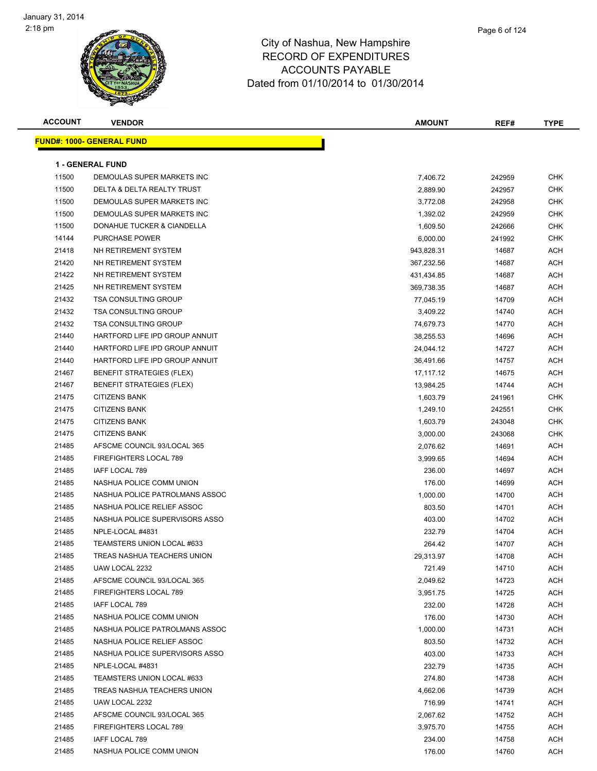| <b>ACCOUNT</b> | <b>VENDOR</b>                    | <b>AMOUNT</b> | REF#   | <b>TYPE</b> |
|----------------|----------------------------------|---------------|--------|-------------|
|                | <b>FUND#: 1000- GENERAL FUND</b> |               |        |             |
|                |                                  |               |        |             |
|                | <b>1 - GENERAL FUND</b>          |               |        |             |
| 11500          | DEMOULAS SUPER MARKETS INC       | 7,406.72      | 242959 | <b>CHK</b>  |
| 11500          | DELTA & DELTA REALTY TRUST       | 2,889.90      | 242957 | <b>CHK</b>  |
| 11500          | DEMOULAS SUPER MARKETS INC       | 3,772.08      | 242958 | CHK         |
| 11500          | DEMOULAS SUPER MARKETS INC       | 1,392.02      | 242959 | CHK         |
| 11500          | DONAHUE TUCKER & CIANDELLA       | 1,609.50      | 242666 | CHK         |
| 14144          | <b>PURCHASE POWER</b>            | 6,000.00      | 241992 | CHK         |
| 21418          | NH RETIREMENT SYSTEM             | 943,828.31    | 14687  | ACH         |
| 21420          | NH RETIREMENT SYSTEM             | 367,232.56    | 14687  | ACH         |
| 21422          | NH RETIREMENT SYSTEM             | 431,434.85    | 14687  | ACH         |
| 21425          | NH RETIREMENT SYSTEM             | 369,738.35    | 14687  | ACH         |
| 21432          | <b>TSA CONSULTING GROUP</b>      | 77,045.19     | 14709  | ACH         |
| 21432          | <b>TSA CONSULTING GROUP</b>      | 3,409.22      | 14740  | ACH         |
| 21432          | <b>TSA CONSULTING GROUP</b>      | 74,679.73     | 14770  | ACH         |
| 21440          | HARTFORD LIFE IPD GROUP ANNUIT   | 38,255.53     | 14696  | ACH         |
| 21440          | HARTFORD LIFE IPD GROUP ANNUIT   | 24,044.12     | 14727  | ACH         |
| 21440          | HARTFORD LIFE IPD GROUP ANNUIT   | 36,491.66     | 14757  | ACH         |
| 21467          | <b>BENEFIT STRATEGIES (FLEX)</b> | 17,117.12     | 14675  | ACH         |
| 21467          | <b>BENEFIT STRATEGIES (FLEX)</b> | 13,984.25     | 14744  | ACH         |
| 21475          | <b>CITIZENS BANK</b>             | 1,603.79      | 241961 | CHK         |
| 21475          | <b>CITIZENS BANK</b>             | 1,249.10      | 242551 | <b>CHK</b>  |
| 21475          | <b>CITIZENS BANK</b>             | 1,603.79      | 243048 | <b>CHK</b>  |
| 21475          | <b>CITIZENS BANK</b>             | 3,000.00      | 243068 | <b>CHK</b>  |
| 21485          | AFSCME COUNCIL 93/LOCAL 365      | 2,076.62      | 14691  | ACH         |
| 21485          | FIREFIGHTERS LOCAL 789           | 3,999.65      | 14694  | ACH         |
| 21485          | IAFF LOCAL 789                   | 236.00        | 14697  | ACH         |
| 21485          | NASHUA POLICE COMM UNION         | 176.00        | 14699  | ACH         |
| 21485          | NASHUA POLICE PATROLMANS ASSOC   | 1,000.00      | 14700  | ACH         |
| 21485          | NASHUA POLICE RELIEF ASSOC       | 803.50        | 14701  | ACH         |
| 21485          | NASHUA POLICE SUPERVISORS ASSO   | 403.00        | 14702  | ACH         |
| 21485          | NPLE-LOCAL #4831                 | 232.79        | 14704  | ACH         |
| 21485          | TEAMSTERS UNION LOCAL #633       | 264.42        | 14707  | ACH         |
| 21485          | TREAS NASHUA TEACHERS UNION      | 29,313.97     | 14708  | <b>ACH</b>  |
| 21485          | UAW LOCAL 2232                   | 721.49        | 14710  | ACH         |
| 21485          | AFSCME COUNCIL 93/LOCAL 365      | 2,049.62      | 14723  | ACH         |
| 21485          | FIREFIGHTERS LOCAL 789           | 3,951.75      | 14725  | ACH         |
| 21485          | <b>IAFF LOCAL 789</b>            | 232.00        | 14728  | ACH         |
| 21485          | NASHUA POLICE COMM UNION         | 176.00        | 14730  | ACH         |
| 21485          | NASHUA POLICE PATROLMANS ASSOC   | 1,000.00      | 14731  | ACH         |
| 21485          | NASHUA POLICE RELIEF ASSOC       | 803.50        | 14732  | ACH         |
| 21485          | NASHUA POLICE SUPERVISORS ASSO   | 403.00        | 14733  | ACH         |
| 21485          | NPLE-LOCAL #4831                 | 232.79        | 14735  | ACH         |
| 21485          | TEAMSTERS UNION LOCAL #633       | 274.80        | 14738  | ACH         |
| 21485          | TREAS NASHUA TEACHERS UNION      | 4,662.06      | 14739  | ACH         |
| 21485          | UAW LOCAL 2232                   | 716.99        | 14741  | ACH         |
| 21485          | AFSCME COUNCIL 93/LOCAL 365      | 2,067.62      | 14752  | ACH         |
| 21485          | FIREFIGHTERS LOCAL 789           | 3,975.70      | 14755  | ACH         |
| 21485          | IAFF LOCAL 789                   | 234.00        | 14758  | ACH         |
| 21485          | NASHUA POLICE COMM UNION         | 176.00        | 14760  | ACH         |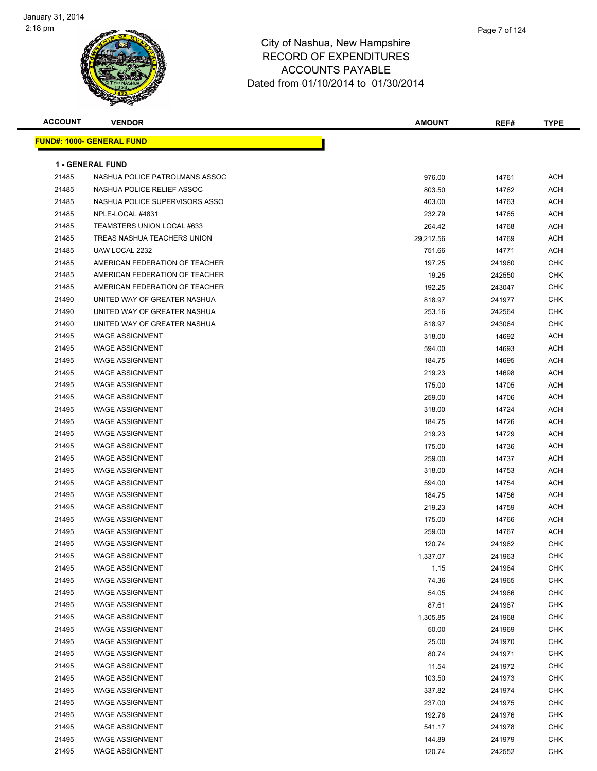

| <b>ACCOUNT</b> | <b>VENDOR</b>                     | AMOUNT    | REF#   | <b>TYPE</b> |  |  |  |
|----------------|-----------------------------------|-----------|--------|-------------|--|--|--|
|                | <u> FUND#: 1000- GENERAL FUND</u> |           |        |             |  |  |  |
|                |                                   |           |        |             |  |  |  |
|                | <b>1 - GENERAL FUND</b>           |           |        |             |  |  |  |
| 21485          | NASHUA POLICE PATROLMANS ASSOC    | 976.00    | 14761  | <b>ACH</b>  |  |  |  |
| 21485          | NASHUA POLICE RELIEF ASSOC        | 803.50    | 14762  | <b>ACH</b>  |  |  |  |
| 21485          | NASHUA POLICE SUPERVISORS ASSO    | 403.00    | 14763  | ACH         |  |  |  |
| 21485          | NPLE-LOCAL #4831                  | 232.79    | 14765  | <b>ACH</b>  |  |  |  |
| 21485          | TEAMSTERS UNION LOCAL #633        | 264.42    | 14768  | <b>ACH</b>  |  |  |  |
| 21485          | TREAS NASHUA TEACHERS UNION       | 29,212.56 | 14769  | <b>ACH</b>  |  |  |  |
| 21485          | UAW LOCAL 2232                    | 751.66    | 14771  | <b>ACH</b>  |  |  |  |
| 21485          | AMERICAN FEDERATION OF TEACHER    | 197.25    | 241960 | <b>CHK</b>  |  |  |  |
| 21485          | AMERICAN FEDERATION OF TEACHER    | 19.25     | 242550 | <b>CHK</b>  |  |  |  |
| 21485          | AMERICAN FEDERATION OF TEACHER    | 192.25    | 243047 | <b>CHK</b>  |  |  |  |
| 21490          | UNITED WAY OF GREATER NASHUA      | 818.97    | 241977 | <b>CHK</b>  |  |  |  |
| 21490          | UNITED WAY OF GREATER NASHUA      | 253.16    | 242564 | <b>CHK</b>  |  |  |  |
| 21490          | UNITED WAY OF GREATER NASHUA      | 818.97    | 243064 | <b>CHK</b>  |  |  |  |
| 21495          | <b>WAGE ASSIGNMENT</b>            | 318.00    | 14692  | ACH         |  |  |  |
| 21495          | <b>WAGE ASSIGNMENT</b>            | 594.00    | 14693  | ACH         |  |  |  |
| 21495          | <b>WAGE ASSIGNMENT</b>            | 184.75    | 14695  | <b>ACH</b>  |  |  |  |
| 21495          | <b>WAGE ASSIGNMENT</b>            | 219.23    | 14698  | <b>ACH</b>  |  |  |  |
| 21495          | <b>WAGE ASSIGNMENT</b>            | 175.00    | 14705  | <b>ACH</b>  |  |  |  |
| 21495          | <b>WAGE ASSIGNMENT</b>            | 259.00    | 14706  | ACH         |  |  |  |
| 21495          | <b>WAGE ASSIGNMENT</b>            | 318.00    | 14724  | <b>ACH</b>  |  |  |  |
| 21495          | <b>WAGE ASSIGNMENT</b>            | 184.75    | 14726  | <b>ACH</b>  |  |  |  |
| 21495          | <b>WAGE ASSIGNMENT</b>            | 219.23    | 14729  | <b>ACH</b>  |  |  |  |
| 21495          | <b>WAGE ASSIGNMENT</b>            | 175.00    | 14736  | <b>ACH</b>  |  |  |  |
| 21495          | <b>WAGE ASSIGNMENT</b>            | 259.00    | 14737  | <b>ACH</b>  |  |  |  |
| 21495          | <b>WAGE ASSIGNMENT</b>            | 318.00    | 14753  | ACH         |  |  |  |
| 21495          | <b>WAGE ASSIGNMENT</b>            | 594.00    | 14754  | ACH         |  |  |  |
| 21495          | <b>WAGE ASSIGNMENT</b>            | 184.75    | 14756  | <b>ACH</b>  |  |  |  |
| 21495          | <b>WAGE ASSIGNMENT</b>            | 219.23    | 14759  | <b>ACH</b>  |  |  |  |
| 21495          | <b>WAGE ASSIGNMENT</b>            | 175.00    | 14766  | <b>ACH</b>  |  |  |  |
| 21495          | <b>WAGE ASSIGNMENT</b>            | 259.00    | 14767  | ACH         |  |  |  |
| 21495          | <b>WAGE ASSIGNMENT</b>            | 120.74    | 241962 | <b>CHK</b>  |  |  |  |
| 21495          | WAGE ASSIGNMENT                   | 1,337.07  | 241963 | <b>CHK</b>  |  |  |  |
| 21495          | <b>WAGE ASSIGNMENT</b>            | 1.15      | 241964 | <b>CHK</b>  |  |  |  |
| 21495          | <b>WAGE ASSIGNMENT</b>            | 74.36     | 241965 | <b>CHK</b>  |  |  |  |
| 21495          | <b>WAGE ASSIGNMENT</b>            | 54.05     | 241966 | <b>CHK</b>  |  |  |  |
| 21495          | <b>WAGE ASSIGNMENT</b>            | 87.61     | 241967 | <b>CHK</b>  |  |  |  |
| 21495          | <b>WAGE ASSIGNMENT</b>            | 1,305.85  | 241968 | <b>CHK</b>  |  |  |  |
| 21495          | <b>WAGE ASSIGNMENT</b>            | 50.00     | 241969 | <b>CHK</b>  |  |  |  |
| 21495          | <b>WAGE ASSIGNMENT</b>            | 25.00     | 241970 | <b>CHK</b>  |  |  |  |
| 21495          | <b>WAGE ASSIGNMENT</b>            | 80.74     | 241971 | <b>CHK</b>  |  |  |  |
| 21495          | <b>WAGE ASSIGNMENT</b>            | 11.54     | 241972 | <b>CHK</b>  |  |  |  |
| 21495          | <b>WAGE ASSIGNMENT</b>            | 103.50    | 241973 | <b>CHK</b>  |  |  |  |
| 21495          | <b>WAGE ASSIGNMENT</b>            | 337.82    | 241974 | <b>CHK</b>  |  |  |  |
| 21495          | <b>WAGE ASSIGNMENT</b>            | 237.00    | 241975 | <b>CHK</b>  |  |  |  |
| 21495          | <b>WAGE ASSIGNMENT</b>            | 192.76    | 241976 | <b>CHK</b>  |  |  |  |
| 21495          | <b>WAGE ASSIGNMENT</b>            | 541.17    | 241978 | <b>CHK</b>  |  |  |  |
| 21495          | <b>WAGE ASSIGNMENT</b>            | 144.89    | 241979 | <b>CHK</b>  |  |  |  |
| 21495          | <b>WAGE ASSIGNMENT</b>            | 120.74    | 242552 | <b>CHK</b>  |  |  |  |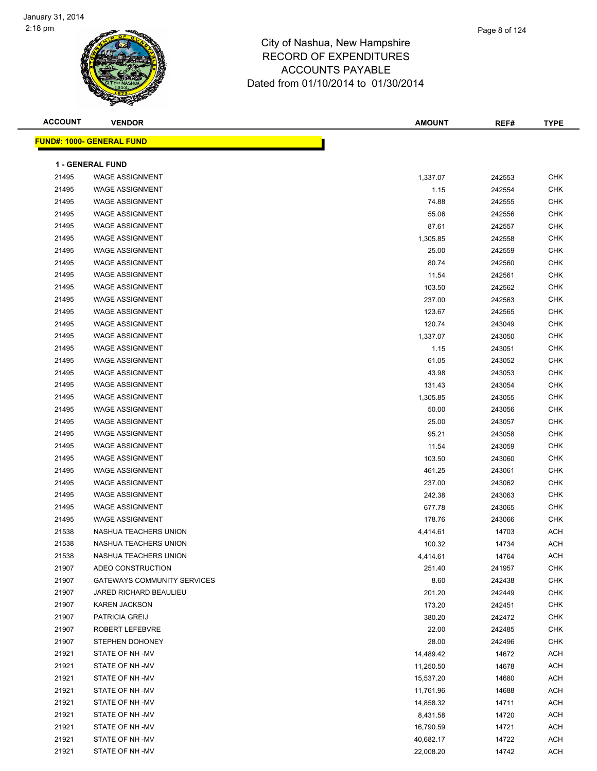

| <b>ACCOUNT</b> | <b>VENDOR</b>                      | <b>AMOUNT</b> | REF#   | <b>TYPE</b>    |
|----------------|------------------------------------|---------------|--------|----------------|
|                | <u>FUND#: 1000- GENERAL FUND</u>   |               |        |                |
|                | <b>1 - GENERAL FUND</b>            |               |        |                |
| 21495          | <b>WAGE ASSIGNMENT</b>             | 1,337.07      | 242553 | <b>CHK</b>     |
| 21495          | <b>WAGE ASSIGNMENT</b>             | 1.15          | 242554 | <b>CHK</b>     |
| 21495          | <b>WAGE ASSIGNMENT</b>             | 74.88         | 242555 | <b>CHK</b>     |
| 21495          | <b>WAGE ASSIGNMENT</b>             | 55.06         | 242556 | <b>CHK</b>     |
| 21495          | <b>WAGE ASSIGNMENT</b>             | 87.61         | 242557 | <b>CHK</b>     |
| 21495          | <b>WAGE ASSIGNMENT</b>             | 1,305.85      | 242558 | <b>CHK</b>     |
| 21495          | <b>WAGE ASSIGNMENT</b>             | 25.00         | 242559 | <b>CHK</b>     |
| 21495          | <b>WAGE ASSIGNMENT</b>             | 80.74         | 242560 | <b>CHK</b>     |
| 21495          | <b>WAGE ASSIGNMENT</b>             | 11.54         | 242561 | <b>CHK</b>     |
| 21495          | <b>WAGE ASSIGNMENT</b>             | 103.50        | 242562 | <b>CHK</b>     |
| 21495          | <b>WAGE ASSIGNMENT</b>             | 237.00        | 242563 | <b>CHK</b>     |
| 21495          | <b>WAGE ASSIGNMENT</b>             | 123.67        | 242565 | <b>CHK</b>     |
| 21495          | <b>WAGE ASSIGNMENT</b>             | 120.74        |        | <b>CHK</b>     |
|                |                                    |               | 243049 |                |
| 21495          | <b>WAGE ASSIGNMENT</b>             | 1,337.07      | 243050 | <b>CHK</b>     |
| 21495          | <b>WAGE ASSIGNMENT</b>             | 1.15          | 243051 | <b>CHK</b>     |
| 21495          | <b>WAGE ASSIGNMENT</b>             | 61.05         | 243052 | <b>CHK</b>     |
| 21495          | <b>WAGE ASSIGNMENT</b>             | 43.98         | 243053 | <b>CHK</b>     |
| 21495          | <b>WAGE ASSIGNMENT</b>             | 131.43        | 243054 | <b>CHK</b>     |
| 21495          | <b>WAGE ASSIGNMENT</b>             | 1,305.85      | 243055 | <b>CHK</b>     |
| 21495          | <b>WAGE ASSIGNMENT</b>             | 50.00         | 243056 | <b>CHK</b>     |
| 21495          | <b>WAGE ASSIGNMENT</b>             | 25.00         | 243057 | <b>CHK</b>     |
| 21495          | <b>WAGE ASSIGNMENT</b>             | 95.21         | 243058 | <b>CHK</b>     |
| 21495          | <b>WAGE ASSIGNMENT</b>             | 11.54         | 243059 | <b>CHK</b>     |
| 21495          | <b>WAGE ASSIGNMENT</b>             | 103.50        | 243060 | <b>CHK</b>     |
| 21495          | <b>WAGE ASSIGNMENT</b>             | 461.25        | 243061 | <b>CHK</b>     |
| 21495          | <b>WAGE ASSIGNMENT</b>             | 237.00        | 243062 | <b>CHK</b>     |
| 21495          | <b>WAGE ASSIGNMENT</b>             | 242.38        | 243063 | <b>CHK</b>     |
| 21495          | <b>WAGE ASSIGNMENT</b>             | 677.78        | 243065 | <b>CHK</b>     |
| 21495          | <b>WAGE ASSIGNMENT</b>             | 178.76        | 243066 | <b>CHK</b>     |
| 21538          | NASHUA TEACHERS UNION              | 4,414.61      | 14703  | ACH            |
| 21538          | NASHUA TEACHERS UNION              | 100.32        | 14734  | <b>ACH</b>     |
| 21538          | NASHUA TEACHERS UNION              | 4,414.61      | 14764  | $\mathsf{ACH}$ |
| 21907          | ADEO CONSTRUCTION                  | 251.40        | 241957 | <b>CHK</b>     |
| 21907          | <b>GATEWAYS COMMUNITY SERVICES</b> | 8.60          | 242438 | <b>CHK</b>     |
| 21907          | JARED RICHARD BEAULIEU             | 201.20        | 242449 | <b>CHK</b>     |
| 21907          | <b>KAREN JACKSON</b>               | 173.20        | 242451 | <b>CHK</b>     |
| 21907          | PATRICIA GREIJ                     | 380.20        | 242472 | <b>CHK</b>     |
| 21907          | ROBERT LEFEBVRE                    | 22.00         | 242485 | <b>CHK</b>     |
| 21907          | STEPHEN DOHONEY                    | 28.00         | 242496 | <b>CHK</b>     |
| 21921          | STATE OF NH -MV                    | 14,489.42     | 14672  | <b>ACH</b>     |
| 21921          | STATE OF NH-MV                     | 11,250.50     | 14678  | <b>ACH</b>     |
| 21921          | STATE OF NH-MV                     | 15,537.20     | 14680  | <b>ACH</b>     |
| 21921          | STATE OF NH-MV                     | 11,761.96     | 14688  | ACH            |
| 21921          | STATE OF NH-MV                     | 14,858.32     | 14711  | <b>ACH</b>     |
| 21921          | STATE OF NH-MV                     | 8,431.58      | 14720  | <b>ACH</b>     |
| 21921          | STATE OF NH-MV                     | 16,790.59     | 14721  | <b>ACH</b>     |
| 21921          | STATE OF NH-MV                     | 40,682.17     | 14722  | <b>ACH</b>     |
| 21921          | STATE OF NH-MV                     | 22,008.20     | 14742  | <b>ACH</b>     |
|                |                                    |               |        |                |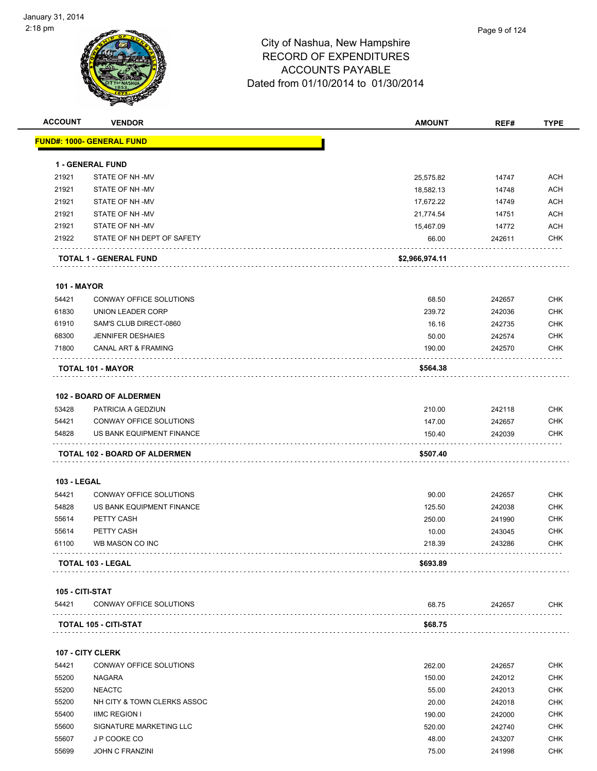

| <b>ACCOUNT</b>     | <b>VENDOR</b>                  | <b>AMOUNT</b>  | REF#   | <b>TYPE</b> |
|--------------------|--------------------------------|----------------|--------|-------------|
|                    | FUND#: 1000- GENERAL FUND      |                |        |             |
|                    | <b>1 - GENERAL FUND</b>        |                |        |             |
| 21921              | STATE OF NH-MV                 | 25,575.82      | 14747  | <b>ACH</b>  |
| 21921              | STATE OF NH-MV                 | 18,582.13      | 14748  | <b>ACH</b>  |
| 21921              | STATE OF NH -MV                | 17,672.22      | 14749  | <b>ACH</b>  |
| 21921              | STATE OF NH -MV                | 21,774.54      | 14751  | <b>ACH</b>  |
| 21921              | STATE OF NH-MV                 | 15,467.09      | 14772  | <b>ACH</b>  |
| 21922              | STATE OF NH DEPT OF SAFETY     | 66.00          | 242611 | <b>CHK</b>  |
|                    | <b>TOTAL 1 - GENERAL FUND</b>  | \$2,966,974.11 |        |             |
| <b>101 - MAYOR</b> |                                |                |        |             |
| 54421              | CONWAY OFFICE SOLUTIONS        | 68.50          | 242657 | <b>CHK</b>  |
| 61830              | UNION LEADER CORP              | 239.72         | 242036 | <b>CHK</b>  |
| 61910              | SAM'S CLUB DIRECT-0860         | 16.16          | 242735 | <b>CHK</b>  |
| 68300              | <b>JENNIFER DESHAIES</b>       | 50.00          | 242574 | <b>CHK</b>  |
| 71800              | CANAL ART & FRAMING            | 190.00         | 242570 | <b>CHK</b>  |
|                    |                                |                |        |             |
|                    | TOTAL 101 - MAYOR              | \$564.38       |        |             |
|                    | <b>102 - BOARD OF ALDERMEN</b> |                |        |             |
| 53428              | PATRICIA A GEDZIUN             | 210.00         | 242118 | <b>CHK</b>  |
| 54421              | CONWAY OFFICE SOLUTIONS        | 147.00         | 242657 | <b>CHK</b>  |
| 54828              | US BANK EQUIPMENT FINANCE      | 150.40         | 242039 | <b>CHK</b>  |
|                    | TOTAL 102 - BOARD OF ALDERMEN  | \$507.40       |        |             |
| <b>103 - LEGAL</b> |                                |                |        |             |
| 54421              | CONWAY OFFICE SOLUTIONS        | 90.00          | 242657 | <b>CHK</b>  |
| 54828              | US BANK EQUIPMENT FINANCE      | 125.50         | 242038 | <b>CHK</b>  |
| 55614              | PETTY CASH                     | 250.00         | 241990 | <b>CHK</b>  |
| 55614              | PETTY CASH                     | 10.00          | 243045 | <b>CHK</b>  |
| 61100              | WB MASON CO INC                | 218.39         | 243286 | <b>CHK</b>  |
|                    |                                | \$693.89       |        |             |
|                    | TOTAL 103 - LEGAL              |                |        |             |
| 105 - CITI-STAT    |                                |                |        |             |
| 54421              | CONWAY OFFICE SOLUTIONS        | 68.75          | 242657 | CHK         |
|                    | TOTAL 105 - CITI-STAT          | \$68.75        |        |             |
|                    | 107 - CITY CLERK               |                |        |             |
| 54421              | CONWAY OFFICE SOLUTIONS        | 262.00         | 242657 | <b>CHK</b>  |
| 55200              | NAGARA                         | 150.00         | 242012 | <b>CHK</b>  |
| 55200              | <b>NEACTC</b>                  | 55.00          | 242013 | <b>CHK</b>  |
| 55200              | NH CITY & TOWN CLERKS ASSOC    | 20.00          | 242018 | <b>CHK</b>  |
| 55400              | <b>IIMC REGION I</b>           | 190.00         | 242000 | <b>CHK</b>  |
| 55600              | SIGNATURE MARKETING LLC        | 520.00         | 242740 | <b>CHK</b>  |
| 55607              | J P COOKE CO                   | 48.00          | 243207 | CHK         |
| 55699              | <b>JOHN C FRANZINI</b>         | 75.00          | 241998 | <b>CHK</b>  |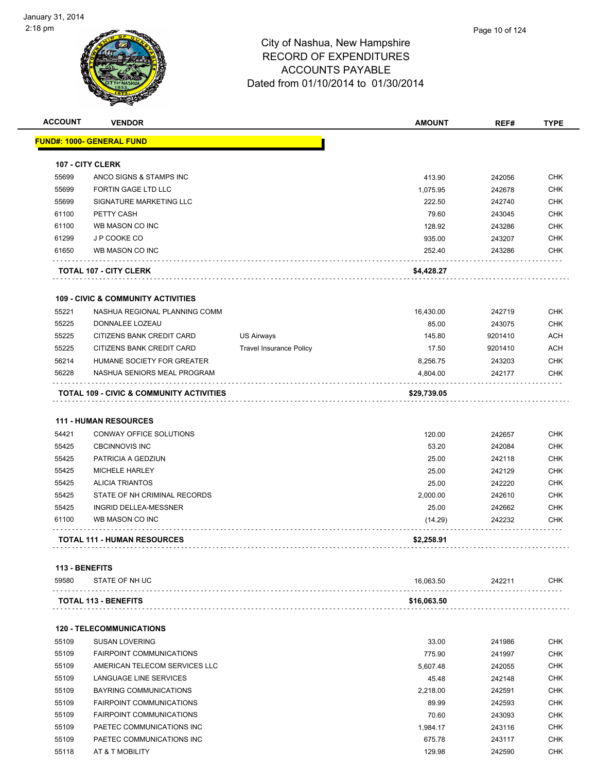| <b>ACCOUNT</b> | <b>VENDOR</b>                                       |                                | AMOUNT      | REF#    | <b>TYPE</b> |
|----------------|-----------------------------------------------------|--------------------------------|-------------|---------|-------------|
|                | <u> FUND#: 1000- GENERAL FUND</u>                   |                                |             |         |             |
|                | <b>107 - CITY CLERK</b>                             |                                |             |         |             |
| 55699          | ANCO SIGNS & STAMPS INC                             |                                | 413.90      | 242056  | <b>CHK</b>  |
| 55699          | FORTIN GAGE LTD LLC                                 |                                | 1,075.95    | 242678  | <b>CHK</b>  |
| 55699          | SIGNATURE MARKETING LLC                             |                                | 222.50      | 242740  | <b>CHK</b>  |
| 61100          | PETTY CASH                                          |                                | 79.60       | 243045  | <b>CHK</b>  |
| 61100          | WB MASON CO INC                                     |                                | 128.92      | 243286  | <b>CHK</b>  |
| 61299          | J P COOKE CO                                        |                                | 935.00      | 243207  | <b>CHK</b>  |
| 61650          | WB MASON CO INC                                     |                                | 252.40      | 243286  | <b>CHK</b>  |
|                | <b>TOTAL 107 - CITY CLERK</b>                       |                                | \$4,428.27  |         |             |
|                | <b>109 - CIVIC &amp; COMMUNITY ACTIVITIES</b>       |                                |             |         |             |
| 55221          | NASHUA REGIONAL PLANNING COMM                       |                                | 16,430.00   | 242719  | <b>CHK</b>  |
| 55225          | DONNALEE LOZEAU                                     |                                | 85.00       | 243075  | <b>CHK</b>  |
| 55225          | CITIZENS BANK CREDIT CARD                           | <b>US Airways</b>              | 145.80      | 9201410 | <b>ACH</b>  |
| 55225          | CITIZENS BANK CREDIT CARD                           | <b>Travel Insurance Policy</b> | 17.50       | 9201410 | <b>ACH</b>  |
| 56214          | HUMANE SOCIETY FOR GREATER                          |                                | 8,256.75    | 243203  | <b>CHK</b>  |
| 56228          | NASHUA SENIORS MEAL PROGRAM                         |                                | 4,804.00    | 242177  | <b>CHK</b>  |
|                | <b>TOTAL 109 - CIVIC &amp; COMMUNITY ACTIVITIES</b> |                                | \$29,739.05 |         |             |
|                | <b>111 - HUMAN RESOURCES</b>                        |                                |             |         |             |
| 54421          | CONWAY OFFICE SOLUTIONS                             |                                | 120.00      | 242657  | <b>CHK</b>  |
| 55425          | <b>CBCINNOVIS INC</b>                               |                                | 53.20       | 242084  | <b>CHK</b>  |
| 55425          | PATRICIA A GEDZIUN                                  |                                | 25.00       | 242118  | <b>CHK</b>  |
| 55425          | <b>MICHELE HARLEY</b>                               |                                | 25.00       | 242129  | <b>CHK</b>  |
| 55425          | <b>ALICIA TRIANTOS</b>                              |                                | 25.00       | 242220  | <b>CHK</b>  |
| 55425          | STATE OF NH CRIMINAL RECORDS                        |                                | 2,000.00    | 242610  | <b>CHK</b>  |
| 55425          | INGRID DELLEA-MESSNER                               |                                | 25.00       | 242662  | <b>CHK</b>  |
| 61100          | WB MASON CO INC                                     |                                | (14.29)     | 242232  | <b>CHK</b>  |
|                | <b>TOTAL 111 - HUMAN RESOURCES</b>                  |                                | \$2,258.91  |         |             |
| 113 - BENEFITS |                                                     |                                |             |         |             |
| 59580          | STATE OF NH UC                                      |                                | 16,063.50   | 242211  | <b>CHK</b>  |
|                | <b>TOTAL 113 - BENEFITS</b>                         |                                | \$16,063.50 |         |             |
|                | <b>120 - TELECOMMUNICATIONS</b>                     |                                |             |         |             |
| 55109          | <b>SUSAN LOVERING</b>                               |                                | 33.00       | 241986  | <b>CHK</b>  |
| 55109          | <b>FAIRPOINT COMMUNICATIONS</b>                     |                                | 775.90      | 241997  | <b>CHK</b>  |
| 55109          | AMERICAN TELECOM SERVICES LLC                       |                                | 5,607.48    | 242055  | <b>CHK</b>  |
| 55109          | LANGUAGE LINE SERVICES                              |                                | 45.48       | 242148  | <b>CHK</b>  |
| 55109          | <b>BAYRING COMMUNICATIONS</b>                       |                                | 2,218.00    | 242591  | <b>CHK</b>  |
| 55109          | FAIRPOINT COMMUNICATIONS                            |                                | 89.99       | 242593  | <b>CHK</b>  |

 55109 FAIRPOINT COMMUNICATIONS 70.60 243093 CHK 55109 PAETEC COMMUNICATIONS INC 1,984.17 243116 CHK

55109 PAETEC COMMUNICATIONS INC<br>
CHK 55118 AT & T MOBILITY 129.98 242590 CHK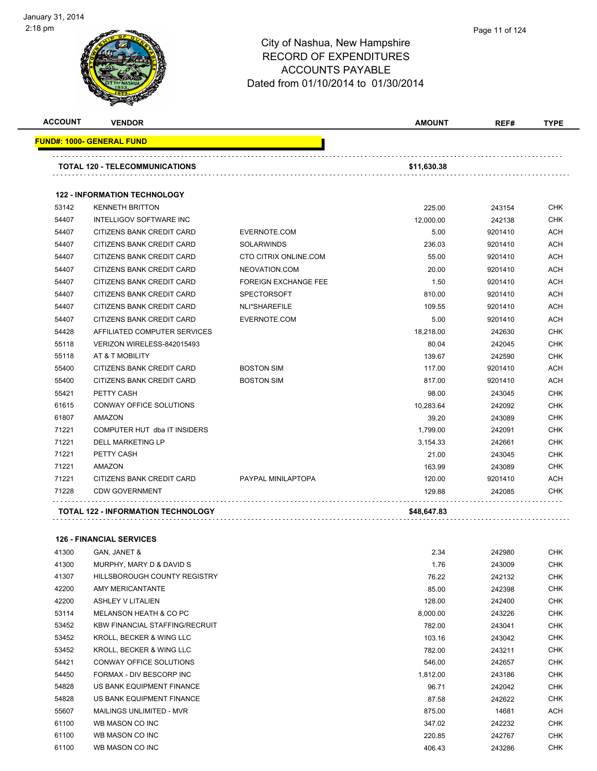| <b>ACCOUNT</b> | <b>VENDOR</b>                             |                             | <b>AMOUNT</b> | REF#    | <b>TYPE</b> |
|----------------|-------------------------------------------|-----------------------------|---------------|---------|-------------|
|                | <b>FUND#: 1000- GENERAL FUND</b>          |                             |               |         |             |
|                | <b>TOTAL 120 - TELECOMMUNICATIONS</b>     |                             | \$11,630.38   |         |             |
|                |                                           |                             |               |         |             |
|                | <b>122 - INFORMATION TECHNOLOGY</b>       |                             |               |         |             |
| 53142          | <b>KENNETH BRITTON</b>                    |                             | 225.00        | 243154  | <b>CHK</b>  |
| 54407          | INTELLIGOV SOFTWARE INC                   |                             | 12,000.00     | 242138  | <b>CHK</b>  |
| 54407          | CITIZENS BANK CREDIT CARD                 | EVERNOTE.COM                | 5.00          | 9201410 | <b>ACH</b>  |
| 54407          | CITIZENS BANK CREDIT CARD                 | <b>SOLARWINDS</b>           | 236.03        | 9201410 | <b>ACH</b>  |
| 54407          | CITIZENS BANK CREDIT CARD                 | CTO CITRIX ONLINE.COM       | 55.00         | 9201410 | <b>ACH</b>  |
| 54407          | CITIZENS BANK CREDIT CARD                 | NEOVATION.COM               | 20.00         | 9201410 | <b>ACH</b>  |
| 54407          | CITIZENS BANK CREDIT CARD                 | <b>FOREIGN EXCHANGE FEE</b> | 1.50          | 9201410 | <b>ACH</b>  |
| 54407          | CITIZENS BANK CREDIT CARD                 | <b>SPECTORSOFT</b>          | 810.00        | 9201410 | <b>ACH</b>  |
| 54407          | CITIZENS BANK CREDIT CARD                 | NLI*SHAREFILE               | 109.55        | 9201410 | <b>ACH</b>  |
| 54407          | CITIZENS BANK CREDIT CARD                 | EVERNOTE.COM                | 5.00          | 9201410 | <b>ACH</b>  |
| 54428          | AFFILIATED COMPUTER SERVICES              |                             | 18,218.00     | 242630  | <b>CHK</b>  |
| 55118          | VERIZON WIRELESS-842015493                |                             | 80.04         | 242045  | <b>CHK</b>  |
| 55118          | AT & T MOBILITY                           |                             | 139.67        | 242590  | <b>CHK</b>  |
| 55400          | CITIZENS BANK CREDIT CARD                 | <b>BOSTON SIM</b>           | 117.00        | 9201410 | <b>ACH</b>  |
| 55400          | CITIZENS BANK CREDIT CARD                 | <b>BOSTON SIM</b>           | 817.00        | 9201410 | <b>ACH</b>  |
| 55421          | PETTY CASH                                |                             | 98.00         | 243045  | <b>CHK</b>  |
| 61615          | CONWAY OFFICE SOLUTIONS                   |                             | 10,283.64     | 242092  | <b>CHK</b>  |
| 61807          | AMAZON                                    |                             | 39.20         | 243089  | <b>CHK</b>  |
| 71221          | COMPUTER HUT dba IT INSIDERS              |                             | 1,799.00      | 242091  | <b>CHK</b>  |
| 71221          | <b>DELL MARKETING LP</b>                  |                             | 3,154.33      | 242661  | <b>CHK</b>  |
| 71221          | PETTY CASH                                |                             | 21.00         | 243045  | <b>CHK</b>  |
| 71221          | <b>AMAZON</b>                             |                             | 163.99        | 243089  | <b>CHK</b>  |
| 71221          | CITIZENS BANK CREDIT CARD                 | PAYPAL MINILAPTOPA          | 120.00        | 9201410 | <b>ACH</b>  |
| 71228          | <b>CDW GOVERNMENT</b>                     |                             | 129.88        | 242085  | <b>CHK</b>  |
|                | <b>TOTAL 122 - INFORMATION TECHNOLOGY</b> |                             | \$48,647.83   |         |             |

**126 - FINANCIAL SERVICES**

| 41300 | GAN. JANET &                          | 2.34     | 242980 | <b>CHK</b> |
|-------|---------------------------------------|----------|--------|------------|
| 41300 | MURPHY, MARY D & DAVID S              | 1.76     | 243009 | <b>CHK</b> |
| 41307 | <b>HILLSBOROUGH COUNTY REGISTRY</b>   | 76.22    | 242132 | <b>CHK</b> |
| 42200 | AMY MERICANTANTE                      | 85.00    | 242398 | CHK        |
| 42200 | ASHLEY V LITALIEN                     | 128.00   | 242400 | <b>CHK</b> |
| 53114 | MELANSON HEATH & CO PC                | 8,000.00 | 243226 | <b>CHK</b> |
| 53452 | <b>KBW FINANCIAL STAFFING/RECRUIT</b> | 782.00   | 243041 | <b>CHK</b> |
| 53452 | KROLL, BECKER & WING LLC              | 103.16   | 243042 | CHK        |
| 53452 | KROLL, BECKER & WING LLC              | 782.00   | 243211 | <b>CHK</b> |
| 54421 | CONWAY OFFICE SOLUTIONS               | 546.00   | 242657 | <b>CHK</b> |
| 54450 | FORMAX - DIV BESCORP INC              | 1,812.00 | 243186 | <b>CHK</b> |
| 54828 | US BANK EQUIPMENT FINANCE             | 96.71    | 242042 | CHK        |
| 54828 | US BANK EQUIPMENT FINANCE             | 87.58    | 242622 | <b>CHK</b> |
| 55607 | <b>MAILINGS UNLIMITED - MVR</b>       | 875.00   | 14681  | ACH        |
| 61100 | WB MASON CO INC                       | 347.02   | 242232 | <b>CHK</b> |
| 61100 | WB MASON CO INC                       | 220.85   | 242767 | CHK        |
| 61100 | WB MASON CO INC                       | 406.43   | 243286 | CHK        |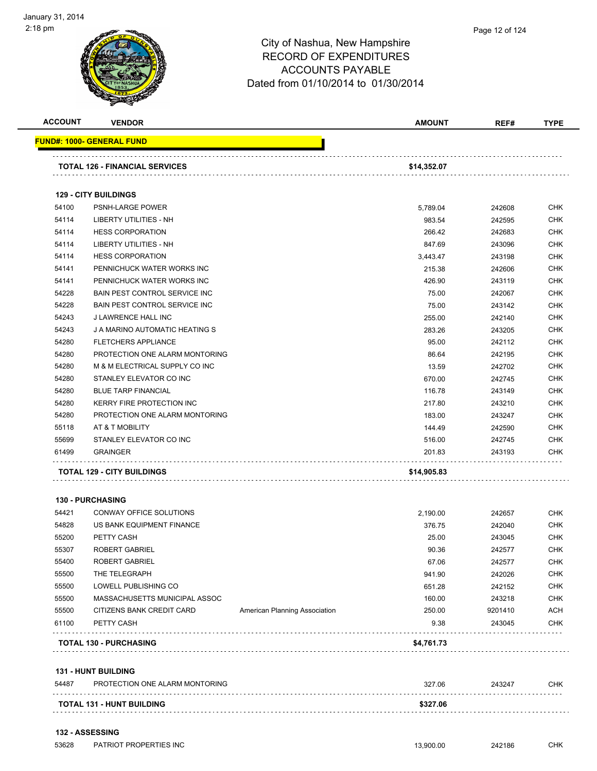| <b>ACCOUNT</b> | <b>VENDOR</b>                         |                               | <b>AMOUNT</b> | REF#    | <b>TYPE</b> |
|----------------|---------------------------------------|-------------------------------|---------------|---------|-------------|
|                | <u> FUND#: 1000- GENERAL FUND</u>     |                               |               |         |             |
|                | TOTAL 126 - FINANCIAL SERVICES        |                               | \$14,352.07   |         |             |
|                |                                       |                               |               |         |             |
|                | <b>129 - CITY BUILDINGS</b>           |                               |               |         |             |
| 54100          | <b>PSNH-LARGE POWER</b>               |                               | 5,789.04      | 242608  | <b>CHK</b>  |
| 54114          | LIBERTY UTILITIES - NH                |                               | 983.54        | 242595  | <b>CHK</b>  |
| 54114          | <b>HESS CORPORATION</b>               |                               | 266.42        | 242683  | <b>CHK</b>  |
| 54114          | <b>LIBERTY UTILITIES - NH</b>         |                               | 847.69        | 243096  | <b>CHK</b>  |
| 54114          | <b>HESS CORPORATION</b>               |                               | 3,443.47      | 243198  | <b>CHK</b>  |
| 54141          | PENNICHUCK WATER WORKS INC            |                               | 215.38        | 242606  | <b>CHK</b>  |
| 54141          | PENNICHUCK WATER WORKS INC            |                               | 426.90        | 243119  | <b>CHK</b>  |
| 54228          | <b>BAIN PEST CONTROL SERVICE INC</b>  |                               | 75.00         | 242067  | <b>CHK</b>  |
| 54228          | <b>BAIN PEST CONTROL SERVICE INC.</b> |                               | 75.00         | 243142  | <b>CHK</b>  |
| 54243          | J LAWRENCE HALL INC                   |                               | 255.00        | 242140  | <b>CHK</b>  |
| 54243          | J A MARINO AUTOMATIC HEATING S        |                               | 283.26        | 243205  | <b>CHK</b>  |
| 54280          | <b>FLETCHERS APPLIANCE</b>            |                               | 95.00         | 242112  | <b>CHK</b>  |
| 54280          | PROTECTION ONE ALARM MONTORING        |                               | 86.64         | 242195  | <b>CHK</b>  |
| 54280          | M & M ELECTRICAL SUPPLY CO INC        |                               | 13.59         | 242702  | <b>CHK</b>  |
| 54280          | STANLEY ELEVATOR CO INC               |                               | 670.00        | 242745  | <b>CHK</b>  |
| 54280          | <b>BLUE TARP FINANCIAL</b>            |                               | 116.78        | 243149  | <b>CHK</b>  |
| 54280          | <b>KERRY FIRE PROTECTION INC</b>      |                               | 217.80        | 243210  | <b>CHK</b>  |
| 54280          | PROTECTION ONE ALARM MONTORING        |                               | 183.00        | 243247  | CHK         |
| 55118          | AT & T MOBILITY                       |                               | 144.49        | 242590  | CHK         |
| 55699          | STANLEY ELEVATOR CO INC               |                               | 516.00        | 242745  | <b>CHK</b>  |
| 61499          | <b>GRAINGER</b>                       |                               | 201.83        | 243193  | <b>CHK</b>  |
|                | <b>TOTAL 129 - CITY BUILDINGS</b>     |                               | \$14,905.83   |         |             |
|                | <b>130 - PURCHASING</b>               |                               |               |         |             |
| 54421          | CONWAY OFFICE SOLUTIONS               |                               | 2,190.00      | 242657  | <b>CHK</b>  |
| 54828          | US BANK EQUIPMENT FINANCE             |                               | 376.75        | 242040  | <b>CHK</b>  |
| 55200          | PETTY CASH                            |                               | 25.00         | 243045  | CHK         |
| 55307          | ROBERT GABRIEL                        |                               | 90.36         | 242577  | CHK         |
| 55400          | ROBERT GABRIEL                        |                               | 67.06         | 242577  | <b>CHK</b>  |
| 55500          | THE TELEGRAPH                         |                               | 941.90        | 242026  | <b>CHK</b>  |
| 55500          | LOWELL PUBLISHING CO                  |                               | 651.28        | 242152  | <b>CHK</b>  |
| 55500          | MASSACHUSETTS MUNICIPAL ASSOC         |                               | 160.00        | 243218  | <b>CHK</b>  |
| 55500          | CITIZENS BANK CREDIT CARD             | American Planning Association | 250.00        | 9201410 | <b>ACH</b>  |
| 61100          | PETTY CASH                            |                               | 9.38          | 243045  | <b>CHK</b>  |
|                | <b>TOTAL 130 - PURCHASING</b>         |                               | \$4,761.73    |         |             |
|                |                                       |                               |               |         |             |
|                | <b>131 - HUNT BUILDING</b>            |                               |               |         |             |
| 54487          | PROTECTION ONE ALARM MONTORING        |                               | 327.06        | 243247  | CHK         |
|                | TOTAL 131 - HUNT BUILDING             |                               | \$327.06      |         |             |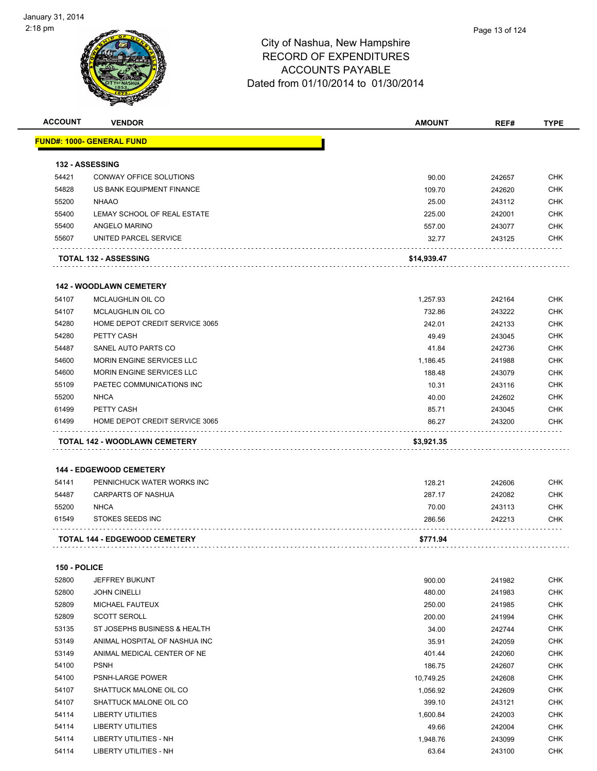

| <b>ACCOUNT</b> | <b>VENDOR</b>                        | AMOUNT      | REF#   | <b>TYPE</b> |
|----------------|--------------------------------------|-------------|--------|-------------|
|                | <u> FUND#: 1000- GENERAL FUND</u>    |             |        |             |
|                | 132 - ASSESSING                      |             |        |             |
| 54421          | <b>CONWAY OFFICE SOLUTIONS</b>       | 90.00       | 242657 | <b>CHK</b>  |
| 54828          | US BANK EQUIPMENT FINANCE            | 109.70      | 242620 | <b>CHK</b>  |
| 55200          | <b>NHAAO</b>                         | 25.00       | 243112 | <b>CHK</b>  |
| 55400          | LEMAY SCHOOL OF REAL ESTATE          | 225.00      | 242001 | <b>CHK</b>  |
| 55400          | ANGELO MARINO                        | 557.00      | 243077 | <b>CHK</b>  |
| 55607          | UNITED PARCEL SERVICE                | 32.77       | 243125 | <b>CHK</b>  |
|                | <b>TOTAL 132 - ASSESSING</b>         | \$14,939.47 |        |             |
|                |                                      |             |        |             |
|                | <b>142 - WOODLAWN CEMETERY</b>       |             |        |             |
| 54107          | MCLAUGHLIN OIL CO                    | 1,257.93    | 242164 | <b>CHK</b>  |
| 54107          | MCLAUGHLIN OIL CO                    | 732.86      | 243222 | <b>CHK</b>  |
| 54280          | HOME DEPOT CREDIT SERVICE 3065       | 242.01      | 242133 | <b>CHK</b>  |
| 54280          | PETTY CASH                           | 49.49       | 243045 | <b>CHK</b>  |
| 54487          | SANEL AUTO PARTS CO                  | 41.84       | 242736 | <b>CHK</b>  |
| 54600          | MORIN ENGINE SERVICES LLC            | 1,186.45    | 241988 | <b>CHK</b>  |
| 54600          | MORIN ENGINE SERVICES LLC            | 188.48      | 243079 | <b>CHK</b>  |
| 55109          | PAETEC COMMUNICATIONS INC            | 10.31       | 243116 | <b>CHK</b>  |
| 55200          | <b>NHCA</b>                          | 40.00       | 242602 | <b>CHK</b>  |
| 61499          | PETTY CASH                           | 85.71       | 243045 | <b>CHK</b>  |
| 61499          | HOME DEPOT CREDIT SERVICE 3065       | 86.27       | 243200 | <b>CHK</b>  |
|                | <b>144 - EDGEWOOD CEMETERY</b>       |             |        |             |
| 54141          | PENNICHUCK WATER WORKS INC           | 128.21      | 242606 | <b>CHK</b>  |
| 54487          | <b>CARPARTS OF NASHUA</b>            | 287.17      | 242082 | <b>CHK</b>  |
| 55200          | <b>NHCA</b>                          | 70.00       | 243113 | <b>CHK</b>  |
| 61549          | <b>STOKES SEEDS INC</b>              | 286.56      | 242213 | <b>CHK</b>  |
|                | <b>TOTAL 144 - EDGEWOOD CEMETERY</b> | \$771.94    |        |             |
| 150 - POLICE   |                                      |             |        |             |
| 52800          | JEFFREY BUKUNT                       | 900.00      | 241982 | <b>CHK</b>  |
| 52800          | <b>JOHN CINELLI</b>                  | 480.00      | 241983 | <b>CHK</b>  |
| 52809          | MICHAEL FAUTEUX                      | 250.00      | 241985 | CHK         |
| 52809          | <b>SCOTT SEROLL</b>                  | 200.00      | 241994 | <b>CHK</b>  |
| 53135          | ST JOSEPHS BUSINESS & HEALTH         | 34.00       | 242744 | <b>CHK</b>  |
| 53149          | ANIMAL HOSPITAL OF NASHUA INC        | 35.91       | 242059 | <b>CHK</b>  |
| 53149          | ANIMAL MEDICAL CENTER OF NE          | 401.44      | 242060 | <b>CHK</b>  |
| 54100          | <b>PSNH</b>                          | 186.75      | 242607 | CHK         |
| 54100          | PSNH-LARGE POWER                     | 10,749.25   | 242608 | <b>CHK</b>  |
| 54107          | SHATTUCK MALONE OIL CO               | 1,056.92    | 242609 | <b>CHK</b>  |
| 54107          | SHATTUCK MALONE OIL CO               | 399.10      | 243121 | <b>CHK</b>  |
| 54114          | LIBERTY UTILITIES                    | 1,600.84    | 242003 | <b>CHK</b>  |
|                |                                      |             |        | <b>CHK</b>  |
| 54114          | LIBERTY UTILITIES                    | 49.66       | 242004 |             |
| 54114          | LIBERTY UTILITIES - NH               | 1,948.76    | 243099 | CHK         |
| 54114          | LIBERTY UTILITIES - NH               | 63.64       | 243100 | <b>CHK</b>  |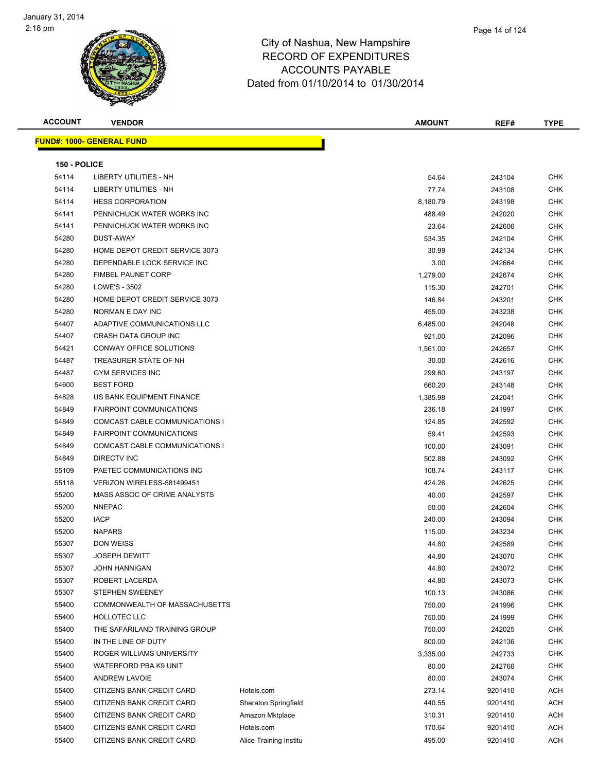| <b>ACCOUNT</b> | <b>VENDOR</b>                     |                        | AMOUNT   | REF#    | <b>TYPE</b> |
|----------------|-----------------------------------|------------------------|----------|---------|-------------|
|                | <u> FUND#: 1000- GENERAL FUND</u> |                        |          |         |             |
|                |                                   |                        |          |         |             |
| 150 - POLICE   |                                   |                        |          |         |             |
| 54114          | LIBERTY UTILITIES - NH            |                        | 54.64    | 243104  | CHK         |
| 54114          | LIBERTY UTILITIES - NH            |                        | 77.74    | 243108  | CHK         |
| 54114          | <b>HESS CORPORATION</b>           |                        | 8,180.79 | 243198  | CHK         |
| 54141          | PENNICHUCK WATER WORKS INC        |                        | 488.49   | 242020  | CHK         |
| 54141          | PENNICHUCK WATER WORKS INC        |                        | 23.64    | 242606  | CHK         |
| 54280          | DUST-AWAY                         |                        | 534.35   | 242104  | CHK         |
| 54280          | HOME DEPOT CREDIT SERVICE 3073    |                        | 30.99    | 242134  | CHK         |
| 54280          | DEPENDABLE LOCK SERVICE INC       |                        | 3.00     | 242664  | CHK         |
| 54280          | <b>FIMBEL PAUNET CORP</b>         |                        | 1,279.00 | 242674  | CHK         |
| 54280          | LOWE'S - 3502                     |                        | 115.30   | 242701  | CHK         |
| 54280          | HOME DEPOT CREDIT SERVICE 3073    |                        | 146.84   | 243201  | CHK         |
| 54280          | NORMAN E DAY INC                  |                        | 455.00   | 243238  | CHK         |
| 54407          | ADAPTIVE COMMUNICATIONS LLC       |                        | 6,485.00 | 242048  | CHK         |
| 54407          | <b>CRASH DATA GROUP INC</b>       |                        | 921.00   | 242096  | CHK         |
| 54421          | CONWAY OFFICE SOLUTIONS           |                        | 1,561.00 | 242657  | CHK         |
| 54487          | TREASURER STATE OF NH             |                        | 30.00    | 242616  | CHK         |
| 54487          | <b>GYM SERVICES INC</b>           |                        | 299.60   | 243197  | CHK         |
| 54600          | <b>BEST FORD</b>                  |                        | 660.20   | 243148  | CHK         |
| 54828          | US BANK EQUIPMENT FINANCE         |                        | 1,385.98 | 242041  | CHK         |
| 54849          | <b>FAIRPOINT COMMUNICATIONS</b>   |                        | 236.18   | 241997  | CHK         |
| 54849          | COMCAST CABLE COMMUNICATIONS I    |                        | 124.85   | 242592  | CHK         |
| 54849          | <b>FAIRPOINT COMMUNICATIONS</b>   |                        | 59.41    | 242593  | <b>CHK</b>  |
| 54849          | COMCAST CABLE COMMUNICATIONS I    |                        | 100.00   | 243091  | CHK         |
| 54849          | DIRECTV INC                       |                        | 502.88   | 243092  | <b>CHK</b>  |
| 55109          | PAETEC COMMUNICATIONS INC         |                        | 108.74   | 243117  | <b>CHK</b>  |
| 55118          | VERIZON WIRELESS-581499451        |                        | 424.26   | 242625  | CHK         |
| 55200          | MASS ASSOC OF CRIME ANALYSTS      |                        | 40.00    | 242597  | CHK         |
| 55200          | <b>NNEPAC</b>                     |                        | 50.00    | 242604  | CHK         |
| 55200          | <b>IACP</b>                       |                        | 240.00   | 243094  | CHK         |
| 55200          | <b>NAPARS</b>                     |                        | 115.00   | 243234  | CHK         |
| 55307          | <b>DON WEISS</b>                  |                        | 44.80    | 242589  | CHK         |
| 55307          | <b>JOSEPH DEWITT</b>              |                        | 44.80    | 243070  | CHK         |
| 55307          | <b>JOHN HANNIGAN</b>              |                        | 44.80    | 243072  | <b>CHK</b>  |
| 55307          | ROBERT LACERDA                    |                        | 44.80    | 243073  | <b>CHK</b>  |
| 55307          | STEPHEN SWEENEY                   |                        | 100.13   | 243086  | <b>CHK</b>  |
| 55400          | COMMONWEALTH OF MASSACHUSETTS     |                        | 750.00   | 241996  | <b>CHK</b>  |
| 55400          | HOLLOTEC LLC                      |                        | 750.00   | 241999  | <b>CHK</b>  |
| 55400          | THE SAFARILAND TRAINING GROUP     |                        | 750.00   | 242025  | <b>CHK</b>  |
| 55400          | IN THE LINE OF DUTY               |                        | 800.00   | 242136  | <b>CHK</b>  |
| 55400          | ROGER WILLIAMS UNIVERSITY         |                        | 3,335.00 | 242733  | <b>CHK</b>  |
| 55400          | WATERFORD PBA K9 UNIT             |                        | 80.00    | 242766  | <b>CHK</b>  |
| 55400          | <b>ANDREW LAVOIE</b>              |                        | 80.00    | 243074  | <b>CHK</b>  |
| 55400          | CITIZENS BANK CREDIT CARD         | Hotels.com             | 273.14   | 9201410 | ACH         |
| 55400          | CITIZENS BANK CREDIT CARD         | Sheraton Springfield   | 440.55   | 9201410 | ACH         |
| 55400          | CITIZENS BANK CREDIT CARD         | Amazon Mktplace        | 310.31   | 9201410 | ACH         |
| 55400          | CITIZENS BANK CREDIT CARD         | Hotels.com             | 170.64   | 9201410 | ACH         |
| 55400          | CITIZENS BANK CREDIT CARD         | Alice Training Institu | 495.00   | 9201410 | ACH         |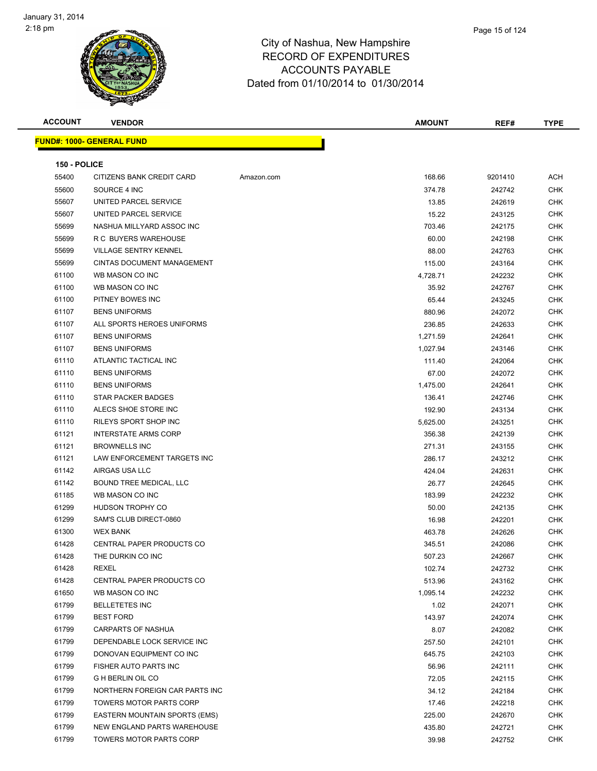

| <b>ACCOUNT</b> | <b>VENDOR</b>                        |            | <b>AMOUNT</b> | REF#    | <b>TYPE</b> |
|----------------|--------------------------------------|------------|---------------|---------|-------------|
|                | <b>FUND#: 1000- GENERAL FUND</b>     |            |               |         |             |
| 150 - POLICE   |                                      |            |               |         |             |
| 55400          | <b>CITIZENS BANK CREDIT CARD</b>     | Amazon.com | 168.66        | 9201410 | <b>ACH</b>  |
| 55600          | SOURCE 4 INC                         |            | 374.78        | 242742  | <b>CHK</b>  |
| 55607          | UNITED PARCEL SERVICE                |            | 13.85         | 242619  | <b>CHK</b>  |
| 55607          | UNITED PARCEL SERVICE                |            | 15.22         | 243125  | <b>CHK</b>  |
| 55699          | NASHUA MILLYARD ASSOC INC            |            | 703.46        | 242175  | <b>CHK</b>  |
| 55699          | R C BUYERS WAREHOUSE                 |            | 60.00         | 242198  | <b>CHK</b>  |
| 55699          | <b>VILLAGE SENTRY KENNEL</b>         |            | 88.00         | 242763  | <b>CHK</b>  |
| 55699          | <b>CINTAS DOCUMENT MANAGEMENT</b>    |            | 115.00        | 243164  | <b>CHK</b>  |
| 61100          | WB MASON CO INC                      |            | 4,728.71      | 242232  | <b>CHK</b>  |
| 61100          | WB MASON CO INC                      |            | 35.92         | 242767  | <b>CHK</b>  |
| 61100          | PITNEY BOWES INC                     |            | 65.44         | 243245  | <b>CHK</b>  |
| 61107          | <b>BENS UNIFORMS</b>                 |            | 880.96        | 242072  | <b>CHK</b>  |
| 61107          | ALL SPORTS HEROES UNIFORMS           |            | 236.85        | 242633  | <b>CHK</b>  |
| 61107          | <b>BENS UNIFORMS</b>                 |            | 1,271.59      | 242641  | <b>CHK</b>  |
| 61107          | <b>BENS UNIFORMS</b>                 |            | 1,027.94      | 243146  | <b>CHK</b>  |
| 61110          | ATLANTIC TACTICAL INC                |            | 111.40        | 242064  | <b>CHK</b>  |
| 61110          | <b>BENS UNIFORMS</b>                 |            | 67.00         | 242072  | <b>CHK</b>  |
| 61110          | <b>BENS UNIFORMS</b>                 |            | 1,475.00      | 242641  | <b>CHK</b>  |
| 61110          | <b>STAR PACKER BADGES</b>            |            | 136.41        | 242746  | <b>CHK</b>  |
| 61110          | ALECS SHOE STORE INC                 |            | 192.90        | 243134  | <b>CHK</b>  |
| 61110          | RILEYS SPORT SHOP INC                |            | 5,625.00      | 243251  | <b>CHK</b>  |
| 61121          | <b>INTERSTATE ARMS CORP</b>          |            | 356.38        | 242139  | <b>CHK</b>  |
| 61121          | <b>BROWNELLS INC</b>                 |            | 271.31        | 243155  | <b>CHK</b>  |
| 61121          | LAW ENFORCEMENT TARGETS INC          |            | 286.17        | 243212  | <b>CHK</b>  |
| 61142          | AIRGAS USA LLC                       |            | 424.04        | 242631  | <b>CHK</b>  |
| 61142          | BOUND TREE MEDICAL, LLC              |            | 26.77         | 242645  | <b>CHK</b>  |
| 61185          | WB MASON CO INC                      |            | 183.99        | 242232  | <b>CHK</b>  |
| 61299          | HUDSON TROPHY CO                     |            | 50.00         | 242135  | <b>CHK</b>  |
| 61299          | SAM'S CLUB DIRECT-0860               |            | 16.98         | 242201  | <b>CHK</b>  |
| 61300          | <b>WEX BANK</b>                      |            | 463.78        | 242626  | <b>CHK</b>  |
| 61428          | <b>CENTRAL PAPER PRODUCTS CO</b>     |            | 345.51        | 242086  | <b>CHK</b>  |
| 61428          | THE DURKIN CO INC                    |            | 507.23        | 242667  | <b>CHK</b>  |
| 61428          | REXEL                                |            | 102.74        | 242732  | CHK         |
| 61428          | CENTRAL PAPER PRODUCTS CO            |            | 513.96        | 243162  | <b>CHK</b>  |
| 61650          | WB MASON CO INC                      |            | 1,095.14      | 242232  | <b>CHK</b>  |
| 61799          | <b>BELLETETES INC</b>                |            | 1.02          | 242071  | <b>CHK</b>  |
| 61799          | <b>BEST FORD</b>                     |            | 143.97        | 242074  | <b>CHK</b>  |
| 61799          | CARPARTS OF NASHUA                   |            | 8.07          | 242082  | <b>CHK</b>  |
| 61799          | DEPENDABLE LOCK SERVICE INC          |            | 257.50        | 242101  | <b>CHK</b>  |
| 61799          | DONOVAN EQUIPMENT CO INC             |            | 645.75        | 242103  | <b>CHK</b>  |
| 61799          | FISHER AUTO PARTS INC                |            | 56.96         | 242111  | <b>CHK</b>  |
| 61799          | G H BERLIN OIL CO                    |            | 72.05         | 242115  | <b>CHK</b>  |
| 61799          | NORTHERN FOREIGN CAR PARTS INC       |            | 34.12         | 242184  | <b>CHK</b>  |
| 61799          | TOWERS MOTOR PARTS CORP              |            | 17.46         | 242218  | <b>CHK</b>  |
| 61799          | <b>EASTERN MOUNTAIN SPORTS (EMS)</b> |            | 225.00        | 242670  | <b>CHK</b>  |
| 61799          | NEW ENGLAND PARTS WAREHOUSE          |            | 435.80        | 242721  | <b>CHK</b>  |
| 61799          | TOWERS MOTOR PARTS CORP              |            | 39.98         | 242752  | <b>CHK</b>  |
|                |                                      |            |               |         |             |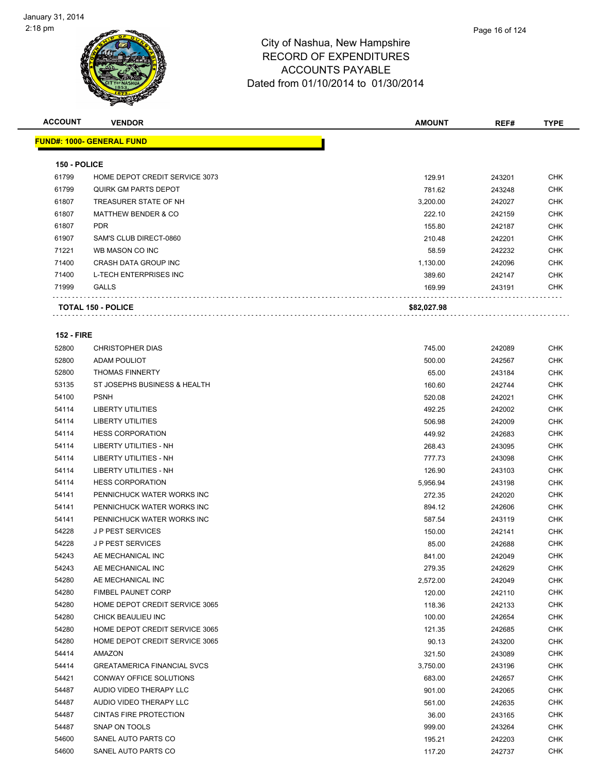| <b>ACCOUNT</b>    | <b>VENDOR</b>                             | <b>AMOUNT</b>    | REF#             | <b>TYPE</b>       |
|-------------------|-------------------------------------------|------------------|------------------|-------------------|
|                   | <u> FUND#: 1000- GENERAL FUND</u>         |                  |                  |                   |
| 150 - POLICE      |                                           |                  |                  |                   |
| 61799             | HOME DEPOT CREDIT SERVICE 3073            | 129.91           | 243201           | CHK               |
| 61799             | <b>QUIRK GM PARTS DEPOT</b>               | 781.62           | 243248           | <b>CHK</b>        |
| 61807             | TREASURER STATE OF NH                     | 3,200.00         | 242027           | CHK               |
| 61807             | <b>MATTHEW BENDER &amp; CO</b>            | 222.10           | 242159           | CHK               |
| 61807             | <b>PDR</b>                                | 155.80           |                  | <b>CHK</b>        |
|                   |                                           |                  | 242187           |                   |
| 61907<br>71221    | SAM'S CLUB DIRECT-0860<br>WB MASON CO INC | 210.48           | 242201           | CHK               |
|                   |                                           | 58.59            | 242232           | <b>CHK</b>        |
| 71400             | CRASH DATA GROUP INC                      | 1,130.00         | 242096           | CHK               |
| 71400<br>71999    | L-TECH ENTERPRISES INC<br><b>GALLS</b>    | 389.60<br>169.99 | 242147<br>243191 | CHK<br><b>CHK</b> |
|                   |                                           |                  |                  |                   |
|                   | <b>TOTAL 150 - POLICE</b>                 | \$82,027.98      |                  |                   |
| <b>152 - FIRE</b> |                                           |                  |                  |                   |
| 52800             | <b>CHRISTOPHER DIAS</b>                   | 745.00           |                  | <b>CHK</b>        |
| 52800             | <b>ADAM POULIOT</b>                       | 500.00           | 242089           | <b>CHK</b>        |
|                   | <b>THOMAS FINNERTY</b>                    |                  | 242567           | CHK               |
| 52800<br>53135    | ST JOSEPHS BUSINESS & HEALTH              | 65.00            | 243184           | CHK               |
|                   |                                           | 160.60           | 242744           |                   |
| 54100             | <b>PSNH</b>                               | 520.08           | 242021           | <b>CHK</b>        |
| 54114             | <b>LIBERTY UTILITIES</b>                  | 492.25           | 242002           | CHK               |
| 54114             | <b>LIBERTY UTILITIES</b>                  | 506.98           | 242009           | CHK               |
| 54114             | <b>HESS CORPORATION</b>                   | 449.92           | 242683           | CHK               |
| 54114             | LIBERTY UTILITIES - NH                    | 268.43           | 243095           | CHK               |
| 54114             | <b>LIBERTY UTILITIES - NH</b>             | 777.73           | 243098           | <b>CHK</b>        |
| 54114             | LIBERTY UTILITIES - NH                    | 126.90           | 243103           | CHK               |
| 54114             | <b>HESS CORPORATION</b>                   | 5,956.94         | 243198           | CHK               |
| 54141             | PENNICHUCK WATER WORKS INC                | 272.35           | 242020           | CHK               |
| 54141             | PENNICHUCK WATER WORKS INC                | 894.12           | 242606           | CHK               |
| 54141             | PENNICHUCK WATER WORKS INC                | 587.54           | 243119           | <b>CHK</b>        |
| 54228             | <b>JP PEST SERVICES</b>                   | 150.00           | 242141           | CHK               |
| 54228             | <b>JP PEST SERVICES</b>                   | 85.00            | 242688           | <b>CHK</b>        |
| 54243             | AE MECHANICAL INC                         | 841.00           | 242049           | <b>CHK</b>        |
| 54243             | AE MECHANICAL INC                         | 279.35           | 242629           | CHK               |
| 54280             | AE MECHANICAL INC                         | 2,572.00         | 242049           | CHK               |
| 54280             | <b>FIMBEL PAUNET CORP</b>                 | 120.00           | 242110           | <b>CHK</b>        |
| 54280             | HOME DEPOT CREDIT SERVICE 3065            | 118.36           | 242133           | CHK               |
| 54280             | CHICK BEAULIEU INC                        | 100.00           | 242654           | <b>CHK</b>        |
| 54280             | HOME DEPOT CREDIT SERVICE 3065            | 121.35           | 242685           | <b>CHK</b>        |
| 54280             | HOME DEPOT CREDIT SERVICE 3065            | 90.13            | 243200           | CHK               |
| 54414             | AMAZON                                    | 321.50           | 243089           | <b>CHK</b>        |
| 54414             | <b>GREATAMERICA FINANCIAL SVCS</b>        | 3,750.00         | 243196           | <b>CHK</b>        |
| 54421             | CONWAY OFFICE SOLUTIONS                   | 683.00           | 242657           | <b>CHK</b>        |
| 54487             | AUDIO VIDEO THERAPY LLC                   | 901.00           | 242065           | <b>CHK</b>        |
| 54487             | AUDIO VIDEO THERAPY LLC                   | 561.00           | 242635           | CHK               |
| 54487             | <b>CINTAS FIRE PROTECTION</b>             | 36.00            | 243165           | CHK               |
| 54487             | SNAP ON TOOLS                             | 999.00           | 243264           | <b>CHK</b>        |
| 54600             | SANEL AUTO PARTS CO                       | 195.21           | 242203           | <b>CHK</b>        |
| 54600             | SANEL AUTO PARTS CO                       | 117.20           | 242737           | <b>CHK</b>        |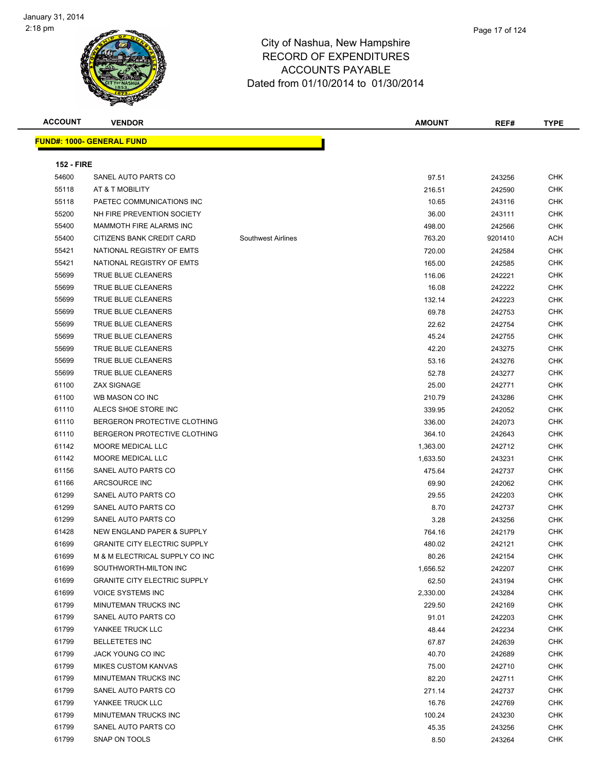

**ACCOUNT VENDOR AMOUNT REF# TYPE FUND#: 1000- GENERAL FUND** Т **152 - FIRE**

| 54600 | SANEL AUTO PARTS CO                 |                           | 97.51    | 243256  | <b>CHK</b> |
|-------|-------------------------------------|---------------------------|----------|---------|------------|
| 55118 | AT & T MOBILITY                     |                           | 216.51   | 242590  | <b>CHK</b> |
| 55118 | PAETEC COMMUNICATIONS INC           |                           | 10.65    | 243116  | <b>CHK</b> |
| 55200 | NH FIRE PREVENTION SOCIETY          |                           | 36.00    | 243111  | <b>CHK</b> |
| 55400 | MAMMOTH FIRE ALARMS INC             |                           | 498.00   | 242566  | <b>CHK</b> |
| 55400 | CITIZENS BANK CREDIT CARD           | <b>Southwest Airlines</b> | 763.20   | 9201410 | ACH        |
| 55421 | NATIONAL REGISTRY OF EMTS           |                           | 720.00   | 242584  | <b>CHK</b> |
| 55421 | NATIONAL REGISTRY OF EMTS           |                           | 165.00   | 242585  | <b>CHK</b> |
| 55699 | TRUE BLUE CLEANERS                  |                           | 116.06   | 242221  | <b>CHK</b> |
| 55699 | TRUE BLUE CLEANERS                  |                           | 16.08    | 242222  | <b>CHK</b> |
| 55699 | TRUE BLUE CLEANERS                  |                           | 132.14   | 242223  | <b>CHK</b> |
| 55699 | TRUE BLUE CLEANERS                  |                           | 69.78    | 242753  | <b>CHK</b> |
| 55699 | TRUE BLUE CLEANERS                  |                           | 22.62    | 242754  | <b>CHK</b> |
| 55699 | TRUE BLUE CLEANERS                  |                           |          |         |            |
|       |                                     |                           | 45.24    | 242755  | <b>CHK</b> |
| 55699 | TRUE BLUE CLEANERS                  |                           | 42.20    | 243275  | <b>CHK</b> |
| 55699 | TRUE BLUE CLEANERS                  |                           | 53.16    | 243276  | <b>CHK</b> |
| 55699 | TRUE BLUE CLEANERS                  |                           | 52.78    | 243277  | <b>CHK</b> |
| 61100 | ZAX SIGNAGE                         |                           | 25.00    | 242771  | <b>CHK</b> |
| 61100 | WB MASON CO INC                     |                           | 210.79   | 243286  | <b>CHK</b> |
| 61110 | ALECS SHOE STORE INC                |                           | 339.95   | 242052  | <b>CHK</b> |
| 61110 | BERGERON PROTECTIVE CLOTHING        |                           | 336.00   | 242073  | <b>CHK</b> |
| 61110 | BERGERON PROTECTIVE CLOTHING        |                           | 364.10   | 242643  | <b>CHK</b> |
| 61142 | MOORE MEDICAL LLC                   |                           | 1,363.00 | 242712  | <b>CHK</b> |
| 61142 | MOORE MEDICAL LLC                   |                           | 1,633.50 | 243231  | <b>CHK</b> |
| 61156 | SANEL AUTO PARTS CO                 |                           | 475.64   | 242737  | <b>CHK</b> |
| 61166 | ARCSOURCE INC                       |                           | 69.90    | 242062  | <b>CHK</b> |
| 61299 | SANEL AUTO PARTS CO                 |                           | 29.55    | 242203  | <b>CHK</b> |
| 61299 | SANEL AUTO PARTS CO                 |                           | 8.70     | 242737  | <b>CHK</b> |
| 61299 | SANEL AUTO PARTS CO                 |                           | 3.28     | 243256  | <b>CHK</b> |
| 61428 | NEW ENGLAND PAPER & SUPPLY          |                           | 764.16   | 242179  | <b>CHK</b> |
| 61699 | <b>GRANITE CITY ELECTRIC SUPPLY</b> |                           | 480.02   | 242121  | <b>CHK</b> |
| 61699 | M & M ELECTRICAL SUPPLY CO INC      |                           | 80.26    | 242154  | <b>CHK</b> |
| 61699 | SOUTHWORTH-MILTON INC               |                           | 1,656.52 | 242207  | <b>CHK</b> |
| 61699 | <b>GRANITE CITY ELECTRIC SUPPLY</b> |                           | 62.50    | 243194  | <b>CHK</b> |
| 61699 | <b>VOICE SYSTEMS INC</b>            |                           | 2,330.00 | 243284  | CHK        |
| 61799 | MINUTEMAN TRUCKS INC                |                           | 229.50   | 242169  | <b>CHK</b> |
| 61799 | SANEL AUTO PARTS CO                 |                           | 91.01    | 242203  | CHK        |
| 61799 | YANKEE TRUCK LLC                    |                           | 48.44    | 242234  | <b>CHK</b> |
| 61799 | <b>BELLETETES INC</b>               |                           | 67.87    | 242639  | <b>CHK</b> |
| 61799 | JACK YOUNG CO INC                   |                           | 40.70    | 242689  | <b>CHK</b> |
| 61799 | <b>MIKES CUSTOM KANVAS</b>          |                           | 75.00    | 242710  | <b>CHK</b> |
| 61799 | MINUTEMAN TRUCKS INC                |                           | 82.20    | 242711  | <b>CHK</b> |
| 61799 | SANEL AUTO PARTS CO                 |                           | 271.14   | 242737  | CHK        |
| 61799 | YANKEE TRUCK LLC                    |                           | 16.76    | 242769  | <b>CHK</b> |
| 61799 | MINUTEMAN TRUCKS INC                |                           | 100.24   | 243230  | CHK        |
| 61799 | SANEL AUTO PARTS CO                 |                           | 45.35    | 243256  | CHK        |
| 61799 | SNAP ON TOOLS                       |                           | 8.50     | 243264  | CHK        |
|       |                                     |                           |          |         |            |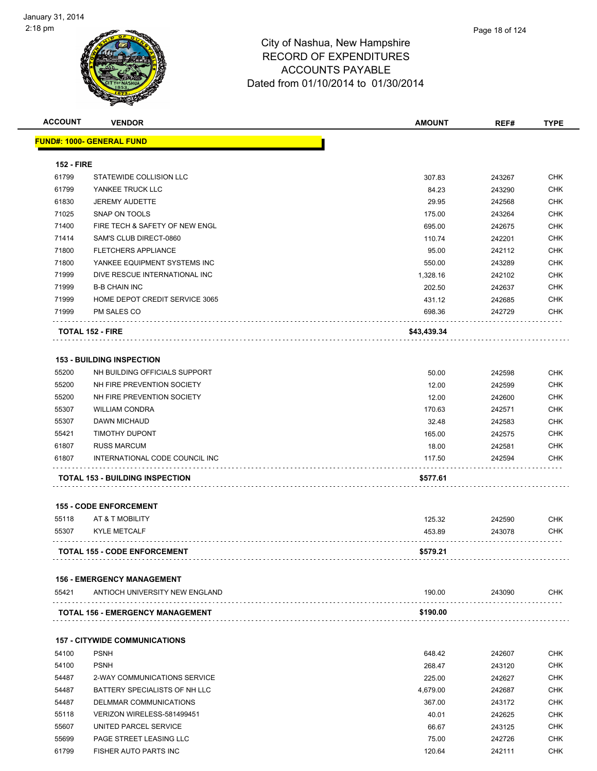| <b>ACCOUNT</b>    | <b>VENDOR</b>                                       | <b>AMOUNT</b> | REF#   | <b>TYPE</b> |
|-------------------|-----------------------------------------------------|---------------|--------|-------------|
|                   | <b>FUND#: 1000- GENERAL FUND</b>                    |               |        |             |
| <b>152 - FIRE</b> |                                                     |               |        |             |
| 61799             | STATEWIDE COLLISION LLC                             | 307.83        | 243267 | <b>CHK</b>  |
| 61799             | YANKEE TRUCK LLC                                    | 84.23         | 243290 | <b>CHK</b>  |
| 61830             | <b>JEREMY AUDETTE</b>                               | 29.95         | 242568 | <b>CHK</b>  |
| 71025             | SNAP ON TOOLS                                       | 175.00        | 243264 | <b>CHK</b>  |
| 71400             | FIRE TECH & SAFETY OF NEW ENGL                      | 695.00        | 242675 | <b>CHK</b>  |
| 71414             | SAM'S CLUB DIRECT-0860                              | 110.74        | 242201 | <b>CHK</b>  |
| 71800             | <b>FLETCHERS APPLIANCE</b>                          | 95.00         | 242112 | <b>CHK</b>  |
| 71800             | YANKEE EQUIPMENT SYSTEMS INC                        | 550.00        | 243289 | <b>CHK</b>  |
| 71999             | DIVE RESCUE INTERNATIONAL INC                       | 1,328.16      | 242102 | <b>CHK</b>  |
| 71999             | <b>B-B CHAIN INC</b>                                | 202.50        | 242637 | <b>CHK</b>  |
| 71999             | HOME DEPOT CREDIT SERVICE 3065                      | 431.12        | 242685 | <b>CHK</b>  |
| 71999             | PM SALES CO                                         | 698.36        | 242729 | CHK         |
|                   | <b>TOTAL 152 - FIRE</b>                             | \$43,439.34   |        |             |
|                   | <b>153 - BUILDING INSPECTION</b>                    |               |        |             |
| 55200             | NH BUILDING OFFICIALS SUPPORT                       | 50.00         | 242598 | <b>CHK</b>  |
| 55200             | NH FIRE PREVENTION SOCIETY                          | 12.00         | 242599 | <b>CHK</b>  |
| 55200             | NH FIRE PREVENTION SOCIETY                          | 12.00         | 242600 | <b>CHK</b>  |
| 55307             | <b>WILLIAM CONDRA</b>                               | 170.63        | 242571 | <b>CHK</b>  |
| 55307             | DAWN MICHAUD                                        | 32.48         | 242583 | <b>CHK</b>  |
| 55421             | <b>TIMOTHY DUPONT</b>                               | 165.00        | 242575 | <b>CHK</b>  |
| 61807             | <b>RUSS MARCUM</b>                                  | 18.00         | 242581 | <b>CHK</b>  |
| 61807             | INTERNATIONAL CODE COUNCIL INC                      | 117.50        | 242594 | CHK         |
|                   | <b>TOTAL 153 - BUILDING INSPECTION</b>              | \$577.61      |        |             |
|                   |                                                     |               |        |             |
|                   | <b>155 - CODE ENFORCEMENT</b>                       |               |        |             |
| 55118             | AT & T MOBILITY                                     | 125.32        | 242590 | CHK         |
| 55307             | <b>KYLE METCALF</b>                                 | 453.89        | 243078 | CHK         |
|                   | <b>TOTAL 155 - CODE ENFORCEMENT</b>                 | \$579.21      |        |             |
|                   | <b>156 - EMERGENCY MANAGEMENT</b>                   |               |        |             |
| 55421             | ANTIOCH UNIVERSITY NEW ENGLAND                      | 190.00        | 243090 | CHK         |
|                   | <b>TOTAL 156 - EMERGENCY MANAGEMENT</b>             | \$190.00      |        |             |
|                   |                                                     |               |        |             |
| 54100             | <b>157 - CITYWIDE COMMUNICATIONS</b><br><b>PSNH</b> | 648.42        | 242607 | CHK         |
| 54100             | <b>PSNH</b>                                         | 268.47        | 243120 | <b>CHK</b>  |
| 54487             | 2-WAY COMMUNICATIONS SERVICE                        | 225.00        | 242627 | CHK         |
| 54487             | BATTERY SPECIALISTS OF NH LLC                       |               | 242687 | <b>CHK</b>  |
|                   |                                                     | 4,679.00      |        |             |

 54487 DELMMAR COMMUNICATIONS 367.00 243172 CHK 55118 VERIZON WIRELESS-581499451 40.01 242625 CHK 55607 UNITED PARCEL SERVICE **12.000 CHK** 66.67 66.67 243125 CHK 55699 PAGE STREET LEASING LLC 75.00 242726 CHK et and the state of the state of the state of the state of the state of the state of the state of the state of the state of the state of the state of the state of the state of the state of the state of the state of the sta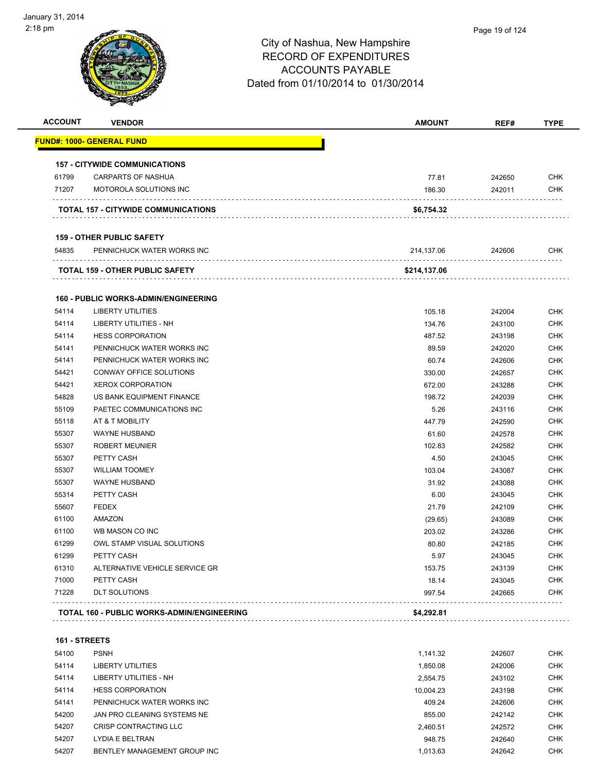| <b>ACCOUNT</b> | <b>VENDOR</b>                               | <b>AMOUNT</b> | REF#   | <b>TYPE</b> |
|----------------|---------------------------------------------|---------------|--------|-------------|
|                | FUND#: 1000- GENERAL FUND                   |               |        |             |
|                | <b>157 - CITYWIDE COMMUNICATIONS</b>        |               |        |             |
| 61799          | <b>CARPARTS OF NASHUA</b>                   | 77.81         | 242650 | <b>CHK</b>  |
| 71207          | MOTOROLA SOLUTIONS INC                      | 186.30        | 242011 | <b>CHK</b>  |
|                | TOTAL 157 - CITYWIDE COMMUNICATIONS         | \$6,754.32    |        |             |
|                | <b>159 - OTHER PUBLIC SAFETY</b>            |               |        |             |
| 54835          | PENNICHUCK WATER WORKS INC                  | 214,137.06    | 242606 | <b>CHK</b>  |
|                | TOTAL 159 - OTHER PUBLIC SAFETY             | \$214,137.06  |        |             |
|                | <b>160 - PUBLIC WORKS-ADMIN/ENGINEERING</b> |               |        |             |
| 54114          | <b>LIBERTY UTILITIES</b>                    | 105.18        | 242004 | <b>CHK</b>  |
| 54114          | LIBERTY UTILITIES - NH                      | 134.76        | 243100 | <b>CHK</b>  |
| 54114          | <b>HESS CORPORATION</b>                     | 487.52        | 243198 | CHK         |
| 54141          | PENNICHUCK WATER WORKS INC                  | 89.59         | 242020 | CHK         |
| 54141          | PENNICHUCK WATER WORKS INC                  | 60.74         | 242606 | <b>CHK</b>  |
| 54421          | CONWAY OFFICE SOLUTIONS                     | 330.00        | 242657 | CHK         |
| 54421          | <b>XEROX CORPORATION</b>                    | 672.00        | 243288 | <b>CHK</b>  |
| 54828          | US BANK EQUIPMENT FINANCE                   | 198.72        | 242039 | <b>CHK</b>  |
| 55109          | PAETEC COMMUNICATIONS INC                   | 5.26          | 243116 | CHK         |
| 55118          | AT & T MOBILITY                             | 447.79        | 242590 | <b>CHK</b>  |
| 55307          | <b>WAYNE HUSBAND</b>                        | 61.60         | 242578 | CHK         |
| 55307          | <b>ROBERT MEUNIER</b>                       | 102.83        | 242582 | <b>CHK</b>  |
| 55307          | PETTY CASH                                  | 4.50          | 243045 | <b>CHK</b>  |
| 55307          | <b>WILLIAM TOOMEY</b>                       | 103.04        | 243087 | <b>CHK</b>  |
| 55307          | <b>WAYNE HUSBAND</b>                        | 31.92         | 243088 | CHK         |
| 55314          | PETTY CASH                                  | 6.00          | 243045 | <b>CHK</b>  |
| 55607          | <b>FEDEX</b>                                | 21.79         | 242109 | <b>CHK</b>  |
| 61100          | AMAZON                                      | (29.65)       | 243089 | <b>CHK</b>  |
| 61100          | WB MASON CO INC                             | 203.02        | 243286 | <b>CHK</b>  |
| 61299          | OWL STAMP VISUAL SOLUTIONS                  | 80.80         | 242185 | CHK         |
| 61299          | PETTY CASH                                  | 5.97          | 243045 | <b>CHK</b>  |
| 61310          | ALTERNATIVE VEHICLE SERVICE GR              | 153.75        | 243139 | <b>CHK</b>  |
| 71000          | PETTY CASH                                  | 18.14         | 243045 | <b>CHK</b>  |
| 71228          | <b>DLT SOLUTIONS</b>                        | 997.54        | 242665 | <b>CHK</b>  |
|                | TOTAL 160 - PUBLIC WORKS-ADMIN/ENGINEERING  | \$4,292.81    |        |             |

| 54100 | <b>PSNH</b>                  | 1.141.32  | 242607 | <b>CHK</b> |
|-------|------------------------------|-----------|--------|------------|
| 54114 | LIBERTY UTILITIES            | 1.850.08  | 242006 | <b>CHK</b> |
| 54114 | LIBERTY UTILITIES - NH       | 2.554.75  | 243102 | <b>CHK</b> |
| 54114 | <b>HESS CORPORATION</b>      | 10.004.23 | 243198 | <b>CHK</b> |
| 54141 | PENNICHUCK WATER WORKS INC   | 409.24    | 242606 | <b>CHK</b> |
| 54200 | JAN PRO CLEANING SYSTEMS NE  | 855.00    | 242142 | <b>CHK</b> |
| 54207 | CRISP CONTRACTING LLC        | 2,460.51  | 242572 | <b>CHK</b> |
| 54207 | <b>LYDIA E BELTRAN</b>       | 948.75    | 242640 | <b>CHK</b> |
| 54207 | BENTLEY MANAGEMENT GROUP INC | 1.013.63  | 242642 | <b>CHK</b> |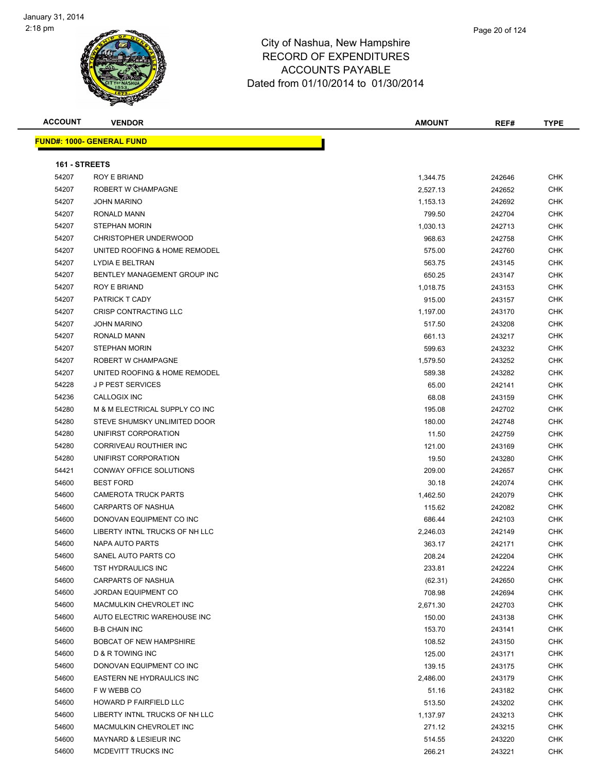

| <b>ACCOUNT</b> | <b>VENDOR</b>                    | <b>AMOUNT</b> | REF#   | <b>TYPE</b> |
|----------------|----------------------------------|---------------|--------|-------------|
|                | <b>FUND#: 1000- GENERAL FUND</b> |               |        |             |
| 161 - STREETS  |                                  |               |        |             |
| 54207          | ROY E BRIAND                     | 1,344.75      | 242646 | <b>CHK</b>  |
| 54207          | ROBERT W CHAMPAGNE               | 2,527.13      | 242652 | <b>CHK</b>  |
| 54207          | <b>JOHN MARINO</b>               | 1,153.13      | 242692 | <b>CHK</b>  |
| 54207          | RONALD MANN                      | 799.50        | 242704 | <b>CHK</b>  |
| 54207          | <b>STEPHAN MORIN</b>             | 1,030.13      | 242713 | <b>CHK</b>  |
| 54207          | <b>CHRISTOPHER UNDERWOOD</b>     | 968.63        | 242758 | <b>CHK</b>  |
| 54207          | UNITED ROOFING & HOME REMODEL    | 575.00        | 242760 | <b>CHK</b>  |
| 54207          | LYDIA E BELTRAN                  | 563.75        | 243145 | <b>CHK</b>  |
| 54207          | BENTLEY MANAGEMENT GROUP INC     | 650.25        | 243147 | <b>CHK</b>  |
| 54207          | ROY E BRIAND                     | 1,018.75      | 243153 | <b>CHK</b>  |
| 54207          | PATRICK T CADY                   | 915.00        | 243157 | <b>CHK</b>  |
| 54207          | CRISP CONTRACTING LLC            | 1,197.00      | 243170 | <b>CHK</b>  |
| 54207          | JOHN MARINO                      | 517.50        | 243208 | <b>CHK</b>  |
| 54207          | <b>RONALD MANN</b>               | 661.13        | 243217 | <b>CHK</b>  |
| 54207          | <b>STEPHAN MORIN</b>             | 599.63        | 243232 | <b>CHK</b>  |
| 54207          | ROBERT W CHAMPAGNE               | 1,579.50      | 243252 | <b>CHK</b>  |
| 54207          | UNITED ROOFING & HOME REMODEL    | 589.38        | 243282 | <b>CHK</b>  |
| 54228          | <b>JP PEST SERVICES</b>          | 65.00         | 242141 | <b>CHK</b>  |
| 54236          | CALLOGIX INC                     | 68.08         | 243159 | <b>CHK</b>  |
| 54280          | M & M ELECTRICAL SUPPLY CO INC   | 195.08        | 242702 | <b>CHK</b>  |
| 54280          | STEVE SHUMSKY UNLIMITED DOOR     | 180.00        | 242748 | <b>CHK</b>  |
| 54280          | UNIFIRST CORPORATION             | 11.50         | 242759 | <b>CHK</b>  |
| 54280          | CORRIVEAU ROUTHIER INC           | 121.00        | 243169 | <b>CHK</b>  |
| 54280          | UNIFIRST CORPORATION             | 19.50         | 243280 | <b>CHK</b>  |
| 54421          | CONWAY OFFICE SOLUTIONS          | 209.00        | 242657 | <b>CHK</b>  |
| 54600          | <b>BEST FORD</b>                 | 30.18         | 242074 | <b>CHK</b>  |
| 54600          | <b>CAMEROTA TRUCK PARTS</b>      | 1,462.50      | 242079 | <b>CHK</b>  |
| 54600          | CARPARTS OF NASHUA               | 115.62        | 242082 | <b>CHK</b>  |
| 54600          | DONOVAN EQUIPMENT CO INC         | 686.44        | 242103 | <b>CHK</b>  |
| 54600          | LIBERTY INTNL TRUCKS OF NH LLC   | 2,246.03      | 242149 | <b>CHK</b>  |
| 54600          | <b>NAPA AUTO PARTS</b>           | 363.17        | 242171 | <b>CHK</b>  |
| 54600          | SANEL AUTO PARTS CO              | 208.24        | 242204 | CHK         |
| 54600          | TST HYDRAULICS INC               | 233.81        | 242224 | CHK         |
| 54600          | <b>CARPARTS OF NASHUA</b>        | (62.31)       | 242650 | <b>CHK</b>  |
| 54600          | JORDAN EQUIPMENT CO              | 708.98        | 242694 | <b>CHK</b>  |
| 54600          | MACMULKIN CHEVROLET INC          | 2,671.30      | 242703 | <b>CHK</b>  |
| 54600          | AUTO ELECTRIC WAREHOUSE INC      | 150.00        | 243138 | <b>CHK</b>  |
| 54600          | <b>B-B CHAIN INC</b>             | 153.70        | 243141 | <b>CHK</b>  |
| 54600          | <b>BOBCAT OF NEW HAMPSHIRE</b>   | 108.52        | 243150 | <b>CHK</b>  |
| 54600          | <b>D &amp; R TOWING INC</b>      | 125.00        | 243171 | <b>CHK</b>  |
| 54600          | DONOVAN EQUIPMENT CO INC         | 139.15        | 243175 | <b>CHK</b>  |
| 54600          | EASTERN NE HYDRAULICS INC        | 2,486.00      | 243179 | <b>CHK</b>  |
| 54600          | F W WEBB CO                      | 51.16         | 243182 | <b>CHK</b>  |
| 54600          | HOWARD P FAIRFIELD LLC           | 513.50        | 243202 | <b>CHK</b>  |
| 54600          | LIBERTY INTNL TRUCKS OF NH LLC   | 1,137.97      | 243213 | <b>CHK</b>  |
| 54600          | MACMULKIN CHEVROLET INC          | 271.12        | 243215 | <b>CHK</b>  |
| 54600          | MAYNARD & LESIEUR INC            | 514.55        | 243220 | <b>CHK</b>  |
| 54600          | MCDEVITT TRUCKS INC              | 266.21        | 243221 | <b>CHK</b>  |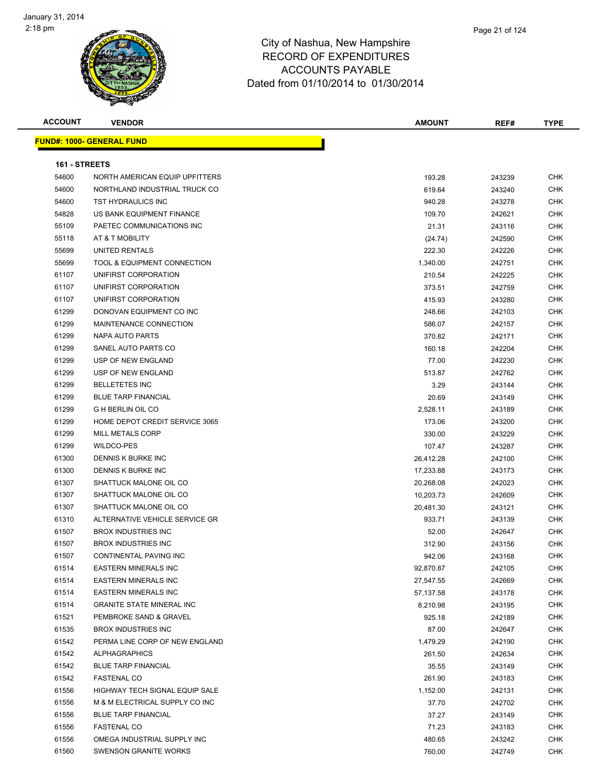

| <b>ACCOUNT</b> | <b>VENDOR</b>                     | <b>AMOUNT</b>   | REF#   | <b>TYPE</b> |
|----------------|-----------------------------------|-----------------|--------|-------------|
|                | <u> FUND#: 1000- GENERAL FUND</u> |                 |        |             |
| 161 - STREETS  |                                   |                 |        |             |
| 54600          | NORTH AMERICAN EQUIP UPFITTERS    | 193.28          | 243239 | <b>CHK</b>  |
| 54600          | NORTHLAND INDUSTRIAL TRUCK CO     | 619.64          | 243240 | <b>CHK</b>  |
| 54600          | TST HYDRAULICS INC                | 940.28          | 243278 | CHK         |
| 54828          | US BANK EQUIPMENT FINANCE         | 109.70          | 242621 | <b>CHK</b>  |
| 55109          | PAETEC COMMUNICATIONS INC         | 21.31           | 243116 | <b>CHK</b>  |
| 55118          | AT & T MOBILITY                   | (24.74)         | 242590 | CHK         |
| 55699          | UNITED RENTALS                    | 222.30          | 242226 | <b>CHK</b>  |
| 55699          | TOOL & EQUIPMENT CONNECTION       | 1,340.00        | 242751 | CHK         |
| 61107          | UNIFIRST CORPORATION              | 210.54          | 242225 | <b>CHK</b>  |
| 61107          | UNIFIRST CORPORATION              | 373.51          | 242759 | <b>CHK</b>  |
| 61107          | UNIFIRST CORPORATION              | 415.93          | 243280 | CHK         |
| 61299          | DONOVAN EQUIPMENT CO INC          | 248.66          | 242103 | CHK         |
| 61299          | MAINTENANCE CONNECTION            | 586.07          | 242157 | <b>CHK</b>  |
| 61299          | NAPA AUTO PARTS                   | 370.82          | 242171 | CHK         |
| 61299          | SANEL AUTO PARTS CO               |                 |        | CHK         |
|                | USP OF NEW ENGLAND                | 160.18<br>77.00 | 242204 | <b>CHK</b>  |
| 61299<br>61299 | USP OF NEW ENGLAND                | 513.87          | 242230 | CHK         |
| 61299          | <b>BELLETETES INC</b>             | 3.29            | 242762 | <b>CHK</b>  |
| 61299          | <b>BLUE TARP FINANCIAL</b>        |                 | 243144 | CHK         |
| 61299          | <b>G H BERLIN OIL CO</b>          | 20.69           | 243149 |             |
|                | HOME DEPOT CREDIT SERVICE 3065    | 2,528.11        | 243189 | CHK         |
| 61299<br>61299 | <b>MILL METALS CORP</b>           | 173.06          | 243200 | CHK         |
|                |                                   | 330.00          | 243229 | CHK         |
| 61299          | WILDCO-PES                        | 107.47          | 243287 | CHK         |
| 61300          | DENNIS K BURKE INC                | 26,412.28       | 242100 | CHK         |
| 61300          | DENNIS K BURKE INC                | 17,233.88       | 243173 | CHK         |
| 61307          | SHATTUCK MALONE OIL CO            | 20,268.08       | 242023 | CHK         |
| 61307          | SHATTUCK MALONE OIL CO            | 10,203.73       | 242609 | <b>CHK</b>  |
| 61307          | SHATTUCK MALONE OIL CO            | 20,481.30       | 243121 | CHK         |
| 61310          | ALTERNATIVE VEHICLE SERVICE GR    | 933.71          | 243139 | <b>CHK</b>  |
| 61507          | <b>BROX INDUSTRIES INC</b>        | 52.00           | 242647 | CHK         |
| 61507          | <b>BROX INDUSTRIES INC</b>        | 312.90          | 243156 | <b>CHK</b>  |
| 61507          | CONTINENTAL PAVING INC            | 942.06          | 243168 | <b>CHK</b>  |
| 61514          | <b>EASTERN MINERALS INC</b>       | 92,870.87       | 242105 | CHK         |
| 61514          | <b>EASTERN MINERALS INC</b>       | 27,547.55       | 242669 | <b>CHK</b>  |
| 61514          | <b>EASTERN MINERALS INC</b>       | 57,137.58       | 243178 | CHK         |
| 61514          | <b>GRANITE STATE MINERAL INC</b>  | 8,210.98        | 243195 | CHK         |
| 61521          | PEMBROKE SAND & GRAVEL            | 925.18          | 242189 | <b>CHK</b>  |
| 61535          | <b>BROX INDUSTRIES INC</b>        | 87.00           | 242647 | <b>CHK</b>  |
| 61542          | PERMA LINE CORP OF NEW ENGLAND    | 1,479.29        | 242190 | <b>CHK</b>  |
| 61542          | <b>ALPHAGRAPHICS</b>              | 261.50          | 242634 | <b>CHK</b>  |
| 61542          | <b>BLUE TARP FINANCIAL</b>        | 35.55           | 243149 | CHK         |
| 61542          | <b>FASTENAL CO</b>                | 261.90          | 243183 | CHK         |
| 61556          | HIGHWAY TECH SIGNAL EQUIP SALE    | 1,152.00        | 242131 | CHK         |
| 61556          | M & M ELECTRICAL SUPPLY CO INC    | 37.70           | 242702 | CHK         |
| 61556          | <b>BLUE TARP FINANCIAL</b>        | 37.27           | 243149 | CHK         |
| 61556          | <b>FASTENAL CO</b>                | 71.23           | 243183 | <b>CHK</b>  |
| 61556          | OMEGA INDUSTRIAL SUPPLY INC       | 480.65          | 243242 | <b>CHK</b>  |
| 61560          | SWENSON GRANITE WORKS             | 760.00          | 242749 | <b>CHK</b>  |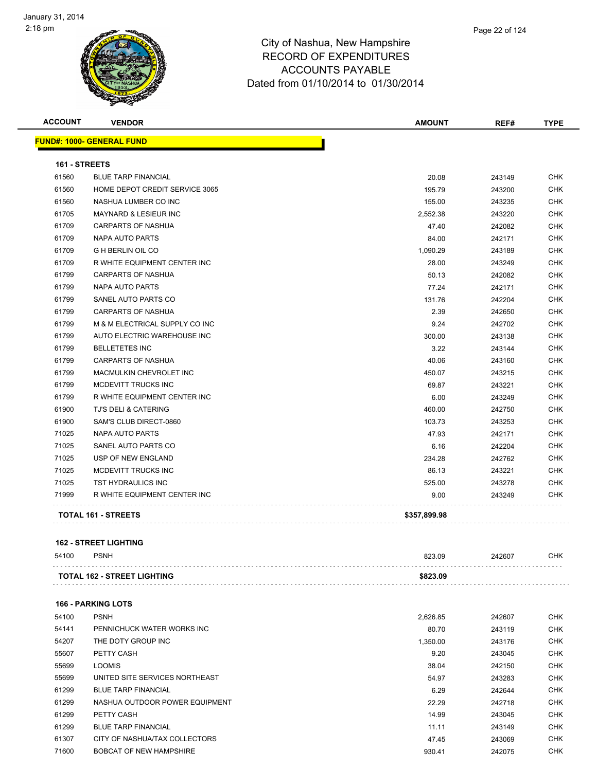

| <b>ACCOUNT</b> | <b>VENDOR</b>                     | <b>AMOUNT</b> | REF#   | <b>TYPE</b> |
|----------------|-----------------------------------|---------------|--------|-------------|
|                | <u> FUND#: 1000- GENERAL FUND</u> |               |        |             |
| 161 - STREETS  |                                   |               |        |             |
| 61560          | <b>BLUE TARP FINANCIAL</b>        | 20.08         | 243149 | <b>CHK</b>  |
| 61560          | HOME DEPOT CREDIT SERVICE 3065    | 195.79        | 243200 | <b>CHK</b>  |
| 61560          | NASHUA LUMBER CO INC              | 155.00        | 243235 | <b>CHK</b>  |
| 61705          | <b>MAYNARD &amp; LESIEUR INC</b>  | 2,552.38      | 243220 | <b>CHK</b>  |
| 61709          | <b>CARPARTS OF NASHUA</b>         | 47.40         | 242082 | <b>CHK</b>  |
| 61709          | <b>NAPA AUTO PARTS</b>            | 84.00         | 242171 | <b>CHK</b>  |
| 61709          | <b>G H BERLIN OIL CO</b>          | 1,090.29      | 243189 | <b>CHK</b>  |
| 61709          | R WHITE EQUIPMENT CENTER INC      | 28.00         | 243249 | <b>CHK</b>  |
| 61799          | <b>CARPARTS OF NASHUA</b>         | 50.13         | 242082 | <b>CHK</b>  |
| 61799          | <b>NAPA AUTO PARTS</b>            | 77.24         | 242171 | <b>CHK</b>  |
| 61799          | SANEL AUTO PARTS CO               | 131.76        | 242204 | <b>CHK</b>  |
| 61799          | <b>CARPARTS OF NASHUA</b>         | 2.39          | 242650 | <b>CHK</b>  |
| 61799          | M & M ELECTRICAL SUPPLY CO INC    | 9.24          | 242702 | <b>CHK</b>  |
| 61799          | AUTO ELECTRIC WAREHOUSE INC       | 300.00        | 243138 | <b>CHK</b>  |
| 61799          | <b>BELLETETES INC</b>             | 3.22          | 243144 | <b>CHK</b>  |
| 61799          | CARPARTS OF NASHUA                | 40.06         | 243160 | <b>CHK</b>  |
| 61799          | MACMULKIN CHEVROLET INC           | 450.07        | 243215 | <b>CHK</b>  |
| 61799          | MCDEVITT TRUCKS INC               | 69.87         | 243221 | <b>CHK</b>  |
| 61799          | R WHITE EQUIPMENT CENTER INC      | 6.00          | 243249 | <b>CHK</b>  |
| 61900          | <b>TJ'S DELI &amp; CATERING</b>   | 460.00        | 242750 | <b>CHK</b>  |
| 61900          | SAM'S CLUB DIRECT-0860            | 103.73        | 243253 | <b>CHK</b>  |
| 71025          | NAPA AUTO PARTS                   | 47.93         | 242171 | <b>CHK</b>  |
| 71025          | SANEL AUTO PARTS CO               | 6.16          | 242204 | <b>CHK</b>  |
| 71025          | USP OF NEW ENGLAND                | 234.28        | 242762 | <b>CHK</b>  |
| 71025          | <b>MCDEVITT TRUCKS INC</b>        | 86.13         | 243221 | <b>CHK</b>  |
| 71025          | <b>TST HYDRAULICS INC</b>         | 525.00        | 243278 | CHK         |
| 71999          | R WHITE EQUIPMENT CENTER INC      | 9.00          | 243249 | <b>CHK</b>  |
|                | <b>TOTAL 161 - STREETS</b>        | \$357,899.98  |        |             |
|                |                                   |               |        |             |

#### **162 - STREET LIGHTING**

| 54100 | <b>PSNH</b>                        | 823.09   | 242607 | СНК |
|-------|------------------------------------|----------|--------|-----|
|       | <b>TOTAL 162 - STREET LIGHTING</b> | \$823.09 |        |     |
|       |                                    |          |        |     |

| 54100 | <b>PSNH</b>                    | 2.626.85 | 242607 | <b>CHK</b> |
|-------|--------------------------------|----------|--------|------------|
| 54141 | PENNICHUCK WATER WORKS INC     | 80.70    | 243119 | <b>CHK</b> |
| 54207 | THE DOTY GROUP INC             | 1,350.00 | 243176 | <b>CHK</b> |
| 55607 | PETTY CASH                     | 9.20     | 243045 | <b>CHK</b> |
| 55699 | <b>LOOMIS</b>                  | 38.04    | 242150 | <b>CHK</b> |
| 55699 | UNITED SITE SERVICES NORTHEAST | 54.97    | 243283 | <b>CHK</b> |
| 61299 | <b>BLUE TARP FINANCIAL</b>     | 6.29     | 242644 | <b>CHK</b> |
| 61299 | NASHUA OUTDOOR POWER EQUIPMENT | 22.29    | 242718 | <b>CHK</b> |
| 61299 | PETTY CASH                     | 14.99    | 243045 | <b>CHK</b> |
| 61299 | <b>BLUE TARP FINANCIAL</b>     | 11.11    | 243149 | <b>CHK</b> |
| 61307 | CITY OF NASHUA/TAX COLLECTORS  | 47.45    | 243069 | <b>CHK</b> |
| 71600 | <b>BOBCAT OF NEW HAMPSHIRE</b> | 930.41   | 242075 | <b>CHK</b> |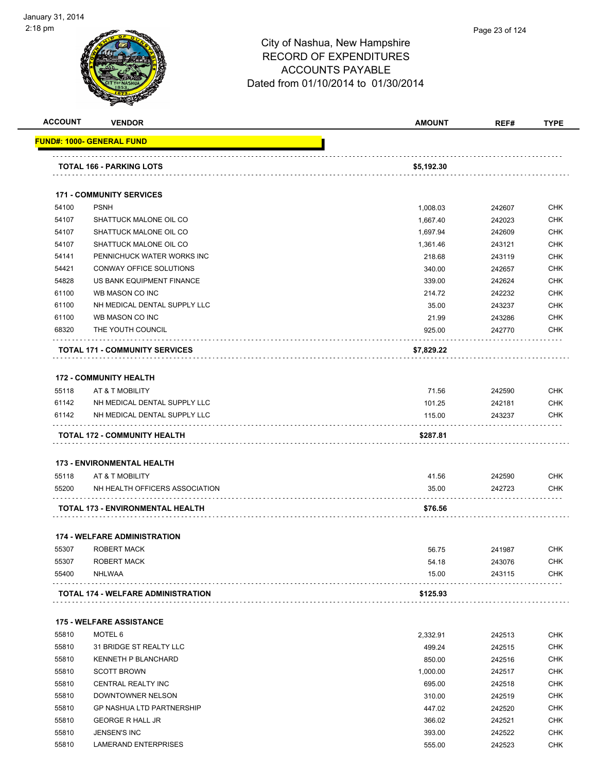

| <b>ACCOUNT</b> | <b>VENDOR</b>                                               | <b>AMOUNT</b>      | REF#   | <b>TYPE</b>              |
|----------------|-------------------------------------------------------------|--------------------|--------|--------------------------|
|                | <b>FUND#: 1000- GENERAL FUND</b>                            |                    |        |                          |
|                |                                                             |                    |        |                          |
|                | TOTAL 166 - PARKING LOTS                                    | \$5,192.30         |        |                          |
|                | <b>171 - COMMUNITY SERVICES</b>                             |                    |        |                          |
| 54100          | <b>PSNH</b>                                                 | 1,008.03           | 242607 | <b>CHK</b>               |
| 54107          | SHATTUCK MALONE OIL CO                                      | 1,667.40           | 242023 | <b>CHK</b>               |
| 54107          | SHATTUCK MALONE OIL CO                                      | 1,697.94           | 242609 | CHK                      |
| 54107          | SHATTUCK MALONE OIL CO                                      | 1,361.46           | 243121 | CHK                      |
| 54141          | PENNICHUCK WATER WORKS INC                                  | 218.68             | 243119 | CHK                      |
| 54421          | CONWAY OFFICE SOLUTIONS                                     | 340.00             | 242657 | <b>CHK</b>               |
| 54828          | US BANK EQUIPMENT FINANCE                                   | 339.00             | 242624 | <b>CHK</b>               |
| 61100          | WB MASON CO INC                                             | 214.72             | 242232 | CHK                      |
| 61100          | NH MEDICAL DENTAL SUPPLY LLC                                | 35.00              | 243237 | CHK                      |
| 61100          | WB MASON CO INC                                             | 21.99              | 243286 | <b>CHK</b>               |
| 68320          | THE YOUTH COUNCIL                                           | 925.00             | 242770 | CHK                      |
|                | <b>TOTAL 171 - COMMUNITY SERVICES</b>                       | \$7,829.22         |        |                          |
|                |                                                             |                    |        |                          |
|                | <b>172 - COMMUNITY HEALTH</b>                               |                    |        |                          |
| 55118          | AT & T MOBILITY                                             | 71.56              | 242590 | <b>CHK</b>               |
| 61142          | NH MEDICAL DENTAL SUPPLY LLC                                | 101.25             | 242181 | <b>CHK</b>               |
| 61142          | NH MEDICAL DENTAL SUPPLY LLC                                | 115.00             | 243237 | CHK                      |
|                | TOTAL 172 - COMMUNITY HEALTH                                | \$287.81           |        |                          |
|                |                                                             |                    |        |                          |
|                | <b>173 - ENVIRONMENTAL HEALTH</b>                           |                    |        |                          |
| 55118          | AT & T MOBILITY                                             | 41.56              | 242590 | <b>CHK</b>               |
| 55200          | NH HEALTH OFFICERS ASSOCIATION                              | 35.00              | 242723 | CHK                      |
|                | TOTAL 173 - ENVIRONMENTAL HEALTH                            | \$76.56            |        |                          |
|                | <b>174 - WELFARE ADMINISTRATION</b>                         |                    |        |                          |
| 55307          | ROBERT MACK                                                 | 56.75              | 241987 | CHK                      |
| 55307          | ROBERT MACK                                                 | 54.18              | 243076 | <b>CHK</b>               |
| 55400          | NHLWAA                                                      | 15.00              | 243115 | <b>CHK</b>               |
|                | <b>TOTAL 174 - WELFARE ADMINISTRATION</b>                   | \$125.93           |        |                          |
|                | <b>175 - WELFARE ASSISTANCE</b>                             |                    |        |                          |
| 55810          | MOTEL 6                                                     |                    | 242513 | <b>CHK</b>               |
| 55810          | 31 BRIDGE ST REALTY LLC                                     | 2,332.91<br>499.24 |        | <b>CHK</b>               |
| 55810          | KENNETH P BLANCHARD                                         |                    | 242515 | <b>CHK</b>               |
| 55810          | <b>SCOTT BROWN</b>                                          | 850.00             | 242516 |                          |
| 55810          | CENTRAL REALTY INC                                          | 1,000.00           | 242517 | <b>CHK</b><br><b>CHK</b> |
| 55810          | DOWNTOWNER NELSON                                           | 695.00<br>310.00   | 242518 | <b>CHK</b>               |
|                |                                                             |                    | 242519 | <b>CHK</b>               |
| 55810<br>55810 | <b>GP NASHUA LTD PARTNERSHIP</b><br><b>GEORGE R HALL JR</b> | 447.02             | 242520 | <b>CHK</b>               |
|                |                                                             | 366.02<br>393.00   | 242521 |                          |
| 55810          | JENSEN'S INC                                                |                    | 242522 | CHK                      |
| 55810          | LAMERAND ENTERPRISES                                        | 555.00             | 242523 | <b>CHK</b>               |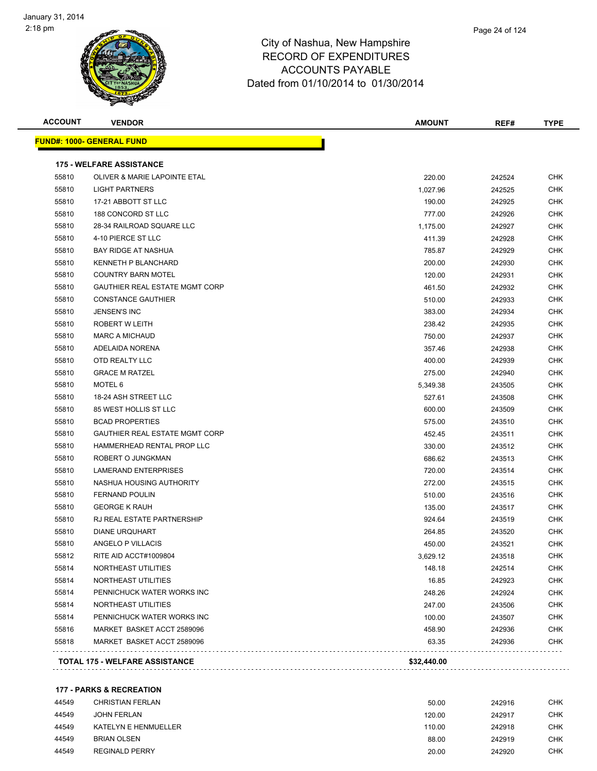

**ACCOUNT VENDOR AMOUNT REF# TYPE**

|       | <u> FUND#: 1000- GENERAL FUND</u>     |             |        |  |
|-------|---------------------------------------|-------------|--------|--|
|       | <b>175 - WELFARE ASSISTANCE</b>       |             |        |  |
| 55810 | OLIVER & MARIE LAPOINTE ETAL          | 220.00      | 242524 |  |
| 55810 | <b>LIGHT PARTNERS</b>                 | 1,027.96    | 242525 |  |
| 55810 | 17-21 ABBOTT ST LLC                   | 190.00      | 242925 |  |
| 55810 | 188 CONCORD ST LLC                    | 777.00      | 242926 |  |
| 55810 | 28-34 RAILROAD SQUARE LLC             | 1,175.00    | 242927 |  |
| 55810 | 4-10 PIERCE ST LLC                    | 411.39      | 242928 |  |
| 55810 | <b>BAY RIDGE AT NASHUA</b>            | 785.87      | 242929 |  |
| 55810 | KENNETH P BLANCHARD                   | 200.00      | 242930 |  |
| 55810 | <b>COUNTRY BARN MOTEL</b>             | 120.00      | 242931 |  |
| 55810 | <b>GAUTHIER REAL ESTATE MGMT CORP</b> | 461.50      | 242932 |  |
| 55810 | <b>CONSTANCE GAUTHIER</b>             | 510.00      | 242933 |  |
| 55810 | <b>JENSEN'S INC</b>                   | 383.00      | 242934 |  |
| 55810 | ROBERT W LEITH                        | 238.42      | 242935 |  |
| 55810 | <b>MARC A MICHAUD</b>                 | 750.00      | 242937 |  |
| 55810 | ADELAIDA NORENA                       | 357.46      | 242938 |  |
| 55810 | OTD REALTY LLC                        | 400.00      | 242939 |  |
| 55810 | <b>GRACE M RATZEL</b>                 | 275.00      | 242940 |  |
| 55810 | MOTEL 6                               | 5,349.38    | 243505 |  |
| 55810 | 18-24 ASH STREET LLC                  | 527.61      | 243508 |  |
| 55810 | 85 WEST HOLLIS ST LLC                 | 600.00      | 243509 |  |
| 55810 | <b>BCAD PROPERTIES</b>                | 575.00      | 243510 |  |
| 55810 | <b>GAUTHIER REAL ESTATE MGMT CORP</b> | 452.45      | 243511 |  |
| 55810 | HAMMERHEAD RENTAL PROP LLC            | 330.00      | 243512 |  |
| 55810 | ROBERT O JUNGKMAN                     | 686.62      | 243513 |  |
| 55810 | LAMERAND ENTERPRISES                  | 720.00      | 243514 |  |
| 55810 | NASHUA HOUSING AUTHORITY              | 272.00      | 243515 |  |
| 55810 | <b>FERNAND POULIN</b>                 | 510.00      | 243516 |  |
| 55810 | <b>GEORGE K RAUH</b>                  | 135.00      | 243517 |  |
| 55810 | RJ REAL ESTATE PARTNERSHIP            | 924.64      | 243519 |  |
| 55810 | <b>DIANE URQUHART</b>                 | 264.85      | 243520 |  |
| 55810 | ANGELO P VILLACIS                     | 450.00      | 243521 |  |
| 55812 | RITE AID ACCT#1009804                 | 3,629.12    | 243518 |  |
| 55814 | NORTHEAST UTILITIES                   | 148.18      | 242514 |  |
| 55814 | NORTHEAST UTILITIES                   | 16.85       | 242923 |  |
| 55814 | PENNICHUCK WATER WORKS INC            | 248.26      | 242924 |  |
| 55814 | NORTHEAST UTILITIES                   | 247.00      | 243506 |  |
| 55814 | PENNICHUCK WATER WORKS INC            | 100.00      | 243507 |  |
| 55816 | MARKET BASKET ACCT 2589096            | 458.90      | 242936 |  |
| 55818 | MARKET BASKET ACCT 2589096            | 63.35       | 242936 |  |
|       | <b>TOTAL 175 - WELFARE ASSISTANCE</b> | \$32,440.00 |        |  |
|       |                                       |             |        |  |

#### **177 - PARKS & RECREATION**

| 44549 | CHRISTIAN FERLAN      | 50.00  | 242916 | <b>CHK</b> |
|-------|-----------------------|--------|--------|------------|
| 44549 | <b>JOHN FERLAN</b>    | 120.00 | 242917 | <b>CHK</b> |
| 44549 | KATELYN E HENMUELLER  | 110.00 | 242918 | CHK        |
| 44549 | <b>BRIAN OLSEN</b>    | 88.00  | 242919 | <b>CHK</b> |
| 44549 | <b>REGINALD PERRY</b> | 20.00  | 242920 | CHK        |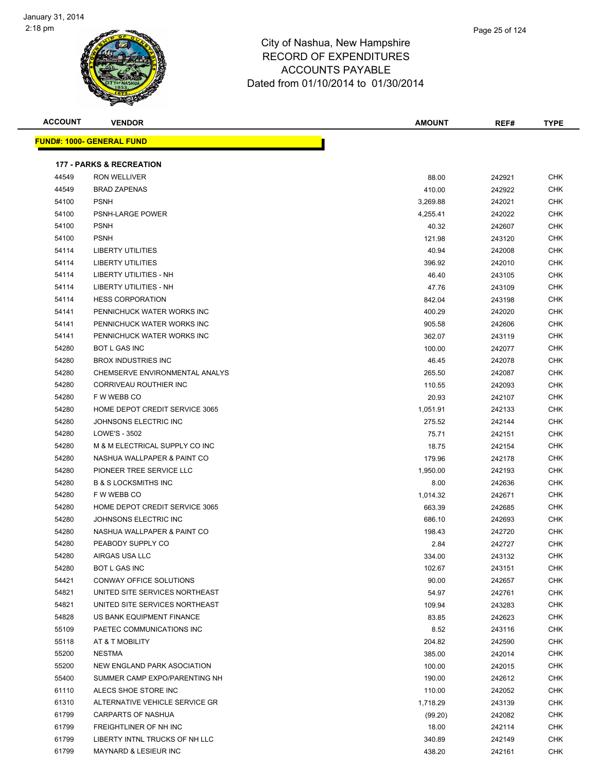

Page 25 of 124

| <b>ACCOUNT</b> | <b>VENDOR</b>                       | <b>AMOUNT</b> | REF#   | <b>TYPE</b> |
|----------------|-------------------------------------|---------------|--------|-------------|
|                | <u> FUND#: 1000- GENERAL FUND</u>   |               |        |             |
|                | <b>177 - PARKS &amp; RECREATION</b> |               |        |             |
| 44549          | <b>RON WELLIVER</b>                 | 88.00         | 242921 | CHK         |
| 44549          | <b>BRAD ZAPENAS</b>                 | 410.00        | 242922 | CHK         |
| 54100          | <b>PSNH</b>                         | 3,269.88      | 242021 | CHK         |
| 54100          | PSNH-LARGE POWER                    | 4,255.41      | 242022 | CHK         |
| 54100          | <b>PSNH</b>                         | 40.32         | 242607 | CHK         |
| 54100          | <b>PSNH</b>                         | 121.98        | 243120 | CHK         |
| 54114          | <b>LIBERTY UTILITIES</b>            | 40.94         | 242008 | <b>CHK</b>  |
| 54114          | <b>LIBERTY UTILITIES</b>            | 396.92        | 242010 | CHK         |
| 54114          | LIBERTY UTILITIES - NH              | 46.40         | 243105 | CHK         |
| 54114          | LIBERTY UTILITIES - NH              | 47.76         | 243109 | CHK         |
| 54114          | <b>HESS CORPORATION</b>             | 842.04        | 243198 | <b>CHK</b>  |
| 54141          | PENNICHUCK WATER WORKS INC          | 400.29        | 242020 | <b>CHK</b>  |
| 54141          | PENNICHUCK WATER WORKS INC          | 905.58        | 242606 | <b>CHK</b>  |
| 54141          | PENNICHUCK WATER WORKS INC          | 362.07        | 243119 | <b>CHK</b>  |
| 54280          | <b>BOT L GAS INC</b>                | 100.00        | 242077 | <b>CHK</b>  |
| 54280          | BROX INDUSTRIES INC                 | 46.45         | 242078 | CHK         |
| 54280          | CHEMSERVE ENVIRONMENTAL ANALYS      | 265.50        | 242087 | CHK         |
| 54280          | CORRIVEAU ROUTHIER INC              | 110.55        | 242093 | <b>CHK</b>  |
| 54280          | F W WEBB CO                         | 20.93         | 242107 | CHK         |
| 54280          | HOME DEPOT CREDIT SERVICE 3065      | 1,051.91      | 242133 | CHK         |
| 54280          | JOHNSONS ELECTRIC INC               | 275.52        | 242144 | CHK         |
| 54280          | LOWE'S - 3502                       | 75.71         | 242151 | <b>CHK</b>  |
| 54280          | M & M ELECTRICAL SUPPLY CO INC      | 18.75         | 242154 | <b>CHK</b>  |
| 54280          | NASHUA WALLPAPER & PAINT CO         | 179.96        | 242178 | <b>CHK</b>  |
| 54280          | PIONEER TREE SERVICE LLC            | 1,950.00      | 242193 | <b>CHK</b>  |
| 54280          | <b>B &amp; S LOCKSMITHS INC</b>     | 8.00          | 242636 | CHK         |
| 54280          | F W WEBB CO                         | 1,014.32      | 242671 | CHK         |
| 54280          | HOME DEPOT CREDIT SERVICE 3065      | 663.39        | 242685 | CHK         |
| 54280          | JOHNSONS ELECTRIC INC               | 686.10        | 242693 | <b>CHK</b>  |
| 54280          | NASHUA WALLPAPER & PAINT CO         | 198.43        | 242720 | CHK         |
| 54280          | PEABODY SUPPLY CO                   | 2.84          | 242727 | CHK         |
| 54280          | AIRGAS USA LLC                      | 334.00        | 243132 | <b>CHK</b>  |
| 54280          | BOT L GAS INC                       | 102.67        | 243151 | <b>CHK</b>  |
| 54421          | CONWAY OFFICE SOLUTIONS             | 90.00         | 242657 | <b>CHK</b>  |
| 54821          | UNITED SITE SERVICES NORTHEAST      | 54.97         | 242761 | <b>CHK</b>  |
| 54821          | UNITED SITE SERVICES NORTHEAST      | 109.94        | 243283 | <b>CHK</b>  |
| 54828          | US BANK EQUIPMENT FINANCE           | 83.85         | 242623 | <b>CHK</b>  |
| 55109          | PAETEC COMMUNICATIONS INC           | 8.52          | 243116 | <b>CHK</b>  |
| 55118          | AT & T MOBILITY                     | 204.82        | 242590 | <b>CHK</b>  |
| 55200          | <b>NESTMA</b>                       | 385.00        | 242014 | <b>CHK</b>  |
| 55200          | NEW ENGLAND PARK ASOCIATION         | 100.00        | 242015 | <b>CHK</b>  |
| 55400          | SUMMER CAMP EXPO/PARENTING NH       | 190.00        | 242612 | <b>CHK</b>  |
| 61110          | ALECS SHOE STORE INC                | 110.00        | 242052 | <b>CHK</b>  |
| 61310          | ALTERNATIVE VEHICLE SERVICE GR      | 1,718.29      | 243139 | <b>CHK</b>  |
| 61799          | <b>CARPARTS OF NASHUA</b>           | (99.20)       | 242082 | CHK         |
| 61799          | FREIGHTLINER OF NH INC              | 18.00         | 242114 | <b>CHK</b>  |
| 61799          | LIBERTY INTNL TRUCKS OF NH LLC      | 340.89        | 242149 | <b>CHK</b>  |

MAYNARD & LESIEUR INC 438.20 242161 CHK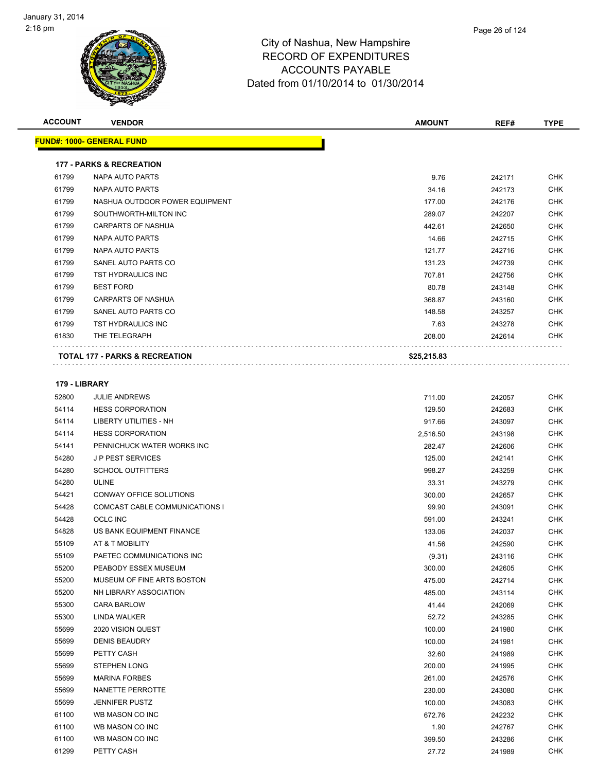

**ACCOUNT VENDOR AMOUNT REF# TYPE**

|                | <b>177 - PARKS &amp; RECREATION</b>               |                    |                  |            |
|----------------|---------------------------------------------------|--------------------|------------------|------------|
| 61799          | NAPA AUTO PARTS                                   | 9.76               | 242171           | <b>CHK</b> |
| 61799          | <b>NAPA AUTO PARTS</b>                            | 34.16              | 242173           | <b>CHK</b> |
| 61799          | NASHUA OUTDOOR POWER EQUIPMENT                    | 177.00             | 242176           | <b>CHK</b> |
| 61799          | SOUTHWORTH-MILTON INC                             | 289.07             | 242207           | <b>CHK</b> |
| 61799          | <b>CARPARTS OF NASHUA</b>                         | 442.61             | 242650           | <b>CHK</b> |
| 61799          | NAPA AUTO PARTS                                   | 14.66              | 242715           | <b>CHK</b> |
| 61799          | NAPA AUTO PARTS                                   | 121.77             | 242716           | CHK        |
| 61799          | SANEL AUTO PARTS CO                               | 131.23             | 242739           | <b>CHK</b> |
| 61799          | TST HYDRAULICS INC                                | 707.81             | 242756           | CHK        |
| 61799          | <b>BEST FORD</b>                                  | 80.78              | 243148           | <b>CHK</b> |
| 61799          | <b>CARPARTS OF NASHUA</b>                         | 368.87             | 243160           | CHK        |
| 61799          | SANEL AUTO PARTS CO                               | 148.58             | 243257           | CHK        |
| 61799          | <b>TST HYDRAULICS INC</b>                         | 7.63               | 243278           | CHK        |
| 61830          | THE TELEGRAPH                                     | 208.00             | 242614           | CHK        |
|                | <b>TOTAL 177 - PARKS &amp; RECREATION</b>         | \$25,215.83        |                  |            |
|                |                                                   |                    |                  |            |
| 52800          | 179 - LIBRARY<br><b>JULIE ANDREWS</b>             | 711.00             | 242057           | <b>CHK</b> |
|                | <b>HESS CORPORATION</b>                           |                    |                  | <b>CHK</b> |
| 54114          |                                                   | 129.50             | 242683           | <b>CHK</b> |
| 54114<br>54114 | LIBERTY UTILITIES - NH<br><b>HESS CORPORATION</b> | 917.66             | 243097           | <b>CHK</b> |
| 54141          | PENNICHUCK WATER WORKS INC                        | 2,516.50<br>282.47 | 243198<br>242606 | <b>CHK</b> |
| 54280          | <b>JP PEST SERVICES</b>                           | 125.00             | 242141           | <b>CHK</b> |
| 54280          | <b>SCHOOL OUTFITTERS</b>                          | 998.27             | 243259           | <b>CHK</b> |
| 54280          | <b>ULINE</b>                                      | 33.31              | 243279           | <b>CHK</b> |
| 54421          | CONWAY OFFICE SOLUTIONS                           | 300.00             | 242657           | <b>CHK</b> |
| 54428          | COMCAST CABLE COMMUNICATIONS I                    | 99.90              | 243091           | <b>CHK</b> |
| 54428          | <b>OCLC INC</b>                                   | 591.00             | 243241           | <b>CHK</b> |
| 54828          | US BANK EQUIPMENT FINANCE                         | 133.06             | 242037           | <b>CHK</b> |
| 55109          | AT & T MOBILITY                                   | 41.56              | 242590           | <b>CHK</b> |
| 55109          | PAETEC COMMUNICATIONS INC                         | (9.31)             | 243116           | <b>CHK</b> |
| 55200          | PEABODY ESSEX MUSEUM                              | 300.00             | 242605           | <b>CHK</b> |
| 55200          | MUSEUM OF FINE ARTS BOSTON                        | 475.00             | 242714           | <b>CHK</b> |
| 55200          | NH LIBRARY ASSOCIATION                            | 485.00             | 243114           | <b>CHK</b> |
| 55300          | <b>CARA BARLOW</b>                                | 41.44              | 242069           | <b>CHK</b> |
| 55300          | LINDA WALKER                                      | 52.72              | 243285           | CHK        |
| 55699          | 2020 VISION QUEST                                 | 100.00             | 241980           | <b>CHK</b> |
| 55699          | <b>DENIS BEAUDRY</b>                              | 100.00             | 241981           | <b>CHK</b> |
| 55699          | PETTY CASH                                        | 32.60              | 241989           | <b>CHK</b> |
| 55699          | STEPHEN LONG                                      | 200.00             | 241995           | <b>CHK</b> |
| 55699          | <b>MARINA FORBES</b>                              | 261.00             | 242576           | <b>CHK</b> |
| 55699          | NANETTE PERROTTE                                  | 230.00             | 243080           | <b>CHK</b> |
| 55699          | <b>JENNIFER PUSTZ</b>                             | 100.00             | 243083           | <b>CHK</b> |
| 61100          | WB MASON CO INC                                   | 672.76             | 242232           | <b>CHK</b> |
| 61100          | WB MASON CO INC                                   | 1.90               | 242767           | CHK        |
| 61100          | WB MASON CO INC                                   | 399.50             | 243286           | CHK        |
|                |                                                   |                    |                  |            |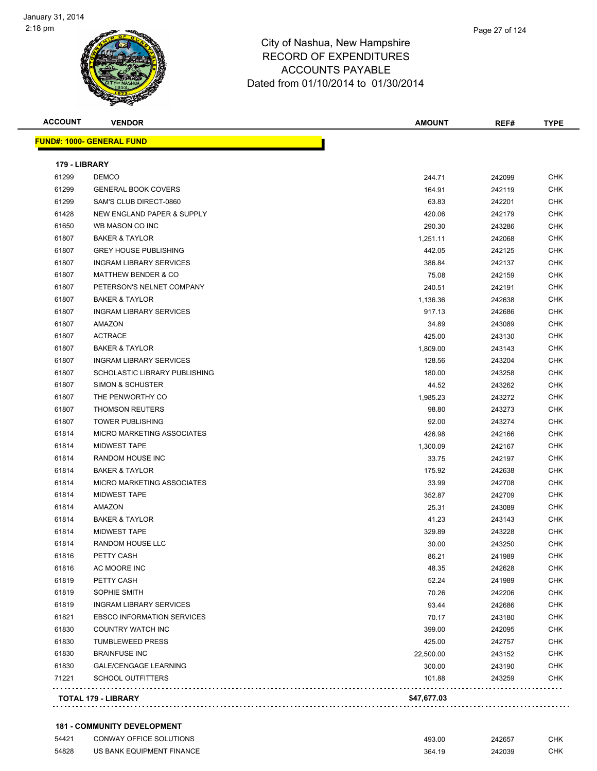

| <b>ACCOUNT</b> | <b>VENDOR</b>                     | <b>AMOUNT</b> | REF#   | <b>TYPE</b> |
|----------------|-----------------------------------|---------------|--------|-------------|
|                | <u> FUND#: 1000- GENERAL FUND</u> |               |        |             |
| 179 - LIBRARY  |                                   |               |        |             |
| 61299          | <b>DEMCO</b>                      | 244.71        | 242099 | CHK         |
| 61299          | <b>GENERAL BOOK COVERS</b>        | 164.91        | 242119 | CHK         |
| 61299          | SAM'S CLUB DIRECT-0860            | 63.83         | 242201 | <b>CHK</b>  |
| 61428          | NEW ENGLAND PAPER & SUPPLY        | 420.06        | 242179 | <b>CHK</b>  |
| 61650          | WB MASON CO INC                   | 290.30        | 243286 | <b>CHK</b>  |
| 61807          | <b>BAKER &amp; TAYLOR</b>         | 1,251.11      | 242068 | <b>CHK</b>  |
| 61807          | <b>GREY HOUSE PUBLISHING</b>      | 442.05        | 242125 | <b>CHK</b>  |
| 61807          | <b>INGRAM LIBRARY SERVICES</b>    | 386.84        | 242137 | <b>CHK</b>  |
| 61807          | <b>MATTHEW BENDER &amp; CO</b>    | 75.08         | 242159 | <b>CHK</b>  |
| 61807          | PETERSON'S NELNET COMPANY         | 240.51        | 242191 | <b>CHK</b>  |
| 61807          | <b>BAKER &amp; TAYLOR</b>         | 1,136.36      | 242638 | <b>CHK</b>  |
| 61807          | <b>INGRAM LIBRARY SERVICES</b>    | 917.13        | 242686 | <b>CHK</b>  |
| 61807          | AMAZON                            | 34.89         | 243089 | <b>CHK</b>  |
| 61807          | <b>ACTRACE</b>                    | 425.00        | 243130 | <b>CHK</b>  |
| 61807          | <b>BAKER &amp; TAYLOR</b>         | 1,809.00      | 243143 | <b>CHK</b>  |
| 61807          | <b>INGRAM LIBRARY SERVICES</b>    | 128.56        | 243204 | <b>CHK</b>  |
| 61807          | SCHOLASTIC LIBRARY PUBLISHING     | 180.00        | 243258 | <b>CHK</b>  |
| 61807          | <b>SIMON &amp; SCHUSTER</b>       | 44.52         | 243262 | <b>CHK</b>  |
| 61807          | THE PENWORTHY CO                  | 1,985.23      | 243272 | CHK         |
| 61807          | <b>THOMSON REUTERS</b>            | 98.80         | 243273 | <b>CHK</b>  |
| 61807          | <b>TOWER PUBLISHING</b>           | 92.00         | 243274 | <b>CHK</b>  |
| 61814          | <b>MICRO MARKETING ASSOCIATES</b> | 426.98        | 242166 | <b>CHK</b>  |
| 61814          | <b>MIDWEST TAPE</b>               | 1,300.09      | 242167 | <b>CHK</b>  |
| 61814          | RANDOM HOUSE INC                  | 33.75         | 242197 | <b>CHK</b>  |
| 61814          | <b>BAKER &amp; TAYLOR</b>         | 175.92        | 242638 | <b>CHK</b>  |
| 61814          | <b>MICRO MARKETING ASSOCIATES</b> | 33.99         | 242708 | <b>CHK</b>  |
| 61814          | <b>MIDWEST TAPE</b>               | 352.87        | 242709 | <b>CHK</b>  |
| 61814          | <b>AMAZON</b>                     | 25.31         | 243089 | <b>CHK</b>  |
| 61814          | <b>BAKER &amp; TAYLOR</b>         | 41.23         | 243143 | <b>CHK</b>  |
| 61814          | <b>MIDWEST TAPE</b>               | 329.89        | 243228 | CHK         |
| 61814          | RANDOM HOUSE LLC                  | 30.00         | 243250 | <b>CHK</b>  |
| 61816          | PETTY CASH                        | 86.21         | 241989 | <b>CHK</b>  |
| 61816          | AC MOORE INC                      | 48.35         | 242628 | CHK         |
| 61819          | PETTY CASH                        | 52.24         | 241989 | CHK         |
| 61819          | SOPHIE SMITH                      | 70.26         | 242206 | <b>CHK</b>  |
| 61819          | <b>INGRAM LIBRARY SERVICES</b>    | 93.44         | 242686 | <b>CHK</b>  |
| 61821          | <b>EBSCO INFORMATION SERVICES</b> | 70.17         | 243180 | <b>CHK</b>  |
| 61830          | <b>COUNTRY WATCH INC</b>          | 399.00        | 242095 | <b>CHK</b>  |
| 61830          | <b>TUMBLEWEED PRESS</b>           | 425.00        | 242757 | <b>CHK</b>  |
| 61830          | <b>BRAINFUSE INC</b>              | 22,500.00     | 243152 | <b>CHK</b>  |
| 61830          | <b>GALE/CENGAGE LEARNING</b>      | 300.00        | 243190 | <b>CHK</b>  |
| 71221          | <b>SCHOOL OUTFITTERS</b>          | 101.88        | 243259 | <b>CHK</b>  |
|                | <b>TOTAL 179 - LIBRARY</b>        | \$47,677.03   |        |             |
|                |                                   |               |        |             |

#### **181 - COMMUNITY DEVELOPMENT**

| 54421 | CONWAY OFFICE SOLUTIONS   | 493.00 | 242657 | СНК |
|-------|---------------------------|--------|--------|-----|
| 54828 | US BANK EQUIPMENT FINANCE | 364.19 | 242039 | CHK |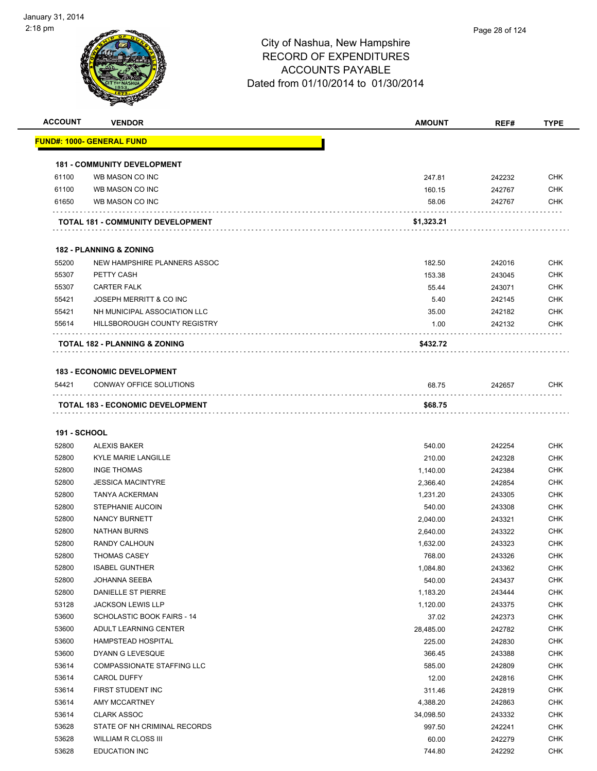| <b>ACCOUNT</b> | <b>VENDOR</b>                                                | <b>AMOUNT</b> | REF#   | <b>TYPE</b> |
|----------------|--------------------------------------------------------------|---------------|--------|-------------|
|                | <u> FUND#: 1000- GENERAL FUND</u>                            |               |        |             |
|                | <b>181 - COMMUNITY DEVELOPMENT</b>                           |               |        |             |
| 61100          | WB MASON CO INC                                              | 247.81        | 242232 | <b>CHK</b>  |
| 61100          | WB MASON CO INC                                              | 160.15        | 242767 | <b>CHK</b>  |
| 61650          | WB MASON CO INC                                              | 58.06         | 242767 | <b>CHK</b>  |
|                | TOTAL 181 - COMMUNITY DEVELOPMENT                            | \$1,323.21    |        |             |
|                |                                                              |               |        |             |
|                | <b>182 - PLANNING &amp; ZONING</b>                           |               |        |             |
| 55200          | NEW HAMPSHIRE PLANNERS ASSOC                                 | 182.50        | 242016 | <b>CHK</b>  |
| 55307          | PETTY CASH                                                   | 153.38        | 243045 | <b>CHK</b>  |
| 55307          | <b>CARTER FALK</b>                                           | 55.44         | 243071 | <b>CHK</b>  |
| 55421          | JOSEPH MERRITT & CO INC                                      | 5.40          | 242145 | <b>CHK</b>  |
| 55421          | NH MUNICIPAL ASSOCIATION LLC                                 | 35.00         | 242182 | <b>CHK</b>  |
| 55614          | HILLSBOROUGH COUNTY REGISTRY                                 | 1.00          | 242132 | CHK         |
|                | TOTAL 182 - PLANNING & ZONING                                | \$432.72      |        |             |
|                |                                                              |               |        |             |
| 54421          | <b>183 - ECONOMIC DEVELOPMENT</b><br>CONWAY OFFICE SOLUTIONS | 68.75         | 242657 | CHK         |
|                |                                                              |               |        |             |
|                | TOTAL 183 - ECONOMIC DEVELOPMENT                             | \$68.75       |        |             |
| 191 - SCHOOL   |                                                              |               |        |             |
| 52800          | <b>ALEXIS BAKER</b>                                          | 540.00        | 242254 | <b>CHK</b>  |
| 52800          | <b>KYLE MARIE LANGILLE</b>                                   | 210.00        | 242328 | <b>CHK</b>  |
| 52800          | <b>INGE THOMAS</b>                                           | 1,140.00      | 242384 | <b>CHK</b>  |
| 52800          | <b>JESSICA MACINTYRE</b>                                     | 2,366.40      | 242854 | <b>CHK</b>  |
| 52800          | <b>TANYA ACKERMAN</b>                                        | 1,231.20      | 243305 | <b>CHK</b>  |
| 52800          | STEPHANIE AUCOIN                                             | 540.00        | 243308 | <b>CHK</b>  |
| 52800          | NANCY BURNETT                                                | 2,040.00      | 243321 | <b>CHK</b>  |
| 52800          | <b>NATHAN BURNS</b>                                          | 2,640.00      | 243322 | <b>CHK</b>  |
| 52800          | RANDY CALHOUN                                                | 1,632.00      | 243323 | <b>CHK</b>  |
| 52800          | <b>THOMAS CASEY</b>                                          | 768.00        | 243326 | <b>CHK</b>  |
| 52800          | <b>ISABEL GUNTHER</b>                                        | 1,084.80      | 243362 | <b>CHK</b>  |
| 52800          | JOHANNA SEEBA                                                | 540.00        | 243437 | <b>CHK</b>  |
| 52800          | DANIELLE ST PIERRE                                           | 1,183.20      | 243444 | <b>CHK</b>  |
| 53128          | <b>JACKSON LEWIS LLP</b>                                     |               |        | <b>CHK</b>  |
| 53600          | SCHOLASTIC BOOK FAIRS - 14                                   | 1,120.00      | 243375 | <b>CHK</b>  |
|                |                                                              | 37.02         | 242373 |             |
| 53600          | ADULT LEARNING CENTER                                        | 28,485.00     | 242782 | <b>CHK</b>  |
| 53600          | <b>HAMPSTEAD HOSPITAL</b>                                    | 225.00        | 242830 | <b>CHK</b>  |
| 53600          | DYANN G LEVESQUE                                             | 366.45        | 243388 | <b>CHK</b>  |
| 53614          | COMPASSIONATE STAFFING LLC                                   | 585.00        | 242809 | <b>CHK</b>  |
| 53614          | <b>CAROL DUFFY</b>                                           | 12.00         | 242816 | <b>CHK</b>  |
| 53614          | FIRST STUDENT INC                                            | 311.46        | 242819 | <b>CHK</b>  |
| 53614          | AMY MCCARTNEY                                                | 4,388.20      | 242863 | <b>CHK</b>  |
| 53614          | <b>CLARK ASSOC</b>                                           | 34,098.50     | 243332 | <b>CHK</b>  |
| 53628          | STATE OF NH CRIMINAL RECORDS                                 | 997.50        | 242241 | <b>CHK</b>  |

 WILLIAM R CLOSS III 60.00 242279 CHK EDUCATION INC 744.80 242292 CHK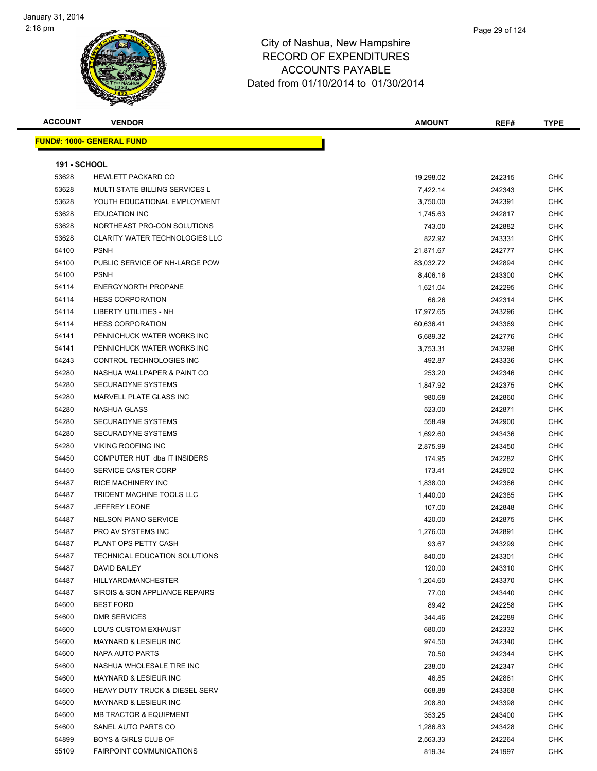

| <b>ACCOUNT</b>      | <b>VENDOR</b>                                         | <b>AMOUNT</b>    | REF#             | TYPE              |
|---------------------|-------------------------------------------------------|------------------|------------------|-------------------|
|                     | <u> FUND#: 1000- GENERAL FUND</u>                     |                  |                  |                   |
|                     |                                                       |                  |                  |                   |
| <b>191 - SCHOOL</b> |                                                       |                  |                  |                   |
| 53628               | <b>HEWLETT PACKARD CO</b>                             | 19,298.02        | 242315           | <b>CHK</b>        |
| 53628               | <b>MULTI STATE BILLING SERVICES L</b>                 | 7,422.14         | 242343           | <b>CHK</b>        |
| 53628               | YOUTH EDUCATIONAL EMPLOYMENT                          | 3,750.00         | 242391           | <b>CHK</b>        |
| 53628               | <b>EDUCATION INC</b>                                  | 1,745.63         | 242817           | CHK               |
| 53628               | NORTHEAST PRO-CON SOLUTIONS                           | 743.00           | 242882           | <b>CHK</b>        |
| 53628               | CLARITY WATER TECHNOLOGIES LLC                        | 822.92           | 243331           | <b>CHK</b>        |
| 54100               | <b>PSNH</b>                                           | 21,871.67        | 242777           | <b>CHK</b>        |
| 54100               | PUBLIC SERVICE OF NH-LARGE POW                        | 83,032.72        | 242894           | <b>CHK</b>        |
| 54100               | <b>PSNH</b>                                           | 8,406.16         | 243300           | <b>CHK</b>        |
| 54114               | <b>ENERGYNORTH PROPANE</b>                            | 1,621.04         | 242295           | <b>CHK</b>        |
| 54114               | <b>HESS CORPORATION</b>                               | 66.26            | 242314           | <b>CHK</b>        |
| 54114               | <b>LIBERTY UTILITIES - NH</b>                         | 17,972.65        | 243296           | <b>CHK</b>        |
| 54114               | <b>HESS CORPORATION</b>                               | 60,636.41        | 243369           | <b>CHK</b>        |
| 54141               | PENNICHUCK WATER WORKS INC                            | 6,689.32         | 242776           | <b>CHK</b>        |
| 54141               | PENNICHUCK WATER WORKS INC                            | 3,753.31         | 243298           | CHK               |
| 54243               | CONTROL TECHNOLOGIES INC                              | 492.87           | 243336           | CHK               |
| 54280               | NASHUA WALLPAPER & PAINT CO                           | 253.20           | 242346           | CHK               |
| 54280               | SECURADYNE SYSTEMS                                    | 1,847.92         | 242375           | <b>CHK</b>        |
| 54280               | MARVELL PLATE GLASS INC                               | 980.68           | 242860           | <b>CHK</b>        |
| 54280               | NASHUA GLASS                                          | 523.00           | 242871           | <b>CHK</b>        |
| 54280               | SECURADYNE SYSTEMS                                    | 558.49           | 242900           | CHK               |
| 54280               | SECURADYNE SYSTEMS                                    | 1,692.60         | 243436           | <b>CHK</b>        |
| 54280               | <b>VIKING ROOFING INC</b>                             | 2,875.99         | 243450           | <b>CHK</b>        |
| 54450               | COMPUTER HUT dba IT INSIDERS                          | 174.95           | 242282           | <b>CHK</b>        |
| 54450               | SERVICE CASTER CORP                                   | 173.41           | 242902           | <b>CHK</b>        |
| 54487               | RICE MACHINERY INC                                    | 1,838.00         | 242366           | CHK               |
| 54487               | TRIDENT MACHINE TOOLS LLC                             | 1,440.00         | 242385           | <b>CHK</b>        |
| 54487               | <b>JEFFREY LEONE</b>                                  | 107.00           | 242848           | <b>CHK</b>        |
| 54487               | <b>NELSON PIANO SERVICE</b>                           | 420.00           | 242875           | <b>CHK</b>        |
| 54487               | PRO AV SYSTEMS INC                                    | 1,276.00         | 242891           | <b>CHK</b>        |
| 54487               | PLANT OPS PETTY CASH                                  | 93.67            | 243299           | CHK               |
| 54487               | TECHNICAL EDUCATION SOLUTIONS                         | 840.00           | 243301           | <b>CHK</b>        |
| 54487               | <b>DAVID BAILEY</b>                                   | 120.00           | 243310           | <b>CHK</b>        |
| 54487               | HILLYARD/MANCHESTER<br>SIROIS & SON APPLIANCE REPAIRS | 1,204.60         | 243370           | <b>CHK</b>        |
| 54487               |                                                       | 77.00            | 243440           | <b>CHK</b>        |
| 54600<br>54600      | <b>BEST FORD</b><br><b>DMR SERVICES</b>               | 89.42            | 242258           | <b>CHK</b>        |
| 54600               | LOU'S CUSTOM EXHAUST                                  | 344.46<br>680.00 | 242289<br>242332 | CHK<br><b>CHK</b> |
| 54600               | MAYNARD & LESIEUR INC                                 | 974.50           | 242340           | CHK               |
| 54600               | NAPA AUTO PARTS                                       | 70.50            | 242344           | <b>CHK</b>        |
| 54600               | NASHUA WHOLESALE TIRE INC                             | 238.00           | 242347           | <b>CHK</b>        |
| 54600               | MAYNARD & LESIEUR INC                                 | 46.85            | 242861           | CHK               |
| 54600               | <b>HEAVY DUTY TRUCK &amp; DIESEL SERV</b>             | 668.88           | 243368           | <b>CHK</b>        |
| 54600               | <b>MAYNARD &amp; LESIEUR INC</b>                      | 208.80           | 243398           | <b>CHK</b>        |
| 54600               | <b>MB TRACTOR &amp; EQUIPMENT</b>                     | 353.25           | 243400           | <b>CHK</b>        |
| 54600               | SANEL AUTO PARTS CO                                   | 1,286.83         | 243428           | <b>CHK</b>        |
| 54899               | <b>BOYS &amp; GIRLS CLUB OF</b>                       | 2,563.33         | 242264           | CHK               |
| 55109               | FAIRPOINT COMMUNICATIONS                              | 819.34           | 241997           | <b>CHK</b>        |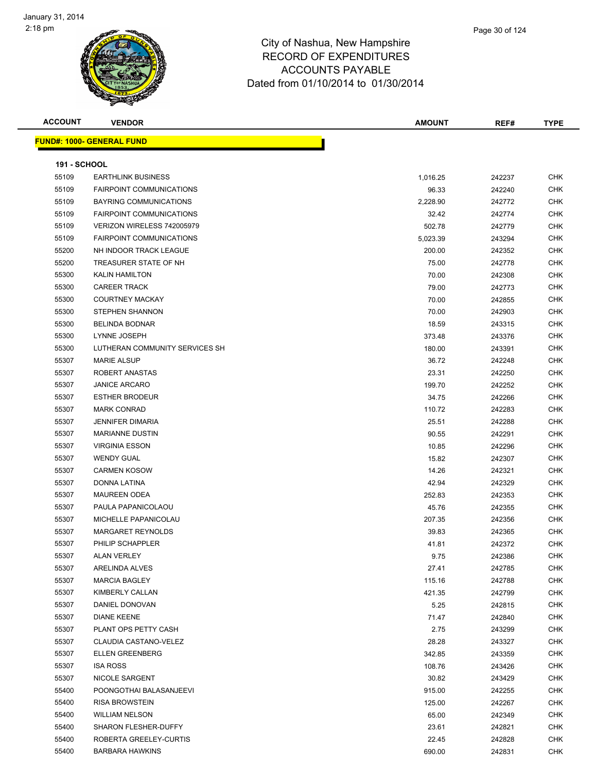| <b>ACCOUNT</b>      | <b>VENDOR</b>                     | <b>AMOUNT</b> | REF#   | <b>TYPE</b> |
|---------------------|-----------------------------------|---------------|--------|-------------|
|                     | <u> FUND#: 1000- GENERAL FUND</u> |               |        |             |
|                     |                                   |               |        |             |
| <b>191 - SCHOOL</b> |                                   |               |        |             |
| 55109               | <b>EARTHLINK BUSINESS</b>         | 1,016.25      | 242237 | <b>CHK</b>  |
| 55109               | <b>FAIRPOINT COMMUNICATIONS</b>   | 96.33         | 242240 | <b>CHK</b>  |
| 55109               | BAYRING COMMUNICATIONS            | 2,228.90      | 242772 | <b>CHK</b>  |
| 55109               | <b>FAIRPOINT COMMUNICATIONS</b>   | 32.42         | 242774 | CHK         |
| 55109               | VERIZON WIRELESS 742005979        | 502.78        | 242779 | <b>CHK</b>  |
| 55109               | <b>FAIRPOINT COMMUNICATIONS</b>   | 5,023.39      | 243294 | <b>CHK</b>  |
| 55200               | NH INDOOR TRACK LEAGUE            | 200.00        | 242352 | <b>CHK</b>  |
| 55200               | TREASURER STATE OF NH             | 75.00         | 242778 | <b>CHK</b>  |
| 55300               | <b>KALIN HAMILTON</b>             | 70.00         | 242308 | <b>CHK</b>  |
| 55300               | <b>CAREER TRACK</b>               | 79.00         | 242773 | <b>CHK</b>  |
| 55300               | <b>COURTNEY MACKAY</b>            | 70.00         | 242855 | CHK         |
| 55300               | <b>STEPHEN SHANNON</b>            | 70.00         | 242903 | <b>CHK</b>  |
| 55300               | <b>BELINDA BODNAR</b>             | 18.59         | 243315 | <b>CHK</b>  |
| 55300               | LYNNE JOSEPH                      | 373.48        | 243376 | <b>CHK</b>  |
| 55300               | LUTHERAN COMMUNITY SERVICES SH    | 180.00        | 243391 | <b>CHK</b>  |
| 55307               | <b>MARIE ALSUP</b>                | 36.72         | 242248 | <b>CHK</b>  |
| 55307               | ROBERT ANASTAS                    | 23.31         | 242250 | <b>CHK</b>  |
| 55307               | <b>JANICE ARCARO</b>              | 199.70        | 242252 | <b>CHK</b>  |
| 55307               | <b>ESTHER BRODEUR</b>             | 34.75         | 242266 | CHK         |
| 55307               | <b>MARK CONRAD</b>                | 110.72        | 242283 | <b>CHK</b>  |
| 55307               | <b>JENNIFER DIMARIA</b>           | 25.51         | 242288 | <b>CHK</b>  |
| 55307               | <b>MARIANNE DUSTIN</b>            | 90.55         | 242291 | <b>CHK</b>  |
| 55307               | <b>VIRGINIA ESSON</b>             | 10.85         | 242296 | <b>CHK</b>  |
| 55307               | <b>WENDY GUAL</b>                 | 15.82         | 242307 | <b>CHK</b>  |
| 55307               | <b>CARMEN KOSOW</b>               | 14.26         | 242321 | <b>CHK</b>  |
| 55307               | DONNA LATINA                      | 42.94         | 242329 | <b>CHK</b>  |
| 55307               | <b>MAUREEN ODEA</b>               | 252.83        | 242353 | <b>CHK</b>  |
| 55307               | PAULA PAPANICOLAOU                | 45.76         | 242355 | <b>CHK</b>  |
| 55307               | MICHELLE PAPANICOLAU              | 207.35        | 242356 | <b>CHK</b>  |
| 55307               | MARGARET REYNOLDS                 | 39.83         | 242365 | <b>CHK</b>  |
| 55307               | PHILIP SCHAPPLER                  | 41.81         | 242372 | <b>CHK</b>  |
| 55307               | <b>ALAN VERLEY</b>                | 9.75          | 242386 | <b>CHK</b>  |
| 55307               | ARELINDA ALVES                    | 27.41         | 242785 | <b>CHK</b>  |
| 55307               | <b>MARCIA BAGLEY</b>              | 115.16        | 242788 | <b>CHK</b>  |
| 55307               | KIMBERLY CALLAN                   | 421.35        | 242799 | <b>CHK</b>  |
| 55307               | DANIEL DONOVAN                    | 5.25          | 242815 | <b>CHK</b>  |
| 55307               | <b>DIANE KEENE</b>                | 71.47         | 242840 | <b>CHK</b>  |
| 55307               | PLANT OPS PETTY CASH              | 2.75          | 243299 | <b>CHK</b>  |
| 55307               | CLAUDIA CASTANO-VELEZ             | 28.28         | 243327 | <b>CHK</b>  |
| 55307               | <b>ELLEN GREENBERG</b>            | 342.85        | 243359 | <b>CHK</b>  |
| 55307               | <b>ISA ROSS</b>                   | 108.76        | 243426 | <b>CHK</b>  |
| 55307               | NICOLE SARGENT                    | 30.82         | 243429 | <b>CHK</b>  |
| 55400               | POONGOTHAI BALASANJEEVI           | 915.00        | 242255 | <b>CHK</b>  |
| 55400               | <b>RISA BROWSTEIN</b>             | 125.00        | 242267 | CHK         |
| 55400               | <b>WILLIAM NELSON</b>             | 65.00         | 242349 | <b>CHK</b>  |
| 55400               | SHARON FLESHER-DUFFY              | 23.61         | 242821 | CHK         |
| 55400               | ROBERTA GREELEY-CURTIS            | 22.45         | 242828 | CHK         |
| 55400               | <b>BARBARA HAWKINS</b>            | 690.00        | 242831 | <b>CHK</b>  |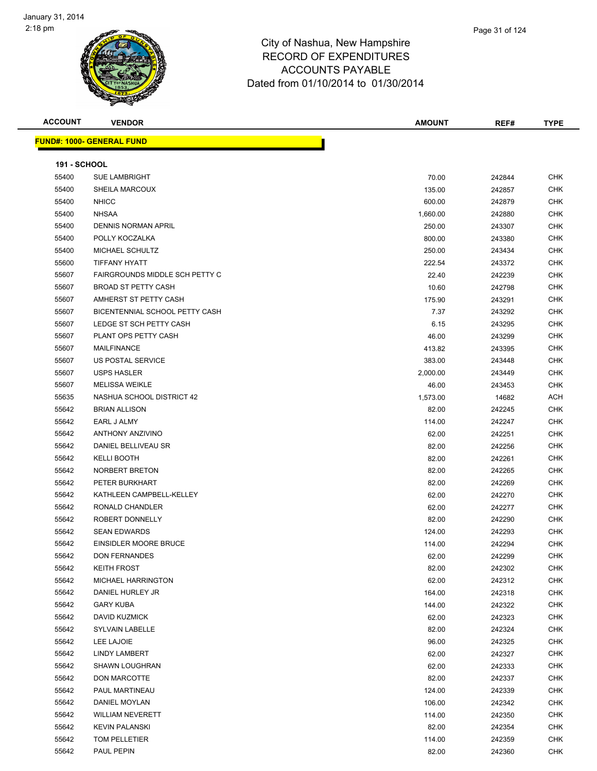

| <b>ACCOUNT</b>      | <b>VENDOR</b>                     | <b>AMOUNT</b> | REF#   | <b>TYPE</b> |
|---------------------|-----------------------------------|---------------|--------|-------------|
|                     | <u> FUND#: 1000- GENERAL FUND</u> |               |        |             |
|                     |                                   |               |        |             |
| <b>191 - SCHOOL</b> |                                   |               |        |             |
| 55400               | <b>SUE LAMBRIGHT</b>              | 70.00         | 242844 | <b>CHK</b>  |
| 55400               | SHEILA MARCOUX                    | 135.00        | 242857 | <b>CHK</b>  |
| 55400               | <b>NHICC</b>                      | 600.00        | 242879 | <b>CHK</b>  |
| 55400               | <b>NHSAA</b>                      | 1,660.00      | 242880 | <b>CHK</b>  |
| 55400               | <b>DENNIS NORMAN APRIL</b>        | 250.00        | 243307 | <b>CHK</b>  |
| 55400               | POLLY KOCZALKA                    | 800.00        | 243380 | <b>CHK</b>  |
| 55400               | MICHAEL SCHULTZ                   | 250.00        | 243434 | <b>CHK</b>  |
| 55600               | <b>TIFFANY HYATT</b>              | 222.54        | 243372 | <b>CHK</b>  |
| 55607               | FAIRGROUNDS MIDDLE SCH PETTY C    | 22.40         | 242239 | <b>CHK</b>  |
| 55607               | <b>BROAD ST PETTY CASH</b>        | 10.60         | 242798 | <b>CHK</b>  |
| 55607               | AMHERST ST PETTY CASH             | 175.90        | 243291 | <b>CHK</b>  |
| 55607               | BICENTENNIAL SCHOOL PETTY CASH    | 7.37          | 243292 | <b>CHK</b>  |
| 55607               | LEDGE ST SCH PETTY CASH           | 6.15          | 243295 | <b>CHK</b>  |
| 55607               | PLANT OPS PETTY CASH              | 46.00         | 243299 | <b>CHK</b>  |
| 55607               | MAILFINANCE                       | 413.82        | 243395 | <b>CHK</b>  |
| 55607               | <b>US POSTAL SERVICE</b>          | 383.00        | 243448 | <b>CHK</b>  |
| 55607               | <b>USPS HASLER</b>                | 2,000.00      | 243449 | <b>CHK</b>  |
| 55607               | <b>MELISSA WEIKLE</b>             | 46.00         | 243453 | <b>CHK</b>  |
| 55635               | NASHUA SCHOOL DISTRICT 42         | 1,573.00      | 14682  | ACH         |
| 55642               | <b>BRIAN ALLISON</b>              | 82.00         | 242245 | <b>CHK</b>  |
| 55642               | EARL J ALMY                       | 114.00        | 242247 | <b>CHK</b>  |
| 55642               | <b>ANTHONY ANZIVINO</b>           | 62.00         | 242251 | <b>CHK</b>  |
| 55642               | DANIEL BELLIVEAU SR               | 82.00         | 242256 | <b>CHK</b>  |
| 55642               | <b>KELLI BOOTH</b>                | 82.00         | 242261 | <b>CHK</b>  |
| 55642               | NORBERT BRETON                    | 82.00         | 242265 | <b>CHK</b>  |
| 55642               | PETER BURKHART                    | 82.00         | 242269 | CHK         |
| 55642               | KATHLEEN CAMPBELL-KELLEY          | 62.00         | 242270 | <b>CHK</b>  |
| 55642               | RONALD CHANDLER                   | 62.00         | 242277 | <b>CHK</b>  |
| 55642               | ROBERT DONNELLY                   | 82.00         | 242290 | <b>CHK</b>  |
| 55642               | <b>SEAN EDWARDS</b>               | 124.00        | 242293 | <b>CHK</b>  |
| 55642               | EINSIDLER MOORE BRUCE             | 114.00        | 242294 | <b>CHK</b>  |
| 55642               | <b>DON FERNANDES</b>              | 62.00         | 242299 | <b>CHK</b>  |
| 55642               | <b>KEITH FROST</b>                | 82.00         | 242302 | <b>CHK</b>  |
| 55642               | MICHAEL HARRINGTON                | 62.00         | 242312 | <b>CHK</b>  |
| 55642               | DANIEL HURLEY JR                  | 164.00        | 242318 | <b>CHK</b>  |
| 55642               | <b>GARY KUBA</b>                  | 144.00        | 242322 | <b>CHK</b>  |
| 55642               | DAVID KUZMICK                     | 62.00         | 242323 | <b>CHK</b>  |
| 55642               | <b>SYLVAIN LABELLE</b>            | 82.00         | 242324 | <b>CHK</b>  |
| 55642               | LEE LAJOIE                        | 96.00         | 242325 | <b>CHK</b>  |
| 55642               | <b>LINDY LAMBERT</b>              | 62.00         | 242327 | <b>CHK</b>  |
| 55642               | <b>SHAWN LOUGHRAN</b>             | 62.00         | 242333 | <b>CHK</b>  |
| 55642               | <b>DON MARCOTTE</b>               | 82.00         | 242337 | <b>CHK</b>  |
| 55642               | PAUL MARTINEAU                    | 124.00        | 242339 | <b>CHK</b>  |
| 55642               | DANIEL MOYLAN                     | 106.00        | 242342 | <b>CHK</b>  |
| 55642               | <b>WILLIAM NEVERETT</b>           | 114.00        | 242350 | <b>CHK</b>  |
| 55642               | <b>KEVIN PALANSKI</b>             | 82.00         | 242354 | CHK         |
| 55642               | TOM PELLETIER                     | 114.00        | 242359 | CHK         |
| 55642               | PAUL PEPIN                        | 82.00         | 242360 | <b>CHK</b>  |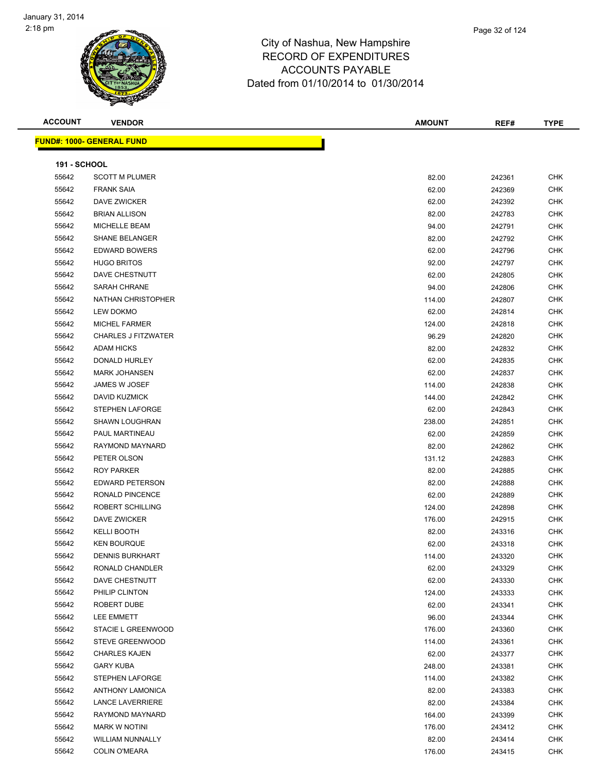

|                | Page 32 of 124 |
|----------------|----------------|
| oshire         |                |
| $I^{\text{D}}$ |                |

**ACCOUNT VENDOR AMOUNT REF# TYPE FUND#: 1000- GENERAL FUND 191 - SCHOOL** SCOTT M PLUMER 82.00 242361 CHK FRANK SAIA 62.00 242369 CHK DAVE ZWICKER 62.00 242392 CHK BRIAN ALLISON 82.00 242783 CHK MICHELLE BEAM 94.00 242791 CHK SHANE BELANGER 82.00 242792 CHK

| 5504Z | SHAINE BELAINGER           | 82.00  | 242792 | UMN        |
|-------|----------------------------|--------|--------|------------|
| 55642 | <b>EDWARD BOWERS</b>       | 62.00  | 242796 | <b>CHK</b> |
| 55642 | <b>HUGO BRITOS</b>         | 92.00  | 242797 | <b>CHK</b> |
| 55642 | DAVE CHESTNUTT             | 62.00  | 242805 | CHK        |
| 55642 | SARAH CHRANE               | 94.00  | 242806 | <b>CHK</b> |
| 55642 | NATHAN CHRISTOPHER         | 114.00 | 242807 | <b>CHK</b> |
| 55642 | <b>LEW DOKMO</b>           | 62.00  | 242814 | <b>CHK</b> |
| 55642 | <b>MICHEL FARMER</b>       | 124.00 | 242818 | <b>CHK</b> |
| 55642 | <b>CHARLES J FITZWATER</b> | 96.29  | 242820 | <b>CHK</b> |
| 55642 | <b>ADAM HICKS</b>          | 82.00  | 242832 | <b>CHK</b> |
| 55642 | DONALD HURLEY              | 62.00  | 242835 | CHK        |
| 55642 | <b>MARK JOHANSEN</b>       | 62.00  | 242837 | <b>CHK</b> |
| 55642 | JAMES W JOSEF              | 114.00 | 242838 | <b>CHK</b> |
| 55642 | <b>DAVID KUZMICK</b>       | 144.00 | 242842 | <b>CHK</b> |
| 55642 | STEPHEN LAFORGE            | 62.00  | 242843 | <b>CHK</b> |
| 55642 | SHAWN LOUGHRAN             | 238.00 | 242851 | <b>CHK</b> |
| 55642 | PAUL MARTINEAU             | 62.00  | 242859 | <b>CHK</b> |
| 55642 | RAYMOND MAYNARD            | 82.00  | 242862 | <b>CHK</b> |
| 55642 | PETER OLSON                | 131.12 | 242883 | <b>CHK</b> |
| 55642 | <b>ROY PARKER</b>          | 82.00  | 242885 | <b>CHK</b> |
| 55642 | <b>EDWARD PETERSON</b>     | 82.00  | 242888 | <b>CHK</b> |
| 55642 | RONALD PINCENCE            | 62.00  | 242889 | <b>CHK</b> |
| 55642 | ROBERT SCHILLING           | 124.00 | 242898 | <b>CHK</b> |
| 55642 | DAVE ZWICKER               | 176.00 | 242915 | <b>CHK</b> |
| 55642 | <b>KELLI BOOTH</b>         | 82.00  | 243316 | <b>CHK</b> |
| 55642 | <b>KEN BOURQUE</b>         | 62.00  | 243318 | <b>CHK</b> |
| 55642 | <b>DENNIS BURKHART</b>     | 114.00 | 243320 | <b>CHK</b> |
| 55642 | RONALD CHANDLER            | 62.00  | 243329 | <b>CHK</b> |
| 55642 | DAVE CHESTNUTT             | 62.00  | 243330 | <b>CHK</b> |
| 55642 | PHILIP CLINTON             | 124.00 | 243333 | CHK        |
| 55642 | ROBERT DUBE                | 62.00  | 243341 | <b>CHK</b> |
| 55642 | <b>LEE EMMETT</b>          | 96.00  | 243344 | <b>CHK</b> |
| 55642 | STACIE L GREENWOOD         | 176.00 | 243360 | <b>CHK</b> |
| 55642 | STEVE GREENWOOD            | 114.00 | 243361 | <b>CHK</b> |
| 55642 | <b>CHARLES KAJEN</b>       | 62.00  | 243377 | <b>CHK</b> |
| 55642 | <b>GARY KUBA</b>           | 248.00 | 243381 | <b>CHK</b> |
| 55642 | STEPHEN LAFORGE            | 114.00 | 243382 | <b>CHK</b> |
| 55642 | <b>ANTHONY LAMONICA</b>    | 82.00  | 243383 | <b>CHK</b> |
| 55642 | <b>LANCE LAVERRIERE</b>    | 82.00  | 243384 | <b>CHK</b> |
| 55642 | RAYMOND MAYNARD            | 164.00 | 243399 | <b>CHK</b> |
| 55642 | <b>MARK W NOTINI</b>       | 176.00 | 243412 | <b>CHK</b> |
| 55642 | <b>WILLIAM NUNNALLY</b>    | 82.00  | 243414 | <b>CHK</b> |

COLIN O'MEARA 176.00 243415 CHK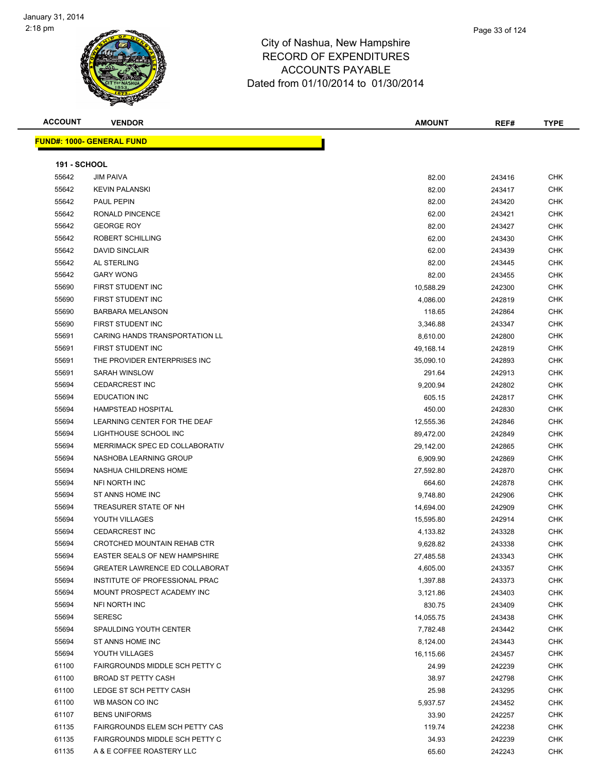

| npshire      |  |  |
|--------------|--|--|
| <b>TURES</b> |  |  |

Page 33 of 124

|  |  |  | . |  |
|--|--|--|---|--|
|  |  |  |   |  |
|  |  |  |   |  |
|  |  |  |   |  |

|                     | s<br>$\tilde{\phantom{a}}$            |               |        |             |
|---------------------|---------------------------------------|---------------|--------|-------------|
| <b>ACCOUNT</b>      | <b>VENDOR</b>                         | <b>AMOUNT</b> | REF#   | <b>TYPE</b> |
|                     | <b>FUND#: 1000- GENERAL FUND</b>      |               |        |             |
| <b>191 - SCHOOL</b> |                                       |               |        |             |
| 55642               | <b>JIM PAIVA</b>                      | 82.00         | 243416 | <b>CHK</b>  |
| 55642               | <b>KEVIN PALANSKI</b>                 | 82.00         | 243417 | <b>CHK</b>  |
| 55642               | PAUL PEPIN                            | 82.00         | 243420 | <b>CHK</b>  |
| 55642               | <b>RONALD PINCENCE</b>                | 62.00         | 243421 | <b>CHK</b>  |
| 55642               | <b>GEORGE ROY</b>                     | 82.00         | 243427 | <b>CHK</b>  |
| 55642               | ROBERT SCHILLING                      | 62.00         | 243430 | <b>CHK</b>  |
| 55642               | <b>DAVID SINCLAIR</b>                 | 62.00         | 243439 | <b>CHK</b>  |
| 55642               | AL STERLING                           | 82.00         | 243445 | <b>CHK</b>  |
| 55642               | <b>GARY WONG</b>                      | 82.00         | 243455 | <b>CHK</b>  |
| 55690               | FIRST STUDENT INC                     | 10,588.29     | 242300 | <b>CHK</b>  |
| 55690               | FIRST STUDENT INC                     | 4,086.00      | 242819 | <b>CHK</b>  |
| 55690               | <b>BARBARA MELANSON</b>               | 118.65        | 242864 | <b>CHK</b>  |
| 55690               | FIRST STUDENT INC                     | 3,346.88      | 243347 | <b>CHK</b>  |
| 55691               | <b>CARING HANDS TRANSPORTATION LL</b> | 8,610.00      | 242800 | <b>CHK</b>  |
| 55691               | FIRST STUDENT INC                     | 49,168.14     | 242819 | <b>CHK</b>  |
| 55691               | THE PROVIDER ENTERPRISES INC          | 35,090.10     | 242893 | <b>CHK</b>  |
| 55691               | <b>SARAH WINSLOW</b>                  | 291.64        | 242913 | <b>CHK</b>  |
| 55694               | <b>CEDARCREST INC</b>                 | 9,200.94      | 242802 | <b>CHK</b>  |
| 55694               | <b>EDUCATION INC</b>                  | 605.15        | 242817 | <b>CHK</b>  |
| 55694               | HAMPSTEAD HOSPITAL                    | 450.00        | 242830 | <b>CHK</b>  |
| 55694               | LEARNING CENTER FOR THE DEAF          | 12,555.36     | 242846 | <b>CHK</b>  |
| 55694               | LIGHTHOUSE SCHOOL INC                 | 89,472.00     | 242849 | <b>CHK</b>  |
| 55694               | MERRIMACK SPEC ED COLLABORATIV        | 29,142.00     | 242865 | <b>CHK</b>  |
| 55694               | NASHOBA LEARNING GROUP                | 6,909.90      | 242869 | <b>CHK</b>  |
|                     |                                       |               |        |             |

| 55694 | <b>HAMPSTEAD HOSPITAL</b>            | 450.00    | 242830 | CHK        |
|-------|--------------------------------------|-----------|--------|------------|
| 55694 | LEARNING CENTER FOR THE DEAF         | 12,555.36 | 242846 | CHK        |
| 55694 | LIGHTHOUSE SCHOOL INC                | 89,472.00 | 242849 | CHK        |
| 55694 | MERRIMACK SPEC ED COLLABORATIV       | 29,142.00 | 242865 | <b>CHK</b> |
| 55694 | NASHOBA LEARNING GROUP               | 6,909.90  | 242869 | CHK        |
| 55694 | NASHUA CHILDRENS HOME                | 27,592.80 | 242870 | <b>CHK</b> |
| 55694 | NFI NORTH INC                        | 664.60    | 242878 | <b>CHK</b> |
| 55694 | ST ANNS HOME INC                     | 9,748.80  | 242906 | <b>CHK</b> |
| 55694 | TREASURER STATE OF NH                | 14,694.00 | 242909 | CHK        |
| 55694 | YOUTH VILLAGES                       | 15,595.80 | 242914 | <b>CHK</b> |
| 55694 | <b>CEDARCREST INC</b>                | 4,133.82  | 243328 | <b>CHK</b> |
| 55694 | CROTCHED MOUNTAIN REHAB CTR          | 9,628.82  | 243338 | CHK        |
| 55694 | <b>EASTER SEALS OF NEW HAMPSHIRE</b> | 27,485.58 | 243343 | CHK        |
| 55694 | GREATER LAWRENCE ED COLLABORAT       | 4,605.00  | 243357 | CHK        |
| 55694 | INSTITUTE OF PROFESSIONAL PRAC       | 1,397.88  | 243373 | CHK        |
| 55694 | MOUNT PROSPECT ACADEMY INC           | 3,121.86  | 243403 | CHK        |
| 55694 | NFI NORTH INC                        | 830.75    | 243409 | <b>CHK</b> |
| 55694 | <b>SERESC</b>                        | 14,055.75 | 243438 | <b>CHK</b> |
| 55694 | SPAULDING YOUTH CENTER               | 7,782.48  | 243442 | CHK        |
| 55694 | ST ANNS HOME INC                     | 8,124.00  | 243443 | CHK        |
| 55694 | YOUTH VILLAGES                       | 16,115.66 | 243457 | <b>CHK</b> |
| 61100 | FAIRGROUNDS MIDDLE SCH PETTY C       | 24.99     | 242239 | CHK        |
| 61100 | <b>BROAD ST PETTY CASH</b>           | 38.97     | 242798 | <b>CHK</b> |
| 61100 | LEDGE ST SCH PETTY CASH              | 25.98     | 243295 | CHK        |
| 61100 | WB MASON CO INC                      | 5,937.57  | 243452 | <b>CHK</b> |
| 61107 | <b>BENS UNIFORMS</b>                 | 33.90     | 242257 | <b>CHK</b> |
| 61135 | FAIRGROUNDS ELEM SCH PETTY CAS       | 119.74    | 242238 | CHK        |
| 61135 | FAIRGROUNDS MIDDLE SCH PETTY C       | 34.93     | 242239 | <b>CHK</b> |
| 61135 | A & E COFFEE ROASTERY LLC            | 65.60     | 242243 | CHK        |
|       |                                      |           |        |            |
|       |                                      |           |        |            |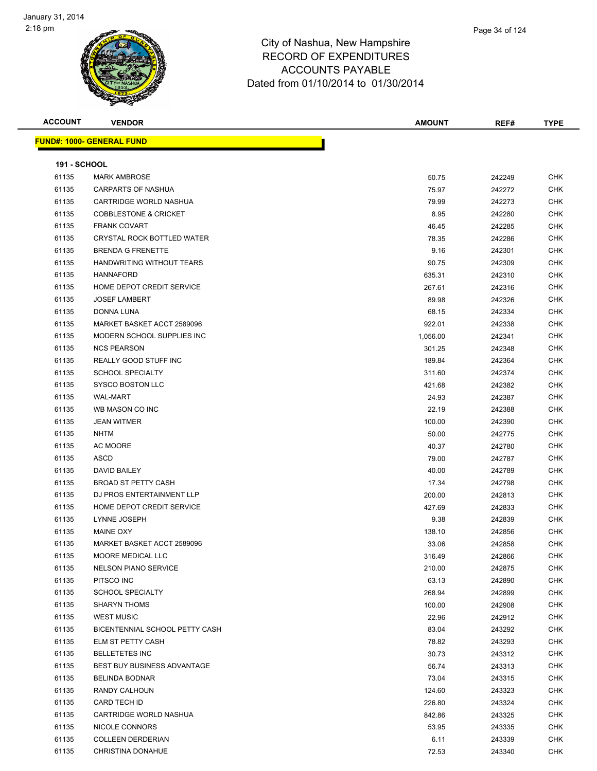

| <b>ACCOUNT</b>      | <b>VENDOR</b>                      | <b>AMOUNT</b> | REF#   | <b>TYPE</b> |
|---------------------|------------------------------------|---------------|--------|-------------|
|                     | <b>FUND#: 1000- GENERAL FUND</b>   |               |        |             |
|                     |                                    |               |        |             |
| <b>191 - SCHOOL</b> |                                    |               |        |             |
| 61135               | <b>MARK AMBROSE</b>                | 50.75         | 242249 | <b>CHK</b>  |
| 61135               | CARPARTS OF NASHUA                 | 75.97         | 242272 | <b>CHK</b>  |
| 61135               | CARTRIDGE WORLD NASHUA             | 79.99         | 242273 | <b>CHK</b>  |
| 61135               | <b>COBBLESTONE &amp; CRICKET</b>   | 8.95          | 242280 | <b>CHK</b>  |
| 61135               | <b>FRANK COVART</b>                | 46.45         | 242285 | <b>CHK</b>  |
| 61135               | <b>CRYSTAL ROCK BOTTLED WATER</b>  | 78.35         | 242286 | <b>CHK</b>  |
| 61135               | <b>BRENDA G FRENETTE</b>           | 9.16          | 242301 | <b>CHK</b>  |
| 61135               | HANDWRITING WITHOUT TEARS          | 90.75         | 242309 | <b>CHK</b>  |
| 61135               | <b>HANNAFORD</b>                   | 635.31        | 242310 | CHK         |
| 61135               | HOME DEPOT CREDIT SERVICE          | 267.61        | 242316 | <b>CHK</b>  |
| 61135               | <b>JOSEF LAMBERT</b>               | 89.98         | 242326 | <b>CHK</b>  |
| 61135               | DONNA LUNA                         | 68.15         | 242334 | <b>CHK</b>  |
| 61135               | MARKET BASKET ACCT 2589096         | 922.01        | 242338 | CHK         |
| 61135               | MODERN SCHOOL SUPPLIES INC         | 1,056.00      | 242341 | <b>CHK</b>  |
| 61135               | <b>NCS PEARSON</b>                 | 301.25        | 242348 | <b>CHK</b>  |
| 61135               | REALLY GOOD STUFF INC              | 189.84        | 242364 | CHK         |
| 61135               | <b>SCHOOL SPECIALTY</b>            | 311.60        | 242374 | CHK         |
| 61135               | SYSCO BOSTON LLC                   | 421.68        | 242382 | <b>CHK</b>  |
| 61135               | <b>WAL-MART</b>                    | 24.93         | 242387 | <b>CHK</b>  |
| 61135               | WB MASON CO INC                    | 22.19         | 242388 | <b>CHK</b>  |
| 61135               | <b>JEAN WITMER</b>                 | 100.00        | 242390 | <b>CHK</b>  |
| 61135               | <b>NHTM</b>                        | 50.00         | 242775 | <b>CHK</b>  |
| 61135               | AC MOORE                           | 40.37         | 242780 | <b>CHK</b>  |
| 61135               | ASCD                               | 79.00         | 242787 | <b>CHK</b>  |
| 61135               | DAVID BAILEY                       | 40.00         | 242789 | <b>CHK</b>  |
| 61135               | <b>BROAD ST PETTY CASH</b>         | 17.34         | 242798 | <b>CHK</b>  |
| 61135               | DJ PROS ENTERTAINMENT LLP          | 200.00        | 242813 | <b>CHK</b>  |
| 61135               | HOME DEPOT CREDIT SERVICE          | 427.69        | 242833 | <b>CHK</b>  |
| 61135               | LYNNE JOSEPH                       | 9.38          | 242839 | <b>CHK</b>  |
| 61135               | MAINE OXY                          | 138.10        | 242856 | CHK         |
| 61135               | MARKET BASKET ACCT 2589096         | 33.06         | 242858 | <b>CHK</b>  |
| 61135               | MOORE MEDICAL LLC                  | 316.49        | 242866 | <b>CHK</b>  |
| 61135               | <b>NELSON PIANO SERVICE</b>        | 210.00        | 242875 | CHK         |
| 61135               | PITSCO INC                         | 63.13         | 242890 | CHK         |
| 61135               | <b>SCHOOL SPECIALTY</b>            | 268.94        | 242899 | <b>CHK</b>  |
| 61135               | <b>SHARYN THOMS</b>                | 100.00        | 242908 | CHK         |
| 61135               | <b>WEST MUSIC</b>                  | 22.96         | 242912 | <b>CHK</b>  |
| 61135               | BICENTENNIAL SCHOOL PETTY CASH     | 83.04         | 243292 | CHK         |
| 61135               | ELM ST PETTY CASH                  | 78.82         | 243293 | CHK         |
| 61135               | <b>BELLETETES INC</b>              | 30.73         | 243312 | <b>CHK</b>  |
| 61135               | <b>BEST BUY BUSINESS ADVANTAGE</b> | 56.74         | 243313 | CHK         |
| 61135               | <b>BELINDA BODNAR</b>              | 73.04         | 243315 | CHK         |
| 61135               | RANDY CALHOUN                      | 124.60        | 243323 | CHK         |
| 61135               | CARD TECH ID                       | 226.80        | 243324 | CHK         |
| 61135               | CARTRIDGE WORLD NASHUA             | 842.86        | 243325 | CHK         |
| 61135               | NICOLE CONNORS                     | 53.95         | 243335 | CHK         |
| 61135               | <b>COLLEEN DERDERIAN</b>           | 6.11          | 243339 | CHK         |
| 61135               | CHRISTINA DONAHUE                  | 72.53         | 243340 | <b>CHK</b>  |
|                     |                                    |               |        |             |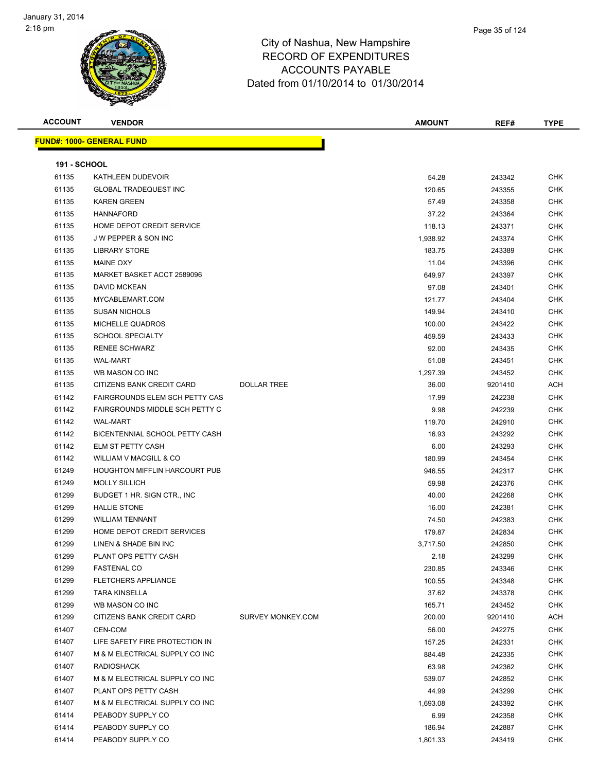

| <b>ACCOUNT</b>      | <b>VENDOR</b>                     |                    | <b>AMOUNT</b> | REF#    | <b>TYPE</b> |
|---------------------|-----------------------------------|--------------------|---------------|---------|-------------|
|                     | <u> FUND#: 1000- GENERAL FUND</u> |                    |               |         |             |
|                     |                                   |                    |               |         |             |
| <b>191 - SCHOOL</b> |                                   |                    |               |         |             |
| 61135               | KATHLEEN DUDEVOIR                 |                    | 54.28         | 243342  | <b>CHK</b>  |
| 61135               | <b>GLOBAL TRADEQUEST INC</b>      |                    | 120.65        | 243355  | CHK         |
| 61135               | <b>KAREN GREEN</b>                |                    | 57.49         | 243358  | CHK         |
| 61135               | <b>HANNAFORD</b>                  |                    | 37.22         | 243364  | <b>CHK</b>  |
| 61135               | HOME DEPOT CREDIT SERVICE         |                    | 118.13        | 243371  | CHK         |
| 61135               | J W PEPPER & SON INC              |                    | 1,938.92      | 243374  | CHK         |
| 61135               | <b>LIBRARY STORE</b>              |                    | 183.75        | 243389  | CHK         |
| 61135               | <b>MAINE OXY</b>                  |                    | 11.04         | 243396  | <b>CHK</b>  |
| 61135               | MARKET BASKET ACCT 2589096        |                    | 649.97        | 243397  | <b>CHK</b>  |
| 61135               | DAVID MCKEAN                      |                    | 97.08         | 243401  | <b>CHK</b>  |
| 61135               | MYCABLEMART.COM                   |                    | 121.77        | 243404  | <b>CHK</b>  |
| 61135               | <b>SUSAN NICHOLS</b>              |                    | 149.94        | 243410  | CHK         |
| 61135               | MICHELLE QUADROS                  |                    | 100.00        | 243422  | <b>CHK</b>  |
| 61135               | <b>SCHOOL SPECIALTY</b>           |                    | 459.59        | 243433  | <b>CHK</b>  |
| 61135               | <b>RENEE SCHWARZ</b>              |                    | 92.00         | 243435  | <b>CHK</b>  |
| 61135               | <b>WAL-MART</b>                   |                    | 51.08         | 243451  | CHK         |
| 61135               | WB MASON CO INC                   |                    | 1,297.39      | 243452  | CHK         |
| 61135               | CITIZENS BANK CREDIT CARD         | <b>DOLLAR TREE</b> | 36.00         | 9201410 | ACH         |
| 61142               | FAIRGROUNDS ELEM SCH PETTY CAS    |                    | 17.99         | 242238  | <b>CHK</b>  |
| 61142               | FAIRGROUNDS MIDDLE SCH PETTY C    |                    | 9.98          | 242239  | <b>CHK</b>  |
| 61142               | <b>WAL-MART</b>                   |                    | 119.70        | 242910  | <b>CHK</b>  |
| 61142               | BICENTENNIAL SCHOOL PETTY CASH    |                    | 16.93         | 243292  | <b>CHK</b>  |
| 61142               | ELM ST PETTY CASH                 |                    | 6.00          | 243293  | CHK         |
| 61142               | WILLIAM V MACGILL & CO            |                    | 180.99        | 243454  | <b>CHK</b>  |
| 61249               | HOUGHTON MIFFLIN HARCOURT PUB     |                    | 946.55        | 242317  | <b>CHK</b>  |
| 61249               | <b>MOLLY SILLICH</b>              |                    | 59.98         | 242376  | <b>CHK</b>  |
| 61299               | BUDGET 1 HR. SIGN CTR., INC.      |                    | 40.00         | 242268  | CHK         |
| 61299               | <b>HALLIE STONE</b>               |                    | 16.00         | 242381  | CHK         |
| 61299               | <b>WILLIAM TENNANT</b>            |                    | 74.50         | 242383  | <b>CHK</b>  |
| 61299               | HOME DEPOT CREDIT SERVICES        |                    | 179.87        | 242834  | <b>CHK</b>  |
| 61299               | LINEN & SHADE BIN INC             |                    | 3,717.50      | 242850  | <b>CHK</b>  |
| 61299               | PLANT OPS PETTY CASH              |                    | 2.18          | 243299  | <b>CHK</b>  |
| 61299               | <b>FASTENAL CO</b>                |                    | 230.85        | 243346  | <b>CHK</b>  |
| 61299               | <b>FLETCHERS APPLIANCE</b>        |                    | 100.55        | 243348  | <b>CHK</b>  |
| 61299               | <b>TARA KINSELLA</b>              |                    | 37.62         | 243378  | <b>CHK</b>  |
| 61299               | WB MASON CO INC                   |                    | 165.71        | 243452  | <b>CHK</b>  |
| 61299               | CITIZENS BANK CREDIT CARD         | SURVEY MONKEY.COM  | 200.00        | 9201410 | ACH         |
| 61407               | CEN-COM                           |                    | 56.00         | 242275  | <b>CHK</b>  |
| 61407               | LIFE SAFETY FIRE PROTECTION IN    |                    | 157.25        | 242331  | <b>CHK</b>  |
| 61407               | M & M ELECTRICAL SUPPLY CO INC    |                    | 884.48        | 242335  | <b>CHK</b>  |
| 61407               | <b>RADIOSHACK</b>                 |                    | 63.98         | 242362  | <b>CHK</b>  |
| 61407               | M & M ELECTRICAL SUPPLY CO INC    |                    | 539.07        | 242852  | <b>CHK</b>  |
| 61407               | PLANT OPS PETTY CASH              |                    | 44.99         | 243299  | <b>CHK</b>  |
| 61407               | M & M ELECTRICAL SUPPLY CO INC    |                    | 1,693.08      | 243392  | <b>CHK</b>  |
| 61414               | PEABODY SUPPLY CO                 |                    | 6.99          | 242358  | <b>CHK</b>  |
| 61414               | PEABODY SUPPLY CO                 |                    | 186.94        | 242887  | <b>CHK</b>  |
| 61414               | PEABODY SUPPLY CO                 |                    | 1,801.33      | 243419  | <b>CHK</b>  |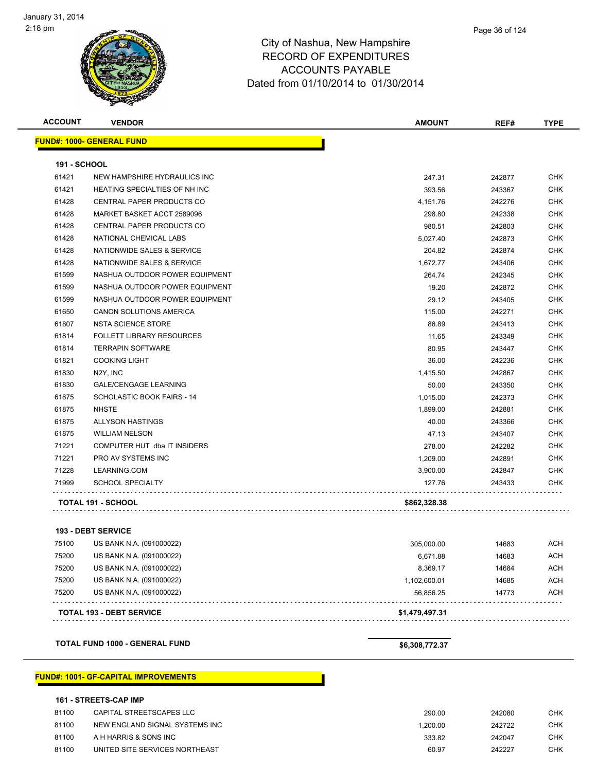

| <b>ACCOUNT</b>      | <b>VENDOR</b>                        | <b>AMOUNT</b> | REF#   | <b>TYPE</b>               |
|---------------------|--------------------------------------|---------------|--------|---------------------------|
|                     | <b>FUND#: 1000- GENERAL FUND</b>     |               |        |                           |
| <b>191 - SCHOOL</b> |                                      |               |        |                           |
| 61421               | NEW HAMPSHIRE HYDRAULICS INC         | 247.31        | 242877 | <b>CHK</b>                |
| 61421               | <b>HEATING SPECIALTIES OF NH INC</b> | 393.56        | 243367 | <b>CHK</b>                |
| 61428               | CENTRAL PAPER PRODUCTS CO            | 4,151.76      | 242276 | <b>CHK</b>                |
| 61428               | MARKET BASKET ACCT 2589096           | 298.80        | 242338 | <b>CHK</b>                |
| 61428               | CENTRAL PAPER PRODUCTS CO            | 980.51        | 242803 | <b>CHK</b>                |
| 61428               | NATIONAL CHEMICAL LABS               | 5,027.40      | 242873 | <b>CHK</b>                |
| 61428               | NATIONWIDE SALES & SERVICE           | 204.82        | 242874 | <b>CHK</b>                |
| 61428               | NATIONWIDE SALES & SERVICE           | 1,672.77      | 243406 | <b>CHK</b>                |
| 61599               | NASHUA OUTDOOR POWER EQUIPMENT       | 264.74        | 242345 | <b>CHK</b>                |
| 61599               | NASHUA OUTDOOR POWER EQUIPMENT       | 19.20         | 242872 | <b>CHK</b>                |
| 61599               | NASHUA OUTDOOR POWER EQUIPMENT       | 29.12         | 243405 | <b>CHK</b>                |
| 61650               | CANON SOLUTIONS AMERICA              | 115.00        | 242271 | <b>CHK</b>                |
| 61807               | <b>NSTA SCIENCE STORE</b>            | 86.89         | 243413 | <b>CHK</b>                |
| 61814               | <b>FOLLETT LIBRARY RESOURCES</b>     | 11.65         | 243349 | <b>CHK</b>                |
| 61814               | <b>TERRAPIN SOFTWARE</b>             | 80.95         | 243447 | <b>CHK</b>                |
| 61821               | <b>COOKING LIGHT</b>                 | 36.00         | 242236 | <b>CHK</b>                |
| 61830               | N <sub>2</sub> Y, INC                | 1,415.50      | 242867 | <b>CHK</b>                |
| 61830               | <b>GALE/CENGAGE LEARNING</b>         | 50.00         | 243350 | <b>CHK</b>                |
| 61875               | SCHOLASTIC BOOK FAIRS - 14           | 1,015.00      | 242373 | <b>CHK</b>                |
| 61875               | <b>NHSTE</b>                         | 1,899.00      | 242881 | <b>CHK</b>                |
| 61875               | <b>ALLYSON HASTINGS</b>              | 40.00         | 243366 | <b>CHK</b>                |
| 61875               | <b>WILLIAM NELSON</b>                | 47.13         | 243407 | <b>CHK</b>                |
| 71221               | COMPUTER HUT dba IT INSIDERS         | 278.00        | 242282 | <b>CHK</b>                |
| 71221               | PRO AV SYSTEMS INC                   | 1,209.00      | 242891 | <b>CHK</b>                |
| 71228               | LEARNING.COM                         | 3,900.00      | 242847 | <b>CHK</b>                |
| 71999               | <b>SCHOOL SPECIALTY</b>              | 127.76        | 243433 | <b>CHK</b>                |
|                     | TOTAL 191 - SCHOOL                   | \$862,328.38  |        |                           |
|                     | <b>193 - DEBT SERVICE</b>            |               |        |                           |
| 75100               | US BANK N.A. (091000022)             | 305,000.00    | 14683  | <b>ACH</b>                |
| 75000               | LIC DANILALA (004000000)             | 0.074.00      | 11000  | $\Lambda$ $\cap$ $\Gamma$ |

|       | <b>TOTAL 193 - DEBT SERVICE</b> | \$1,479,497.31 |       |            |
|-------|---------------------------------|----------------|-------|------------|
| 75200 | US BANK N.A. (091000022)        | 56.856.25      | 14773 | <b>ACH</b> |
| 75200 | US BANK N.A. (091000022)        | 1.102.600.01   | 14685 | <b>ACH</b> |
| 75200 | US BANK N.A. (091000022)        | 8.369.17       | 14684 | <b>ACH</b> |
| 75200 | US BANK N.A. (091000022)        | 6.671.88       | 14683 | <b>ACH</b> |
| 75100 | US BAINN N.A. (USTUUUUZZ)       | 305,000.00     | 14683 | ACH        |

**TOTAL FUND 1000 - GENERAL FUND \$6,308,772.37** 

#### **FUND#: 1001- GF-CAPITAL IMPROVEMENTS**

#### **161 - STREETS-CAP IMP**

| 81100 | CAPITAL STREETSCAPES LLC       | 290.00   | 242080 | <b>CHK</b> |
|-------|--------------------------------|----------|--------|------------|
| 81100 | NEW ENGLAND SIGNAL SYSTEMS INC | 1.200.00 | 242722 | <b>CHK</b> |
| 81100 | A H HARRIS & SONS INC          | 333.82   | 242047 | <b>CHK</b> |
| 81100 | UNITED SITE SERVICES NORTHEAST | 60.97    | 242227 | CHK        |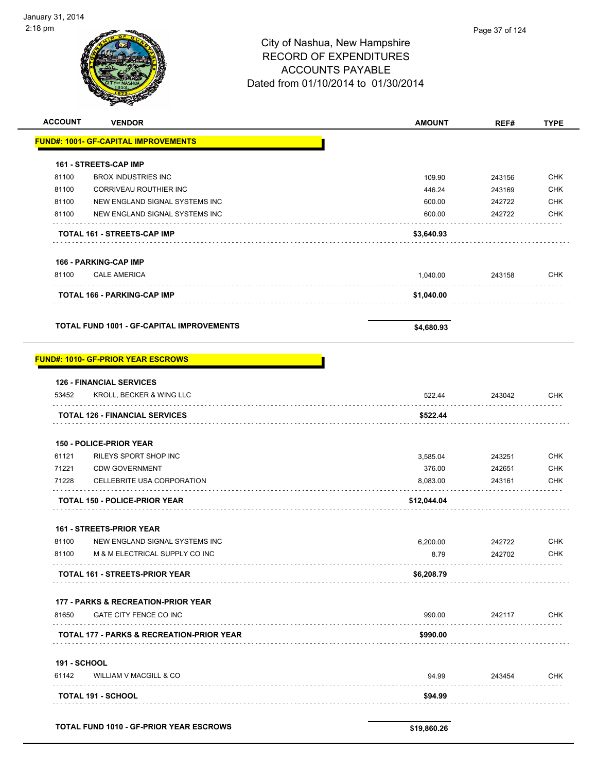| <b>ACCOUNT</b>      | <b>VENDOR</b>                                    | <b>AMOUNT</b> | REF#   | <b>TYPE</b> |
|---------------------|--------------------------------------------------|---------------|--------|-------------|
|                     | <b>FUND#: 1001- GF-CAPITAL IMPROVEMENTS</b>      |               |        |             |
|                     | 161 - STREETS-CAP IMP                            |               |        |             |
| 81100               | <b>BROX INDUSTRIES INC</b>                       | 109.90        | 243156 | <b>CHK</b>  |
| 81100               | CORRIVEAU ROUTHIER INC                           | 446.24        | 243169 | <b>CHK</b>  |
| 81100               | NEW ENGLAND SIGNAL SYSTEMS INC                   | 600.00        | 242722 | <b>CHK</b>  |
| 81100               | NEW ENGLAND SIGNAL SYSTEMS INC                   | 600.00        | 242722 | <b>CHK</b>  |
|                     | TOTAL 161 - STREETS-CAP IMP                      | \$3,640.93    |        |             |
|                     | <b>166 - PARKING-CAP IMP</b>                     |               |        |             |
| 81100               | <b>CALE AMERICA</b>                              | 1,040.00      | 243158 | <b>CHK</b>  |
|                     | <b>TOTAL 166 - PARKING-CAP IMP</b>               | \$1,040.00    |        |             |
|                     | <b>TOTAL FUND 1001 - GF-CAPITAL IMPROVEMENTS</b> | \$4,680.93    |        |             |
|                     | <b>FUND#: 1010- GF-PRIOR YEAR ESCROWS</b>        |               |        |             |
|                     | <b>126 - FINANCIAL SERVICES</b>                  |               |        |             |
| 53452               | KROLL, BECKER & WING LLC                         | 522.44        | 243042 | CHK         |
|                     | <b>TOTAL 126 - FINANCIAL SERVICES</b>            | \$522.44      |        |             |
|                     | <b>150 - POLICE-PRIOR YEAR</b>                   |               |        |             |
| 61121               | RILEYS SPORT SHOP INC                            | 3,585.04      | 243251 | <b>CHK</b>  |
| 71221               | <b>CDW GOVERNMENT</b>                            | 376.00        | 242651 | <b>CHK</b>  |
| 71228               | CELLEBRITE USA CORPORATION                       | 8,083.00      | 243161 | CHK         |
|                     | <b>TOTAL 150 - POLICE-PRIOR YEAR</b>             | \$12,044.04   |        |             |
|                     | <b>161 - STREETS-PRIOR YEAR</b>                  |               |        |             |
| 81100               | NEW ENGLAND SIGNAL SYSTEMS INC                   | 6,200.00      | 242722 | <b>CHK</b>  |
| 81100               | M & M ELECTRICAL SUPPLY CO INC                   | 8.79          | 242702 | <b>CHK</b>  |
|                     | <b>TOTAL 161 - STREETS-PRIOR YEAR</b>            | \$6,208.79    |        |             |
|                     | 177 - PARKS & RECREATION-PRIOR YEAR              |               |        |             |
| 81650               | GATE CITY FENCE CO INC                           | 990.00        | 242117 | <b>CHK</b>  |
|                     | TOTAL 177 - PARKS & RECREATION-PRIOR YEAR        | \$990.00      |        |             |
| <b>191 - SCHOOL</b> |                                                  |               |        |             |
| 61142               | WILLIAM V MACGILL & CO                           | 94.99         | 243454 | CHK         |
|                     | TOTAL 191 - SCHOOL                               | \$94.99       |        |             |
|                     |                                                  |               |        |             |
|                     | <b>TOTAL FUND 1010 - GF-PRIOR YEAR ESCROWS</b>   | \$19,860.26   |        |             |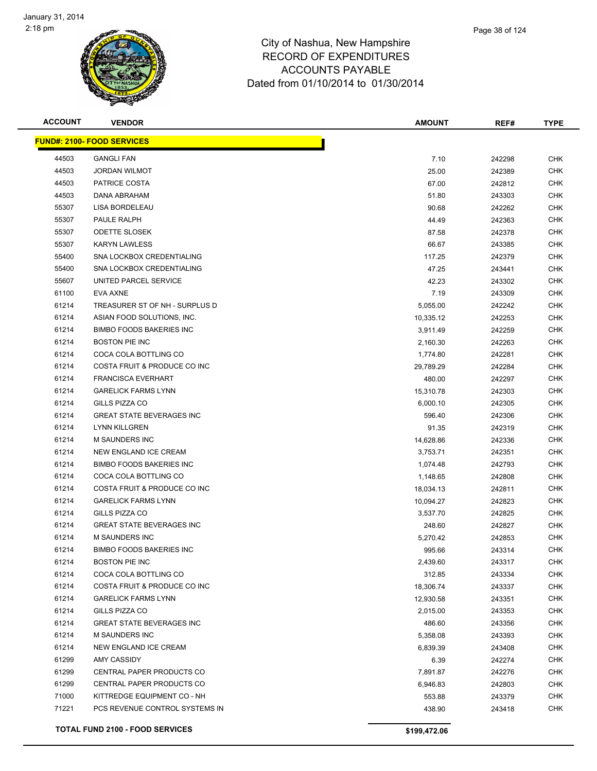

| Page 38 of 124 |
|----------------|
|                |

| <b>ACCOUNT</b> | <b>VENDOR</b>                          | <b>AMOUNT</b> | REF#   | <b>TYPE</b> |
|----------------|----------------------------------------|---------------|--------|-------------|
|                | <b>FUND#: 2100- FOOD SERVICES</b>      |               |        |             |
| 44503          | <b>GANGLI FAN</b>                      | 7.10          | 242298 | <b>CHK</b>  |
| 44503          | JORDAN WILMOT                          | 25.00         | 242389 | <b>CHK</b>  |
| 44503          | PATRICE COSTA                          | 67.00         | 242812 | <b>CHK</b>  |
| 44503          | DANA ABRAHAM                           | 51.80         | 243303 | <b>CHK</b>  |
| 55307          | LISA BORDELEAU                         | 90.68         | 242262 | <b>CHK</b>  |
| 55307          | PAULE RALPH                            | 44.49         | 242363 | <b>CHK</b>  |
| 55307          | <b>ODETTE SLOSEK</b>                   | 87.58         | 242378 | <b>CHK</b>  |
| 55307          | <b>KARYN LAWLESS</b>                   | 66.67         | 243385 | <b>CHK</b>  |
| 55400          | SNA LOCKBOX CREDENTIALING              | 117.25        | 242379 | <b>CHK</b>  |
| 55400          | SNA LOCKBOX CREDENTIALING              | 47.25         | 243441 | <b>CHK</b>  |
| 55607          | UNITED PARCEL SERVICE                  | 42.23         | 243302 | <b>CHK</b>  |
| 61100          | EVA AXNE                               | 7.19          | 243309 | CHK         |
| 61214          | TREASURER ST OF NH - SURPLUS D         | 5,055.00      | 242242 | CHK         |
| 61214          | ASIAN FOOD SOLUTIONS, INC.             | 10,335.12     | 242253 | <b>CHK</b>  |
| 61214          | <b>BIMBO FOODS BAKERIES INC</b>        | 3,911.49      | 242259 | <b>CHK</b>  |
| 61214          | <b>BOSTON PIE INC</b>                  | 2,160.30      | 242263 | <b>CHK</b>  |
| 61214          | COCA COLA BOTTLING CO                  | 1,774.80      | 242281 | <b>CHK</b>  |
| 61214          | COSTA FRUIT & PRODUCE CO INC           | 29,789.29     | 242284 | <b>CHK</b>  |
| 61214          | <b>FRANCISCA EVERHART</b>              | 480.00        | 242297 | <b>CHK</b>  |
| 61214          | <b>GARELICK FARMS LYNN</b>             | 15,310.78     | 242303 | <b>CHK</b>  |
| 61214          | GILLS PIZZA CO                         | 6,000.10      | 242305 | <b>CHK</b>  |
| 61214          | <b>GREAT STATE BEVERAGES INC</b>       | 596.40        | 242306 | <b>CHK</b>  |
| 61214          | <b>LYNN KILLGREN</b>                   | 91.35         | 242319 | <b>CHK</b>  |
| 61214          | M SAUNDERS INC                         | 14,628.86     | 242336 | <b>CHK</b>  |
| 61214          | NEW ENGLAND ICE CREAM                  | 3,753.71      | 242351 | <b>CHK</b>  |
| 61214          | <b>BIMBO FOODS BAKERIES INC</b>        | 1,074.48      | 242793 | <b>CHK</b>  |
| 61214          | COCA COLA BOTTLING CO                  | 1,148.65      | 242808 | <b>CHK</b>  |
| 61214          | COSTA FRUIT & PRODUCE CO INC           | 18,034.13     | 242811 | <b>CHK</b>  |
| 61214          | <b>GARELICK FARMS LYNN</b>             | 10,094.27     | 242823 | <b>CHK</b>  |
| 61214          | GILLS PIZZA CO                         | 3,537.70      | 242825 | <b>CHK</b>  |
| 61214          | <b>GREAT STATE BEVERAGES INC</b>       | 248.60        | 242827 | <b>CHK</b>  |
| 61214          | <b>M SAUNDERS INC</b>                  | 5,270.42      | 242853 | <b>CHK</b>  |
| 61214          | <b>BIMBO FOODS BAKERIES INC</b>        | 995.66        | 243314 | <b>CHK</b>  |
| 61214          | <b>BOSTON PIE INC</b>                  | 2,439.60      | 243317 | <b>CHK</b>  |
| 61214          | COCA COLA BOTTLING CO                  | 312.85        | 243334 | <b>CHK</b>  |
| 61214          | COSTA FRUIT & PRODUCE CO INC           | 18,306.74     | 243337 | <b>CHK</b>  |
| 61214          | <b>GARELICK FARMS LYNN</b>             | 12,930.58     | 243351 | <b>CHK</b>  |
| 61214          | GILLS PIZZA CO                         | 2,015.00      | 243353 | <b>CHK</b>  |
| 61214          | <b>GREAT STATE BEVERAGES INC</b>       | 486.60        | 243356 | CHK         |
| 61214          | M SAUNDERS INC                         | 5,358.08      | 243393 | <b>CHK</b>  |
| 61214          | <b>NEW ENGLAND ICE CREAM</b>           | 6,839.39      | 243408 | <b>CHK</b>  |
| 61299          | AMY CASSIDY                            | 6.39          | 242274 | <b>CHK</b>  |
| 61299          | CENTRAL PAPER PRODUCTS CO              | 7,891.87      | 242276 | <b>CHK</b>  |
| 61299          | CENTRAL PAPER PRODUCTS CO              | 6,946.83      | 242803 | CHK         |
| 71000          | KITTREDGE EQUIPMENT CO - NH            | 553.88        | 243379 | <b>CHK</b>  |
| 71221          | PCS REVENUE CONTROL SYSTEMS IN         | 438.90        | 243418 | <b>CHK</b>  |
|                | <b>TOTAL FUND 2100 - FOOD SERVICES</b> | \$199,472.06  |        |             |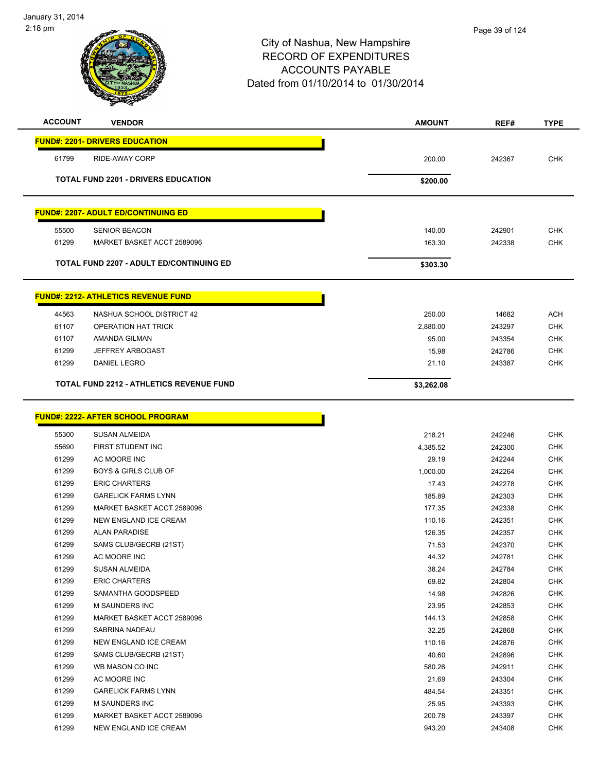

| <b>ACCOUNT</b> | <b>VENDOR</b>                                   | <b>AMOUNT</b> | REF#   | <b>TYPE</b> |
|----------------|-------------------------------------------------|---------------|--------|-------------|
|                | <b>FUND#: 2201- DRIVERS EDUCATION</b>           |               |        |             |
| 61799          | RIDE-AWAY CORP                                  | 200.00        | 242367 | <b>CHK</b>  |
|                | TOTAL FUND 2201 - DRIVERS EDUCATION             | \$200.00      |        |             |
|                | <b>FUND#: 2207- ADULT ED/CONTINUING ED</b>      |               |        |             |
| 55500          | <b>SENIOR BEACON</b>                            | 140.00        | 242901 | <b>CHK</b>  |
| 61299          | MARKET BASKET ACCT 2589096                      | 163.30        | 242338 | <b>CHK</b>  |
|                | <b>TOTAL FUND 2207 - ADULT ED/CONTINUING ED</b> | \$303.30      |        |             |
|                | <b>FUND#: 2212- ATHLETICS REVENUE FUND</b>      |               |        |             |
| 44563          | NASHUA SCHOOL DISTRICT 42                       | 250.00        | 14682  | <b>ACH</b>  |
| 61107          | <b>OPERATION HAT TRICK</b>                      | 2,880.00      | 243297 | <b>CHK</b>  |
| 61107          | AMANDA GILMAN                                   | 95.00         | 243354 | <b>CHK</b>  |
| 61299          | JEFFREY ARBOGAST                                | 15.98         | 242786 | <b>CHK</b>  |
| 61299          | DANIEL LEGRO                                    | 21.10         | 243387 | <b>CHK</b>  |
|                | <b>TOTAL FUND 2212 - ATHLETICS REVENUE FUND</b> | \$3,262.08    |        |             |
|                | <b>FUND#: 2222- AFTER SCHOOL PROGRAM</b>        |               |        |             |
| 55300          | <b>SUSAN ALMEIDA</b>                            | 218.21        | 242246 | <b>CHK</b>  |
| 55690          | FIRST STUDENT INC                               | 4,385.52      | 242300 | <b>CHK</b>  |
| 61299          | AC MOORE INC                                    | 29.19         | 242244 | <b>CHK</b>  |
| 61299          | <b>BOYS &amp; GIRLS CLUB OF</b>                 | 1,000.00      | 242264 | <b>CHK</b>  |
| 61299          | <b>ERIC CHARTERS</b>                            | 17.43         | 242278 | <b>CHK</b>  |
| 61299          | <b>GARELICK FARMS LYNN</b>                      | 185.89        | 242303 | <b>CHK</b>  |
| 61299          | MARKET BASKET ACCT 2589096                      | 177.35        | 242338 | <b>CHK</b>  |
| 61299          | NEW ENGLAND ICE CREAM                           | 110.16        | 242351 | <b>CHK</b>  |
| 61299          | <b>ALAN PARADISE</b>                            | 126.35        | 242357 | <b>CHK</b>  |
| 61299          | SAMS CLUB/GECRB (21ST)                          | 71.53         | 242370 | <b>CHK</b>  |
| 61299          | AC MOORE INC                                    | 44.32         | 242781 | <b>CHK</b>  |
| 61299          | <b>SUSAN ALMEIDA</b>                            | 38.24         | 242784 | <b>CHK</b>  |
| 61299          | <b>ERIC CHARTERS</b>                            | 69.82         | 242804 | <b>CHK</b>  |

| 61299 | AC MOORE INC               | 44.32  | 242781 | <b>CHK</b> |
|-------|----------------------------|--------|--------|------------|
| 61299 | <b>SUSAN ALMEIDA</b>       | 38.24  | 242784 | <b>CHK</b> |
| 61299 | <b>ERIC CHARTERS</b>       | 69.82  | 242804 | <b>CHK</b> |
| 61299 | SAMANTHA GOODSPEED         | 14.98  | 242826 | <b>CHK</b> |
| 61299 | M SAUNDERS INC             | 23.95  | 242853 | <b>CHK</b> |
| 61299 | MARKET BASKET ACCT 2589096 | 144.13 | 242858 | <b>CHK</b> |
| 61299 | SABRINA NADEAU             | 32.25  | 242868 | <b>CHK</b> |
| 61299 | NEW ENGLAND ICE CREAM      | 110.16 | 242876 | <b>CHK</b> |
| 61299 | SAMS CLUB/GECRB (21ST)     | 40.60  | 242896 | <b>CHK</b> |
| 61299 | WB MASON CO INC            | 580.26 | 242911 | <b>CHK</b> |
| 61299 | AC MOORE INC               | 21.69  | 243304 | <b>CHK</b> |
| 61299 | <b>GARELICK FARMS LYNN</b> | 484.54 | 243351 | <b>CHK</b> |
| 61299 | <b>M SAUNDERS INC</b>      | 25.95  | 243393 | CHK        |
| 61299 | MARKET BASKET ACCT 2589096 | 200.78 | 243397 | <b>CHK</b> |
| 61299 | NEW ENGLAND ICE CREAM      | 943.20 | 243408 | CHK        |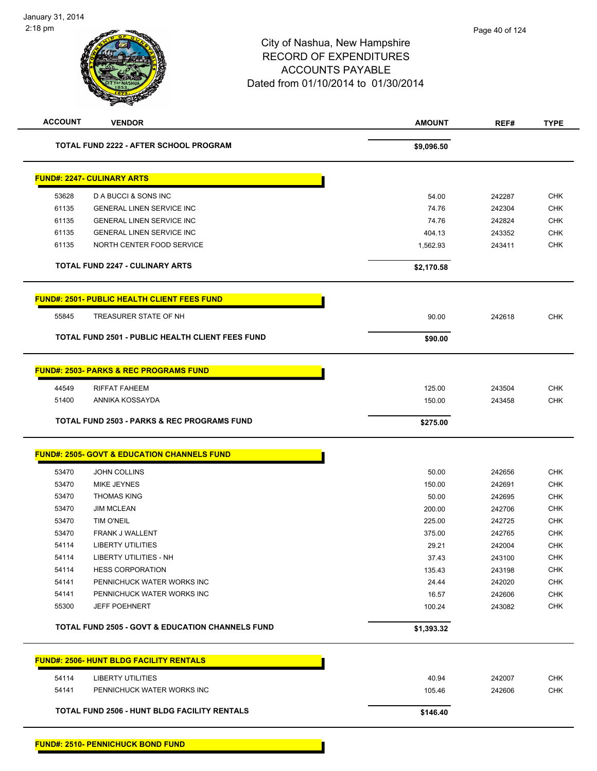# City of Nashua, New Hampshire RECORD OF EXPENDITURES ACCOUNTS PAYABLE Dated from 01/10/2014 to 01/30/2014 **ACCOUNT VENDOR AMOUNT REF# TYPE TOTAL FUND 2222 - AFTER SCHOOL PROGRAM \$9,096.50 \$9,096.50**

|                | <b>FUND#: 2247- CULINARY ARTS</b>                       |                 |                  |                   |
|----------------|---------------------------------------------------------|-----------------|------------------|-------------------|
| 53628          | D A BUCCI & SONS INC                                    | 54.00           | 242287           | <b>CHK</b>        |
| 61135          | <b>GENERAL LINEN SERVICE INC</b>                        | 74.76           | 242304           | <b>CHK</b>        |
| 61135          | <b>GENERAL LINEN SERVICE INC</b>                        | 74.76           | 242824           | <b>CHK</b>        |
| 61135          | <b>GENERAL LINEN SERVICE INC</b>                        | 404.13          | 243352           | <b>CHK</b>        |
| 61135          | NORTH CENTER FOOD SERVICE                               | 1,562.93        | 243411           | <b>CHK</b>        |
|                |                                                         |                 |                  |                   |
|                | <b>TOTAL FUND 2247 - CULINARY ARTS</b>                  | \$2,170.58      |                  |                   |
|                | <b>FUND#: 2501- PUBLIC HEALTH CLIENT FEES FUND</b>      |                 |                  |                   |
| 55845          | TREASURER STATE OF NH                                   | 90.00           | 242618           | <b>CHK</b>        |
|                | <b>TOTAL FUND 2501 - PUBLIC HEALTH CLIENT FEES FUND</b> | \$90.00         |                  |                   |
|                | <b>FUND#: 2503- PARKS &amp; REC PROGRAMS FUND</b>       |                 |                  |                   |
|                |                                                         |                 |                  |                   |
| 44549          | <b>RIFFAT FAHEEM</b>                                    | 125.00          | 243504           | <b>CHK</b>        |
| 51400          | ANNIKA KOSSAYDA                                         | 150.00          | 243458           | <b>CHK</b>        |
|                | <b>TOTAL FUND 2503 - PARKS &amp; REC PROGRAMS FUND</b>  | \$275.00        |                  |                   |
|                |                                                         |                 |                  |                   |
|                | <b>FUND#: 2505- GOVT &amp; EDUCATION CHANNELS FUND</b>  |                 |                  |                   |
| 53470          |                                                         |                 |                  |                   |
| 53470          | JOHN COLLINS                                            | 50.00           | 242656           | <b>CHK</b>        |
|                | MIKE JEYNES                                             | 150.00          | 242691           | <b>CHK</b>        |
| 53470          | <b>THOMAS KING</b>                                      | 50.00           | 242695           | CHK               |
| 53470          | <b>JIM MCLEAN</b>                                       | 200.00          | 242706           | <b>CHK</b>        |
| 53470          | <b>TIM O'NEIL</b>                                       | 225.00          | 242725           | <b>CHK</b>        |
| 53470          | FRANK J WALLENT                                         | 375.00          | 242765           | <b>CHK</b>        |
| 54114          | <b>LIBERTY UTILITIES</b>                                | 29.21           | 242004           | <b>CHK</b>        |
| 54114          | LIBERTY UTILITIES - NH                                  | 37.43           | 243100           | <b>CHK</b>        |
| 54114          | <b>HESS CORPORATION</b>                                 | 135.43          | 243198           | <b>CHK</b>        |
| 54141          | PENNICHUCK WATER WORKS INC                              | 24.44           | 242020           | <b>CHK</b>        |
| 54141          | PENNICHUCK WATER WORKS INC                              | 16.57           | 242606           | <b>CHK</b>        |
| 55300          | <b>JEFF POEHNERT</b>                                    | 100.24          | 243082           | <b>CHK</b>        |
|                | TOTAL FUND 2505 - GOVT & EDUCATION CHANNELS FUND        | \$1,393.32      |                  |                   |
|                | <b>FUND#: 2506- HUNT BLDG FACILITY RENTALS</b>          |                 |                  |                   |
|                |                                                         |                 |                  |                   |
| 54114<br>54141 | <b>LIBERTY UTILITIES</b><br>PENNICHUCK WATER WORKS INC  | 40.94<br>105.46 | 242007<br>242606 | CHK<br><b>CHK</b> |

## **TOTAL FUND 2506 - HUNT BLDG FACILITY RENTALS \$146.40**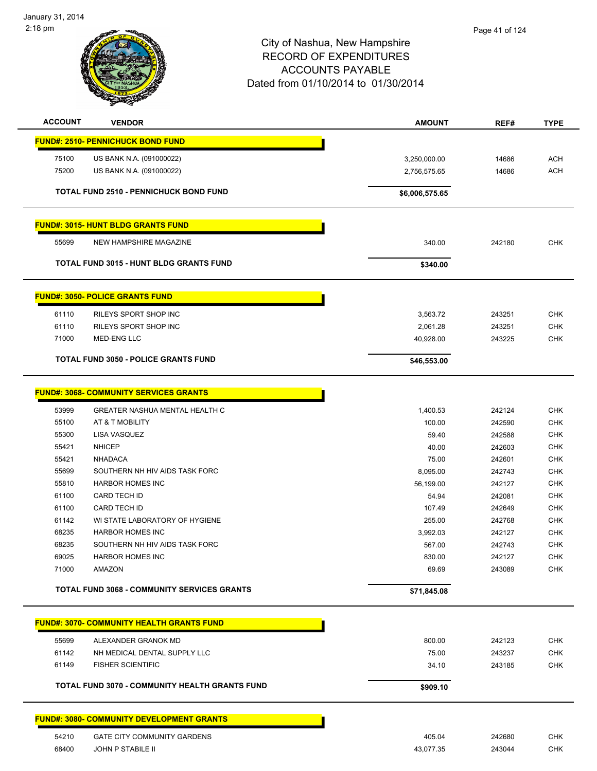

| <b>ACCOUNT</b> | <b>VENDOR</b>                                         | <b>AMOUNT</b>                | REF#   | <b>TYPE</b> |
|----------------|-------------------------------------------------------|------------------------------|--------|-------------|
|                | <b>FUND#: 2510- PENNICHUCK BOND FUND</b>              |                              |        |             |
| 75100          | US BANK N.A. (091000022)                              |                              | 14686  | <b>ACH</b>  |
| 75200          | US BANK N.A. (091000022)                              | 3,250,000.00<br>2,756,575.65 | 14686  | <b>ACH</b>  |
|                |                                                       |                              |        |             |
|                | <b>TOTAL FUND 2510 - PENNICHUCK BOND FUND</b>         | \$6,006,575.65               |        |             |
|                | <b>FUND#: 3015- HUNT BLDG GRANTS FUND</b>             |                              |        |             |
| 55699          | NEW HAMPSHIRE MAGAZINE                                | 340.00                       | 242180 | <b>CHK</b>  |
|                | <b>TOTAL FUND 3015 - HUNT BLDG GRANTS FUND</b>        | \$340.00                     |        |             |
|                | <b>FUND#: 3050- POLICE GRANTS FUND</b>                |                              |        |             |
| 61110          | RILEYS SPORT SHOP INC                                 | 3,563.72                     | 243251 | <b>CHK</b>  |
| 61110          | RILEYS SPORT SHOP INC                                 | 2,061.28                     | 243251 | <b>CHK</b>  |
| 71000          | <b>MED-ENG LLC</b>                                    | 40,928.00                    | 243225 | <b>CHK</b>  |
|                | <b>TOTAL FUND 3050 - POLICE GRANTS FUND</b>           | \$46,553.00                  |        |             |
|                |                                                       |                              |        |             |
|                | <b>FUND#: 3068- COMMUNITY SERVICES GRANTS</b>         |                              |        |             |
| 53999          | <b>GREATER NASHUA MENTAL HEALTH C</b>                 | 1,400.53                     | 242124 | CHK         |
| 55100          | AT & T MOBILITY                                       | 100.00                       | 242590 | <b>CHK</b>  |
| 55300          | LISA VASQUEZ                                          | 59.40                        | 242588 | <b>CHK</b>  |
| 55421          | <b>NHICEP</b>                                         | 40.00                        | 242603 | <b>CHK</b>  |
| 55421          | <b>NHADACA</b>                                        | 75.00                        | 242601 | <b>CHK</b>  |
| 55699          | SOUTHERN NH HIV AIDS TASK FORC                        | 8,095.00                     | 242743 | <b>CHK</b>  |
| 55810          | <b>HARBOR HOMES INC</b>                               | 56,199.00                    | 242127 | <b>CHK</b>  |
| 61100          | CARD TECH ID                                          | 54.94                        | 242081 | <b>CHK</b>  |
| 61100          | <b>CARD TECH ID</b>                                   | 107.49                       | 242649 | <b>CHK</b>  |
| 61142          | WI STATE LABORATORY OF HYGIENE                        | 255.00                       | 242768 | <b>CHK</b>  |
| 68235          | <b>HARBOR HOMES INC</b>                               | 3,992.03                     | 242127 | <b>CHK</b>  |
| 68235          | SOUTHERN NH HIV AIDS TASK FORC                        | 567.00                       | 242743 | CHK         |
| 69025          | HARBOR HOMES INC                                      | 830.00                       | 242127 | <b>CHK</b>  |
| 71000          | AMAZON                                                | 69.69                        | 243089 | <b>CHK</b>  |
|                | <b>TOTAL FUND 3068 - COMMUNITY SERVICES GRANTS</b>    | \$71,845.08                  |        |             |
|                |                                                       |                              |        |             |
|                | <b>FUND#: 3070- COMMUNITY HEALTH GRANTS FUND</b>      |                              |        |             |
| 55699          | ALEXANDER GRANOK MD                                   | 800.00                       | 242123 | <b>CHK</b>  |
| 61142          | NH MEDICAL DENTAL SUPPLY LLC                          | 75.00                        | 243237 | <b>CHK</b>  |
| 61149          | <b>FISHER SCIENTIFIC</b>                              | 34.10                        | 243185 | <b>CHK</b>  |
|                | <b>TOTAL FUND 3070 - COMMUNITY HEALTH GRANTS FUND</b> | \$909.10                     |        |             |
|                | <b>FUND#: 3080- COMMUNITY DEVELOPMENT GRANTS</b>      |                              |        |             |
| 54210          | <b>GATE CITY COMMUNITY GARDENS</b>                    | 405.04                       | 242680 | <b>CHK</b>  |
| 68400          | JOHN P STABILE II                                     | 43,077.35                    | 243044 | <b>CHK</b>  |
|                |                                                       |                              |        |             |
|                |                                                       |                              |        |             |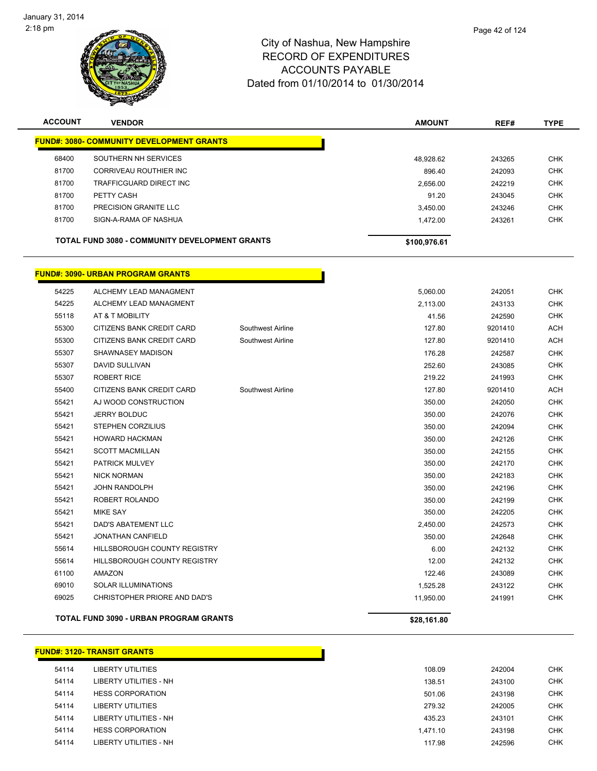

| <b>ACCOUNT</b> | <b>VENDOR</b>                                         | <b>AMOUNT</b> | REF#   | <b>TYPE</b> |
|----------------|-------------------------------------------------------|---------------|--------|-------------|
|                | <b>FUND#: 3080- COMMUNITY DEVELOPMENT GRANTS</b>      |               |        |             |
| 68400          | SOUTHERN NH SERVICES                                  | 48.928.62     | 243265 | <b>CHK</b>  |
| 81700          | CORRIVEAU ROUTHIER INC                                | 896.40        | 242093 | <b>CHK</b>  |
| 81700          | TRAFFICGUARD DIRECT INC                               | 2,656.00      | 242219 | <b>CHK</b>  |
| 81700          | PETTY CASH                                            | 91.20         | 243045 | <b>CHK</b>  |
| 81700          | PRECISION GRANITE LLC                                 | 3.450.00      | 243246 | <b>CHK</b>  |
| 81700          | SIGN-A-RAMA OF NASHUA                                 | 1,472.00      | 243261 | <b>CHK</b>  |
|                | <b>TOTAL FUND 3080 - COMMUNITY DEVELOPMENT GRANTS</b> | \$100,976.61  |        |             |

Г

#### **FUND#: 3090- URBAN PROGRAM GRANTS**

|       | <b>TOTAL FUND 3090 - URBAN PROGRAM GRANTS</b> |                   | \$28,161.80 |         |            |
|-------|-----------------------------------------------|-------------------|-------------|---------|------------|
| 69025 | CHRISTOPHER PRIORE AND DAD'S                  |                   | 11,950.00   | 241991  | <b>CHK</b> |
| 69010 | <b>SOLAR ILLUMINATIONS</b>                    |                   | 1,525.28    | 243122  | <b>CHK</b> |
| 61100 | AMAZON                                        |                   | 122.46      | 243089  | <b>CHK</b> |
| 55614 | HILLSBOROUGH COUNTY REGISTRY                  |                   | 12.00       | 242132  | <b>CHK</b> |
| 55614 | <b>HILLSBOROUGH COUNTY REGISTRY</b>           |                   | 6.00        | 242132  | <b>CHK</b> |
| 55421 | JONATHAN CANFIELD                             |                   | 350.00      | 242648  | <b>CHK</b> |
| 55421 | DAD'S ABATEMENT LLC                           |                   | 2,450.00    | 242573  | <b>CHK</b> |
| 55421 | <b>MIKE SAY</b>                               |                   | 350.00      | 242205  | <b>CHK</b> |
| 55421 | ROBERT ROLANDO                                |                   | 350.00      | 242199  | <b>CHK</b> |
| 55421 | JOHN RANDOLPH                                 |                   | 350.00      | 242196  | <b>CHK</b> |
| 55421 | <b>NICK NORMAN</b>                            |                   | 350.00      | 242183  | <b>CHK</b> |
| 55421 | PATRICK MULVEY                                |                   | 350.00      | 242170  | CHK        |
| 55421 | <b>SCOTT MACMILLAN</b>                        |                   | 350.00      | 242155  | <b>CHK</b> |
| 55421 | <b>HOWARD HACKMAN</b>                         |                   | 350.00      | 242126  | <b>CHK</b> |
| 55421 | <b>STEPHEN CORZILIUS</b>                      |                   | 350.00      | 242094  | <b>CHK</b> |
| 55421 | <b>JERRY BOLDUC</b>                           |                   | 350.00      | 242076  | <b>CHK</b> |
| 55421 | AJ WOOD CONSTRUCTION                          |                   | 350.00      | 242050  | <b>CHK</b> |
| 55400 | CITIZENS BANK CREDIT CARD                     | Southwest Airline | 127.80      | 9201410 | <b>ACH</b> |
| 55307 | <b>ROBERT RICE</b>                            |                   | 219.22      | 241993  | <b>CHK</b> |
| 55307 | <b>DAVID SULLIVAN</b>                         |                   | 252.60      | 243085  | <b>CHK</b> |
| 55307 | SHAWNASEY MADISON                             |                   | 176.28      | 242587  | <b>CHK</b> |
| 55300 | CITIZENS BANK CREDIT CARD                     | Southwest Airline | 127.80      | 9201410 | <b>ACH</b> |
| 55300 | CITIZENS BANK CREDIT CARD                     | Southwest Airline | 127.80      | 9201410 | <b>ACH</b> |
| 55118 | AT & T MOBILITY                               |                   | 41.56       | 242590  | <b>CHK</b> |
| 54225 | ALCHEMY LEAD MANAGMENT                        |                   | 2,113.00    | 243133  | <b>CHK</b> |
| 54225 | ALCHEMY LEAD MANAGMENT                        |                   | 5,060.00    | 242051  | <b>CHK</b> |

|       | <u> FUND#: 3120- TRANSIT GRANTS_</u> |          |        |     |
|-------|--------------------------------------|----------|--------|-----|
| 54114 | LIBERTY UTILITIES                    | 108.09   | 242004 | CHK |
| 54114 | LIBERTY UTILITIES - NH               | 138.51   | 243100 | CHK |
| 54114 | <b>HESS CORPORATION</b>              | 501.06   | 243198 | CHK |
| 54114 | LIBERTY UTILITIES                    | 279.32   | 242005 | CHK |
| 54114 | LIBERTY UTILITIES - NH               | 435.23   | 243101 | CHK |
| 54114 | <b>HESS CORPORATION</b>              | 1,471.10 | 243198 | CHK |
|       |                                      |          |        |     |

| 54114 | LIBERTY UTILITIES       | 108.09   | 242004 | <b>CHK</b> |
|-------|-------------------------|----------|--------|------------|
| 54114 | LIBERTY UTILITIES - NH  | 138.51   | 243100 | <b>CHK</b> |
| 54114 | <b>HESS CORPORATION</b> | 501.06   | 243198 | <b>CHK</b> |
| 54114 | LIBERTY UTILITIES       | 279.32   | 242005 | <b>CHK</b> |
| 54114 | LIBERTY UTILITIES - NH  | 435.23   | 243101 | <b>CHK</b> |
| 54114 | <b>HESS CORPORATION</b> | 1.471.10 | 243198 | <b>CHK</b> |
| 54114 | LIBERTY UTILITIES - NH  | 117.98   | 242596 | <b>CHK</b> |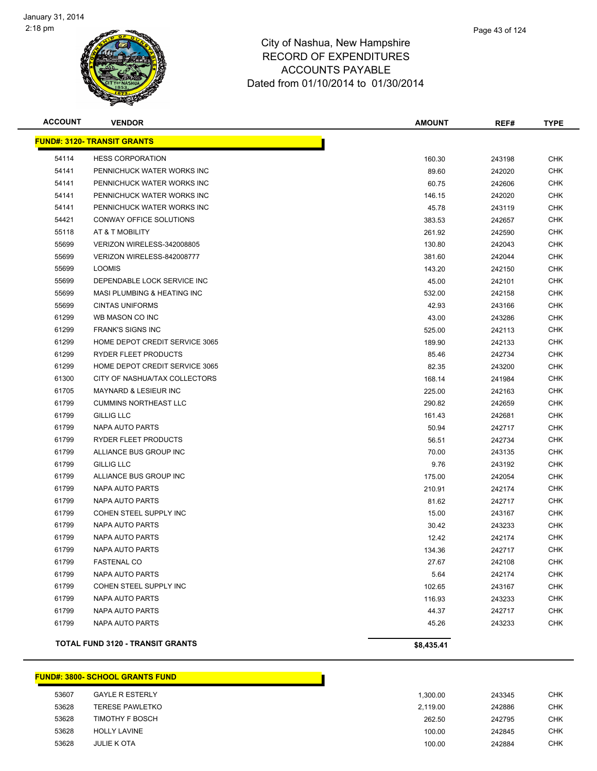

| <b>ACCOUNT</b> | <b>VENDOR</b>                          | <b>AMOUNT</b> | REF#   | <b>TYPE</b> |
|----------------|----------------------------------------|---------------|--------|-------------|
|                | <b>FUND#: 3120- TRANSIT GRANTS</b>     |               |        |             |
| 54114          | <b>HESS CORPORATION</b>                | 160.30        | 243198 | <b>CHK</b>  |
| 54141          | PENNICHUCK WATER WORKS INC             | 89.60         | 242020 | CHK         |
| 54141          | PENNICHUCK WATER WORKS INC             | 60.75         | 242606 | CHK         |
| 54141          | PENNICHUCK WATER WORKS INC             | 146.15        | 242020 | <b>CHK</b>  |
| 54141          | PENNICHUCK WATER WORKS INC             | 45.78         | 243119 | <b>CHK</b>  |
| 54421          | CONWAY OFFICE SOLUTIONS                | 383.53        | 242657 | <b>CHK</b>  |
| 55118          | AT & T MOBILITY                        | 261.92        | 242590 | CHK         |
| 55699          | VERIZON WIRELESS-342008805             | 130.80        | 242043 | CHK         |
| 55699          | VERIZON WIRELESS-842008777             | 381.60        | 242044 | <b>CHK</b>  |
| 55699          | <b>LOOMIS</b>                          | 143.20        | 242150 | CHK         |
| 55699          | DEPENDABLE LOCK SERVICE INC            | 45.00         | 242101 | CHK         |
| 55699          | <b>MASI PLUMBING &amp; HEATING INC</b> | 532.00        | 242158 | CHK         |
| 55699          | <b>CINTAS UNIFORMS</b>                 | 42.93         | 243166 | CHK         |
| 61299          | WB MASON CO INC                        | 43.00         | 243286 | CHK         |
| 61299          | <b>FRANK'S SIGNS INC</b>               | 525.00        | 242113 | CHK         |
| 61299          | HOME DEPOT CREDIT SERVICE 3065         | 189.90        | 242133 | <b>CHK</b>  |
| 61299          | RYDER FLEET PRODUCTS                   | 85.46         | 242734 | <b>CHK</b>  |
| 61299          | HOME DEPOT CREDIT SERVICE 3065         | 82.35         | 243200 | CHK         |
| 61300          | CITY OF NASHUA/TAX COLLECTORS          | 168.14        | 241984 | <b>CHK</b>  |
| 61705          | <b>MAYNARD &amp; LESIEUR INC</b>       | 225.00        | 242163 | <b>CHK</b>  |
| 61799          | <b>CUMMINS NORTHEAST LLC</b>           | 290.82        | 242659 | CHK         |
| 61799          | <b>GILLIG LLC</b>                      | 161.43        | 242681 | CHK         |
| 61799          | NAPA AUTO PARTS                        | 50.94         | 242717 | <b>CHK</b>  |
| 61799          | RYDER FLEET PRODUCTS                   | 56.51         | 242734 | <b>CHK</b>  |
| 61799          | ALLIANCE BUS GROUP INC                 | 70.00         | 243135 | CHK         |
| 61799          | <b>GILLIG LLC</b>                      | 9.76          | 243192 | CHK         |
| 61799          | ALLIANCE BUS GROUP INC                 | 175.00        | 242054 | CHK         |
| 61799          | NAPA AUTO PARTS                        | 210.91        | 242174 | <b>CHK</b>  |
| 61799          | NAPA AUTO PARTS                        | 81.62         | 242717 | CHK         |
| 61799          | COHEN STEEL SUPPLY INC                 | 15.00         | 243167 | CHK         |
| 61799          | NAPA AUTO PARTS                        | 30.42         | 243233 | CHK         |
| 61799          | NAPA AUTO PARTS                        | 12.42         | 242174 | CHK         |
| 61799          | <b>NAPA AUTO PARTS</b>                 | 134.36        | 242717 | <b>CHK</b>  |
| 61799          | <b>FASTENAL CO</b>                     | 27.67         | 242108 | <b>CHK</b>  |
| 61799          | <b>NAPA AUTO PARTS</b>                 | 5.64          | 242174 | <b>CHK</b>  |
| 61799          | COHEN STEEL SUPPLY INC                 | 102.65        | 243167 | <b>CHK</b>  |
| 61799          | NAPA AUTO PARTS                        | 116.93        | 243233 | <b>CHK</b>  |
| 61799          | NAPA AUTO PARTS                        | 44.37         | 242717 | <b>CHK</b>  |
| 61799          | NAPA AUTO PARTS                        | 45.26         | 243233 | <b>CHK</b>  |
|                | TOTAL FUND 3120 - TRANSIT GRANTS       | \$8,435.41    |        |             |

|       | <b>FUND#: 3800- SCHOOL GRANTS FUND</b> |          |        |  |
|-------|----------------------------------------|----------|--------|--|
| 53607 | <b>GAYLE R ESTERLY</b>                 | 1.300.00 | 243345 |  |
| 53628 | <b>TERESE PAWLETKO</b>                 | 2,119.00 | 242886 |  |
| 53628 | <b>TIMOTHY F BOSCH</b>                 | 262.50   | 242795 |  |
| 53628 | <b>HOLLY LAVINE</b>                    | 100.00   | 242845 |  |
| 53628 | <b>JULIE K OTA</b>                     | 100.00   | 242884 |  |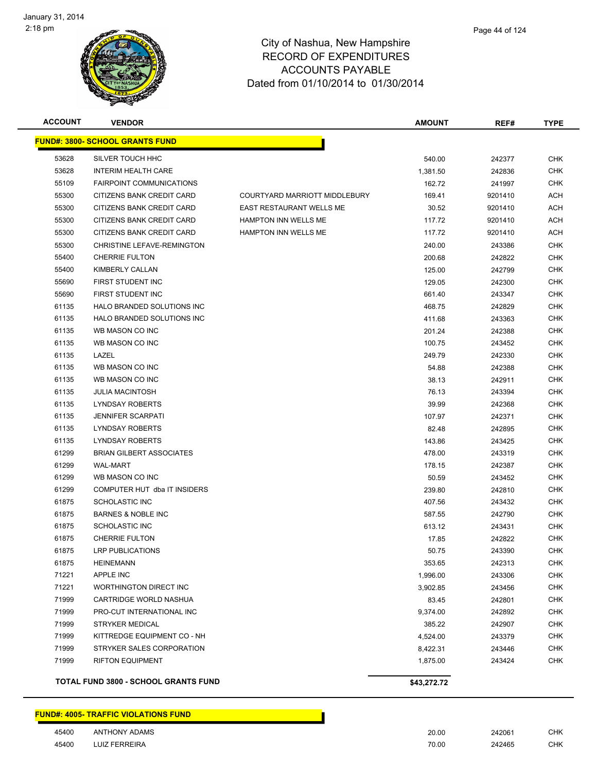

| <b>ACCOUNT</b> | <b>VENDOR</b>                               |                               | <b>AMOUNT</b> | REF#    | <b>TYPE</b> |
|----------------|---------------------------------------------|-------------------------------|---------------|---------|-------------|
|                | <b>FUND#: 3800- SCHOOL GRANTS FUND</b>      |                               |               |         |             |
| 53628          | SILVER TOUCH HHC                            |                               | 540.00        | 242377  | <b>CHK</b>  |
| 53628          | <b>INTERIM HEALTH CARE</b>                  |                               | 1,381.50      | 242836  | <b>CHK</b>  |
| 55109          | <b>FAIRPOINT COMMUNICATIONS</b>             |                               | 162.72        | 241997  | <b>CHK</b>  |
| 55300          | CITIZENS BANK CREDIT CARD                   | COURTYARD MARRIOTT MIDDLEBURY | 169.41        | 9201410 | ACH         |
| 55300          | CITIZENS BANK CREDIT CARD                   | EAST RESTAURANT WELLS ME      | 30.52         | 9201410 | ACH         |
| 55300          | CITIZENS BANK CREDIT CARD                   | HAMPTON INN WELLS ME          | 117.72        | 9201410 | ACH         |
| 55300          | CITIZENS BANK CREDIT CARD                   | <b>HAMPTON INN WELLS ME</b>   | 117.72        | 9201410 | ACH         |
| 55300          | CHRISTINE LEFAVE-REMINGTON                  |                               | 240.00        | 243386  | <b>CHK</b>  |
| 55400          | <b>CHERRIE FULTON</b>                       |                               | 200.68        | 242822  | <b>CHK</b>  |
| 55400          | KIMBERLY CALLAN                             |                               | 125.00        | 242799  | <b>CHK</b>  |
| 55690          | FIRST STUDENT INC                           |                               | 129.05        | 242300  | <b>CHK</b>  |
| 55690          | FIRST STUDENT INC                           |                               | 661.40        | 243347  | <b>CHK</b>  |
| 61135          | HALO BRANDED SOLUTIONS INC                  |                               | 468.75        | 242829  | <b>CHK</b>  |
| 61135          | <b>HALO BRANDED SOLUTIONS INC</b>           |                               | 411.68        | 243363  | <b>CHK</b>  |
| 61135          | WB MASON CO INC                             |                               | 201.24        | 242388  | CHK         |
| 61135          | WB MASON CO INC                             |                               | 100.75        | 243452  | CHK         |
| 61135          | LAZEL                                       |                               | 249.79        | 242330  | <b>CHK</b>  |
| 61135          | WB MASON CO INC                             |                               | 54.88         | 242388  | <b>CHK</b>  |
| 61135          | WB MASON CO INC                             |                               | 38.13         | 242911  | <b>CHK</b>  |
| 61135          | <b>JULIA MACINTOSH</b>                      |                               | 76.13         | 243394  | <b>CHK</b>  |
| 61135          | <b>LYNDSAY ROBERTS</b>                      |                               | 39.99         | 242368  | <b>CHK</b>  |
| 61135          | <b>JENNIFER SCARPATI</b>                    |                               | 107.97        | 242371  | <b>CHK</b>  |
| 61135          | <b>LYNDSAY ROBERTS</b>                      |                               | 82.48         | 242895  | <b>CHK</b>  |
| 61135          | <b>LYNDSAY ROBERTS</b>                      |                               | 143.86        | 243425  | <b>CHK</b>  |
| 61299          | <b>BRIAN GILBERT ASSOCIATES</b>             |                               | 478.00        | 243319  | <b>CHK</b>  |
| 61299          | <b>WAL-MART</b>                             |                               | 178.15        | 242387  | <b>CHK</b>  |
| 61299          | WB MASON CO INC                             |                               | 50.59         | 243452  | <b>CHK</b>  |
| 61299          | COMPUTER HUT dba IT INSIDERS                |                               | 239.80        | 242810  | <b>CHK</b>  |
| 61875          | <b>SCHOLASTIC INC</b>                       |                               | 407.56        | 243432  | <b>CHK</b>  |
| 61875          | <b>BARNES &amp; NOBLE INC</b>               |                               | 587.55        | 242790  | <b>CHK</b>  |
| 61875          | SCHOLASTIC INC                              |                               | 613.12        | 243431  | CHK         |
| 61875          | <b>CHERRIE FULTON</b>                       |                               | 17.85         | 242822  | <b>CHK</b>  |
| 61875          | <b>LRP PUBLICATIONS</b>                     |                               | 50.75         | 243390  | <b>CHK</b>  |
| 61875          | <b>HEINEMANN</b>                            |                               | 353.65        | 242313  | <b>CHK</b>  |
| 71221          | <b>APPLE INC</b>                            |                               | 1,996.00      | 243306  | <b>CHK</b>  |
| 71221          | WORTHINGTON DIRECT INC                      |                               | 3,902.85      | 243456  | <b>CHK</b>  |
| 71999          | CARTRIDGE WORLD NASHUA                      |                               | 83.45         | 242801  | <b>CHK</b>  |
| 71999          | PRO-CUT INTERNATIONAL INC                   |                               | 9,374.00      | 242892  | <b>CHK</b>  |
| 71999          | STRYKER MEDICAL                             |                               | 385.22        | 242907  | <b>CHK</b>  |
| 71999          | KITTREDGE EQUIPMENT CO - NH                 |                               | 4,524.00      | 243379  | <b>CHK</b>  |
| 71999          | STRYKER SALES CORPORATION                   |                               | 8,422.31      | 243446  | <b>CHK</b>  |
| 71999          | <b>RIFTON EQUIPMENT</b>                     |                               | 1,875.00      | 243424  | <b>CHK</b>  |
|                | <b>TOTAL FUND 3800 - SCHOOL GRANTS FUND</b> |                               | \$43,272.72   |         |             |

|                      | FUND#: 4005- TRAFFIC VIOLATIONS FUND_ |  |
|----------------------|---------------------------------------|--|
| $A E A \cap \bigcap$ | ANITLIONIV ADAMO                      |  |

| 45400 | <b>ANTHONY ADAMS</b> | 20.00      | 242061                  | CHK |
|-------|----------------------|------------|-------------------------|-----|
| 45400 | LUIZ FERREIRA        | 70.00<br>. | 242465<br>$\sim$ $\sim$ | CHK |

Г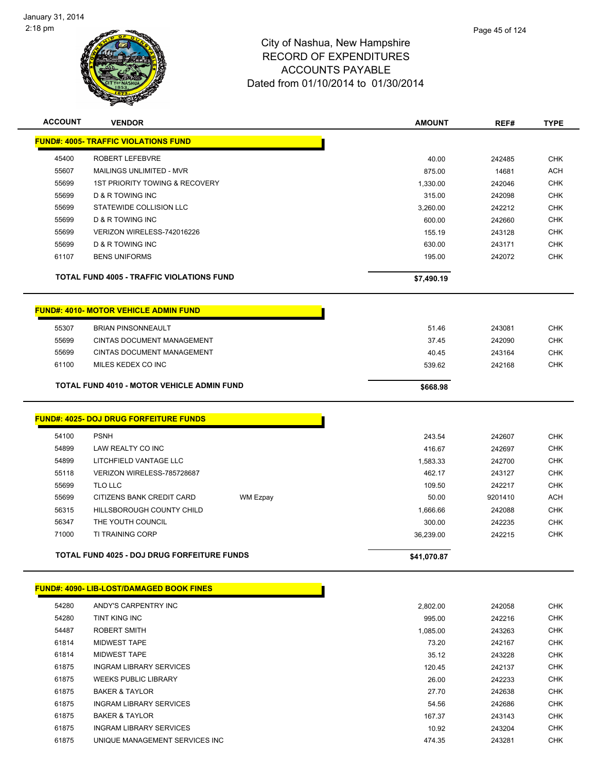

Page 45 of 124

| <b>ACCOUNT</b> | <b>VENDOR</b>                                      | <b>AMOUNT</b> | REF#    | <b>TYPE</b> |
|----------------|----------------------------------------------------|---------------|---------|-------------|
|                | <b>FUND#: 4005- TRAFFIC VIOLATIONS FUND</b>        |               |         |             |
| 45400          | <b>ROBERT LEFEBVRE</b>                             | 40.00         | 242485  | <b>CHK</b>  |
| 55607          | <b>MAILINGS UNLIMITED - MVR</b>                    | 875.00        | 14681   | <b>ACH</b>  |
| 55699          | 1ST PRIORITY TOWING & RECOVERY                     | 1,330.00      | 242046  | <b>CHK</b>  |
| 55699          | D & R TOWING INC                                   | 315.00        | 242098  | <b>CHK</b>  |
| 55699          | STATEWIDE COLLISION LLC                            | 3,260.00      | 242212  | CHK         |
| 55699          | <b>D &amp; R TOWING INC</b>                        | 600.00        | 242660  | <b>CHK</b>  |
| 55699          | VERIZON WIRELESS-742016226                         | 155.19        | 243128  | <b>CHK</b>  |
| 55699          | D & R TOWING INC                                   | 630.00        | 243171  | <b>CHK</b>  |
| 61107          | <b>BENS UNIFORMS</b>                               | 195.00        | 242072  | <b>CHK</b>  |
|                | <b>TOTAL FUND 4005 - TRAFFIC VIOLATIONS FUND</b>   | \$7,490.19    |         |             |
|                | <b>FUND#: 4010- MOTOR VEHICLE ADMIN FUND</b>       |               |         |             |
| 55307          | <b>BRIAN PINSONNEAULT</b>                          | 51.46         | 243081  | <b>CHK</b>  |
| 55699          | <b>CINTAS DOCUMENT MANAGEMENT</b>                  | 37.45         | 242090  | <b>CHK</b>  |
| 55699          | <b>CINTAS DOCUMENT MANAGEMENT</b>                  | 40.45         | 243164  | <b>CHK</b>  |
| 61100          | MILES KEDEX CO INC                                 | 539.62        | 242168  | <b>CHK</b>  |
|                | <b>TOTAL FUND 4010 - MOTOR VEHICLE ADMIN FUND</b>  | \$668.98      |         |             |
|                | <b>FUND#: 4025- DOJ DRUG FORFEITURE FUNDS</b>      |               |         |             |
| 54100          | <b>PSNH</b>                                        | 243.54        | 242607  | <b>CHK</b>  |
| 54899          | LAW REALTY CO INC                                  | 416.67        | 242697  | <b>CHK</b>  |
| 54899          | LITCHFIELD VANTAGE LLC                             | 1,583.33      | 242700  | <b>CHK</b>  |
| 55118          | VERIZON WIRELESS-785728687                         | 462.17        | 243127  | <b>CHK</b>  |
| 55699          | TLO LLC                                            | 109.50        | 242217  | <b>CHK</b>  |
| 55699          | CITIZENS BANK CREDIT CARD<br>WM Ezpay              | 50.00         | 9201410 | <b>ACH</b>  |
| 56315          | HILLSBOROUGH COUNTY CHILD                          | 1,666.66      | 242088  | <b>CHK</b>  |
| 56347          | THE YOUTH COUNCIL                                  | 300.00        | 242235  | <b>CHK</b>  |
| 71000          | <b>TI TRAINING CORP</b>                            | 36,239.00     | 242215  | <b>CHK</b>  |
|                | <b>TOTAL FUND 4025 - DOJ DRUG FORFEITURE FUNDS</b> | \$41,070.87   |         |             |
|                | <b>FUND#: 4090- LIB-LOST/DAMAGED BOOK FINES</b>    |               |         |             |
|                |                                                    |               |         |             |
| 54280          | ANDY'S CARPENTRY INC                               | 2,802.00      | 242058  | <b>CHK</b>  |
| 54280          | TINT KING INC                                      | 995.00        | 242216  | <b>CHK</b>  |
| 54487          | <b>ROBERT SMITH</b>                                | 1,085.00      | 243263  | <b>CHK</b>  |
| 61814          | MIDWEST TAPE                                       | 73.20         | 242167  | CHK         |
| 61814          | <b>MIDWEST TAPE</b>                                | 35.12         | 243228  | <b>CHK</b>  |
| 61875          | <b>INGRAM LIBRARY SERVICES</b>                     | 120.45        | 242137  | <b>CHK</b>  |

 WEEKS PUBLIC LIBRARY 26.00 242233 CHK BAKER & TAYLOR 27.70 242638 CHK INGRAM LIBRARY SERVICES 54.56 242686 CHK BAKER & TAYLOR 167.37 243143 CHK INGRAM LIBRARY SERVICES 10.92 243204 CHK UNIQUE MANAGEMENT SERVICES INC 474.35 243281 CHK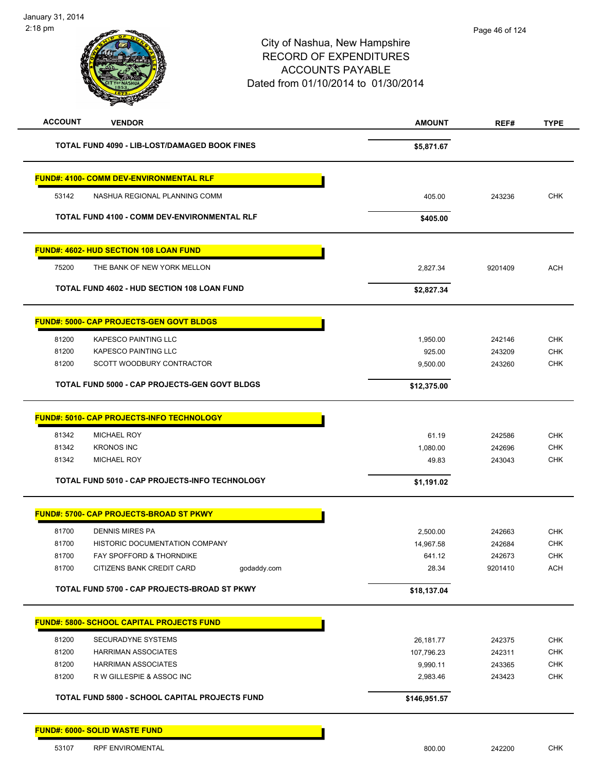| January 31, 2014<br>2:18 pm |                                                       | City of Nashua, New Hampshire<br><b>RECORD OF EXPENDITURES</b><br><b>ACCOUNTS PAYABLE</b><br>Dated from 01/10/2014 to 01/30/2014 | Page 46 of 124 |             |
|-----------------------------|-------------------------------------------------------|----------------------------------------------------------------------------------------------------------------------------------|----------------|-------------|
| <b>ACCOUNT</b>              | <b>VENDOR</b>                                         | <b>AMOUNT</b>                                                                                                                    | REF#           | <b>TYPE</b> |
|                             | <b>TOTAL FUND 4090 - LIB-LOST/DAMAGED BOOK FINES</b>  | \$5,871.67                                                                                                                       |                |             |
|                             | <b>FUND#: 4100- COMM DEV-ENVIRONMENTAL RLF</b>        |                                                                                                                                  |                |             |
| 53142                       | NASHUA REGIONAL PLANNING COMM                         | 405.00                                                                                                                           | 243236         | <b>CHK</b>  |
|                             | <b>TOTAL FUND 4100 - COMM DEV-ENVIRONMENTAL RLF</b>   | \$405.00                                                                                                                         |                |             |
|                             | FUND#: 4602- HUD SECTION 108 LOAN FUND                |                                                                                                                                  |                |             |
| 75200                       | THE BANK OF NEW YORK MELLON                           | 2,827.34                                                                                                                         | 9201409        | <b>ACH</b>  |
|                             | <b>TOTAL FUND 4602 - HUD SECTION 108 LOAN FUND</b>    | \$2,827.34                                                                                                                       |                |             |
|                             | <b>FUND#: 5000- CAP PROJECTS-GEN GOVT BLDGS</b>       |                                                                                                                                  |                |             |
| 81200                       | KAPESCO PAINTING LLC                                  | 1,950.00                                                                                                                         | 242146         | <b>CHK</b>  |
| 81200                       | <b>KAPESCO PAINTING LLC</b>                           | 925.00                                                                                                                           | 243209         | <b>CHK</b>  |
| 81200                       | SCOTT WOODBURY CONTRACTOR                             | 9,500.00                                                                                                                         | 243260         | <b>CHK</b>  |
|                             | <b>TOTAL FUND 5000 - CAP PROJECTS-GEN GOVT BLDGS</b>  | \$12,375.00                                                                                                                      |                |             |
|                             | <b>FUND#: 5010- CAP PROJECTS-INFO TECHNOLOGY</b>      |                                                                                                                                  |                |             |
| 81342                       | <b>MICHAEL ROY</b>                                    | 61.19                                                                                                                            | 242586         | <b>CHK</b>  |
| 81342                       | <b>KRONOS INC</b>                                     | 1,080.00                                                                                                                         | 242696         | <b>CHK</b>  |
| 81342                       | <b>MICHAEL ROY</b>                                    | 49.83                                                                                                                            | 243043         | <b>CHK</b>  |
|                             | <b>TOTAL FUND 5010 - CAP PROJECTS-INFO TECHNOLOGY</b> | \$1,191.02                                                                                                                       |                |             |
|                             | <b>FUND#: 5700- CAP PROJECTS-BROAD ST PKWY</b>        |                                                                                                                                  |                |             |
| 81700                       | <b>DENNIS MIRES PA</b>                                | 2,500.00                                                                                                                         | 242663         | <b>CHK</b>  |
| 81700                       | HISTORIC DOCUMENTATION COMPANY                        | 14,967.58                                                                                                                        | 242684         | <b>CHK</b>  |
| 81700                       | FAY SPOFFORD & THORNDIKE                              | 641.12                                                                                                                           | 242673         | CHK         |
| 81700                       | CITIZENS BANK CREDIT CARD<br>godaddy.com              | 28.34                                                                                                                            | 9201410        | <b>ACH</b>  |
|                             | TOTAL FUND 5700 - CAP PROJECTS-BROAD ST PKWY          | \$18,137.04                                                                                                                      |                |             |
|                             | <b>FUND#: 5800- SCHOOL CAPITAL PROJECTS FUND</b>      |                                                                                                                                  |                |             |
| 81200                       | SECURADYNE SYSTEMS                                    | 26,181.77                                                                                                                        | 242375         | <b>CHK</b>  |
| 81200                       | <b>HARRIMAN ASSOCIATES</b>                            | 107,796.23                                                                                                                       | 242311         | CHK         |

 81200 HARRIMAN ASSOCIATES 9,990.11 243365 CHK 81200 R W GILLESPIE & ASSOC INC **Example 2018 120 ACC 120 ACC 243423** CHK

**TOTAL FUND 5800 - SCHOOL CAPITAL PROJECTS FUND**  $$146,951.57$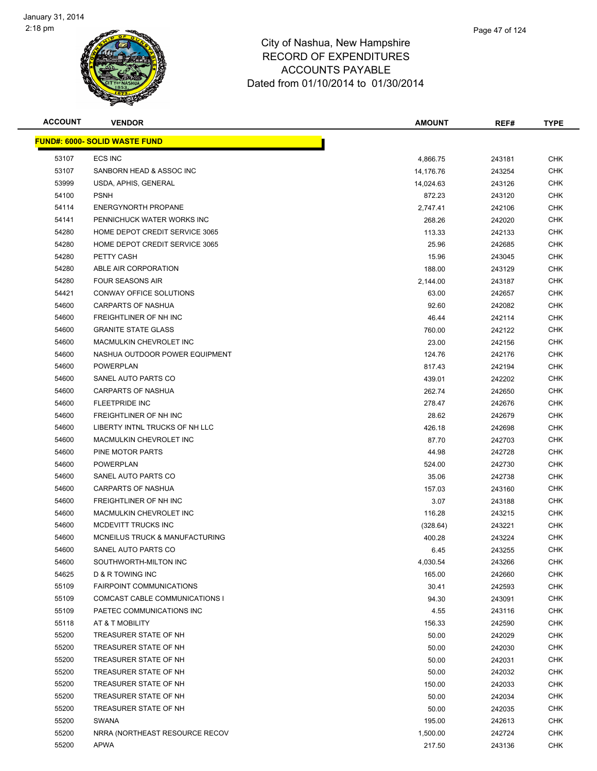

| <b>ACCOUNT</b> | <b>VENDOR</b>                        | <b>AMOUNT</b> | REF#   | <b>TYPE</b> |
|----------------|--------------------------------------|---------------|--------|-------------|
|                | <b>FUND#: 6000- SOLID WASTE FUND</b> |               |        |             |
| 53107          | <b>ECS INC</b>                       | 4,866.75      | 243181 | <b>CHK</b>  |
| 53107          | SANBORN HEAD & ASSOC INC             | 14,176.76     | 243254 | <b>CHK</b>  |
| 53999          | USDA, APHIS, GENERAL                 | 14,024.63     | 243126 | <b>CHK</b>  |
| 54100          | <b>PSNH</b>                          | 872.23        | 243120 | <b>CHK</b>  |
| 54114          | <b>ENERGYNORTH PROPANE</b>           | 2,747.41      | 242106 | <b>CHK</b>  |
| 54141          | PENNICHUCK WATER WORKS INC           | 268.26        | 242020 | <b>CHK</b>  |
| 54280          | HOME DEPOT CREDIT SERVICE 3065       | 113.33        | 242133 | CHK         |
| 54280          | HOME DEPOT CREDIT SERVICE 3065       | 25.96         | 242685 | CHK         |
| 54280          | PETTY CASH                           | 15.96         | 243045 | CHK         |
| 54280          | ABLE AIR CORPORATION                 | 188.00        | 243129 | CHK         |
| 54280          | <b>FOUR SEASONS AIR</b>              | 2,144.00      | 243187 | CHK         |
| 54421          | CONWAY OFFICE SOLUTIONS              | 63.00         | 242657 | <b>CHK</b>  |
| 54600          | CARPARTS OF NASHUA                   | 92.60         | 242082 | CHK         |
| 54600          | FREIGHTLINER OF NH INC               | 46.44         | 242114 | <b>CHK</b>  |
| 54600          | <b>GRANITE STATE GLASS</b>           | 760.00        | 242122 | <b>CHK</b>  |
| 54600          | MACMULKIN CHEVROLET INC              | 23.00         | 242156 | CHK         |
| 54600          | NASHUA OUTDOOR POWER EQUIPMENT       | 124.76        | 242176 | <b>CHK</b>  |
| 54600          | <b>POWERPLAN</b>                     | 817.43        | 242194 | <b>CHK</b>  |
| 54600          | SANEL AUTO PARTS CO                  | 439.01        | 242202 | <b>CHK</b>  |
| 54600          | <b>CARPARTS OF NASHUA</b>            | 262.74        | 242650 | <b>CHK</b>  |
| 54600          | <b>FLEETPRIDE INC</b>                | 278.47        | 242676 | CHK         |
| 54600          | FREIGHTLINER OF NH INC               | 28.62         | 242679 | <b>CHK</b>  |
| 54600          | LIBERTY INTNL TRUCKS OF NH LLC       | 426.18        | 242698 | <b>CHK</b>  |
| 54600          | MACMULKIN CHEVROLET INC              | 87.70         | 242703 | CHK         |
| 54600          | PINE MOTOR PARTS                     | 44.98         | 242728 | <b>CHK</b>  |
| 54600          | <b>POWERPLAN</b>                     | 524.00        | 242730 | <b>CHK</b>  |
| 54600          | SANEL AUTO PARTS CO                  | 35.06         | 242738 | CHK         |
| 54600          | <b>CARPARTS OF NASHUA</b>            | 157.03        | 243160 | <b>CHK</b>  |
| 54600          | FREIGHTLINER OF NH INC               | 3.07          | 243188 | CHK         |
| 54600          | MACMULKIN CHEVROLET INC              | 116.28        | 243215 | CHK         |
| 54600          | MCDEVITT TRUCKS INC                  | (328.64)      | 243221 | CHK         |
| 54600          | MCNEILUS TRUCK & MANUFACTURING       | 400.28        | 243224 | CHK         |
| 54600          | SANEL AUTO PARTS CO                  | 6.45          | 243255 | <b>CHK</b>  |
| 54600          | SOUTHWORTH-MILTON INC                | 4,030.54      | 243266 | <b>CHK</b>  |
| 54625          | D & R TOWING INC                     | 165.00        | 242660 | <b>CHK</b>  |
| 55109          | <b>FAIRPOINT COMMUNICATIONS</b>      | 30.41         | 242593 | <b>CHK</b>  |
| 55109          | COMCAST CABLE COMMUNICATIONS I       | 94.30         | 243091 | <b>CHK</b>  |
| 55109          | PAETEC COMMUNICATIONS INC            | 4.55          | 243116 | <b>CHK</b>  |
| 55118          | AT & T MOBILITY                      | 156.33        | 242590 | <b>CHK</b>  |
| 55200          | TREASURER STATE OF NH                | 50.00         | 242029 | <b>CHK</b>  |
| 55200          | TREASURER STATE OF NH                | 50.00         | 242030 | <b>CHK</b>  |
| 55200          | TREASURER STATE OF NH                | 50.00         | 242031 | <b>CHK</b>  |
| 55200          | TREASURER STATE OF NH                | 50.00         | 242032 | <b>CHK</b>  |
| 55200          | TREASURER STATE OF NH                | 150.00        | 242033 | <b>CHK</b>  |
| 55200          | TREASURER STATE OF NH                | 50.00         | 242034 | <b>CHK</b>  |
| 55200          | TREASURER STATE OF NH                | 50.00         | 242035 | <b>CHK</b>  |
| 55200          | SWANA                                | 195.00        | 242613 | <b>CHK</b>  |
| 55200          | NRRA (NORTHEAST RESOURCE RECOV       | 1,500.00      | 242724 | <b>CHK</b>  |
| 55200          | APWA                                 | 217.50        | 243136 | <b>CHK</b>  |
|                |                                      |               |        |             |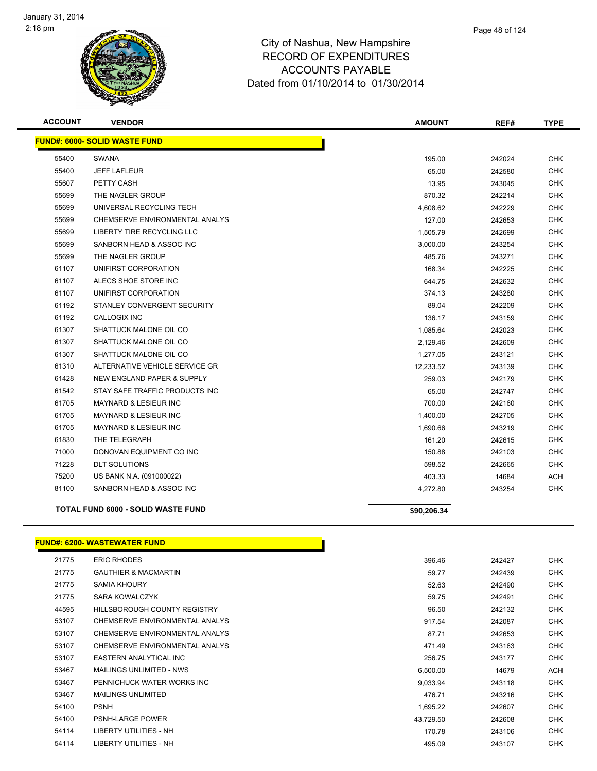

| <b>ACCOUNT</b> | <b>VENDOR</b>                         | <b>AMOUNT</b> | REF#   | <b>TYPE</b> |
|----------------|---------------------------------------|---------------|--------|-------------|
|                | <b>FUND#: 6000- SOLID WASTE FUND</b>  |               |        |             |
| 55400          | <b>SWANA</b>                          | 195.00        | 242024 | <b>CHK</b>  |
| 55400          | <b>JEFF LAFLEUR</b>                   | 65.00         | 242580 | <b>CHK</b>  |
| 55607          | PETTY CASH                            | 13.95         | 243045 | CHK         |
| 55699          | THE NAGLER GROUP                      | 870.32        | 242214 | <b>CHK</b>  |
| 55699          | UNIVERSAL RECYCLING TECH              | 4,608.62      | 242229 | <b>CHK</b>  |
| 55699          | CHEMSERVE ENVIRONMENTAL ANALYS        | 127.00        | 242653 | <b>CHK</b>  |
| 55699          | <b>LIBERTY TIRE RECYCLING LLC</b>     | 1,505.79      | 242699 | <b>CHK</b>  |
| 55699          | SANBORN HEAD & ASSOC INC              | 3,000.00      | 243254 | <b>CHK</b>  |
| 55699          | THE NAGLER GROUP                      | 485.76        | 243271 | <b>CHK</b>  |
| 61107          | UNIFIRST CORPORATION                  | 168.34        | 242225 | <b>CHK</b>  |
| 61107          | ALECS SHOE STORE INC                  | 644.75        | 242632 | <b>CHK</b>  |
| 61107          | UNIFIRST CORPORATION                  | 374.13        | 243280 | <b>CHK</b>  |
| 61192          | STANLEY CONVERGENT SECURITY           | 89.04         | 242209 | <b>CHK</b>  |
| 61192          | <b>CALLOGIX INC</b>                   | 136.17        | 243159 | <b>CHK</b>  |
| 61307          | SHATTUCK MALONE OIL CO                | 1,085.64      | 242023 | <b>CHK</b>  |
| 61307          | SHATTUCK MALONE OIL CO                | 2,129.46      | 242609 | CHK         |
| 61307          | SHATTUCK MALONE OIL CO                | 1,277.05      | 243121 | <b>CHK</b>  |
| 61310          | ALTERNATIVE VEHICLE SERVICE GR        | 12,233.52     | 243139 | CHK         |
| 61428          | <b>NEW ENGLAND PAPER &amp; SUPPLY</b> | 259.03        | 242179 | <b>CHK</b>  |
| 61542          | STAY SAFE TRAFFIC PRODUCTS INC        | 65.00         | 242747 | CHK         |
| 61705          | MAYNARD & LESIEUR INC                 | 700.00        | 242160 | <b>CHK</b>  |
| 61705          | <b>MAYNARD &amp; LESIEUR INC</b>      | 1,400.00      | 242705 | CHK         |
| 61705          | MAYNARD & LESIEUR INC                 | 1,690.66      | 243219 | <b>CHK</b>  |
| 61830          | THE TELEGRAPH                         | 161.20        | 242615 | CHK         |
| 71000          | DONOVAN EQUIPMENT CO INC              | 150.88        | 242103 | CHK         |
| 71228          | <b>DLT SOLUTIONS</b>                  | 598.52        | 242665 | <b>CHK</b>  |
| 75200          | US BANK N.A. (091000022)              | 403.33        | 14684  | ACH         |
| 81100          | SANBORN HEAD & ASSOC INC              | 4,272.80      | 243254 | CHK         |
|                | TOTAL FUND 6000 - SOLID WASTE FUND    | \$90,206.34   |        |             |

#### **FUND#: 6200- WASTEWATER FUND**

| 21775 | <b>ERIC RHODES</b>              | 396.46    | 242427 | <b>CHK</b> |
|-------|---------------------------------|-----------|--------|------------|
| 21775 | <b>GAUTHIER &amp; MACMARTIN</b> | 59.77     | 242439 | <b>CHK</b> |
| 21775 | <b>SAMIA KHOURY</b>             | 52.63     | 242490 | <b>CHK</b> |
| 21775 | SARA KOWALCZYK                  | 59.75     | 242491 | <b>CHK</b> |
| 44595 | HILLSBOROUGH COUNTY REGISTRY    | 96.50     | 242132 | <b>CHK</b> |
| 53107 | CHEMSERVE ENVIRONMENTAL ANALYS  | 917.54    | 242087 | <b>CHK</b> |
| 53107 | CHEMSERVE ENVIRONMENTAL ANALYS  | 87.71     | 242653 | <b>CHK</b> |
| 53107 | CHEMSERVE ENVIRONMENTAL ANALYS  | 471.49    | 243163 | <b>CHK</b> |
| 53107 | EASTERN ANALYTICAL INC          | 256.75    | 243177 | <b>CHK</b> |
| 53467 | MAILINGS UNLIMITED - NWS        | 6,500.00  | 14679  | ACH        |
| 53467 | PENNICHUCK WATER WORKS INC      | 9,033.94  | 243118 | <b>CHK</b> |
| 53467 | <b>MAILINGS UNLIMITED</b>       | 476.71    | 243216 | <b>CHK</b> |
| 54100 | <b>PSNH</b>                     | 1,695.22  | 242607 | <b>CHK</b> |
| 54100 | <b>PSNH-LARGE POWER</b>         | 43,729.50 | 242608 | <b>CHK</b> |
| 54114 | LIBERTY UTILITIES - NH          | 170.78    | 243106 | <b>CHK</b> |
| 54114 | LIBERTY UTILITIES - NH          | 495.09    | 243107 | <b>CHK</b> |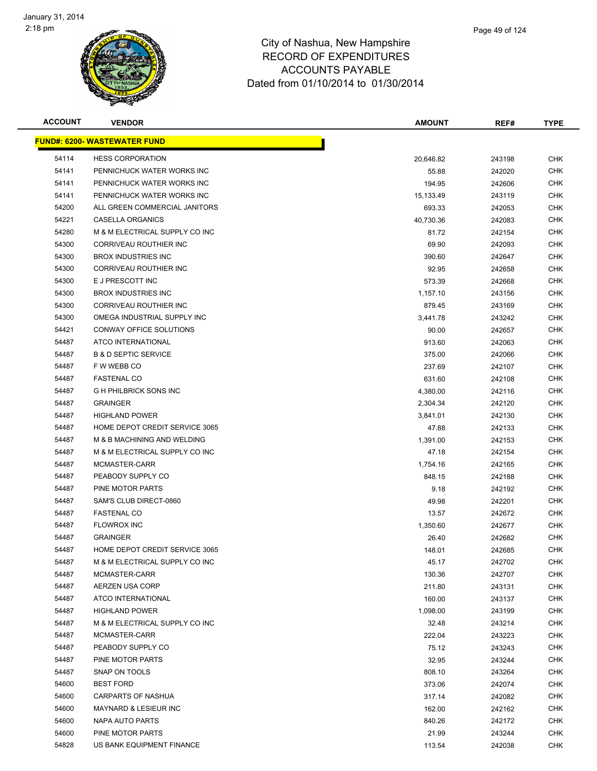

| Page 49 of 124 |  |
|----------------|--|
|                |  |

| <b>ACCOUNT</b> | <b>VENDOR</b>                         | <b>AMOUNT</b> | REF#   | TYPE       |
|----------------|---------------------------------------|---------------|--------|------------|
|                | <b>FUND#: 6200- WASTEWATER FUND</b>   |               |        |            |
| 54114          | <b>HESS CORPORATION</b>               | 20,646.82     | 243198 | <b>CHK</b> |
| 54141          | PENNICHUCK WATER WORKS INC            | 55.88         | 242020 | <b>CHK</b> |
| 54141          | PENNICHUCK WATER WORKS INC            | 194.95        | 242606 | <b>CHK</b> |
| 54141          | PENNICHUCK WATER WORKS INC            | 15,133.49     | 243119 | <b>CHK</b> |
| 54200          | ALL GREEN COMMERCIAL JANITORS         | 693.33        | 242053 | <b>CHK</b> |
| 54221          | <b>CASELLA ORGANICS</b>               | 40,730.36     | 242083 | <b>CHK</b> |
| 54280          | M & M ELECTRICAL SUPPLY CO INC        | 81.72         | 242154 | <b>CHK</b> |
| 54300          | CORRIVEAU ROUTHIER INC                | 69.90         | 242093 | <b>CHK</b> |
| 54300          | <b>BROX INDUSTRIES INC</b>            | 390.60        | 242647 | <b>CHK</b> |
| 54300          | CORRIVEAU ROUTHIER INC                | 92.95         | 242658 | <b>CHK</b> |
| 54300          | E J PRESCOTT INC                      | 573.39        | 242668 | <b>CHK</b> |
| 54300          | <b>BROX INDUSTRIES INC</b>            | 1,157.10      | 243156 | <b>CHK</b> |
| 54300          | CORRIVEAU ROUTHIER INC                | 879.45        | 243169 | <b>CHK</b> |
| 54300          | OMEGA INDUSTRIAL SUPPLY INC           | 3,441.78      | 243242 | <b>CHK</b> |
| 54421          | CONWAY OFFICE SOLUTIONS               | 90.00         | 242657 | <b>CHK</b> |
| 54487          | ATCO INTERNATIONAL                    | 913.60        | 242063 | <b>CHK</b> |
| 54487          | <b>B &amp; D SEPTIC SERVICE</b>       | 375.00        | 242066 | <b>CHK</b> |
| 54487          | F W WEBB CO                           | 237.69        | 242107 | CHK        |
| 54487          | <b>FASTENAL CO</b>                    | 631.60        | 242108 | <b>CHK</b> |
| 54487          | <b>GH PHILBRICK SONS INC</b>          | 4,380.00      | 242116 | <b>CHK</b> |
| 54487          | <b>GRAINGER</b>                       | 2,304.34      | 242120 | <b>CHK</b> |
| 54487          | <b>HIGHLAND POWER</b>                 | 3,841.01      | 242130 | <b>CHK</b> |
| 54487          | <b>HOME DEPOT CREDIT SERVICE 3065</b> | 47.88         | 242133 | <b>CHK</b> |
| 54487          | M & B MACHINING AND WELDING           | 1,391.00      | 242153 | <b>CHK</b> |
| 54487          | M & M ELECTRICAL SUPPLY CO INC        | 47.18         | 242154 | <b>CHK</b> |
| 54487          | MCMASTER-CARR                         | 1,754.16      | 242165 | <b>CHK</b> |
| 54487          | PEABODY SUPPLY CO                     | 848.15        | 242188 | <b>CHK</b> |
| 54487          | PINE MOTOR PARTS                      | 9.18          | 242192 | <b>CHK</b> |
| 54487          | SAM'S CLUB DIRECT-0860                | 49.98         | 242201 | CHK        |
| 54487          | <b>FASTENAL CO</b>                    | 13.57         | 242672 | CHK        |
| 54487          | <b>FLOWROX INC</b>                    | 1,350.60      | 242677 | <b>CHK</b> |
| 54487          | <b>GRAINGER</b>                       | 26.40         | 242682 | <b>CHK</b> |
| 54487          | <b>HOME DEPOT CREDIT SERVICE 3065</b> | 148.01        | 242685 | <b>CHK</b> |
| 54487          | M & M ELECTRICAL SUPPLY CO INC        | 45.17         | 242702 | <b>CHK</b> |
| 54487          | MCMASTER-CARR                         | 130.36        | 242707 | <b>CHK</b> |
| 54487          | AERZEN USA CORP                       | 211.80        | 243131 | <b>CHK</b> |
| 54487          | ATCO INTERNATIONAL                    | 160.00        | 243137 | <b>CHK</b> |
| 54487          | <b>HIGHLAND POWER</b>                 | 1,098.00      | 243199 | <b>CHK</b> |
| 54487          | M & M ELECTRICAL SUPPLY CO INC        | 32.48         | 243214 | <b>CHK</b> |
| 54487          | MCMASTER-CARR                         | 222.04        | 243223 | CHK        |
| 54487          | PEABODY SUPPLY CO                     | 75.12         | 243243 | CHK        |
| 54487          | PINE MOTOR PARTS                      | 32.95         | 243244 | <b>CHK</b> |
| 54487          | SNAP ON TOOLS                         | 808.10        | 243264 | CHK        |
| 54600          | <b>BEST FORD</b>                      | 373.06        | 242074 | CHK        |
| 54600          | <b>CARPARTS OF NASHUA</b>             | 317.14        | 242082 | CHK        |
| 54600          | <b>MAYNARD &amp; LESIEUR INC</b>      | 162.00        | 242162 | CHK        |
| 54600          | NAPA AUTO PARTS                       | 840.26        | 242172 | <b>CHK</b> |
| 54600          | PINE MOTOR PARTS                      | 21.99         | 243244 | <b>CHK</b> |
| 54828          | US BANK EQUIPMENT FINANCE             | 113.54        | 242038 | <b>CHK</b> |
|                |                                       |               |        |            |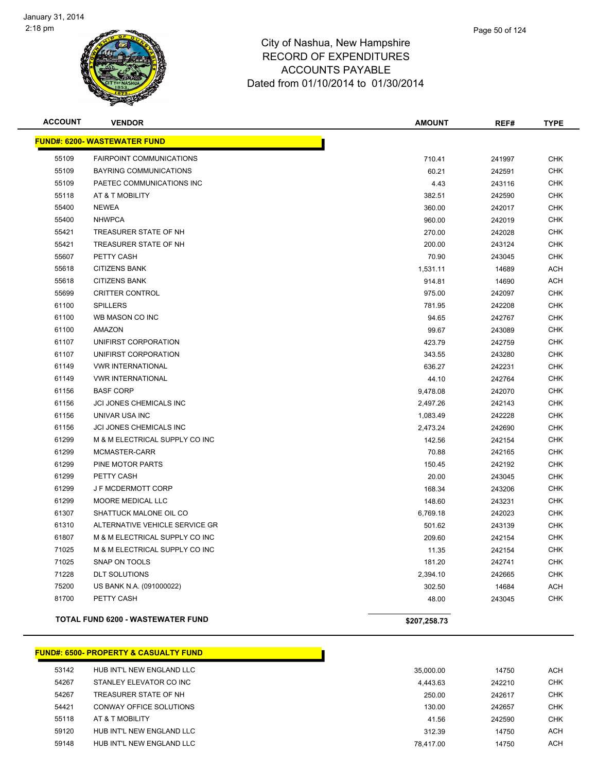

| <b>ACCOUNT</b> | <b>VENDOR</b>                            | <b>AMOUNT</b> | REF#   | <b>TYPE</b> |
|----------------|------------------------------------------|---------------|--------|-------------|
|                | <b>FUND#: 6200- WASTEWATER FUND</b>      |               |        |             |
| 55109          | <b>FAIRPOINT COMMUNICATIONS</b>          | 710.41        | 241997 | <b>CHK</b>  |
| 55109          | <b>BAYRING COMMUNICATIONS</b>            | 60.21         | 242591 | <b>CHK</b>  |
| 55109          | PAETEC COMMUNICATIONS INC                | 4.43          | 243116 | <b>CHK</b>  |
| 55118          | AT & T MOBILITY                          | 382.51        | 242590 | <b>CHK</b>  |
| 55400          | <b>NEWEA</b>                             | 360.00        | 242017 | <b>CHK</b>  |
| 55400          | <b>NHWPCA</b>                            | 960.00        | 242019 | <b>CHK</b>  |
| 55421          | TREASURER STATE OF NH                    | 270.00        | 242028 | <b>CHK</b>  |
| 55421          | TREASURER STATE OF NH                    | 200.00        | 243124 | <b>CHK</b>  |
| 55607          | PETTY CASH                               | 70.90         | 243045 | <b>CHK</b>  |
| 55618          | <b>CITIZENS BANK</b>                     | 1,531.11      | 14689  | <b>ACH</b>  |
| 55618          | <b>CITIZENS BANK</b>                     | 914.81        | 14690  | <b>ACH</b>  |
| 55699          | <b>CRITTER CONTROL</b>                   | 975.00        | 242097 | <b>CHK</b>  |
| 61100          | <b>SPILLERS</b>                          | 781.95        | 242208 | <b>CHK</b>  |
| 61100          | WB MASON CO INC                          | 94.65         | 242767 | <b>CHK</b>  |
| 61100          | <b>AMAZON</b>                            | 99.67         | 243089 | <b>CHK</b>  |
| 61107          | UNIFIRST CORPORATION                     | 423.79        | 242759 | <b>CHK</b>  |
| 61107          | UNIFIRST CORPORATION                     | 343.55        | 243280 | <b>CHK</b>  |
| 61149          | <b>VWR INTERNATIONAL</b>                 | 636.27        | 242231 | <b>CHK</b>  |
| 61149          | <b>VWR INTERNATIONAL</b>                 | 44.10         | 242764 | <b>CHK</b>  |
| 61156          | <b>BASF CORP</b>                         | 9,478.08      | 242070 | <b>CHK</b>  |
| 61156          | JCI JONES CHEMICALS INC                  | 2,497.26      | 242143 | <b>CHK</b>  |
| 61156          | UNIVAR USA INC                           | 1,083.49      | 242228 | <b>CHK</b>  |
| 61156          | <b>JCI JONES CHEMICALS INC</b>           | 2,473.24      | 242690 | <b>CHK</b>  |
| 61299          | M & M ELECTRICAL SUPPLY CO INC           | 142.56        | 242154 | <b>CHK</b>  |
| 61299          | MCMASTER-CARR                            | 70.88         | 242165 | <b>CHK</b>  |
| 61299          | PINE MOTOR PARTS                         | 150.45        | 242192 | <b>CHK</b>  |
| 61299          | PETTY CASH                               | 20.00         | 243045 | <b>CHK</b>  |
| 61299          | <b>J F MCDERMOTT CORP</b>                | 168.34        | 243206 | <b>CHK</b>  |
| 61299          | <b>MOORE MEDICAL LLC</b>                 | 148.60        | 243231 | <b>CHK</b>  |
| 61307          | SHATTUCK MALONE OIL CO                   | 6,769.18      | 242023 | <b>CHK</b>  |
| 61310          | ALTERNATIVE VEHICLE SERVICE GR           | 501.62        | 243139 | <b>CHK</b>  |
| 61807          | M & M ELECTRICAL SUPPLY CO INC           | 209.60        | 242154 | <b>CHK</b>  |
| 71025          | M & M ELECTRICAL SUPPLY CO INC           | 11.35         | 242154 | <b>CHK</b>  |
| 71025          | SNAP ON TOOLS                            | 181.20        | 242741 | <b>CHK</b>  |
| 71228          | <b>DLT SOLUTIONS</b>                     | 2,394.10      | 242665 | <b>CHK</b>  |
| 75200          | US BANK N.A. (091000022)                 | 302.50        | 14684  | ACH         |
| 81700          | PETTY CASH                               | 48.00         | 243045 | <b>CHK</b>  |
|                | <b>TOTAL FUND 6200 - WASTEWATER FUND</b> | \$207,258.73  |        |             |

|       | <b>FUND#: 6500- PROPERTY &amp; CASUALTY FUND</b> |           |        |            |
|-------|--------------------------------------------------|-----------|--------|------------|
| 53142 | HUB INT'L NEW ENGLAND LLC                        | 35,000.00 | 14750  | <b>ACH</b> |
| 54267 | STANLEY ELEVATOR CO INC                          | 4.443.63  | 242210 | <b>CHK</b> |
| 54267 | TREASURER STATE OF NH                            | 250.00    | 242617 | <b>CHK</b> |
| 54421 | CONWAY OFFICE SOLUTIONS                          | 130.00    | 242657 | <b>CHK</b> |
| 55118 | AT & T MOBILITY                                  | 41.56     | 242590 | <b>CHK</b> |
| 59120 | HUB INT'L NEW ENGLAND LLC                        | 312.39    | 14750  | ACH        |
| 59148 | HUB INT'L NEW ENGLAND LLC                        | 78.417.00 | 14750  | ACH        |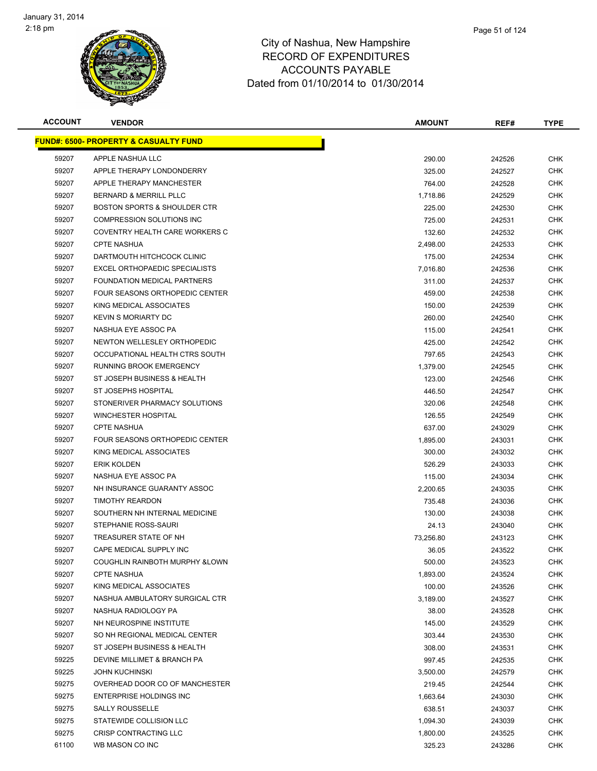

|    | Page 51 of 124 |
|----|----------------|
| re |                |
| .c |                |

| <b>ACCOUNT</b> | <b>VENDOR</b>                                    | AMOUNT    | REF#   | <b>TYPE</b> |
|----------------|--------------------------------------------------|-----------|--------|-------------|
|                | <b>FUND#: 6500- PROPERTY &amp; CASUALTY FUND</b> |           |        |             |
| 59207          | APPLE NASHUA LLC                                 | 290.00    | 242526 | <b>CHK</b>  |
| 59207          | APPLE THERAPY LONDONDERRY                        | 325.00    | 242527 | <b>CHK</b>  |
| 59207          | APPLE THERAPY MANCHESTER                         | 764.00    | 242528 | <b>CHK</b>  |
| 59207          | <b>BERNARD &amp; MERRILL PLLC</b>                | 1,718.86  | 242529 | <b>CHK</b>  |
| 59207          | <b>BOSTON SPORTS &amp; SHOULDER CTR</b>          | 225.00    | 242530 | <b>CHK</b>  |
| 59207          | <b>COMPRESSION SOLUTIONS INC</b>                 | 725.00    | 242531 | <b>CHK</b>  |
| 59207          | COVENTRY HEALTH CARE WORKERS C                   | 132.60    | 242532 | <b>CHK</b>  |
| 59207          | <b>CPTE NASHUA</b>                               | 2,498.00  | 242533 | <b>CHK</b>  |
| 59207          | DARTMOUTH HITCHCOCK CLINIC                       | 175.00    | 242534 | <b>CHK</b>  |
| 59207          | EXCEL ORTHOPAEDIC SPECIALISTS                    | 7,016.80  | 242536 | CHK         |
| 59207          | FOUNDATION MEDICAL PARTNERS                      | 311.00    | 242537 | <b>CHK</b>  |
| 59207          | FOUR SEASONS ORTHOPEDIC CENTER                   | 459.00    | 242538 | <b>CHK</b>  |
| 59207          | KING MEDICAL ASSOCIATES                          | 150.00    | 242539 | <b>CHK</b>  |
| 59207          | <b>KEVIN S MORIARTY DC</b>                       | 260.00    | 242540 | <b>CHK</b>  |
| 59207          | NASHUA EYE ASSOC PA                              | 115.00    | 242541 | <b>CHK</b>  |
| 59207          | NEWTON WELLESLEY ORTHOPEDIC                      | 425.00    | 242542 | <b>CHK</b>  |
| 59207          | OCCUPATIONAL HEALTH CTRS SOUTH                   | 797.65    | 242543 | <b>CHK</b>  |
| 59207          | RUNNING BROOK EMERGENCY                          | 1,379.00  | 242545 | <b>CHK</b>  |
| 59207          | ST JOSEPH BUSINESS & HEALTH                      | 123.00    | 242546 | <b>CHK</b>  |
| 59207          | <b>ST JOSEPHS HOSPITAL</b>                       | 446.50    | 242547 | <b>CHK</b>  |
| 59207          | STONERIVER PHARMACY SOLUTIONS                    | 320.06    | 242548 | <b>CHK</b>  |
| 59207          | <b>WINCHESTER HOSPITAL</b>                       | 126.55    | 242549 | <b>CHK</b>  |
| 59207          | <b>CPTE NASHUA</b>                               | 637.00    | 243029 | CHK         |
| 59207          | FOUR SEASONS ORTHOPEDIC CENTER                   | 1,895.00  | 243031 | <b>CHK</b>  |
| 59207          | KING MEDICAL ASSOCIATES                          | 300.00    | 243032 | <b>CHK</b>  |
| 59207          | <b>ERIK KOLDEN</b>                               | 526.29    | 243033 | <b>CHK</b>  |
| 59207          | NASHUA EYE ASSOC PA                              | 115.00    | 243034 | <b>CHK</b>  |
| 59207          | NH INSURANCE GUARANTY ASSOC                      | 2,200.65  | 243035 | <b>CHK</b>  |
| 59207          | <b>TIMOTHY REARDON</b>                           | 735.48    | 243036 | <b>CHK</b>  |
| 59207          | SOUTHERN NH INTERNAL MEDICINE                    | 130.00    | 243038 | <b>CHK</b>  |
| 59207          | STEPHANIE ROSS-SAURI                             | 24.13     | 243040 | <b>CHK</b>  |
| 59207          | TREASURER STATE OF NH                            | 73,256.80 | 243123 | CHK         |
| 59207          | CAPE MEDICAL SUPPLY INC                          | 36.05     | 243522 | <b>CHK</b>  |
| 59207          | COUGHLIN RAINBOTH MURPHY & LOWN                  | 500.00    | 243523 | <b>CHK</b>  |
| 59207          | <b>CPTE NASHUA</b>                               | 1,893.00  | 243524 | <b>CHK</b>  |
| 59207          | KING MEDICAL ASSOCIATES                          | 100.00    | 243526 | <b>CHK</b>  |
| 59207          | NASHUA AMBULATORY SURGICAL CTR                   | 3,189.00  | 243527 | CHK         |
| 59207          | NASHUA RADIOLOGY PA                              | 38.00     | 243528 | <b>CHK</b>  |
| 59207          | NH NEUROSPINE INSTITUTE                          | 145.00    | 243529 | <b>CHK</b>  |
| 59207          | SO NH REGIONAL MEDICAL CENTER                    | 303.44    | 243530 | CHK         |
| 59207          | ST JOSEPH BUSINESS & HEALTH                      | 308.00    | 243531 | <b>CHK</b>  |
| 59225          | DEVINE MILLIMET & BRANCH PA                      | 997.45    | 242535 | <b>CHK</b>  |
| 59225          | <b>JOHN KUCHINSKI</b>                            | 3,500.00  | 242579 | CHK         |
| 59275          | OVERHEAD DOOR CO OF MANCHESTER                   | 219.45    | 242544 | <b>CHK</b>  |
| 59275          | ENTERPRISE HOLDINGS INC                          | 1,663.64  | 243030 | CHK         |
| 59275          | <b>SALLY ROUSSELLE</b>                           | 638.51    | 243037 | CHK         |
| 59275          | STATEWIDE COLLISION LLC                          | 1,094.30  | 243039 | CHK         |
| 59275          | CRISP CONTRACTING LLC                            | 1,800.00  | 243525 | CHK         |
| 61100          | WB MASON CO INC                                  | 325.23    | 243286 | <b>CHK</b>  |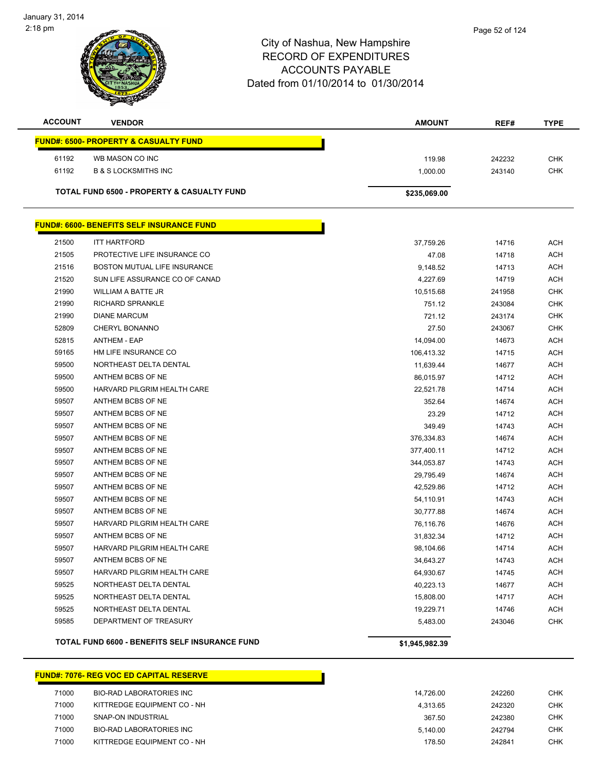| <b>ACCOUNT</b> | <b>VENDOR</b>                                    | <b>AMOUNT</b>  | REF#   | <b>TYPE</b> |
|----------------|--------------------------------------------------|----------------|--------|-------------|
|                | <b>FUND#: 6500- PROPERTY &amp; CASUALTY FUND</b> |                |        |             |
| 61192          | WB MASON CO INC                                  | 119.98         | 242232 | <b>CHK</b>  |
| 61192          | <b>B &amp; S LOCKSMITHS INC</b>                  | 1,000.00       | 243140 | <b>CHK</b>  |
|                | TOTAL FUND 6500 - PROPERTY & CASUALTY FUND       | \$235,069.00   |        |             |
|                | <b>FUND#: 6600- BENEFITS SELF INSURANCE FUND</b> |                |        |             |
| 21500          | <b>ITT HARTFORD</b>                              | 37,759.26      | 14716  | <b>ACH</b>  |
| 21505          | PROTECTIVE LIFE INSURANCE CO                     | 47.08          | 14718  | <b>ACH</b>  |
| 21516          | BOSTON MUTUAL LIFE INSURANCE                     | 9,148.52       | 14713  | <b>ACH</b>  |
| 21520          | SUN LIFE ASSURANCE CO OF CANAD                   | 4,227.69       | 14719  | <b>ACH</b>  |
| 21990          | WILLIAM A BATTE JR                               | 10,515.68      | 241958 | <b>CHK</b>  |
| 21990          | <b>RICHARD SPRANKLE</b>                          | 751.12         | 243084 | <b>CHK</b>  |
| 21990          | <b>DIANE MARCUM</b>                              | 721.12         | 243174 | <b>CHK</b>  |
| 52809          | CHERYL BONANNO                                   | 27.50          | 243067 | <b>CHK</b>  |
| 52815          | <b>ANTHEM - EAP</b>                              | 14,094.00      | 14673  | ACH         |
| 59165          | HM LIFE INSURANCE CO                             | 106,413.32     | 14715  | <b>ACH</b>  |
| 59500          | NORTHEAST DELTA DENTAL                           | 11,639.44      | 14677  | <b>ACH</b>  |
| 59500          | ANTHEM BCBS OF NE                                | 86,015.97      | 14712  | <b>ACH</b>  |
| 59500          | HARVARD PILGRIM HEALTH CARE                      | 22,521.78      | 14714  | <b>ACH</b>  |
| 59507          | ANTHEM BCBS OF NE                                | 352.64         | 14674  | ACH         |
| 59507          | ANTHEM BCBS OF NE                                | 23.29          | 14712  | <b>ACH</b>  |
| 59507          | ANTHEM BCBS OF NE                                | 349.49         | 14743  | ACH         |
| 59507          | ANTHEM BCBS OF NE                                | 376,334.83     | 14674  | <b>ACH</b>  |
| 59507          | ANTHEM BCBS OF NE                                | 377,400.11     | 14712  | <b>ACH</b>  |
| 59507          | ANTHEM BCBS OF NE                                | 344,053.87     | 14743  | ACH         |
| 59507          | ANTHEM BCBS OF NE                                | 29,795.49      | 14674  | <b>ACH</b>  |
| 59507          | ANTHEM BCBS OF NE                                | 42,529.86      | 14712  | <b>ACH</b>  |
| 59507          | ANTHEM BCBS OF NE                                | 54,110.91      | 14743  | <b>ACH</b>  |
| 59507          | ANTHEM BCBS OF NE                                | 30,777.88      | 14674  | <b>ACH</b>  |
| 59507          | HARVARD PILGRIM HEALTH CARE                      | 76,116.76      | 14676  | <b>ACH</b>  |
| 59507          | ANTHEM BCBS OF NE                                | 31,832.34      | 14712  | <b>ACH</b>  |
| 59507          | HARVARD PILGRIM HEALTH CARE                      | 98,104.66      | 14714  | <b>ACH</b>  |
| 59507          | ANTHEM BCBS OF NE                                | 34,643.27      | 14743  | <b>ACH</b>  |
| 59507          | HARVARD PILGRIM HEALTH CARE                      | 64,930.67      | 14745  | <b>ACH</b>  |
| 59525          | NORTHEAST DELTA DENTAL                           | 40,223.13      | 14677  | <b>ACH</b>  |
| 59525          | NORTHEAST DELTA DENTAL                           | 15,808.00      | 14717  | <b>ACH</b>  |
| 59525          | NORTHEAST DELTA DENTAL                           | 19,229.71      | 14746  | <b>ACH</b>  |
| 59585          | DEPARTMENT OF TREASURY                           | 5,483.00       | 243046 | <b>CHK</b>  |
|                | TOTAL FUND 6600 - BENEFITS SELF INSURANCE FUND   | \$1,945,982.39 |        |             |

#### **FUND#: 7076- REG VOC ED CAPITAL RESERVE**

| 71000 | BIO-RAD LABORATORIES INC    | 14.726.00 | 242260 | CHK        |
|-------|-----------------------------|-----------|--------|------------|
| 71000 | KITTREDGE EQUIPMENT CO - NH | 4.313.65  | 242320 | <b>CHK</b> |
| 71000 | SNAP-ON INDUSTRIAL          | 367.50    | 242380 | <b>CHK</b> |
| 71000 | BIO-RAD LABORATORIES INC    | 5.140.00  | 242794 | CHK        |
| 71000 | KITTREDGE EQUIPMENT CO - NH | 178.50    | 242841 | CHK        |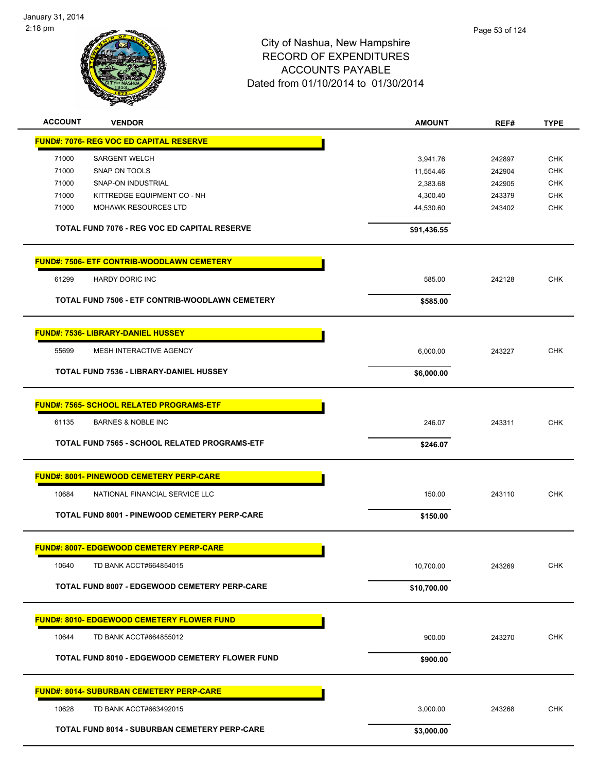

| <b>ACCOUNT</b> | <b>VENDOR</b>                                          | <b>AMOUNT</b> | REF#   | <b>TYPE</b> |
|----------------|--------------------------------------------------------|---------------|--------|-------------|
|                | <b>FUND#: 7076- REG VOC ED CAPITAL RESERVE</b>         |               |        |             |
| 71000          | <b>SARGENT WELCH</b>                                   | 3,941.76      | 242897 | <b>CHK</b>  |
| 71000          | SNAP ON TOOLS                                          | 11,554.46     | 242904 | <b>CHK</b>  |
| 71000          | SNAP-ON INDUSTRIAL                                     | 2,383.68      | 242905 | <b>CHK</b>  |
| 71000          | KITTREDGE EQUIPMENT CO - NH                            | 4,300.40      | 243379 | <b>CHK</b>  |
| 71000          | <b>MOHAWK RESOURCES LTD</b>                            | 44,530.60     | 243402 | <b>CHK</b>  |
|                | TOTAL FUND 7076 - REG VOC ED CAPITAL RESERVE           | \$91,436.55   |        |             |
|                | <b>FUND#: 7506- ETF CONTRIB-WOODLAWN CEMETERY</b>      |               |        |             |
| 61299          | <b>HARDY DORIC INC</b>                                 | 585.00        | 242128 | <b>CHK</b>  |
|                | TOTAL FUND 7506 - ETF CONTRIB-WOODLAWN CEMETERY        | \$585.00      |        |             |
|                | <b>FUND#: 7536- LIBRARY-DANIEL HUSSEY</b>              |               |        |             |
| 55699          | MESH INTERACTIVE AGENCY                                | 6,000.00      | 243227 | <b>CHK</b>  |
|                | TOTAL FUND 7536 - LIBRARY-DANIEL HUSSEY                | \$6,000.00    |        |             |
|                | <b>FUND#: 7565- SCHOOL RELATED PROGRAMS-ETF</b>        |               |        |             |
| 61135          | <b>BARNES &amp; NOBLE INC</b>                          | 246.07        | 243311 | <b>CHK</b>  |
|                | <b>TOTAL FUND 7565 - SCHOOL RELATED PROGRAMS-ETF</b>   | \$246.07      |        |             |
|                | <b>FUND#: 8001- PINEWOOD CEMETERY PERP-CARE</b>        |               |        |             |
| 10684          | NATIONAL FINANCIAL SERVICE LLC                         | 150.00        | 243110 | <b>CHK</b>  |
|                | <b>TOTAL FUND 8001 - PINEWOOD CEMETERY PERP-CARE</b>   | \$150.00      |        |             |
|                | <b>FUND#: 8007- EDGEWOOD CEMETERY PERP-CARE</b>        |               |        |             |
| 10640          | TD BANK ACCT#664854015                                 | 10,700.00     | 243269 | <b>CHK</b>  |
|                | TOTAL FUND 8007 - EDGEWOOD CEMETERY PERP-CARE          | \$10,700.00   |        |             |
|                | <b>FUND#: 8010- EDGEWOOD CEMETERY FLOWER FUND</b>      |               |        |             |
| 10644          | TD BANK ACCT#664855012                                 | 900.00        | 243270 | <b>CHK</b>  |
|                | <b>TOTAL FUND 8010 - EDGEWOOD CEMETERY FLOWER FUND</b> | \$900.00      |        |             |
|                | <b>FUND#: 8014- SUBURBAN CEMETERY PERP-CARE</b>        |               |        |             |
| 10628          | TD BANK ACCT#663492015                                 | 3,000.00      | 243268 | <b>CHK</b>  |
|                | <b>TOTAL FUND 8014 - SUBURBAN CEMETERY PERP-CARE</b>   | \$3,000.00    |        |             |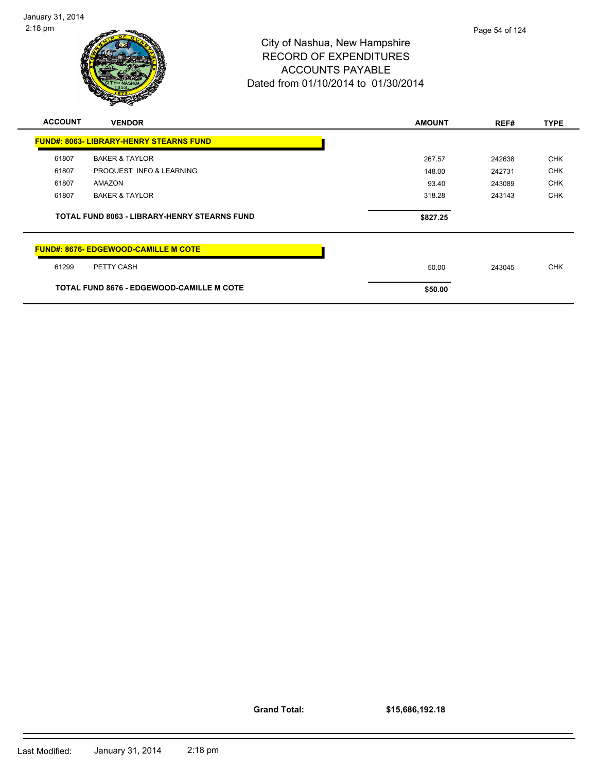

| <b>ACCOUNT</b> | <b>VENDOR</b>                                       | <b>AMOUNT</b> | REF#   | <b>TYPE</b> |
|----------------|-----------------------------------------------------|---------------|--------|-------------|
|                | <b>FUND#: 8063- LIBRARY-HENRY STEARNS FUND</b>      |               |        |             |
| 61807          | <b>BAKER &amp; TAYLOR</b>                           | 267.57        | 242638 | <b>CHK</b>  |
| 61807          | PROQUEST INFO & LEARNING                            | 148.00        | 242731 | <b>CHK</b>  |
| 61807          | AMAZON                                              | 93.40         | 243089 | <b>CHK</b>  |
| 61807          | <b>BAKER &amp; TAYLOR</b>                           | 318.28        | 243143 | <b>CHK</b>  |
|                |                                                     |               |        |             |
|                | <b>TOTAL FUND 8063 - LIBRARY-HENRY STEARNS FUND</b> | \$827.25      |        |             |
|                | <b>FUND#: 8676- EDGEWOOD-CAMILLE M COTE</b>         |               |        |             |
| 61299          | PETTY CASH                                          | 50.00         | 243045 | <b>CHK</b>  |

**Grand Total:**

**\$15,686,192.18**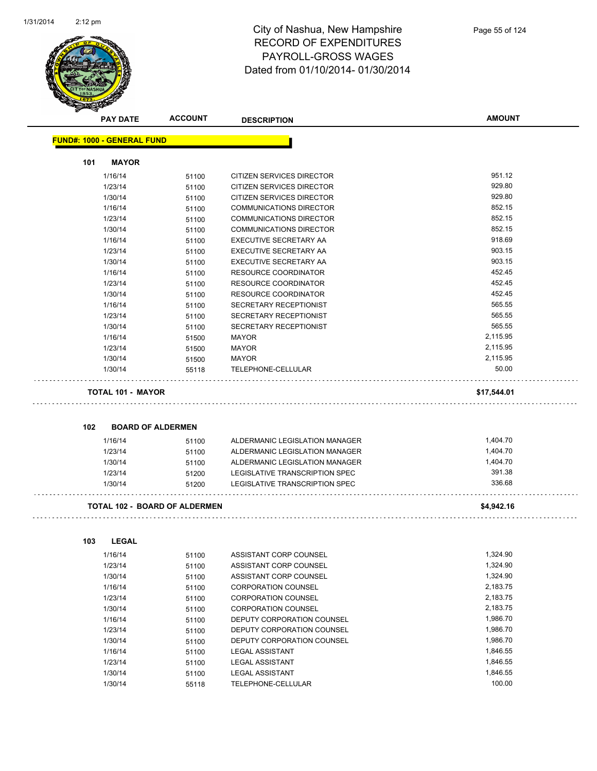

|     | <b>PAY DATE</b>                   | <b>ACCOUNT</b>                       | <b>DESCRIPTION</b>                               | <b>AMOUNT</b>        |
|-----|-----------------------------------|--------------------------------------|--------------------------------------------------|----------------------|
|     | <b>FUND#: 1000 - GENERAL FUND</b> |                                      |                                                  |                      |
| 101 | <b>MAYOR</b>                      |                                      |                                                  |                      |
|     | 1/16/14                           | 51100                                | CITIZEN SERVICES DIRECTOR                        | 951.12               |
|     | 1/23/14                           | 51100                                | CITIZEN SERVICES DIRECTOR                        | 929.80               |
|     | 1/30/14                           | 51100                                | CITIZEN SERVICES DIRECTOR                        | 929.80               |
|     | 1/16/14                           | 51100                                | <b>COMMUNICATIONS DIRECTOR</b>                   | 852.15               |
|     | 1/23/14                           | 51100                                | <b>COMMUNICATIONS DIRECTOR</b>                   | 852.15               |
|     | 1/30/14                           | 51100                                | <b>COMMUNICATIONS DIRECTOR</b>                   | 852.15               |
|     | 1/16/14                           | 51100                                | EXECUTIVE SECRETARY AA                           | 918.69               |
|     | 1/23/14                           | 51100                                | EXECUTIVE SECRETARY AA                           | 903.15               |
|     | 1/30/14                           | 51100                                | EXECUTIVE SECRETARY AA                           | 903.15               |
|     | 1/16/14                           | 51100                                | RESOURCE COORDINATOR                             | 452.45               |
|     | 1/23/14                           | 51100                                | RESOURCE COORDINATOR                             | 452.45               |
|     | 1/30/14                           | 51100                                | <b>RESOURCE COORDINATOR</b>                      | 452.45               |
|     | 1/16/14                           | 51100                                | SECRETARY RECEPTIONIST                           | 565.55               |
|     | 1/23/14                           | 51100                                | SECRETARY RECEPTIONIST                           | 565.55               |
|     | 1/30/14                           | 51100                                | SECRETARY RECEPTIONIST                           | 565.55               |
|     | 1/16/14                           | 51500                                | <b>MAYOR</b>                                     | 2,115.95             |
|     | 1/23/14                           | 51500                                | <b>MAYOR</b>                                     | 2,115.95             |
|     | 1/30/14                           | 51500                                | <b>MAYOR</b>                                     | 2,115.95             |
|     | 1/30/14                           | 55118                                | TELEPHONE-CELLULAR                               | 50.00                |
|     | <b>TOTAL 101 - MAYOR</b>          |                                      |                                                  | \$17,544.01          |
|     |                                   |                                      |                                                  |                      |
| 102 |                                   | <b>BOARD OF ALDERMEN</b>             |                                                  |                      |
|     | 1/16/14                           | 51100                                | ALDERMANIC LEGISLATION MANAGER                   | 1,404.70             |
|     | 1/23/14                           | 51100                                | ALDERMANIC LEGISLATION MANAGER                   | 1,404.70             |
|     | 1/30/14                           | 51100                                | ALDERMANIC LEGISLATION MANAGER                   | 1,404.70             |
|     | 1/23/14                           | 51200                                | LEGISLATIVE TRANSCRIPTION SPEC                   | 391.38               |
|     | 1/30/14                           | 51200                                | LEGISLATIVE TRANSCRIPTION SPEC                   | 336.68               |
|     |                                   | <b>TOTAL 102 - BOARD OF ALDERMEN</b> |                                                  | \$4,942.16           |
| 103 | <b>LEGAL</b>                      |                                      |                                                  |                      |
|     |                                   |                                      | ASSISTANT CORP COUNSEL                           | 1,324.90             |
|     | 1/16/14                           | 51100                                | ASSISTANT CORP COUNSEL                           | 1,324.90             |
|     | 1/23/14<br>1/30/14                | 51100                                | ASSISTANT CORP COUNSEL                           | 1,324.90             |
|     |                                   | 51100                                | <b>CORPORATION COUNSEL</b>                       | 2,183.75             |
|     | 1/16/14                           | 51100                                |                                                  | 2,183.75             |
|     | 1/23/14                           | 51100                                | <b>CORPORATION COUNSEL</b>                       |                      |
|     | 1/30/14                           | 51100                                | CORPORATION COUNSEL                              | 2,183.75             |
|     | 1/16/14                           | 51100                                | DEPUTY CORPORATION COUNSEL                       | 1,986.70             |
|     | 1/23/14                           | 51100                                | DEPUTY CORPORATION COUNSEL                       | 1,986.70             |
|     | 1/30/14                           | 51100                                | DEPUTY CORPORATION COUNSEL                       | 1,986.70             |
|     | 1/16/14<br>1/23/14                | 51100<br>51100                       | <b>LEGAL ASSISTANT</b><br><b>LEGAL ASSISTANT</b> | 1,846.55<br>1,846.55 |

1/30/14 55118 TELEPHONE-CELLULAR 100.00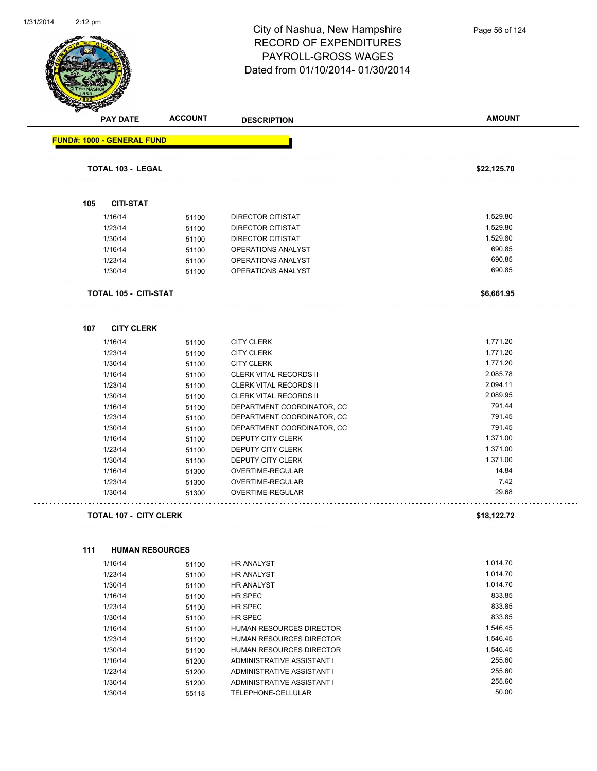

|     | <b>PAY DATE</b>                   | <b>ACCOUNT</b> | <b>DESCRIPTION</b>            | <b>AMOUNT</b> |
|-----|-----------------------------------|----------------|-------------------------------|---------------|
|     | <b>FUND#: 1000 - GENERAL FUND</b> |                |                               |               |
|     |                                   |                |                               |               |
|     | <b>TOTAL 103 - LEGAL</b>          |                |                               | \$22,125.70   |
| 105 | <b>CITI-STAT</b>                  |                |                               |               |
|     | 1/16/14                           | 51100          | <b>DIRECTOR CITISTAT</b>      | 1,529.80      |
|     | 1/23/14                           | 51100          | DIRECTOR CITISTAT             | 1,529.80      |
|     | 1/30/14                           | 51100          | DIRECTOR CITISTAT             | 1,529.80      |
|     | 1/16/14                           | 51100          | OPERATIONS ANALYST            | 690.85        |
|     | 1/23/14                           | 51100          | OPERATIONS ANALYST            | 690.85        |
|     | 1/30/14                           | 51100          | OPERATIONS ANALYST            | 690.85        |
|     | <b>TOTAL 105 - CITI-STAT</b>      |                |                               | \$6,661.95    |
| 107 | <b>CITY CLERK</b>                 |                |                               |               |
|     | 1/16/14                           | 51100          | <b>CITY CLERK</b>             | 1,771.20      |
|     | 1/23/14                           | 51100          | <b>CITY CLERK</b>             | 1,771.20      |
|     | 1/30/14                           | 51100          | <b>CITY CLERK</b>             | 1,771.20      |
|     | 1/16/14                           | 51100          | <b>CLERK VITAL RECORDS II</b> | 2,085.78      |
|     | 1/23/14                           | 51100          | <b>CLERK VITAL RECORDS II</b> | 2,094.11      |
|     | 1/30/14                           | 51100          | <b>CLERK VITAL RECORDS II</b> | 2,089.95      |
|     | 1/16/14                           | 51100          | DEPARTMENT COORDINATOR, CC    | 791.44        |
|     | 1/23/14                           | 51100          | DEPARTMENT COORDINATOR, CC    | 791.45        |
|     | 1/30/14                           | 51100          | DEPARTMENT COORDINATOR, CC    | 791.45        |
|     | 1/16/14                           | 51100          | DEPUTY CITY CLERK             | 1,371.00      |
|     | 1/23/14                           | 51100          | DEPUTY CITY CLERK             | 1,371.00      |
|     | 1/30/14                           | 51100          | DEPUTY CITY CLERK             | 1,371.00      |
|     | 1/16/14                           | 51300          | OVERTIME-REGULAR              | 14.84         |
|     | 1/23/14                           | 51300          | OVERTIME-REGULAR              | 7.42          |
|     | 1/30/14                           | 51300          | OVERTIME-REGULAR              | 29.68         |
|     | <b>TOTAL 107 - CITY CLERK</b>     |                |                               | \$18,122.72   |
|     |                                   |                |                               |               |
| 111 | <b>HUMAN RESOURCES</b>            |                |                               |               |
|     | 1/16/14                           | 51100          | <b>HR ANALYST</b>             | 1,014.70      |
|     | 1/23/14                           | 51100          | HR ANALYST                    | 1,014.70      |
|     | 1/30/14                           | 51100          | HR ANALYST                    | 1,014.70      |
|     | 1/16/14                           | 51100          | HR SPEC                       | 833.85        |
|     | 1/23/14                           | 51100          | HR SPEC                       | 833.85        |
|     | 1/30/14                           | 51100          | HR SPEC                       | 833.85        |
|     | 1/16/14                           | 51100          | HUMAN RESOURCES DIRECTOR      | 1,546.45      |
|     | 1/23/14                           | 51100          | HUMAN RESOURCES DIRECTOR      | 1,546.45      |
|     | 1/30/14                           | 51100          | HUMAN RESOURCES DIRECTOR      | 1,546.45      |
|     | 1/16/14                           | 51200          | ADMINISTRATIVE ASSISTANT I    | 255.60        |
|     | 1/23/14                           | 51200          | ADMINISTRATIVE ASSISTANT I    | 255.60        |
|     | 1/30/14                           | 51200          | ADMINISTRATIVE ASSISTANT I    | 255.60        |
|     | 1/30/14                           | 55118          | TELEPHONE-CELLULAR            | 50.00         |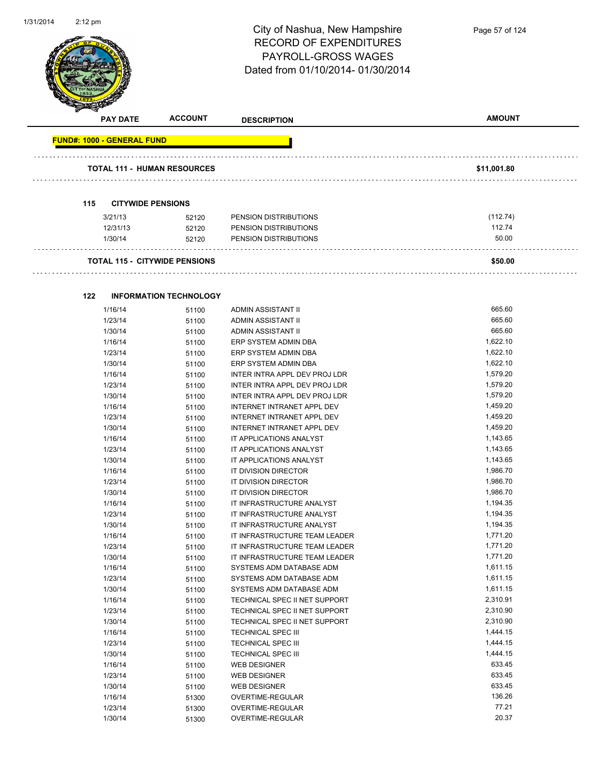$\overline{\phantom{0}}$ 



| <b>PAY DATE</b>                      | <b>ACCOUNT</b>                | <b>DESCRIPTION</b>      | <b>AMOUNT</b> |
|--------------------------------------|-------------------------------|-------------------------|---------------|
| <b>FUND#: 1000 - GENERAL FUND</b>    |                               |                         |               |
| <b>TOTAL 111 - HUMAN RESOURCES</b>   |                               |                         | \$11,001.80   |
| 115<br><b>CITYWIDE PENSIONS</b>      |                               |                         |               |
| 3/21/13                              | 52120                         | PENSION DISTRIBUTIONS   | (112.74)      |
| 12/31/13                             | 52120                         | PENSION DISTRIBUTIONS   | 112.74        |
| 1/30/14                              | 52120                         | PENSION DISTRIBUTIONS   | 50.00         |
| <b>TOTAL 115 - CITYWIDE PENSIONS</b> |                               |                         | \$50.00       |
| 122                                  | <b>INFORMATION TECHNOLOGY</b> |                         |               |
| 111C11A                              | FAA                           | A DIMINI A COICTANIT II | GGE GO        |

| 1/16/14 | 51100 | <b>ADMIN ASSISTANT II</b>         | 665.60   |
|---------|-------|-----------------------------------|----------|
| 1/23/14 | 51100 | ADMIN ASSISTANT II                | 665.60   |
| 1/30/14 | 51100 | ADMIN ASSISTANT II                | 665.60   |
| 1/16/14 | 51100 | ERP SYSTEM ADMIN DBA              | 1,622.10 |
| 1/23/14 | 51100 | ERP SYSTEM ADMIN DBA              | 1,622.10 |
| 1/30/14 | 51100 | ERP SYSTEM ADMIN DBA              | 1,622.10 |
| 1/16/14 | 51100 | INTER INTRA APPL DEV PROJ LDR     | 1,579.20 |
| 1/23/14 | 51100 | INTER INTRA APPL DEV PROJ LDR     | 1,579.20 |
| 1/30/14 | 51100 | INTER INTRA APPL DEV PROJ LDR     | 1,579.20 |
| 1/16/14 | 51100 | INTERNET INTRANET APPL DEV        | 1,459.20 |
| 1/23/14 | 51100 | INTERNET INTRANET APPL DEV        | 1,459.20 |
| 1/30/14 | 51100 | <b>INTERNET INTRANET APPL DEV</b> | 1,459.20 |
| 1/16/14 | 51100 | IT APPLICATIONS ANALYST           | 1,143.65 |
| 1/23/14 | 51100 | IT APPLICATIONS ANALYST           | 1,143.65 |
| 1/30/14 | 51100 | IT APPLICATIONS ANALYST           | 1,143.65 |
| 1/16/14 | 51100 | IT DIVISION DIRECTOR              | 1,986.70 |
| 1/23/14 | 51100 | IT DIVISION DIRECTOR              | 1,986.70 |
| 1/30/14 | 51100 | IT DIVISION DIRECTOR              | 1,986.70 |
| 1/16/14 | 51100 | IT INFRASTRUCTURE ANALYST         | 1,194.35 |
| 1/23/14 | 51100 | IT INFRASTRUCTURE ANALYST         | 1,194.35 |
| 1/30/14 | 51100 | IT INFRASTRUCTURE ANALYST         | 1,194.35 |
| 1/16/14 | 51100 | IT INFRASTRUCTURE TEAM LEADER     | 1,771.20 |
| 1/23/14 | 51100 | IT INFRASTRUCTURE TEAM LEADER     | 1,771.20 |
| 1/30/14 | 51100 | IT INFRASTRUCTURE TEAM LEADER     | 1,771.20 |
| 1/16/14 | 51100 | SYSTEMS ADM DATABASE ADM          | 1,611.15 |
| 1/23/14 | 51100 | SYSTEMS ADM DATABASE ADM          | 1,611.15 |
| 1/30/14 | 51100 | SYSTEMS ADM DATABASE ADM          | 1,611.15 |
| 1/16/14 | 51100 | TECHNICAL SPEC II NET SUPPORT     | 2,310.91 |
| 1/23/14 | 51100 | TECHNICAL SPEC II NET SUPPORT     | 2,310.90 |
| 1/30/14 | 51100 | TECHNICAL SPEC II NET SUPPORT     | 2,310.90 |
| 1/16/14 | 51100 | <b>TECHNICAL SPEC III</b>         | 1,444.15 |
| 1/23/14 | 51100 | <b>TECHNICAL SPEC III</b>         | 1,444.15 |
| 1/30/14 | 51100 | <b>TECHNICAL SPEC III</b>         | 1,444.15 |
| 1/16/14 | 51100 | <b>WEB DESIGNER</b>               | 633.45   |
| 1/23/14 | 51100 | <b>WEB DESIGNER</b>               | 633.45   |
| 1/30/14 | 51100 | <b>WEB DESIGNER</b>               | 633.45   |
| 1/16/14 | 51300 | OVERTIME-REGULAR                  | 136.26   |
| 1/23/14 | 51300 | OVERTIME-REGULAR                  | 77.21    |
| 1/30/14 | 51300 | OVERTIME-REGULAR                  | 20.37    |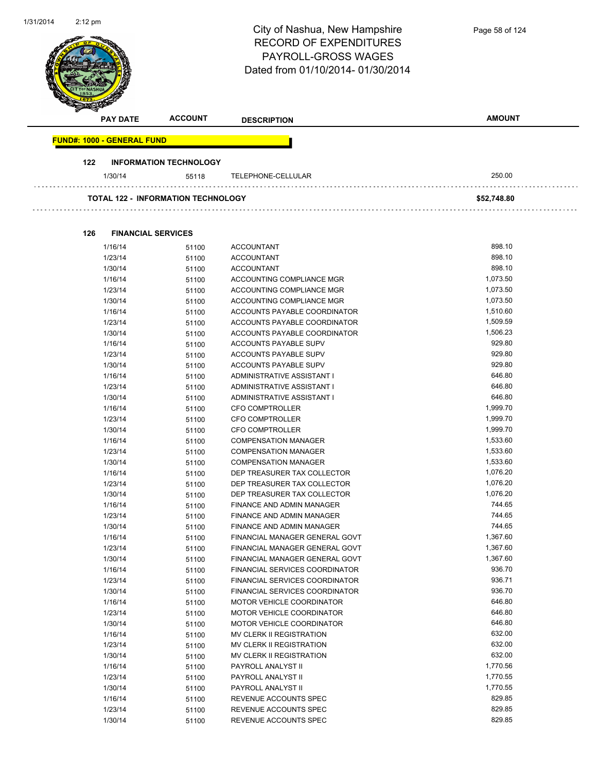| 1/31/2014 | $2:12$ pm                         |                                           | City of Nashua, New Hampshire<br><b>RECORD OF EXPENDITURES</b><br><b>PAYROLL-GROSS WAGES</b><br>Dated from 01/10/2014-01/30/2014 | Page 58 of 124       |
|-----------|-----------------------------------|-------------------------------------------|----------------------------------------------------------------------------------------------------------------------------------|----------------------|
|           | <b>PAY DATE</b>                   | <b>ACCOUNT</b>                            | <b>DESCRIPTION</b>                                                                                                               | <b>AMOUNT</b>        |
|           | <b>FUND#: 1000 - GENERAL FUND</b> |                                           |                                                                                                                                  |                      |
|           | 122                               | <b>INFORMATION TECHNOLOGY</b>             |                                                                                                                                  |                      |
|           | 1/30/14                           | 55118                                     | TELEPHONE-CELLULAR                                                                                                               | 250.00               |
|           |                                   | <b>TOTAL 122 - INFORMATION TECHNOLOGY</b> |                                                                                                                                  | \$52,748.80          |
|           |                                   |                                           |                                                                                                                                  |                      |
|           | 126                               | <b>FINANCIAL SERVICES</b>                 |                                                                                                                                  |                      |
|           | 1/16/14<br>1/23/14                | 51100<br>51100                            | <b>ACCOUNTANT</b><br><b>ACCOUNTANT</b>                                                                                           | 898.10<br>898.10     |
|           | 1/30/14                           | 51100                                     | <b>ACCOUNTANT</b>                                                                                                                | 898.10               |
|           | 1/16/14                           | 51100                                     | ACCOUNTING COMPLIANCE MGR                                                                                                        | 1,073.50             |
|           | 1/23/14                           | 51100                                     | ACCOUNTING COMPLIANCE MGR                                                                                                        | 1,073.50             |
|           | 1/30/14                           | 51100                                     | ACCOUNTING COMPLIANCE MGR                                                                                                        | 1,073.50             |
|           | 1/16/14                           | 51100                                     | ACCOUNTS PAYABLE COORDINATOR                                                                                                     | 1,510.60             |
|           | 1/23/14                           | 51100                                     | ACCOUNTS PAYABLE COORDINATOR                                                                                                     | 1,509.59             |
|           | 1/30/14                           | 51100                                     | ACCOUNTS PAYABLE COORDINATOR                                                                                                     | 1,506.23             |
|           | 1/16/14                           | 51100                                     | <b>ACCOUNTS PAYABLE SUPV</b>                                                                                                     | 929.80               |
|           | 1/23/14                           | 51100                                     | ACCOUNTS PAYABLE SUPV                                                                                                            | 929.80               |
|           | 1/30/14                           | 51100                                     | ACCOUNTS PAYABLE SUPV                                                                                                            | 929.80               |
|           | 1/16/14                           | 51100                                     | ADMINISTRATIVE ASSISTANT I                                                                                                       | 646.80               |
|           | 1/23/14                           | 51100                                     | ADMINISTRATIVE ASSISTANT I                                                                                                       | 646.80               |
|           | 1/30/14                           | 51100                                     | ADMINISTRATIVE ASSISTANT I                                                                                                       | 646.80               |
|           | 1/16/14                           | 51100                                     | <b>CFO COMPTROLLER</b>                                                                                                           | 1,999.70             |
|           | 1/23/14                           | 51100                                     | CFO COMPTROLLER                                                                                                                  | 1,999.70             |
|           | 1/30/14                           | 51100                                     | CFO COMPTROLLER                                                                                                                  | 1,999.70<br>1,533.60 |
|           | 1/16/14<br>1/23/14                | 51100                                     | <b>COMPENSATION MANAGER</b>                                                                                                      | 1,533.60             |
|           | 1/30/14                           | 51100<br>51100                            | <b>COMPENSATION MANAGER</b><br><b>COMPENSATION MANAGER</b>                                                                       | 1,533.60             |
|           | 1/16/14                           | 51100                                     | DEP TREASURER TAX COLLECTOR                                                                                                      | 1,076.20             |
|           | 1/23/14                           | 51100                                     | DEP TREASURER TAX COLLECTOR                                                                                                      | 1,076.20             |
|           | 1/30/14                           | 51100                                     | DEP TREASURER TAX COLLECTOR                                                                                                      | 1,076.20             |
|           | 1/16/14                           | 51100                                     | FINANCE AND ADMIN MANAGER                                                                                                        | 744.65               |
|           | 1/23/14                           | 51100                                     | FINANCE AND ADMIN MANAGER                                                                                                        | 744.65               |
|           | 1/30/14                           | 51100                                     | FINANCE AND ADMIN MANAGER                                                                                                        | 744.65               |
|           | 1/16/14                           | 51100                                     | FINANCIAL MANAGER GENERAL GOVT                                                                                                   | 1,367.60             |
|           | 1/23/14                           | 51100                                     | FINANCIAL MANAGER GENERAL GOVT                                                                                                   | 1,367.60             |
|           | 1/30/14                           | 51100                                     | FINANCIAL MANAGER GENERAL GOVT                                                                                                   | 1,367.60             |
|           | 1/16/14                           | 51100                                     | FINANCIAL SERVICES COORDINATOR                                                                                                   | 936.70               |
|           | 1/23/14                           | 51100                                     | FINANCIAL SERVICES COORDINATOR                                                                                                   | 936.71               |
|           | 1/30/14                           | 51100                                     | FINANCIAL SERVICES COORDINATOR                                                                                                   | 936.70               |
|           | 1/16/14                           | 51100                                     | MOTOR VEHICLE COORDINATOR                                                                                                        | 646.80               |
|           | 1/23/14                           | 51100                                     | MOTOR VEHICLE COORDINATOR                                                                                                        | 646.80               |
|           | 1/30/14                           | 51100                                     | MOTOR VEHICLE COORDINATOR                                                                                                        | 646.80               |
|           | 1/16/14                           | 51100                                     | MV CLERK II REGISTRATION                                                                                                         | 632.00               |
|           | 1/23/14                           | 51100                                     | MV CLERK II REGISTRATION                                                                                                         | 632.00<br>632.00     |
|           | 1/30/14                           | 51100                                     | MV CLERK II REGISTRATION                                                                                                         | 1,770.56             |
|           | 1/16/14                           | 51100                                     | PAYROLL ANALYST II<br>PAYROLL ANALYST II                                                                                         | 1,770.55             |
|           | 1/23/14<br>1/30/14                | 51100                                     | PAYROLL ANALYST II                                                                                                               | 1,770.55             |
|           | 1/16/14                           | 51100                                     | REVENUE ACCOUNTS SPEC                                                                                                            | 829.85               |
|           | 1/23/14                           | 51100<br>51100                            | REVENUE ACCOUNTS SPEC                                                                                                            | 829.85               |
|           | 1/30/14                           | 51100                                     | REVENUE ACCOUNTS SPEC                                                                                                            | 829.85               |
|           |                                   |                                           |                                                                                                                                  |                      |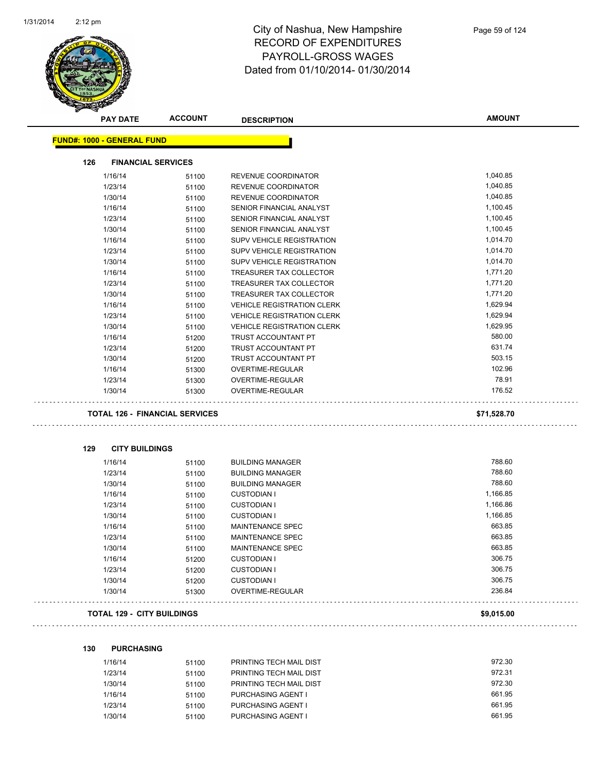

|                                   | <b>PAY DATE</b>           | <b>ACCOUNT</b>                        | <b>DESCRIPTION</b>                                   | <b>AMOUNT</b>        |
|-----------------------------------|---------------------------|---------------------------------------|------------------------------------------------------|----------------------|
| <b>FUND#: 1000 - GENERAL FUND</b> |                           |                                       |                                                      |                      |
| 126                               | <b>FINANCIAL SERVICES</b> |                                       |                                                      |                      |
| 1/16/14                           |                           |                                       | REVENUE COORDINATOR                                  | 1,040.85             |
| 1/23/14                           |                           | 51100                                 | REVENUE COORDINATOR                                  | 1,040.85             |
| 1/30/14                           |                           | 51100                                 | REVENUE COORDINATOR                                  | 1,040.85             |
| 1/16/14                           |                           | 51100                                 | SENIOR FINANCIAL ANALYST                             | 1,100.45             |
| 1/23/14                           |                           | 51100                                 |                                                      | 1,100.45             |
| 1/30/14                           |                           | 51100                                 | SENIOR FINANCIAL ANALYST<br>SENIOR FINANCIAL ANALYST | 1,100.45             |
|                                   |                           | 51100                                 | <b>SUPV VEHICLE REGISTRATION</b>                     | 1,014.70             |
| 1/16/14                           |                           | 51100                                 | <b>SUPV VEHICLE REGISTRATION</b>                     | 1,014.70             |
| 1/23/14                           |                           | 51100                                 |                                                      |                      |
| 1/30/14                           |                           | 51100                                 | <b>SUPV VEHICLE REGISTRATION</b>                     | 1,014.70<br>1,771.20 |
| 1/16/14                           |                           | 51100                                 | TREASURER TAX COLLECTOR                              |                      |
| 1/23/14                           |                           | 51100                                 | TREASURER TAX COLLECTOR                              | 1,771.20             |
| 1/30/14                           |                           | 51100                                 | TREASURER TAX COLLECTOR                              | 1,771.20             |
| 1/16/14                           |                           | 51100                                 | <b>VEHICLE REGISTRATION CLERK</b>                    | 1,629.94             |
| 1/23/14                           |                           | 51100                                 | <b>VEHICLE REGISTRATION CLERK</b>                    | 1,629.94             |
| 1/30/14                           |                           | 51100                                 | <b>VEHICLE REGISTRATION CLERK</b>                    | 1,629.95             |
| 1/16/14                           |                           | 51200                                 | TRUST ACCOUNTANT PT                                  | 580.00               |
| 1/23/14                           |                           | 51200                                 | TRUST ACCOUNTANT PT                                  | 631.74               |
| 1/30/14                           |                           | 51200                                 | TRUST ACCOUNTANT PT                                  | 503.15               |
| 1/16/14                           |                           | 51300                                 | OVERTIME-REGULAR                                     | 102.96               |
| 1/23/14                           |                           | 51300                                 | OVERTIME-REGULAR                                     | 78.91                |
| 1/30/14                           |                           | 51300                                 | OVERTIME-REGULAR                                     | 176.52               |
|                                   |                           | <b>TOTAL 126 - FINANCIAL SERVICES</b> |                                                      | \$71,528.70          |
|                                   |                           |                                       |                                                      |                      |
| 129                               | <b>CITY BUILDINGS</b>     |                                       |                                                      |                      |
| 1/16/14                           |                           | 51100                                 | <b>BUILDING MANAGER</b>                              | 788.60               |
| 1/23/14                           |                           | 51100                                 | <b>BUILDING MANAGER</b>                              | 788.60               |
| 1/30/14                           |                           | 51100                                 | <b>BUILDING MANAGER</b>                              | 788.60               |
| 1/16/14                           |                           | 51100                                 | <b>CUSTODIAN I</b>                                   | 1,166.85             |
| 1/23/14                           |                           | 51100                                 | <b>CUSTODIAN I</b>                                   | 1,166.86             |
| 1/30/14                           |                           | 51100                                 | <b>CUSTODIAN I</b>                                   | 1,166.85             |
| 1/16/14                           |                           | 51100                                 | <b>MAINTENANCE SPEC</b>                              | 663.85               |
| 1/23/14                           |                           | 51100                                 | <b>MAINTENANCE SPEC</b>                              | 663.85               |
| 1/30/14                           |                           | 51100                                 | <b>MAINTENANCE SPEC</b>                              | 663.85               |
| 1/16/14                           |                           | 51200                                 | <b>CUSTODIAN I</b>                                   | 306.75               |
| 1/23/14                           |                           | 51200                                 | <b>CUSTODIAN I</b>                                   | 306.75               |
| 1/30/14                           |                           | 51200                                 | <b>CUSTODIAN I</b>                                   | 306.75               |
| 1/30/14                           |                           | 51300                                 | OVERTIME-REGULAR                                     | 236.84               |
|                                   |                           |                                       |                                                      |                      |

| 130 | <b>PURCHASING</b> |       |                           |        |
|-----|-------------------|-------|---------------------------|--------|
|     | 1/16/14           | 51100 | PRINTING TECH MAIL DIST   | 972.30 |
|     | 1/23/14           | 51100 | PRINTING TECH MAIL DIST   | 972.31 |
|     | 1/30/14           | 51100 | PRINTING TECH MAIL DIST   | 972.30 |
|     | 1/16/14           | 51100 | PURCHASING AGENT I        | 661.95 |
|     | 1/23/14           | 51100 | PURCHASING AGENT I        | 661.95 |
|     | 1/30/14           | 51100 | <b>PURCHASING AGENT I</b> | 661.95 |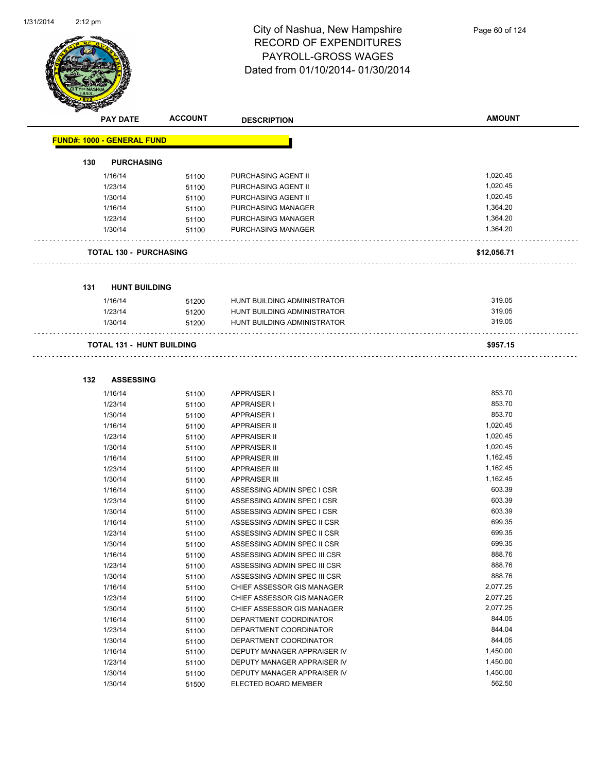

|     | <b>PAY DATE</b>                   | <b>ACCOUNT</b> | <b>DESCRIPTION</b>                                         | <b>AMOUNT</b>    |
|-----|-----------------------------------|----------------|------------------------------------------------------------|------------------|
|     | <b>FUND#: 1000 - GENERAL FUND</b> |                |                                                            |                  |
| 130 | <b>PURCHASING</b>                 |                |                                                            |                  |
|     | 1/16/14                           | 51100          | PURCHASING AGENT II                                        | 1,020.45         |
|     | 1/23/14                           | 51100          | PURCHASING AGENT II                                        | 1,020.45         |
|     | 1/30/14                           | 51100          | PURCHASING AGENT II                                        | 1,020.45         |
|     | 1/16/14                           | 51100          | PURCHASING MANAGER                                         | 1,364.20         |
|     | 1/23/14                           | 51100          | PURCHASING MANAGER                                         | 1,364.20         |
|     | 1/30/14                           | 51100          | PURCHASING MANAGER                                         | 1,364.20         |
|     | <b>TOTAL 130 - PURCHASING</b>     |                |                                                            | \$12,056.71      |
| 131 | <b>HUNT BUILDING</b>              |                |                                                            |                  |
|     |                                   |                |                                                            |                  |
|     | 1/16/14                           | 51200          | HUNT BUILDING ADMINISTRATOR                                | 319.05           |
|     | 1/23/14                           | 51200          | HUNT BUILDING ADMINISTRATOR                                | 319.05           |
|     | 1/30/14                           | 51200          | HUNT BUILDING ADMINISTRATOR                                | 319.05           |
|     | <b>TOTAL 131 - HUNT BUILDING</b>  |                |                                                            | \$957.15         |
| 132 | <b>ASSESSING</b>                  |                |                                                            |                  |
|     |                                   |                |                                                            |                  |
|     | 1/16/14                           | 51100          | APPRAISER I                                                | 853.70           |
|     | 1/23/14                           | 51100          | <b>APPRAISER I</b>                                         | 853.70           |
|     | 1/30/14                           | 51100          | <b>APPRAISER I</b>                                         | 853.70           |
|     | 1/16/14                           | 51100          | <b>APPRAISER II</b>                                        | 1,020.45         |
|     | 1/23/14                           | 51100          | <b>APPRAISER II</b>                                        | 1,020.45         |
|     | 1/30/14                           | 51100          | <b>APPRAISER II</b>                                        | 1,020.45         |
|     | 1/16/14                           | 51100          | <b>APPRAISER III</b>                                       | 1,162.45         |
|     | 1/23/14                           | 51100          | <b>APPRAISER III</b>                                       | 1,162.45         |
|     | 1/30/14                           | 51100          | <b>APPRAISER III</b>                                       | 1,162.45         |
|     | 1/16/14                           | 51100          | ASSESSING ADMIN SPEC I CSR                                 | 603.39<br>603.39 |
|     | 1/23/14                           | 51100          | ASSESSING ADMIN SPEC I CSR                                 | 603.39           |
|     | 1/30/14                           | 51100          | ASSESSING ADMIN SPEC I CSR                                 | 699.35           |
|     | 1/16/14<br>1/23/14                | 51100          | ASSESSING ADMIN SPEC II CSR<br>ASSESSING ADMIN SPEC II CSR | 699.35           |
|     | 1/30/14                           | 51100          | ASSESSING ADMIN SPEC II CSR                                | 699.35           |
|     | 1/16/14                           | 51100          | ASSESSING ADMIN SPEC III CSR                               | 888.76           |
|     | 1/23/14                           | 51100<br>51100 | ASSESSING ADMIN SPEC III CSR                               | 888.76           |
|     | 1/30/14                           | 51100          | ASSESSING ADMIN SPEC III CSR                               | 888.76           |
|     | 1/16/14                           | 51100          | CHIEF ASSESSOR GIS MANAGER                                 | 2,077.25         |
|     | 1/23/14                           | 51100          | CHIEF ASSESSOR GIS MANAGER                                 | 2,077.25         |
|     | 1/30/14                           | 51100          | CHIEF ASSESSOR GIS MANAGER                                 | 2,077.25         |
|     | 1/16/14                           | 51100          | DEPARTMENT COORDINATOR                                     | 844.05           |
|     | 1/23/14                           | 51100          | DEPARTMENT COORDINATOR                                     | 844.04           |
|     | 1/30/14                           | 51100          | DEPARTMENT COORDINATOR                                     | 844.05           |
|     | 1/16/14                           | 51100          | DEPUTY MANAGER APPRAISER IV                                | 1,450.00         |
|     | 1/23/14                           | 51100          | DEPUTY MANAGER APPRAISER IV                                | 1,450.00         |

1/30/14 51100 DEPUTY MANAGER APPRAISER IV 1,450.00 1/30/14 51500 ELECTED BOARD MEMBER 562.50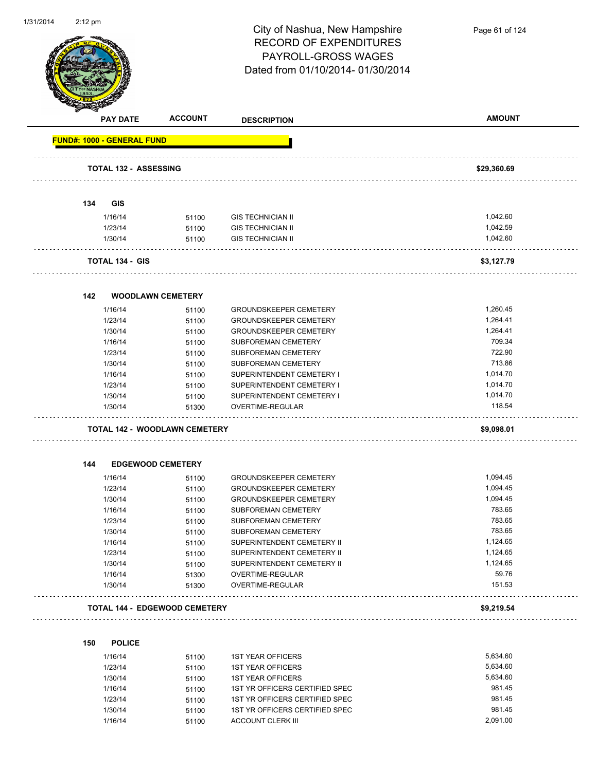

|     | <b>PAY DATE</b>                   | <b>ACCOUNT</b>                       | <b>DESCRIPTION</b>            | <b>AMOUNT</b>        |
|-----|-----------------------------------|--------------------------------------|-------------------------------|----------------------|
|     | <b>FUND#: 1000 - GENERAL FUND</b> |                                      |                               |                      |
|     | <b>TOTAL 132 - ASSESSING</b>      |                                      |                               | \$29,360.69          |
|     |                                   |                                      |                               |                      |
| 134 | <b>GIS</b>                        |                                      |                               |                      |
|     | 1/16/14                           | 51100                                | <b>GIS TECHNICIAN II</b>      | 1,042.60             |
|     | 1/23/14                           | 51100                                | <b>GIS TECHNICIAN II</b>      | 1,042.59<br>1,042.60 |
|     | 1/30/14                           | 51100                                | <b>GIS TECHNICIAN II</b>      |                      |
|     | <b>TOTAL 134 - GIS</b>            |                                      |                               | \$3,127.79           |
| 142 |                                   | <b>WOODLAWN CEMETERY</b>             |                               |                      |
|     | 1/16/14                           | 51100                                | <b>GROUNDSKEEPER CEMETERY</b> | 1,260.45             |
|     | 1/23/14                           | 51100                                | <b>GROUNDSKEEPER CEMETERY</b> | 1,264.41             |
|     | 1/30/14                           | 51100                                | <b>GROUNDSKEEPER CEMETERY</b> | 1,264.41             |
|     | 1/16/14                           | 51100                                | SUBFOREMAN CEMETERY           | 709.34               |
|     | 1/23/14                           | 51100                                | SUBFOREMAN CEMETERY           | 722.90               |
|     | 1/30/14                           | 51100                                | <b>SUBFOREMAN CEMETERY</b>    | 713.86               |
|     | 1/16/14                           | 51100                                | SUPERINTENDENT CEMETERY I     | 1,014.70             |
|     | 1/23/14                           | 51100                                | SUPERINTENDENT CEMETERY I     | 1,014.70             |
|     | 1/30/14                           | 51100                                | SUPERINTENDENT CEMETERY I     | 1,014.70             |
|     | 1/30/14                           | 51300                                | OVERTIME-REGULAR              | 118.54               |
|     |                                   | <b>TOTAL 142 - WOODLAWN CEMETERY</b> |                               | \$9,098.01           |
| 144 |                                   | <b>EDGEWOOD CEMETERY</b>             |                               |                      |
|     | 1/16/14                           | 51100                                | <b>GROUNDSKEEPER CEMETERY</b> | 1,094.45             |
|     | 1/23/14                           | 51100                                | <b>GROUNDSKEEPER CEMETERY</b> | 1,094.45             |
|     | 1/30/14                           | 51100                                | <b>GROUNDSKEEPER CEMETERY</b> | 1,094.45             |
|     | 1/16/14                           | 51100                                | SUBFOREMAN CEMETERY           | 783.65               |
|     | 1/23/14                           | 51100                                | SUBFOREMAN CEMETERY           | 783.65               |
|     | 1/30/14                           | 51100                                | SUBFOREMAN CEMETERY           | 783.65               |
|     | 1/16/14                           | 51100                                | SUPERINTENDENT CEMETERY II    | 1,124.65             |
|     | 1/23/14                           | 51100                                | SUPERINTENDENT CEMETERY II    | 1,124.65             |
|     | 1/30/14                           | 51100                                | SUPERINTENDENT CEMETERY II    | 1,124.65             |
|     | 1/16/14                           | 51300                                | OVERTIME-REGULAR              | 59.76                |
|     | 1/30/14                           | 51300                                | OVERTIME-REGULAR              | 151.53               |
|     |                                   | <b>TOTAL 144 - EDGEWOOD CEMETERY</b> |                               | \$9,219.54           |
| 150 | <b>POLICE</b>                     |                                      |                               |                      |
|     | 1/16/14                           | 51100                                | <b>1ST YEAR OFFICERS</b>      | 5,634.60             |
|     | 1/23/14                           | 51100                                | <b>1ST YEAR OFFICERS</b>      | 5.634.60             |

|         | .     |                                |          |
|---------|-------|--------------------------------|----------|
| 1/23/14 | 51100 | <b>1ST YEAR OFFICERS</b>       | 5,634.60 |
| 1/30/14 | 51100 | <b>1ST YEAR OFFICERS</b>       | 5,634.60 |
| 1/16/14 | 51100 | 1ST YR OFFICERS CERTIFIED SPEC | 981.45   |
| 1/23/14 | 51100 | 1ST YR OFFICERS CERTIFIED SPEC | 981.45   |
| 1/30/14 | 51100 | 1ST YR OFFICERS CERTIFIED SPEC | 981.45   |
| 1/16/14 | 51100 | ACCOUNT CLERK III              | 2,091.00 |
|         |       |                                |          |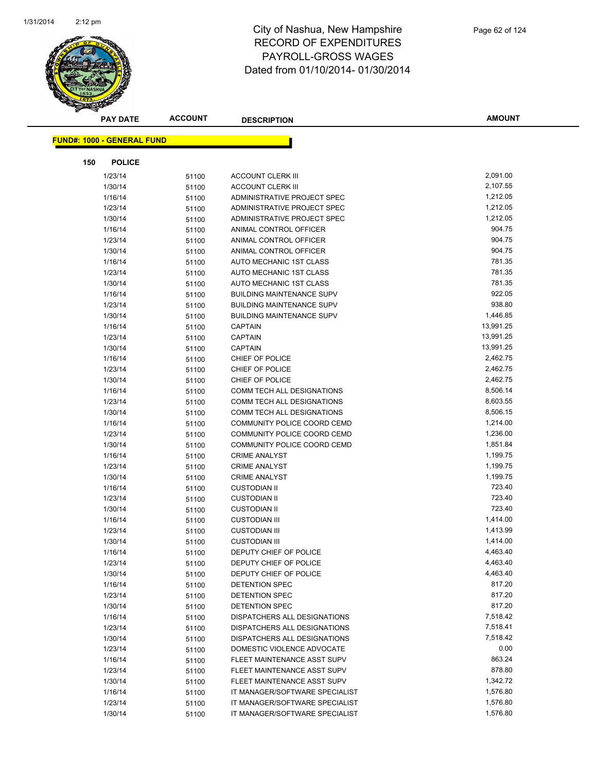

|     | PAY DATE                          | <b>ACCOUNT</b> | <b>DESCRIPTION</b>               | <b>AMOUNT</b> |
|-----|-----------------------------------|----------------|----------------------------------|---------------|
|     | <b>FUND#: 1000 - GENERAL FUND</b> |                |                                  |               |
|     |                                   |                |                                  |               |
| 150 | <b>POLICE</b>                     |                |                                  |               |
|     | 1/23/14                           | 51100          | <b>ACCOUNT CLERK III</b>         | 2,091.00      |
|     | 1/30/14                           | 51100          | <b>ACCOUNT CLERK III</b>         | 2,107.55      |
|     | 1/16/14                           | 51100          | ADMINISTRATIVE PROJECT SPEC      | 1,212.05      |
|     | 1/23/14                           | 51100          | ADMINISTRATIVE PROJECT SPEC      | 1,212.05      |
|     | 1/30/14                           | 51100          | ADMINISTRATIVE PROJECT SPEC      | 1,212.05      |
|     | 1/16/14                           | 51100          | ANIMAL CONTROL OFFICER           | 904.75        |
|     | 1/23/14                           | 51100          | ANIMAL CONTROL OFFICER           | 904.75        |
|     | 1/30/14                           | 51100          | ANIMAL CONTROL OFFICER           | 904.75        |
|     | 1/16/14                           | 51100          | AUTO MECHANIC 1ST CLASS          | 781.35        |
|     | 1/23/14                           | 51100          | AUTO MECHANIC 1ST CLASS          | 781.35        |
|     | 1/30/14                           | 51100          | AUTO MECHANIC 1ST CLASS          | 781.35        |
|     | 1/16/14                           | 51100          | <b>BUILDING MAINTENANCE SUPV</b> | 922.05        |
|     | 1/23/14                           | 51100          | <b>BUILDING MAINTENANCE SUPV</b> | 938.80        |
|     | 1/30/14                           | 51100          | <b>BUILDING MAINTENANCE SUPV</b> | 1,446.85      |
|     | 1/16/14                           | 51100          | <b>CAPTAIN</b>                   | 13,991.25     |
|     | 1/23/14                           | 51100          | <b>CAPTAIN</b>                   | 13,991.25     |
|     | 1/30/14                           | 51100          | <b>CAPTAIN</b>                   | 13,991.25     |
|     | 1/16/14                           | 51100          | CHIEF OF POLICE                  | 2,462.75      |
|     | 1/23/14                           | 51100          | CHIEF OF POLICE                  | 2,462.75      |
|     | 1/30/14                           | 51100          | CHIEF OF POLICE                  | 2,462.75      |
|     | 1/16/14                           | 51100          | COMM TECH ALL DESIGNATIONS       | 8,506.14      |
|     | 1/23/14                           | 51100          | COMM TECH ALL DESIGNATIONS       | 8,603.55      |
|     | 1/30/14                           | 51100          | COMM TECH ALL DESIGNATIONS       | 8,506.15      |
|     | 1/16/14                           | 51100          | COMMUNITY POLICE COORD CEMD      | 1,214.00      |
|     | 1/23/14                           | 51100          | COMMUNITY POLICE COORD CEMD      | 1,236.00      |
|     | 1/30/14                           | 51100          | COMMUNITY POLICE COORD CEMD      | 1,851.84      |
|     | 1/16/14                           | 51100          | <b>CRIME ANALYST</b>             | 1,199.75      |
|     | 1/23/14                           | 51100          | <b>CRIME ANALYST</b>             | 1,199.75      |
|     | 1/30/14                           | 51100          | <b>CRIME ANALYST</b>             | 1,199.75      |
|     | 1/16/14                           | 51100          | <b>CUSTODIAN II</b>              | 723.40        |
|     | 1/23/14                           | 51100          | <b>CUSTODIAN II</b>              | 723.40        |
|     | 1/30/14                           | 51100          | <b>CUSTODIAN II</b>              | 723.40        |
|     | 1/16/14                           | 51100          | <b>CUSTODIAN III</b>             | 1,414.00      |
|     | 1/23/14                           | 51100          | <b>CUSTODIAN III</b>             | 1,413.99      |
|     | 1/30/14                           | 51100          | <b>CUSTODIAN III</b>             | 1,414.00      |
|     | 1/16/14                           | 51100          | DEPUTY CHIEF OF POLICE           | 4,463.40      |
|     | 1/23/14                           | 51100          | DEPUTY CHIEF OF POLICE           | 4,463.40      |
|     | 1/30/14                           | 51100          | DEPUTY CHIEF OF POLICE           | 4,463.40      |
|     | 1/16/14                           | 51100          | DETENTION SPEC                   | 817.20        |
|     | 1/23/14                           | 51100          | DETENTION SPEC                   | 817.20        |
|     | 1/30/14                           | 51100          | DETENTION SPEC                   | 817.20        |
|     | 1/16/14                           | 51100          | DISPATCHERS ALL DESIGNATIONS     | 7,518.42      |
|     | 1/23/14                           | 51100          | DISPATCHERS ALL DESIGNATIONS     | 7,518.41      |
|     | 1/30/14                           | 51100          | DISPATCHERS ALL DESIGNATIONS     | 7,518.42      |
|     | 1/23/14                           | 51100          | DOMESTIC VIOLENCE ADVOCATE       | 0.00          |
|     | 1/16/14                           | 51100          | FLEET MAINTENANCE ASST SUPV      | 863.24        |
|     | 1/23/14                           | 51100          | FLEET MAINTENANCE ASST SUPV      | 878.80        |
|     | 1/30/14                           | 51100          | FLEET MAINTENANCE ASST SUPV      | 1,342.72      |
|     | 1/16/14                           | 51100          | IT MANAGER/SOFTWARE SPECIALIST   | 1,576.80      |
|     | 1/23/14                           | 51100          | IT MANAGER/SOFTWARE SPECIALIST   | 1,576.80      |
|     | 1/30/14                           | 51100          | IT MANAGER/SOFTWARE SPECIALIST   | 1,576.80      |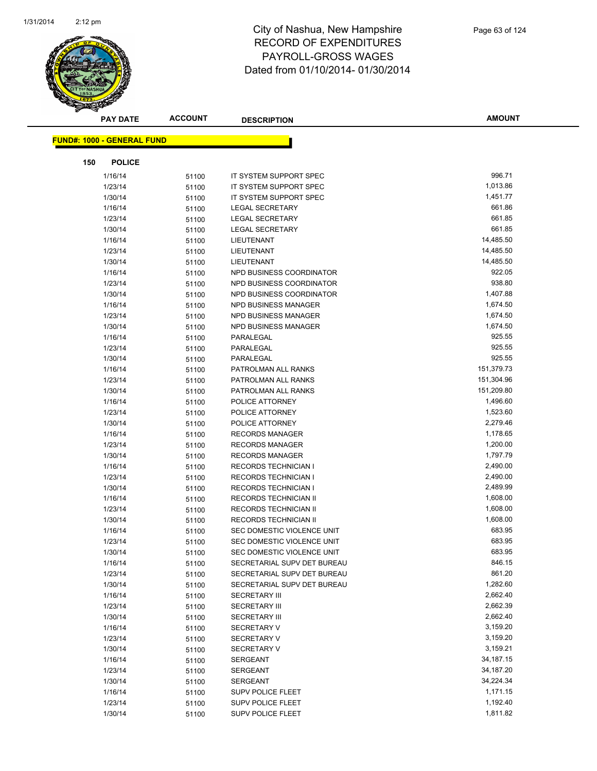

| <b>PAY DATE</b>                    | <b>ACCOUNT</b> | <b>DESCRIPTION</b>          | <b>AMOUNT</b> |
|------------------------------------|----------------|-----------------------------|---------------|
| <u> FUND#: 1000 - GENERAL FUND</u> |                |                             |               |
|                                    |                |                             |               |
| 150<br><b>POLICE</b>               |                |                             |               |
| 1/16/14                            | 51100          | IT SYSTEM SUPPORT SPEC      | 996.71        |
| 1/23/14                            | 51100          | IT SYSTEM SUPPORT SPEC      | 1,013.86      |
| 1/30/14                            | 51100          | IT SYSTEM SUPPORT SPEC      | 1,451.77      |
| 1/16/14                            | 51100          | <b>LEGAL SECRETARY</b>      | 661.86        |
| 1/23/14                            | 51100          | <b>LEGAL SECRETARY</b>      | 661.85        |
| 1/30/14                            | 51100          | LEGAL SECRETARY             | 661.85        |
| 1/16/14                            | 51100          | LIEUTENANT                  | 14,485.50     |
| 1/23/14                            | 51100          | LIEUTENANT                  | 14,485.50     |
| 1/30/14                            | 51100          | LIEUTENANT                  | 14,485.50     |
| 1/16/14                            | 51100          | NPD BUSINESS COORDINATOR    | 922.05        |
| 1/23/14                            | 51100          | NPD BUSINESS COORDINATOR    | 938.80        |
| 1/30/14                            | 51100          | NPD BUSINESS COORDINATOR    | 1,407.88      |
| 1/16/14                            | 51100          | NPD BUSINESS MANAGER        | 1,674.50      |
| 1/23/14                            | 51100          | NPD BUSINESS MANAGER        | 1,674.50      |
| 1/30/14                            | 51100          | NPD BUSINESS MANAGER        | 1,674.50      |
| 1/16/14                            | 51100          | PARALEGAL                   | 925.55        |
| 1/23/14                            | 51100          | PARALEGAL                   | 925.55        |
| 1/30/14                            | 51100          | PARALEGAL                   | 925.55        |
| 1/16/14                            | 51100          | PATROLMAN ALL RANKS         | 151,379.73    |
| 1/23/14                            | 51100          | PATROLMAN ALL RANKS         | 151,304.96    |
| 1/30/14                            | 51100          | PATROLMAN ALL RANKS         | 151,209.80    |
| 1/16/14                            | 51100          | POLICE ATTORNEY             | 1,496.60      |
| 1/23/14                            | 51100          | POLICE ATTORNEY             | 1,523.60      |
| 1/30/14                            | 51100          | POLICE ATTORNEY             | 2,279.46      |
| 1/16/14                            | 51100          | <b>RECORDS MANAGER</b>      | 1,178.65      |
| 1/23/14                            | 51100          | <b>RECORDS MANAGER</b>      | 1,200.00      |
| 1/30/14                            | 51100          | <b>RECORDS MANAGER</b>      | 1,797.79      |
| 1/16/14                            | 51100          | <b>RECORDS TECHNICIAN I</b> | 2,490.00      |
| 1/23/14                            | 51100          | <b>RECORDS TECHNICIAN I</b> | 2,490.00      |
| 1/30/14                            | 51100          | <b>RECORDS TECHNICIAN I</b> | 2,489.99      |
| 1/16/14                            | 51100          | RECORDS TECHNICIAN II       | 1,608.00      |
| 1/23/14                            | 51100          | RECORDS TECHNICIAN II       | 1,608.00      |
| 1/30/14                            | 51100          | RECORDS TECHNICIAN II       | 1,608.00      |
| 1/16/14                            | 51100          | SEC DOMESTIC VIOLENCE UNIT  | 683.95        |
| 1/23/14                            | 51100          | SEC DOMESTIC VIOLENCE UNIT  | 683.95        |
| 1/30/14                            | 51100          | SEC DOMESTIC VIOLENCE UNIT  | 683.95        |
| 1/16/14                            | 51100          | SECRETARIAL SUPV DET BUREAU | 846.15        |
| 1/23/14                            | 51100          | SECRETARIAL SUPV DET BUREAU | 861.20        |
| 1/30/14                            | 51100          | SECRETARIAL SUPV DET BUREAU | 1,282.60      |
| 1/16/14                            | 51100          | <b>SECRETARY III</b>        | 2,662.40      |
| 1/23/14                            | 51100          | <b>SECRETARY III</b>        | 2,662.39      |
| 1/30/14                            | 51100          | <b>SECRETARY III</b>        | 2,662.40      |
| 1/16/14                            | 51100          | <b>SECRETARY V</b>          | 3,159.20      |
| 1/23/14                            | 51100          | SECRETARY V                 | 3,159.20      |
| 1/30/14                            | 51100          | <b>SECRETARY V</b>          | 3,159.21      |
| 1/16/14                            | 51100          | <b>SERGEANT</b>             | 34, 187. 15   |
| 1/23/14                            | 51100          | SERGEANT                    | 34,187.20     |
| 1/30/14                            | 51100          | <b>SERGEANT</b>             | 34,224.34     |
| 1/16/14                            | 51100          | <b>SUPV POLICE FLEET</b>    | 1,171.15      |
| 1/23/14                            | 51100          | <b>SUPV POLICE FLEET</b>    | 1,192.40      |
| 1/30/14                            | 51100          | SUPV POLICE FLEET           | 1,811.82      |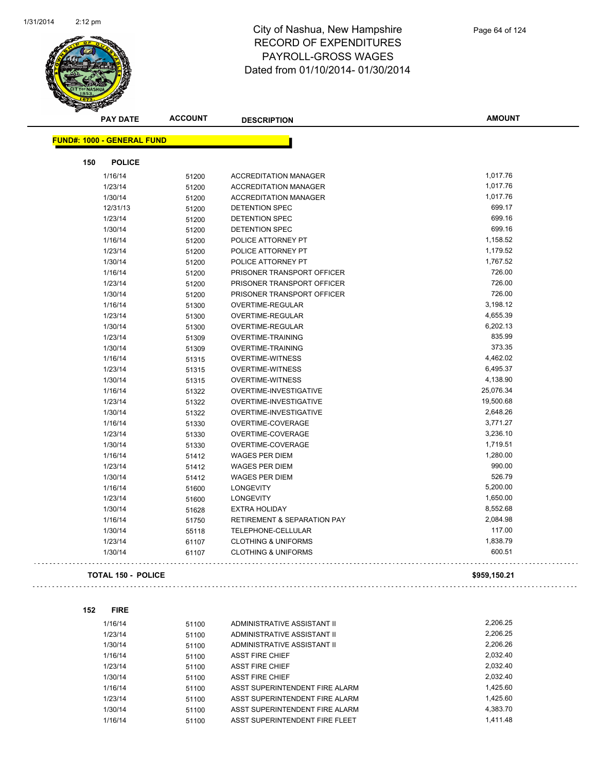

|                                   | <b>PAY DATE</b>           | <b>ACCOUNT</b> | <b>DESCRIPTION</b>                     | <b>AMOUNT</b> |
|-----------------------------------|---------------------------|----------------|----------------------------------------|---------------|
| <b>FUND#: 1000 - GENERAL FUND</b> |                           |                |                                        |               |
|                                   |                           |                |                                        |               |
| 150                               | <b>POLICE</b>             |                |                                        |               |
|                                   | 1/16/14                   | 51200          | <b>ACCREDITATION MANAGER</b>           | 1,017.76      |
|                                   | 1/23/14                   | 51200          | <b>ACCREDITATION MANAGER</b>           | 1,017.76      |
|                                   | 1/30/14                   | 51200          | <b>ACCREDITATION MANAGER</b>           | 1,017.76      |
|                                   | 12/31/13                  | 51200          | DETENTION SPEC                         | 699.17        |
|                                   | 1/23/14                   | 51200          | DETENTION SPEC                         | 699.16        |
|                                   | 1/30/14                   | 51200          | <b>DETENTION SPEC</b>                  | 699.16        |
|                                   | 1/16/14                   | 51200          | POLICE ATTORNEY PT                     | 1,158.52      |
|                                   | 1/23/14                   | 51200          | POLICE ATTORNEY PT                     | 1,179.52      |
|                                   | 1/30/14                   | 51200          | POLICE ATTORNEY PT                     | 1,767.52      |
|                                   | 1/16/14                   | 51200          | PRISONER TRANSPORT OFFICER             | 726.00        |
|                                   | 1/23/14                   | 51200          | PRISONER TRANSPORT OFFICER             | 726.00        |
|                                   | 1/30/14                   | 51200          | PRISONER TRANSPORT OFFICER             | 726.00        |
|                                   | 1/16/14                   | 51300          | OVERTIME-REGULAR                       | 3,198.12      |
|                                   | 1/23/14                   | 51300          | OVERTIME-REGULAR                       | 4,655.39      |
|                                   | 1/30/14                   | 51300          | OVERTIME-REGULAR                       | 6,202.13      |
|                                   | 1/23/14                   | 51309          | OVERTIME-TRAINING                      | 835.99        |
|                                   | 1/30/14                   | 51309          | <b>OVERTIME-TRAINING</b>               | 373.35        |
|                                   | 1/16/14                   | 51315          | <b>OVERTIME-WITNESS</b>                | 4,462.02      |
|                                   | 1/23/14                   | 51315          | <b>OVERTIME-WITNESS</b>                | 6,495.37      |
|                                   | 1/30/14                   | 51315          | <b>OVERTIME-WITNESS</b>                | 4,138.90      |
|                                   | 1/16/14                   | 51322          | OVERTIME-INVESTIGATIVE                 | 25,076.34     |
|                                   | 1/23/14                   | 51322          | OVERTIME-INVESTIGATIVE                 | 19,500.68     |
|                                   | 1/30/14                   | 51322          | OVERTIME-INVESTIGATIVE                 | 2,648.26      |
|                                   | 1/16/14                   | 51330          | OVERTIME-COVERAGE                      | 3,771.27      |
|                                   | 1/23/14                   | 51330          | OVERTIME-COVERAGE                      | 3,236.10      |
|                                   | 1/30/14                   | 51330          | OVERTIME-COVERAGE                      | 1,719.51      |
|                                   | 1/16/14                   | 51412          | <b>WAGES PER DIEM</b>                  | 1,280.00      |
|                                   | 1/23/14                   | 51412          | <b>WAGES PER DIEM</b>                  | 990.00        |
|                                   | 1/30/14                   | 51412          | <b>WAGES PER DIEM</b>                  | 526.79        |
|                                   | 1/16/14                   | 51600          | <b>LONGEVITY</b>                       | 5,200.00      |
|                                   | 1/23/14                   | 51600          | <b>LONGEVITY</b>                       | 1,650.00      |
|                                   | 1/30/14                   | 51628          | <b>EXTRA HOLIDAY</b>                   | 8,552.68      |
|                                   | 1/16/14                   | 51750          | <b>RETIREMENT &amp; SEPARATION PAY</b> | 2,084.98      |
|                                   | 1/30/14                   | 55118          | TELEPHONE-CELLULAR                     | 117.00        |
|                                   | 1/23/14                   | 61107          | <b>CLOTHING &amp; UNIFORMS</b>         | 1,838.79      |
|                                   | 1/30/14                   | 61107          | <b>CLOTHING &amp; UNIFORMS</b>         | 600.51        |
|                                   | <b>TOTAL 150 - POLICE</b> |                |                                        | \$959,150.21  |

 $\ldots$ 

**152 FIRE** 1/16/14 51100 ADMINISTRATIVE ASSISTANT II 2,206.25 1/23/14 51100 ADMINISTRATIVE ASSISTANT II 2,206.25 1/30/14 51100 ADMINISTRATIVE ASSISTANT II 2,206.26 1/16/14 51100 ASST FIRE CHIEF 2,032.40 1/23/14 51100 ASST FIRE CHIEF 2,032.40 1/30/14 51100 ASST FIRE CHIEF 2,032.40 1/16/14 51100 ASST SUPERINTENDENT FIRE ALARM 1,425.60 1/23/14 51100 ASST SUPERINTENDENT FIRE ALARM 1,425.60 1/30/14 51100 ASST SUPERINTENDENT FIRE ALARM 4,383.70 1/16/14 51100 ASST SUPERINTENDENT FIRE FLEET 1,411.48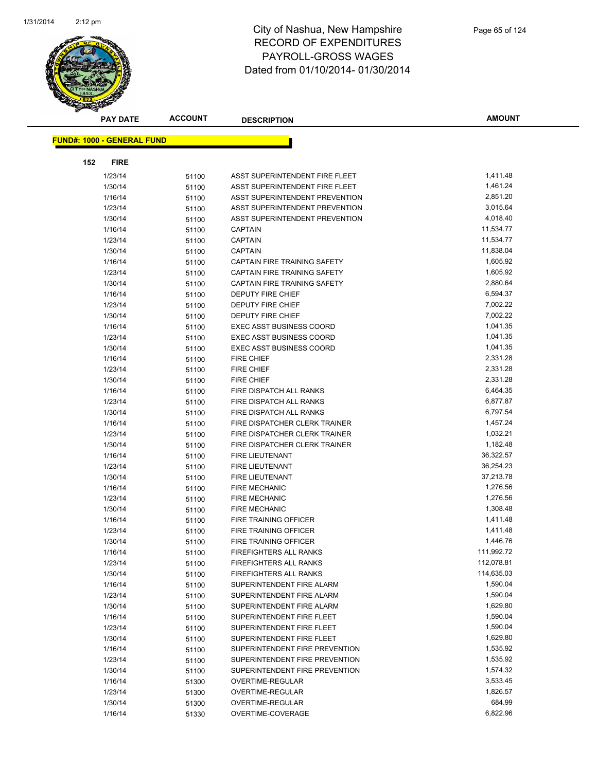

|     | <b>PAY DATE</b>                    | <b>ACCOUNT</b> | <b>DESCRIPTION</b>              | <b>AMOUNT</b> |
|-----|------------------------------------|----------------|---------------------------------|---------------|
|     | <u> FUND#: 1000 - GENERAL FUND</u> |                |                                 |               |
|     |                                    |                |                                 |               |
| 152 | <b>FIRE</b>                        |                |                                 |               |
|     | 1/23/14                            | 51100          | ASST SUPERINTENDENT FIRE FLEET  | 1,411.48      |
|     | 1/30/14                            | 51100          | ASST SUPERINTENDENT FIRE FLEET  | 1,461.24      |
|     | 1/16/14                            | 51100          | ASST SUPERINTENDENT PREVENTION  | 2,851.20      |
|     | 1/23/14                            | 51100          | ASST SUPERINTENDENT PREVENTION  | 3,015.64      |
|     | 1/30/14                            | 51100          | ASST SUPERINTENDENT PREVENTION  | 4,018.40      |
|     | 1/16/14                            | 51100          | <b>CAPTAIN</b>                  | 11,534.77     |
|     | 1/23/14                            | 51100          | <b>CAPTAIN</b>                  | 11,534.77     |
|     | 1/30/14                            | 51100          | <b>CAPTAIN</b>                  | 11,838.04     |
|     | 1/16/14                            | 51100          | CAPTAIN FIRE TRAINING SAFETY    | 1,605.92      |
|     | 1/23/14                            | 51100          | CAPTAIN FIRE TRAINING SAFETY    | 1,605.92      |
|     | 1/30/14                            | 51100          | CAPTAIN FIRE TRAINING SAFETY    | 2,880.64      |
|     | 1/16/14                            | 51100          | DEPUTY FIRE CHIEF               | 6,594.37      |
|     | 1/23/14                            | 51100          | DEPUTY FIRE CHIEF               | 7,002.22      |
|     | 1/30/14                            | 51100          | DEPUTY FIRE CHIEF               | 7,002.22      |
|     | 1/16/14                            | 51100          | <b>EXEC ASST BUSINESS COORD</b> | 1,041.35      |
|     | 1/23/14                            | 51100          | <b>EXEC ASST BUSINESS COORD</b> | 1,041.35      |
|     | 1/30/14                            | 51100          | <b>EXEC ASST BUSINESS COORD</b> | 1,041.35      |
|     | 1/16/14                            | 51100          | <b>FIRE CHIEF</b>               | 2,331.28      |
|     | 1/23/14                            | 51100          | <b>FIRE CHIEF</b>               | 2,331.28      |
|     | 1/30/14                            | 51100          | <b>FIRE CHIEF</b>               | 2,331.28      |
|     | 1/16/14                            | 51100          | FIRE DISPATCH ALL RANKS         | 6,464.35      |
|     | 1/23/14                            | 51100          | FIRE DISPATCH ALL RANKS         | 6,877.87      |
|     | 1/30/14                            | 51100          | FIRE DISPATCH ALL RANKS         | 6,797.54      |
|     | 1/16/14                            | 51100          | FIRE DISPATCHER CLERK TRAINER   | 1,457.24      |
|     | 1/23/14                            | 51100          | FIRE DISPATCHER CLERK TRAINER   | 1,032.21      |
|     | 1/30/14                            | 51100          | FIRE DISPATCHER CLERK TRAINER   | 1,182.48      |
|     | 1/16/14                            | 51100          | FIRE LIEUTENANT                 | 36,322.57     |
|     | 1/23/14                            | 51100          | FIRE LIEUTENANT                 | 36,254.23     |
|     | 1/30/14                            | 51100          | FIRE LIEUTENANT                 | 37,213.78     |
|     | 1/16/14                            | 51100          | <b>FIRE MECHANIC</b>            | 1,276.56      |
|     | 1/23/14                            | 51100          | <b>FIRE MECHANIC</b>            | 1,276.56      |
|     | 1/30/14                            | 51100          | <b>FIRE MECHANIC</b>            | 1,308.48      |
|     | 1/16/14                            | 51100          | FIRE TRAINING OFFICER           | 1,411.48      |
|     | 1/23/14                            | 51100          | <b>FIRE TRAINING OFFICER</b>    | 1,411.48      |
|     | 1/30/14                            | 51100          | FIRE TRAINING OFFICER           | 1,446.76      |
|     | 1/16/14                            | 51100          | <b>FIREFIGHTERS ALL RANKS</b>   | 111,992.72    |
|     | 1/23/14                            | 51100          | <b>FIREFIGHTERS ALL RANKS</b>   | 112,078.81    |
|     | 1/30/14                            | 51100          | FIREFIGHTERS ALL RANKS          | 114,635.03    |
|     | 1/16/14                            | 51100          | SUPERINTENDENT FIRE ALARM       | 1,590.04      |
|     | 1/23/14                            | 51100          | SUPERINTENDENT FIRE ALARM       | 1,590.04      |
|     | 1/30/14                            | 51100          | SUPERINTENDENT FIRE ALARM       | 1,629.80      |
|     | 1/16/14                            | 51100          | SUPERINTENDENT FIRE FLEET       | 1,590.04      |
|     | 1/23/14                            | 51100          | SUPERINTENDENT FIRE FLEET       | 1,590.04      |
|     | 1/30/14                            | 51100          | SUPERINTENDENT FIRE FLEET       | 1,629.80      |
|     | 1/16/14                            | 51100          | SUPERINTENDENT FIRE PREVENTION  | 1,535.92      |
|     | 1/23/14                            | 51100          | SUPERINTENDENT FIRE PREVENTION  | 1,535.92      |
|     | 1/30/14                            | 51100          | SUPERINTENDENT FIRE PREVENTION  | 1,574.32      |
|     | 1/16/14                            | 51300          | OVERTIME-REGULAR                | 3,533.45      |
|     | 1/23/14                            | 51300          | OVERTIME-REGULAR                | 1,826.57      |
|     | 1/30/14                            | 51300          | OVERTIME-REGULAR                | 684.99        |
|     | 1/16/14                            | 51330          | OVERTIME-COVERAGE               | 6,822.96      |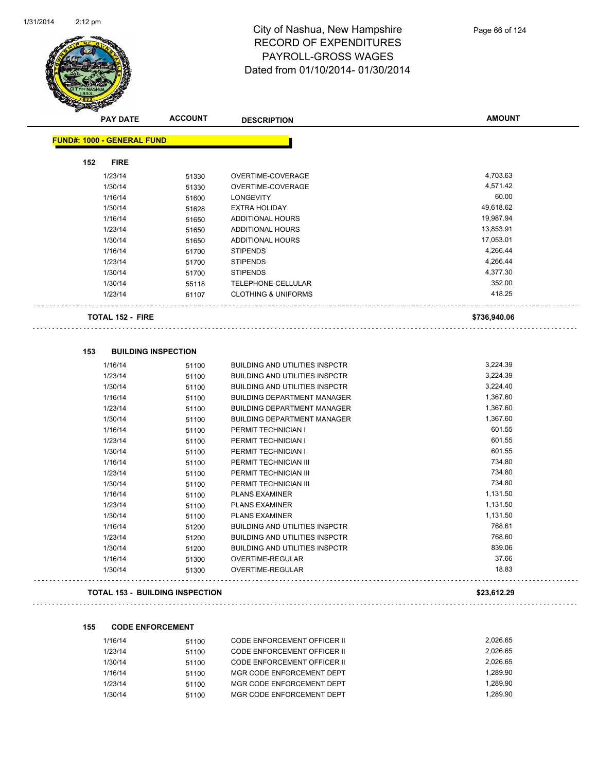$\sim$  .

 $\sim$   $\sim$ 

i.



#### City of Nashua, New Hampshire RECORD OF EXPENDITURES PAYROLL-GROSS WAGES Dated from 01/10/2014- 01/30/2014

| <b>PAY DATE</b>                   | <b>ACCOUNT</b> | <b>DESCRIPTION</b>                    | <b>AMOUNT</b> |
|-----------------------------------|----------------|---------------------------------------|---------------|
| <b>FUND#: 1000 - GENERAL FUND</b> |                |                                       |               |
|                                   |                |                                       |               |
| 152<br><b>FIRE</b>                |                |                                       |               |
| 1/23/14                           | 51330          | OVERTIME-COVERAGE                     | 4,703.63      |
| 1/30/14                           | 51330          | OVERTIME-COVERAGE                     | 4,571.42      |
| 1/16/14                           | 51600          | <b>LONGEVITY</b>                      | 60.00         |
| 1/30/14                           | 51628          | <b>EXTRA HOLIDAY</b>                  | 49,618.62     |
| 1/16/14                           | 51650          | <b>ADDITIONAL HOURS</b>               | 19,987.94     |
| 1/23/14                           | 51650          | <b>ADDITIONAL HOURS</b>               | 13,853.91     |
| 1/30/14                           | 51650          | <b>ADDITIONAL HOURS</b>               | 17,053.01     |
| 1/16/14                           | 51700          | <b>STIPENDS</b>                       | 4,266.44      |
| 1/23/14                           | 51700          | <b>STIPENDS</b>                       | 4,266.44      |
| 1/30/14                           | 51700          | <b>STIPENDS</b>                       | 4,377.30      |
| 1/30/14                           | 55118          | TELEPHONE-CELLULAR                    | 352.00        |
| 1/23/14                           | 61107          | <b>CLOTHING &amp; UNIFORMS</b>        | 418.25        |
| <b>TOTAL 152 - FIRE</b>           |                |                                       | \$736,940.06  |
|                                   |                |                                       |               |
| 153<br><b>BUILDING INSPECTION</b> |                |                                       |               |
| 1/16/14                           | 51100          | <b>BUILDING AND UTILITIES INSPCTR</b> | 3,224.39      |
| 1/23/14                           | 51100          | <b>BUILDING AND UTILITIES INSPCTR</b> | 3,224.39      |
| 1/30/14                           | 51100          | <b>BUILDING AND UTILITIES INSPCTR</b> | 3,224.40      |
| 1/16/14                           | 51100          | <b>BUILDING DEPARTMENT MANAGER</b>    | 1,367.60      |
| 1/23/14                           | 51100          | <b>BUILDING DEPARTMENT MANAGER</b>    | 1,367.60      |
| 1/30/14                           | 51100          | <b>BUILDING DEPARTMENT MANAGER</b>    | 1,367.60      |
| 1/16/14                           | 51100          | PERMIT TECHNICIAN I                   | 601.55        |
| 1/23/14                           | 51100          | PERMIT TECHNICIAN I                   | 601.55        |
| 1/30/14                           | 51100          | PERMIT TECHNICIAN I                   | 601.55        |
| 1/16/14                           | 51100          | PERMIT TECHNICIAN III                 | 734.80        |
| 1/23/14                           | 51100          | PERMIT TECHNICIAN III                 | 734.80        |
| 1/30/14                           | 51100          | PERMIT TECHNICIAN III                 | 734.80        |
| 1/16/14                           | 51100          | <b>PLANS EXAMINER</b>                 | 1,131.50      |
| 1/23/14                           | 51100          | <b>PLANS EXAMINER</b>                 | 1,131.50      |
| 1/30/14                           | 51100          | <b>PLANS EXAMINER</b>                 | 1,131.50      |
| 1/16/14                           | 51200          | <b>BUILDING AND UTILITIES INSPCTR</b> | 768.61        |
| 1/23/14                           | 51200          | <b>BUILDING AND UTILITIES INSPCTR</b> | 768.60        |
| 1/30/14                           | 51200          | <b>BUILDING AND UTILITIES INSPCTR</b> | 839.06        |
| 1/16/14                           | 51300          | <b>OVERTIME-REGULAR</b>               | 37.66         |
| 1/30/14                           | 51300          | <b>OVERTIME-REGULAR</b>               | 18.83         |
|                                   |                |                                       |               |

#### **TOTAL 153 - BUILDING INSPECTION \$23,612.29**

#### **155 CODE ENFORCEMENT**

| 1/16/14 | 51100 | CODE ENFORCEMENT OFFICER II | 2.026.65 |
|---------|-------|-----------------------------|----------|
| 1/23/14 | 51100 | CODE ENFORCEMENT OFFICER II | 2.026.65 |
| 1/30/14 | 51100 | CODE ENFORCEMENT OFFICER II | 2.026.65 |
| 1/16/14 | 51100 | MGR CODE ENFORCEMENT DEPT   | 1.289.90 |
| 1/23/14 | 51100 | MGR CODE ENFORCEMENT DEPT   | 1.289.90 |
| 1/30/14 | 51100 | MGR CODE ENFORCEMENT DEPT   | 1.289.90 |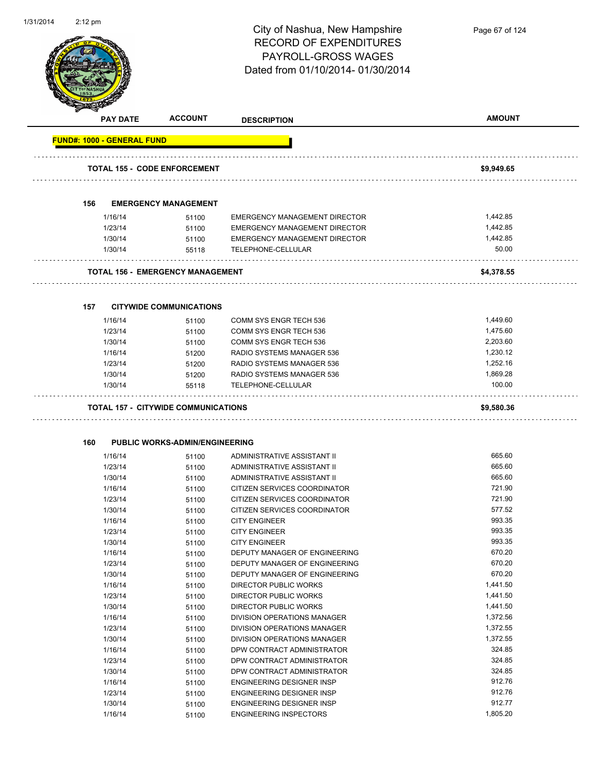

Page 67 of 124

|     |                    | <b>ACCOUNT</b><br><b>PAY DATE</b>          | <b>DESCRIPTION</b>                                          | <b>AMOUNT</b>      |
|-----|--------------------|--------------------------------------------|-------------------------------------------------------------|--------------------|
|     |                    | <b>FUND#: 1000 - GENERAL FUND</b>          |                                                             |                    |
|     |                    | <b>TOTAL 155 - CODE ENFORCEMENT</b>        |                                                             | \$9,949.65         |
|     |                    |                                            |                                                             |                    |
| 156 |                    | <b>EMERGENCY MANAGEMENT</b>                |                                                             |                    |
|     | 1/16/14            | 51100                                      | <b>EMERGENCY MANAGEMENT DIRECTOR</b>                        | 1,442.85           |
|     | 1/23/14            | 51100                                      | EMERGENCY MANAGEMENT DIRECTOR                               | 1,442.85           |
|     | 1/30/14            | 51100                                      | EMERGENCY MANAGEMENT DIRECTOR                               | 1,442.85           |
|     | 1/30/14            | 55118                                      | TELEPHONE-CELLULAR                                          | 50.00              |
|     |                    | <b>TOTAL 156 - EMERGENCY MANAGEMENT</b>    |                                                             | \$4,378.55         |
|     |                    |                                            |                                                             |                    |
| 157 |                    | <b>CITYWIDE COMMUNICATIONS</b>             |                                                             |                    |
|     | 1/16/14            | 51100                                      | COMM SYS ENGR TECH 536                                      | 1,449.60           |
|     | 1/23/14            | 51100                                      | <b>COMM SYS ENGR TECH 536</b>                               | 1,475.60           |
|     | 1/30/14            | 51100                                      | COMM SYS ENGR TECH 536                                      | 2,203.60           |
|     | 1/16/14            | 51200                                      | RADIO SYSTEMS MANAGER 536                                   | 1,230.12           |
|     | 1/23/14            | 51200                                      | RADIO SYSTEMS MANAGER 536                                   | 1,252.16           |
|     | 1/30/14            | 51200                                      | RADIO SYSTEMS MANAGER 536                                   | 1,869.28           |
|     | 1/30/14            | 55118                                      | TELEPHONE-CELLULAR                                          | 100.00             |
|     |                    | <b>TOTAL 157 - CITYWIDE COMMUNICATIONS</b> |                                                             | \$9,580.36         |
|     |                    |                                            |                                                             |                    |
| 160 |                    | <b>PUBLIC WORKS-ADMIN/ENGINEERING</b>      |                                                             |                    |
|     | 1/16/14            | 51100                                      | ADMINISTRATIVE ASSISTANT II                                 | 665.60             |
|     | 1/23/14            | 51100                                      | ADMINISTRATIVE ASSISTANT II                                 | 665.60             |
|     | 1/30/14            | 51100                                      | ADMINISTRATIVE ASSISTANT II                                 | 665.60             |
|     | 1/16/14            | 51100                                      | CITIZEN SERVICES COORDINATOR                                | 721.90             |
|     | 1/23/14            | 51100                                      | CITIZEN SERVICES COORDINATOR                                | 721.90             |
|     | 1/30/14            | 51100                                      | CITIZEN SERVICES COORDINATOR                                | 577.52             |
|     | 1/16/14            | 51100                                      | <b>CITY ENGINEER</b>                                        | 993.35             |
|     | 1/23/14            | 51100                                      | <b>CITY ENGINEER</b>                                        | 993.35             |
|     | 1/30/14            | 51100                                      | <b>CITY ENGINEER</b>                                        | 993.35             |
|     | 1/16/14            | 51100                                      | DEPUTY MANAGER OF ENGINEERING                               | 670.20             |
|     | 1/23/14            | 51100                                      | DEPUTY MANAGER OF ENGINEERING                               | 670.20             |
|     | 1/30/14            | 51100                                      | DEPUTY MANAGER OF ENGINEERING                               | 670.20             |
|     | 1/16/14            | 51100                                      | <b>DIRECTOR PUBLIC WORKS</b>                                | 1,441.50           |
|     | 1/23/14            | 51100                                      | DIRECTOR PUBLIC WORKS                                       | 1,441.50           |
|     | 1/30/14            | 51100                                      | DIRECTOR PUBLIC WORKS<br><b>DIVISION OPERATIONS MANAGER</b> | 1,441.50           |
|     | 1/16/14            | 51100                                      |                                                             | 1,372.56           |
|     | 1/23/14            | 51100                                      | DIVISION OPERATIONS MANAGER                                 | 1,372.55           |
|     | 1/30/14            | 51100                                      | DIVISION OPERATIONS MANAGER                                 | 1,372.55<br>324.85 |
|     | 1/16/14            | 51100                                      | DPW CONTRACT ADMINISTRATOR                                  | 324.85             |
|     | 1/23/14<br>1/30/14 | 51100                                      | DPW CONTRACT ADMINISTRATOR<br>DPW CONTRACT ADMINISTRATOR    | 324.85             |
|     |                    | 51100                                      | ENGINEERING DESIGNER INSP                                   | 912.76             |
|     | 1/16/14<br>1/23/14 | 51100                                      | ENGINEERING DESIGNER INSP                                   | 912.76             |
|     | 1/30/14            | 51100<br>51100                             | ENGINEERING DESIGNER INSP                                   | 912.77             |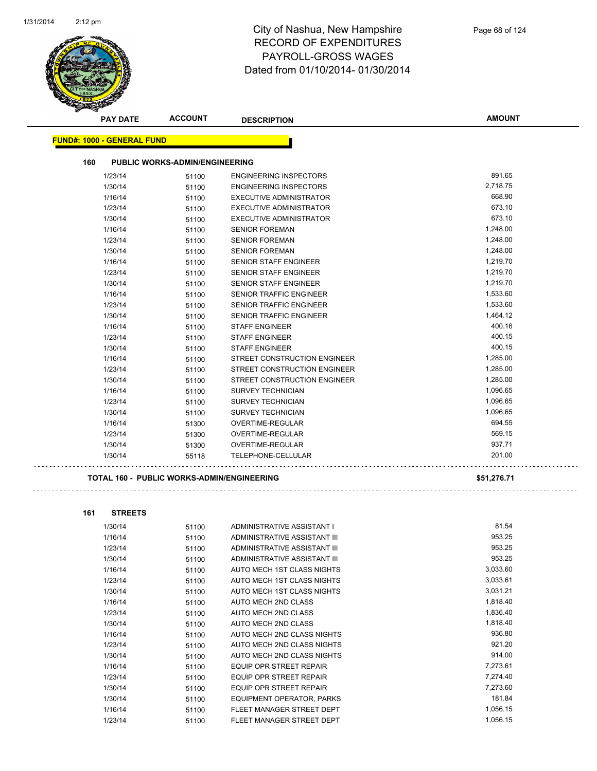

| <b>PAY DATE</b>                   | <b>ACCOUNT</b>                        | <b>DESCRIPTION</b>             | <b>AMOUNT</b> |
|-----------------------------------|---------------------------------------|--------------------------------|---------------|
| <b>FUND#: 1000 - GENERAL FUND</b> |                                       |                                |               |
| 160                               | <b>PUBLIC WORKS-ADMIN/ENGINEERING</b> |                                |               |
|                                   |                                       |                                |               |
| 1/23/14                           | 51100                                 | <b>ENGINEERING INSPECTORS</b>  | 891.65        |
| 1/30/14                           | 51100                                 | <b>ENGINEERING INSPECTORS</b>  | 2,718.75      |
| 1/16/14                           | 51100                                 | <b>EXECUTIVE ADMINISTRATOR</b> | 668.90        |
| 1/23/14                           | 51100                                 | <b>EXECUTIVE ADMINISTRATOR</b> | 673.10        |
| 1/30/14                           | 51100                                 | <b>EXECUTIVE ADMINISTRATOR</b> | 673.10        |
| 1/16/14                           | 51100                                 | <b>SENIOR FOREMAN</b>          | 1,248.00      |
| 1/23/14                           | 51100                                 | <b>SENIOR FOREMAN</b>          | 1,248.00      |
| 1/30/14                           | 51100                                 | <b>SENIOR FOREMAN</b>          | 1,248.00      |
| 1/16/14                           | 51100                                 | <b>SENIOR STAFF ENGINEER</b>   | 1,219.70      |
| 1/23/14                           | 51100                                 | <b>SENIOR STAFF ENGINEER</b>   | 1,219.70      |
| 1/30/14                           | 51100                                 | <b>SENIOR STAFF ENGINEER</b>   | 1,219.70      |
| 1/16/14                           | 51100                                 | SENIOR TRAFFIC ENGINEER        | 1,533.60      |
| 1/23/14                           | 51100                                 | SENIOR TRAFFIC ENGINEER        | 1,533.60      |
| 1/30/14                           | 51100                                 | <b>SENIOR TRAFFIC ENGINEER</b> | 1,464.12      |
| 1/16/14                           | 51100                                 | <b>STAFF ENGINEER</b>          | 400.16        |
| 1/23/14                           | 51100                                 | <b>STAFF ENGINEER</b>          | 400.15        |
| 1/30/14                           | 51100                                 | <b>STAFF ENGINEER</b>          | 400.15        |
| 1/16/14                           | 51100                                 | STREET CONSTRUCTION ENGINEER   | 1,285.00      |
| 1/23/14                           | 51100                                 | STREET CONSTRUCTION ENGINEER   | 1,285.00      |
| 1/30/14                           | 51100                                 | STREET CONSTRUCTION ENGINEER   | 1,285.00      |
| 1/16/14                           | 51100                                 | <b>SURVEY TECHNICIAN</b>       | 1,096.65      |
| 1/23/14                           | 51100                                 | <b>SURVEY TECHNICIAN</b>       | 1,096.65      |
| 1/30/14                           | 51100                                 | <b>SURVEY TECHNICIAN</b>       | 1,096.65      |
| 1/16/14                           | 51300                                 | OVERTIME-REGULAR               | 694.55        |
| 1/23/14                           | 51300                                 | OVERTIME-REGULAR               | 569.15        |
| 1/30/14                           | 51300                                 | OVERTIME-REGULAR               | 937.71        |
| 1/30/14                           | 55118                                 | <b>TELEPHONE-CELLULAR</b>      | 201.00        |
|                                   |                                       |                                |               |

#### **TOTAL 160 - PUBLIC WORKS-ADMIN/ENGINEERING \$51,276.71**

. . . . . . . . . . . . . . . . . .

 $\sim$   $\sim$ 

```
161 STREETS
```
 $\sim$   $\sim$   $\sim$ 

| 1/30/14 | 51100 | ADMINISTRATIVE ASSISTANT I     | 81.54    |
|---------|-------|--------------------------------|----------|
| 1/16/14 | 51100 | ADMINISTRATIVE ASSISTANT III   | 953.25   |
| 1/23/14 | 51100 | ADMINISTRATIVE ASSISTANT III   | 953.25   |
| 1/30/14 | 51100 | ADMINISTRATIVE ASSISTANT III   | 953.25   |
| 1/16/14 | 51100 | AUTO MECH 1ST CLASS NIGHTS     | 3,033.60 |
| 1/23/14 | 51100 | AUTO MECH 1ST CLASS NIGHTS     | 3,033.61 |
| 1/30/14 | 51100 | AUTO MECH 1ST CLASS NIGHTS     | 3,031.21 |
| 1/16/14 | 51100 | <b>AUTO MECH 2ND CLASS</b>     | 1,818.40 |
| 1/23/14 | 51100 | <b>AUTO MECH 2ND CLASS</b>     | 1,836.40 |
| 1/30/14 | 51100 | AUTO MECH 2ND CLASS            | 1,818.40 |
| 1/16/14 | 51100 | AUTO MECH 2ND CLASS NIGHTS     | 936.80   |
| 1/23/14 | 51100 | AUTO MECH 2ND CLASS NIGHTS     | 921.20   |
| 1/30/14 | 51100 | AUTO MECH 2ND CLASS NIGHTS     | 914.00   |
| 1/16/14 | 51100 | <b>EQUIP OPR STREET REPAIR</b> | 7,273.61 |
| 1/23/14 | 51100 | EQUIP OPR STREET REPAIR        | 7,274.40 |
| 1/30/14 | 51100 | <b>EQUIP OPR STREET REPAIR</b> | 7,273.60 |
| 1/30/14 | 51100 | EQUIPMENT OPERATOR, PARKS      | 181.84   |
| 1/16/14 | 51100 | FLEET MANAGER STREET DEPT      | 1,056.15 |
| 1/23/14 | 51100 | FLEET MANAGER STREET DEPT      | 1,056.15 |
|         |       |                                |          |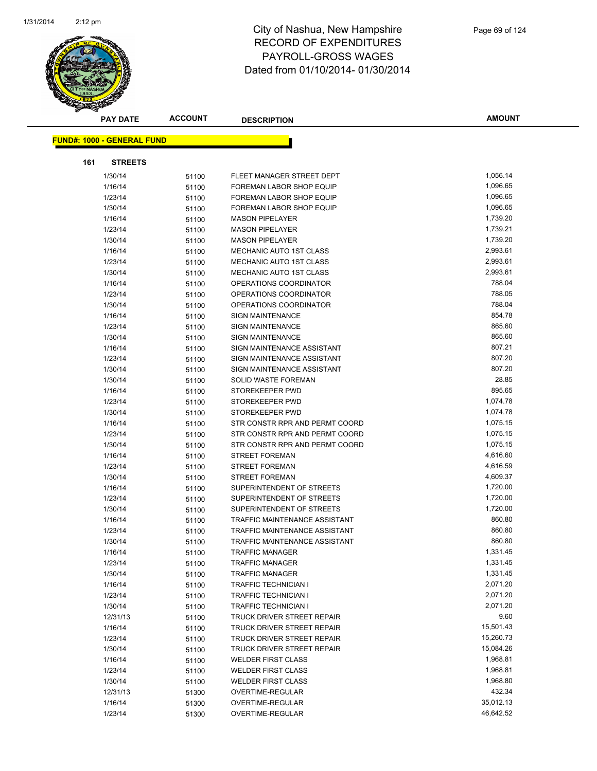

|     | <b>PAY DATE</b>                   | <b>ACCOUNT</b> | <b>DESCRIPTION</b>                | <b>AMOUNT</b> |
|-----|-----------------------------------|----------------|-----------------------------------|---------------|
|     | <b>FUND#: 1000 - GENERAL FUND</b> |                |                                   |               |
|     |                                   |                |                                   |               |
| 161 | <b>STREETS</b>                    |                |                                   |               |
|     | 1/30/14                           | 51100          | FLEET MANAGER STREET DEPT         | 1,056.14      |
|     | 1/16/14                           | 51100          | FOREMAN LABOR SHOP EQUIP          | 1,096.65      |
|     | 1/23/14                           | 51100          | FOREMAN LABOR SHOP EQUIP          | 1,096.65      |
|     | 1/30/14                           | 51100          | FOREMAN LABOR SHOP EQUIP          | 1,096.65      |
|     | 1/16/14                           | 51100          | <b>MASON PIPELAYER</b>            | 1,739.20      |
|     | 1/23/14                           | 51100          | <b>MASON PIPELAYER</b>            | 1,739.21      |
|     | 1/30/14                           | 51100          | <b>MASON PIPELAYER</b>            | 1,739.20      |
|     | 1/16/14                           | 51100          | MECHANIC AUTO 1ST CLASS           | 2,993.61      |
|     | 1/23/14                           | 51100          | MECHANIC AUTO 1ST CLASS           | 2,993.61      |
|     | 1/30/14                           | 51100          | MECHANIC AUTO 1ST CLASS           | 2,993.61      |
|     | 1/16/14                           | 51100          | OPERATIONS COORDINATOR            | 788.04        |
|     | 1/23/14                           | 51100          | OPERATIONS COORDINATOR            | 788.05        |
|     | 1/30/14                           | 51100          | OPERATIONS COORDINATOR            | 788.04        |
|     | 1/16/14                           | 51100          | <b>SIGN MAINTENANCE</b>           | 854.78        |
|     | 1/23/14                           | 51100          | <b>SIGN MAINTENANCE</b>           | 865.60        |
|     | 1/30/14                           | 51100          | SIGN MAINTENANCE                  | 865.60        |
|     | 1/16/14                           | 51100          | SIGN MAINTENANCE ASSISTANT        | 807.21        |
|     | 1/23/14                           | 51100          | SIGN MAINTENANCE ASSISTANT        | 807.20        |
|     | 1/30/14                           | 51100          | SIGN MAINTENANCE ASSISTANT        | 807.20        |
|     | 1/30/14                           | 51100          | SOLID WASTE FOREMAN               | 28.85         |
|     | 1/16/14                           | 51100          | STOREKEEPER PWD                   | 895.65        |
|     | 1/23/14                           | 51100          | STOREKEEPER PWD                   | 1,074.78      |
|     | 1/30/14                           | 51100          | STOREKEEPER PWD                   | 1,074.78      |
|     | 1/16/14                           | 51100          | STR CONSTR RPR AND PERMT COORD    | 1,075.15      |
|     | 1/23/14                           | 51100          | STR CONSTR RPR AND PERMT COORD    | 1,075.15      |
|     | 1/30/14                           | 51100          | STR CONSTR RPR AND PERMT COORD    | 1,075.15      |
|     | 1/16/14                           | 51100          | <b>STREET FOREMAN</b>             | 4,616.60      |
|     | 1/23/14                           | 51100          | <b>STREET FOREMAN</b>             | 4,616.59      |
|     | 1/30/14                           | 51100          | <b>STREET FOREMAN</b>             | 4,609.37      |
|     | 1/16/14                           | 51100          | SUPERINTENDENT OF STREETS         | 1,720.00      |
|     | 1/23/14                           | 51100          | SUPERINTENDENT OF STREETS         | 1,720.00      |
|     | 1/30/14                           | 51100          | SUPERINTENDENT OF STREETS         | 1,720.00      |
|     | 1/16/14                           | 51100          | TRAFFIC MAINTENANCE ASSISTANT     | 860.80        |
|     | 1/23/14                           | 51100          | TRAFFIC MAINTENANCE ASSISTANT     | 860.80        |
|     | 1/30/14                           | 51100          | TRAFFIC MAINTENANCE ASSISTANT     | 860.80        |
|     | 1/16/14                           | 51100          | <b>TRAFFIC MANAGER</b>            | 1,331.45      |
|     | 1/23/14                           | 51100          | <b>TRAFFIC MANAGER</b>            | 1,331.45      |
|     | 1/30/14                           | 51100          | <b>TRAFFIC MANAGER</b>            | 1,331.45      |
|     | 1/16/14                           | 51100          | <b>TRAFFIC TECHNICIAN I</b>       | 2,071.20      |
|     | 1/23/14                           | 51100          | <b>TRAFFIC TECHNICIAN I</b>       | 2,071.20      |
|     | 1/30/14                           | 51100          | <b>TRAFFIC TECHNICIAN I</b>       | 2,071.20      |
|     | 12/31/13                          | 51100          | <b>TRUCK DRIVER STREET REPAIR</b> | 9.60          |
|     | 1/16/14                           | 51100          | TRUCK DRIVER STREET REPAIR        | 15,501.43     |
|     | 1/23/14                           | 51100          | <b>TRUCK DRIVER STREET REPAIR</b> | 15,260.73     |
|     | 1/30/14                           | 51100          | TRUCK DRIVER STREET REPAIR        | 15,084.26     |
|     | 1/16/14                           | 51100          | <b>WELDER FIRST CLASS</b>         | 1,968.81      |
|     | 1/23/14                           | 51100          | <b>WELDER FIRST CLASS</b>         | 1,968.81      |
|     | 1/30/14                           | 51100          | <b>WELDER FIRST CLASS</b>         | 1,968.80      |
|     | 12/31/13                          | 51300          | OVERTIME-REGULAR                  | 432.34        |
|     | 1/16/14                           | 51300          | OVERTIME-REGULAR                  | 35,012.13     |
|     | 1/23/14                           | 51300          | OVERTIME-REGULAR                  | 46,642.52     |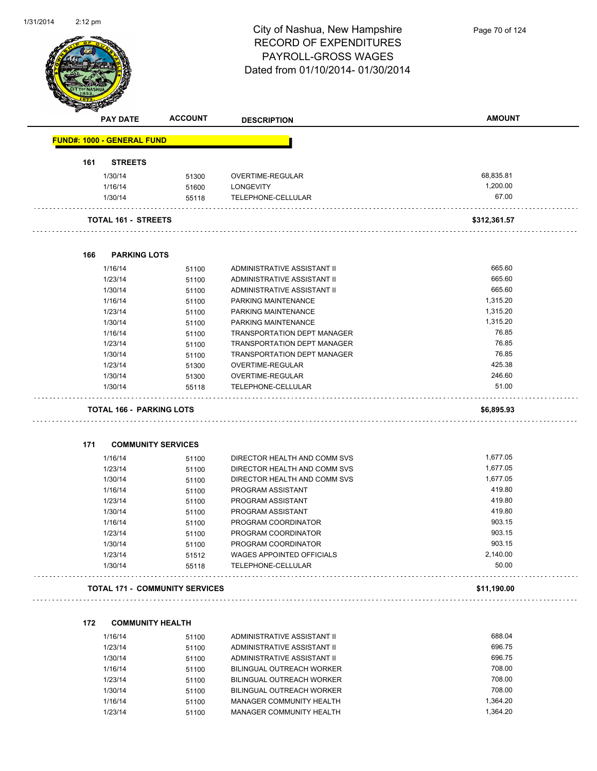

|     | <b>PAY DATE</b>                   | <b>ACCOUNT</b>                        | <b>DESCRIPTION</b>           | <b>AMOUNT</b> |
|-----|-----------------------------------|---------------------------------------|------------------------------|---------------|
|     | <b>FUND#: 1000 - GENERAL FUND</b> |                                       |                              |               |
| 161 | <b>STREETS</b>                    |                                       |                              |               |
|     | 1/30/14                           | 51300                                 | OVERTIME-REGULAR             | 68,835.81     |
|     | 1/16/14                           | 51600                                 | <b>LONGEVITY</b>             | 1,200.00      |
|     | 1/30/14                           | 55118                                 | TELEPHONE-CELLULAR           | 67.00         |
|     | <b>TOTAL 161 - STREETS</b>        |                                       |                              | \$312,361.57  |
|     |                                   |                                       |                              |               |
| 166 | <b>PARKING LOTS</b>               |                                       |                              |               |
|     | 1/16/14                           | 51100                                 | ADMINISTRATIVE ASSISTANT II  | 665.60        |
|     | 1/23/14                           | 51100                                 | ADMINISTRATIVE ASSISTANT II  | 665.60        |
|     | 1/30/14                           | 51100                                 | ADMINISTRATIVE ASSISTANT II  | 665.60        |
|     | 1/16/14                           | 51100                                 | PARKING MAINTENANCE          | 1,315.20      |
|     | 1/23/14                           | 51100                                 | PARKING MAINTENANCE          | 1,315.20      |
|     | 1/30/14                           | 51100                                 | PARKING MAINTENANCE          | 1,315.20      |
|     | 1/16/14                           | 51100                                 | TRANSPORTATION DEPT MANAGER  | 76.85         |
|     | 1/23/14                           | 51100                                 | TRANSPORTATION DEPT MANAGER  | 76.85         |
|     | 1/30/14                           | 51100                                 | TRANSPORTATION DEPT MANAGER  | 76.85         |
|     | 1/23/14                           | 51300                                 | OVERTIME-REGULAR             | 425.38        |
|     | 1/30/14                           | 51300                                 | <b>OVERTIME-REGULAR</b>      | 246.60        |
|     | 1/30/14                           | 55118                                 | TELEPHONE-CELLULAR           | 51.00         |
|     | <b>TOTAL 166 - PARKING LOTS</b>   |                                       |                              | \$6,895.93    |
| 171 | <b>COMMUNITY SERVICES</b>         |                                       |                              |               |
|     | 1/16/14                           | 51100                                 | DIRECTOR HEALTH AND COMM SVS | 1,677.05      |
|     | 1/23/14                           | 51100                                 | DIRECTOR HEALTH AND COMM SVS | 1,677.05      |
|     | 1/30/14                           | 51100                                 | DIRECTOR HEALTH AND COMM SVS | 1,677.05      |
|     | 1/16/14                           | 51100                                 | PROGRAM ASSISTANT            | 419.80        |
|     | 1/23/14                           | 51100                                 | PROGRAM ASSISTANT            | 419.80        |
|     | 1/30/14                           | 51100                                 | PROGRAM ASSISTANT            | 419.80        |
|     | 1/16/14                           | 51100                                 | PROGRAM COORDINATOR          | 903.15        |
|     | 1/23/14                           | 51100                                 | PROGRAM COORDINATOR          | 903.15        |
|     | 1/30/14                           | 51100                                 | PROGRAM COORDINATOR          | 903.15        |
|     | 1/23/14                           | 51512                                 | WAGES APPOINTED OFFICIALS    | 2,140.00      |
|     | 1/30/14                           | 55118                                 | TELEPHONE-CELLULAR           | 50.00         |
|     |                                   | <b>TOTAL 171 - COMMUNITY SERVICES</b> |                              | \$11,190.00   |

| 1/16/14 | 51100 | ADMINISTRATIVE ASSISTANT II     | 688.04   |
|---------|-------|---------------------------------|----------|
| 1/23/14 | 51100 | ADMINISTRATIVE ASSISTANT II     | 696.75   |
| 1/30/14 | 51100 | ADMINISTRATIVE ASSISTANT II     | 696.75   |
| 1/16/14 | 51100 | BILINGUAL OUTREACH WORKER       | 708.00   |
| 1/23/14 | 51100 | BILINGUAL OUTREACH WORKER       | 708.00   |
| 1/30/14 | 51100 | BILINGUAL OUTREACH WORKER       | 708.00   |
| 1/16/14 | 51100 | MANAGER COMMUNITY HEALTH        | 1.364.20 |
| 1/23/14 | 51100 | <b>MANAGER COMMUNITY HEALTH</b> | 1.364.20 |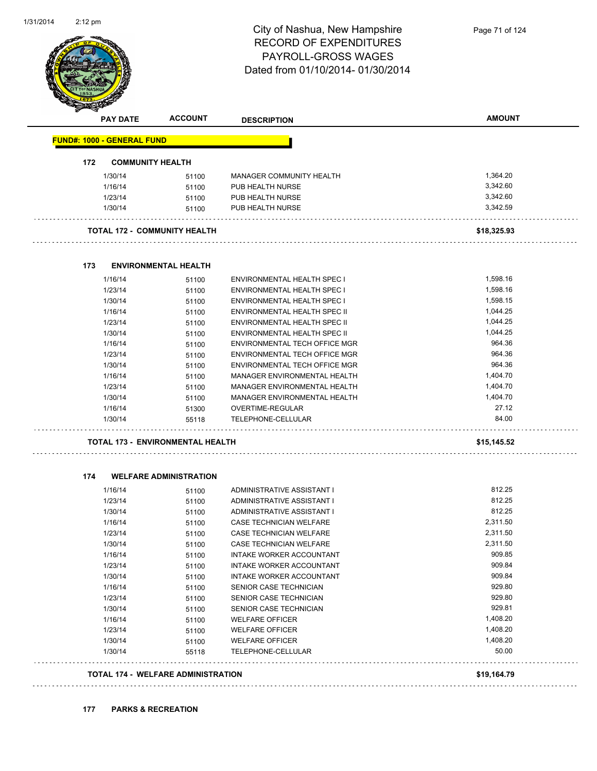

| <b>FUND#: 1000 - GENERAL FUND</b><br>172<br><b>COMMUNITY HEALTH</b><br>1/30/14<br>1/16/14<br>1/23/14<br>1/30/14<br>TOTAL 172 - COMMUNITY HEALTH<br><b>ENVIRONMENTAL HEALTH</b><br>173<br>1/16/14<br>1/23/14<br>1/30/14<br>1/16/14<br>1/23/14<br>1/30/14<br>1/16/14<br>1/23/14<br>1/30/14<br>1/16/14<br>1/23/14<br>1/30/14<br>1/16/14<br>1/30/14<br>174<br><b>WELFARE ADMINISTRATION</b><br>1/16/14<br>1/23/14<br>1/30/14<br>1/16/14<br>1/23/14<br>1/30/14<br>1/16/14<br>1/23/14<br>1/30/14<br>1/16/14 | 51100<br>51100<br>51100<br>51100<br>51100<br>51100<br>51100<br>51100<br>51100<br>51100<br>51100<br>51100<br>51100<br>51100<br>51100<br>51100<br>51300<br>55118 | <b>MANAGER COMMUNITY HEALTH</b><br>PUB HEALTH NURSE<br>PUB HEALTH NURSE<br>PUB HEALTH NURSE<br>ENVIRONMENTAL HEALTH SPEC I<br>ENVIRONMENTAL HEALTH SPEC I<br>ENVIRONMENTAL HEALTH SPEC I<br>ENVIRONMENTAL HEALTH SPEC II<br>ENVIRONMENTAL HEALTH SPEC II<br>ENVIRONMENTAL HEALTH SPEC II<br>ENVIRONMENTAL TECH OFFICE MGR<br>ENVIRONMENTAL TECH OFFICE MGR<br>ENVIRONMENTAL TECH OFFICE MGR<br>MANAGER ENVIRONMENTAL HEALTH<br>MANAGER ENVIRONMENTAL HEALTH<br>MANAGER ENVIRONMENTAL HEALTH<br>OVERTIME-REGULAR | 1,364.20<br>3,342.60<br>3,342.60<br>3,342.59<br>\$18,325.93<br>1,598.16<br>1,598.16<br>1,598.15<br>1,044.25<br>1,044.25<br>1,044.25<br>964.36<br>964.36<br>964.36<br>1,404.70<br>1,404.70<br>1,404.70<br>27.12<br>84.00 |  |
|-------------------------------------------------------------------------------------------------------------------------------------------------------------------------------------------------------------------------------------------------------------------------------------------------------------------------------------------------------------------------------------------------------------------------------------------------------------------------------------------------------|----------------------------------------------------------------------------------------------------------------------------------------------------------------|-----------------------------------------------------------------------------------------------------------------------------------------------------------------------------------------------------------------------------------------------------------------------------------------------------------------------------------------------------------------------------------------------------------------------------------------------------------------------------------------------------------------|-------------------------------------------------------------------------------------------------------------------------------------------------------------------------------------------------------------------------|--|
|                                                                                                                                                                                                                                                                                                                                                                                                                                                                                                       |                                                                                                                                                                |                                                                                                                                                                                                                                                                                                                                                                                                                                                                                                                 |                                                                                                                                                                                                                         |  |
|                                                                                                                                                                                                                                                                                                                                                                                                                                                                                                       |                                                                                                                                                                |                                                                                                                                                                                                                                                                                                                                                                                                                                                                                                                 |                                                                                                                                                                                                                         |  |
|                                                                                                                                                                                                                                                                                                                                                                                                                                                                                                       |                                                                                                                                                                |                                                                                                                                                                                                                                                                                                                                                                                                                                                                                                                 |                                                                                                                                                                                                                         |  |
|                                                                                                                                                                                                                                                                                                                                                                                                                                                                                                       |                                                                                                                                                                |                                                                                                                                                                                                                                                                                                                                                                                                                                                                                                                 |                                                                                                                                                                                                                         |  |
|                                                                                                                                                                                                                                                                                                                                                                                                                                                                                                       |                                                                                                                                                                |                                                                                                                                                                                                                                                                                                                                                                                                                                                                                                                 |                                                                                                                                                                                                                         |  |
|                                                                                                                                                                                                                                                                                                                                                                                                                                                                                                       |                                                                                                                                                                |                                                                                                                                                                                                                                                                                                                                                                                                                                                                                                                 |                                                                                                                                                                                                                         |  |
|                                                                                                                                                                                                                                                                                                                                                                                                                                                                                                       |                                                                                                                                                                |                                                                                                                                                                                                                                                                                                                                                                                                                                                                                                                 |                                                                                                                                                                                                                         |  |
|                                                                                                                                                                                                                                                                                                                                                                                                                                                                                                       |                                                                                                                                                                |                                                                                                                                                                                                                                                                                                                                                                                                                                                                                                                 |                                                                                                                                                                                                                         |  |
|                                                                                                                                                                                                                                                                                                                                                                                                                                                                                                       |                                                                                                                                                                |                                                                                                                                                                                                                                                                                                                                                                                                                                                                                                                 |                                                                                                                                                                                                                         |  |
|                                                                                                                                                                                                                                                                                                                                                                                                                                                                                                       |                                                                                                                                                                |                                                                                                                                                                                                                                                                                                                                                                                                                                                                                                                 |                                                                                                                                                                                                                         |  |
|                                                                                                                                                                                                                                                                                                                                                                                                                                                                                                       |                                                                                                                                                                |                                                                                                                                                                                                                                                                                                                                                                                                                                                                                                                 |                                                                                                                                                                                                                         |  |
|                                                                                                                                                                                                                                                                                                                                                                                                                                                                                                       |                                                                                                                                                                |                                                                                                                                                                                                                                                                                                                                                                                                                                                                                                                 |                                                                                                                                                                                                                         |  |
|                                                                                                                                                                                                                                                                                                                                                                                                                                                                                                       |                                                                                                                                                                |                                                                                                                                                                                                                                                                                                                                                                                                                                                                                                                 |                                                                                                                                                                                                                         |  |
|                                                                                                                                                                                                                                                                                                                                                                                                                                                                                                       |                                                                                                                                                                |                                                                                                                                                                                                                                                                                                                                                                                                                                                                                                                 |                                                                                                                                                                                                                         |  |
|                                                                                                                                                                                                                                                                                                                                                                                                                                                                                                       |                                                                                                                                                                |                                                                                                                                                                                                                                                                                                                                                                                                                                                                                                                 |                                                                                                                                                                                                                         |  |
|                                                                                                                                                                                                                                                                                                                                                                                                                                                                                                       |                                                                                                                                                                |                                                                                                                                                                                                                                                                                                                                                                                                                                                                                                                 |                                                                                                                                                                                                                         |  |
|                                                                                                                                                                                                                                                                                                                                                                                                                                                                                                       |                                                                                                                                                                |                                                                                                                                                                                                                                                                                                                                                                                                                                                                                                                 |                                                                                                                                                                                                                         |  |
|                                                                                                                                                                                                                                                                                                                                                                                                                                                                                                       |                                                                                                                                                                |                                                                                                                                                                                                                                                                                                                                                                                                                                                                                                                 |                                                                                                                                                                                                                         |  |
|                                                                                                                                                                                                                                                                                                                                                                                                                                                                                                       |                                                                                                                                                                |                                                                                                                                                                                                                                                                                                                                                                                                                                                                                                                 |                                                                                                                                                                                                                         |  |
|                                                                                                                                                                                                                                                                                                                                                                                                                                                                                                       |                                                                                                                                                                |                                                                                                                                                                                                                                                                                                                                                                                                                                                                                                                 |                                                                                                                                                                                                                         |  |
|                                                                                                                                                                                                                                                                                                                                                                                                                                                                                                       |                                                                                                                                                                |                                                                                                                                                                                                                                                                                                                                                                                                                                                                                                                 |                                                                                                                                                                                                                         |  |
|                                                                                                                                                                                                                                                                                                                                                                                                                                                                                                       |                                                                                                                                                                | TELEPHONE-CELLULAR                                                                                                                                                                                                                                                                                                                                                                                                                                                                                              |                                                                                                                                                                                                                         |  |
|                                                                                                                                                                                                                                                                                                                                                                                                                                                                                                       | TOTAL 173 - ENVIRONMENTAL HEALTH                                                                                                                               |                                                                                                                                                                                                                                                                                                                                                                                                                                                                                                                 |                                                                                                                                                                                                                         |  |
|                                                                                                                                                                                                                                                                                                                                                                                                                                                                                                       |                                                                                                                                                                |                                                                                                                                                                                                                                                                                                                                                                                                                                                                                                                 |                                                                                                                                                                                                                         |  |
|                                                                                                                                                                                                                                                                                                                                                                                                                                                                                                       |                                                                                                                                                                |                                                                                                                                                                                                                                                                                                                                                                                                                                                                                                                 |                                                                                                                                                                                                                         |  |
|                                                                                                                                                                                                                                                                                                                                                                                                                                                                                                       | 51100                                                                                                                                                          | ADMINISTRATIVE ASSISTANT I                                                                                                                                                                                                                                                                                                                                                                                                                                                                                      | 812.25                                                                                                                                                                                                                  |  |
|                                                                                                                                                                                                                                                                                                                                                                                                                                                                                                       | 51100                                                                                                                                                          | ADMINISTRATIVE ASSISTANT I                                                                                                                                                                                                                                                                                                                                                                                                                                                                                      | 812.25                                                                                                                                                                                                                  |  |
|                                                                                                                                                                                                                                                                                                                                                                                                                                                                                                       | 51100                                                                                                                                                          | ADMINISTRATIVE ASSISTANT I                                                                                                                                                                                                                                                                                                                                                                                                                                                                                      | 812.25                                                                                                                                                                                                                  |  |
|                                                                                                                                                                                                                                                                                                                                                                                                                                                                                                       | 51100                                                                                                                                                          | CASE TECHNICIAN WELFARE                                                                                                                                                                                                                                                                                                                                                                                                                                                                                         | 2,311.50                                                                                                                                                                                                                |  |
|                                                                                                                                                                                                                                                                                                                                                                                                                                                                                                       | 51100                                                                                                                                                          | CASE TECHNICIAN WELFARE                                                                                                                                                                                                                                                                                                                                                                                                                                                                                         | 2,311.50                                                                                                                                                                                                                |  |
|                                                                                                                                                                                                                                                                                                                                                                                                                                                                                                       | 51100                                                                                                                                                          | CASE TECHNICIAN WELFARE                                                                                                                                                                                                                                                                                                                                                                                                                                                                                         | 2,311.50                                                                                                                                                                                                                |  |
|                                                                                                                                                                                                                                                                                                                                                                                                                                                                                                       | 51100                                                                                                                                                          | INTAKE WORKER ACCOUNTANT                                                                                                                                                                                                                                                                                                                                                                                                                                                                                        | 909.85                                                                                                                                                                                                                  |  |
|                                                                                                                                                                                                                                                                                                                                                                                                                                                                                                       | 51100                                                                                                                                                          | INTAKE WORKER ACCOUNTANT                                                                                                                                                                                                                                                                                                                                                                                                                                                                                        | 909.84                                                                                                                                                                                                                  |  |
|                                                                                                                                                                                                                                                                                                                                                                                                                                                                                                       | 51100                                                                                                                                                          | INTAKE WORKER ACCOUNTANT                                                                                                                                                                                                                                                                                                                                                                                                                                                                                        | 909.84                                                                                                                                                                                                                  |  |
|                                                                                                                                                                                                                                                                                                                                                                                                                                                                                                       | 51100                                                                                                                                                          | SENIOR CASE TECHNICIAN                                                                                                                                                                                                                                                                                                                                                                                                                                                                                          | 929.80                                                                                                                                                                                                                  |  |
| 1/23/14                                                                                                                                                                                                                                                                                                                                                                                                                                                                                               | 51100                                                                                                                                                          | SENIOR CASE TECHNICIAN                                                                                                                                                                                                                                                                                                                                                                                                                                                                                          | 929.80                                                                                                                                                                                                                  |  |
| 1/30/14                                                                                                                                                                                                                                                                                                                                                                                                                                                                                               | 51100                                                                                                                                                          | SENIOR CASE TECHNICIAN                                                                                                                                                                                                                                                                                                                                                                                                                                                                                          | 929.81                                                                                                                                                                                                                  |  |
| 1/16/14                                                                                                                                                                                                                                                                                                                                                                                                                                                                                               |                                                                                                                                                                | <b>WELFARE OFFICER</b>                                                                                                                                                                                                                                                                                                                                                                                                                                                                                          | 1,408.20                                                                                                                                                                                                                |  |
| 1/23/14                                                                                                                                                                                                                                                                                                                                                                                                                                                                                               | 51100                                                                                                                                                          | <b>WELFARE OFFICER</b>                                                                                                                                                                                                                                                                                                                                                                                                                                                                                          | 1,408.20                                                                                                                                                                                                                |  |
| 1/30/14<br>1/30/14                                                                                                                                                                                                                                                                                                                                                                                                                                                                                    | 51100                                                                                                                                                          |                                                                                                                                                                                                                                                                                                                                                                                                                                                                                                                 | 1,408.20<br>50.00                                                                                                                                                                                                       |  |
|                                                                                                                                                                                                                                                                                                                                                                                                                                                                                                       | 51100<br>55118                                                                                                                                                 | <b>WELFARE OFFICER</b><br>TELEPHONE-CELLULAR                                                                                                                                                                                                                                                                                                                                                                                                                                                                    |                                                                                                                                                                                                                         |  |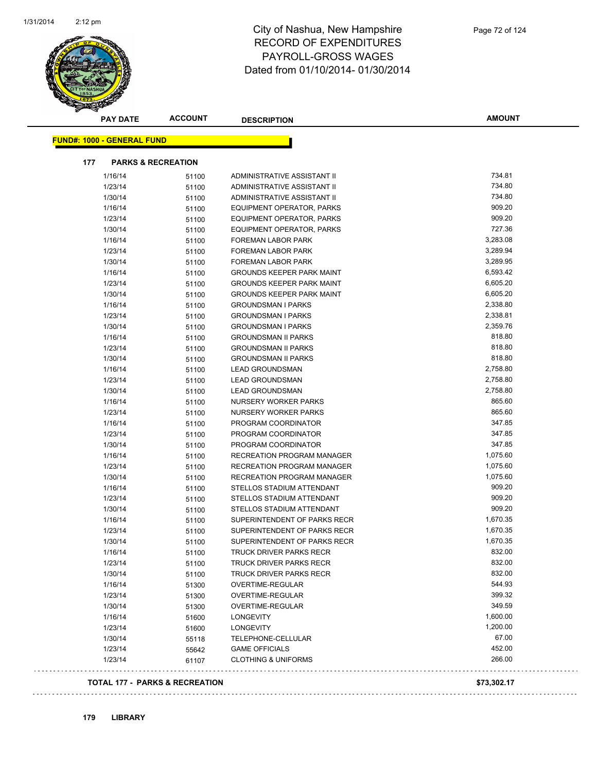

|     | <b>PAY DATE</b>                   | <b>ACCOUNT</b>                | <b>DESCRIPTION</b>                                      | <b>AMOUNT</b>     |
|-----|-----------------------------------|-------------------------------|---------------------------------------------------------|-------------------|
|     | <b>FUND#: 1000 - GENERAL FUND</b> |                               |                                                         |                   |
|     |                                   |                               |                                                         |                   |
| 177 |                                   | <b>PARKS &amp; RECREATION</b> |                                                         |                   |
|     | 1/16/14                           | 51100                         | ADMINISTRATIVE ASSISTANT II                             | 734.81            |
|     | 1/23/14                           | 51100                         | ADMINISTRATIVE ASSISTANT II                             | 734.80            |
|     | 1/30/14                           | 51100                         | ADMINISTRATIVE ASSISTANT II                             | 734.80            |
|     | 1/16/14                           | 51100                         | <b>EQUIPMENT OPERATOR, PARKS</b>                        | 909.20            |
|     | 1/23/14                           | 51100                         | <b>EQUIPMENT OPERATOR, PARKS</b>                        | 909.20            |
|     | 1/30/14                           | 51100                         | <b>EQUIPMENT OPERATOR, PARKS</b>                        | 727.36            |
|     | 1/16/14                           | 51100                         | <b>FOREMAN LABOR PARK</b>                               | 3,283.08          |
|     | 1/23/14                           | 51100                         | FOREMAN LABOR PARK                                      | 3,289.94          |
|     | 1/30/14                           | 51100                         | FOREMAN LABOR PARK                                      | 3,289.95          |
|     | 1/16/14                           | 51100                         | <b>GROUNDS KEEPER PARK MAINT</b>                        | 6,593.42          |
|     | 1/23/14                           | 51100                         | <b>GROUNDS KEEPER PARK MAINT</b>                        | 6,605.20          |
|     | 1/30/14                           | 51100                         | <b>GROUNDS KEEPER PARK MAINT</b>                        | 6,605.20          |
|     | 1/16/14                           | 51100                         | <b>GROUNDSMAN I PARKS</b>                               | 2,338.80          |
|     | 1/23/14                           | 51100                         | <b>GROUNDSMAN I PARKS</b>                               | 2,338.81          |
|     | 1/30/14                           | 51100                         | <b>GROUNDSMAN I PARKS</b>                               | 2,359.76          |
|     | 1/16/14                           | 51100                         | <b>GROUNDSMAN II PARKS</b>                              | 818.80            |
|     | 1/23/14                           | 51100                         | <b>GROUNDSMAN II PARKS</b>                              | 818.80            |
|     | 1/30/14                           | 51100                         | <b>GROUNDSMAN II PARKS</b>                              | 818.80            |
|     | 1/16/14                           | 51100                         | <b>LEAD GROUNDSMAN</b>                                  | 2,758.80          |
|     | 1/23/14                           | 51100                         | <b>LEAD GROUNDSMAN</b>                                  | 2,758.80          |
|     | 1/30/14                           | 51100                         | <b>LEAD GROUNDSMAN</b>                                  | 2,758.80          |
|     | 1/16/14                           | 51100                         | NURSERY WORKER PARKS                                    | 865.60            |
|     | 1/23/14                           | 51100                         | <b>NURSERY WORKER PARKS</b>                             | 865.60            |
|     | 1/16/14                           | 51100                         | PROGRAM COORDINATOR                                     | 347.85            |
|     | 1/23/14                           | 51100                         | PROGRAM COORDINATOR                                     | 347.85            |
|     | 1/30/14                           | 51100                         | PROGRAM COORDINATOR                                     | 347.85            |
|     | 1/16/14                           | 51100                         | RECREATION PROGRAM MANAGER                              | 1,075.60          |
|     | 1/23/14                           | 51100                         | RECREATION PROGRAM MANAGER                              | 1,075.60          |
|     | 1/30/14                           | 51100                         | RECREATION PROGRAM MANAGER                              | 1,075.60          |
|     | 1/16/14                           | 51100                         | STELLOS STADIUM ATTENDANT                               | 909.20            |
|     | 1/23/14                           | 51100                         | STELLOS STADIUM ATTENDANT                               | 909.20            |
|     | 1/30/14                           | 51100                         | STELLOS STADIUM ATTENDANT                               | 909.20            |
|     | 1/16/14                           | 51100                         | SUPERINTENDENT OF PARKS RECR                            | 1,670.35          |
|     | 1/23/14                           | 51100                         | SUPERINTENDENT OF PARKS RECR                            | 1,670.35          |
|     | 1/30/14                           | 51100                         | SUPERINTENDENT OF PARKS RECR                            | 1,670.35          |
|     | 1/16/14                           | 51100                         | TRUCK DRIVER PARKS RECR                                 | 832.00            |
|     | 1/23/14                           | 51100                         | TRUCK DRIVER PARKS RECR                                 | 832.00<br>832.00  |
|     | 1/30/14                           | 51100                         | <b>TRUCK DRIVER PARKS RECR</b>                          | 544.93            |
|     | 1/16/14                           | 51300                         | OVERTIME-REGULAR<br><b>OVERTIME-REGULAR</b>             | 399.32            |
|     | 1/23/14                           | 51300                         |                                                         | 349.59            |
|     | 1/30/14                           | 51300                         | OVERTIME-REGULAR                                        | 1,600.00          |
|     | 1/16/14                           | 51600                         | <b>LONGEVITY</b>                                        |                   |
|     | 1/23/14                           | 51600                         | <b>LONGEVITY</b>                                        | 1,200.00<br>67.00 |
|     | 1/30/14                           | 55118                         | TELEPHONE-CELLULAR                                      | 452.00            |
|     | 1/23/14                           | 55642                         | <b>GAME OFFICIALS</b><br><b>CLOTHING &amp; UNIFORMS</b> | 266.00            |
|     | 1/23/14                           | 61107                         |                                                         |                   |

#### **TOTAL 177 - PARKS & RECREATION \$73,302.17**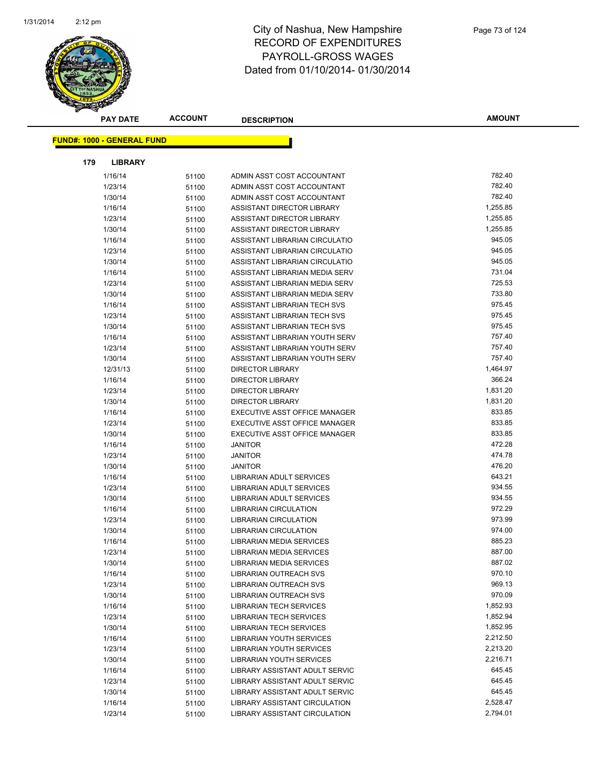

| <b>PAY DATE</b>                   | <b>ACCOUNT</b> | <b>DESCRIPTION</b>                                   | <b>AMOUNT</b>    |
|-----------------------------------|----------------|------------------------------------------------------|------------------|
| <b>FUND#: 1000 - GENERAL FUND</b> |                |                                                      |                  |
|                                   |                |                                                      |                  |
| 179<br><b>LIBRARY</b>             |                |                                                      |                  |
| 1/16/14                           | 51100          | ADMIN ASST COST ACCOUNTANT                           | 782.40           |
| 1/23/14                           | 51100          | ADMIN ASST COST ACCOUNTANT                           | 782.40           |
| 1/30/14                           | 51100          | ADMIN ASST COST ACCOUNTANT                           | 782.40           |
| 1/16/14                           | 51100          | ASSISTANT DIRECTOR LIBRARY                           | 1,255.85         |
| 1/23/14                           | 51100          | ASSISTANT DIRECTOR LIBRARY                           | 1,255.85         |
| 1/30/14                           | 51100          | ASSISTANT DIRECTOR LIBRARY                           | 1,255.85         |
| 1/16/14                           | 51100          | ASSISTANT LIBRARIAN CIRCULATIO                       | 945.05           |
| 1/23/14                           | 51100          | ASSISTANT LIBRARIAN CIRCULATIO                       | 945.05           |
| 1/30/14                           | 51100          | ASSISTANT LIBRARIAN CIRCULATIO                       | 945.05           |
| 1/16/14                           | 51100          | ASSISTANT LIBRARIAN MEDIA SERV                       | 731.04           |
| 1/23/14                           | 51100          | ASSISTANT LIBRARIAN MEDIA SERV                       | 725.53           |
| 1/30/14                           | 51100          | ASSISTANT LIBRARIAN MEDIA SERV                       | 733.80           |
| 1/16/14                           | 51100          | ASSISTANT LIBRARIAN TECH SVS                         | 975.45           |
| 1/23/14                           | 51100          | ASSISTANT LIBRARIAN TECH SVS                         | 975.45           |
| 1/30/14                           | 51100          | ASSISTANT LIBRARIAN TECH SVS                         | 975.45           |
| 1/16/14                           | 51100          | ASSISTANT LIBRARIAN YOUTH SERV                       | 757.40           |
| 1/23/14                           | 51100          | ASSISTANT LIBRARIAN YOUTH SERV                       | 757.40           |
| 1/30/14                           | 51100          | ASSISTANT LIBRARIAN YOUTH SERV                       | 757.40           |
| 12/31/13                          | 51100          | <b>DIRECTOR LIBRARY</b>                              | 1,464.97         |
| 1/16/14                           | 51100          | <b>DIRECTOR LIBRARY</b>                              | 366.24           |
| 1/23/14                           | 51100          | <b>DIRECTOR LIBRARY</b>                              | 1,831.20         |
| 1/30/14                           | 51100          | <b>DIRECTOR LIBRARY</b>                              | 1,831.20         |
| 1/16/14                           | 51100          | EXECUTIVE ASST OFFICE MANAGER                        | 833.85           |
| 1/23/14                           | 51100          | EXECUTIVE ASST OFFICE MANAGER                        | 833.85           |
| 1/30/14                           | 51100          | EXECUTIVE ASST OFFICE MANAGER                        | 833.85           |
| 1/16/14                           | 51100          | <b>JANITOR</b>                                       | 472.28<br>474.78 |
| 1/23/14                           | 51100          | <b>JANITOR</b>                                       | 476.20           |
| 1/30/14                           | 51100          | <b>JANITOR</b>                                       | 643.21           |
| 1/16/14<br>1/23/14                | 51100          | LIBRARIAN ADULT SERVICES<br>LIBRARIAN ADULT SERVICES | 934.55           |
| 1/30/14                           | 51100<br>51100 | <b>LIBRARIAN ADULT SERVICES</b>                      | 934.55           |
| 1/16/14                           |                | LIBRARIAN CIRCULATION                                | 972.29           |
| 1/23/14                           | 51100          | LIBRARIAN CIRCULATION                                | 973.99           |
| 1/30/14                           | 51100<br>51100 | <b>LIBRARIAN CIRCULATION</b>                         | 974.00           |
| 1/16/14                           | 51100          | LIBRARIAN MEDIA SERVICES                             | 885.23           |
| 1/23/14                           |                | <b>LIBRARIAN MEDIA SERVICES</b>                      | 887.00           |
| 1/30/14                           | 51100<br>51100 | LIBRARIAN MEDIA SERVICES                             | 887.02           |
| 1/16/14                           | 51100          | LIBRARIAN OUTREACH SVS                               | 970.10           |
| 1/23/14                           | 51100          | LIBRARIAN OUTREACH SVS                               | 969.13           |
| 1/30/14                           | 51100          | LIBRARIAN OUTREACH SVS                               | 970.09           |
| 1/16/14                           | 51100          | <b>LIBRARIAN TECH SERVICES</b>                       | 1,852.93         |
| 1/23/14                           | 51100          | <b>LIBRARIAN TECH SERVICES</b>                       | 1,852.94         |
| 1/30/14                           | 51100          | <b>LIBRARIAN TECH SERVICES</b>                       | 1,852.95         |
| 1/16/14                           | 51100          | <b>LIBRARIAN YOUTH SERVICES</b>                      | 2,212.50         |
| 1/23/14                           | 51100          | <b>LIBRARIAN YOUTH SERVICES</b>                      | 2,213.20         |
| 1/30/14                           | 51100          | <b>LIBRARIAN YOUTH SERVICES</b>                      | 2,216.71         |
| 1/16/14                           | 51100          | LIBRARY ASSISTANT ADULT SERVIC                       | 645.45           |
| 1/23/14                           | 51100          | LIBRARY ASSISTANT ADULT SERVIC                       | 645.45           |
| 1/30/14                           | 51100          | LIBRARY ASSISTANT ADULT SERVIC                       | 645.45           |
| 1/16/14                           | 51100          | LIBRARY ASSISTANT CIRCULATION                        | 2,528.47         |
| 1/23/14                           | 51100          | LIBRARY ASSISTANT CIRCULATION                        | 2,794.01         |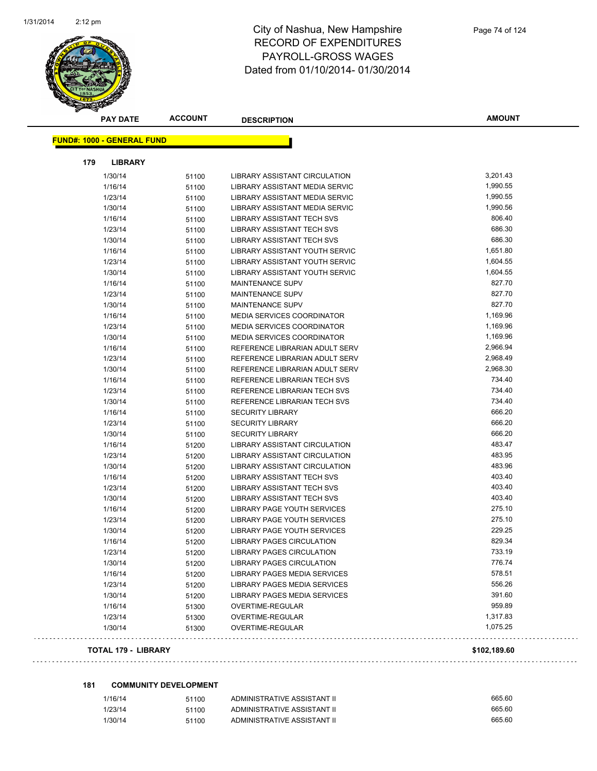

| <b>PAY DATE</b>                   | <b>ACCOUNT</b> | <b>DESCRIPTION</b>                   | <b>AMOUNT</b> |
|-----------------------------------|----------------|--------------------------------------|---------------|
| <b>FUND#: 1000 - GENERAL FUND</b> |                |                                      |               |
|                                   |                |                                      |               |
| 179<br><b>LIBRARY</b>             |                |                                      |               |
| 1/30/14                           | 51100          | <b>LIBRARY ASSISTANT CIRCULATION</b> | 3,201.43      |
| 1/16/14                           | 51100          | LIBRARY ASSISTANT MEDIA SERVIC       | 1,990.55      |
| 1/23/14                           | 51100          | LIBRARY ASSISTANT MEDIA SERVIC       | 1,990.55      |
| 1/30/14                           | 51100          | LIBRARY ASSISTANT MEDIA SERVIC       | 1,990.56      |
| 1/16/14                           | 51100          | LIBRARY ASSISTANT TECH SVS           | 806.40        |
| 1/23/14                           | 51100          | LIBRARY ASSISTANT TECH SVS           | 686.30        |
| 1/30/14                           | 51100          | <b>LIBRARY ASSISTANT TECH SVS</b>    | 686.30        |
| 1/16/14                           | 51100          | LIBRARY ASSISTANT YOUTH SERVIC       | 1,651.80      |
| 1/23/14                           | 51100          | LIBRARY ASSISTANT YOUTH SERVIC       | 1,604.55      |
| 1/30/14                           | 51100          | LIBRARY ASSISTANT YOUTH SERVIC       | 1,604.55      |
| 1/16/14                           | 51100          | <b>MAINTENANCE SUPV</b>              | 827.70        |
| 1/23/14                           | 51100          | <b>MAINTENANCE SUPV</b>              | 827.70        |
| 1/30/14                           | 51100          | <b>MAINTENANCE SUPV</b>              | 827.70        |
| 1/16/14                           | 51100          | <b>MEDIA SERVICES COORDINATOR</b>    | 1,169.96      |
| 1/23/14                           | 51100          | <b>MEDIA SERVICES COORDINATOR</b>    | 1,169.96      |
| 1/30/14                           | 51100          | <b>MEDIA SERVICES COORDINATOR</b>    | 1,169.96      |
| 1/16/14                           | 51100          | REFERENCE LIBRARIAN ADULT SERV       | 2,966.94      |
| 1/23/14                           | 51100          | REFERENCE LIBRARIAN ADULT SERV       | 2,968.49      |
| 1/30/14                           | 51100          | REFERENCE LIBRARIAN ADULT SERV       | 2,968.30      |
| 1/16/14                           | 51100          | REFERENCE LIBRARIAN TECH SVS         | 734.40        |
| 1/23/14                           | 51100          | REFERENCE LIBRARIAN TECH SVS         | 734.40        |
| 1/30/14                           | 51100          | REFERENCE LIBRARIAN TECH SVS         | 734.40        |
| 1/16/14                           | 51100          | <b>SECURITY LIBRARY</b>              | 666.20        |
| 1/23/14                           | 51100          | <b>SECURITY LIBRARY</b>              | 666.20        |
| 1/30/14                           | 51100          | <b>SECURITY LIBRARY</b>              | 666.20        |
| 1/16/14                           | 51200          | LIBRARY ASSISTANT CIRCULATION        | 483.47        |
| 1/23/14                           | 51200          | LIBRARY ASSISTANT CIRCULATION        | 483.95        |
| 1/30/14                           | 51200          | LIBRARY ASSISTANT CIRCULATION        | 483.96        |
| 1/16/14                           | 51200          | LIBRARY ASSISTANT TECH SVS           | 403.40        |
| 1/23/14                           | 51200          | LIBRARY ASSISTANT TECH SVS           | 403.40        |
| 1/30/14                           | 51200          | <b>LIBRARY ASSISTANT TECH SVS</b>    | 403.40        |
| 1/16/14                           | 51200          | LIBRARY PAGE YOUTH SERVICES          | 275.10        |
| 1/23/14                           | 51200          | LIBRARY PAGE YOUTH SERVICES          | 275.10        |
| 1/30/14                           | 51200          | LIBRARY PAGE YOUTH SERVICES          | 229.25        |
| 1/16/14                           | 51200          | LIBRARY PAGES CIRCULATION            | 829.34        |
| 1/23/14                           | 51200          | LIBRARY PAGES CIRCULATION            | 733.19        |
| 1/30/14                           | 51200          | <b>LIBRARY PAGES CIRCULATION</b>     | 776.74        |
| 1/16/14                           | 51200          | LIBRARY PAGES MEDIA SERVICES         | 578.51        |
| 1/23/14                           | 51200          | LIBRARY PAGES MEDIA SERVICES         | 556.26        |
| 1/30/14                           | 51200          | LIBRARY PAGES MEDIA SERVICES         | 391.60        |
| 1/16/14                           | 51300          | OVERTIME-REGULAR                     | 959.89        |
| 1/23/14                           | 51300          | OVERTIME-REGULAR                     | 1,317.83      |
| 1/30/14                           | 51300          | OVERTIME-REGULAR                     | 1,075.25      |

#### **TOTAL 179 - LIBRARY \$102,189.60**

#### **181 COMMUNITY DEVELOPMENT**

| 1/16/14 | 51100 | ADMINISTRATIVE ASSISTANT II | 665.60 |
|---------|-------|-----------------------------|--------|
| 1/23/14 | 51100 | ADMINISTRATIVE ASSISTANT II | 665.60 |
| 1/30/14 | 51100 | ADMINISTRATIVE ASSISTANT II | 665.60 |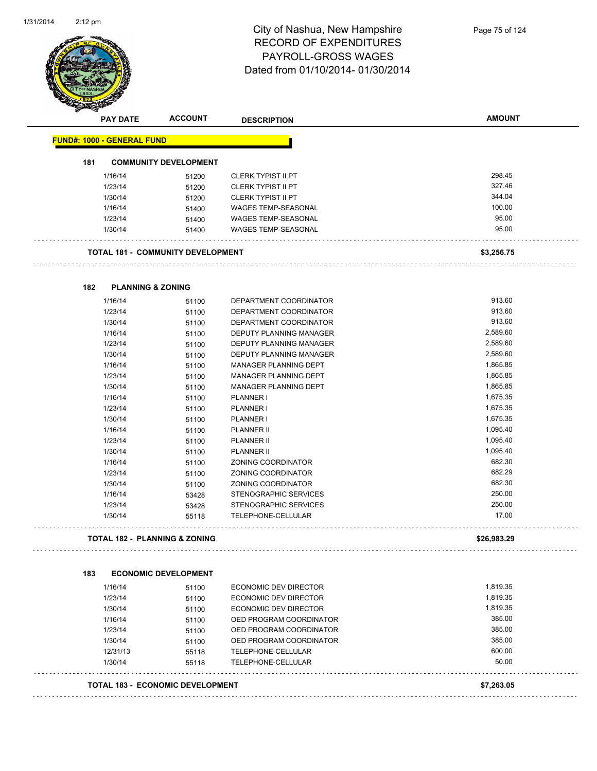

| <b>PAY DATE</b>                          | <b>ACCOUNT</b>               | <b>DESCRIPTION</b>             | <b>AMOUNT</b> |
|------------------------------------------|------------------------------|--------------------------------|---------------|
| <b>FUND#: 1000 - GENERAL FUND</b>        |                              |                                |               |
| 181                                      | <b>COMMUNITY DEVELOPMENT</b> |                                |               |
| 1/16/14                                  | 51200                        | <b>CLERK TYPIST II PT</b>      | 298.45        |
| 1/23/14                                  | 51200                        | <b>CLERK TYPIST II PT</b>      | 327.46        |
| 1/30/14                                  | 51200                        | <b>CLERK TYPIST II PT</b>      | 344.04        |
| 1/16/14                                  | 51400                        | <b>WAGES TEMP-SEASONAL</b>     | 100.00        |
| 1/23/14                                  | 51400                        | <b>WAGES TEMP-SEASONAL</b>     | 95.00         |
| 1/30/14                                  | 51400                        | WAGES TEMP-SEASONAL            | 95.00         |
| <b>TOTAL 181 - COMMUNITY DEVELOPMENT</b> |                              |                                | \$3,256.75    |
| 182<br><b>PLANNING &amp; ZONING</b>      |                              |                                |               |
| 1/16/14                                  | 51100                        | DEPARTMENT COORDINATOR         | 913.60        |
| 1/23/14                                  | 51100                        | DEPARTMENT COORDINATOR         | 913.60        |
| 1/30/14                                  | 51100                        | DEPARTMENT COORDINATOR         | 913.60        |
| 1/16/14                                  | 51100                        | <b>DEPUTY PLANNING MANAGER</b> | 2,589.60      |
| 1/23/14                                  | 51100                        | DEPUTY PLANNING MANAGER        | 2,589.60      |
| 1/30/14                                  | 51100                        | <b>DEPUTY PLANNING MANAGER</b> | 2,589.60      |
| 1/16/14                                  | 51100                        | MANAGER PLANNING DEPT          | 1,865.85      |
| 1/23/14                                  | 51100                        | MANAGER PLANNING DEPT          | 1,865.85      |
| 1/30/14                                  | 51100                        | MANAGER PLANNING DEPT          | 1,865.85      |
| 1/16/14                                  | 51100                        | <b>PLANNER I</b>               | 1,675.35      |
| 1/23/14                                  | 51100                        | <b>PLANNER I</b>               | 1,675.35      |
| 1/30/14                                  | 51100                        | <b>PLANNER I</b>               | 1,675.35      |
| 1/16/14                                  | 51100                        | <b>PLANNER II</b>              | 1,095.40      |
| 1/23/14                                  | 51100                        | <b>PLANNER II</b>              | 1,095.40      |
| 1/30/14                                  | 51100                        | <b>PLANNER II</b>              | 1,095.40      |
| 1/16/14                                  | 51100                        | ZONING COORDINATOR             | 682.30        |
| 1/23/14                                  | 51100                        | ZONING COORDINATOR             | 682.29        |
| 1/30/14                                  | 51100                        | ZONING COORDINATOR             | 682.30        |
| 1/16/14                                  | 53428                        | STENOGRAPHIC SERVICES          | 250.00        |
| 1/23/14                                  | 53428                        | STENOGRAPHIC SERVICES          | 250.00        |
| 1/30/14                                  | 55118                        | TELEPHONE-CELLULAR             | 17.00         |
| <b>TOTAL 182 - PLANNING &amp; ZONING</b> |                              |                                | \$26,983.29   |
| 183                                      | <b>ECONOMIC DEVELOPMENT</b>  |                                |               |
| 1/16/14                                  | 51100                        | <b>ECONOMIC DEV DIRECTOR</b>   | 1,819.35      |
| 1/23/14                                  | 51100                        | <b>ECONOMIC DEV DIRECTOR</b>   | 1,819.35      |
| 1/30/14                                  | 51100                        | <b>ECONOMIC DEV DIRECTOR</b>   | 1,819.35      |
| 1/16/14                                  | 51100                        | OED PROGRAM COORDINATOR        | 385.00        |
| 1/23/14                                  | 51100                        | OED PROGRAM COORDINATOR        | 385.00        |
| 1/30/14                                  | 51100                        | OED PROGRAM COORDINATOR        | 385.00        |
| 12/31/13                                 | 55118                        | TELEPHONE-CELLULAR             | 600.00        |
| 1/30/14                                  | 55118                        | TELEPHONE-CELLULAR             | 50.00         |
| <b>TOTAL 183 - ECONOMIC DEVELOPMENT</b>  |                              |                                | \$7,263.05    |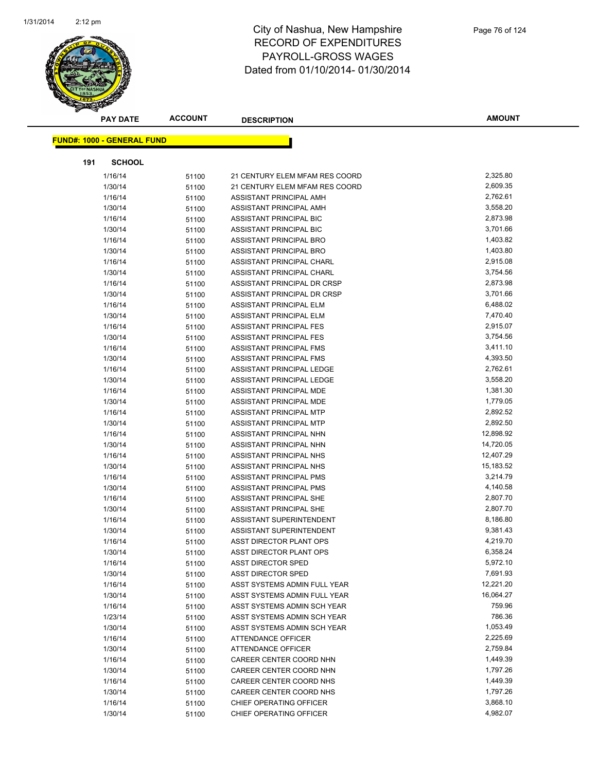

|     | <b>PAY DATE</b>                    | <b>ACCOUNT</b> | <b>DESCRIPTION</b>             | <b>AMOUNT</b> |
|-----|------------------------------------|----------------|--------------------------------|---------------|
|     | <u> FUND#: 1000 - GENERAL FUND</u> |                |                                |               |
|     |                                    |                |                                |               |
| 191 | <b>SCHOOL</b>                      |                |                                |               |
|     | 1/16/14                            | 51100          | 21 CENTURY ELEM MFAM RES COORD | 2,325.80      |
|     | 1/30/14                            | 51100          | 21 CENTURY ELEM MFAM RES COORD | 2,609.35      |
|     | 1/16/14                            | 51100          | ASSISTANT PRINCIPAL AMH        | 2,762.61      |
|     | 1/30/14                            | 51100          | ASSISTANT PRINCIPAL AMH        | 3,558.20      |
|     | 1/16/14                            | 51100          | ASSISTANT PRINCIPAL BIC        | 2,873.98      |
|     | 1/30/14                            | 51100          | ASSISTANT PRINCIPAL BIC        | 3,701.66      |
|     | 1/16/14                            | 51100          | ASSISTANT PRINCIPAL BRO        | 1,403.82      |
|     | 1/30/14                            | 51100          | ASSISTANT PRINCIPAL BRO        | 1,403.80      |
|     | 1/16/14                            | 51100          | ASSISTANT PRINCIPAL CHARL      | 2,915.08      |
|     | 1/30/14                            | 51100          | ASSISTANT PRINCIPAL CHARL      | 3,754.56      |
|     | 1/16/14                            | 51100          | ASSISTANT PRINCIPAL DR CRSP    | 2,873.98      |
|     | 1/30/14                            | 51100          | ASSISTANT PRINCIPAL DR CRSP    | 3,701.66      |
|     | 1/16/14                            | 51100          | ASSISTANT PRINCIPAL ELM        | 6,488.02      |
|     | 1/30/14                            | 51100          | <b>ASSISTANT PRINCIPAL ELM</b> | 7,470.40      |
|     | 1/16/14                            | 51100          | <b>ASSISTANT PRINCIPAL FES</b> | 2,915.07      |
|     | 1/30/14                            | 51100          | ASSISTANT PRINCIPAL FES        | 3,754.56      |
|     | 1/16/14                            | 51100          | ASSISTANT PRINCIPAL FMS        | 3,411.10      |
|     | 1/30/14                            | 51100          | ASSISTANT PRINCIPAL FMS        | 4,393.50      |
|     | 1/16/14                            | 51100          | ASSISTANT PRINCIPAL LEDGE      | 2,762.61      |
|     | 1/30/14                            | 51100          | ASSISTANT PRINCIPAL LEDGE      | 3,558.20      |
|     | 1/16/14                            | 51100          | ASSISTANT PRINCIPAL MDE        | 1,381.30      |
|     | 1/30/14                            | 51100          | ASSISTANT PRINCIPAL MDE        | 1,779.05      |
|     | 1/16/14                            | 51100          | ASSISTANT PRINCIPAL MTP        | 2,892.52      |
|     | 1/30/14                            | 51100          | ASSISTANT PRINCIPAL MTP        | 2,892.50      |
|     | 1/16/14                            | 51100          | ASSISTANT PRINCIPAL NHN        | 12,898.92     |
|     | 1/30/14                            | 51100          | ASSISTANT PRINCIPAL NHN        | 14,720.05     |
|     | 1/16/14                            | 51100          | ASSISTANT PRINCIPAL NHS        | 12,407.29     |
|     | 1/30/14                            | 51100          | ASSISTANT PRINCIPAL NHS        | 15,183.52     |
|     | 1/16/14                            | 51100          | ASSISTANT PRINCIPAL PMS        | 3,214.79      |
|     | 1/30/14                            | 51100          | ASSISTANT PRINCIPAL PMS        | 4,140.58      |
|     | 1/16/14                            | 51100          | ASSISTANT PRINCIPAL SHE        | 2,807.70      |
|     | 1/30/14                            | 51100          | ASSISTANT PRINCIPAL SHE        | 2,807.70      |
|     | 1/16/14                            | 51100          | ASSISTANT SUPERINTENDENT       | 8,186.80      |
|     | 1/30/14                            | 51100          | ASSISTANT SUPERINTENDENT       | 9,381.43      |
|     | 1/16/14                            | 51100          | ASST DIRECTOR PLANT OPS        | 4,219.70      |
|     | 1/30/14                            | 51100          | ASST DIRECTOR PLANT OPS        | 6,358.24      |
|     | 1/16/14                            | 51100          | <b>ASST DIRECTOR SPED</b>      | 5,972.10      |
|     | 1/30/14                            | 51100          | <b>ASST DIRECTOR SPED</b>      | 7,691.93      |
|     | 1/16/14                            | 51100          | ASST SYSTEMS ADMIN FULL YEAR   | 12,221.20     |
|     | 1/30/14                            | 51100          | ASST SYSTEMS ADMIN FULL YEAR   | 16,064.27     |
|     | 1/16/14                            | 51100          | ASST SYSTEMS ADMIN SCH YEAR    | 759.96        |
|     | 1/23/14                            | 51100          | ASST SYSTEMS ADMIN SCH YEAR    | 786.36        |
|     | 1/30/14                            | 51100          | ASST SYSTEMS ADMIN SCH YEAR    | 1,053.49      |
|     | 1/16/14                            | 51100          | <b>ATTENDANCE OFFICER</b>      | 2,225.69      |
|     | 1/30/14                            | 51100          | ATTENDANCE OFFICER             | 2,759.84      |
|     | 1/16/14                            | 51100          | CAREER CENTER COORD NHN        | 1,449.39      |
|     | 1/30/14                            | 51100          | CAREER CENTER COORD NHN        | 1,797.26      |
|     | 1/16/14                            | 51100          | CAREER CENTER COORD NHS        | 1,449.39      |
|     | 1/30/14                            | 51100          | CAREER CENTER COORD NHS        | 1,797.26      |
|     | 1/16/14                            | 51100          | CHIEF OPERATING OFFICER        | 3,868.10      |
|     | 1/30/14                            | 51100          | CHIEF OPERATING OFFICER        | 4,982.07      |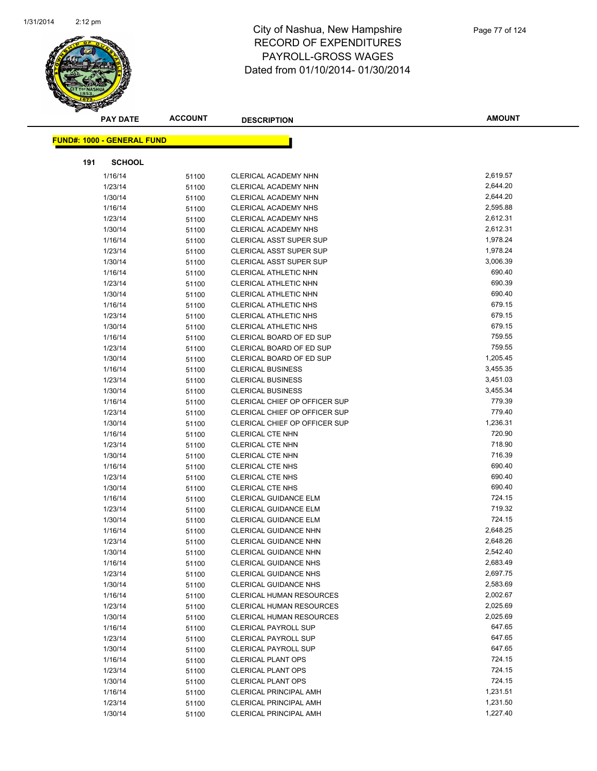

|     | <b>PAY DATE</b>                   | <b>ACCOUNT</b> | <b>DESCRIPTION</b>              | <b>AMOUNT</b> |
|-----|-----------------------------------|----------------|---------------------------------|---------------|
|     | <b>FUND#: 1000 - GENERAL FUND</b> |                |                                 |               |
|     |                                   |                |                                 |               |
| 191 | <b>SCHOOL</b>                     |                |                                 | 2,619.57      |
|     | 1/16/14                           | 51100          | CLERICAL ACADEMY NHN            |               |
|     | 1/23/14                           | 51100          | CLERICAL ACADEMY NHN            | 2,644.20      |
|     | 1/30/14                           | 51100          | CLERICAL ACADEMY NHN            | 2,644.20      |
|     | 1/16/14                           | 51100          | <b>CLERICAL ACADEMY NHS</b>     | 2,595.88      |
|     | 1/23/14                           | 51100          | CLERICAL ACADEMY NHS            | 2,612.31      |
|     | 1/30/14                           | 51100          | CLERICAL ACADEMY NHS            | 2,612.31      |
|     | 1/16/14                           | 51100          | <b>CLERICAL ASST SUPER SUP</b>  | 1,978.24      |
|     | 1/23/14                           | 51100          | CLERICAL ASST SUPER SUP         | 1,978.24      |
|     | 1/30/14                           | 51100          | CLERICAL ASST SUPER SUP         | 3,006.39      |
|     | 1/16/14                           | 51100          | CLERICAL ATHLETIC NHN           | 690.40        |
|     | 1/23/14                           | 51100          | CLERICAL ATHLETIC NHN           | 690.39        |
|     | 1/30/14                           | 51100          | CLERICAL ATHLETIC NHN           | 690.40        |
|     | 1/16/14                           | 51100          | CLERICAL ATHLETIC NHS           | 679.15        |
|     | 1/23/14                           | 51100          | <b>CLERICAL ATHLETIC NHS</b>    | 679.15        |
|     | 1/30/14                           | 51100          | CLERICAL ATHLETIC NHS           | 679.15        |
|     | 1/16/14                           | 51100          | CLERICAL BOARD OF ED SUP        | 759.55        |
|     | 1/23/14                           | 51100          | CLERICAL BOARD OF ED SUP        | 759.55        |
|     | 1/30/14                           | 51100          | CLERICAL BOARD OF ED SUP        | 1,205.45      |
|     | 1/16/14                           | 51100          | <b>CLERICAL BUSINESS</b>        | 3,455.35      |
|     | 1/23/14                           | 51100          | <b>CLERICAL BUSINESS</b>        | 3,451.03      |
|     | 1/30/14                           | 51100          | <b>CLERICAL BUSINESS</b>        | 3,455.34      |
|     | 1/16/14                           | 51100          | CLERICAL CHIEF OP OFFICER SUP   | 779.39        |
|     | 1/23/14                           | 51100          | CLERICAL CHIEF OP OFFICER SUP   | 779.40        |
|     | 1/30/14                           | 51100          | CLERICAL CHIEF OP OFFICER SUP   | 1,236.31      |
|     | 1/16/14                           | 51100          | <b>CLERICAL CTE NHN</b>         | 720.90        |
|     | 1/23/14                           | 51100          | <b>CLERICAL CTE NHN</b>         | 718.90        |
|     | 1/30/14                           | 51100          | <b>CLERICAL CTE NHN</b>         | 716.39        |
|     | 1/16/14                           | 51100          | <b>CLERICAL CTE NHS</b>         | 690.40        |
|     | 1/23/14                           | 51100          | <b>CLERICAL CTE NHS</b>         | 690.40        |
|     | 1/30/14                           | 51100          | <b>CLERICAL CTE NHS</b>         | 690.40        |
|     | 1/16/14                           | 51100          | <b>CLERICAL GUIDANCE ELM</b>    | 724.15        |
|     | 1/23/14                           | 51100          | CLERICAL GUIDANCE ELM           | 719.32        |
|     | 1/30/14                           | 51100          | <b>CLERICAL GUIDANCE ELM</b>    | 724.15        |
|     | 1/16/14                           | 51100          | <b>CLERICAL GUIDANCE NHN</b>    | 2,648.25      |
|     | 1/23/14                           | 51100          | <b>CLERICAL GUIDANCE NHN</b>    | 2,648.26      |
|     | 1/30/14                           | 51100          | CLERICAL GUIDANCE NHN           | 2,542.40      |
|     | 1/16/14                           | 51100          | <b>CLERICAL GUIDANCE NHS</b>    | 2,683.49      |
|     | 1/23/14                           | 51100          | <b>CLERICAL GUIDANCE NHS</b>    | 2,697.75      |
|     | 1/30/14                           | 51100          | <b>CLERICAL GUIDANCE NHS</b>    | 2,583.69      |
|     | 1/16/14                           | 51100          | <b>CLERICAL HUMAN RESOURCES</b> | 2,002.67      |
|     | 1/23/14                           | 51100          | CLERICAL HUMAN RESOURCES        | 2,025.69      |
|     | 1/30/14                           | 51100          | <b>CLERICAL HUMAN RESOURCES</b> | 2,025.69      |
|     | 1/16/14                           | 51100          | <b>CLERICAL PAYROLL SUP</b>     | 647.65        |
|     | 1/23/14                           | 51100          | <b>CLERICAL PAYROLL SUP</b>     | 647.65        |
|     | 1/30/14                           | 51100          | <b>CLERICAL PAYROLL SUP</b>     | 647.65        |
|     | 1/16/14                           | 51100          | <b>CLERICAL PLANT OPS</b>       | 724.15        |
|     | 1/23/14                           | 51100          | <b>CLERICAL PLANT OPS</b>       | 724.15        |
|     | 1/30/14                           | 51100          | <b>CLERICAL PLANT OPS</b>       | 724.15        |
|     | 1/16/14                           | 51100          | <b>CLERICAL PRINCIPAL AMH</b>   | 1,231.51      |
|     | 1/23/14                           | 51100          | <b>CLERICAL PRINCIPAL AMH</b>   | 1,231.50      |
|     | 1/30/14                           | 51100          | CLERICAL PRINCIPAL AMH          | 1,227.40      |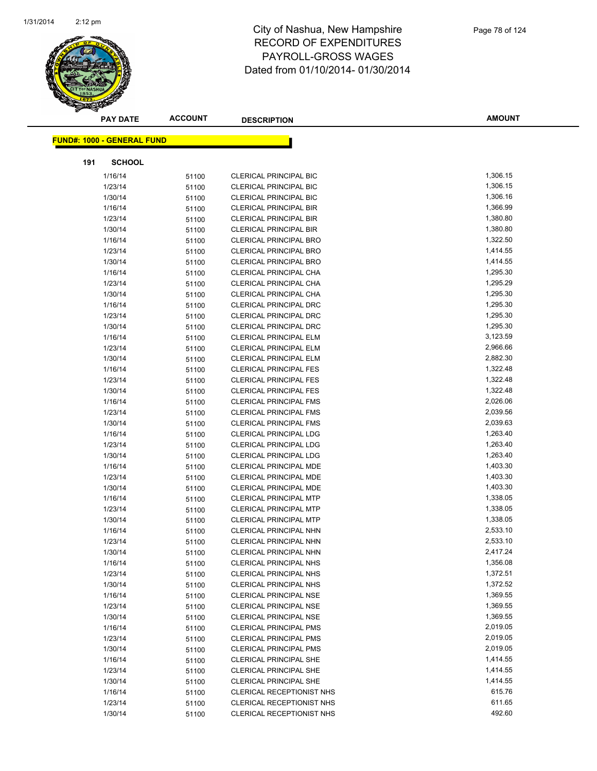

|     | <b>PAY DATE</b>                   | <b>ACCOUNT</b> | <b>DESCRIPTION</b>            | <b>AMOUNT</b> |
|-----|-----------------------------------|----------------|-------------------------------|---------------|
|     | <b>FUND#: 1000 - GENERAL FUND</b> |                |                               |               |
| 191 | <b>SCHOOL</b>                     |                |                               |               |
|     | 1/16/14                           | 51100          | <b>CLERICAL PRINCIPAL BIC</b> | 1,306.15      |
|     | 1/23/14                           | 51100          | <b>CLERICAL PRINCIPAL BIC</b> | 1,306.15      |
|     | 1/30/14                           | 51100          | <b>CLERICAL PRINCIPAL BIC</b> | 1,306.16      |
|     | 1/16/14                           | 51100          | <b>CLERICAL PRINCIPAL BIR</b> | 1,366.99      |
|     | 1/23/14                           | 51100          | <b>CLERICAL PRINCIPAL BIR</b> | 1,380.80      |
|     | 1/30/14                           | 51100          | <b>CLERICAL PRINCIPAL BIR</b> | 1,380.80      |
|     | 1/16/14                           | 51100          | <b>CLERICAL PRINCIPAL BRO</b> | 1,322.50      |
|     | 1/23/14                           | 51100          | <b>CLERICAL PRINCIPAL BRO</b> | 1,414.55      |
|     | 1/30/14                           | 51100          | <b>CLERICAL PRINCIPAL BRO</b> | 1,414.55      |
|     | 1/16/14                           | 51100          | CLERICAL PRINCIPAL CHA        | 1,295.30      |
|     | 1/23/14                           | 51100          | CLERICAL PRINCIPAL CHA        | 1,295.29      |
|     | 1/30/14                           | 51100          | CLERICAL PRINCIPAL CHA        | 1,295.30      |
|     | 1/16/14                           | 51100          | <b>CLERICAL PRINCIPAL DRC</b> | 1,295.30      |
|     | 1/23/14                           | 51100          | <b>CLERICAL PRINCIPAL DRC</b> | 1,295.30      |
|     | 1/30/14                           | 51100          | <b>CLERICAL PRINCIPAL DRC</b> | 1,295.30      |
|     | 1/16/14                           | 51100          | <b>CLERICAL PRINCIPAL ELM</b> | 3,123.59      |
|     | 1/23/14                           | 51100          | <b>CLERICAL PRINCIPAL ELM</b> | 2,966.66      |
|     | 1/30/14                           | 51100          | <b>CLERICAL PRINCIPAL ELM</b> | 2,882.30      |
|     | 1/16/14                           | 51100          | <b>CLERICAL PRINCIPAL FES</b> | 1,322.48      |
|     | 1/23/14                           | 51100          | <b>CLERICAL PRINCIPAL FES</b> | 1,322.48      |
|     | 1/30/14                           | 51100          | <b>CLERICAL PRINCIPAL FES</b> | 1,322.48      |
|     | 1/16/14                           | 51100          | <b>CLERICAL PRINCIPAL FMS</b> | 2,026.06      |
|     | 1/23/14                           | 51100          | <b>CLERICAL PRINCIPAL FMS</b> | 2,039.56      |
|     | 1/30/14                           | 51100          | <b>CLERICAL PRINCIPAL FMS</b> | 2,039.63      |
|     | 1/16/14                           | 51100          | <b>CLERICAL PRINCIPAL LDG</b> | 1,263.40      |
|     | 1/23/14                           | 51100          | <b>CLERICAL PRINCIPAL LDG</b> | 1,263.40      |
|     | 1/30/14                           | 51100          | <b>CLERICAL PRINCIPAL LDG</b> | 1,263.40      |
|     | 1/16/14                           | 51100          | CLERICAL PRINCIPAL MDE        | 1,403.30      |
|     | 1/23/14                           | 51100          | CLERICAL PRINCIPAL MDE        | 1,403.30      |
|     | 1/30/14                           | 51100          | CLERICAL PRINCIPAL MDE        | 1,403.30      |
|     | 1/16/14                           | 51100          | <b>CLERICAL PRINCIPAL MTP</b> | 1,338.05      |
|     | 1/23/14                           | 51100          | <b>CLERICAL PRINCIPAL MTP</b> | 1,338.05      |
|     | 1/30/14                           | 51100          | <b>CLERICAL PRINCIPAL MTP</b> | 1,338.05      |
|     | 1/16/14                           | 51100          | CLERICAL PRINCIPAL NHN        | 2,533.10      |
|     | 1/23/14                           | 51100          | <b>CLERICAL PRINCIPAL NHN</b> | 2,533.10      |
|     | 1/30/14                           | 51100          | CLERICAL PRINCIPAL NHN        | 2,417.24      |
|     | 1/16/14                           | 51100          | <b>CLERICAL PRINCIPAL NHS</b> | 1,356.08      |
|     | 1/23/14                           | 51100          | CLERICAL PRINCIPAL NHS        | 1,372.51      |
|     | 1/30/14                           | 51100          | <b>CLERICAL PRINCIPAL NHS</b> | 1,372.52      |
|     | 1/16/14                           | 51100          | <b>CLERICAL PRINCIPAL NSE</b> | 1,369.55      |
|     | 1/23/14                           | 51100          | <b>CLERICAL PRINCIPAL NSE</b> | 1,369.55      |
|     | 1/30/14                           | 51100          | <b>CLERICAL PRINCIPAL NSE</b> | 1,369.55      |
|     | 1/16/14                           | 51100          | <b>CLERICAL PRINCIPAL PMS</b> | 2,019.05      |
|     | 1/23/14                           | 51100          | <b>CLERICAL PRINCIPAL PMS</b> | 2,019.05      |
|     | 1/30/14                           | 51100          | <b>CLERICAL PRINCIPAL PMS</b> | 2,019.05      |
|     | 1/16/14                           | 51100          | <b>CLERICAL PRINCIPAL SHE</b> | 1,414.55      |
|     | 1/23/14                           | 51100          | CLERICAL PRINCIPAL SHE        | 1,414.55      |
|     | 1/30/14                           | 51100          | <b>CLERICAL PRINCIPAL SHE</b> | 1,414.55      |
|     | 1/16/14                           | 51100          | CLERICAL RECEPTIONIST NHS     | 615.76        |
|     | 1/23/14                           | 51100          | CLERICAL RECEPTIONIST NHS     | 611.65        |
|     | 1/30/14                           | 51100          | CLERICAL RECEPTIONIST NHS     | 492.60        |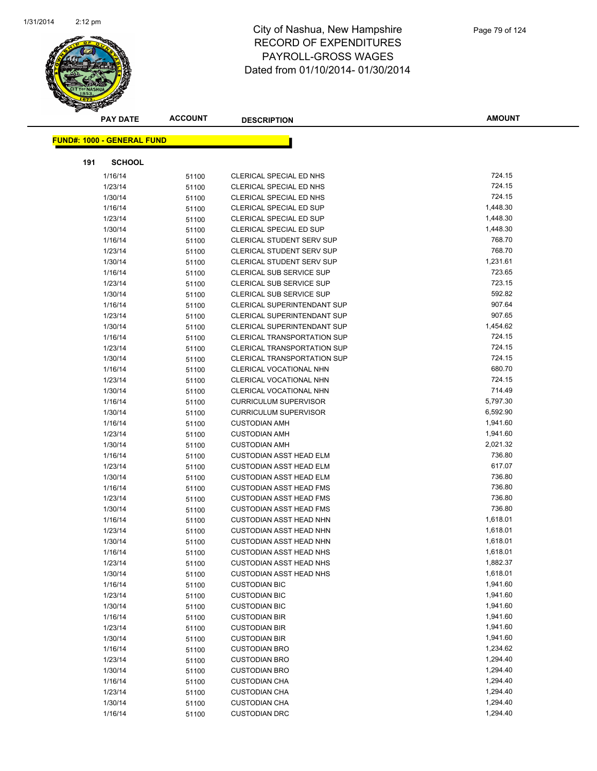

|     | <b>PAY DATE</b>                   | <b>ACCOUNT</b> | <b>DESCRIPTION</b>                           | <b>AMOUNT</b>    |
|-----|-----------------------------------|----------------|----------------------------------------------|------------------|
|     | <b>FUND#: 1000 - GENERAL FUND</b> |                |                                              |                  |
|     |                                   |                |                                              |                  |
| 191 | <b>SCHOOL</b>                     |                |                                              |                  |
|     | 1/16/14                           | 51100          | CLERICAL SPECIAL ED NHS                      | 724.15           |
|     | 1/23/14                           | 51100          | CLERICAL SPECIAL ED NHS                      | 724.15           |
|     | 1/30/14                           | 51100          | CLERICAL SPECIAL ED NHS                      | 724.15           |
|     | 1/16/14                           | 51100          | CLERICAL SPECIAL ED SUP                      | 1,448.30         |
|     | 1/23/14                           | 51100          | <b>CLERICAL SPECIAL ED SUP</b>               | 1,448.30         |
|     | 1/30/14                           | 51100          | <b>CLERICAL SPECIAL ED SUP</b>               | 1,448.30         |
|     | 1/16/14                           | 51100          | <b>CLERICAL STUDENT SERV SUP</b>             | 768.70           |
|     | 1/23/14                           | 51100          | CLERICAL STUDENT SERV SUP                    | 768.70           |
|     | 1/30/14                           | 51100          | CLERICAL STUDENT SERV SUP                    | 1,231.61         |
|     | 1/16/14                           | 51100          | CLERICAL SUB SERVICE SUP                     | 723.65           |
|     | 1/23/14                           | 51100          | <b>CLERICAL SUB SERVICE SUP</b>              | 723.15           |
|     | 1/30/14                           | 51100          | <b>CLERICAL SUB SERVICE SUP</b>              | 592.82           |
|     | 1/16/14                           | 51100          | <b>CLERICAL SUPERINTENDANT SUP</b>           | 907.64           |
|     | 1/23/14                           | 51100          | <b>CLERICAL SUPERINTENDANT SUP</b>           | 907.65           |
|     | 1/30/14                           | 51100          | <b>CLERICAL SUPERINTENDANT SUP</b>           | 1,454.62         |
|     | 1/16/14                           | 51100          | CLERICAL TRANSPORTATION SUP                  | 724.15           |
|     | 1/23/14                           | 51100          | <b>CLERICAL TRANSPORTATION SUP</b>           | 724.15           |
|     | 1/30/14                           | 51100          | <b>CLERICAL TRANSPORTATION SUP</b>           | 724.15<br>680.70 |
|     | 1/16/14                           | 51100          | CLERICAL VOCATIONAL NHN                      | 724.15           |
|     | 1/23/14                           | 51100          | <b>CLERICAL VOCATIONAL NHN</b>               | 714.49           |
|     | 1/30/14                           | 51100          | CLERICAL VOCATIONAL NHN                      | 5,797.30         |
|     | 1/16/14                           | 51100          | <b>CURRICULUM SUPERVISOR</b>                 | 6,592.90         |
|     | 1/30/14                           | 51100          | <b>CURRICULUM SUPERVISOR</b>                 | 1,941.60         |
|     | 1/16/14                           | 51100          | <b>CUSTODIAN AMH</b>                         | 1,941.60         |
|     | 1/23/14<br>1/30/14                | 51100          | <b>CUSTODIAN AMH</b><br><b>CUSTODIAN AMH</b> | 2,021.32         |
|     | 1/16/14                           | 51100          | <b>CUSTODIAN ASST HEAD ELM</b>               | 736.80           |
|     | 1/23/14                           | 51100          | <b>CUSTODIAN ASST HEAD ELM</b>               | 617.07           |
|     | 1/30/14                           | 51100<br>51100 | <b>CUSTODIAN ASST HEAD ELM</b>               | 736.80           |
|     | 1/16/14                           | 51100          | <b>CUSTODIAN ASST HEAD FMS</b>               | 736.80           |
|     | 1/23/14                           | 51100          | <b>CUSTODIAN ASST HEAD FMS</b>               | 736.80           |
|     | 1/30/14                           | 51100          | <b>CUSTODIAN ASST HEAD FMS</b>               | 736.80           |
|     | 1/16/14                           | 51100          | <b>CUSTODIAN ASST HEAD NHN</b>               | 1,618.01         |
|     | 1/23/14                           | 51100          | <b>CUSTODIAN ASST HEAD NHN</b>               | 1,618.01         |
|     | 1/30/14                           | 51100          | <b>CUSTODIAN ASST HEAD NHN</b>               | 1,618.01         |
|     | 1/16/14                           | 51100          | <b>CUSTODIAN ASST HEAD NHS</b>               | 1,618.01         |
|     | 1/23/14                           | 51100          | <b>CUSTODIAN ASST HEAD NHS</b>               | 1,882.37         |
|     | 1/30/14                           | 51100          | <b>CUSTODIAN ASST HEAD NHS</b>               | 1,618.01         |
|     | 1/16/14                           | 51100          | <b>CUSTODIAN BIC</b>                         | 1,941.60         |
|     | 1/23/14                           | 51100          | <b>CUSTODIAN BIC</b>                         | 1,941.60         |
|     | 1/30/14                           | 51100          | <b>CUSTODIAN BIC</b>                         | 1,941.60         |
|     | 1/16/14                           | 51100          | <b>CUSTODIAN BIR</b>                         | 1,941.60         |
|     | 1/23/14                           | 51100          | <b>CUSTODIAN BIR</b>                         | 1,941.60         |
|     | 1/30/14                           | 51100          | <b>CUSTODIAN BIR</b>                         | 1,941.60         |
|     | 1/16/14                           | 51100          | <b>CUSTODIAN BRO</b>                         | 1,234.62         |
|     | 1/23/14                           | 51100          | <b>CUSTODIAN BRO</b>                         | 1,294.40         |
|     | 1/30/14                           | 51100          | <b>CUSTODIAN BRO</b>                         | 1,294.40         |
|     | 1/16/14                           | 51100          | <b>CUSTODIAN CHA</b>                         | 1,294.40         |
|     | 1/23/14                           | 51100          | <b>CUSTODIAN CHA</b>                         | 1,294.40         |
|     | 1/30/14                           | 51100          | <b>CUSTODIAN CHA</b>                         | 1,294.40         |
|     | 1/16/14                           | 51100          | <b>CUSTODIAN DRC</b>                         | 1,294.40         |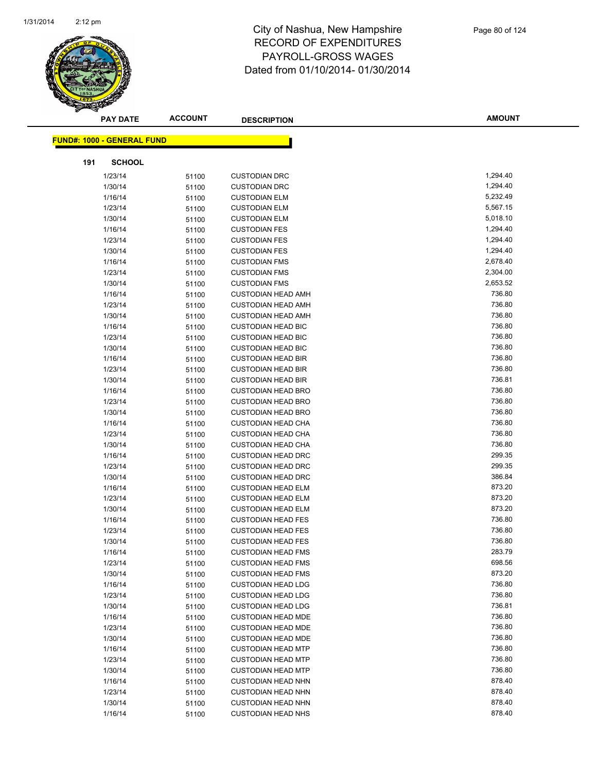

|     | <b>PAY DATE</b>                    | <b>ACCOUNT</b> | <b>DESCRIPTION</b>        | <b>AMOUNT</b> |  |
|-----|------------------------------------|----------------|---------------------------|---------------|--|
|     | <u> FUND#: 1000 - GENERAL FUND</u> |                |                           |               |  |
|     |                                    |                |                           |               |  |
| 191 | <b>SCHOOL</b>                      |                |                           |               |  |
|     | 1/23/14                            | 51100          | <b>CUSTODIAN DRC</b>      | 1,294.40      |  |
|     | 1/30/14                            | 51100          | <b>CUSTODIAN DRC</b>      | 1,294.40      |  |
|     | 1/16/14                            | 51100          | <b>CUSTODIAN ELM</b>      | 5,232.49      |  |
|     | 1/23/14                            | 51100          | <b>CUSTODIAN ELM</b>      | 5,567.15      |  |
|     | 1/30/14                            | 51100          | <b>CUSTODIAN ELM</b>      | 5,018.10      |  |
|     | 1/16/14                            | 51100          | <b>CUSTODIAN FES</b>      | 1,294.40      |  |
|     | 1/23/14                            | 51100          | <b>CUSTODIAN FES</b>      | 1,294.40      |  |
|     | 1/30/14                            | 51100          | <b>CUSTODIAN FES</b>      | 1,294.40      |  |
|     | 1/16/14                            | 51100          | <b>CUSTODIAN FMS</b>      | 2,678.40      |  |
|     | 1/23/14                            | 51100          | <b>CUSTODIAN FMS</b>      | 2,304.00      |  |
|     | 1/30/14                            | 51100          | <b>CUSTODIAN FMS</b>      | 2,653.52      |  |
|     | 1/16/14                            | 51100          | <b>CUSTODIAN HEAD AMH</b> | 736.80        |  |
|     | 1/23/14                            | 51100          | <b>CUSTODIAN HEAD AMH</b> | 736.80        |  |
|     | 1/30/14                            | 51100          | <b>CUSTODIAN HEAD AMH</b> | 736.80        |  |
|     | 1/16/14                            | 51100          | <b>CUSTODIAN HEAD BIC</b> | 736.80        |  |
|     | 1/23/14                            | 51100          | <b>CUSTODIAN HEAD BIC</b> | 736.80        |  |
|     | 1/30/14                            | 51100          | <b>CUSTODIAN HEAD BIC</b> | 736.80        |  |
|     | 1/16/14                            | 51100          | <b>CUSTODIAN HEAD BIR</b> | 736.80        |  |
|     | 1/23/14                            | 51100          | <b>CUSTODIAN HEAD BIR</b> | 736.80        |  |
|     | 1/30/14                            | 51100          | <b>CUSTODIAN HEAD BIR</b> | 736.81        |  |
|     | 1/16/14                            | 51100          | <b>CUSTODIAN HEAD BRO</b> | 736.80        |  |
|     | 1/23/14                            | 51100          | <b>CUSTODIAN HEAD BRO</b> | 736.80        |  |
|     | 1/30/14                            | 51100          | <b>CUSTODIAN HEAD BRO</b> | 736.80        |  |
|     | 1/16/14                            | 51100          | <b>CUSTODIAN HEAD CHA</b> | 736.80        |  |
|     | 1/23/14                            | 51100          | <b>CUSTODIAN HEAD CHA</b> | 736.80        |  |
|     | 1/30/14                            | 51100          | <b>CUSTODIAN HEAD CHA</b> | 736.80        |  |
|     | 1/16/14                            | 51100          | <b>CUSTODIAN HEAD DRC</b> | 299.35        |  |
|     | 1/23/14                            | 51100          | <b>CUSTODIAN HEAD DRC</b> | 299.35        |  |
|     | 1/30/14                            | 51100          | <b>CUSTODIAN HEAD DRC</b> | 386.84        |  |
|     | 1/16/14                            | 51100          | <b>CUSTODIAN HEAD ELM</b> | 873.20        |  |
|     | 1/23/14                            | 51100          | <b>CUSTODIAN HEAD ELM</b> | 873.20        |  |
|     | 1/30/14                            | 51100          | <b>CUSTODIAN HEAD ELM</b> | 873.20        |  |
|     | 1/16/14                            | 51100          | <b>CUSTODIAN HEAD FES</b> | 736.80        |  |
|     | 1/23/14                            | 51100          | <b>CUSTODIAN HEAD FES</b> | 736.80        |  |
|     | 1/30/14                            | 51100          | <b>CUSTODIAN HEAD FES</b> | 736.80        |  |
|     | 1/16/14                            | 51100          | <b>CUSTODIAN HEAD FMS</b> | 283.79        |  |
|     | 1/23/14                            | 51100          | <b>CUSTODIAN HEAD FMS</b> | 698.56        |  |
|     | 1/30/14                            | 51100          | <b>CUSTODIAN HEAD FMS</b> | 873.20        |  |
|     | 1/16/14                            | 51100          | <b>CUSTODIAN HEAD LDG</b> | 736.80        |  |
|     | 1/23/14                            | 51100          | <b>CUSTODIAN HEAD LDG</b> | 736.80        |  |
|     | 1/30/14                            | 51100          | <b>CUSTODIAN HEAD LDG</b> | 736.81        |  |
|     | 1/16/14                            | 51100          | <b>CUSTODIAN HEAD MDE</b> | 736.80        |  |
|     | 1/23/14                            | 51100          | <b>CUSTODIAN HEAD MDE</b> | 736.80        |  |
|     | 1/30/14                            | 51100          | <b>CUSTODIAN HEAD MDE</b> | 736.80        |  |
|     | 1/16/14                            | 51100          | <b>CUSTODIAN HEAD MTP</b> | 736.80        |  |
|     | 1/23/14                            | 51100          | <b>CUSTODIAN HEAD MTP</b> | 736.80        |  |
|     | 1/30/14                            | 51100          | <b>CUSTODIAN HEAD MTP</b> | 736.80        |  |
|     | 1/16/14                            | 51100          | <b>CUSTODIAN HEAD NHN</b> | 878.40        |  |
|     | 1/23/14                            | 51100          | <b>CUSTODIAN HEAD NHN</b> | 878.40        |  |
|     | 1/30/14                            | 51100          | <b>CUSTODIAN HEAD NHN</b> | 878.40        |  |
|     | 1/16/14                            | 51100          | <b>CUSTODIAN HEAD NHS</b> | 878.40        |  |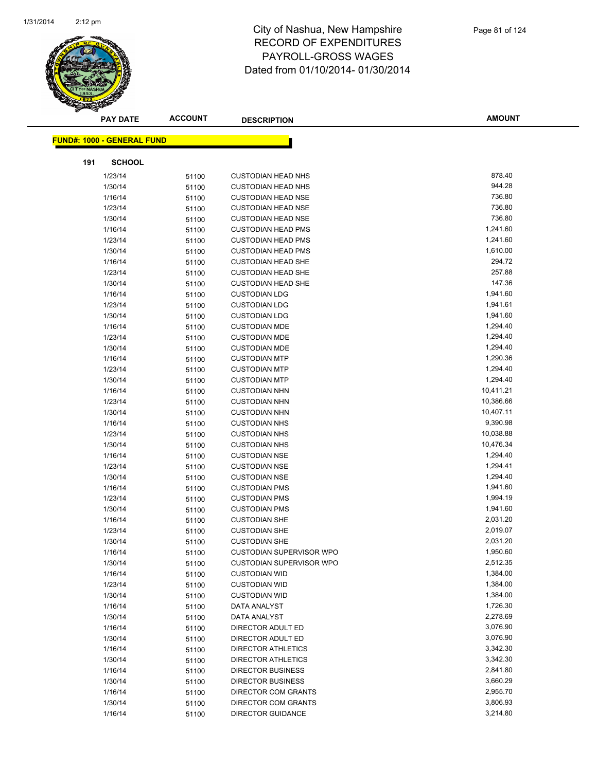

|     | <b>PAY DATE</b>                   | <b>ACCOUNT</b> | <b>DESCRIPTION</b>              | <b>AMOUNT</b> |
|-----|-----------------------------------|----------------|---------------------------------|---------------|
|     | <b>FUND#: 1000 - GENERAL FUND</b> |                |                                 |               |
|     |                                   |                |                                 |               |
| 191 | <b>SCHOOL</b>                     |                |                                 |               |
|     | 1/23/14                           | 51100          | <b>CUSTODIAN HEAD NHS</b>       | 878.40        |
|     | 1/30/14                           | 51100          | <b>CUSTODIAN HEAD NHS</b>       | 944.28        |
|     | 1/16/14                           | 51100          | <b>CUSTODIAN HEAD NSE</b>       | 736.80        |
|     | 1/23/14                           | 51100          | <b>CUSTODIAN HEAD NSE</b>       | 736.80        |
|     | 1/30/14                           | 51100          | <b>CUSTODIAN HEAD NSE</b>       | 736.80        |
|     | 1/16/14                           | 51100          | <b>CUSTODIAN HEAD PMS</b>       | 1,241.60      |
|     | 1/23/14                           | 51100          | <b>CUSTODIAN HEAD PMS</b>       | 1,241.60      |
|     | 1/30/14                           | 51100          | <b>CUSTODIAN HEAD PMS</b>       | 1,610.00      |
|     | 1/16/14                           | 51100          | <b>CUSTODIAN HEAD SHE</b>       | 294.72        |
|     | 1/23/14                           | 51100          | <b>CUSTODIAN HEAD SHE</b>       | 257.88        |
|     | 1/30/14                           | 51100          | <b>CUSTODIAN HEAD SHE</b>       | 147.36        |
|     | 1/16/14                           | 51100          | <b>CUSTODIAN LDG</b>            | 1,941.60      |
|     | 1/23/14                           | 51100          | <b>CUSTODIAN LDG</b>            | 1,941.61      |
|     | 1/30/14                           | 51100          | <b>CUSTODIAN LDG</b>            | 1,941.60      |
|     | 1/16/14                           | 51100          | <b>CUSTODIAN MDE</b>            | 1,294.40      |
|     | 1/23/14                           | 51100          | <b>CUSTODIAN MDE</b>            | 1,294.40      |
|     | 1/30/14                           | 51100          | <b>CUSTODIAN MDE</b>            | 1,294.40      |
|     | 1/16/14                           | 51100          | <b>CUSTODIAN MTP</b>            | 1,290.36      |
|     | 1/23/14                           | 51100          | <b>CUSTODIAN MTP</b>            | 1,294.40      |
|     | 1/30/14                           | 51100          | <b>CUSTODIAN MTP</b>            | 1,294.40      |
|     | 1/16/14                           | 51100          | <b>CUSTODIAN NHN</b>            | 10,411.21     |
|     | 1/23/14                           | 51100          | <b>CUSTODIAN NHN</b>            | 10,386.66     |
|     | 1/30/14                           | 51100          | <b>CUSTODIAN NHN</b>            | 10,407.11     |
|     | 1/16/14                           | 51100          | <b>CUSTODIAN NHS</b>            | 9,390.98      |
|     | 1/23/14                           | 51100          | <b>CUSTODIAN NHS</b>            | 10,038.88     |
|     | 1/30/14                           | 51100          | <b>CUSTODIAN NHS</b>            | 10,476.34     |
|     | 1/16/14                           | 51100          | <b>CUSTODIAN NSE</b>            | 1,294.40      |
|     | 1/23/14                           | 51100          | <b>CUSTODIAN NSE</b>            | 1,294.41      |
|     | 1/30/14                           | 51100          | <b>CUSTODIAN NSE</b>            | 1,294.40      |
|     | 1/16/14                           | 51100          | <b>CUSTODIAN PMS</b>            | 1,941.60      |
|     | 1/23/14                           | 51100          | <b>CUSTODIAN PMS</b>            | 1,994.19      |
|     | 1/30/14                           | 51100          | <b>CUSTODIAN PMS</b>            | 1,941.60      |
|     | 1/16/14                           | 51100          | <b>CUSTODIAN SHE</b>            | 2,031.20      |
|     | 1/23/14                           | 51100          | <b>CUSTODIAN SHE</b>            | 2,019.07      |
|     | 1/30/14                           | 51100          | <b>CUSTODIAN SHE</b>            | 2,031.20      |
|     | 1/16/14                           | 51100          | CUSTODIAN SUPERVISOR WPO        | 1,950.60      |
|     | 1/30/14                           | 51100          | <b>CUSTODIAN SUPERVISOR WPO</b> | 2,512.35      |
|     | 1/16/14                           | 51100          | <b>CUSTODIAN WID</b>            | 1,384.00      |
|     | 1/23/14                           | 51100          | <b>CUSTODIAN WID</b>            | 1,384.00      |
|     | 1/30/14                           | 51100          | <b>CUSTODIAN WID</b>            | 1,384.00      |
|     | 1/16/14                           | 51100          | DATA ANALYST                    | 1,726.30      |
|     | 1/30/14                           | 51100          | DATA ANALYST                    | 2,278.69      |
|     | 1/16/14                           | 51100          | DIRECTOR ADULT ED               | 3,076.90      |
|     | 1/30/14                           | 51100          | DIRECTOR ADULT ED               | 3,076.90      |
|     | 1/16/14                           | 51100          | <b>DIRECTOR ATHLETICS</b>       | 3,342.30      |
|     | 1/30/14                           | 51100          | <b>DIRECTOR ATHLETICS</b>       | 3,342.30      |
|     | 1/16/14                           | 51100          | <b>DIRECTOR BUSINESS</b>        | 2,841.80      |
|     | 1/30/14                           | 51100          | <b>DIRECTOR BUSINESS</b>        | 3,660.29      |
|     | 1/16/14                           | 51100          | DIRECTOR COM GRANTS             | 2,955.70      |
|     | 1/30/14                           | 51100          | DIRECTOR COM GRANTS             | 3,806.93      |
|     | 1/16/14                           | 51100          | <b>DIRECTOR GUIDANCE</b>        | 3,214.80      |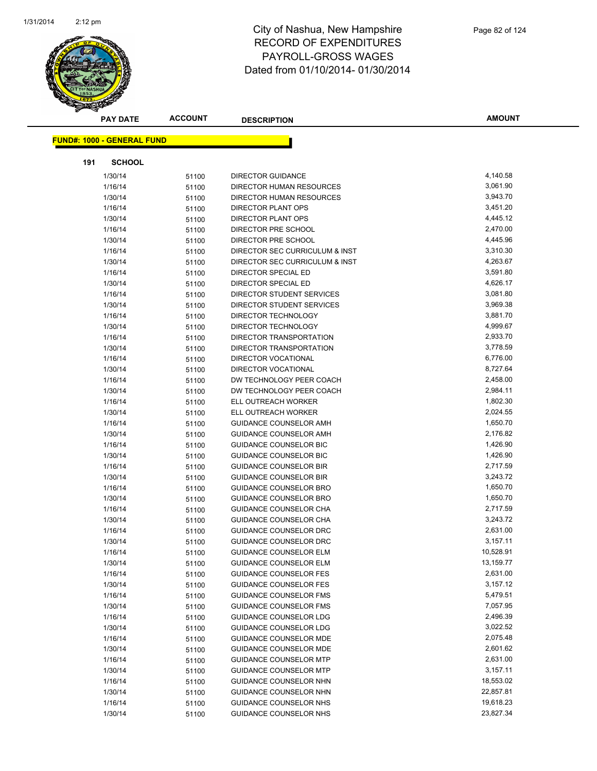

|     | <b>PAY DATE</b>                    | <b>ACCOUNT</b> | <b>DESCRIPTION</b>                                      | <b>AMOUNT</b>        |
|-----|------------------------------------|----------------|---------------------------------------------------------|----------------------|
|     | <u> FUND#: 1000 - GENERAL FUND</u> |                |                                                         |                      |
|     |                                    |                |                                                         |                      |
| 191 | <b>SCHOOL</b>                      |                |                                                         |                      |
|     | 1/30/14                            | 51100          | <b>DIRECTOR GUIDANCE</b>                                | 4,140.58             |
|     | 1/16/14                            | 51100          | DIRECTOR HUMAN RESOURCES                                | 3,061.90             |
|     | 1/30/14                            | 51100          | DIRECTOR HUMAN RESOURCES                                | 3,943.70             |
|     | 1/16/14                            | 51100          | DIRECTOR PLANT OPS                                      | 3,451.20             |
|     | 1/30/14                            | 51100          | <b>DIRECTOR PLANT OPS</b>                               | 4,445.12             |
|     | 1/16/14                            | 51100          | DIRECTOR PRE SCHOOL                                     | 2,470.00             |
|     | 1/30/14                            | 51100          | DIRECTOR PRE SCHOOL                                     | 4,445.96             |
|     | 1/16/14                            | 51100          | DIRECTOR SEC CURRICULUM & INST                          | 3,310.30             |
|     | 1/30/14                            | 51100          | DIRECTOR SEC CURRICULUM & INST                          | 4,263.67             |
|     | 1/16/14                            | 51100          | DIRECTOR SPECIAL ED                                     | 3,591.80             |
|     | 1/30/14                            | 51100          | DIRECTOR SPECIAL ED                                     | 4,626.17             |
|     | 1/16/14                            | 51100          | DIRECTOR STUDENT SERVICES                               | 3,081.80             |
|     | 1/30/14                            | 51100          | DIRECTOR STUDENT SERVICES                               | 3,969.38             |
|     | 1/16/14                            | 51100          | DIRECTOR TECHNOLOGY                                     | 3,881.70             |
|     | 1/30/14                            | 51100          | DIRECTOR TECHNOLOGY                                     | 4,999.67             |
|     | 1/16/14                            | 51100          | DIRECTOR TRANSPORTATION                                 | 2,933.70             |
|     | 1/30/14                            | 51100          | DIRECTOR TRANSPORTATION                                 | 3,778.59             |
|     | 1/16/14                            | 51100          | DIRECTOR VOCATIONAL                                     | 6,776.00             |
|     | 1/30/14                            | 51100          | DIRECTOR VOCATIONAL                                     | 8,727.64             |
|     | 1/16/14                            | 51100          | DW TECHNOLOGY PEER COACH                                | 2,458.00<br>2,984.11 |
|     | 1/30/14                            | 51100          | DW TECHNOLOGY PEER COACH                                |                      |
|     | 1/16/14                            | 51100          | ELL OUTREACH WORKER                                     | 1,802.30<br>2,024.55 |
|     | 1/30/14                            | 51100          | ELL OUTREACH WORKER                                     | 1,650.70             |
|     | 1/16/14<br>1/30/14                 | 51100          | GUIDANCE COUNSELOR AMH<br><b>GUIDANCE COUNSELOR AMH</b> | 2,176.82             |
|     | 1/16/14                            | 51100          | GUIDANCE COUNSELOR BIC                                  | 1,426.90             |
|     | 1/30/14                            | 51100<br>51100 | <b>GUIDANCE COUNSELOR BIC</b>                           | 1,426.90             |
|     | 1/16/14                            | 51100          | <b>GUIDANCE COUNSELOR BIR</b>                           | 2,717.59             |
|     | 1/30/14                            | 51100          | <b>GUIDANCE COUNSELOR BIR</b>                           | 3,243.72             |
|     | 1/16/14                            | 51100          | GUIDANCE COUNSELOR BRO                                  | 1,650.70             |
|     | 1/30/14                            | 51100          | <b>GUIDANCE COUNSELOR BRO</b>                           | 1,650.70             |
|     | 1/16/14                            | 51100          | GUIDANCE COUNSELOR CHA                                  | 2,717.59             |
|     | 1/30/14                            | 51100          | <b>GUIDANCE COUNSELOR CHA</b>                           | 3,243.72             |
|     | 1/16/14                            | 51100          | <b>GUIDANCE COUNSELOR DRC</b>                           | 2,631.00             |
|     | 1/30/14                            | 51100          | <b>GUIDANCE COUNSELOR DRC</b>                           | 3,157.11             |
|     | 1/16/14                            | 51100          | <b>GUIDANCE COUNSELOR ELM</b>                           | 10,528.91            |
|     | 1/30/14                            | 51100          | <b>GUIDANCE COUNSELOR ELM</b>                           | 13,159.77            |
|     | 1/16/14                            | 51100          | <b>GUIDANCE COUNSELOR FES</b>                           | 2,631.00             |
|     | 1/30/14                            | 51100          | <b>GUIDANCE COUNSELOR FES</b>                           | 3,157.12             |
|     | 1/16/14                            | 51100          | <b>GUIDANCE COUNSELOR FMS</b>                           | 5,479.51             |
|     | 1/30/14                            | 51100          | <b>GUIDANCE COUNSELOR FMS</b>                           | 7,057.95             |
|     | 1/16/14                            | 51100          | <b>GUIDANCE COUNSELOR LDG</b>                           | 2,496.39             |
|     | 1/30/14                            | 51100          | <b>GUIDANCE COUNSELOR LDG</b>                           | 3,022.52             |
|     | 1/16/14                            | 51100          | <b>GUIDANCE COUNSELOR MDE</b>                           | 2,075.48             |
|     | 1/30/14                            | 51100          | <b>GUIDANCE COUNSELOR MDE</b>                           | 2,601.62             |
|     | 1/16/14                            | 51100          | <b>GUIDANCE COUNSELOR MTP</b>                           | 2,631.00             |
|     | 1/30/14                            | 51100          | <b>GUIDANCE COUNSELOR MTP</b>                           | 3,157.11             |
|     | 1/16/14                            | 51100          | GUIDANCE COUNSELOR NHN                                  | 18,553.02            |
|     | 1/30/14                            | 51100          | GUIDANCE COUNSELOR NHN                                  | 22,857.81            |
|     | 1/16/14                            | 51100          | GUIDANCE COUNSELOR NHS                                  | 19,618.23            |
|     | 1/30/14                            | 51100          | GUIDANCE COUNSELOR NHS                                  | 23,827.34            |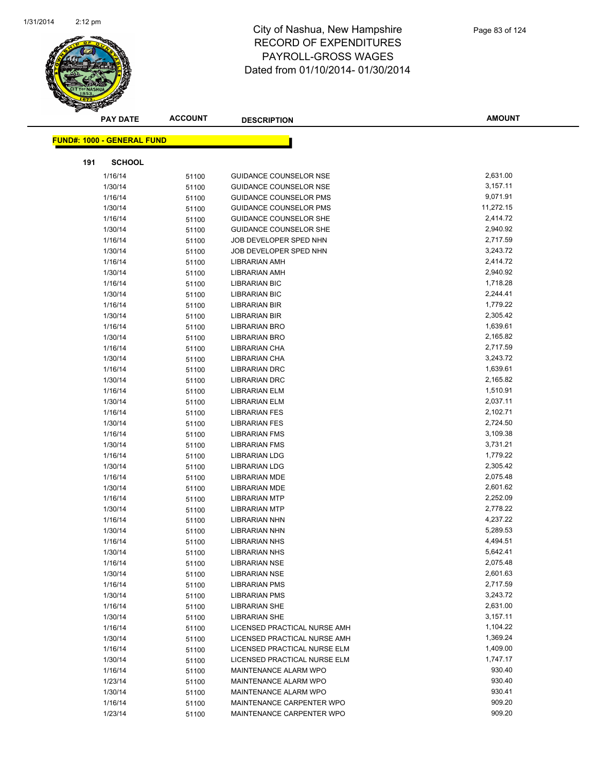

|     | <b>PAY DATE</b>                    | <b>ACCOUNT</b> | <b>DESCRIPTION</b>            | <b>AMOUNT</b> |
|-----|------------------------------------|----------------|-------------------------------|---------------|
|     | <u> FUND#: 1000 - GENERAL FUND</u> |                |                               |               |
|     |                                    |                |                               |               |
| 191 | <b>SCHOOL</b>                      |                |                               |               |
|     | 1/16/14                            | 51100          | <b>GUIDANCE COUNSELOR NSE</b> | 2,631.00      |
|     | 1/30/14                            | 51100          | GUIDANCE COUNSELOR NSE        | 3,157.11      |
|     | 1/16/14                            | 51100          | <b>GUIDANCE COUNSELOR PMS</b> | 9,071.91      |
|     | 1/30/14                            | 51100          | <b>GUIDANCE COUNSELOR PMS</b> | 11,272.15     |
|     | 1/16/14                            | 51100          | GUIDANCE COUNSELOR SHE        | 2,414.72      |
|     | 1/30/14                            | 51100          | <b>GUIDANCE COUNSELOR SHE</b> | 2,940.92      |
|     | 1/16/14                            | 51100          | JOB DEVELOPER SPED NHN        | 2,717.59      |
|     | 1/30/14                            | 51100          | JOB DEVELOPER SPED NHN        | 3,243.72      |
|     | 1/16/14                            | 51100          | <b>LIBRARIAN AMH</b>          | 2,414.72      |
|     | 1/30/14                            | 51100          | LIBRARIAN AMH                 | 2,940.92      |
|     | 1/16/14                            | 51100          | <b>LIBRARIAN BIC</b>          | 1,718.28      |
|     | 1/30/14                            | 51100          | <b>LIBRARIAN BIC</b>          | 2,244.41      |
|     | 1/16/14                            | 51100          | <b>LIBRARIAN BIR</b>          | 1,779.22      |
|     | 1/30/14                            | 51100          | <b>LIBRARIAN BIR</b>          | 2,305.42      |
|     | 1/16/14                            | 51100          | <b>LIBRARIAN BRO</b>          | 1,639.61      |
|     | 1/30/14                            | 51100          | <b>LIBRARIAN BRO</b>          | 2,165.82      |
|     | 1/16/14                            | 51100          | LIBRARIAN CHA                 | 2,717.59      |
|     | 1/30/14                            | 51100          | <b>LIBRARIAN CHA</b>          | 3,243.72      |
|     | 1/16/14                            | 51100          | LIBRARIAN DRC                 | 1,639.61      |
|     | 1/30/14                            | 51100          | <b>LIBRARIAN DRC</b>          | 2,165.82      |
|     | 1/16/14                            | 51100          | <b>LIBRARIAN ELM</b>          | 1,510.91      |
|     | 1/30/14                            | 51100          | <b>LIBRARIAN ELM</b>          | 2,037.11      |
|     | 1/16/14                            | 51100          | <b>LIBRARIAN FES</b>          | 2,102.71      |
|     | 1/30/14                            | 51100          | <b>LIBRARIAN FES</b>          | 2,724.50      |
|     | 1/16/14                            | 51100          | <b>LIBRARIAN FMS</b>          | 3,109.38      |
|     | 1/30/14                            | 51100          | <b>LIBRARIAN FMS</b>          | 3,731.21      |
|     | 1/16/14                            | 51100          | <b>LIBRARIAN LDG</b>          | 1,779.22      |
|     | 1/30/14                            | 51100          | <b>LIBRARIAN LDG</b>          | 2,305.42      |
|     | 1/16/14                            | 51100          | <b>LIBRARIAN MDE</b>          | 2,075.48      |
|     | 1/30/14                            | 51100          | LIBRARIAN MDE                 | 2,601.62      |
|     | 1/16/14                            | 51100          | <b>LIBRARIAN MTP</b>          | 2,252.09      |
|     | 1/30/14                            | 51100          | <b>LIBRARIAN MTP</b>          | 2,778.22      |
|     | 1/16/14                            | 51100          | <b>LIBRARIAN NHN</b>          | 4,237.22      |
|     | 1/30/14                            | 51100          | <b>LIBRARIAN NHN</b>          | 5,289.53      |
|     | 1/16/14                            | 51100          | <b>LIBRARIAN NHS</b>          | 4,494.51      |
|     | 1/30/14                            | 51100          | <b>LIBRARIAN NHS</b>          | 5,642.41      |
|     | 1/16/14                            | 51100          | <b>LIBRARIAN NSE</b>          | 2,075.48      |
|     | 1/30/14                            | 51100          | <b>LIBRARIAN NSE</b>          | 2,601.63      |
|     | 1/16/14                            | 51100          | <b>LIBRARIAN PMS</b>          | 2,717.59      |
|     | 1/30/14                            | 51100          | <b>LIBRARIAN PMS</b>          | 3,243.72      |
|     | 1/16/14                            | 51100          | <b>LIBRARIAN SHE</b>          | 2,631.00      |
|     | 1/30/14                            | 51100          | <b>LIBRARIAN SHE</b>          | 3,157.11      |
|     | 1/16/14                            | 51100          | LICENSED PRACTICAL NURSE AMH  | 1,104.22      |
|     | 1/30/14                            | 51100          | LICENSED PRACTICAL NURSE AMH  | 1,369.24      |
|     | 1/16/14                            | 51100          | LICENSED PRACTICAL NURSE ELM  | 1,409.00      |
|     | 1/30/14                            | 51100          | LICENSED PRACTICAL NURSE ELM  | 1,747.17      |
|     | 1/16/14                            | 51100          | MAINTENANCE ALARM WPO         | 930.40        |
|     | 1/23/14                            | 51100          | MAINTENANCE ALARM WPO         | 930.40        |
|     | 1/30/14                            | 51100          | MAINTENANCE ALARM WPO         | 930.41        |
|     | 1/16/14                            | 51100          | MAINTENANCE CARPENTER WPO     | 909.20        |
|     | 1/23/14                            | 51100          | MAINTENANCE CARPENTER WPO     | 909.20        |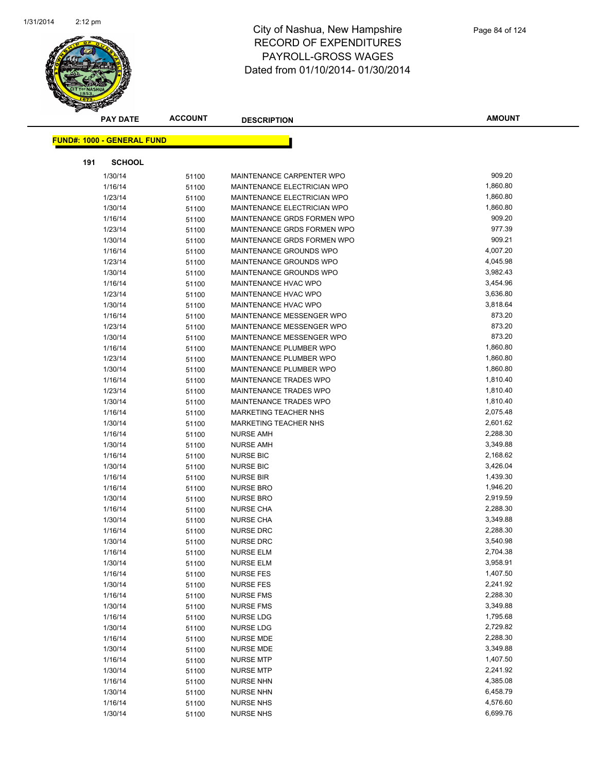

|     | <b>ACCOUNT</b><br><b>PAY DATE</b> |       | <b>DESCRIPTION</b>          | <b>AMOUNT</b> |
|-----|-----------------------------------|-------|-----------------------------|---------------|
|     | <b>FUND#: 1000 - GENERAL FUND</b> |       |                             |               |
|     |                                   |       |                             |               |
| 191 | <b>SCHOOL</b>                     |       |                             |               |
|     | 1/30/14                           | 51100 | MAINTENANCE CARPENTER WPO   | 909.20        |
|     | 1/16/14                           | 51100 | MAINTENANCE ELECTRICIAN WPO | 1,860.80      |
|     | 1/23/14                           | 51100 | MAINTENANCE ELECTRICIAN WPO | 1,860.80      |
|     | 1/30/14                           | 51100 | MAINTENANCE ELECTRICIAN WPO | 1,860.80      |
|     | 1/16/14                           | 51100 | MAINTENANCE GRDS FORMEN WPO | 909.20        |
|     | 1/23/14                           | 51100 | MAINTENANCE GRDS FORMEN WPO | 977.39        |
|     | 1/30/14                           | 51100 | MAINTENANCE GRDS FORMEN WPO | 909.21        |
|     | 1/16/14                           | 51100 | MAINTENANCE GROUNDS WPO     | 4,007.20      |
|     | 1/23/14                           | 51100 | MAINTENANCE GROUNDS WPO     | 4,045.98      |
|     | 1/30/14                           | 51100 | MAINTENANCE GROUNDS WPO     | 3,982.43      |
|     | 1/16/14                           | 51100 | MAINTENANCE HVAC WPO        | 3,454.96      |
|     | 1/23/14                           | 51100 | MAINTENANCE HVAC WPO        | 3,636.80      |
|     | 1/30/14                           | 51100 | MAINTENANCE HVAC WPO        | 3,818.64      |
|     | 1/16/14                           | 51100 | MAINTENANCE MESSENGER WPO   | 873.20        |
|     | 1/23/14                           | 51100 | MAINTENANCE MESSENGER WPO   | 873.20        |
|     | 1/30/14                           | 51100 | MAINTENANCE MESSENGER WPO   | 873.20        |
|     | 1/16/14                           | 51100 | MAINTENANCE PLUMBER WPO     | 1,860.80      |
|     | 1/23/14                           | 51100 | MAINTENANCE PLUMBER WPO     | 1,860.80      |
|     | 1/30/14                           | 51100 | MAINTENANCE PLUMBER WPO     | 1,860.80      |
|     | 1/16/14                           | 51100 | MAINTENANCE TRADES WPO      | 1,810.40      |
|     | 1/23/14                           | 51100 | MAINTENANCE TRADES WPO      | 1,810.40      |
|     | 1/30/14                           | 51100 | MAINTENANCE TRADES WPO      | 1,810.40      |
|     | 1/16/14                           | 51100 | MARKETING TEACHER NHS       | 2,075.48      |
|     | 1/30/14                           | 51100 | MARKETING TEACHER NHS       | 2,601.62      |
|     | 1/16/14                           | 51100 | NURSE AMH                   | 2,288.30      |
|     | 1/30/14                           | 51100 | <b>NURSE AMH</b>            | 3,349.88      |
|     | 1/16/14                           | 51100 | <b>NURSE BIC</b>            | 2,168.62      |
|     | 1/30/14                           | 51100 | <b>NURSE BIC</b>            | 3,426.04      |
|     | 1/16/14                           | 51100 | <b>NURSE BIR</b>            | 1,439.30      |
|     | 1/16/14                           | 51100 | <b>NURSE BRO</b>            | 1,946.20      |
|     | 1/30/14                           | 51100 | <b>NURSE BRO</b>            | 2,919.59      |
|     | 1/16/14                           | 51100 | <b>NURSE CHA</b>            | 2,288.30      |
|     | 1/30/14                           | 51100 | <b>NURSE CHA</b>            | 3,349.88      |
|     | 1/16/14                           | 51100 | <b>NURSE DRC</b>            | 2,288.30      |
|     | 1/30/14                           | 51100 | <b>NURSE DRC</b>            | 3,540.98      |
|     | 1/16/14                           | 51100 | <b>NURSE ELM</b>            | 2,704.38      |
|     | 1/30/14                           | 51100 | <b>NURSE ELM</b>            | 3,958.91      |
|     | 1/16/14                           | 51100 | <b>NURSE FES</b>            | 1,407.50      |
|     | 1/30/14                           | 51100 | <b>NURSE FES</b>            | 2,241.92      |
|     | 1/16/14                           | 51100 | <b>NURSE FMS</b>            | 2,288.30      |
|     | 1/30/14                           | 51100 | <b>NURSE FMS</b>            | 3,349.88      |
|     | 1/16/14                           | 51100 | <b>NURSE LDG</b>            | 1,795.68      |
|     | 1/30/14                           | 51100 | <b>NURSE LDG</b>            | 2,729.82      |
|     | 1/16/14                           | 51100 | <b>NURSE MDE</b>            | 2,288.30      |
|     | 1/30/14                           | 51100 | <b>NURSE MDE</b>            | 3,349.88      |
|     | 1/16/14                           | 51100 | <b>NURSE MTP</b>            | 1,407.50      |
|     | 1/30/14                           | 51100 | <b>NURSE MTP</b>            | 2,241.92      |
|     | 1/16/14                           | 51100 | <b>NURSE NHN</b>            | 4,385.08      |
|     | 1/30/14                           | 51100 | <b>NURSE NHN</b>            | 6,458.79      |
|     | 1/16/14                           | 51100 | <b>NURSE NHS</b>            | 4,576.60      |
|     | 1/30/14                           | 51100 | <b>NURSE NHS</b>            | 6,699.76      |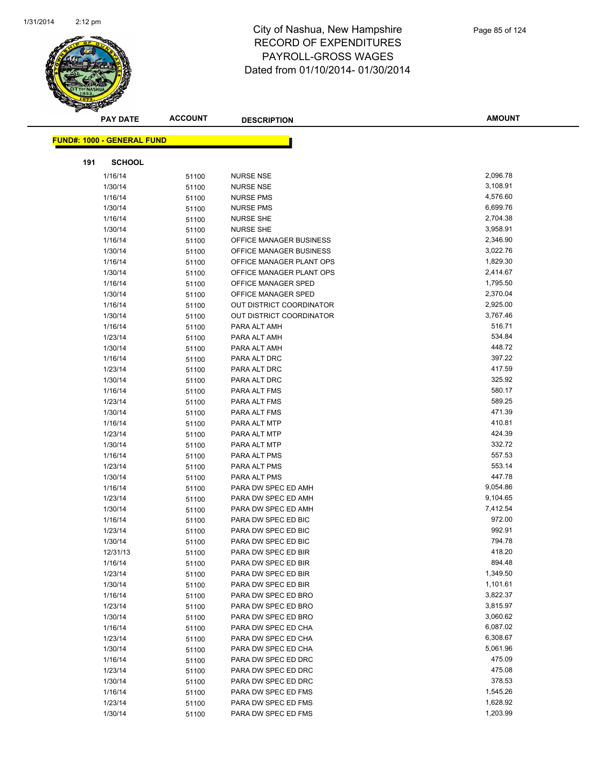

|     | <b>PAY DATE</b>                   | <b>ACCOUNT</b> | <b>DESCRIPTION</b>              | <b>AMOUNT</b> |
|-----|-----------------------------------|----------------|---------------------------------|---------------|
|     | <b>FUND#: 1000 - GENERAL FUND</b> |                |                                 |               |
|     |                                   |                |                                 |               |
| 191 | <b>SCHOOL</b>                     |                |                                 |               |
|     | 1/16/14                           | 51100          | <b>NURSE NSE</b>                | 2,096.78      |
|     | 1/30/14                           | 51100          | <b>NURSE NSE</b>                | 3,108.91      |
|     | 1/16/14                           | 51100          | <b>NURSE PMS</b>                | 4,576.60      |
|     | 1/30/14                           | 51100          | <b>NURSE PMS</b>                | 6,699.76      |
|     | 1/16/14                           | 51100          | <b>NURSE SHE</b>                | 2,704.38      |
|     | 1/30/14                           | 51100          | <b>NURSE SHE</b>                | 3,958.91      |
|     | 1/16/14                           | 51100          | OFFICE MANAGER BUSINESS         | 2,346.90      |
|     | 1/30/14                           | 51100          | OFFICE MANAGER BUSINESS         | 3,022.76      |
|     | 1/16/14                           | 51100          | OFFICE MANAGER PLANT OPS        | 1,829.30      |
|     | 1/30/14                           | 51100          | OFFICE MANAGER PLANT OPS        | 2,414.67      |
|     | 1/16/14                           | 51100          | OFFICE MANAGER SPED             | 1,795.50      |
|     | 1/30/14                           | 51100          | OFFICE MANAGER SPED             | 2,370.04      |
|     | 1/16/14                           | 51100          | <b>OUT DISTRICT COORDINATOR</b> | 2,925.00      |
|     | 1/30/14                           | 51100          | <b>OUT DISTRICT COORDINATOR</b> | 3,767.46      |
|     | 1/16/14                           | 51100          | PARA ALT AMH                    | 516.71        |
|     | 1/23/14                           | 51100          | PARA ALT AMH                    | 534.84        |
|     | 1/30/14                           | 51100          | PARA ALT AMH                    | 448.72        |
|     | 1/16/14                           | 51100          | PARA ALT DRC                    | 397.22        |
|     | 1/23/14                           | 51100          | PARA ALT DRC                    | 417.59        |
|     | 1/30/14                           | 51100          | PARA ALT DRC                    | 325.92        |
|     | 1/16/14                           | 51100          | PARA ALT FMS                    | 580.17        |
|     | 1/23/14                           | 51100          | PARA ALT FMS                    | 589.25        |
|     | 1/30/14                           | 51100          | PARA ALT FMS                    | 471.39        |
|     | 1/16/14                           | 51100          | PARA ALT MTP                    | 410.81        |
|     | 1/23/14                           | 51100          | PARA ALT MTP                    | 424.39        |
|     | 1/30/14                           | 51100          | PARA ALT MTP                    | 332.72        |
|     | 1/16/14                           | 51100          | PARA ALT PMS                    | 557.53        |
|     | 1/23/14                           | 51100          | PARA ALT PMS                    | 553.14        |
|     | 1/30/14                           | 51100          | PARA ALT PMS                    | 447.78        |
|     | 1/16/14                           | 51100          | PARA DW SPEC ED AMH             | 9,054.86      |
|     | 1/23/14                           | 51100          | PARA DW SPEC ED AMH             | 9,104.65      |
|     | 1/30/14                           | 51100          | PARA DW SPEC ED AMH             | 7,412.54      |
|     | 1/16/14                           | 51100          | PARA DW SPEC ED BIC             | 972.00        |
|     | 1/23/14                           | 51100          | PARA DW SPEC ED BIC             | 992.91        |
|     | 1/30/14                           | 51100          | PARA DW SPEC ED BIC             | 794.78        |
|     | 12/31/13                          | 51100          | PARA DW SPEC ED BIR             | 418.20        |
|     | 1/16/14                           | 51100          | PARA DW SPEC ED BIR             | 894.48        |
|     | 1/23/14                           | 51100          | PARA DW SPEC ED BIR             | 1,349.50      |
|     | 1/30/14                           | 51100          | PARA DW SPEC ED BIR             | 1,101.61      |
|     | 1/16/14                           | 51100          | PARA DW SPEC ED BRO             | 3,822.37      |
|     | 1/23/14                           | 51100          | PARA DW SPEC ED BRO             | 3,815.97      |
|     | 1/30/14                           | 51100          | PARA DW SPEC ED BRO             | 3,060.62      |
|     | 1/16/14                           | 51100          | PARA DW SPEC ED CHA             | 6,087.02      |
|     | 1/23/14                           | 51100          | PARA DW SPEC ED CHA             | 6,308.67      |
|     | 1/30/14                           | 51100          | PARA DW SPEC ED CHA             | 5,061.96      |
|     | 1/16/14                           | 51100          | PARA DW SPEC ED DRC             | 475.09        |
|     | 1/23/14                           | 51100          | PARA DW SPEC ED DRC             | 475.08        |
|     | 1/30/14                           | 51100          | PARA DW SPEC ED DRC             | 378.53        |
|     | 1/16/14                           | 51100          | PARA DW SPEC ED FMS             | 1,545.26      |
|     | 1/23/14                           | 51100          | PARA DW SPEC ED FMS             | 1,628.92      |
|     | 1/30/14                           | 51100          | PARA DW SPEC ED FMS             | 1,203.99      |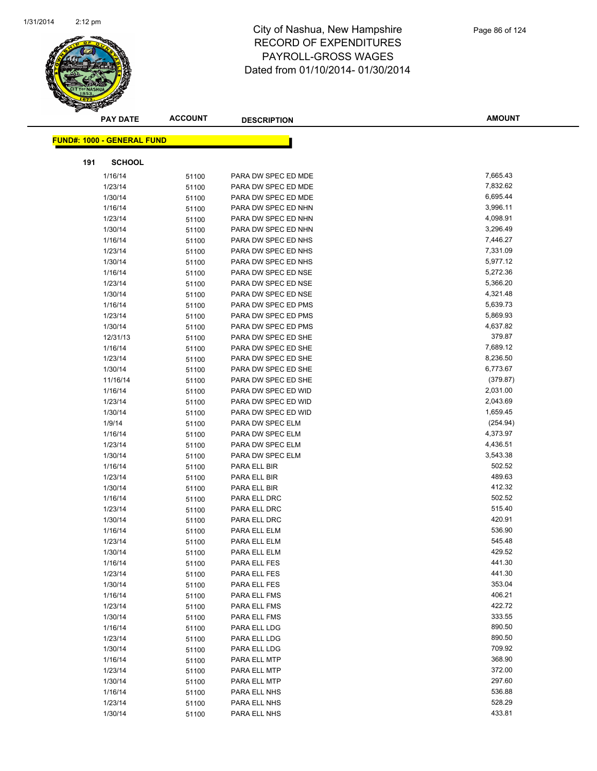

|     | <b>PAY DATE</b>                   | <b>ACCOUNT</b> | <b>DESCRIPTION</b>  | <b>AMOUNT</b> |
|-----|-----------------------------------|----------------|---------------------|---------------|
|     | <b>FUND#: 1000 - GENERAL FUND</b> |                |                     |               |
|     |                                   |                |                     |               |
| 191 | <b>SCHOOL</b>                     |                |                     |               |
|     | 1/16/14                           | 51100          | PARA DW SPEC ED MDE | 7,665.43      |
|     | 1/23/14                           | 51100          | PARA DW SPEC ED MDE | 7,832.62      |
|     | 1/30/14                           | 51100          | PARA DW SPEC ED MDE | 6,695.44      |
|     | 1/16/14                           | 51100          | PARA DW SPEC ED NHN | 3,996.11      |
|     | 1/23/14                           | 51100          | PARA DW SPEC ED NHN | 4,098.91      |
|     | 1/30/14                           | 51100          | PARA DW SPEC ED NHN | 3,296.49      |
|     | 1/16/14                           | 51100          | PARA DW SPEC ED NHS | 7,446.27      |
|     | 1/23/14                           | 51100          | PARA DW SPEC ED NHS | 7,331.09      |
|     | 1/30/14                           | 51100          | PARA DW SPEC ED NHS | 5,977.12      |
|     | 1/16/14                           | 51100          | PARA DW SPEC ED NSE | 5,272.36      |
|     | 1/23/14                           | 51100          | PARA DW SPEC ED NSE | 5,366.20      |
|     | 1/30/14                           | 51100          | PARA DW SPEC ED NSE | 4,321.48      |
|     | 1/16/14                           | 51100          | PARA DW SPEC ED PMS | 5,639.73      |
|     | 1/23/14                           | 51100          | PARA DW SPEC ED PMS | 5,869.93      |
|     | 1/30/14                           | 51100          | PARA DW SPEC ED PMS | 4,637.82      |
|     | 12/31/13                          | 51100          | PARA DW SPEC ED SHE | 379.87        |
|     | 1/16/14                           | 51100          | PARA DW SPEC ED SHE | 7,689.12      |
|     | 1/23/14                           | 51100          | PARA DW SPEC ED SHE | 8,236.50      |
|     | 1/30/14                           | 51100          | PARA DW SPEC ED SHE | 6,773.67      |
|     | 11/16/14                          | 51100          | PARA DW SPEC ED SHE | (379.87)      |
|     | 1/16/14                           | 51100          | PARA DW SPEC ED WID | 2,031.00      |
|     | 1/23/14                           | 51100          | PARA DW SPEC ED WID | 2,043.69      |
|     | 1/30/14                           | 51100          | PARA DW SPEC ED WID | 1,659.45      |
|     | 1/9/14                            | 51100          | PARA DW SPEC ELM    | (254.94)      |
|     | 1/16/14                           | 51100          | PARA DW SPEC ELM    | 4,373.97      |
|     | 1/23/14                           | 51100          | PARA DW SPEC ELM    | 4,436.51      |
|     | 1/30/14                           | 51100          | PARA DW SPEC ELM    | 3,543.38      |
|     | 1/16/14                           | 51100          | PARA ELL BIR        | 502.52        |
|     | 1/23/14                           | 51100          | PARA ELL BIR        | 489.63        |
|     | 1/30/14                           | 51100          | PARA ELL BIR        | 412.32        |
|     | 1/16/14                           | 51100          | PARA ELL DRC        | 502.52        |
|     | 1/23/14                           | 51100          | PARA ELL DRC        | 515.40        |
|     | 1/30/14                           | 51100          | PARA ELL DRC        | 420.91        |
|     | 1/16/14                           | 51100          | PARA ELL ELM        | 536.90        |
|     | 1/23/14                           | 51100          | PARA ELL ELM        | 545.48        |
|     | 1/30/14                           | 51100          | PARA ELL ELM        | 429.52        |
|     | 1/16/14                           | 51100          | PARA ELL FES        | 441.30        |
|     | 1/23/14                           | 51100          | PARA ELL FES        | 441.30        |
|     | 1/30/14                           | 51100          | PARA ELL FES        | 353.04        |
|     | 1/16/14                           | 51100          | PARA ELL FMS        | 406.21        |
|     | 1/23/14                           | 51100          | PARA ELL FMS        | 422.72        |
|     | 1/30/14                           | 51100          | PARA ELL FMS        | 333.55        |
|     | 1/16/14                           | 51100          | PARA ELL LDG        | 890.50        |
|     | 1/23/14                           | 51100          | PARA ELL LDG        | 890.50        |
|     | 1/30/14                           | 51100          | PARA ELL LDG        | 709.92        |
|     | 1/16/14                           | 51100          | PARA ELL MTP        | 368.90        |
|     | 1/23/14                           | 51100          | PARA ELL MTP        | 372.00        |
|     | 1/30/14                           | 51100          | PARA ELL MTP        | 297.60        |
|     | 1/16/14                           | 51100          | PARA ELL NHS        | 536.88        |
|     | 1/23/14                           | 51100          | PARA ELL NHS        | 528.29        |
|     | 1/30/14                           | 51100          | PARA ELL NHS        | 433.81        |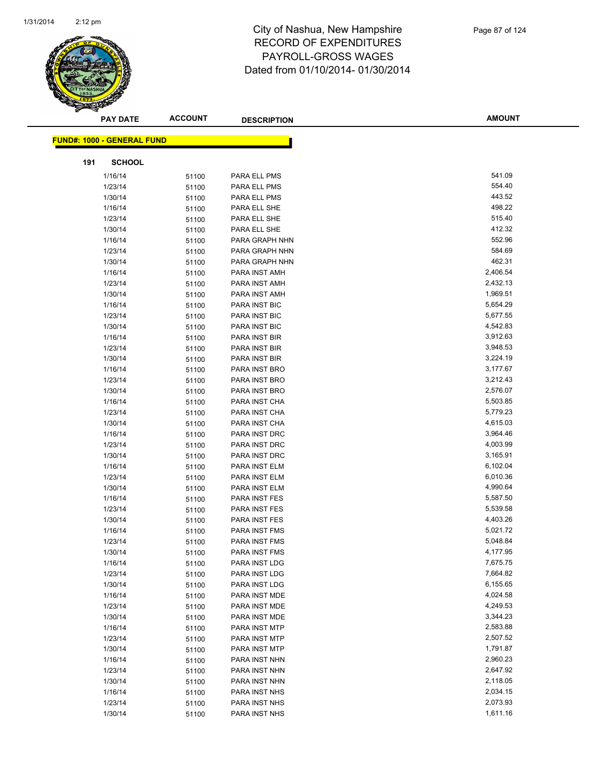

| <b>FUND#: 1000 - GENERAL FUND</b><br>191<br><b>SCHOOL</b><br>541.09<br>1/16/14<br>PARA ELL PMS<br>51100<br>554.40<br>1/23/14<br>PARA ELL PMS<br>51100<br>443.52<br>1/30/14<br>PARA ELL PMS<br>51100<br>498.22<br>1/16/14<br>PARA ELL SHE<br>51100<br>515.40<br>1/23/14<br>PARA ELL SHE<br>51100<br>412.32<br>1/30/14<br>PARA ELL SHE<br>51100<br>552.96<br>1/16/14<br>PARA GRAPH NHN<br>51100<br>584.69<br>1/23/14<br>PARA GRAPH NHN<br>51100<br>462.31<br>1/30/14<br>PARA GRAPH NHN<br>51100<br>2,406.54<br>1/16/14<br>PARA INST AMH<br>51100<br>2,432.13<br>1/23/14<br>PARA INST AMH<br>51100<br>1,969.51<br>1/30/14<br>PARA INST AMH<br>51100<br>5,654.29<br>1/16/14<br>PARA INST BIC<br>51100<br>5,677.55<br>1/23/14<br>PARA INST BIC<br>51100<br>4,542.83<br>1/30/14<br>PARA INST BIC<br>51100<br>3,912.63<br>1/16/14<br>PARA INST BIR<br>51100<br>3,948.53<br>1/23/14<br>PARA INST BIR<br>51100<br>3,224.19<br>1/30/14<br>PARA INST BIR<br>51100<br>3,177.67<br>1/16/14<br>PARA INST BRO<br>51100<br>3,212.43<br>1/23/14<br>PARA INST BRO<br>51100<br>2,576.07<br>1/30/14<br>PARA INST BRO<br>51100<br>5,503.85<br>1/16/14<br>PARA INST CHA<br>51100<br>5,779.23<br>1/23/14<br>PARA INST CHA<br>51100<br>4,615.03<br>1/30/14<br>PARA INST CHA<br>51100<br>3,964.46<br>1/16/14<br>PARA INST DRC<br>51100<br>4,003.99<br>1/23/14<br>PARA INST DRC<br>51100<br>3,165.91<br>1/30/14<br>PARA INST DRC<br>51100<br>1/16/14<br>6,102.04<br>PARA INST ELM<br>51100<br>6,010.36<br>1/23/14<br>PARA INST ELM<br>51100<br>4,990.64<br>1/30/14<br>PARA INST ELM<br>51100<br>5,587.50<br>1/16/14<br>PARA INST FES<br>51100<br>1/23/14<br>PARA INST FES<br>5,539.58<br>51100<br>4,403.26<br>1/30/14<br>PARA INST FES<br>51100<br>5,021.72<br>1/16/14<br>PARA INST FMS<br>51100<br>5,048.84<br>1/23/14<br>51100<br>PARA INST FMS<br>4,177.95<br>1/30/14<br>PARA INST FMS<br>51100<br>7,675.75<br>1/16/14<br>PARA INST LDG<br>51100<br>7,664.82<br>1/23/14<br>PARA INST LDG<br>51100<br>6,155.65<br>1/30/14<br>PARA INST LDG<br>51100<br>4,024.58<br>1/16/14<br>PARA INST MDE<br>51100<br>4,249.53<br>1/23/14<br>PARA INST MDE<br>51100<br>3,344.23<br>1/30/14<br>PARA INST MDE<br>51100<br>2,583.88<br>1/16/14<br>PARA INST MTP<br>51100<br>2,507.52<br>1/23/14<br>PARA INST MTP<br>51100<br>1,791.87<br>1/30/14<br>PARA INST MTP<br>51100<br>2,960.23<br>1/16/14<br>51100<br>PARA INST NHN<br>1/23/14<br>2,647.92<br>PARA INST NHN<br>51100<br>2,118.05<br>1/30/14<br>PARA INST NHN<br>51100<br>1/16/14<br>2,034.15<br>PARA INST NHS<br>51100<br>2,073.93<br>1/23/14<br>PARA INST NHS<br>51100 | <b>PAY DATE</b> | <b>ACCOUNT</b> | <b>DESCRIPTION</b> | <b>AMOUNT</b> |
|----------------------------------------------------------------------------------------------------------------------------------------------------------------------------------------------------------------------------------------------------------------------------------------------------------------------------------------------------------------------------------------------------------------------------------------------------------------------------------------------------------------------------------------------------------------------------------------------------------------------------------------------------------------------------------------------------------------------------------------------------------------------------------------------------------------------------------------------------------------------------------------------------------------------------------------------------------------------------------------------------------------------------------------------------------------------------------------------------------------------------------------------------------------------------------------------------------------------------------------------------------------------------------------------------------------------------------------------------------------------------------------------------------------------------------------------------------------------------------------------------------------------------------------------------------------------------------------------------------------------------------------------------------------------------------------------------------------------------------------------------------------------------------------------------------------------------------------------------------------------------------------------------------------------------------------------------------------------------------------------------------------------------------------------------------------------------------------------------------------------------------------------------------------------------------------------------------------------------------------------------------------------------------------------------------------------------------------------------------------------------------------------------------------------------------------------------------------------------------------------------------------------------------------------------------------------------------------|-----------------|----------------|--------------------|---------------|
|                                                                                                                                                                                                                                                                                                                                                                                                                                                                                                                                                                                                                                                                                                                                                                                                                                                                                                                                                                                                                                                                                                                                                                                                                                                                                                                                                                                                                                                                                                                                                                                                                                                                                                                                                                                                                                                                                                                                                                                                                                                                                                                                                                                                                                                                                                                                                                                                                                                                                                                                                                                        |                 |                |                    |               |
|                                                                                                                                                                                                                                                                                                                                                                                                                                                                                                                                                                                                                                                                                                                                                                                                                                                                                                                                                                                                                                                                                                                                                                                                                                                                                                                                                                                                                                                                                                                                                                                                                                                                                                                                                                                                                                                                                                                                                                                                                                                                                                                                                                                                                                                                                                                                                                                                                                                                                                                                                                                        |                 |                |                    |               |
|                                                                                                                                                                                                                                                                                                                                                                                                                                                                                                                                                                                                                                                                                                                                                                                                                                                                                                                                                                                                                                                                                                                                                                                                                                                                                                                                                                                                                                                                                                                                                                                                                                                                                                                                                                                                                                                                                                                                                                                                                                                                                                                                                                                                                                                                                                                                                                                                                                                                                                                                                                                        |                 |                |                    |               |
|                                                                                                                                                                                                                                                                                                                                                                                                                                                                                                                                                                                                                                                                                                                                                                                                                                                                                                                                                                                                                                                                                                                                                                                                                                                                                                                                                                                                                                                                                                                                                                                                                                                                                                                                                                                                                                                                                                                                                                                                                                                                                                                                                                                                                                                                                                                                                                                                                                                                                                                                                                                        |                 |                |                    |               |
|                                                                                                                                                                                                                                                                                                                                                                                                                                                                                                                                                                                                                                                                                                                                                                                                                                                                                                                                                                                                                                                                                                                                                                                                                                                                                                                                                                                                                                                                                                                                                                                                                                                                                                                                                                                                                                                                                                                                                                                                                                                                                                                                                                                                                                                                                                                                                                                                                                                                                                                                                                                        |                 |                |                    |               |
|                                                                                                                                                                                                                                                                                                                                                                                                                                                                                                                                                                                                                                                                                                                                                                                                                                                                                                                                                                                                                                                                                                                                                                                                                                                                                                                                                                                                                                                                                                                                                                                                                                                                                                                                                                                                                                                                                                                                                                                                                                                                                                                                                                                                                                                                                                                                                                                                                                                                                                                                                                                        |                 |                |                    |               |
|                                                                                                                                                                                                                                                                                                                                                                                                                                                                                                                                                                                                                                                                                                                                                                                                                                                                                                                                                                                                                                                                                                                                                                                                                                                                                                                                                                                                                                                                                                                                                                                                                                                                                                                                                                                                                                                                                                                                                                                                                                                                                                                                                                                                                                                                                                                                                                                                                                                                                                                                                                                        |                 |                |                    |               |
|                                                                                                                                                                                                                                                                                                                                                                                                                                                                                                                                                                                                                                                                                                                                                                                                                                                                                                                                                                                                                                                                                                                                                                                                                                                                                                                                                                                                                                                                                                                                                                                                                                                                                                                                                                                                                                                                                                                                                                                                                                                                                                                                                                                                                                                                                                                                                                                                                                                                                                                                                                                        |                 |                |                    |               |
|                                                                                                                                                                                                                                                                                                                                                                                                                                                                                                                                                                                                                                                                                                                                                                                                                                                                                                                                                                                                                                                                                                                                                                                                                                                                                                                                                                                                                                                                                                                                                                                                                                                                                                                                                                                                                                                                                                                                                                                                                                                                                                                                                                                                                                                                                                                                                                                                                                                                                                                                                                                        |                 |                |                    |               |
|                                                                                                                                                                                                                                                                                                                                                                                                                                                                                                                                                                                                                                                                                                                                                                                                                                                                                                                                                                                                                                                                                                                                                                                                                                                                                                                                                                                                                                                                                                                                                                                                                                                                                                                                                                                                                                                                                                                                                                                                                                                                                                                                                                                                                                                                                                                                                                                                                                                                                                                                                                                        |                 |                |                    |               |
|                                                                                                                                                                                                                                                                                                                                                                                                                                                                                                                                                                                                                                                                                                                                                                                                                                                                                                                                                                                                                                                                                                                                                                                                                                                                                                                                                                                                                                                                                                                                                                                                                                                                                                                                                                                                                                                                                                                                                                                                                                                                                                                                                                                                                                                                                                                                                                                                                                                                                                                                                                                        |                 |                |                    |               |
|                                                                                                                                                                                                                                                                                                                                                                                                                                                                                                                                                                                                                                                                                                                                                                                                                                                                                                                                                                                                                                                                                                                                                                                                                                                                                                                                                                                                                                                                                                                                                                                                                                                                                                                                                                                                                                                                                                                                                                                                                                                                                                                                                                                                                                                                                                                                                                                                                                                                                                                                                                                        |                 |                |                    |               |
|                                                                                                                                                                                                                                                                                                                                                                                                                                                                                                                                                                                                                                                                                                                                                                                                                                                                                                                                                                                                                                                                                                                                                                                                                                                                                                                                                                                                                                                                                                                                                                                                                                                                                                                                                                                                                                                                                                                                                                                                                                                                                                                                                                                                                                                                                                                                                                                                                                                                                                                                                                                        |                 |                |                    |               |
|                                                                                                                                                                                                                                                                                                                                                                                                                                                                                                                                                                                                                                                                                                                                                                                                                                                                                                                                                                                                                                                                                                                                                                                                                                                                                                                                                                                                                                                                                                                                                                                                                                                                                                                                                                                                                                                                                                                                                                                                                                                                                                                                                                                                                                                                                                                                                                                                                                                                                                                                                                                        |                 |                |                    |               |
|                                                                                                                                                                                                                                                                                                                                                                                                                                                                                                                                                                                                                                                                                                                                                                                                                                                                                                                                                                                                                                                                                                                                                                                                                                                                                                                                                                                                                                                                                                                                                                                                                                                                                                                                                                                                                                                                                                                                                                                                                                                                                                                                                                                                                                                                                                                                                                                                                                                                                                                                                                                        |                 |                |                    |               |
|                                                                                                                                                                                                                                                                                                                                                                                                                                                                                                                                                                                                                                                                                                                                                                                                                                                                                                                                                                                                                                                                                                                                                                                                                                                                                                                                                                                                                                                                                                                                                                                                                                                                                                                                                                                                                                                                                                                                                                                                                                                                                                                                                                                                                                                                                                                                                                                                                                                                                                                                                                                        |                 |                |                    |               |
|                                                                                                                                                                                                                                                                                                                                                                                                                                                                                                                                                                                                                                                                                                                                                                                                                                                                                                                                                                                                                                                                                                                                                                                                                                                                                                                                                                                                                                                                                                                                                                                                                                                                                                                                                                                                                                                                                                                                                                                                                                                                                                                                                                                                                                                                                                                                                                                                                                                                                                                                                                                        |                 |                |                    |               |
|                                                                                                                                                                                                                                                                                                                                                                                                                                                                                                                                                                                                                                                                                                                                                                                                                                                                                                                                                                                                                                                                                                                                                                                                                                                                                                                                                                                                                                                                                                                                                                                                                                                                                                                                                                                                                                                                                                                                                                                                                                                                                                                                                                                                                                                                                                                                                                                                                                                                                                                                                                                        |                 |                |                    |               |
|                                                                                                                                                                                                                                                                                                                                                                                                                                                                                                                                                                                                                                                                                                                                                                                                                                                                                                                                                                                                                                                                                                                                                                                                                                                                                                                                                                                                                                                                                                                                                                                                                                                                                                                                                                                                                                                                                                                                                                                                                                                                                                                                                                                                                                                                                                                                                                                                                                                                                                                                                                                        |                 |                |                    |               |
|                                                                                                                                                                                                                                                                                                                                                                                                                                                                                                                                                                                                                                                                                                                                                                                                                                                                                                                                                                                                                                                                                                                                                                                                                                                                                                                                                                                                                                                                                                                                                                                                                                                                                                                                                                                                                                                                                                                                                                                                                                                                                                                                                                                                                                                                                                                                                                                                                                                                                                                                                                                        |                 |                |                    |               |
|                                                                                                                                                                                                                                                                                                                                                                                                                                                                                                                                                                                                                                                                                                                                                                                                                                                                                                                                                                                                                                                                                                                                                                                                                                                                                                                                                                                                                                                                                                                                                                                                                                                                                                                                                                                                                                                                                                                                                                                                                                                                                                                                                                                                                                                                                                                                                                                                                                                                                                                                                                                        |                 |                |                    |               |
|                                                                                                                                                                                                                                                                                                                                                                                                                                                                                                                                                                                                                                                                                                                                                                                                                                                                                                                                                                                                                                                                                                                                                                                                                                                                                                                                                                                                                                                                                                                                                                                                                                                                                                                                                                                                                                                                                                                                                                                                                                                                                                                                                                                                                                                                                                                                                                                                                                                                                                                                                                                        |                 |                |                    |               |
|                                                                                                                                                                                                                                                                                                                                                                                                                                                                                                                                                                                                                                                                                                                                                                                                                                                                                                                                                                                                                                                                                                                                                                                                                                                                                                                                                                                                                                                                                                                                                                                                                                                                                                                                                                                                                                                                                                                                                                                                                                                                                                                                                                                                                                                                                                                                                                                                                                                                                                                                                                                        |                 |                |                    |               |
|                                                                                                                                                                                                                                                                                                                                                                                                                                                                                                                                                                                                                                                                                                                                                                                                                                                                                                                                                                                                                                                                                                                                                                                                                                                                                                                                                                                                                                                                                                                                                                                                                                                                                                                                                                                                                                                                                                                                                                                                                                                                                                                                                                                                                                                                                                                                                                                                                                                                                                                                                                                        |                 |                |                    |               |
|                                                                                                                                                                                                                                                                                                                                                                                                                                                                                                                                                                                                                                                                                                                                                                                                                                                                                                                                                                                                                                                                                                                                                                                                                                                                                                                                                                                                                                                                                                                                                                                                                                                                                                                                                                                                                                                                                                                                                                                                                                                                                                                                                                                                                                                                                                                                                                                                                                                                                                                                                                                        |                 |                |                    |               |
|                                                                                                                                                                                                                                                                                                                                                                                                                                                                                                                                                                                                                                                                                                                                                                                                                                                                                                                                                                                                                                                                                                                                                                                                                                                                                                                                                                                                                                                                                                                                                                                                                                                                                                                                                                                                                                                                                                                                                                                                                                                                                                                                                                                                                                                                                                                                                                                                                                                                                                                                                                                        |                 |                |                    |               |
|                                                                                                                                                                                                                                                                                                                                                                                                                                                                                                                                                                                                                                                                                                                                                                                                                                                                                                                                                                                                                                                                                                                                                                                                                                                                                                                                                                                                                                                                                                                                                                                                                                                                                                                                                                                                                                                                                                                                                                                                                                                                                                                                                                                                                                                                                                                                                                                                                                                                                                                                                                                        |                 |                |                    |               |
|                                                                                                                                                                                                                                                                                                                                                                                                                                                                                                                                                                                                                                                                                                                                                                                                                                                                                                                                                                                                                                                                                                                                                                                                                                                                                                                                                                                                                                                                                                                                                                                                                                                                                                                                                                                                                                                                                                                                                                                                                                                                                                                                                                                                                                                                                                                                                                                                                                                                                                                                                                                        |                 |                |                    |               |
|                                                                                                                                                                                                                                                                                                                                                                                                                                                                                                                                                                                                                                                                                                                                                                                                                                                                                                                                                                                                                                                                                                                                                                                                                                                                                                                                                                                                                                                                                                                                                                                                                                                                                                                                                                                                                                                                                                                                                                                                                                                                                                                                                                                                                                                                                                                                                                                                                                                                                                                                                                                        |                 |                |                    |               |
|                                                                                                                                                                                                                                                                                                                                                                                                                                                                                                                                                                                                                                                                                                                                                                                                                                                                                                                                                                                                                                                                                                                                                                                                                                                                                                                                                                                                                                                                                                                                                                                                                                                                                                                                                                                                                                                                                                                                                                                                                                                                                                                                                                                                                                                                                                                                                                                                                                                                                                                                                                                        |                 |                |                    |               |
|                                                                                                                                                                                                                                                                                                                                                                                                                                                                                                                                                                                                                                                                                                                                                                                                                                                                                                                                                                                                                                                                                                                                                                                                                                                                                                                                                                                                                                                                                                                                                                                                                                                                                                                                                                                                                                                                                                                                                                                                                                                                                                                                                                                                                                                                                                                                                                                                                                                                                                                                                                                        |                 |                |                    |               |
|                                                                                                                                                                                                                                                                                                                                                                                                                                                                                                                                                                                                                                                                                                                                                                                                                                                                                                                                                                                                                                                                                                                                                                                                                                                                                                                                                                                                                                                                                                                                                                                                                                                                                                                                                                                                                                                                                                                                                                                                                                                                                                                                                                                                                                                                                                                                                                                                                                                                                                                                                                                        |                 |                |                    |               |
|                                                                                                                                                                                                                                                                                                                                                                                                                                                                                                                                                                                                                                                                                                                                                                                                                                                                                                                                                                                                                                                                                                                                                                                                                                                                                                                                                                                                                                                                                                                                                                                                                                                                                                                                                                                                                                                                                                                                                                                                                                                                                                                                                                                                                                                                                                                                                                                                                                                                                                                                                                                        |                 |                |                    |               |
|                                                                                                                                                                                                                                                                                                                                                                                                                                                                                                                                                                                                                                                                                                                                                                                                                                                                                                                                                                                                                                                                                                                                                                                                                                                                                                                                                                                                                                                                                                                                                                                                                                                                                                                                                                                                                                                                                                                                                                                                                                                                                                                                                                                                                                                                                                                                                                                                                                                                                                                                                                                        |                 |                |                    |               |
|                                                                                                                                                                                                                                                                                                                                                                                                                                                                                                                                                                                                                                                                                                                                                                                                                                                                                                                                                                                                                                                                                                                                                                                                                                                                                                                                                                                                                                                                                                                                                                                                                                                                                                                                                                                                                                                                                                                                                                                                                                                                                                                                                                                                                                                                                                                                                                                                                                                                                                                                                                                        |                 |                |                    |               |
|                                                                                                                                                                                                                                                                                                                                                                                                                                                                                                                                                                                                                                                                                                                                                                                                                                                                                                                                                                                                                                                                                                                                                                                                                                                                                                                                                                                                                                                                                                                                                                                                                                                                                                                                                                                                                                                                                                                                                                                                                                                                                                                                                                                                                                                                                                                                                                                                                                                                                                                                                                                        |                 |                |                    |               |
|                                                                                                                                                                                                                                                                                                                                                                                                                                                                                                                                                                                                                                                                                                                                                                                                                                                                                                                                                                                                                                                                                                                                                                                                                                                                                                                                                                                                                                                                                                                                                                                                                                                                                                                                                                                                                                                                                                                                                                                                                                                                                                                                                                                                                                                                                                                                                                                                                                                                                                                                                                                        |                 |                |                    |               |
|                                                                                                                                                                                                                                                                                                                                                                                                                                                                                                                                                                                                                                                                                                                                                                                                                                                                                                                                                                                                                                                                                                                                                                                                                                                                                                                                                                                                                                                                                                                                                                                                                                                                                                                                                                                                                                                                                                                                                                                                                                                                                                                                                                                                                                                                                                                                                                                                                                                                                                                                                                                        |                 |                |                    |               |
|                                                                                                                                                                                                                                                                                                                                                                                                                                                                                                                                                                                                                                                                                                                                                                                                                                                                                                                                                                                                                                                                                                                                                                                                                                                                                                                                                                                                                                                                                                                                                                                                                                                                                                                                                                                                                                                                                                                                                                                                                                                                                                                                                                                                                                                                                                                                                                                                                                                                                                                                                                                        |                 |                |                    |               |
|                                                                                                                                                                                                                                                                                                                                                                                                                                                                                                                                                                                                                                                                                                                                                                                                                                                                                                                                                                                                                                                                                                                                                                                                                                                                                                                                                                                                                                                                                                                                                                                                                                                                                                                                                                                                                                                                                                                                                                                                                                                                                                                                                                                                                                                                                                                                                                                                                                                                                                                                                                                        |                 |                |                    |               |
|                                                                                                                                                                                                                                                                                                                                                                                                                                                                                                                                                                                                                                                                                                                                                                                                                                                                                                                                                                                                                                                                                                                                                                                                                                                                                                                                                                                                                                                                                                                                                                                                                                                                                                                                                                                                                                                                                                                                                                                                                                                                                                                                                                                                                                                                                                                                                                                                                                                                                                                                                                                        |                 |                |                    |               |
|                                                                                                                                                                                                                                                                                                                                                                                                                                                                                                                                                                                                                                                                                                                                                                                                                                                                                                                                                                                                                                                                                                                                                                                                                                                                                                                                                                                                                                                                                                                                                                                                                                                                                                                                                                                                                                                                                                                                                                                                                                                                                                                                                                                                                                                                                                                                                                                                                                                                                                                                                                                        |                 |                |                    |               |
|                                                                                                                                                                                                                                                                                                                                                                                                                                                                                                                                                                                                                                                                                                                                                                                                                                                                                                                                                                                                                                                                                                                                                                                                                                                                                                                                                                                                                                                                                                                                                                                                                                                                                                                                                                                                                                                                                                                                                                                                                                                                                                                                                                                                                                                                                                                                                                                                                                                                                                                                                                                        |                 |                |                    |               |
|                                                                                                                                                                                                                                                                                                                                                                                                                                                                                                                                                                                                                                                                                                                                                                                                                                                                                                                                                                                                                                                                                                                                                                                                                                                                                                                                                                                                                                                                                                                                                                                                                                                                                                                                                                                                                                                                                                                                                                                                                                                                                                                                                                                                                                                                                                                                                                                                                                                                                                                                                                                        |                 |                |                    |               |
|                                                                                                                                                                                                                                                                                                                                                                                                                                                                                                                                                                                                                                                                                                                                                                                                                                                                                                                                                                                                                                                                                                                                                                                                                                                                                                                                                                                                                                                                                                                                                                                                                                                                                                                                                                                                                                                                                                                                                                                                                                                                                                                                                                                                                                                                                                                                                                                                                                                                                                                                                                                        |                 |                |                    |               |
|                                                                                                                                                                                                                                                                                                                                                                                                                                                                                                                                                                                                                                                                                                                                                                                                                                                                                                                                                                                                                                                                                                                                                                                                                                                                                                                                                                                                                                                                                                                                                                                                                                                                                                                                                                                                                                                                                                                                                                                                                                                                                                                                                                                                                                                                                                                                                                                                                                                                                                                                                                                        |                 |                |                    |               |
|                                                                                                                                                                                                                                                                                                                                                                                                                                                                                                                                                                                                                                                                                                                                                                                                                                                                                                                                                                                                                                                                                                                                                                                                                                                                                                                                                                                                                                                                                                                                                                                                                                                                                                                                                                                                                                                                                                                                                                                                                                                                                                                                                                                                                                                                                                                                                                                                                                                                                                                                                                                        |                 |                |                    |               |
|                                                                                                                                                                                                                                                                                                                                                                                                                                                                                                                                                                                                                                                                                                                                                                                                                                                                                                                                                                                                                                                                                                                                                                                                                                                                                                                                                                                                                                                                                                                                                                                                                                                                                                                                                                                                                                                                                                                                                                                                                                                                                                                                                                                                                                                                                                                                                                                                                                                                                                                                                                                        |                 |                |                    |               |
|                                                                                                                                                                                                                                                                                                                                                                                                                                                                                                                                                                                                                                                                                                                                                                                                                                                                                                                                                                                                                                                                                                                                                                                                                                                                                                                                                                                                                                                                                                                                                                                                                                                                                                                                                                                                                                                                                                                                                                                                                                                                                                                                                                                                                                                                                                                                                                                                                                                                                                                                                                                        |                 |                |                    |               |
|                                                                                                                                                                                                                                                                                                                                                                                                                                                                                                                                                                                                                                                                                                                                                                                                                                                                                                                                                                                                                                                                                                                                                                                                                                                                                                                                                                                                                                                                                                                                                                                                                                                                                                                                                                                                                                                                                                                                                                                                                                                                                                                                                                                                                                                                                                                                                                                                                                                                                                                                                                                        |                 |                |                    |               |
|                                                                                                                                                                                                                                                                                                                                                                                                                                                                                                                                                                                                                                                                                                                                                                                                                                                                                                                                                                                                                                                                                                                                                                                                                                                                                                                                                                                                                                                                                                                                                                                                                                                                                                                                                                                                                                                                                                                                                                                                                                                                                                                                                                                                                                                                                                                                                                                                                                                                                                                                                                                        |                 |                |                    |               |
|                                                                                                                                                                                                                                                                                                                                                                                                                                                                                                                                                                                                                                                                                                                                                                                                                                                                                                                                                                                                                                                                                                                                                                                                                                                                                                                                                                                                                                                                                                                                                                                                                                                                                                                                                                                                                                                                                                                                                                                                                                                                                                                                                                                                                                                                                                                                                                                                                                                                                                                                                                                        |                 |                |                    |               |
|                                                                                                                                                                                                                                                                                                                                                                                                                                                                                                                                                                                                                                                                                                                                                                                                                                                                                                                                                                                                                                                                                                                                                                                                                                                                                                                                                                                                                                                                                                                                                                                                                                                                                                                                                                                                                                                                                                                                                                                                                                                                                                                                                                                                                                                                                                                                                                                                                                                                                                                                                                                        | 1/30/14         | 51100          | PARA INST NHS      | 1,611.16      |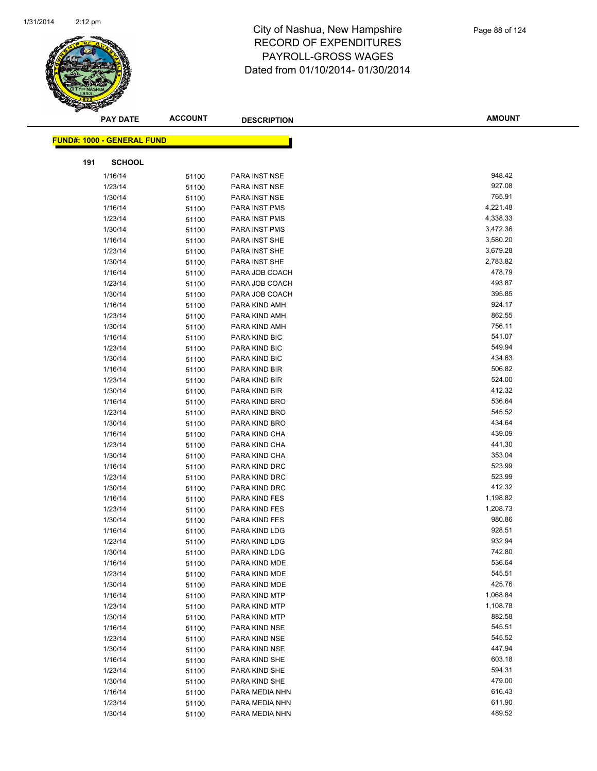

|     | <b>PAY DATE</b>                   | <b>ACCOUNT</b> | <b>DESCRIPTION</b>             | <b>AMOUNT</b>    |
|-----|-----------------------------------|----------------|--------------------------------|------------------|
|     |                                   |                |                                |                  |
|     | <b>FUND#: 1000 - GENERAL FUND</b> |                |                                |                  |
| 191 | <b>SCHOOL</b>                     |                |                                |                  |
|     | 1/16/14                           | 51100          | PARA INST NSE                  | 948.42           |
|     | 1/23/14                           | 51100          | PARA INST NSE                  | 927.08           |
|     | 1/30/14                           | 51100          | PARA INST NSE                  | 765.91           |
|     | 1/16/14                           | 51100          | PARA INST PMS                  | 4,221.48         |
|     | 1/23/14                           | 51100          | PARA INST PMS                  | 4,338.33         |
|     | 1/30/14                           | 51100          | PARA INST PMS                  | 3,472.36         |
|     | 1/16/14                           | 51100          | PARA INST SHE                  | 3,580.20         |
|     | 1/23/14                           | 51100          | PARA INST SHE                  | 3,679.28         |
|     | 1/30/14                           | 51100          | PARA INST SHE                  | 2,783.82         |
|     | 1/16/14                           | 51100          | PARA JOB COACH                 | 478.79           |
|     | 1/23/14                           | 51100          | PARA JOB COACH                 | 493.87           |
|     | 1/30/14                           | 51100          | PARA JOB COACH                 | 395.85           |
|     | 1/16/14                           | 51100          | PARA KIND AMH                  | 924.17           |
|     | 1/23/14                           | 51100          | PARA KIND AMH                  | 862.55           |
|     | 1/30/14                           | 51100          | PARA KIND AMH                  | 756.11           |
|     | 1/16/14                           | 51100          | PARA KIND BIC                  | 541.07           |
|     | 1/23/14                           | 51100          | PARA KIND BIC                  | 549.94           |
|     | 1/30/14                           | 51100          | PARA KIND BIC                  | 434.63           |
|     | 1/16/14                           | 51100          | PARA KIND BIR                  | 506.82           |
|     | 1/23/14                           | 51100          | PARA KIND BIR                  | 524.00           |
|     | 1/30/14                           | 51100          | PARA KIND BIR                  | 412.32           |
|     | 1/16/14                           | 51100          | PARA KIND BRO                  | 536.64           |
|     | 1/23/14                           | 51100          | PARA KIND BRO                  | 545.52           |
|     | 1/30/14                           | 51100          | PARA KIND BRO                  | 434.64           |
|     | 1/16/14                           | 51100          | PARA KIND CHA                  | 439.09           |
|     | 1/23/14                           | 51100          | PARA KIND CHA                  | 441.30           |
|     | 1/30/14                           | 51100          | PARA KIND CHA                  | 353.04           |
|     | 1/16/14                           | 51100          | PARA KIND DRC                  | 523.99           |
|     | 1/23/14                           | 51100          | PARA KIND DRC                  | 523.99           |
|     | 1/30/14                           | 51100          | PARA KIND DRC                  | 412.32           |
|     | 1/16/14                           | 51100          | PARA KIND FES                  | 1,198.82         |
|     | 1/23/14                           | 51100          | PARA KIND FES                  | 1,208.73         |
|     | 1/30/14                           | 51100          | PARA KIND FES                  | 980.86           |
|     | 1/16/14                           | 51100          | PARA KIND LDG                  | 928.51           |
|     | 1/23/14                           | 51100          | PARA KIND LDG                  | 932.94           |
|     | 1/30/14                           | 51100          | PARA KIND LDG                  | 742.80           |
|     | 1/16/14                           | 51100          | PARA KIND MDE                  | 536.64           |
|     | 1/23/14                           | 51100          | PARA KIND MDE                  | 545.51<br>425.76 |
|     | 1/30/14                           | 51100          | PARA KIND MDE                  | 1,068.84         |
|     | 1/16/14                           | 51100          | PARA KIND MTP<br>PARA KIND MTP | 1,108.78         |
|     | 1/23/14<br>1/30/14                | 51100          | PARA KIND MTP                  | 882.58           |
|     | 1/16/14                           | 51100<br>51100 | PARA KIND NSE                  | 545.51           |
|     | 1/23/14                           |                | PARA KIND NSE                  | 545.52           |
|     | 1/30/14                           | 51100<br>51100 | PARA KIND NSE                  | 447.94           |
|     | 1/16/14                           | 51100          | PARA KIND SHE                  | 603.18           |
|     | 1/23/14                           | 51100          | PARA KIND SHE                  | 594.31           |
|     | 1/30/14                           | 51100          | PARA KIND SHE                  | 479.00           |
|     | 1/16/14                           | 51100          | PARA MEDIA NHN                 | 616.43           |
|     | 1/23/14                           | 51100          | PARA MEDIA NHN                 | 611.90           |
|     | 1/30/14                           | 51100          | PARA MEDIA NHN                 | 489.52           |
|     |                                   |                |                                |                  |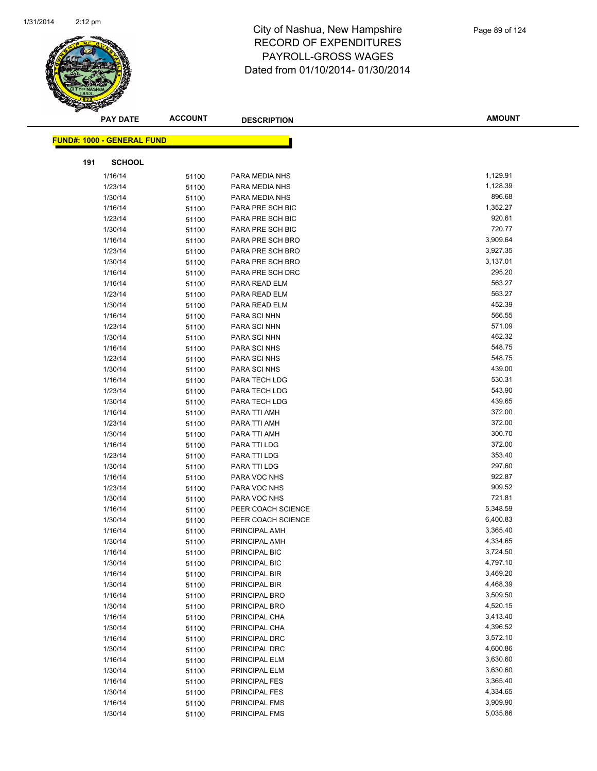

|     | <b>PAY DATE</b>                   | <b>ACCOUNT</b> | <b>DESCRIPTION</b>           | <b>AMOUNT</b>    |  |
|-----|-----------------------------------|----------------|------------------------------|------------------|--|
|     | <b>FUND#: 1000 - GENERAL FUND</b> |                |                              |                  |  |
|     |                                   |                |                              |                  |  |
| 191 | <b>SCHOOL</b>                     |                |                              |                  |  |
|     | 1/16/14                           | 51100          | PARA MEDIA NHS               | 1,129.91         |  |
|     | 1/23/14                           | 51100          | PARA MEDIA NHS               | 1,128.39         |  |
|     | 1/30/14                           | 51100          | PARA MEDIA NHS               | 896.68           |  |
|     | 1/16/14                           | 51100          | PARA PRE SCH BIC             | 1,352.27         |  |
|     | 1/23/14                           | 51100          | PARA PRE SCH BIC             | 920.61           |  |
|     | 1/30/14                           | 51100          | PARA PRE SCH BIC             | 720.77           |  |
|     | 1/16/14                           | 51100          | PARA PRE SCH BRO             | 3,909.64         |  |
|     | 1/23/14                           | 51100          | PARA PRE SCH BRO             | 3,927.35         |  |
|     | 1/30/14                           | 51100          | PARA PRE SCH BRO             | 3,137.01         |  |
|     | 1/16/14                           | 51100          | PARA PRE SCH DRC             | 295.20           |  |
|     | 1/16/14                           | 51100          | PARA READ ELM                | 563.27           |  |
|     | 1/23/14                           | 51100          | PARA READ ELM                | 563.27           |  |
|     | 1/30/14                           | 51100          | PARA READ ELM                | 452.39           |  |
|     | 1/16/14                           | 51100          | PARA SCI NHN                 | 566.55           |  |
|     | 1/23/14                           | 51100          | PARA SCI NHN                 | 571.09           |  |
|     | 1/30/14                           | 51100          | PARA SCI NHN                 | 462.32           |  |
|     | 1/16/14                           | 51100          | PARA SCI NHS                 | 548.75           |  |
|     | 1/23/14                           | 51100          | PARA SCI NHS                 | 548.75           |  |
|     | 1/30/14                           | 51100          | PARA SCI NHS                 | 439.00           |  |
|     | 1/16/14                           | 51100          | PARA TECH LDG                | 530.31           |  |
|     | 1/23/14                           | 51100          | PARA TECH LDG                | 543.90           |  |
|     | 1/30/14                           | 51100          | PARA TECH LDG                | 439.65           |  |
|     | 1/16/14                           | 51100          | PARA TTI AMH                 | 372.00           |  |
|     | 1/23/14                           | 51100          | PARA TTI AMH                 | 372.00<br>300.70 |  |
|     | 1/30/14                           | 51100          | PARA TTI AMH                 | 372.00           |  |
|     | 1/16/14                           | 51100          | PARA TTI LDG                 | 353.40           |  |
|     | 1/23/14<br>1/30/14                | 51100<br>51100 | PARA TTI LDG<br>PARA TTI LDG | 297.60           |  |
|     | 1/16/14                           | 51100          | PARA VOC NHS                 | 922.87           |  |
|     | 1/23/14                           | 51100          | PARA VOC NHS                 | 909.52           |  |
|     | 1/30/14                           | 51100          | PARA VOC NHS                 | 721.81           |  |
|     | 1/16/14                           | 51100          | PEER COACH SCIENCE           | 5,348.59         |  |
|     | 1/30/14                           | 51100          | PEER COACH SCIENCE           | 6,400.83         |  |
|     | 1/16/14                           | 51100          | PRINCIPAL AMH                | 3,365.40         |  |
|     | 1/30/14                           | 51100          | PRINCIPAL AMH                | 4,334.65         |  |
|     | 1/16/14                           | 51100          | PRINCIPAL BIC                | 3,724.50         |  |
|     | 1/30/14                           | 51100          | PRINCIPAL BIC                | 4,797.10         |  |
|     | 1/16/14                           | 51100          | PRINCIPAL BIR                | 3,469.20         |  |
|     | 1/30/14                           | 51100          | PRINCIPAL BIR                | 4,468.39         |  |
|     | 1/16/14                           | 51100          | PRINCIPAL BRO                | 3,509.50         |  |
|     | 1/30/14                           | 51100          | PRINCIPAL BRO                | 4,520.15         |  |
|     | 1/16/14                           | 51100          | PRINCIPAL CHA                | 3,413.40         |  |
|     | 1/30/14                           | 51100          | PRINCIPAL CHA                | 4,396.52         |  |
|     | 1/16/14                           | 51100          | PRINCIPAL DRC                | 3,572.10         |  |
|     | 1/30/14                           | 51100          | PRINCIPAL DRC                | 4,600.86         |  |
|     | 1/16/14                           | 51100          | PRINCIPAL ELM                | 3,630.60         |  |
|     | 1/30/14                           | 51100          | PRINCIPAL ELM                | 3,630.60         |  |
|     | 1/16/14                           | 51100          | PRINCIPAL FES                | 3,365.40         |  |
|     | 1/30/14                           | 51100          | PRINCIPAL FES                | 4,334.65         |  |
|     | 1/16/14                           | 51100          | PRINCIPAL FMS                | 3,909.90         |  |
|     | 1/30/14                           | 51100          | PRINCIPAL FMS                | 5,035.86         |  |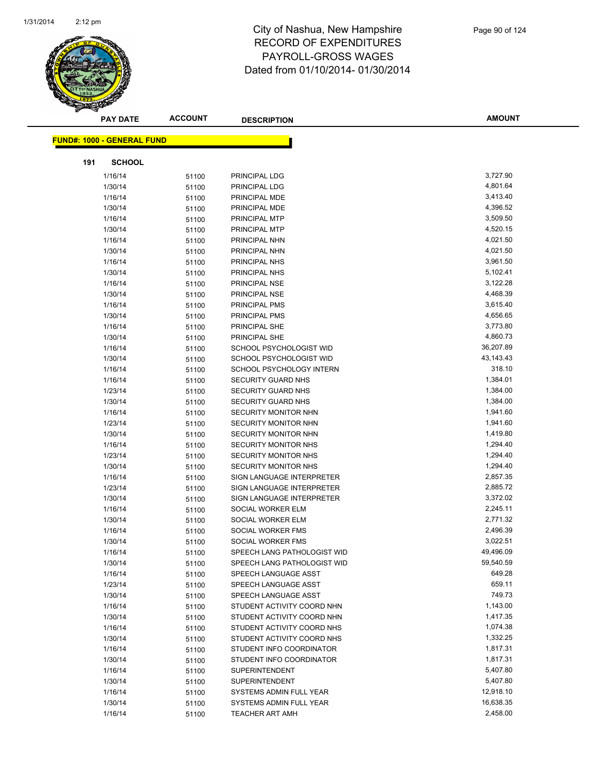

|     | <b>PAY DATE</b>                   | <b>ACCOUNT</b> | <b>DESCRIPTION</b>          | <b>AMOUNT</b> |
|-----|-----------------------------------|----------------|-----------------------------|---------------|
|     | <b>FUND#: 1000 - GENERAL FUND</b> |                |                             |               |
|     |                                   |                |                             |               |
| 191 | <b>SCHOOL</b>                     |                |                             |               |
|     | 1/16/14                           | 51100          | PRINCIPAL LDG               | 3,727.90      |
|     | 1/30/14                           | 51100          | PRINCIPAL LDG               | 4,801.64      |
|     | 1/16/14                           | 51100          | PRINCIPAL MDE               | 3,413.40      |
|     | 1/30/14                           | 51100          | PRINCIPAL MDE               | 4,396.52      |
|     | 1/16/14                           | 51100          | PRINCIPAL MTP               | 3,509.50      |
|     | 1/30/14                           | 51100          | PRINCIPAL MTP               | 4,520.15      |
|     | 1/16/14                           | 51100          | PRINCIPAL NHN               | 4,021.50      |
|     | 1/30/14                           | 51100          | PRINCIPAL NHN               | 4,021.50      |
|     | 1/16/14                           | 51100          | PRINCIPAL NHS               | 3,961.50      |
|     | 1/30/14                           | 51100          | PRINCIPAL NHS               | 5,102.41      |
|     | 1/16/14                           | 51100          | PRINCIPAL NSE               | 3,122.28      |
|     | 1/30/14                           | 51100          | PRINCIPAL NSE               | 4,468.39      |
|     | 1/16/14                           | 51100          | PRINCIPAL PMS               | 3,615.40      |
|     | 1/30/14                           | 51100          | PRINCIPAL PMS               | 4,656.65      |
|     | 1/16/14                           | 51100          | PRINCIPAL SHE               | 3,773.80      |
|     | 1/30/14                           | 51100          | PRINCIPAL SHE               | 4,860.73      |
|     | 1/16/14                           | 51100          | SCHOOL PSYCHOLOGIST WID     | 36,207.89     |
|     | 1/30/14                           | 51100          | SCHOOL PSYCHOLOGIST WID     | 43, 143. 43   |
|     | 1/16/14                           | 51100          | SCHOOL PSYCHOLOGY INTERN    | 318.10        |
|     | 1/16/14                           | 51100          | SECURITY GUARD NHS          | 1,384.01      |
|     | 1/23/14                           | 51100          | SECURITY GUARD NHS          | 1,384.00      |
|     | 1/30/14                           | 51100          | SECURITY GUARD NHS          | 1,384.00      |
|     | 1/16/14                           | 51100          | SECURITY MONITOR NHN        | 1,941.60      |
|     | 1/23/14                           | 51100          | SECURITY MONITOR NHN        | 1,941.60      |
|     | 1/30/14                           | 51100          | SECURITY MONITOR NHN        | 1,419.80      |
|     | 1/16/14                           | 51100          | <b>SECURITY MONITOR NHS</b> | 1,294.40      |
|     | 1/23/14                           | 51100          | SECURITY MONITOR NHS        | 1,294.40      |
|     | 1/30/14                           | 51100          | <b>SECURITY MONITOR NHS</b> | 1,294.40      |
|     | 1/16/14                           | 51100          | SIGN LANGUAGE INTERPRETER   | 2,857.35      |
|     | 1/23/14                           | 51100          | SIGN LANGUAGE INTERPRETER   | 2,885.72      |
|     | 1/30/14                           | 51100          | SIGN LANGUAGE INTERPRETER   | 3,372.02      |
|     | 1/16/14                           | 51100          | SOCIAL WORKER ELM           | 2,245.11      |
|     | 1/30/14                           | 51100          | SOCIAL WORKER ELM           | 2,771.32      |
|     | 1/16/14                           | 51100          | SOCIAL WORKER FMS           | 2,496.39      |
|     | 1/30/14                           | 51100          | SOCIAL WORKER FMS           | 3,022.51      |
|     | 1/16/14                           | 51100          | SPEECH LANG PATHOLOGIST WID | 49,496.09     |
|     | 1/30/14                           | 51100          | SPEECH LANG PATHOLOGIST WID | 59,540.59     |
|     | 1/16/14                           | 51100          | SPEECH LANGUAGE ASST        | 649.28        |
|     | 1/23/14                           | 51100          | SPEECH LANGUAGE ASST        | 659.11        |
|     | 1/30/14                           | 51100          | SPEECH LANGUAGE ASST        | 749.73        |
|     | 1/16/14                           | 51100          | STUDENT ACTIVITY COORD NHN  | 1,143.00      |
|     | 1/30/14                           | 51100          | STUDENT ACTIVITY COORD NHN  | 1,417.35      |
|     | 1/16/14                           | 51100          | STUDENT ACTIVITY COORD NHS  | 1,074.38      |
|     | 1/30/14                           | 51100          | STUDENT ACTIVITY COORD NHS  | 1,332.25      |
|     | 1/16/14                           | 51100          | STUDENT INFO COORDINATOR    | 1,817.31      |
|     | 1/30/14                           | 51100          | STUDENT INFO COORDINATOR    | 1,817.31      |
|     | 1/16/14                           | 51100          | <b>SUPERINTENDENT</b>       | 5,407.80      |
|     | 1/30/14                           | 51100          | <b>SUPERINTENDENT</b>       | 5,407.80      |
|     | 1/16/14                           | 51100          | SYSTEMS ADMIN FULL YEAR     | 12,918.10     |
|     | 1/30/14                           | 51100          | SYSTEMS ADMIN FULL YEAR     | 16,638.35     |
|     | 1/16/14                           | 51100          | <b>TEACHER ART AMH</b>      | 2,458.00      |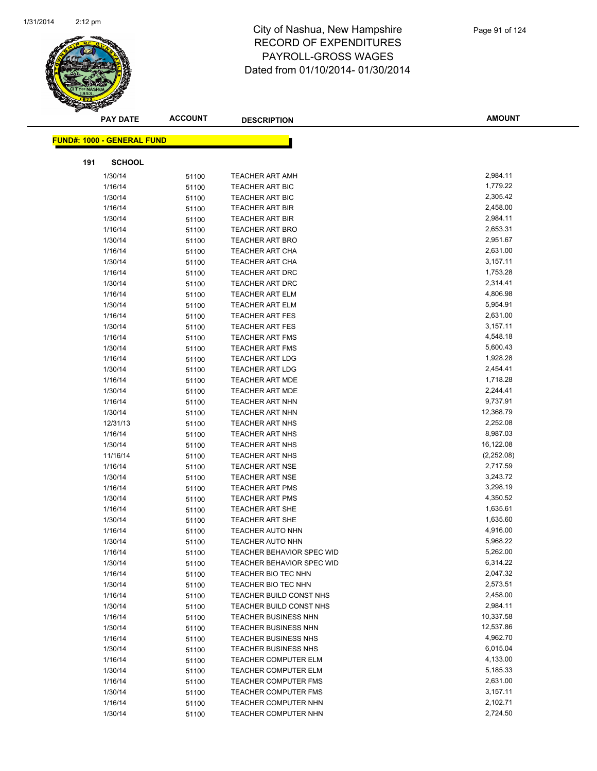

|     | <b>PAY DATE</b>                   | <b>ACCOUNT</b> | <b>DESCRIPTION</b>                                         | <b>AMOUNT</b>        |
|-----|-----------------------------------|----------------|------------------------------------------------------------|----------------------|
|     | <b>FUND#: 1000 - GENERAL FUND</b> |                |                                                            |                      |
|     |                                   |                |                                                            |                      |
| 191 | <b>SCHOOL</b>                     |                |                                                            |                      |
|     | 1/30/14                           | 51100          | <b>TEACHER ART AMH</b>                                     | 2,984.11             |
|     | 1/16/14                           | 51100          | <b>TEACHER ART BIC</b>                                     | 1,779.22             |
|     | 1/30/14                           | 51100          | <b>TEACHER ART BIC</b>                                     | 2,305.42             |
|     | 1/16/14                           | 51100          | <b>TEACHER ART BIR</b>                                     | 2,458.00             |
|     | 1/30/14                           | 51100          | <b>TEACHER ART BIR</b>                                     | 2,984.11             |
|     | 1/16/14                           | 51100          | <b>TEACHER ART BRO</b>                                     | 2,653.31             |
|     | 1/30/14                           | 51100          | <b>TEACHER ART BRO</b>                                     | 2,951.67             |
|     | 1/16/14                           | 51100          | <b>TEACHER ART CHA</b>                                     | 2,631.00             |
|     | 1/30/14                           | 51100          | <b>TEACHER ART CHA</b>                                     | 3,157.11             |
|     | 1/16/14                           | 51100          | <b>TEACHER ART DRC</b>                                     | 1,753.28             |
|     | 1/30/14                           | 51100          | <b>TEACHER ART DRC</b>                                     | 2,314.41             |
|     | 1/16/14                           | 51100          | <b>TEACHER ART ELM</b>                                     | 4,806.98             |
|     | 1/30/14                           | 51100          | <b>TEACHER ART ELM</b>                                     | 5,954.91             |
|     | 1/16/14                           | 51100          | <b>TEACHER ART FES</b>                                     | 2,631.00             |
|     | 1/30/14                           | 51100          | <b>TEACHER ART FES</b>                                     | 3,157.11             |
|     | 1/16/14                           | 51100          | <b>TEACHER ART FMS</b>                                     | 4,548.18             |
|     | 1/30/14                           | 51100          | <b>TEACHER ART FMS</b>                                     | 5,600.43             |
|     | 1/16/14                           | 51100          | <b>TEACHER ART LDG</b>                                     | 1,928.28             |
|     | 1/30/14                           | 51100          | <b>TEACHER ART LDG</b>                                     | 2,454.41             |
|     | 1/16/14                           | 51100          | <b>TEACHER ART MDE</b>                                     | 1,718.28             |
|     | 1/30/14                           | 51100          | <b>TEACHER ART MDE</b>                                     | 2,244.41             |
|     | 1/16/14                           | 51100          | <b>TEACHER ART NHN</b>                                     | 9,737.91             |
|     | 1/30/14                           | 51100          | <b>TEACHER ART NHN</b>                                     | 12,368.79            |
|     | 12/31/13                          | 51100          | <b>TEACHER ART NHS</b>                                     | 2,252.08             |
|     | 1/16/14                           | 51100          | <b>TEACHER ART NHS</b>                                     | 8,987.03             |
|     | 1/30/14                           | 51100          | <b>TEACHER ART NHS</b>                                     | 16,122.08            |
|     | 11/16/14                          | 51100          | <b>TEACHER ART NHS</b>                                     | (2,252.08)           |
|     | 1/16/14                           | 51100          | <b>TEACHER ART NSE</b>                                     | 2,717.59             |
|     | 1/30/14                           | 51100          | <b>TEACHER ART NSE</b>                                     | 3,243.72             |
|     | 1/16/14                           | 51100          | <b>TEACHER ART PMS</b>                                     | 3,298.19             |
|     | 1/30/14                           | 51100          | <b>TEACHER ART PMS</b>                                     | 4,350.52             |
|     | 1/16/14                           | 51100          | <b>TEACHER ART SHE</b>                                     | 1,635.61             |
|     | 1/30/14                           | 51100          | <b>TEACHER ART SHE</b>                                     | 1,635.60             |
|     | 1/16/14                           | 51100          | <b>TEACHER AUTO NHN</b>                                    | 4,916.00             |
|     | 1/30/14                           | 51100          | <b>TEACHER AUTO NHN</b>                                    | 5,968.22<br>5,262.00 |
|     | 1/16/14                           | 51100          | TEACHER BEHAVIOR SPEC WID                                  | 6,314.22             |
|     | 1/30/14                           | 51100          | <b>TEACHER BEHAVIOR SPEC WID</b>                           | 2,047.32             |
|     | 1/16/14                           | 51100          | TEACHER BIO TEC NHN                                        | 2,573.51             |
|     | 1/30/14                           | 51100          | TEACHER BIO TEC NHN<br>TEACHER BUILD CONST NHS             | 2,458.00             |
|     | 1/16/14                           | 51100          |                                                            | 2,984.11             |
|     | 1/30/14<br>1/16/14                | 51100          | TEACHER BUILD CONST NHS<br><b>TEACHER BUSINESS NHN</b>     | 10,337.58            |
|     | 1/30/14                           | 51100          | <b>TEACHER BUSINESS NHN</b>                                | 12,537.86            |
|     |                                   | 51100          |                                                            | 4,962.70             |
|     | 1/16/14<br>1/30/14                | 51100          | <b>TEACHER BUSINESS NHS</b><br><b>TEACHER BUSINESS NHS</b> | 6,015.04             |
|     |                                   | 51100          | TEACHER COMPUTER ELM                                       | 4,133.00             |
|     | 1/16/14<br>1/30/14                | 51100          |                                                            | 5,185.33             |
|     |                                   | 51100          | <b>TEACHER COMPUTER ELM</b><br><b>TEACHER COMPUTER FMS</b> | 2,631.00             |
|     | 1/16/14<br>1/30/14                | 51100          | TEACHER COMPUTER FMS                                       | 3,157.11             |
|     | 1/16/14                           | 51100          | TEACHER COMPUTER NHN                                       | 2,102.71             |
|     | 1/30/14                           | 51100          | TEACHER COMPUTER NHN                                       | 2,724.50             |
|     |                                   | 51100          |                                                            |                      |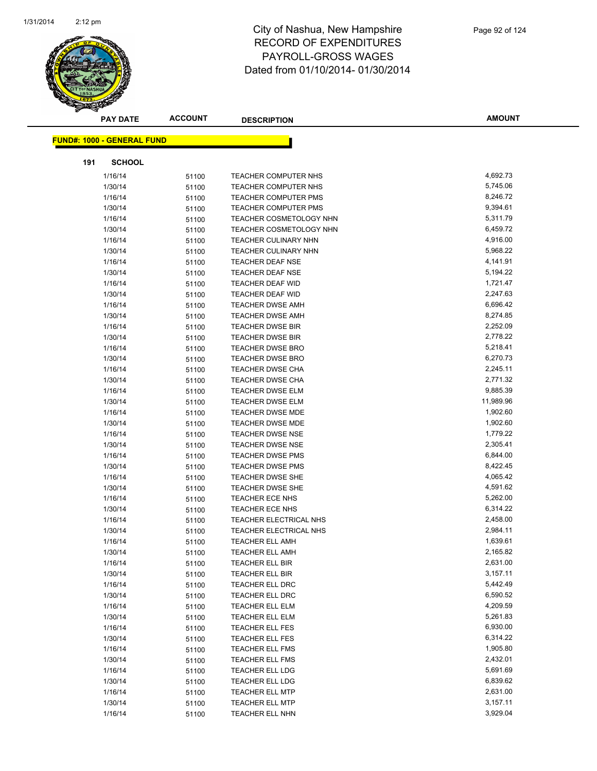

|     | <b>PAY DATE</b>                   | <b>ACCOUNT</b> | <b>DESCRIPTION</b>          | <b>AMOUNT</b> |
|-----|-----------------------------------|----------------|-----------------------------|---------------|
|     | <b>FUND#: 1000 - GENERAL FUND</b> |                |                             |               |
| 191 | <b>SCHOOL</b>                     |                |                             |               |
|     | 1/16/14                           | 51100          | TEACHER COMPUTER NHS        | 4,692.73      |
|     | 1/30/14                           | 51100          | TEACHER COMPUTER NHS        | 5,745.06      |
|     | 1/16/14                           | 51100          | <b>TEACHER COMPUTER PMS</b> | 8,246.72      |
|     | 1/30/14                           | 51100          | <b>TEACHER COMPUTER PMS</b> | 9,394.61      |
|     | 1/16/14                           | 51100          | TEACHER COSMETOLOGY NHN     | 5,311.79      |
|     | 1/30/14                           | 51100          | TEACHER COSMETOLOGY NHN     | 6,459.72      |
|     | 1/16/14                           | 51100          | <b>TEACHER CULINARY NHN</b> | 4,916.00      |
|     | 1/30/14                           | 51100          | <b>TEACHER CULINARY NHN</b> | 5,968.22      |
|     | 1/16/14                           | 51100          | <b>TEACHER DEAF NSE</b>     | 4,141.91      |
|     | 1/30/14                           | 51100          | <b>TEACHER DEAF NSE</b>     | 5,194.22      |
|     | 1/16/14                           | 51100          | <b>TEACHER DEAF WID</b>     | 1,721.47      |
|     | 1/30/14                           | 51100          | <b>TEACHER DEAF WID</b>     | 2,247.63      |
|     | 1/16/14                           | 51100          | <b>TEACHER DWSE AMH</b>     | 6,696.42      |
|     | 1/30/14                           | 51100          | TEACHER DWSE AMH            | 8,274.85      |
|     | 1/16/14                           | 51100          | <b>TEACHER DWSE BIR</b>     | 2,252.09      |
|     | 1/30/14                           | 51100          | <b>TEACHER DWSE BIR</b>     | 2,778.22      |
|     | 1/16/14                           | 51100          | <b>TEACHER DWSE BRO</b>     | 5,218.41      |
|     | 1/30/14                           | 51100          | <b>TEACHER DWSE BRO</b>     | 6,270.73      |
|     | 1/16/14                           | 51100          | TEACHER DWSE CHA            | 2,245.11      |
|     | 1/30/14                           | 51100          | <b>TEACHER DWSE CHA</b>     | 2,771.32      |
|     | 1/16/14                           | 51100          | <b>TEACHER DWSE ELM</b>     | 9,885.39      |
|     | 1/30/14                           | 51100          | <b>TEACHER DWSE ELM</b>     | 11,989.96     |
|     | 1/16/14                           | 51100          | TEACHER DWSE MDE            | 1,902.60      |
|     | 1/30/14                           | 51100          | TEACHER DWSE MDE            | 1,902.60      |
|     | 1/16/14                           | 51100          | <b>TEACHER DWSE NSE</b>     | 1,779.22      |
|     | 1/30/14                           | 51100          | <b>TEACHER DWSE NSE</b>     | 2,305.41      |
|     | 1/16/14                           | 51100          | <b>TEACHER DWSE PMS</b>     | 6,844.00      |
|     | 1/30/14                           | 51100          | <b>TEACHER DWSE PMS</b>     | 8,422.45      |
|     | 1/16/14                           | 51100          | <b>TEACHER DWSE SHE</b>     | 4,065.42      |
|     | 1/30/14                           | 51100          | <b>TEACHER DWSE SHE</b>     | 4,591.62      |
|     | 1/16/14                           | 51100          | <b>TEACHER ECE NHS</b>      | 5,262.00      |
|     | 1/30/14                           | 51100          | <b>TEACHER ECE NHS</b>      | 6,314.22      |
|     | 1/16/14                           | 51100          | TEACHER ELECTRICAL NHS      | 2,458.00      |
|     | 1/30/14                           | 51100          | TEACHER ELECTRICAL NHS      | 2,984.11      |
|     | 1/16/14                           | 51100          | <b>TEACHER ELL AMH</b>      | 1,639.61      |
|     | 1/30/14                           | 51100          | TEACHER ELL AMH             | 2,165.82      |
|     | 1/16/14                           | 51100          | TEACHER ELL BIR             | 2,631.00      |
|     | 1/30/14                           | 51100          | TEACHER ELL BIR             | 3,157.11      |
|     | 1/16/14                           | 51100          | TEACHER ELL DRC             | 5,442.49      |
|     | 1/30/14                           | 51100          | <b>TEACHER ELL DRC</b>      | 6,590.52      |
|     | 1/16/14                           | 51100          | TEACHER ELL ELM             | 4,209.59      |
|     | 1/30/14                           | 51100          | TEACHER ELL ELM             | 5,261.83      |
|     | 1/16/14                           | 51100          | TEACHER ELL FES             | 6,930.00      |
|     | 1/30/14                           | 51100          | TEACHER ELL FES             | 6,314.22      |
|     | 1/16/14                           | 51100          | <b>TEACHER ELL FMS</b>      | 1,905.80      |
|     | 1/30/14                           | 51100          | TEACHER ELL FMS             | 2,432.01      |
|     | 1/16/14                           | 51100          | TEACHER ELL LDG             | 5,691.69      |
|     | 1/30/14                           | 51100          | TEACHER ELL LDG             | 6,839.62      |
|     | 1/16/14                           | 51100          | <b>TEACHER ELL MTP</b>      | 2,631.00      |
|     | 1/30/14                           | 51100          | TEACHER ELL MTP             | 3,157.11      |
|     | 1/16/14                           | 51100          | <b>TEACHER ELL NHN</b>      | 3,929.04      |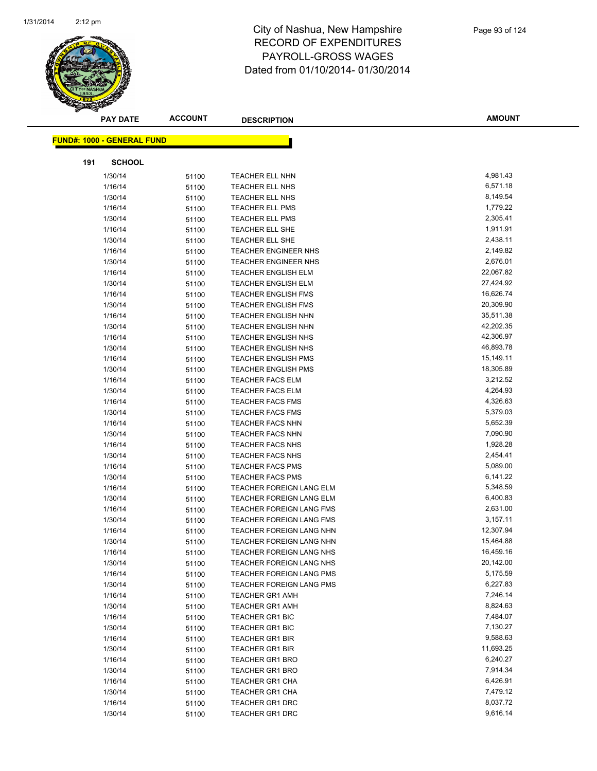

|     | <b>PAY DATE</b>                    | <b>ACCOUNT</b> | <b>DESCRIPTION</b>                                       | <b>AMOUNT</b>          |
|-----|------------------------------------|----------------|----------------------------------------------------------|------------------------|
|     | <u> FUND#: 1000 - GENERAL FUND</u> |                |                                                          |                        |
|     |                                    |                |                                                          |                        |
| 191 | <b>SCHOOL</b>                      |                |                                                          | 4,981.43               |
|     | 1/30/14                            | 51100          | TEACHER ELL NHN                                          |                        |
|     | 1/16/14                            | 51100          | TEACHER ELL NHS                                          | 6,571.18               |
|     | 1/30/14                            | 51100          | TEACHER ELL NHS                                          | 8,149.54               |
|     | 1/16/14                            | 51100          | <b>TEACHER ELL PMS</b>                                   | 1,779.22               |
|     | 1/30/14                            | 51100          | <b>TEACHER ELL PMS</b>                                   | 2,305.41               |
|     | 1/16/14                            | 51100          | TEACHER ELL SHE                                          | 1,911.91               |
|     | 1/30/14                            | 51100          | TEACHER ELL SHE                                          | 2,438.11               |
|     | 1/16/14                            | 51100          | TEACHER ENGINEER NHS                                     | 2,149.82               |
|     | 1/30/14                            | 51100          | TEACHER ENGINEER NHS                                     | 2,676.01               |
|     | 1/16/14                            | 51100          | <b>TEACHER ENGLISH ELM</b>                               | 22,067.82              |
|     | 1/30/14                            | 51100          | <b>TEACHER ENGLISH ELM</b>                               | 27,424.92<br>16,626.74 |
|     | 1/16/14                            | 51100          | <b>TEACHER ENGLISH FMS</b><br><b>TEACHER ENGLISH FMS</b> | 20,309.90              |
|     | 1/30/14<br>1/16/14                 | 51100          | <b>TEACHER ENGLISH NHN</b>                               | 35,511.38              |
|     | 1/30/14                            | 51100          | <b>TEACHER ENGLISH NHN</b>                               | 42,202.35              |
|     | 1/16/14                            | 51100          | <b>TEACHER ENGLISH NHS</b>                               | 42,306.97              |
|     | 1/30/14                            | 51100          | TEACHER ENGLISH NHS                                      | 46,893.78              |
|     | 1/16/14                            | 51100<br>51100 | <b>TEACHER ENGLISH PMS</b>                               | 15,149.11              |
|     | 1/30/14                            |                | <b>TEACHER ENGLISH PMS</b>                               | 18,305.89              |
|     | 1/16/14                            | 51100<br>51100 | <b>TEACHER FACS ELM</b>                                  | 3,212.52               |
|     | 1/30/14                            | 51100          | <b>TEACHER FACS ELM</b>                                  | 4,264.93               |
|     | 1/16/14                            | 51100          | <b>TEACHER FACS FMS</b>                                  | 4,326.63               |
|     | 1/30/14                            | 51100          | <b>TEACHER FACS FMS</b>                                  | 5,379.03               |
|     | 1/16/14                            | 51100          | <b>TEACHER FACS NHN</b>                                  | 5,652.39               |
|     | 1/30/14                            | 51100          | <b>TEACHER FACS NHN</b>                                  | 7,090.90               |
|     | 1/16/14                            | 51100          | <b>TEACHER FACS NHS</b>                                  | 1,928.28               |
|     | 1/30/14                            | 51100          | <b>TEACHER FACS NHS</b>                                  | 2,454.41               |
|     | 1/16/14                            | 51100          | <b>TEACHER FACS PMS</b>                                  | 5,089.00               |
|     | 1/30/14                            | 51100          | <b>TEACHER FACS PMS</b>                                  | 6,141.22               |
|     | 1/16/14                            | 51100          | TEACHER FOREIGN LANG ELM                                 | 5,348.59               |
|     | 1/30/14                            | 51100          | TEACHER FOREIGN LANG ELM                                 | 6,400.83               |
|     | 1/16/14                            | 51100          | <b>TEACHER FOREIGN LANG FMS</b>                          | 2,631.00               |
|     | 1/30/14                            | 51100          | <b>TEACHER FOREIGN LANG FMS</b>                          | 3,157.11               |
|     | 1/16/14                            | 51100          | TEACHER FOREIGN LANG NHN                                 | 12,307.94              |
|     | 1/30/14                            | 51100          | TEACHER FOREIGN LANG NHN                                 | 15,464.88              |
|     | 1/16/14                            | 51100          | TEACHER FOREIGN LANG NHS                                 | 16,459.16              |
|     | 1/30/14                            | 51100          | <b>TEACHER FOREIGN LANG NHS</b>                          | 20,142.00              |
|     | 1/16/14                            | 51100          | <b>TEACHER FOREIGN LANG PMS</b>                          | 5,175.59               |
|     | 1/30/14                            | 51100          | TEACHER FOREIGN LANG PMS                                 | 6,227.83               |
|     | 1/16/14                            | 51100          | <b>TEACHER GR1 AMH</b>                                   | 7,246.14               |
|     | 1/30/14                            | 51100          | <b>TEACHER GR1 AMH</b>                                   | 8,824.63               |
|     | 1/16/14                            | 51100          | <b>TEACHER GR1 BIC</b>                                   | 7,484.07               |
|     | 1/30/14                            | 51100          | <b>TEACHER GR1 BIC</b>                                   | 7,130.27               |
|     | 1/16/14                            | 51100          | <b>TEACHER GR1 BIR</b>                                   | 9,588.63               |
|     | 1/30/14                            | 51100          | <b>TEACHER GR1 BIR</b>                                   | 11,693.25              |
|     | 1/16/14                            | 51100          | <b>TEACHER GR1 BRO</b>                                   | 6,240.27               |
|     | 1/30/14                            | 51100          | <b>TEACHER GR1 BRO</b>                                   | 7,914.34               |
|     | 1/16/14                            | 51100          | <b>TEACHER GR1 CHA</b>                                   | 6,426.91               |
|     | 1/30/14                            | 51100          | <b>TEACHER GR1 CHA</b>                                   | 7,479.12               |
|     | 1/16/14                            | 51100          | <b>TEACHER GR1 DRC</b>                                   | 8,037.72               |
|     | 1/30/14                            | 51100          | <b>TEACHER GR1 DRC</b>                                   | 9,616.14               |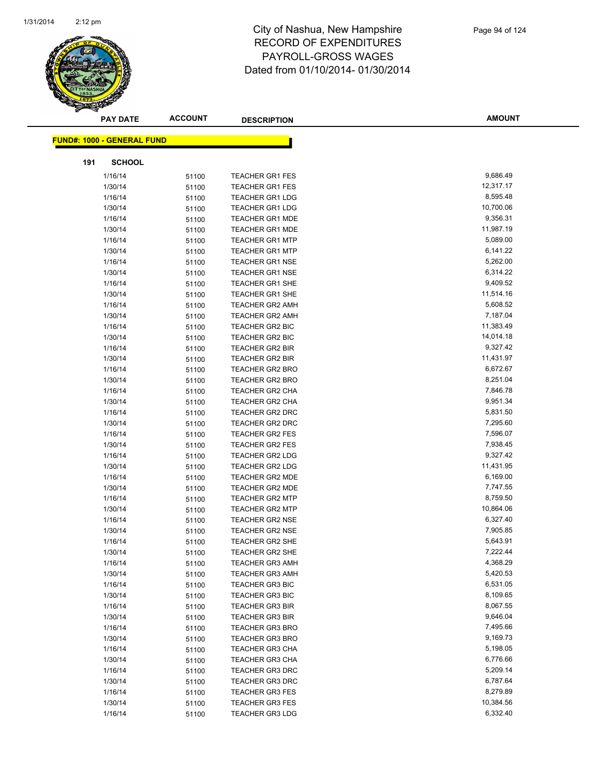

|     | <b>PAY DATE</b>                   | <b>ACCOUNT</b> | <b>DESCRIPTION</b>                               | <b>AMOUNT</b>         |
|-----|-----------------------------------|----------------|--------------------------------------------------|-----------------------|
|     | <b>FUND#: 1000 - GENERAL FUND</b> |                |                                                  |                       |
|     |                                   |                |                                                  |                       |
| 191 | <b>SCHOOL</b>                     |                |                                                  |                       |
|     | 1/16/14                           | 51100          | <b>TEACHER GR1 FES</b>                           | 9,686.49              |
|     | 1/30/14                           | 51100          | <b>TEACHER GR1 FES</b>                           | 12,317.17             |
|     | 1/16/14                           | 51100          | <b>TEACHER GR1 LDG</b>                           | 8,595.48              |
|     | 1/30/14                           | 51100          | <b>TEACHER GR1 LDG</b>                           | 10,700.06             |
|     | 1/16/14                           | 51100          | <b>TEACHER GR1 MDE</b>                           | 9,356.31              |
|     | 1/30/14                           | 51100          | <b>TEACHER GR1 MDE</b>                           | 11,987.19             |
|     | 1/16/14                           | 51100          | <b>TEACHER GR1 MTP</b>                           | 5,089.00              |
|     | 1/30/14                           | 51100          | <b>TEACHER GR1 MTP</b>                           | 6,141.22              |
|     | 1/16/14                           | 51100          | <b>TEACHER GR1 NSE</b>                           | 5,262.00              |
|     | 1/30/14                           | 51100          | <b>TEACHER GR1 NSE</b>                           | 6,314.22              |
|     | 1/16/14                           | 51100          | <b>TEACHER GR1 SHE</b>                           | 9,409.52              |
|     | 1/30/14                           | 51100          | <b>TEACHER GR1 SHE</b>                           | 11,514.16             |
|     | 1/16/14                           | 51100          | <b>TEACHER GR2 AMH</b>                           | 5,608.52              |
|     | 1/30/14                           | 51100          | <b>TEACHER GR2 AMH</b>                           | 7,187.04              |
|     | 1/16/14                           | 51100          | TEACHER GR2 BIC                                  | 11,383.49             |
|     | 1/30/14                           | 51100          | <b>TEACHER GR2 BIC</b>                           | 14,014.18             |
|     | 1/16/14                           | 51100          | <b>TEACHER GR2 BIR</b>                           | 9,327.42              |
|     | 1/30/14                           | 51100          | TEACHER GR2 BIR                                  | 11,431.97             |
|     | 1/16/14                           | 51100          | <b>TEACHER GR2 BRO</b>                           | 6,672.67              |
|     | 1/30/14                           | 51100          | <b>TEACHER GR2 BRO</b>                           | 8,251.04              |
|     | 1/16/14                           | 51100          | <b>TEACHER GR2 CHA</b>                           | 7,846.78              |
|     | 1/30/14                           | 51100          | <b>TEACHER GR2 CHA</b>                           | 9,951.34              |
|     | 1/16/14                           | 51100          | <b>TEACHER GR2 DRC</b>                           | 5,831.50              |
|     | 1/30/14                           | 51100          | TEACHER GR2 DRC                                  | 7,295.60              |
|     | 1/16/14                           | 51100          | <b>TEACHER GR2 FES</b>                           | 7,596.07              |
|     | 1/30/14                           | 51100          | <b>TEACHER GR2 FES</b>                           | 7,938.45              |
|     | 1/16/14                           | 51100          | <b>TEACHER GR2 LDG</b>                           | 9,327.42              |
|     | 1/30/14                           | 51100          | <b>TEACHER GR2 LDG</b>                           | 11,431.95             |
|     | 1/16/14                           | 51100          | TEACHER GR2 MDE                                  | 6,169.00              |
|     | 1/30/14                           | 51100          | <b>TEACHER GR2 MDE</b>                           | 7,747.55              |
|     | 1/16/14                           | 51100          | <b>TEACHER GR2 MTP</b>                           | 8,759.50<br>10,864.06 |
|     | 1/30/14                           | 51100          | <b>TEACHER GR2 MTP</b>                           | 6,327.40              |
|     | 1/16/14                           | 51100          | <b>TEACHER GR2 NSE</b>                           | 7,905.85              |
|     | 1/30/14                           | 51100          | <b>TEACHER GR2 NSE</b>                           | 5,643.91              |
|     | 1/16/14<br>1/30/14                | 51100          | <b>TEACHER GR2 SHE</b><br><b>TEACHER GR2 SHE</b> | 7,222.44              |
|     | 1/16/14                           | 51100          |                                                  | 4,368.29              |
|     |                                   | 51100          | <b>TEACHER GR3 AMH</b><br><b>TEACHER GR3 AMH</b> | 5,420.53              |
|     | 1/30/14                           | 51100          | <b>TEACHER GR3 BIC</b>                           | 6,531.05              |
|     | 1/16/14<br>1/30/14                | 51100          | <b>TEACHER GR3 BIC</b>                           | 8,109.65              |
|     | 1/16/14                           | 51100          | TEACHER GR3 BIR                                  | 8,067.55              |
|     | 1/30/14                           | 51100          | <b>TEACHER GR3 BIR</b>                           | 9,646.04              |
|     | 1/16/14                           | 51100          | <b>TEACHER GR3 BRO</b>                           | 7,495.66              |
|     | 1/30/14                           | 51100<br>51100 | <b>TEACHER GR3 BRO</b>                           | 9,169.73              |
|     | 1/16/14                           |                | <b>TEACHER GR3 CHA</b>                           | 5,198.05              |
|     | 1/30/14                           | 51100<br>51100 | <b>TEACHER GR3 CHA</b>                           | 6,776.66              |
|     | 1/16/14                           |                | <b>TEACHER GR3 DRC</b>                           | 5,209.14              |
|     | 1/30/14                           | 51100<br>51100 | <b>TEACHER GR3 DRC</b>                           | 6,787.64              |
|     | 1/16/14                           |                | <b>TEACHER GR3 FES</b>                           | 8,279.89              |
|     | 1/30/14                           | 51100<br>51100 | <b>TEACHER GR3 FES</b>                           | 10,384.56             |
|     | 1/16/14                           | 51100          | <b>TEACHER GR3 LDG</b>                           | 6,332.40              |
|     |                                   |                |                                                  |                       |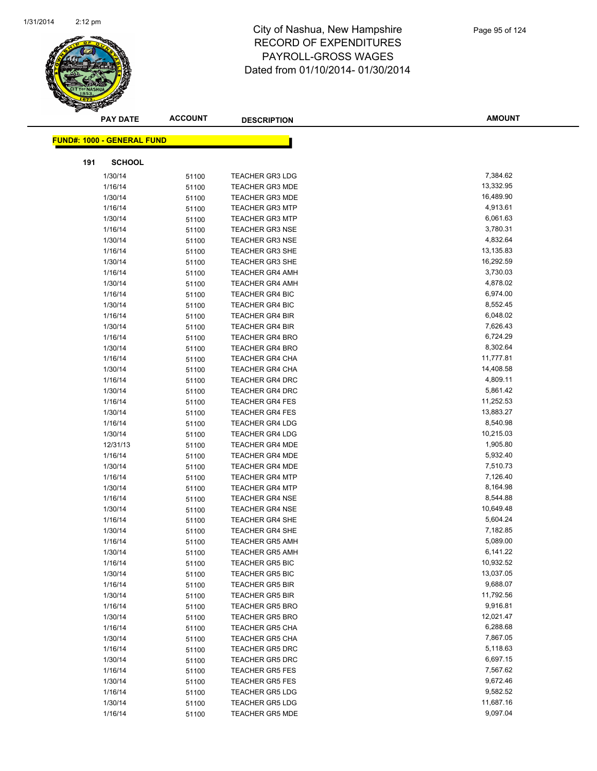

|     | <b>PAY DATE</b>                   | <b>ACCOUNT</b> | <b>DESCRIPTION</b>                               | <b>AMOUNT</b>        |
|-----|-----------------------------------|----------------|--------------------------------------------------|----------------------|
|     | <b>FUND#: 1000 - GENERAL FUND</b> |                |                                                  |                      |
|     |                                   |                |                                                  |                      |
| 191 | <b>SCHOOL</b>                     |                |                                                  |                      |
|     | 1/30/14                           | 51100          | <b>TEACHER GR3 LDG</b>                           | 7,384.62             |
|     | 1/16/14                           | 51100          | <b>TEACHER GR3 MDE</b>                           | 13,332.95            |
|     | 1/30/14                           | 51100          | <b>TEACHER GR3 MDE</b>                           | 16,489.90            |
|     | 1/16/14                           | 51100          | <b>TEACHER GR3 MTP</b>                           | 4,913.61             |
|     | 1/30/14                           | 51100          | <b>TEACHER GR3 MTP</b>                           | 6,061.63             |
|     | 1/16/14                           | 51100          | <b>TEACHER GR3 NSE</b>                           | 3,780.31             |
|     | 1/30/14                           | 51100          | <b>TEACHER GR3 NSE</b>                           | 4,832.64             |
|     | 1/16/14                           | 51100          | <b>TEACHER GR3 SHE</b>                           | 13,135.83            |
|     | 1/30/14                           | 51100          | <b>TEACHER GR3 SHE</b>                           | 16,292.59            |
|     | 1/16/14                           | 51100          | <b>TEACHER GR4 AMH</b>                           | 3,730.03             |
|     | 1/30/14                           | 51100          | <b>TEACHER GR4 AMH</b>                           | 4,878.02             |
|     | 1/16/14                           | 51100          | <b>TEACHER GR4 BIC</b>                           | 6,974.00             |
|     | 1/30/14                           | 51100          | <b>TEACHER GR4 BIC</b>                           | 8,552.45             |
|     | 1/16/14                           | 51100          | <b>TEACHER GR4 BIR</b>                           | 6,048.02             |
|     | 1/30/14                           | 51100          | <b>TEACHER GR4 BIR</b>                           | 7,626.43             |
|     | 1/16/14                           | 51100          | <b>TEACHER GR4 BRO</b>                           | 6,724.29             |
|     | 1/30/14                           | 51100          | <b>TEACHER GR4 BRO</b>                           | 8,302.64             |
|     | 1/16/14                           | 51100          | <b>TEACHER GR4 CHA</b>                           | 11,777.81            |
|     | 1/30/14                           | 51100          | TEACHER GR4 CHA                                  | 14,408.58            |
|     | 1/16/14                           | 51100          | <b>TEACHER GR4 DRC</b>                           | 4,809.11             |
|     | 1/30/14                           | 51100          | <b>TEACHER GR4 DRC</b>                           | 5,861.42             |
|     | 1/16/14                           | 51100          | <b>TEACHER GR4 FES</b>                           | 11,252.53            |
|     | 1/30/14                           | 51100          | <b>TEACHER GR4 FES</b>                           | 13,883.27            |
|     | 1/16/14                           | 51100          | <b>TEACHER GR4 LDG</b>                           | 8,540.98             |
|     | 1/30/14                           | 51100          | <b>TEACHER GR4 LDG</b>                           | 10,215.03            |
|     | 12/31/13                          | 51100          | <b>TEACHER GR4 MDE</b>                           | 1,905.80             |
|     | 1/16/14                           | 51100          | <b>TEACHER GR4 MDE</b>                           | 5,932.40             |
|     | 1/30/14                           | 51100          | <b>TEACHER GR4 MDE</b>                           | 7,510.73             |
|     | 1/16/14                           | 51100          | <b>TEACHER GR4 MTP</b>                           | 7,126.40             |
|     | 1/30/14                           | 51100          | <b>TEACHER GR4 MTP</b>                           | 8,164.98             |
|     | 1/16/14                           | 51100          | <b>TEACHER GR4 NSE</b>                           | 8,544.88             |
|     | 1/30/14                           | 51100          | <b>TEACHER GR4 NSE</b>                           | 10,649.48            |
|     | 1/16/14                           | 51100          | <b>TEACHER GR4 SHE</b>                           | 5,604.24             |
|     | 1/30/14                           | 51100          | <b>TEACHER GR4 SHE</b>                           | 7,182.85<br>5,089.00 |
|     | 1/16/14                           | 51100          | <b>TEACHER GR5 AMH</b>                           | 6,141.22             |
|     | 1/30/14<br>1/16/14                | 51100          | <b>TEACHER GR5 AMH</b>                           | 10,932.52            |
|     |                                   | 51100          | <b>TEACHER GR5 BIC</b><br><b>TEACHER GR5 BIC</b> | 13,037.05            |
|     | 1/30/14<br>1/16/14                | 51100          | <b>TEACHER GR5 BIR</b>                           | 9,688.07             |
|     | 1/30/14                           | 51100          | <b>TEACHER GR5 BIR</b>                           | 11,792.56            |
|     | 1/16/14                           | 51100<br>51100 | <b>TEACHER GR5 BRO</b>                           | 9,916.81             |
|     | 1/30/14                           | 51100          | <b>TEACHER GR5 BRO</b>                           | 12,021.47            |
|     | 1/16/14                           | 51100          | <b>TEACHER GR5 CHA</b>                           | 6,288.68             |
|     | 1/30/14                           | 51100          | <b>TEACHER GR5 CHA</b>                           | 7,867.05             |
|     | 1/16/14                           | 51100          | <b>TEACHER GR5 DRC</b>                           | 5,118.63             |
|     | 1/30/14                           | 51100          | <b>TEACHER GR5 DRC</b>                           | 6,697.15             |
|     | 1/16/14                           | 51100          | <b>TEACHER GR5 FES</b>                           | 7,567.62             |
|     | 1/30/14                           | 51100          | <b>TEACHER GR5 FES</b>                           | 9,672.46             |
|     | 1/16/14                           | 51100          | <b>TEACHER GR5 LDG</b>                           | 9,582.52             |
|     | 1/30/14                           | 51100          | <b>TEACHER GR5 LDG</b>                           | 11,687.16            |
|     | 1/16/14                           | 51100          | <b>TEACHER GR5 MDE</b>                           | 9,097.04             |
|     |                                   |                |                                                  |                      |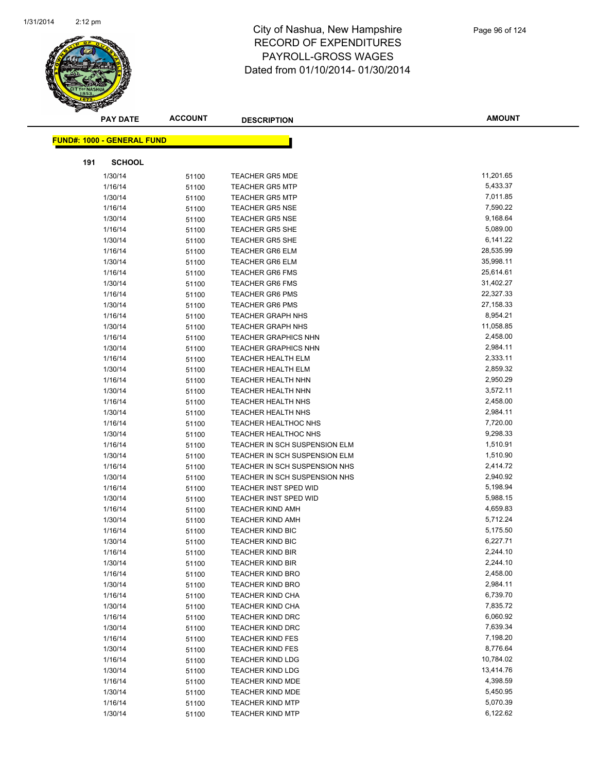

|     | <b>PAY DATE</b>                   | <b>ACCOUNT</b> | <b>DESCRIPTION</b>            | <b>AMOUNT</b> |
|-----|-----------------------------------|----------------|-------------------------------|---------------|
|     | <b>FUND#: 1000 - GENERAL FUND</b> |                |                               |               |
|     |                                   |                |                               |               |
| 191 | <b>SCHOOL</b>                     |                |                               |               |
|     | 1/30/14                           | 51100          | <b>TEACHER GR5 MDE</b>        | 11,201.65     |
|     | 1/16/14                           | 51100          | <b>TEACHER GR5 MTP</b>        | 5,433.37      |
|     | 1/30/14                           | 51100          | <b>TEACHER GR5 MTP</b>        | 7,011.85      |
|     | 1/16/14                           | 51100          | <b>TEACHER GR5 NSE</b>        | 7,590.22      |
|     | 1/30/14                           | 51100          | <b>TEACHER GR5 NSE</b>        | 9,168.64      |
|     | 1/16/14                           | 51100          | <b>TEACHER GR5 SHE</b>        | 5,089.00      |
|     | 1/30/14                           | 51100          | <b>TEACHER GR5 SHE</b>        | 6,141.22      |
|     | 1/16/14                           | 51100          | <b>TEACHER GR6 ELM</b>        | 28,535.99     |
|     | 1/30/14                           | 51100          | <b>TEACHER GR6 ELM</b>        | 35,998.11     |
|     | 1/16/14                           | 51100          | <b>TEACHER GR6 FMS</b>        | 25,614.61     |
|     | 1/30/14                           | 51100          | <b>TEACHER GR6 FMS</b>        | 31,402.27     |
|     | 1/16/14                           | 51100          | <b>TEACHER GR6 PMS</b>        | 22,327.33     |
|     | 1/30/14                           | 51100          | <b>TEACHER GR6 PMS</b>        | 27,158.33     |
|     | 1/16/14                           | 51100          | <b>TEACHER GRAPH NHS</b>      | 8,954.21      |
|     | 1/30/14                           | 51100          | <b>TEACHER GRAPH NHS</b>      | 11,058.85     |
|     | 1/16/14                           | 51100          | <b>TEACHER GRAPHICS NHN</b>   | 2,458.00      |
|     | 1/30/14                           | 51100          | <b>TEACHER GRAPHICS NHN</b>   | 2,984.11      |
|     | 1/16/14                           | 51100          | <b>TEACHER HEALTH ELM</b>     | 2,333.11      |
|     | 1/30/14                           | 51100          | TEACHER HEALTH ELM            | 2,859.32      |
|     | 1/16/14                           | 51100          | <b>TEACHER HEALTH NHN</b>     | 2,950.29      |
|     | 1/30/14                           | 51100          | TEACHER HEALTH NHN            | 3,572.11      |
|     | 1/16/14                           | 51100          | <b>TEACHER HEALTH NHS</b>     | 2,458.00      |
|     | 1/30/14                           | 51100          | <b>TEACHER HEALTH NHS</b>     | 2,984.11      |
|     | 1/16/14                           | 51100          | TEACHER HEALTHOC NHS          | 7,720.00      |
|     | 1/30/14                           | 51100          | TEACHER HEALTHOC NHS          | 9,298.33      |
|     | 1/16/14                           | 51100          | TEACHER IN SCH SUSPENSION ELM | 1,510.91      |
|     | 1/30/14                           | 51100          | TEACHER IN SCH SUSPENSION ELM | 1,510.90      |
|     | 1/16/14                           | 51100          | TEACHER IN SCH SUSPENSION NHS | 2,414.72      |
|     | 1/30/14                           | 51100          | TEACHER IN SCH SUSPENSION NHS | 2,940.92      |
|     | 1/16/14                           | 51100          | <b>TEACHER INST SPED WID</b>  | 5,198.94      |
|     | 1/30/14                           | 51100          | <b>TEACHER INST SPED WID</b>  | 5,988.15      |
|     | 1/16/14                           | 51100          | <b>TEACHER KIND AMH</b>       | 4,659.83      |
|     | 1/30/14                           | 51100          | <b>TEACHER KIND AMH</b>       | 5,712.24      |
|     | 1/16/14                           | 51100          | <b>TEACHER KIND BIC</b>       | 5,175.50      |
|     | 1/30/14                           | 51100          | <b>TEACHER KIND BIC</b>       | 6,227.71      |
|     | 1/16/14                           | 51100          | TEACHER KIND BIR              | 2,244.10      |
|     | 1/30/14                           | 51100          | <b>TEACHER KIND BIR</b>       | 2,244.10      |
|     | 1/16/14                           | 51100          | <b>TEACHER KIND BRO</b>       | 2,458.00      |
|     | 1/30/14                           | 51100          | <b>TEACHER KIND BRO</b>       | 2,984.11      |
|     | 1/16/14                           | 51100          | <b>TEACHER KIND CHA</b>       | 6,739.70      |
|     | 1/30/14                           | 51100          | <b>TEACHER KIND CHA</b>       | 7,835.72      |
|     | 1/16/14                           | 51100          | <b>TEACHER KIND DRC</b>       | 6,060.92      |
|     | 1/30/14                           | 51100          | <b>TEACHER KIND DRC</b>       | 7,639.34      |
|     | 1/16/14                           | 51100          | <b>TEACHER KIND FES</b>       | 7,198.20      |
|     | 1/30/14                           | 51100          | <b>TEACHER KIND FES</b>       | 8,776.64      |
|     | 1/16/14                           | 51100          | <b>TEACHER KIND LDG</b>       | 10,784.02     |
|     | 1/30/14                           | 51100          | <b>TEACHER KIND LDG</b>       | 13,414.76     |
|     | 1/16/14                           | 51100          | <b>TEACHER KIND MDE</b>       | 4,398.59      |
|     | 1/30/14                           | 51100          | <b>TEACHER KIND MDE</b>       | 5,450.95      |
|     | 1/16/14                           | 51100          | <b>TEACHER KIND MTP</b>       | 5,070.39      |
|     | 1/30/14                           | 51100          | <b>TEACHER KIND MTP</b>       | 6,122.62      |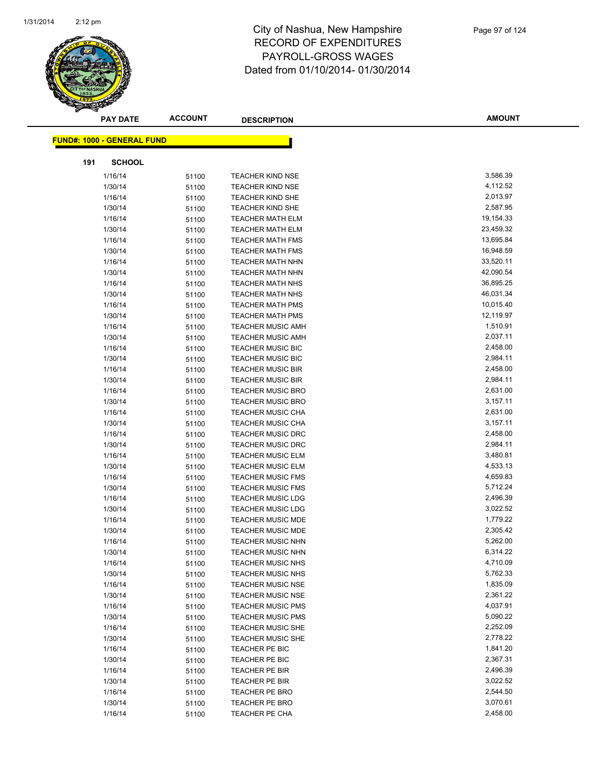

|     | <b>PAY DATE</b>                   | <b>ACCOUNT</b> | <b>DESCRIPTION</b>       | <b>AMOUNT</b> |
|-----|-----------------------------------|----------------|--------------------------|---------------|
|     | <b>FUND#: 1000 - GENERAL FUND</b> |                |                          |               |
|     |                                   |                |                          |               |
| 191 | <b>SCHOOL</b>                     |                |                          |               |
|     | 1/16/14                           | 51100          | <b>TEACHER KIND NSE</b>  | 3,586.39      |
|     | 1/30/14                           | 51100          | <b>TEACHER KIND NSE</b>  | 4,112.52      |
|     | 1/16/14                           | 51100          | <b>TEACHER KIND SHE</b>  | 2,013.97      |
|     | 1/30/14                           | 51100          | <b>TEACHER KIND SHE</b>  | 2,587.95      |
|     | 1/16/14                           | 51100          | <b>TEACHER MATH ELM</b>  | 19,154.33     |
|     | 1/30/14                           | 51100          | <b>TEACHER MATH ELM</b>  | 23,459.32     |
|     | 1/16/14                           | 51100          | <b>TEACHER MATH FMS</b>  | 13,695.84     |
|     | 1/30/14                           | 51100          | <b>TEACHER MATH FMS</b>  | 16,948.59     |
|     | 1/16/14                           | 51100          | <b>TEACHER MATH NHN</b>  | 33,520.11     |
|     | 1/30/14                           | 51100          | <b>TEACHER MATH NHN</b>  | 42,090.54     |
|     | 1/16/14                           | 51100          | <b>TEACHER MATH NHS</b>  | 36,895.25     |
|     | 1/30/14                           | 51100          | <b>TEACHER MATH NHS</b>  | 46,031.34     |
|     | 1/16/14                           | 51100          | <b>TEACHER MATH PMS</b>  | 10,015.40     |
|     | 1/30/14                           | 51100          | <b>TEACHER MATH PMS</b>  | 12,119.97     |
|     | 1/16/14                           | 51100          | <b>TEACHER MUSIC AMH</b> | 1,510.91      |
|     | 1/30/14                           | 51100          | <b>TEACHER MUSIC AMH</b> | 2,037.11      |
|     | 1/16/14                           | 51100          | TEACHER MUSIC BIC        | 2,458.00      |
|     | 1/30/14                           | 51100          | <b>TEACHER MUSIC BIC</b> | 2,984.11      |
|     | 1/16/14                           | 51100          | <b>TEACHER MUSIC BIR</b> | 2,458.00      |
|     | 1/30/14                           | 51100          | <b>TEACHER MUSIC BIR</b> | 2,984.11      |
|     | 1/16/14                           | 51100          | <b>TEACHER MUSIC BRO</b> | 2,631.00      |
|     | 1/30/14                           | 51100          | <b>TEACHER MUSIC BRO</b> | 3,157.11      |
|     | 1/16/14                           | 51100          | TEACHER MUSIC CHA        | 2,631.00      |
|     | 1/30/14                           | 51100          | <b>TEACHER MUSIC CHA</b> | 3,157.11      |
|     | 1/16/14                           | 51100          | <b>TEACHER MUSIC DRC</b> | 2,458.00      |
|     | 1/30/14                           | 51100          | <b>TEACHER MUSIC DRC</b> | 2,984.11      |
|     | 1/16/14                           | 51100          | <b>TEACHER MUSIC ELM</b> | 3,480.81      |
|     | 1/30/14                           | 51100          | <b>TEACHER MUSIC ELM</b> | 4,533.13      |
|     | 1/16/14                           | 51100          | <b>TEACHER MUSIC FMS</b> | 4,659.83      |
|     | 1/30/14                           | 51100          | <b>TEACHER MUSIC FMS</b> | 5,712.24      |
|     | 1/16/14                           | 51100          | <b>TEACHER MUSIC LDG</b> | 2,496.39      |
|     | 1/30/14                           | 51100          | <b>TEACHER MUSIC LDG</b> | 3,022.52      |
|     | 1/16/14                           | 51100          | <b>TEACHER MUSIC MDE</b> | 1,779.22      |
|     | 1/30/14                           | 51100          | <b>TEACHER MUSIC MDE</b> | 2,305.42      |
|     | 1/16/14                           | 51100          | <b>TEACHER MUSIC NHN</b> | 5,262.00      |
|     | 1/30/14                           | 51100          | TEACHER MUSIC NHN        | 6,314.22      |
|     | 1/16/14                           | 51100          | <b>TEACHER MUSIC NHS</b> | 4,710.09      |
|     | 1/30/14                           | 51100          | <b>TEACHER MUSIC NHS</b> | 5,762.33      |
|     | 1/16/14                           | 51100          | <b>TEACHER MUSIC NSE</b> | 1,835.09      |
|     | 1/30/14                           | 51100          | <b>TEACHER MUSIC NSE</b> | 2,361.22      |
|     | 1/16/14                           | 51100          | <b>TEACHER MUSIC PMS</b> | 4,037.91      |
|     | 1/30/14                           | 51100          | <b>TEACHER MUSIC PMS</b> | 5,090.22      |
|     | 1/16/14                           | 51100          | <b>TEACHER MUSIC SHE</b> | 2,252.09      |
|     | 1/30/14                           | 51100          | <b>TEACHER MUSIC SHE</b> | 2,778.22      |
|     | 1/16/14                           | 51100          | TEACHER PE BIC           | 1,841.20      |
|     | 1/30/14                           | 51100          | TEACHER PE BIC           | 2,367.31      |
|     | 1/16/14                           | 51100          | TEACHER PE BIR           | 2,496.39      |
|     | 1/30/14                           | 51100          | TEACHER PE BIR           | 3,022.52      |
|     | 1/16/14                           | 51100          | <b>TEACHER PE BRO</b>    | 2,544.50      |
|     | 1/30/14                           | 51100          | <b>TEACHER PE BRO</b>    | 3,070.61      |
|     | 1/16/14                           | 51100          | TEACHER PE CHA           | 2,458.00      |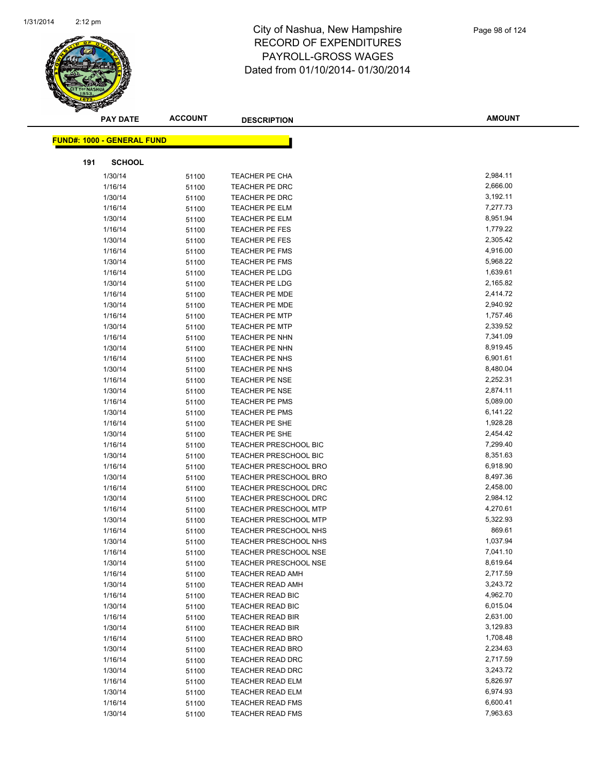

|     | <b>PAY DATE</b>                    | <b>ACCOUNT</b> | <b>DESCRIPTION</b>               | <b>AMOUNT</b>        |  |
|-----|------------------------------------|----------------|----------------------------------|----------------------|--|
|     | <u> FUND#: 1000 - GENERAL FUND</u> |                |                                  |                      |  |
| 191 | <b>SCHOOL</b>                      |                |                                  |                      |  |
|     |                                    |                |                                  | 2,984.11             |  |
|     | 1/30/14<br>1/16/14                 | 51100          | TEACHER PE CHA<br>TEACHER PE DRC | 2,666.00             |  |
|     |                                    | 51100          |                                  | 3,192.11             |  |
|     | 1/30/14<br>1/16/14                 | 51100          | TEACHER PE DRC<br>TEACHER PE ELM | 7,277.73             |  |
|     |                                    | 51100          |                                  | 8,951.94             |  |
|     | 1/30/14                            | 51100          | TEACHER PE ELM                   |                      |  |
|     | 1/16/14                            | 51100          | <b>TEACHER PE FES</b>            | 1,779.22<br>2,305.42 |  |
|     | 1/30/14<br>1/16/14                 | 51100          | <b>TEACHER PE FES</b>            | 4,916.00             |  |
|     | 1/30/14                            | 51100          | TEACHER PE FMS                   | 5,968.22             |  |
|     | 1/16/14                            | 51100          | TEACHER PE FMS<br>TEACHER PE LDG | 1,639.61             |  |
|     | 1/30/14                            | 51100          | TEACHER PE LDG                   | 2,165.82             |  |
|     |                                    | 51100          | <b>TEACHER PE MDE</b>            | 2,414.72             |  |
|     | 1/16/14<br>1/30/14                 | 51100          |                                  | 2,940.92             |  |
|     |                                    | 51100          | <b>TEACHER PE MDE</b>            | 1,757.46             |  |
|     | 1/16/14                            | 51100          | <b>TEACHER PE MTP</b>            |                      |  |
|     | 1/30/14                            | 51100          | <b>TEACHER PE MTP</b>            | 2,339.52<br>7,341.09 |  |
|     | 1/16/14                            | 51100          | TEACHER PE NHN                   |                      |  |
|     | 1/30/14                            | 51100          | TEACHER PE NHN                   | 8,919.45             |  |
|     | 1/16/14                            | 51100          | TEACHER PE NHS                   | 6,901.61             |  |
|     | 1/30/14                            | 51100          | TEACHER PE NHS                   | 8,480.04             |  |
|     | 1/16/14                            | 51100          | <b>TEACHER PE NSE</b>            | 2,252.31             |  |
|     | 1/30/14                            | 51100          | <b>TEACHER PE NSE</b>            | 2,874.11             |  |
|     | 1/16/14                            | 51100          | <b>TEACHER PE PMS</b>            | 5,089.00             |  |
|     | 1/30/14                            | 51100          | <b>TEACHER PE PMS</b>            | 6,141.22             |  |
|     | 1/16/14                            | 51100          | TEACHER PE SHE                   | 1,928.28             |  |
|     | 1/30/14                            | 51100          | TEACHER PE SHE                   | 2,454.42             |  |
|     | 1/16/14                            | 51100          | <b>TEACHER PRESCHOOL BIC</b>     | 7,299.40             |  |
|     | 1/30/14                            | 51100          | <b>TEACHER PRESCHOOL BIC</b>     | 8,351.63             |  |
|     | 1/16/14                            | 51100          | <b>TEACHER PRESCHOOL BRO</b>     | 6,918.90             |  |
|     | 1/30/14                            | 51100          | TEACHER PRESCHOOL BRO            | 8,497.36             |  |
|     | 1/16/14                            | 51100          | TEACHER PRESCHOOL DRC            | 2,458.00             |  |
|     | 1/30/14                            | 51100          | TEACHER PRESCHOOL DRC            | 2,984.12             |  |
|     | 1/16/14                            | 51100          | <b>TEACHER PRESCHOOL MTP</b>     | 4,270.61             |  |
|     | 1/30/14                            | 51100          | <b>TEACHER PRESCHOOL MTP</b>     | 5,322.93             |  |
|     | 1/16/14                            | 51100          | TEACHER PRESCHOOL NHS            | 869.61               |  |
|     | 1/30/14                            | 51100          | <b>TEACHER PRESCHOOL NHS</b>     | 1,037.94             |  |
|     | 1/16/14                            | 51100          | <b>TEACHER PRESCHOOL NSE</b>     | 7,041.10             |  |
|     | 1/30/14                            | 51100          | <b>TEACHER PRESCHOOL NSE</b>     | 8,619.64             |  |
|     | 1/16/14                            | 51100          | <b>TEACHER READ AMH</b>          | 2,717.59             |  |
|     | 1/30/14                            | 51100          | <b>TEACHER READ AMH</b>          | 3,243.72             |  |
|     | 1/16/14                            | 51100          | TEACHER READ BIC                 | 4,962.70             |  |
|     | 1/30/14                            | 51100          | <b>TEACHER READ BIC</b>          | 6,015.04             |  |
|     | 1/16/14                            | 51100          | <b>TEACHER READ BIR</b>          | 2,631.00             |  |
|     | 1/30/14                            | 51100          | TEACHER READ BIR                 | 3,129.83             |  |
|     | 1/16/14                            | 51100          | <b>TEACHER READ BRO</b>          | 1,708.48             |  |
|     | 1/30/14                            | 51100          | TEACHER READ BRO                 | 2,234.63             |  |
|     | 1/16/14                            | 51100          | TEACHER READ DRC                 | 2,717.59             |  |
|     | 1/30/14                            | 51100          | <b>TEACHER READ DRC</b>          | 3,243.72             |  |
|     | 1/16/14                            | 51100          | TEACHER READ ELM                 | 5,826.97             |  |
|     | 1/30/14                            | 51100          | <b>TEACHER READ ELM</b>          | 6,974.93             |  |
|     | 1/16/14                            | 51100          | <b>TEACHER READ FMS</b>          | 6,600.41             |  |
|     | 1/30/14                            | 51100          | <b>TEACHER READ FMS</b>          | 7,963.63             |  |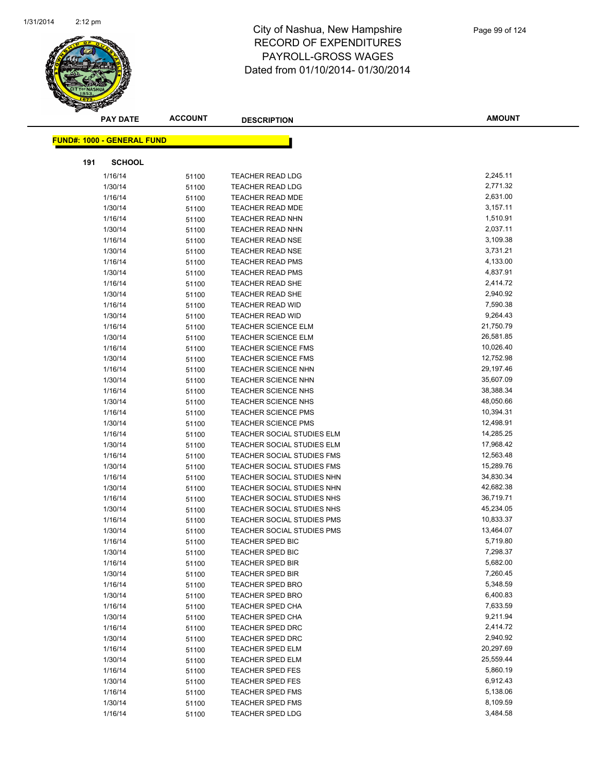

|     | <b>PAY DATE</b>                   | <b>ACCOUNT</b> | <b>DESCRIPTION</b>         | AMOUNT    |
|-----|-----------------------------------|----------------|----------------------------|-----------|
|     | <b>FUND#: 1000 - GENERAL FUND</b> |                |                            |           |
|     |                                   |                |                            |           |
| 191 | <b>SCHOOL</b>                     |                |                            |           |
|     | 1/16/14                           | 51100          | <b>TEACHER READ LDG</b>    | 2,245.11  |
|     | 1/30/14                           | 51100          | <b>TEACHER READ LDG</b>    | 2,771.32  |
|     | 1/16/14                           | 51100          | <b>TEACHER READ MDE</b>    | 2,631.00  |
|     | 1/30/14                           | 51100          | <b>TEACHER READ MDE</b>    | 3,157.11  |
|     | 1/16/14                           | 51100          | TEACHER READ NHN           | 1,510.91  |
|     | 1/30/14                           | 51100          | TEACHER READ NHN           | 2,037.11  |
|     | 1/16/14                           | 51100          | <b>TEACHER READ NSE</b>    | 3,109.38  |
|     | 1/30/14                           | 51100          | <b>TEACHER READ NSE</b>    | 3,731.21  |
|     | 1/16/14                           | 51100          | <b>TEACHER READ PMS</b>    | 4,133.00  |
|     | 1/30/14                           | 51100          | TEACHER READ PMS           | 4,837.91  |
|     | 1/16/14                           | 51100          | <b>TEACHER READ SHE</b>    | 2,414.72  |
|     | 1/30/14                           | 51100          | <b>TEACHER READ SHE</b>    | 2,940.92  |
|     | 1/16/14                           | 51100          | TEACHER READ WID           | 7,590.38  |
|     | 1/30/14                           | 51100          | <b>TEACHER READ WID</b>    | 9,264.43  |
|     | 1/16/14                           | 51100          | <b>TEACHER SCIENCE ELM</b> | 21,750.79 |
|     | 1/30/14                           | 51100          | <b>TEACHER SCIENCE ELM</b> | 26,581.85 |
|     | 1/16/14                           | 51100          | <b>TEACHER SCIENCE FMS</b> | 10,026.40 |
|     | 1/30/14                           | 51100          | <b>TEACHER SCIENCE FMS</b> | 12,752.98 |
|     | 1/16/14                           | 51100          | <b>TEACHER SCIENCE NHN</b> | 29,197.46 |
|     | 1/30/14                           | 51100          | <b>TEACHER SCIENCE NHN</b> | 35,607.09 |
|     | 1/16/14                           | 51100          | <b>TEACHER SCIENCE NHS</b> | 38,388.34 |
|     | 1/30/14                           | 51100          | <b>TEACHER SCIENCE NHS</b> | 48,050.66 |
|     | 1/16/14                           | 51100          | <b>TEACHER SCIENCE PMS</b> | 10,394.31 |
|     | 1/30/14                           | 51100          | <b>TEACHER SCIENCE PMS</b> | 12,498.91 |
|     | 1/16/14                           | 51100          | TEACHER SOCIAL STUDIES ELM | 14,285.25 |
|     | 1/30/14                           | 51100          | TEACHER SOCIAL STUDIES ELM | 17,968.42 |
|     | 1/16/14                           | 51100          | TEACHER SOCIAL STUDIES FMS | 12,563.48 |
|     | 1/30/14                           | 51100          | TEACHER SOCIAL STUDIES FMS | 15,289.76 |
|     | 1/16/14                           | 51100          | TEACHER SOCIAL STUDIES NHN | 34,830.34 |
|     | 1/30/14                           | 51100          | TEACHER SOCIAL STUDIES NHN | 42,682.38 |
|     | 1/16/14                           | 51100          | TEACHER SOCIAL STUDIES NHS | 36,719.71 |
|     | 1/30/14                           | 51100          | TEACHER SOCIAL STUDIES NHS | 45,234.05 |
|     | 1/16/14                           | 51100          | TEACHER SOCIAL STUDIES PMS | 10,833.37 |
|     | 1/30/14                           | 51100          | TEACHER SOCIAL STUDIES PMS | 13,464.07 |
|     | 1/16/14                           | 51100          | <b>TEACHER SPED BIC</b>    | 5,719.80  |
|     | 1/30/14                           | 51100          | TEACHER SPED BIC           | 7,298.37  |
|     | 1/16/14                           | 51100          | <b>TEACHER SPED BIR</b>    | 5,682.00  |
|     | 1/30/14                           | 51100          | <b>TEACHER SPED BIR</b>    | 7,260.45  |
|     | 1/16/14                           | 51100          | <b>TEACHER SPED BRO</b>    | 5,348.59  |
|     | 1/30/14                           | 51100          | <b>TEACHER SPED BRO</b>    | 6,400.83  |
|     | 1/16/14                           | 51100          | <b>TEACHER SPED CHA</b>    | 7,633.59  |
|     | 1/30/14                           | 51100          | <b>TEACHER SPED CHA</b>    | 9,211.94  |
|     | 1/16/14                           | 51100          | TEACHER SPED DRC           | 2,414.72  |
|     | 1/30/14                           | 51100          | <b>TEACHER SPED DRC</b>    | 2,940.92  |
|     | 1/16/14                           | 51100          | <b>TEACHER SPED ELM</b>    | 20,297.69 |
|     | 1/30/14                           | 51100          | TEACHER SPED ELM           | 25,559.44 |
|     | 1/16/14                           | 51100          | <b>TEACHER SPED FES</b>    | 5,860.19  |
|     | 1/30/14                           | 51100          | <b>TEACHER SPED FES</b>    | 6,912.43  |
|     | 1/16/14                           | 51100          | <b>TEACHER SPED FMS</b>    | 5,138.06  |
|     | 1/30/14                           | 51100          | <b>TEACHER SPED FMS</b>    | 8,109.59  |
|     | 1/16/14                           | 51100          | <b>TEACHER SPED LDG</b>    | 3,484.58  |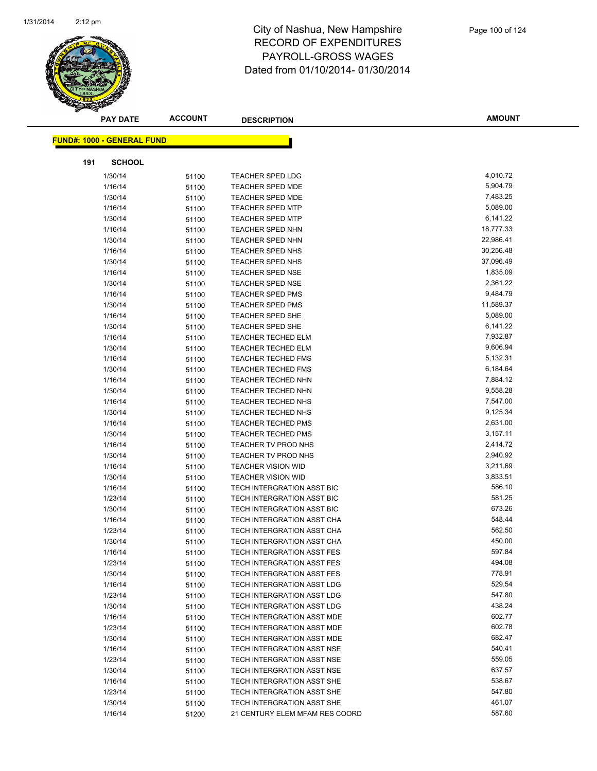

|     | <b>PAY DATE</b>                    | <b>ACCOUNT</b> | <b>DESCRIPTION</b>             | <b>AMOUNT</b> |
|-----|------------------------------------|----------------|--------------------------------|---------------|
|     | <u> FUND#: 1000 - GENERAL FUND</u> |                |                                |               |
|     |                                    |                |                                |               |
| 191 | <b>SCHOOL</b>                      |                |                                |               |
|     | 1/30/14                            | 51100          | TEACHER SPED LDG               | 4,010.72      |
|     | 1/16/14                            | 51100          | <b>TEACHER SPED MDE</b>        | 5,904.79      |
|     | 1/30/14                            | 51100          | <b>TEACHER SPED MDE</b>        | 7,483.25      |
|     | 1/16/14                            | 51100          | <b>TEACHER SPED MTP</b>        | 5,089.00      |
|     | 1/30/14                            | 51100          | <b>TEACHER SPED MTP</b>        | 6,141.22      |
|     | 1/16/14                            | 51100          | <b>TEACHER SPED NHN</b>        | 18,777.33     |
|     | 1/30/14                            | 51100          | TEACHER SPED NHN               | 22,986.41     |
|     | 1/16/14                            | 51100          | TEACHER SPED NHS               | 30,256.48     |
|     | 1/30/14                            | 51100          | TEACHER SPED NHS               | 37,096.49     |
|     | 1/16/14                            | 51100          | <b>TEACHER SPED NSE</b>        | 1,835.09      |
|     | 1/30/14                            | 51100          | <b>TEACHER SPED NSE</b>        | 2,361.22      |
|     | 1/16/14                            | 51100          | <b>TEACHER SPED PMS</b>        | 9,484.79      |
|     | 1/30/14                            | 51100          | <b>TEACHER SPED PMS</b>        | 11,589.37     |
|     | 1/16/14                            | 51100          | <b>TEACHER SPED SHE</b>        | 5,089.00      |
|     | 1/30/14                            | 51100          | <b>TEACHER SPED SHE</b>        | 6,141.22      |
|     | 1/16/14                            | 51100          | <b>TEACHER TECHED ELM</b>      | 7,932.87      |
|     | 1/30/14                            | 51100          | <b>TEACHER TECHED ELM</b>      | 9,606.94      |
|     | 1/16/14                            | 51100          | <b>TEACHER TECHED FMS</b>      | 5,132.31      |
|     | 1/30/14                            | 51100          | <b>TEACHER TECHED FMS</b>      | 6,184.64      |
|     | 1/16/14                            | 51100          | <b>TEACHER TECHED NHN</b>      | 7,884.12      |
|     | 1/30/14                            | 51100          | <b>TEACHER TECHED NHN</b>      | 9,558.28      |
|     | 1/16/14                            | 51100          | <b>TEACHER TECHED NHS</b>      | 7,547.00      |
|     | 1/30/14                            | 51100          | <b>TEACHER TECHED NHS</b>      | 9,125.34      |
|     | 1/16/14                            | 51100          | <b>TEACHER TECHED PMS</b>      | 2,631.00      |
|     | 1/30/14                            | 51100          | <b>TEACHER TECHED PMS</b>      | 3,157.11      |
|     | 1/16/14                            | 51100          | TEACHER TV PROD NHS            | 2,414.72      |
|     | 1/30/14                            | 51100          | TEACHER TV PROD NHS            | 2,940.92      |
|     | 1/16/14                            | 51100          | <b>TEACHER VISION WID</b>      | 3,211.69      |
|     | 1/30/14                            | 51100          | <b>TEACHER VISION WID</b>      | 3,833.51      |
|     | 1/16/14                            | 51100          | TECH INTERGRATION ASST BIC     | 586.10        |
|     | 1/23/14                            | 51100          | TECH INTERGRATION ASST BIC     | 581.25        |
|     | 1/30/14                            | 51100          | TECH INTERGRATION ASST BIC     | 673.26        |
|     | 1/16/14                            | 51100          | TECH INTERGRATION ASST CHA     | 548.44        |
|     | 1/23/14                            | 51100          | TECH INTERGRATION ASST CHA     | 562.50        |
|     | 1/30/14                            | 51100          | TECH INTERGRATION ASST CHA     | 450.00        |
|     | 1/16/14                            | 51100          | TECH INTERGRATION ASST FES     | 597.84        |
|     | 1/23/14                            | 51100          | TECH INTERGRATION ASST FES     | 494.08        |
|     | 1/30/14                            | 51100          | TECH INTERGRATION ASST FES     | 778.91        |
|     | 1/16/14                            | 51100          | TECH INTERGRATION ASST LDG     | 529.54        |
|     | 1/23/14                            | 51100          | TECH INTERGRATION ASST LDG     | 547.80        |
|     | 1/30/14                            | 51100          | TECH INTERGRATION ASST LDG     | 438.24        |
|     | 1/16/14                            | 51100          | TECH INTERGRATION ASST MDE     | 602.77        |
|     | 1/23/14                            | 51100          | TECH INTERGRATION ASST MDE     | 602.78        |
|     | 1/30/14                            | 51100          | TECH INTERGRATION ASST MDE     | 682.47        |
|     | 1/16/14                            | 51100          | TECH INTERGRATION ASST NSE     | 540.41        |
|     | 1/23/14                            | 51100          | TECH INTERGRATION ASST NSE     | 559.05        |
|     | 1/30/14                            | 51100          | TECH INTERGRATION ASST NSE     | 637.57        |
|     | 1/16/14                            | 51100          | TECH INTERGRATION ASST SHE     | 538.67        |
|     | 1/23/14                            | 51100          | TECH INTERGRATION ASST SHE     | 547.80        |
|     | 1/30/14                            | 51100          | TECH INTERGRATION ASST SHE     | 461.07        |
|     | 1/16/14                            | 51200          | 21 CENTURY ELEM MFAM RES COORD | 587.60        |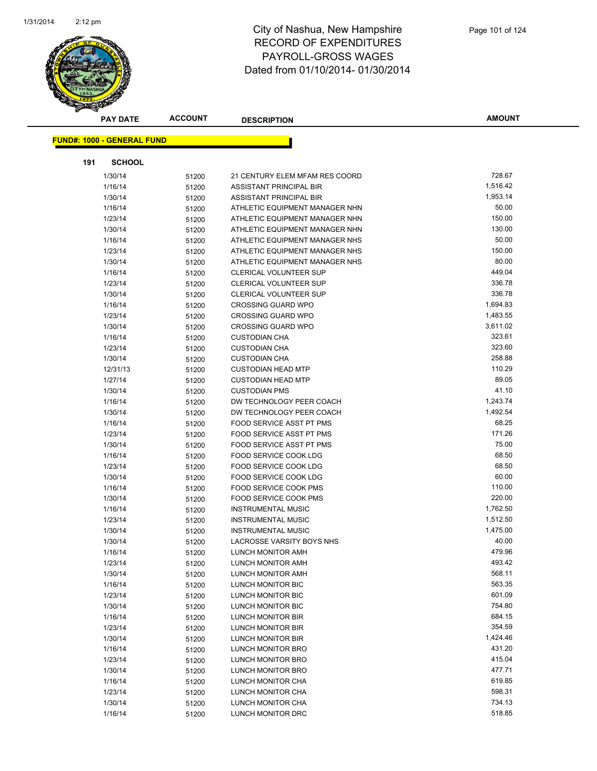

|     | <b>PAY DATE</b>                    | <b>ACCOUNT</b> | <b>DESCRIPTION</b>             | <b>AMOUNT</b> |
|-----|------------------------------------|----------------|--------------------------------|---------------|
|     | <u> FUND#: 1000 - GENERAL FUND</u> |                |                                |               |
|     |                                    |                |                                |               |
| 191 | <b>SCHOOL</b>                      |                |                                |               |
|     | 1/30/14                            | 51200          | 21 CENTURY ELEM MFAM RES COORD | 728.67        |
|     | 1/16/14                            | 51200          | ASSISTANT PRINCIPAL BIR        | 1,516.42      |
|     | 1/30/14                            | 51200          | ASSISTANT PRINCIPAL BIR        | 1,953.14      |
|     | 1/16/14                            | 51200          | ATHLETIC EQUIPMENT MANAGER NHN | 50.00         |
|     | 1/23/14                            | 51200          | ATHLETIC EQUIPMENT MANAGER NHN | 150.00        |
|     | 1/30/14                            | 51200          | ATHLETIC EQUIPMENT MANAGER NHN | 130.00        |
|     | 1/16/14                            | 51200          | ATHLETIC EQUIPMENT MANAGER NHS | 50.00         |
|     | 1/23/14                            | 51200          | ATHLETIC EQUIPMENT MANAGER NHS | 150.00        |
|     | 1/30/14                            | 51200          | ATHLETIC EQUIPMENT MANAGER NHS | 80.00         |
|     | 1/16/14                            | 51200          | <b>CLERICAL VOLUNTEER SUP</b>  | 449.04        |
|     | 1/23/14                            | 51200          | CLERICAL VOLUNTEER SUP         | 336.78        |
|     | 1/30/14                            | 51200          | <b>CLERICAL VOLUNTEER SUP</b>  | 336.78        |
|     | 1/16/14                            | 51200          | <b>CROSSING GUARD WPO</b>      | 1,694.83      |
|     | 1/23/14                            | 51200          | <b>CROSSING GUARD WPO</b>      | 1,483.55      |
|     | 1/30/14                            | 51200          | <b>CROSSING GUARD WPO</b>      | 3,611.02      |
|     | 1/16/14                            | 51200          | <b>CUSTODIAN CHA</b>           | 323.61        |
|     | 1/23/14                            | 51200          | <b>CUSTODIAN CHA</b>           | 323.60        |
|     | 1/30/14                            | 51200          | <b>CUSTODIAN CHA</b>           | 258.88        |
|     | 12/31/13                           | 51200          | <b>CUSTODIAN HEAD MTP</b>      | 110.29        |
|     | 1/27/14                            | 51200          | <b>CUSTODIAN HEAD MTP</b>      | 89.05         |
|     | 1/30/14                            | 51200          | <b>CUSTODIAN PMS</b>           | 41.10         |
|     | 1/16/14                            | 51200          | DW TECHNOLOGY PEER COACH       | 1,243.74      |
|     | 1/30/14                            | 51200          | DW TECHNOLOGY PEER COACH       | 1,492.54      |
|     | 1/16/14                            | 51200          | FOOD SERVICE ASST PT PMS       | 68.25         |
|     | 1/23/14                            | 51200          | FOOD SERVICE ASST PT PMS       | 171.26        |
|     | 1/30/14                            | 51200          | FOOD SERVICE ASST PT PMS       | 75.00         |
|     | 1/16/14                            | 51200          | FOOD SERVICE COOK LDG          | 68.50         |
|     | 1/23/14                            | 51200          | FOOD SERVICE COOK LDG          | 68.50         |
|     | 1/30/14                            | 51200          | FOOD SERVICE COOK LDG          | 60.00         |
|     | 1/16/14                            | 51200          | FOOD SERVICE COOK PMS          | 110.00        |
|     | 1/30/14                            | 51200          | FOOD SERVICE COOK PMS          | 220.00        |
|     | 1/16/14                            | 51200          | <b>INSTRUMENTAL MUSIC</b>      | 1,762.50      |
|     | 1/23/14                            | 51200          | <b>INSTRUMENTAL MUSIC</b>      | 1,512.50      |
|     | 1/30/14                            | 51200          | <b>INSTRUMENTAL MUSIC</b>      | 1,475.00      |
|     | 1/30/14                            | 51200          | LACROSSE VARSITY BOYS NHS      | 40.00         |
|     | 1/16/14                            | 51200          | LUNCH MONITOR AMH              | 479.96        |
|     | 1/23/14                            | 51200          | LUNCH MONITOR AMH              | 493.42        |
|     | 1/30/14                            | 51200          | LUNCH MONITOR AMH              | 568.11        |
|     | 1/16/14                            | 51200          | LUNCH MONITOR BIC              | 563.35        |
|     | 1/23/14                            | 51200          | LUNCH MONITOR BIC              | 601.09        |
|     | 1/30/14                            | 51200          | LUNCH MONITOR BIC              | 754.80        |
|     | 1/16/14                            | 51200          | LUNCH MONITOR BIR              | 684.15        |
|     | 1/23/14                            | 51200          | LUNCH MONITOR BIR              | 354.59        |
|     | 1/30/14                            | 51200          | LUNCH MONITOR BIR              | 1,424.46      |
|     | 1/16/14                            | 51200          | LUNCH MONITOR BRO              | 431.20        |
|     | 1/23/14                            | 51200          | <b>LUNCH MONITOR BRO</b>       | 415.04        |
|     | 1/30/14                            | 51200          | LUNCH MONITOR BRO              | 477.71        |
|     | 1/16/14                            | 51200          | LUNCH MONITOR CHA              | 619.85        |
|     | 1/23/14                            | 51200          | LUNCH MONITOR CHA              | 598.31        |
|     | 1/30/14                            | 51200          | LUNCH MONITOR CHA              | 734.13        |
|     | 1/16/14                            | 51200          | LUNCH MONITOR DRC              | 518.85        |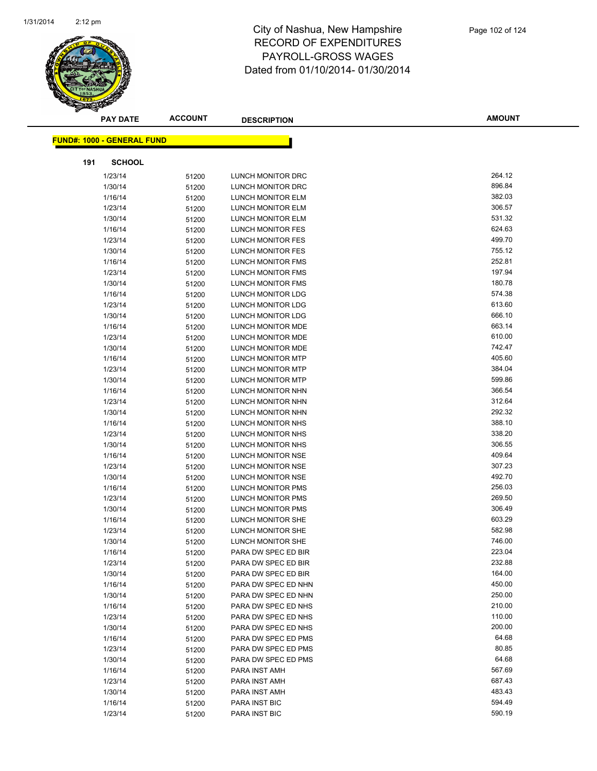

|     | <b>PAY DATE</b>                   | <b>ACCOUNT</b> | <b>DESCRIPTION</b>       | <b>AMOUNT</b> |
|-----|-----------------------------------|----------------|--------------------------|---------------|
|     | <b>FUND#: 1000 - GENERAL FUND</b> |                |                          |               |
|     |                                   |                |                          |               |
| 191 | <b>SCHOOL</b>                     |                |                          |               |
|     | 1/23/14                           | 51200          | LUNCH MONITOR DRC        | 264.12        |
|     | 1/30/14                           | 51200          | LUNCH MONITOR DRC        | 896.84        |
|     | 1/16/14                           | 51200          | LUNCH MONITOR ELM        | 382.03        |
|     | 1/23/14                           | 51200          | LUNCH MONITOR ELM        | 306.57        |
|     | 1/30/14                           | 51200          | LUNCH MONITOR ELM        | 531.32        |
|     | 1/16/14                           | 51200          | LUNCH MONITOR FES        | 624.63        |
|     | 1/23/14                           | 51200          | LUNCH MONITOR FES        | 499.70        |
|     | 1/30/14                           | 51200          | LUNCH MONITOR FES        | 755.12        |
|     | 1/16/14                           | 51200          | LUNCH MONITOR FMS        | 252.81        |
|     | 1/23/14                           | 51200          | LUNCH MONITOR FMS        | 197.94        |
|     | 1/30/14                           | 51200          | LUNCH MONITOR FMS        | 180.78        |
|     | 1/16/14                           | 51200          | LUNCH MONITOR LDG        | 574.38        |
|     | 1/23/14                           | 51200          | LUNCH MONITOR LDG        | 613.60        |
|     | 1/30/14                           | 51200          | LUNCH MONITOR LDG        | 666.10        |
|     | 1/16/14                           | 51200          | <b>LUNCH MONITOR MDE</b> | 663.14        |
|     | 1/23/14                           | 51200          | LUNCH MONITOR MDE        | 610.00        |
|     | 1/30/14                           | 51200          | LUNCH MONITOR MDE        | 742.47        |
|     | 1/16/14                           | 51200          | <b>LUNCH MONITOR MTP</b> | 405.60        |
|     | 1/23/14                           | 51200          | LUNCH MONITOR MTP        | 384.04        |
|     | 1/30/14                           | 51200          | <b>LUNCH MONITOR MTP</b> | 599.86        |
|     | 1/16/14                           | 51200          | LUNCH MONITOR NHN        | 366.54        |
|     | 1/23/14                           | 51200          | LUNCH MONITOR NHN        | 312.64        |
|     | 1/30/14                           | 51200          | LUNCH MONITOR NHN        | 292.32        |
|     | 1/16/14                           | 51200          | LUNCH MONITOR NHS        | 388.10        |
|     | 1/23/14                           | 51200          | LUNCH MONITOR NHS        | 338.20        |
|     | 1/30/14                           | 51200          | LUNCH MONITOR NHS        | 306.55        |
|     | 1/16/14                           | 51200          | LUNCH MONITOR NSE        | 409.64        |
|     | 1/23/14                           | 51200          | LUNCH MONITOR NSE        | 307.23        |
|     | 1/30/14                           | 51200          | LUNCH MONITOR NSE        | 492.70        |
|     | 1/16/14                           | 51200          | LUNCH MONITOR PMS        | 256.03        |
|     | 1/23/14                           | 51200          | <b>LUNCH MONITOR PMS</b> | 269.50        |
|     | 1/30/14                           | 51200          | <b>LUNCH MONITOR PMS</b> | 306.49        |
|     | 1/16/14                           | 51200          | LUNCH MONITOR SHE        | 603.29        |
|     | 1/23/14                           | 51200          | LUNCH MONITOR SHE        | 582.98        |
|     | 1/30/14                           | 51200          | LUNCH MONITOR SHE        | 746.00        |
|     | 1/16/14                           | 51200          | PARA DW SPEC ED BIR      | 223.04        |
|     | 1/23/14                           | 51200          | PARA DW SPEC ED BIR      | 232.88        |
|     | 1/30/14                           | 51200          | PARA DW SPEC ED BIR      | 164.00        |
|     | 1/16/14                           | 51200          | PARA DW SPEC ED NHN      | 450.00        |
|     | 1/30/14                           | 51200          | PARA DW SPEC ED NHN      | 250.00        |
|     | 1/16/14                           | 51200          | PARA DW SPEC ED NHS      | 210.00        |
|     | 1/23/14                           | 51200          | PARA DW SPEC ED NHS      | 110.00        |
|     | 1/30/14                           | 51200          | PARA DW SPEC ED NHS      | 200.00        |
|     | 1/16/14                           | 51200          | PARA DW SPEC ED PMS      | 64.68         |
|     | 1/23/14                           | 51200          | PARA DW SPEC ED PMS      | 80.85         |
|     | 1/30/14                           | 51200          | PARA DW SPEC ED PMS      | 64.68         |
|     | 1/16/14                           | 51200          | PARA INST AMH            | 567.69        |
|     | 1/23/14                           | 51200          | PARA INST AMH            | 687.43        |
|     | 1/30/14                           | 51200          | PARA INST AMH            | 483.43        |
|     | 1/16/14                           | 51200          | PARA INST BIC            | 594.49        |
|     | 1/23/14                           | 51200          | PARA INST BIC            | 590.19        |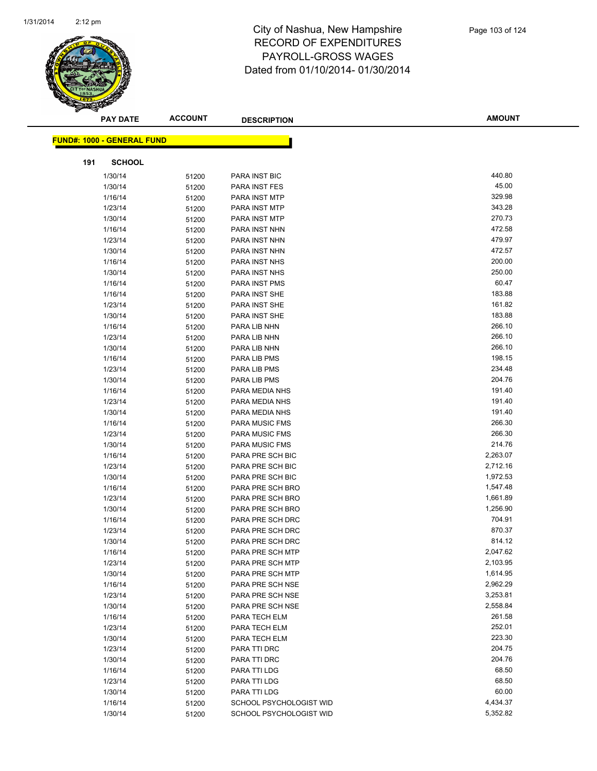

| <b>FUND#: 1000 - GENERAL FUND</b><br>191<br><b>SCHOOL</b><br>440.80<br>1/30/14<br>51200<br>PARA INST BIC<br>45.00<br>1/30/14<br>PARA INST FES<br>51200<br>329.98<br>1/16/14<br><b>PARA INST MTP</b><br>51200<br>343.28<br>1/23/14<br>PARA INST MTP<br>51200<br>270.73<br>1/30/14<br>PARA INST MTP<br>51200<br>472.58<br>1/16/14<br>PARA INST NHN<br>51200<br>479.97<br>1/23/14<br>PARA INST NHN<br>51200<br>472.57<br>1/30/14<br>PARA INST NHN<br>51200<br>200.00<br>1/16/14<br>51200<br>PARA INST NHS<br>250.00<br>1/30/14<br>PARA INST NHS<br>51200<br>60.47<br>1/16/14<br>PARA INST PMS<br>51200<br>183.88<br>1/16/14<br>PARA INST SHE<br>51200<br>161.82<br>1/23/14<br>PARA INST SHE<br>51200<br>183.88<br>1/30/14<br>PARA INST SHE<br>51200<br>266.10<br>1/16/14<br>PARA LIB NHN<br>51200<br>266.10<br>1/23/14<br>PARA LIB NHN<br>51200<br>266.10<br>1/30/14<br>PARA LIB NHN<br>51200<br>198.15<br>PARA LIB PMS<br>1/16/14<br>51200<br>234.48<br>1/23/14<br>PARA LIB PMS<br>51200<br>204.76<br>1/30/14<br>51200<br>PARA LIB PMS<br>191.40<br>1/16/14<br>PARA MEDIA NHS<br>51200<br>191.40<br>1/23/14<br>PARA MEDIA NHS<br>51200<br>191.40<br>1/30/14<br>PARA MEDIA NHS<br>51200<br>266.30<br>1/16/14<br>51200<br><b>PARA MUSIC FMS</b><br>266.30<br>1/23/14<br><b>PARA MUSIC FMS</b><br>51200<br>214.76<br>1/30/14<br><b>PARA MUSIC FMS</b><br>51200<br>2,263.07<br>1/16/14<br>PARA PRE SCH BIC<br>51200<br>2,712.16<br>1/23/14<br>PARA PRE SCH BIC<br>51200<br>1,972.53<br>1/30/14<br>PARA PRE SCH BIC<br>51200<br>PARA PRE SCH BRO<br>1,547.48<br>1/16/14<br>51200<br>PARA PRE SCH BRO<br>1,661.89<br>1/23/14<br>51200<br>1,256.90<br>1/30/14<br>PARA PRE SCH BRO<br>51200<br>704.91<br>1/16/14<br>PARA PRE SCH DRC<br>51200<br>870.37<br>1/23/14<br>PARA PRE SCH DRC<br>51200<br>814.12<br>1/30/14<br>PARA PRE SCH DRC<br>51200<br>2,047.62<br>1/16/14<br>PARA PRE SCH MTP<br>51200<br>2,103.95<br>1/23/14<br>51200<br>PARA PRE SCH MTP<br>1,614.95<br>1/30/14<br>PARA PRE SCH MTP<br>51200<br>2,962.29<br>1/16/14<br>51200<br>PARA PRE SCH NSE<br>3,253.81<br>1/23/14<br>PARA PRE SCH NSE<br>51200<br>2,558.84<br>1/30/14<br>PARA PRE SCH NSE<br>51200<br>261.58<br>1/16/14<br>PARA TECH ELM<br>51200<br>252.01<br>1/23/14<br>PARA TECH ELM<br>51200<br>223.30<br>1/30/14<br>PARA TECH ELM<br>51200<br>204.75<br>1/23/14<br>PARA TTI DRC<br>51200<br>204.76<br>PARA TTI DRC<br>1/30/14<br>51200<br>68.50<br>1/16/14<br>PARA TTI LDG<br>51200<br>68.50<br>1/23/14<br>PARA TTI LDG<br>51200<br>60.00<br>1/30/14<br>PARA TTI LDG<br>51200<br>4,434.37<br>SCHOOL PSYCHOLOGIST WID<br>1/16/14<br>51200<br>1/30/14<br>SCHOOL PSYCHOLOGIST WID<br>5,352.82<br>51200 | <b>PAY DATE</b> | <b>ACCOUNT</b> | <b>DESCRIPTION</b> | <b>AMOUNT</b> |
|-----------------------------------------------------------------------------------------------------------------------------------------------------------------------------------------------------------------------------------------------------------------------------------------------------------------------------------------------------------------------------------------------------------------------------------------------------------------------------------------------------------------------------------------------------------------------------------------------------------------------------------------------------------------------------------------------------------------------------------------------------------------------------------------------------------------------------------------------------------------------------------------------------------------------------------------------------------------------------------------------------------------------------------------------------------------------------------------------------------------------------------------------------------------------------------------------------------------------------------------------------------------------------------------------------------------------------------------------------------------------------------------------------------------------------------------------------------------------------------------------------------------------------------------------------------------------------------------------------------------------------------------------------------------------------------------------------------------------------------------------------------------------------------------------------------------------------------------------------------------------------------------------------------------------------------------------------------------------------------------------------------------------------------------------------------------------------------------------------------------------------------------------------------------------------------------------------------------------------------------------------------------------------------------------------------------------------------------------------------------------------------------------------------------------------------------------------------------------------------------------------------------------------------------------------------------------------------------------------------------------------------------------------------------------|-----------------|----------------|--------------------|---------------|
|                                                                                                                                                                                                                                                                                                                                                                                                                                                                                                                                                                                                                                                                                                                                                                                                                                                                                                                                                                                                                                                                                                                                                                                                                                                                                                                                                                                                                                                                                                                                                                                                                                                                                                                                                                                                                                                                                                                                                                                                                                                                                                                                                                                                                                                                                                                                                                                                                                                                                                                                                                                                                                                                       |                 |                |                    |               |
|                                                                                                                                                                                                                                                                                                                                                                                                                                                                                                                                                                                                                                                                                                                                                                                                                                                                                                                                                                                                                                                                                                                                                                                                                                                                                                                                                                                                                                                                                                                                                                                                                                                                                                                                                                                                                                                                                                                                                                                                                                                                                                                                                                                                                                                                                                                                                                                                                                                                                                                                                                                                                                                                       |                 |                |                    |               |
|                                                                                                                                                                                                                                                                                                                                                                                                                                                                                                                                                                                                                                                                                                                                                                                                                                                                                                                                                                                                                                                                                                                                                                                                                                                                                                                                                                                                                                                                                                                                                                                                                                                                                                                                                                                                                                                                                                                                                                                                                                                                                                                                                                                                                                                                                                                                                                                                                                                                                                                                                                                                                                                                       |                 |                |                    |               |
|                                                                                                                                                                                                                                                                                                                                                                                                                                                                                                                                                                                                                                                                                                                                                                                                                                                                                                                                                                                                                                                                                                                                                                                                                                                                                                                                                                                                                                                                                                                                                                                                                                                                                                                                                                                                                                                                                                                                                                                                                                                                                                                                                                                                                                                                                                                                                                                                                                                                                                                                                                                                                                                                       |                 |                |                    |               |
|                                                                                                                                                                                                                                                                                                                                                                                                                                                                                                                                                                                                                                                                                                                                                                                                                                                                                                                                                                                                                                                                                                                                                                                                                                                                                                                                                                                                                                                                                                                                                                                                                                                                                                                                                                                                                                                                                                                                                                                                                                                                                                                                                                                                                                                                                                                                                                                                                                                                                                                                                                                                                                                                       |                 |                |                    |               |
|                                                                                                                                                                                                                                                                                                                                                                                                                                                                                                                                                                                                                                                                                                                                                                                                                                                                                                                                                                                                                                                                                                                                                                                                                                                                                                                                                                                                                                                                                                                                                                                                                                                                                                                                                                                                                                                                                                                                                                                                                                                                                                                                                                                                                                                                                                                                                                                                                                                                                                                                                                                                                                                                       |                 |                |                    |               |
|                                                                                                                                                                                                                                                                                                                                                                                                                                                                                                                                                                                                                                                                                                                                                                                                                                                                                                                                                                                                                                                                                                                                                                                                                                                                                                                                                                                                                                                                                                                                                                                                                                                                                                                                                                                                                                                                                                                                                                                                                                                                                                                                                                                                                                                                                                                                                                                                                                                                                                                                                                                                                                                                       |                 |                |                    |               |
|                                                                                                                                                                                                                                                                                                                                                                                                                                                                                                                                                                                                                                                                                                                                                                                                                                                                                                                                                                                                                                                                                                                                                                                                                                                                                                                                                                                                                                                                                                                                                                                                                                                                                                                                                                                                                                                                                                                                                                                                                                                                                                                                                                                                                                                                                                                                                                                                                                                                                                                                                                                                                                                                       |                 |                |                    |               |
|                                                                                                                                                                                                                                                                                                                                                                                                                                                                                                                                                                                                                                                                                                                                                                                                                                                                                                                                                                                                                                                                                                                                                                                                                                                                                                                                                                                                                                                                                                                                                                                                                                                                                                                                                                                                                                                                                                                                                                                                                                                                                                                                                                                                                                                                                                                                                                                                                                                                                                                                                                                                                                                                       |                 |                |                    |               |
|                                                                                                                                                                                                                                                                                                                                                                                                                                                                                                                                                                                                                                                                                                                                                                                                                                                                                                                                                                                                                                                                                                                                                                                                                                                                                                                                                                                                                                                                                                                                                                                                                                                                                                                                                                                                                                                                                                                                                                                                                                                                                                                                                                                                                                                                                                                                                                                                                                                                                                                                                                                                                                                                       |                 |                |                    |               |
|                                                                                                                                                                                                                                                                                                                                                                                                                                                                                                                                                                                                                                                                                                                                                                                                                                                                                                                                                                                                                                                                                                                                                                                                                                                                                                                                                                                                                                                                                                                                                                                                                                                                                                                                                                                                                                                                                                                                                                                                                                                                                                                                                                                                                                                                                                                                                                                                                                                                                                                                                                                                                                                                       |                 |                |                    |               |
|                                                                                                                                                                                                                                                                                                                                                                                                                                                                                                                                                                                                                                                                                                                                                                                                                                                                                                                                                                                                                                                                                                                                                                                                                                                                                                                                                                                                                                                                                                                                                                                                                                                                                                                                                                                                                                                                                                                                                                                                                                                                                                                                                                                                                                                                                                                                                                                                                                                                                                                                                                                                                                                                       |                 |                |                    |               |
|                                                                                                                                                                                                                                                                                                                                                                                                                                                                                                                                                                                                                                                                                                                                                                                                                                                                                                                                                                                                                                                                                                                                                                                                                                                                                                                                                                                                                                                                                                                                                                                                                                                                                                                                                                                                                                                                                                                                                                                                                                                                                                                                                                                                                                                                                                                                                                                                                                                                                                                                                                                                                                                                       |                 |                |                    |               |
|                                                                                                                                                                                                                                                                                                                                                                                                                                                                                                                                                                                                                                                                                                                                                                                                                                                                                                                                                                                                                                                                                                                                                                                                                                                                                                                                                                                                                                                                                                                                                                                                                                                                                                                                                                                                                                                                                                                                                                                                                                                                                                                                                                                                                                                                                                                                                                                                                                                                                                                                                                                                                                                                       |                 |                |                    |               |
|                                                                                                                                                                                                                                                                                                                                                                                                                                                                                                                                                                                                                                                                                                                                                                                                                                                                                                                                                                                                                                                                                                                                                                                                                                                                                                                                                                                                                                                                                                                                                                                                                                                                                                                                                                                                                                                                                                                                                                                                                                                                                                                                                                                                                                                                                                                                                                                                                                                                                                                                                                                                                                                                       |                 |                |                    |               |
|                                                                                                                                                                                                                                                                                                                                                                                                                                                                                                                                                                                                                                                                                                                                                                                                                                                                                                                                                                                                                                                                                                                                                                                                                                                                                                                                                                                                                                                                                                                                                                                                                                                                                                                                                                                                                                                                                                                                                                                                                                                                                                                                                                                                                                                                                                                                                                                                                                                                                                                                                                                                                                                                       |                 |                |                    |               |
|                                                                                                                                                                                                                                                                                                                                                                                                                                                                                                                                                                                                                                                                                                                                                                                                                                                                                                                                                                                                                                                                                                                                                                                                                                                                                                                                                                                                                                                                                                                                                                                                                                                                                                                                                                                                                                                                                                                                                                                                                                                                                                                                                                                                                                                                                                                                                                                                                                                                                                                                                                                                                                                                       |                 |                |                    |               |
|                                                                                                                                                                                                                                                                                                                                                                                                                                                                                                                                                                                                                                                                                                                                                                                                                                                                                                                                                                                                                                                                                                                                                                                                                                                                                                                                                                                                                                                                                                                                                                                                                                                                                                                                                                                                                                                                                                                                                                                                                                                                                                                                                                                                                                                                                                                                                                                                                                                                                                                                                                                                                                                                       |                 |                |                    |               |
|                                                                                                                                                                                                                                                                                                                                                                                                                                                                                                                                                                                                                                                                                                                                                                                                                                                                                                                                                                                                                                                                                                                                                                                                                                                                                                                                                                                                                                                                                                                                                                                                                                                                                                                                                                                                                                                                                                                                                                                                                                                                                                                                                                                                                                                                                                                                                                                                                                                                                                                                                                                                                                                                       |                 |                |                    |               |
|                                                                                                                                                                                                                                                                                                                                                                                                                                                                                                                                                                                                                                                                                                                                                                                                                                                                                                                                                                                                                                                                                                                                                                                                                                                                                                                                                                                                                                                                                                                                                                                                                                                                                                                                                                                                                                                                                                                                                                                                                                                                                                                                                                                                                                                                                                                                                                                                                                                                                                                                                                                                                                                                       |                 |                |                    |               |
|                                                                                                                                                                                                                                                                                                                                                                                                                                                                                                                                                                                                                                                                                                                                                                                                                                                                                                                                                                                                                                                                                                                                                                                                                                                                                                                                                                                                                                                                                                                                                                                                                                                                                                                                                                                                                                                                                                                                                                                                                                                                                                                                                                                                                                                                                                                                                                                                                                                                                                                                                                                                                                                                       |                 |                |                    |               |
|                                                                                                                                                                                                                                                                                                                                                                                                                                                                                                                                                                                                                                                                                                                                                                                                                                                                                                                                                                                                                                                                                                                                                                                                                                                                                                                                                                                                                                                                                                                                                                                                                                                                                                                                                                                                                                                                                                                                                                                                                                                                                                                                                                                                                                                                                                                                                                                                                                                                                                                                                                                                                                                                       |                 |                |                    |               |
|                                                                                                                                                                                                                                                                                                                                                                                                                                                                                                                                                                                                                                                                                                                                                                                                                                                                                                                                                                                                                                                                                                                                                                                                                                                                                                                                                                                                                                                                                                                                                                                                                                                                                                                                                                                                                                                                                                                                                                                                                                                                                                                                                                                                                                                                                                                                                                                                                                                                                                                                                                                                                                                                       |                 |                |                    |               |
|                                                                                                                                                                                                                                                                                                                                                                                                                                                                                                                                                                                                                                                                                                                                                                                                                                                                                                                                                                                                                                                                                                                                                                                                                                                                                                                                                                                                                                                                                                                                                                                                                                                                                                                                                                                                                                                                                                                                                                                                                                                                                                                                                                                                                                                                                                                                                                                                                                                                                                                                                                                                                                                                       |                 |                |                    |               |
|                                                                                                                                                                                                                                                                                                                                                                                                                                                                                                                                                                                                                                                                                                                                                                                                                                                                                                                                                                                                                                                                                                                                                                                                                                                                                                                                                                                                                                                                                                                                                                                                                                                                                                                                                                                                                                                                                                                                                                                                                                                                                                                                                                                                                                                                                                                                                                                                                                                                                                                                                                                                                                                                       |                 |                |                    |               |
|                                                                                                                                                                                                                                                                                                                                                                                                                                                                                                                                                                                                                                                                                                                                                                                                                                                                                                                                                                                                                                                                                                                                                                                                                                                                                                                                                                                                                                                                                                                                                                                                                                                                                                                                                                                                                                                                                                                                                                                                                                                                                                                                                                                                                                                                                                                                                                                                                                                                                                                                                                                                                                                                       |                 |                |                    |               |
|                                                                                                                                                                                                                                                                                                                                                                                                                                                                                                                                                                                                                                                                                                                                                                                                                                                                                                                                                                                                                                                                                                                                                                                                                                                                                                                                                                                                                                                                                                                                                                                                                                                                                                                                                                                                                                                                                                                                                                                                                                                                                                                                                                                                                                                                                                                                                                                                                                                                                                                                                                                                                                                                       |                 |                |                    |               |
|                                                                                                                                                                                                                                                                                                                                                                                                                                                                                                                                                                                                                                                                                                                                                                                                                                                                                                                                                                                                                                                                                                                                                                                                                                                                                                                                                                                                                                                                                                                                                                                                                                                                                                                                                                                                                                                                                                                                                                                                                                                                                                                                                                                                                                                                                                                                                                                                                                                                                                                                                                                                                                                                       |                 |                |                    |               |
|                                                                                                                                                                                                                                                                                                                                                                                                                                                                                                                                                                                                                                                                                                                                                                                                                                                                                                                                                                                                                                                                                                                                                                                                                                                                                                                                                                                                                                                                                                                                                                                                                                                                                                                                                                                                                                                                                                                                                                                                                                                                                                                                                                                                                                                                                                                                                                                                                                                                                                                                                                                                                                                                       |                 |                |                    |               |
|                                                                                                                                                                                                                                                                                                                                                                                                                                                                                                                                                                                                                                                                                                                                                                                                                                                                                                                                                                                                                                                                                                                                                                                                                                                                                                                                                                                                                                                                                                                                                                                                                                                                                                                                                                                                                                                                                                                                                                                                                                                                                                                                                                                                                                                                                                                                                                                                                                                                                                                                                                                                                                                                       |                 |                |                    |               |
|                                                                                                                                                                                                                                                                                                                                                                                                                                                                                                                                                                                                                                                                                                                                                                                                                                                                                                                                                                                                                                                                                                                                                                                                                                                                                                                                                                                                                                                                                                                                                                                                                                                                                                                                                                                                                                                                                                                                                                                                                                                                                                                                                                                                                                                                                                                                                                                                                                                                                                                                                                                                                                                                       |                 |                |                    |               |
|                                                                                                                                                                                                                                                                                                                                                                                                                                                                                                                                                                                                                                                                                                                                                                                                                                                                                                                                                                                                                                                                                                                                                                                                                                                                                                                                                                                                                                                                                                                                                                                                                                                                                                                                                                                                                                                                                                                                                                                                                                                                                                                                                                                                                                                                                                                                                                                                                                                                                                                                                                                                                                                                       |                 |                |                    |               |
|                                                                                                                                                                                                                                                                                                                                                                                                                                                                                                                                                                                                                                                                                                                                                                                                                                                                                                                                                                                                                                                                                                                                                                                                                                                                                                                                                                                                                                                                                                                                                                                                                                                                                                                                                                                                                                                                                                                                                                                                                                                                                                                                                                                                                                                                                                                                                                                                                                                                                                                                                                                                                                                                       |                 |                |                    |               |
|                                                                                                                                                                                                                                                                                                                                                                                                                                                                                                                                                                                                                                                                                                                                                                                                                                                                                                                                                                                                                                                                                                                                                                                                                                                                                                                                                                                                                                                                                                                                                                                                                                                                                                                                                                                                                                                                                                                                                                                                                                                                                                                                                                                                                                                                                                                                                                                                                                                                                                                                                                                                                                                                       |                 |                |                    |               |
|                                                                                                                                                                                                                                                                                                                                                                                                                                                                                                                                                                                                                                                                                                                                                                                                                                                                                                                                                                                                                                                                                                                                                                                                                                                                                                                                                                                                                                                                                                                                                                                                                                                                                                                                                                                                                                                                                                                                                                                                                                                                                                                                                                                                                                                                                                                                                                                                                                                                                                                                                                                                                                                                       |                 |                |                    |               |
|                                                                                                                                                                                                                                                                                                                                                                                                                                                                                                                                                                                                                                                                                                                                                                                                                                                                                                                                                                                                                                                                                                                                                                                                                                                                                                                                                                                                                                                                                                                                                                                                                                                                                                                                                                                                                                                                                                                                                                                                                                                                                                                                                                                                                                                                                                                                                                                                                                                                                                                                                                                                                                                                       |                 |                |                    |               |
|                                                                                                                                                                                                                                                                                                                                                                                                                                                                                                                                                                                                                                                                                                                                                                                                                                                                                                                                                                                                                                                                                                                                                                                                                                                                                                                                                                                                                                                                                                                                                                                                                                                                                                                                                                                                                                                                                                                                                                                                                                                                                                                                                                                                                                                                                                                                                                                                                                                                                                                                                                                                                                                                       |                 |                |                    |               |
|                                                                                                                                                                                                                                                                                                                                                                                                                                                                                                                                                                                                                                                                                                                                                                                                                                                                                                                                                                                                                                                                                                                                                                                                                                                                                                                                                                                                                                                                                                                                                                                                                                                                                                                                                                                                                                                                                                                                                                                                                                                                                                                                                                                                                                                                                                                                                                                                                                                                                                                                                                                                                                                                       |                 |                |                    |               |
|                                                                                                                                                                                                                                                                                                                                                                                                                                                                                                                                                                                                                                                                                                                                                                                                                                                                                                                                                                                                                                                                                                                                                                                                                                                                                                                                                                                                                                                                                                                                                                                                                                                                                                                                                                                                                                                                                                                                                                                                                                                                                                                                                                                                                                                                                                                                                                                                                                                                                                                                                                                                                                                                       |                 |                |                    |               |
|                                                                                                                                                                                                                                                                                                                                                                                                                                                                                                                                                                                                                                                                                                                                                                                                                                                                                                                                                                                                                                                                                                                                                                                                                                                                                                                                                                                                                                                                                                                                                                                                                                                                                                                                                                                                                                                                                                                                                                                                                                                                                                                                                                                                                                                                                                                                                                                                                                                                                                                                                                                                                                                                       |                 |                |                    |               |
|                                                                                                                                                                                                                                                                                                                                                                                                                                                                                                                                                                                                                                                                                                                                                                                                                                                                                                                                                                                                                                                                                                                                                                                                                                                                                                                                                                                                                                                                                                                                                                                                                                                                                                                                                                                                                                                                                                                                                                                                                                                                                                                                                                                                                                                                                                                                                                                                                                                                                                                                                                                                                                                                       |                 |                |                    |               |
|                                                                                                                                                                                                                                                                                                                                                                                                                                                                                                                                                                                                                                                                                                                                                                                                                                                                                                                                                                                                                                                                                                                                                                                                                                                                                                                                                                                                                                                                                                                                                                                                                                                                                                                                                                                                                                                                                                                                                                                                                                                                                                                                                                                                                                                                                                                                                                                                                                                                                                                                                                                                                                                                       |                 |                |                    |               |
|                                                                                                                                                                                                                                                                                                                                                                                                                                                                                                                                                                                                                                                                                                                                                                                                                                                                                                                                                                                                                                                                                                                                                                                                                                                                                                                                                                                                                                                                                                                                                                                                                                                                                                                                                                                                                                                                                                                                                                                                                                                                                                                                                                                                                                                                                                                                                                                                                                                                                                                                                                                                                                                                       |                 |                |                    |               |
|                                                                                                                                                                                                                                                                                                                                                                                                                                                                                                                                                                                                                                                                                                                                                                                                                                                                                                                                                                                                                                                                                                                                                                                                                                                                                                                                                                                                                                                                                                                                                                                                                                                                                                                                                                                                                                                                                                                                                                                                                                                                                                                                                                                                                                                                                                                                                                                                                                                                                                                                                                                                                                                                       |                 |                |                    |               |
|                                                                                                                                                                                                                                                                                                                                                                                                                                                                                                                                                                                                                                                                                                                                                                                                                                                                                                                                                                                                                                                                                                                                                                                                                                                                                                                                                                                                                                                                                                                                                                                                                                                                                                                                                                                                                                                                                                                                                                                                                                                                                                                                                                                                                                                                                                                                                                                                                                                                                                                                                                                                                                                                       |                 |                |                    |               |
|                                                                                                                                                                                                                                                                                                                                                                                                                                                                                                                                                                                                                                                                                                                                                                                                                                                                                                                                                                                                                                                                                                                                                                                                                                                                                                                                                                                                                                                                                                                                                                                                                                                                                                                                                                                                                                                                                                                                                                                                                                                                                                                                                                                                                                                                                                                                                                                                                                                                                                                                                                                                                                                                       |                 |                |                    |               |
|                                                                                                                                                                                                                                                                                                                                                                                                                                                                                                                                                                                                                                                                                                                                                                                                                                                                                                                                                                                                                                                                                                                                                                                                                                                                                                                                                                                                                                                                                                                                                                                                                                                                                                                                                                                                                                                                                                                                                                                                                                                                                                                                                                                                                                                                                                                                                                                                                                                                                                                                                                                                                                                                       |                 |                |                    |               |
|                                                                                                                                                                                                                                                                                                                                                                                                                                                                                                                                                                                                                                                                                                                                                                                                                                                                                                                                                                                                                                                                                                                                                                                                                                                                                                                                                                                                                                                                                                                                                                                                                                                                                                                                                                                                                                                                                                                                                                                                                                                                                                                                                                                                                                                                                                                                                                                                                                                                                                                                                                                                                                                                       |                 |                |                    |               |
|                                                                                                                                                                                                                                                                                                                                                                                                                                                                                                                                                                                                                                                                                                                                                                                                                                                                                                                                                                                                                                                                                                                                                                                                                                                                                                                                                                                                                                                                                                                                                                                                                                                                                                                                                                                                                                                                                                                                                                                                                                                                                                                                                                                                                                                                                                                                                                                                                                                                                                                                                                                                                                                                       |                 |                |                    |               |
|                                                                                                                                                                                                                                                                                                                                                                                                                                                                                                                                                                                                                                                                                                                                                                                                                                                                                                                                                                                                                                                                                                                                                                                                                                                                                                                                                                                                                                                                                                                                                                                                                                                                                                                                                                                                                                                                                                                                                                                                                                                                                                                                                                                                                                                                                                                                                                                                                                                                                                                                                                                                                                                                       |                 |                |                    |               |
|                                                                                                                                                                                                                                                                                                                                                                                                                                                                                                                                                                                                                                                                                                                                                                                                                                                                                                                                                                                                                                                                                                                                                                                                                                                                                                                                                                                                                                                                                                                                                                                                                                                                                                                                                                                                                                                                                                                                                                                                                                                                                                                                                                                                                                                                                                                                                                                                                                                                                                                                                                                                                                                                       |                 |                |                    |               |
|                                                                                                                                                                                                                                                                                                                                                                                                                                                                                                                                                                                                                                                                                                                                                                                                                                                                                                                                                                                                                                                                                                                                                                                                                                                                                                                                                                                                                                                                                                                                                                                                                                                                                                                                                                                                                                                                                                                                                                                                                                                                                                                                                                                                                                                                                                                                                                                                                                                                                                                                                                                                                                                                       |                 |                |                    |               |
|                                                                                                                                                                                                                                                                                                                                                                                                                                                                                                                                                                                                                                                                                                                                                                                                                                                                                                                                                                                                                                                                                                                                                                                                                                                                                                                                                                                                                                                                                                                                                                                                                                                                                                                                                                                                                                                                                                                                                                                                                                                                                                                                                                                                                                                                                                                                                                                                                                                                                                                                                                                                                                                                       |                 |                |                    |               |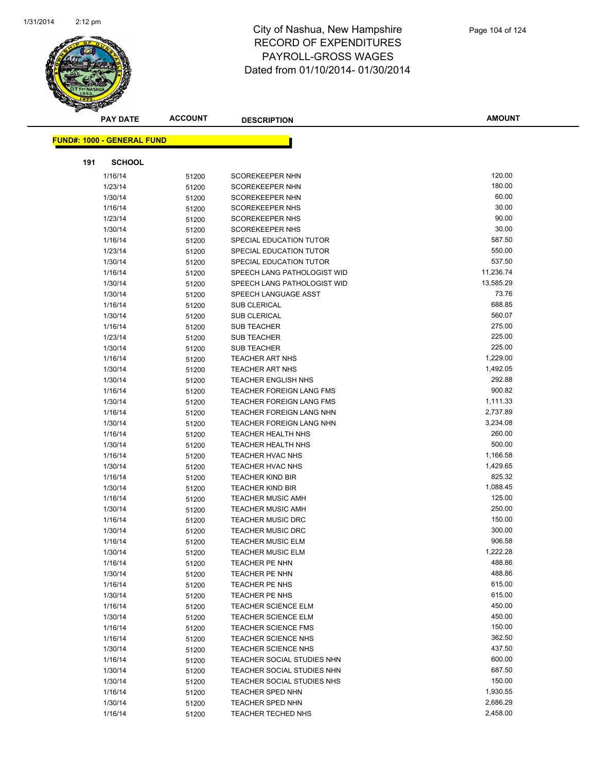

|     | <b>PAY DATE</b>                    | <b>ACCOUNT</b> | <b>DESCRIPTION</b>                                       | <b>AMOUNT</b>      |
|-----|------------------------------------|----------------|----------------------------------------------------------|--------------------|
|     | <u> FUND#: 1000 - GENERAL FUND</u> |                |                                                          |                    |
|     |                                    |                |                                                          |                    |
| 191 | <b>SCHOOL</b>                      |                |                                                          |                    |
|     | 1/16/14                            | 51200          | <b>SCOREKEEPER NHN</b>                                   | 120.00             |
|     | 1/23/14                            | 51200          | <b>SCOREKEEPER NHN</b>                                   | 180.00             |
|     | 1/30/14                            | 51200          | <b>SCOREKEEPER NHN</b>                                   | 60.00              |
|     | 1/16/14                            | 51200          | <b>SCOREKEEPER NHS</b>                                   | 30.00              |
|     | 1/23/14                            | 51200          | <b>SCOREKEEPER NHS</b>                                   | 90.00              |
|     | 1/30/14                            | 51200          | <b>SCOREKEEPER NHS</b>                                   | 30.00              |
|     | 1/16/14                            | 51200          | SPECIAL EDUCATION TUTOR                                  | 587.50             |
|     | 1/23/14                            | 51200          | SPECIAL EDUCATION TUTOR                                  | 550.00             |
|     | 1/30/14                            | 51200          | SPECIAL EDUCATION TUTOR                                  | 537.50             |
|     | 1/16/14                            | 51200          | SPEECH LANG PATHOLOGIST WID                              | 11,236.74          |
|     | 1/30/14                            | 51200          | SPEECH LANG PATHOLOGIST WID                              | 13,585.29          |
|     | 1/30/14                            | 51200          | SPEECH LANGUAGE ASST                                     | 73.76              |
|     | 1/16/14                            | 51200          | <b>SUB CLERICAL</b>                                      | 688.85             |
|     | 1/30/14                            | 51200          | <b>SUB CLERICAL</b>                                      | 560.07             |
|     | 1/16/14                            | 51200          | <b>SUB TEACHER</b>                                       | 275.00             |
|     | 1/23/14                            | 51200          | <b>SUB TEACHER</b>                                       | 225.00             |
|     | 1/30/14                            | 51200          | <b>SUB TEACHER</b>                                       | 225.00             |
|     | 1/16/14                            | 51200          | <b>TEACHER ART NHS</b>                                   | 1,229.00           |
|     | 1/30/14                            | 51200          | <b>TEACHER ART NHS</b>                                   | 1,492.05           |
|     | 1/30/14                            | 51200          | <b>TEACHER ENGLISH NHS</b>                               | 292.88             |
|     | 1/16/14                            | 51200          | <b>TEACHER FOREIGN LANG FMS</b>                          | 900.82             |
|     | 1/30/14                            | 51200          | <b>TEACHER FOREIGN LANG FMS</b>                          | 1,111.33           |
|     | 1/16/14                            | 51200          | TEACHER FOREIGN LANG NHN                                 | 2,737.89           |
|     | 1/30/14                            | 51200          | <b>TEACHER FOREIGN LANG NHN</b>                          | 3,234.08           |
|     | 1/16/14                            | 51200          | TEACHER HEALTH NHS                                       | 260.00             |
|     | 1/30/14                            | 51200          | <b>TEACHER HEALTH NHS</b>                                | 500.00             |
|     | 1/16/14                            | 51200          | <b>TEACHER HVAC NHS</b>                                  | 1,166.58           |
|     | 1/30/14                            | 51200          | <b>TEACHER HVAC NHS</b>                                  | 1,429.65           |
|     | 1/16/14                            | 51200          | <b>TEACHER KIND BIR</b>                                  | 825.32             |
|     | 1/30/14                            | 51200          | <b>TEACHER KIND BIR</b>                                  | 1,088.45           |
|     | 1/16/14                            | 51200          | <b>TEACHER MUSIC AMH</b>                                 | 125.00             |
|     | 1/30/14                            | 51200          | <b>TEACHER MUSIC AMH</b>                                 | 250.00             |
|     | 1/16/14                            | 51200          | <b>TEACHER MUSIC DRC</b>                                 | 150.00             |
|     | 1/30/14                            | 51200          | <b>TEACHER MUSIC DRC</b>                                 | 300.00             |
|     | 1/16/14                            | 51200          | <b>TEACHER MUSIC ELM</b>                                 | 906.58             |
|     | 1/30/14                            | 51200          | TEACHER MUSIC ELM                                        | 1,222.28<br>488.86 |
|     | 1/16/14                            | 51200          | TEACHER PE NHN                                           | 488.86             |
|     | 1/30/14                            | 51200          | TEACHER PE NHN                                           | 615.00             |
|     | 1/16/14                            | 51200          | TEACHER PE NHS                                           | 615.00             |
|     | 1/30/14                            | 51200          | TEACHER PE NHS                                           | 450.00             |
|     | 1/16/14<br>1/30/14                 | 51200          | <b>TEACHER SCIENCE ELM</b><br><b>TEACHER SCIENCE ELM</b> | 450.00             |
|     | 1/16/14                            | 51200          | <b>TEACHER SCIENCE FMS</b>                               | 150.00             |
|     | 1/16/14                            | 51200          | <b>TEACHER SCIENCE NHS</b>                               | 362.50             |
|     | 1/30/14                            | 51200          | <b>TEACHER SCIENCE NHS</b>                               | 437.50             |
|     | 1/16/14                            | 51200          | TEACHER SOCIAL STUDIES NHN                               | 600.00             |
|     | 1/30/14                            | 51200<br>51200 | TEACHER SOCIAL STUDIES NHN                               | 687.50             |
|     | 1/30/14                            | 51200          | TEACHER SOCIAL STUDIES NHS                               | 150.00             |
|     | 1/16/14                            | 51200          | <b>TEACHER SPED NHN</b>                                  | 1,930.55           |
|     | 1/30/14                            | 51200          | <b>TEACHER SPED NHN</b>                                  | 2,686.29           |
|     | 1/16/14                            | 51200          | TEACHER TECHED NHS                                       | 2,458.00           |
|     |                                    |                |                                                          |                    |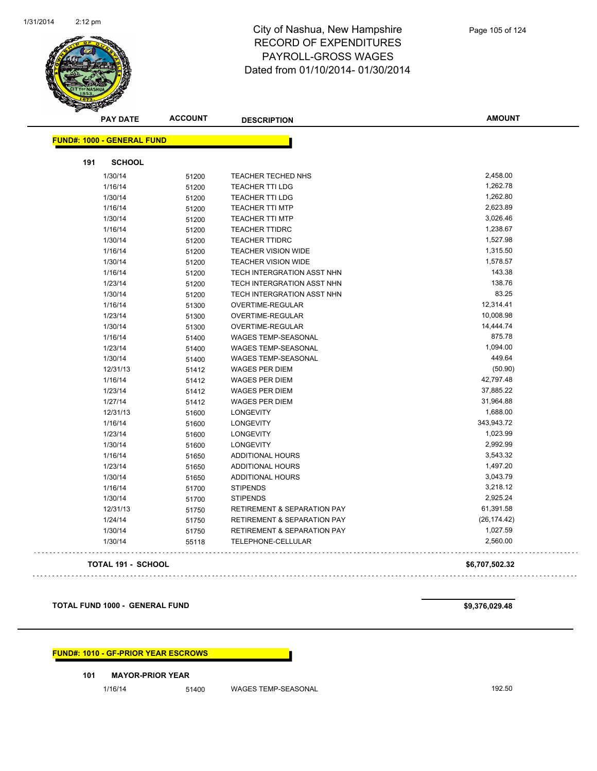

|     | <b>PAY DATE</b>                    | <b>ACCOUNT</b> | <b>DESCRIPTION</b>                     | <b>AMOUNT</b> |
|-----|------------------------------------|----------------|----------------------------------------|---------------|
|     | <u> FUND#: 1000 - GENERAL FUND</u> |                |                                        |               |
|     |                                    |                |                                        |               |
| 191 | <b>SCHOOL</b>                      |                |                                        |               |
|     | 1/30/14                            | 51200          | TEACHER TECHED NHS                     | 2,458.00      |
|     | 1/16/14                            | 51200          | <b>TEACHER TTI LDG</b>                 | 1,262.78      |
|     | 1/30/14                            | 51200          | <b>TEACHER TTI LDG</b>                 | 1,262.80      |
|     | 1/16/14                            | 51200          | <b>TEACHER TTI MTP</b>                 | 2,623.89      |
|     | 1/30/14                            | 51200          | <b>TEACHER TTI MTP</b>                 | 3,026.46      |
|     | 1/16/14                            | 51200          | <b>TEACHER TTIDRC</b>                  | 1,238.67      |
|     | 1/30/14                            | 51200          | <b>TEACHER TTIDRC</b>                  | 1,527.98      |
|     | 1/16/14                            | 51200          | <b>TEACHER VISION WIDE</b>             | 1,315.50      |
|     | 1/30/14                            | 51200          | <b>TEACHER VISION WIDE</b>             | 1,578.57      |
|     | 1/16/14                            | 51200          | TECH INTERGRATION ASST NHN             | 143.38        |
|     | 1/23/14                            | 51200          | TECH INTERGRATION ASST NHN             | 138.76        |
|     | 1/30/14                            | 51200          | TECH INTERGRATION ASST NHN             | 83.25         |
|     | 1/16/14                            | 51300          | <b>OVERTIME-REGULAR</b>                | 12,314.41     |
|     | 1/23/14                            | 51300          | OVERTIME-REGULAR                       | 10,008.98     |
|     | 1/30/14                            | 51300          | OVERTIME-REGULAR                       | 14,444.74     |
|     | 1/16/14                            | 51400          | <b>WAGES TEMP-SEASONAL</b>             | 875.78        |
|     | 1/23/14                            | 51400          | <b>WAGES TEMP-SEASONAL</b>             | 1,094.00      |
|     | 1/30/14                            | 51400          | WAGES TEMP-SEASONAL                    | 449.64        |
|     | 12/31/13                           | 51412          | <b>WAGES PER DIEM</b>                  | (50.90)       |
|     | 1/16/14                            | 51412          | <b>WAGES PER DIEM</b>                  | 42,797.48     |
|     | 1/23/14                            | 51412          | <b>WAGES PER DIEM</b>                  | 37,885.22     |
|     | 1/27/14                            | 51412          | <b>WAGES PER DIEM</b>                  | 31,964.88     |
|     | 12/31/13                           | 51600          | <b>LONGEVITY</b>                       | 1,688.00      |
|     | 1/16/14                            | 51600          | <b>LONGEVITY</b>                       | 343,943.72    |
|     | 1/23/14                            | 51600          | <b>LONGEVITY</b>                       | 1,023.99      |
|     | 1/30/14                            | 51600          | <b>LONGEVITY</b>                       | 2,992.99      |
|     | 1/16/14                            | 51650          | <b>ADDITIONAL HOURS</b>                | 3,543.32      |
|     | 1/23/14                            | 51650          | <b>ADDITIONAL HOURS</b>                | 1,497.20      |
|     | 1/30/14                            | 51650          | <b>ADDITIONAL HOURS</b>                | 3,043.79      |
|     | 1/16/14                            | 51700          | <b>STIPENDS</b>                        | 3,218.12      |
|     | 1/30/14                            | 51700          | <b>STIPENDS</b>                        | 2,925.24      |
|     | 12/31/13                           | 51750          | <b>RETIREMENT &amp; SEPARATION PAY</b> | 61,391.58     |
|     | 1/24/14                            | 51750          | <b>RETIREMENT &amp; SEPARATION PAY</b> | (26, 174.42)  |
|     | 1/30/14                            | 51750          | <b>RETIREMENT &amp; SEPARATION PAY</b> | 1,027.59      |
|     | 1/30/14                            | 55118          | <b>TELEPHONE-CELLULAR</b>              | 2,560.00      |
|     |                                    |                |                                        |               |

**TOTAL 191 - SCHOOL \$6,707,502.32** 

 $\Box$  ,  $\Box$ 

**TOTAL FUND 1000 - GENERAL FUND \$9,376,029.48** 

**FUND#: 1010 - GF-PRIOR YEAR ESCROWS**

#### **101 MAYOR-PRIOR YEAR**

1/16/14 51400 WAGES TEMP-SEASONAL 192.50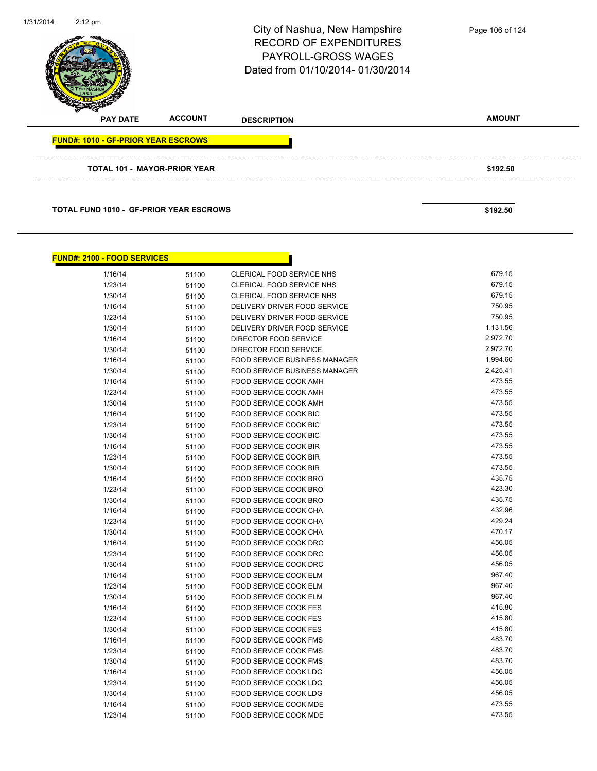| 1/31/2014 | $2:12 \text{ pm}$                          |                | City of Nashua, New Hampshire<br><b>RECORD OF EXPENDITURES</b><br><b>PAYROLL-GROSS WAGES</b><br>Dated from 01/10/2014-01/30/2014 | Page 106 of 124 |
|-----------|--------------------------------------------|----------------|----------------------------------------------------------------------------------------------------------------------------------|-----------------|
|           | <b>PAY DATE</b>                            | <b>ACCOUNT</b> | <b>DESCRIPTION</b>                                                                                                               | <b>AMOUNT</b>   |
|           | <b>FUND#: 1010 - GF-PRIOR YEAR ESCROWS</b> |                |                                                                                                                                  |                 |
|           | <b>TOTAL 101 - MAYOR-PRIOR YEAR</b>        |                |                                                                                                                                  | \$192.50        |
|           |                                            |                |                                                                                                                                  |                 |

**TOTAL FUND 1010 - GF-PRIOR YEAR ESCROWS** \$192.50

| <u> FUND#: 2100 - FOOD SERVICES</u> |       |                                      |          |
|-------------------------------------|-------|--------------------------------------|----------|
| 1/16/14                             | 51100 | CLERICAL FOOD SERVICE NHS            | 679.15   |
| 1/23/14                             | 51100 | CLERICAL FOOD SERVICE NHS            | 679.15   |
| 1/30/14                             | 51100 | CLERICAL FOOD SERVICE NHS            | 679.15   |
| 1/16/14                             | 51100 | DELIVERY DRIVER FOOD SERVICE         | 750.95   |
| 1/23/14                             | 51100 | DELIVERY DRIVER FOOD SERVICE         | 750.95   |
| 1/30/14                             | 51100 | DELIVERY DRIVER FOOD SERVICE         | 1,131.56 |
| 1/16/14                             | 51100 | DIRECTOR FOOD SERVICE                | 2,972.70 |
| 1/30/14                             | 51100 | DIRECTOR FOOD SERVICE                | 2,972.70 |
| 1/16/14                             | 51100 | <b>FOOD SERVICE BUSINESS MANAGER</b> | 1,994.60 |
| 1/30/14                             | 51100 | <b>FOOD SERVICE BUSINESS MANAGER</b> | 2,425.41 |
| 1/16/14                             | 51100 | <b>FOOD SERVICE COOK AMH</b>         | 473.55   |
| 1/23/14                             | 51100 | FOOD SERVICE COOK AMH                | 473.55   |
| 1/30/14                             | 51100 | <b>FOOD SERVICE COOK AMH</b>         | 473.55   |
| 1/16/14                             | 51100 | FOOD SERVICE COOK BIC                | 473.55   |
| 1/23/14                             | 51100 | <b>FOOD SERVICE COOK BIC</b>         | 473.55   |
| 1/30/14                             | 51100 | FOOD SERVICE COOK BIC                | 473.55   |
| 1/16/14                             | 51100 | <b>FOOD SERVICE COOK BIR</b>         | 473.55   |
| 1/23/14                             | 51100 | FOOD SERVICE COOK BIR                | 473.55   |
| 1/30/14                             | 51100 | FOOD SERVICE COOK BIR                | 473.55   |
| 1/16/14                             | 51100 | FOOD SERVICE COOK BRO                | 435.75   |
| 1/23/14                             | 51100 | FOOD SERVICE COOK BRO                | 423.30   |
| 1/30/14                             | 51100 | FOOD SERVICE COOK BRO                | 435.75   |
| 1/16/14                             | 51100 | FOOD SERVICE COOK CHA                | 432.96   |
| 1/23/14                             | 51100 | <b>FOOD SERVICE COOK CHA</b>         | 429.24   |
| 1/30/14                             | 51100 | FOOD SERVICE COOK CHA                | 470.17   |
| 1/16/14                             | 51100 | FOOD SERVICE COOK DRC                | 456.05   |
| 1/23/14                             | 51100 | FOOD SERVICE COOK DRC                | 456.05   |
| 1/30/14                             | 51100 | <b>FOOD SERVICE COOK DRC</b>         | 456.05   |
| 1/16/14                             | 51100 | FOOD SERVICE COOK ELM                | 967.40   |
| 1/23/14                             | 51100 | FOOD SERVICE COOK ELM                | 967.40   |
| 1/30/14                             | 51100 | FOOD SERVICE COOK ELM                | 967.40   |
| 1/16/14                             | 51100 | <b>FOOD SERVICE COOK FES</b>         | 415.80   |
| 1/23/14                             | 51100 | <b>FOOD SERVICE COOK FES</b>         | 415.80   |
| 1/30/14                             | 51100 | <b>FOOD SERVICE COOK FES</b>         | 415.80   |
| 1/16/14                             | 51100 | <b>FOOD SERVICE COOK FMS</b>         | 483.70   |
| 1/23/14                             | 51100 | <b>FOOD SERVICE COOK FMS</b>         | 483.70   |
| 1/30/14                             | 51100 | <b>FOOD SERVICE COOK FMS</b>         | 483.70   |
| 1/16/14                             | 51100 | <b>FOOD SERVICE COOK LDG</b>         | 456.05   |
| 1/23/14                             | 51100 | <b>FOOD SERVICE COOK LDG</b>         | 456.05   |
| 1/30/14                             | 51100 | <b>FOOD SERVICE COOK LDG</b>         | 456.05   |
| 1/16/14                             | 51100 | FOOD SERVICE COOK MDE                | 473.55   |
| 1/23/14                             | 51100 | <b>FOOD SERVICE COOK MDE</b>         | 473.55   |
|                                     |       |                                      |          |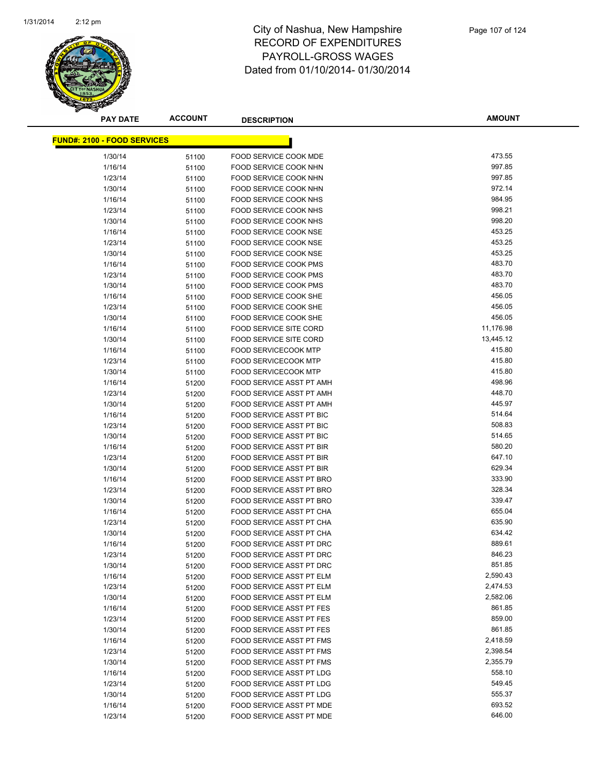

**AMOUNT**

| <u> FUND#: 2100 - FOOD SERVICES</u> |                |                                                                |           |
|-------------------------------------|----------------|----------------------------------------------------------------|-----------|
| 1/30/14                             |                | FOOD SERVICE COOK MDE                                          | 473.55    |
| 1/16/14                             | 51100          | FOOD SERVICE COOK NHN                                          | 997.85    |
| 1/23/14                             | 51100          | <b>FOOD SERVICE COOK NHN</b>                                   | 997.85    |
| 1/30/14                             | 51100<br>51100 | FOOD SERVICE COOK NHN                                          | 972.14    |
| 1/16/14                             |                | FOOD SERVICE COOK NHS                                          | 984.95    |
|                                     | 51100          |                                                                | 998.21    |
| 1/23/14                             | 51100          | FOOD SERVICE COOK NHS                                          | 998.20    |
| 1/30/14<br>1/16/14                  | 51100          | FOOD SERVICE COOK NHS                                          | 453.25    |
|                                     | 51100          | FOOD SERVICE COOK NSE<br>FOOD SERVICE COOK NSE                 | 453.25    |
| 1/23/14<br>1/30/14                  | 51100          | FOOD SERVICE COOK NSE                                          | 453.25    |
| 1/16/14                             | 51100          | <b>FOOD SERVICE COOK PMS</b>                                   | 483.70    |
| 1/23/14                             | 51100          | <b>FOOD SERVICE COOK PMS</b>                                   | 483.70    |
| 1/30/14                             | 51100          | <b>FOOD SERVICE COOK PMS</b>                                   | 483.70    |
| 1/16/14                             | 51100          | FOOD SERVICE COOK SHE                                          | 456.05    |
| 1/23/14                             | 51100          | FOOD SERVICE COOK SHE                                          | 456.05    |
| 1/30/14                             | 51100          | <b>FOOD SERVICE COOK SHE</b>                                   | 456.05    |
|                                     | 51100          |                                                                | 11,176.98 |
| 1/16/14                             | 51100          | <b>FOOD SERVICE SITE CORD</b><br><b>FOOD SERVICE SITE CORD</b> | 13,445.12 |
| 1/30/14                             | 51100          | <b>FOOD SERVICECOOK MTP</b>                                    | 415.80    |
| 1/16/14<br>1/23/14                  | 51100          | <b>FOOD SERVICECOOK MTP</b>                                    | 415.80    |
|                                     | 51100          | <b>FOOD SERVICECOOK MTP</b>                                    | 415.80    |
| 1/30/14<br>1/16/14                  | 51100          | FOOD SERVICE ASST PT AMH                                       | 498.96    |
|                                     | 51200          | FOOD SERVICE ASST PT AMH                                       | 448.70    |
| 1/23/14<br>1/30/14                  | 51200          | <b>FOOD SERVICE ASST PT AMH</b>                                | 445.97    |
| 1/16/14                             | 51200          | FOOD SERVICE ASST PT BIC                                       | 514.64    |
| 1/23/14                             | 51200          | FOOD SERVICE ASST PT BIC                                       | 508.83    |
| 1/30/14                             | 51200          | FOOD SERVICE ASST PT BIC                                       | 514.65    |
| 1/16/14                             | 51200<br>51200 | FOOD SERVICE ASST PT BIR                                       | 580.20    |
| 1/23/14                             | 51200          | FOOD SERVICE ASST PT BIR                                       | 647.10    |
| 1/30/14                             | 51200          | <b>FOOD SERVICE ASST PT BIR</b>                                | 629.34    |
| 1/16/14                             | 51200          | FOOD SERVICE ASST PT BRO                                       | 333.90    |
| 1/23/14                             | 51200          | FOOD SERVICE ASST PT BRO                                       | 328.34    |
| 1/30/14                             | 51200          | FOOD SERVICE ASST PT BRO                                       | 339.47    |
| 1/16/14                             | 51200          | FOOD SERVICE ASST PT CHA                                       | 655.04    |
| 1/23/14                             | 51200          | FOOD SERVICE ASST PT CHA                                       | 635.90    |
| 1/30/14                             | 51200          | FOOD SERVICE ASST PT CHA                                       | 634.42    |
| 1/16/14                             | 51200          | FOOD SERVICE ASST PT DRC                                       | 889.61    |
| 1/23/14                             | 51200          | FOOD SERVICE ASST PT DRC                                       | 846.23    |
| 1/30/14                             | 51200          | FOOD SERVICE ASST PT DRC                                       | 851.85    |
| 1/16/14                             | 51200          | FOOD SERVICE ASST PT ELM                                       | 2,590.43  |
| 1/23/14                             | 51200          | FOOD SERVICE ASST PT ELM                                       | 2,474.53  |
| 1/30/14                             | 51200          | FOOD SERVICE ASST PT ELM                                       | 2,582.06  |
| 1/16/14                             | 51200          | FOOD SERVICE ASST PT FES                                       | 861.85    |
| 1/23/14                             | 51200          | <b>FOOD SERVICE ASST PT FES</b>                                | 859.00    |
| 1/30/14                             | 51200          | FOOD SERVICE ASST PT FES                                       | 861.85    |
| 1/16/14                             | 51200          | FOOD SERVICE ASST PT FMS                                       | 2,418.59  |
| 1/23/14                             | 51200          | FOOD SERVICE ASST PT FMS                                       | 2,398.54  |
| 1/30/14                             | 51200          | FOOD SERVICE ASST PT FMS                                       | 2,355.79  |
| 1/16/14                             | 51200          | FOOD SERVICE ASST PT LDG                                       | 558.10    |
| 1/23/14                             | 51200          | FOOD SERVICE ASST PT LDG                                       | 549.45    |
| 1/30/14                             | 51200          | FOOD SERVICE ASST PT LDG                                       | 555.37    |
| 1/16/14                             | 51200          | FOOD SERVICE ASST PT MDE                                       | 693.52    |
| 1/23/14                             | 51200          | FOOD SERVICE ASST PT MDE                                       | 646.00    |
|                                     |                |                                                                |           |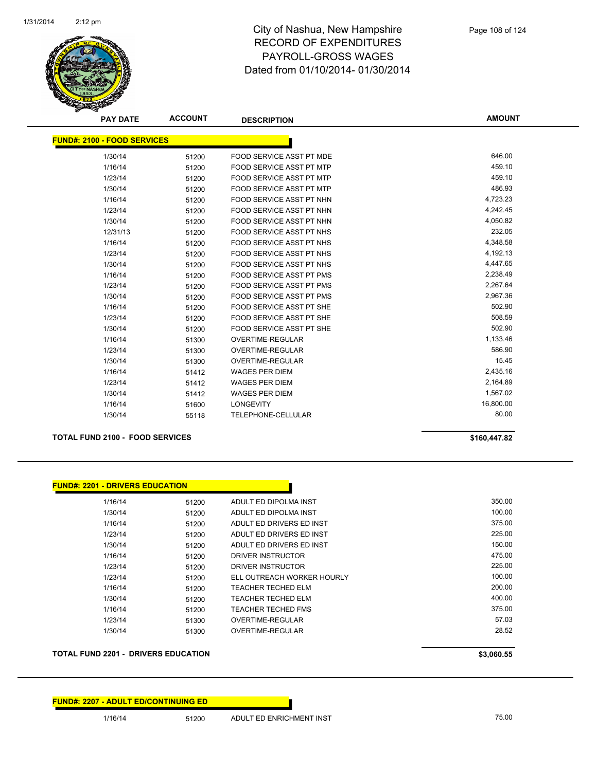

| <b>PAY DATE</b>                    | <b>ACCOUNT</b> | <b>DESCRIPTION</b>              | <b>AMOUNT</b> |
|------------------------------------|----------------|---------------------------------|---------------|
| <b>FUND#: 2100 - FOOD SERVICES</b> |                |                                 |               |
| 1/30/14                            | 51200          | FOOD SERVICE ASST PT MDE        | 646.00        |
| 1/16/14                            | 51200          | <b>FOOD SERVICE ASST PT MTP</b> | 459.10        |
| 1/23/14                            | 51200          | FOOD SERVICE ASST PT MTP        | 459.10        |
| 1/30/14                            | 51200          | <b>FOOD SERVICE ASST PT MTP</b> | 486.93        |
| 1/16/14                            | 51200          | <b>FOOD SERVICE ASST PT NHN</b> | 4,723.23      |
| 1/23/14                            | 51200          | <b>FOOD SERVICE ASST PT NHN</b> | 4,242.45      |
| 1/30/14                            | 51200          | <b>FOOD SERVICE ASST PT NHN</b> | 4,050.82      |
| 12/31/13                           | 51200          | <b>FOOD SERVICE ASST PT NHS</b> | 232.05        |
| 1/16/14                            | 51200          | <b>FOOD SERVICE ASST PT NHS</b> | 4,348.58      |
| 1/23/14                            | 51200          | FOOD SERVICE ASST PT NHS        | 4,192.13      |
| 1/30/14                            | 51200          | <b>FOOD SERVICE ASST PT NHS</b> | 4,447.65      |
| 1/16/14                            | 51200          | FOOD SERVICE ASST PT PMS        | 2,238.49      |
| 1/23/14                            | 51200          | <b>FOOD SERVICE ASST PT PMS</b> | 2,267.64      |
| 1/30/14                            | 51200          | <b>FOOD SERVICE ASST PT PMS</b> | 2,967.36      |
| 1/16/14                            | 51200          | <b>FOOD SERVICE ASST PT SHE</b> | 502.90        |
| 1/23/14                            | 51200          | FOOD SERVICE ASST PT SHE        | 508.59        |
| 1/30/14                            | 51200          | <b>FOOD SERVICE ASST PT SHE</b> | 502.90        |
| 1/16/14                            | 51300          | OVERTIME-REGULAR                | 1,133.46      |
| 1/23/14                            | 51300          | <b>OVERTIME-REGULAR</b>         | 586.90        |
| 1/30/14                            | 51300          | OVERTIME-REGULAR                | 15.45         |
| 1/16/14                            | 51412          | <b>WAGES PER DIEM</b>           | 2,435.16      |
| 1/23/14                            | 51412          | <b>WAGES PER DIEM</b>           | 2,164.89      |
| 1/30/14                            | 51412          | <b>WAGES PER DIEM</b>           | 1,567.02      |
| 1/16/14                            | 51600          | <b>LONGEVITY</b>                | 16,800.00     |
| 1/30/14                            | 55118          | TELEPHONE-CELLULAR              | 80.00         |

#### **TOTAL FUND 2100 - FOOD SERVICES \$160,447.82**

| <b>FUND#: 2201 - DRIVERS EDUCATION</b> |       |                            |        |
|----------------------------------------|-------|----------------------------|--------|
| 1/16/14                                | 51200 | ADULT ED DIPOLMA INST      | 350.00 |
| 1/30/14                                | 51200 | ADULT ED DIPOLMA INST      | 100.00 |
| 1/16/14                                | 51200 | ADULT ED DRIVERS ED INST   | 375.00 |
| 1/23/14                                | 51200 | ADULT ED DRIVERS ED INST   | 225.00 |
| 1/30/14                                | 51200 | ADULT ED DRIVERS ED INST   | 150.00 |
| 1/16/14                                | 51200 | DRIVER INSTRUCTOR          | 475.00 |
| 1/23/14                                | 51200 | DRIVER INSTRUCTOR          | 225.00 |
| 1/23/14                                | 51200 | ELL OUTREACH WORKER HOURLY | 100.00 |
| 1/16/14                                | 51200 | <b>TEACHER TECHED ELM</b>  | 200.00 |
| 1/30/14                                | 51200 | TEACHER TECHED ELM         | 400.00 |
| 1/16/14                                | 51200 | TEACHER TECHED FMS         | 375.00 |
| 1/23/14                                | 51300 | OVERTIME-REGULAR           | 57.03  |
| 1/30/14                                | 51300 | OVERTIME-REGULAR           | 28.52  |

**TOTAL FUND 2201 - DRIVERS EDUCATION \$3,060.55**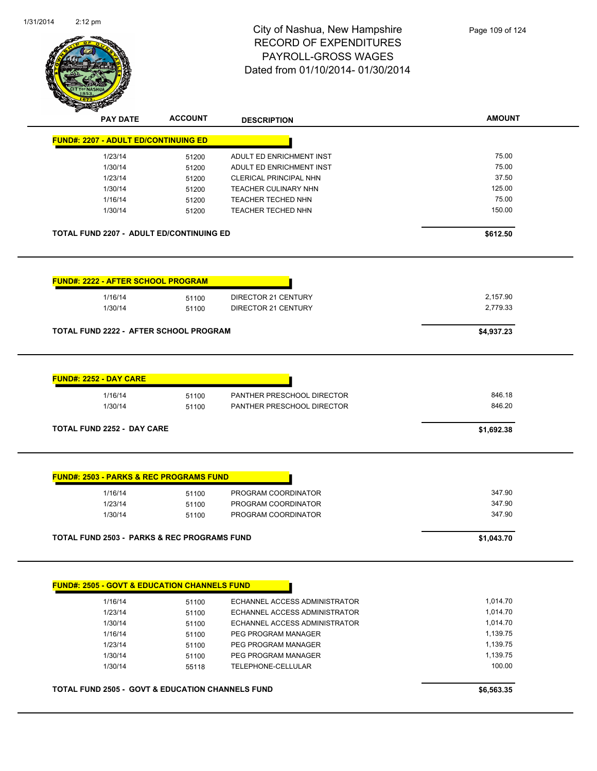

| <b>AMOUNT</b><br>75.00<br>75.00<br>37.50<br>125.00<br>75.00<br>150.00<br>\$612.50<br>2,157.90<br>2,779.33<br>\$4,937.23 |
|-------------------------------------------------------------------------------------------------------------------------|
|                                                                                                                         |
|                                                                                                                         |
|                                                                                                                         |
|                                                                                                                         |
|                                                                                                                         |
|                                                                                                                         |
|                                                                                                                         |
|                                                                                                                         |
|                                                                                                                         |
|                                                                                                                         |
|                                                                                                                         |
|                                                                                                                         |
|                                                                                                                         |
|                                                                                                                         |
|                                                                                                                         |
|                                                                                                                         |
| 846.18<br>846.20                                                                                                        |
| \$1,692.38                                                                                                              |
|                                                                                                                         |
| 347.90                                                                                                                  |
| 347.90                                                                                                                  |
| 347.90                                                                                                                  |
|                                                                                                                         |
|                                                                                                                         |

1/16/14 51100 PEG PROGRAM MANAGER 1,139.75 1/23/14 51100 PEG PROGRAM MANAGER 1,139.75 1/30/14 51100 PEG PROGRAM MANAGER 1,139.75 1/30/14 55118 TELEPHONE-CELLULAR 100.00

**TOTAL FUND 2505 - GOVT & EDUCATION CHANNELS FUND \$6,563.35**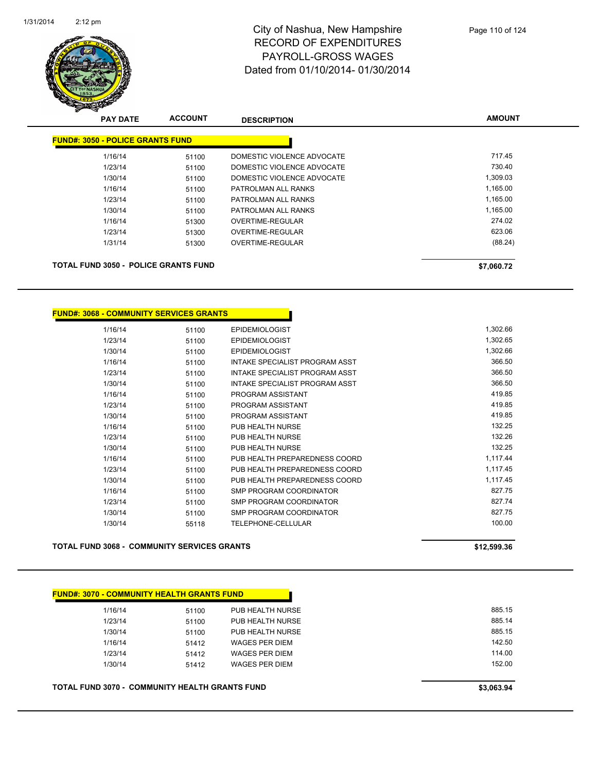

| <b>PAY DATE</b>                         | <b>ACCOUNT</b> | <b>DESCRIPTION</b>         | <b>AMOUNT</b> |
|-----------------------------------------|----------------|----------------------------|---------------|
| <b>FUND#: 3050 - POLICE GRANTS FUND</b> |                |                            |               |
| 1/16/14                                 | 51100          | DOMESTIC VIOLENCE ADVOCATE | 717.45        |
| 1/23/14                                 | 51100          | DOMESTIC VIOLENCE ADVOCATE | 730.40        |
| 1/30/14                                 | 51100          | DOMESTIC VIOLENCE ADVOCATE | 1,309.03      |
| 1/16/14                                 | 51100          | PATROLMAN ALL RANKS        | 1.165.00      |
| 1/23/14                                 | 51100          | PATROLMAN ALL RANKS        | 1,165.00      |
| 1/30/14                                 | 51100          | PATROLMAN ALL RANKS        | 1,165.00      |
| 1/16/14                                 | 51300          | OVERTIME-REGULAR           | 274.02        |
| 1/23/14                                 | 51300          | OVERTIME-REGULAR           | 623.06        |
| 1/31/14                                 | 51300          | OVERTIME-REGULAR           | (88.24)       |

**TOTAL FUND 3050 - POLICE GRANTS FUND \$7,060.72** 

| <u> FUND#: 3068 - COMMUNITY SERVICES GRANTS</u> |       |                                |          |
|-------------------------------------------------|-------|--------------------------------|----------|
| 1/16/14                                         | 51100 | <b>EPIDEMIOLOGIST</b>          | 1,302.66 |
| 1/23/14                                         | 51100 | <b>EPIDEMIOLOGIST</b>          | 1,302.65 |
| 1/30/14                                         | 51100 | <b>EPIDEMIOLOGIST</b>          | 1,302.66 |
| 1/16/14                                         | 51100 | INTAKE SPECIALIST PROGRAM ASST | 366.50   |
| 1/23/14                                         | 51100 | INTAKE SPECIALIST PROGRAM ASST | 366.50   |
| 1/30/14                                         | 51100 | INTAKE SPECIALIST PROGRAM ASST | 366.50   |
| 1/16/14                                         | 51100 | PROGRAM ASSISTANT              | 419.85   |
| 1/23/14                                         | 51100 | PROGRAM ASSISTANT              | 419.85   |
| 1/30/14                                         | 51100 | PROGRAM ASSISTANT              | 419.85   |
| 1/16/14                                         | 51100 | PUB HEALTH NURSE               | 132.25   |
| 1/23/14                                         | 51100 | PUB HEALTH NURSE               | 132.26   |
| 1/30/14                                         | 51100 | PUB HEALTH NURSE               | 132.25   |
| 1/16/14                                         | 51100 | PUB HEALTH PREPAREDNESS COORD  | 1,117.44 |
| 1/23/14                                         | 51100 | PUB HEALTH PREPAREDNESS COORD  | 1,117.45 |
| 1/30/14                                         | 51100 | PUB HEALTH PREPAREDNESS COORD  | 1,117.45 |
| 1/16/14                                         | 51100 | <b>SMP PROGRAM COORDINATOR</b> | 827.75   |
| 1/23/14                                         | 51100 | <b>SMP PROGRAM COORDINATOR</b> | 827.74   |
| 1/30/14                                         | 51100 | SMP PROGRAM COORDINATOR        | 827.75   |
| 1/30/14                                         | 55118 | <b>TELEPHONE-CELLULAR</b>      | 100.00   |

**TOTAL FUND 3068 - COMMUNITY SERVICES GRANTS \$12,599.36** 

| 1/16/14                                               | 51100 | PUB HEALTH NURSE | 885.15     |
|-------------------------------------------------------|-------|------------------|------------|
| 1/23/14                                               | 51100 | PUB HEALTH NURSE | 885.14     |
| 1/30/14                                               | 51100 | PUB HEALTH NURSE | 885.15     |
| 1/16/14                                               | 51412 | WAGES PER DIEM   | 142.50     |
| 1/23/14                                               | 51412 | WAGES PER DIEM   | 114.00     |
| 1/30/14                                               | 51412 | WAGES PER DIEM   | 152.00     |
| <b>TOTAL FUND 3070 - COMMUNITY HEALTH GRANTS FUND</b> |       |                  | \$3,063.94 |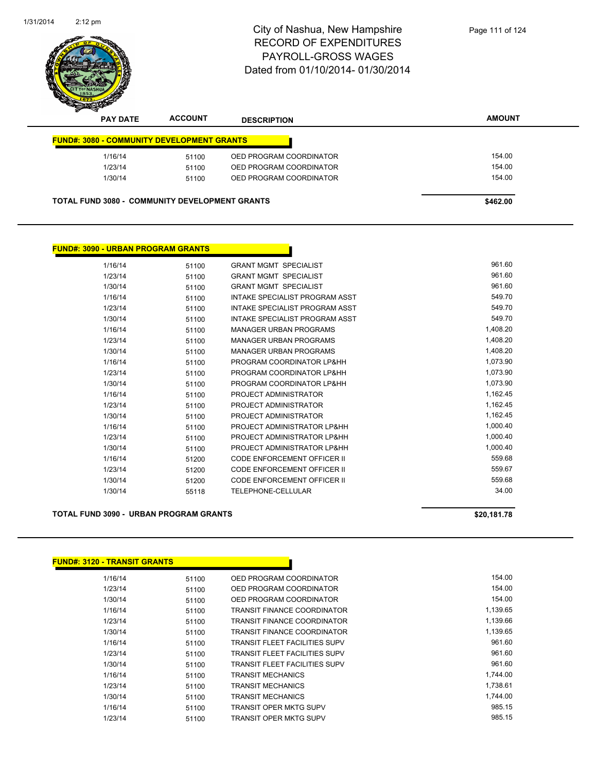

| <b>PAY DATE</b> | <b>ACCOUNT</b>                                        | <b>DESCRIPTION</b>      | <b>AMOUNT</b> |
|-----------------|-------------------------------------------------------|-------------------------|---------------|
|                 | <b>FUND#: 3080 - COMMUNITY DEVELOPMENT GRANTS</b>     |                         |               |
| 1/16/14         | 51100                                                 | OED PROGRAM COORDINATOR | 154.00        |
| 1/23/14         | 51100                                                 | OED PROGRAM COORDINATOR | 154.00        |
| 1/30/14         | 51100                                                 | OED PROGRAM COORDINATOR | 154.00        |
|                 |                                                       |                         |               |
|                 | <b>TOTAL FUND 3080 - COMMUNITY DEVELOPMENT GRANTS</b> |                         | \$462.00      |

| 1/16/14 | 51100 | <b>GRANT MGMT SPECIALIST</b>          | 961.60   |
|---------|-------|---------------------------------------|----------|
| 1/23/14 | 51100 | <b>GRANT MGMT SPECIALIST</b>          | 961.60   |
| 1/30/14 | 51100 | <b>GRANT MGMT SPECIALIST</b>          | 961.60   |
| 1/16/14 | 51100 | INTAKE SPECIALIST PROGRAM ASST        | 549.70   |
| 1/23/14 | 51100 | <b>INTAKE SPECIALIST PROGRAM ASST</b> | 549.70   |
| 1/30/14 | 51100 | INTAKE SPECIALIST PROGRAM ASST        | 549.70   |
| 1/16/14 | 51100 | <b>MANAGER URBAN PROGRAMS</b>         | 1,408.20 |
| 1/23/14 | 51100 | <b>MANAGER URBAN PROGRAMS</b>         | 1,408.20 |
| 1/30/14 | 51100 | <b>MANAGER URBAN PROGRAMS</b>         | 1,408.20 |
| 1/16/14 | 51100 | PROGRAM COORDINATOR LP&HH             | 1,073.90 |
| 1/23/14 | 51100 | PROGRAM COORDINATOR LP&HH             | 1,073.90 |
| 1/30/14 | 51100 | PROGRAM COORDINATOR LP&HH             | 1,073.90 |
| 1/16/14 | 51100 | PROJECT ADMINISTRATOR                 | 1,162.45 |
| 1/23/14 | 51100 | PROJECT ADMINISTRATOR                 | 1,162.45 |
| 1/30/14 | 51100 | PROJECT ADMINISTRATOR                 | 1,162.45 |
| 1/16/14 | 51100 | PROJECT ADMINISTRATOR LP&HH           | 1,000.40 |
| 1/23/14 | 51100 | PROJECT ADMINISTRATOR LP&HH           | 1,000.40 |
| 1/30/14 | 51100 | PROJECT ADMINISTRATOR LP&HH           | 1,000.40 |
| 1/16/14 | 51200 | <b>CODE ENFORCEMENT OFFICER II</b>    | 559.68   |
| 1/23/14 | 51200 | <b>CODE ENFORCEMENT OFFICER II</b>    | 559.67   |
| 1/30/14 | 51200 | <b>CODE ENFORCEMENT OFFICER II</b>    | 559.68   |
| 1/30/14 | 55118 | <b>TELEPHONE-CELLULAR</b>             | 34.00    |

#### **TOTAL FUND 3090 - URBAN PROGRAM GRANTS \$20,181.78**

**FUND#: 3090 - URBAN PROGRAM GRANTS**

| <u> FUND#: 3120 - TRANSIT GRANTS</u> |       |                                      |          |
|--------------------------------------|-------|--------------------------------------|----------|
| 1/16/14                              | 51100 | OED PROGRAM COORDINATOR              | 154.00   |
| 1/23/14                              | 51100 | OED PROGRAM COORDINATOR              | 154.00   |
| 1/30/14                              | 51100 | OED PROGRAM COORDINATOR              | 154.00   |
| 1/16/14                              | 51100 | TRANSIT FINANCE COORDINATOR          | 1,139.65 |
| 1/23/14                              | 51100 | TRANSIT FINANCE COORDINATOR          | 1,139.66 |
| 1/30/14                              | 51100 | TRANSIT FINANCE COORDINATOR          | 1,139.65 |
| 1/16/14                              | 51100 | TRANSIT FLEET FACILITIES SUPV        | 961.60   |
| 1/23/14                              | 51100 | TRANSIT FLEET FACILITIES SUPV        | 961.60   |
| 1/30/14                              | 51100 | <b>TRANSIT FLEET FACILITIES SUPV</b> | 961.60   |
| 1/16/14                              | 51100 | <b>TRANSIT MECHANICS</b>             | 1,744.00 |
| 1/23/14                              | 51100 | <b>TRANSIT MECHANICS</b>             | 1,738.61 |
| 1/30/14                              | 51100 | <b>TRANSIT MECHANICS</b>             | 1,744.00 |
| 1/16/14                              | 51100 | TRANSIT OPER MKTG SUPV               | 985.15   |
| 1/23/14                              | 51100 | TRANSIT OPER MKTG SUPV               | 985.15   |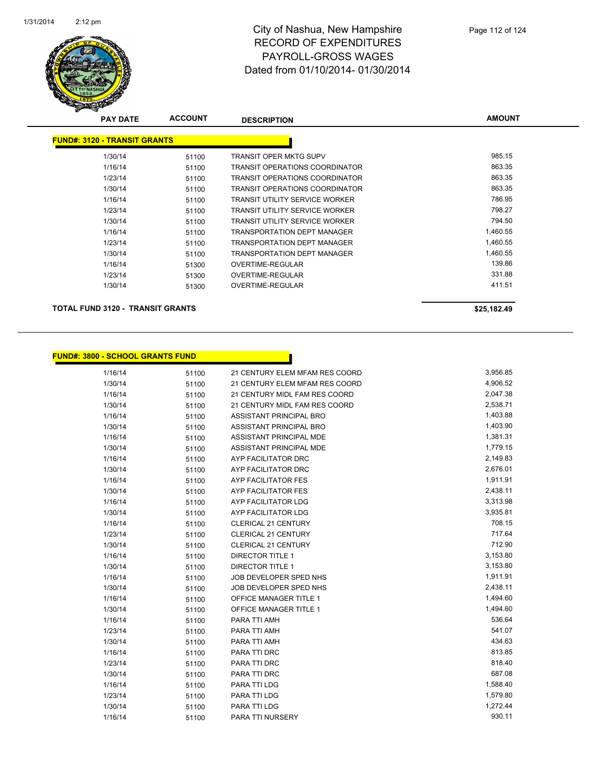

| <b>PAY DATE</b>                         | <b>ACCOUNT</b> | <b>DESCRIPTION</b>                    | <b>AMOUNT</b> |
|-----------------------------------------|----------------|---------------------------------------|---------------|
| <b>FUND#: 3120 - TRANSIT GRANTS</b>     |                |                                       |               |
| 1/30/14                                 | 51100          | TRANSIT OPER MKTG SUPV                | 985.15        |
| 1/16/14                                 | 51100          | <b>TRANSIT OPERATIONS COORDINATOR</b> | 863.35        |
| 1/23/14                                 | 51100          | <b>TRANSIT OPERATIONS COORDINATOR</b> | 863.35        |
| 1/30/14                                 | 51100          | <b>TRANSIT OPERATIONS COORDINATOR</b> | 863.35        |
| 1/16/14                                 | 51100          | TRANSIT UTILITY SERVICE WORKER        | 786.95        |
| 1/23/14                                 | 51100          | TRANSIT UTILITY SERVICE WORKER        | 798.27        |
| 1/30/14                                 | 51100          | <b>TRANSIT UTILITY SERVICE WORKER</b> | 794.50        |
| 1/16/14                                 | 51100          | <b>TRANSPORTATION DEPT MANAGER</b>    | 1,460.55      |
| 1/23/14                                 | 51100          | <b>TRANSPORTATION DEPT MANAGER</b>    | 1,460.55      |
| 1/30/14                                 | 51100          | <b>TRANSPORTATION DEPT MANAGER</b>    | 1,460.55      |
| 1/16/14                                 | 51300          | OVERTIME-REGULAR                      | 139.86        |
| 1/23/14                                 | 51300          | OVERTIME-REGULAR                      | 331.88        |
| 1/30/14                                 | 51300          | OVERTIME-REGULAR                      | 411.51        |
| <b>TOTAL FUND 3120 - TRANSIT GRANTS</b> |                |                                       | \$25,182.49   |

## **FUND#: 3800 - SCHOOL GRANTS FUND**

| 1/16/14 | 51100 | 21 CENTURY ELEM MFAM RES COORD | 3,956.85 |
|---------|-------|--------------------------------|----------|
| 1/30/14 | 51100 | 21 CENTURY ELEM MFAM RES COORD | 4,906.52 |
| 1/16/14 | 51100 | 21 CENTURY MIDL FAM RES COORD  | 2,047.38 |
| 1/30/14 | 51100 | 21 CENTURY MIDL FAM RES COORD  | 2,538.71 |
| 1/16/14 | 51100 | <b>ASSISTANT PRINCIPAL BRO</b> | 1,403.88 |
| 1/30/14 | 51100 | <b>ASSISTANT PRINCIPAL BRO</b> | 1,403.90 |
| 1/16/14 | 51100 | ASSISTANT PRINCIPAL MDE        | 1,381.31 |
| 1/30/14 | 51100 | ASSISTANT PRINCIPAL MDE        | 1,779.15 |
| 1/16/14 | 51100 | AYP FACILITATOR DRC            | 2,149.83 |
| 1/30/14 | 51100 | AYP FACILITATOR DRC            | 2,676.01 |
| 1/16/14 | 51100 | <b>AYP FACILITATOR FES</b>     | 1,911.91 |
| 1/30/14 | 51100 | <b>AYP FACILITATOR FES</b>     | 2,438.11 |
| 1/16/14 | 51100 | AYP FACILITATOR LDG            | 3,313.98 |
| 1/30/14 | 51100 | AYP FACILITATOR LDG            | 3,935.81 |
| 1/16/14 | 51100 | CLERICAL 21 CENTURY            | 708.15   |
| 1/23/14 | 51100 | CLERICAL 21 CENTURY            | 717.64   |
| 1/30/14 | 51100 | CLERICAL 21 CENTURY            | 712.90   |
| 1/16/14 | 51100 | <b>DIRECTOR TITLE 1</b>        | 3,153.80 |
| 1/30/14 | 51100 | <b>DIRECTOR TITLE 1</b>        | 3,153.80 |
| 1/16/14 | 51100 | JOB DEVELOPER SPED NHS         | 1,911.91 |
| 1/30/14 | 51100 | JOB DEVELOPER SPED NHS         | 2,438.11 |
| 1/16/14 | 51100 | <b>OFFICE MANAGER TITLE 1</b>  | 1,494.60 |
| 1/30/14 | 51100 | <b>OFFICE MANAGER TITLE 1</b>  | 1,494.60 |
| 1/16/14 | 51100 | PARA TTI AMH                   | 536.64   |
| 1/23/14 | 51100 | PARA TTI AMH                   | 541.07   |
| 1/30/14 | 51100 | PARA TTI AMH                   | 434.63   |
| 1/16/14 | 51100 | PARA TTI DRC                   | 813.85   |
| 1/23/14 | 51100 | PARA TTI DRC                   | 818.40   |
| 1/30/14 | 51100 | PARA TTI DRC                   | 687.08   |
| 1/16/14 | 51100 | PARA TTI LDG                   | 1,588.40 |
| 1/23/14 | 51100 | PARA TTI LDG                   | 1,579.80 |
| 1/30/14 | 51100 | PARA TTI LDG                   | 1,272.44 |
| 1/16/14 | 51100 | PARA TTI NURSERY               | 930.11   |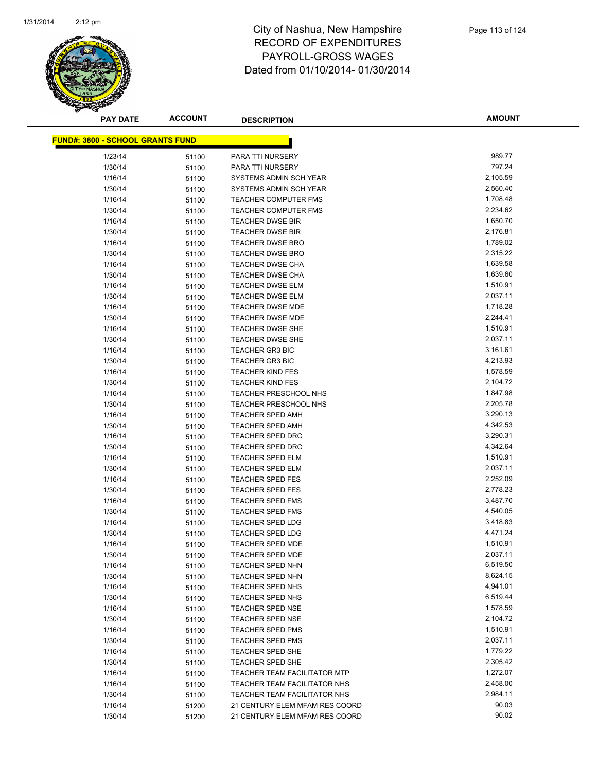

| <b>FUND#: 3800 - SCHOOL GRANTS FUND</b> |                |                                            |                  |
|-----------------------------------------|----------------|--------------------------------------------|------------------|
|                                         |                |                                            |                  |
| 1/23/14                                 | 51100          | PARA TTI NURSERY                           | 989.77<br>797.24 |
| 1/30/14<br>1/16/14                      | 51100          | PARA TTI NURSERY<br>SYSTEMS ADMIN SCH YEAR | 2,105.59         |
| 1/30/14                                 | 51100          | SYSTEMS ADMIN SCH YEAR                     | 2,560.40         |
| 1/16/14                                 | 51100          | TEACHER COMPUTER FMS                       | 1,708.48         |
|                                         | 51100          | <b>TEACHER COMPUTER FMS</b>                | 2,234.62         |
| 1/30/14<br>1/16/14                      | 51100          | <b>TEACHER DWSE BIR</b>                    | 1,650.70         |
| 1/30/14                                 | 51100          | <b>TEACHER DWSE BIR</b>                    | 2,176.81         |
| 1/16/14                                 | 51100          | <b>TEACHER DWSE BRO</b>                    | 1,789.02         |
| 1/30/14                                 | 51100          | <b>TEACHER DWSE BRO</b>                    | 2,315.22         |
| 1/16/14                                 | 51100          | <b>TEACHER DWSE CHA</b>                    | 1,639.58         |
| 1/30/14                                 | 51100<br>51100 | <b>TEACHER DWSE CHA</b>                    | 1,639.60         |
| 1/16/14                                 | 51100          | <b>TEACHER DWSE ELM</b>                    | 1,510.91         |
| 1/30/14                                 | 51100          | <b>TEACHER DWSE ELM</b>                    | 2,037.11         |
| 1/16/14                                 | 51100          | <b>TEACHER DWSE MDE</b>                    | 1,718.28         |
| 1/30/14                                 | 51100          | <b>TEACHER DWSE MDE</b>                    | 2,244.41         |
| 1/16/14                                 | 51100          | <b>TEACHER DWSE SHE</b>                    | 1,510.91         |
| 1/30/14                                 | 51100          | <b>TEACHER DWSE SHE</b>                    | 2,037.11         |
| 1/16/14                                 | 51100          | <b>TEACHER GR3 BIC</b>                     | 3,161.61         |
| 1/30/14                                 | 51100          | <b>TEACHER GR3 BIC</b>                     | 4,213.93         |
| 1/16/14                                 | 51100          | <b>TEACHER KIND FES</b>                    | 1,578.59         |
| 1/30/14                                 | 51100          | <b>TEACHER KIND FES</b>                    | 2,104.72         |
| 1/16/14                                 | 51100          | <b>TEACHER PRESCHOOL NHS</b>               | 1,847.98         |
| 1/30/14                                 | 51100          | <b>TEACHER PRESCHOOL NHS</b>               | 2,205.78         |
| 1/16/14                                 | 51100          | <b>TEACHER SPED AMH</b>                    | 3,290.13         |
| 1/30/14                                 | 51100          | <b>TEACHER SPED AMH</b>                    | 4,342.53         |
| 1/16/14                                 | 51100          | <b>TEACHER SPED DRC</b>                    | 3,290.31         |
| 1/30/14                                 | 51100          | <b>TEACHER SPED DRC</b>                    | 4,342.64         |
| 1/16/14                                 | 51100          | <b>TEACHER SPED ELM</b>                    | 1,510.91         |
| 1/30/14                                 | 51100          | <b>TEACHER SPED ELM</b>                    | 2,037.11         |
| 1/16/14                                 | 51100          | <b>TEACHER SPED FES</b>                    | 2,252.09         |
| 1/30/14                                 | 51100          | <b>TEACHER SPED FES</b>                    | 2,778.23         |
| 1/16/14                                 | 51100          | <b>TEACHER SPED FMS</b>                    | 3,487.70         |
| 1/30/14                                 | 51100          | <b>TEACHER SPED FMS</b>                    | 4,540.05         |
| 1/16/14                                 | 51100          | <b>TEACHER SPED LDG</b>                    | 3,418.83         |
| 1/30/14                                 | 51100          | <b>TEACHER SPED LDG</b>                    | 4,471.24         |
| 1/16/14                                 | 51100          | <b>TEACHER SPED MDE</b>                    | 1,510.91         |
| 1/30/14                                 | 51100          | <b>TEACHER SPED MDE</b>                    | 2,037.11         |
| 1/16/14                                 | 51100          | TEACHER SPED NHN                           | 6,519.50         |
| 1/30/14                                 | 51100          | <b>TEACHER SPED NHN</b>                    | 8,624.15         |
| 1/16/14                                 | 51100          | <b>TEACHER SPED NHS</b>                    | 4,941.01         |
| 1/30/14                                 | 51100          | TEACHER SPED NHS                           | 6,519.44         |
| 1/16/14                                 | 51100          | <b>TEACHER SPED NSE</b>                    | 1,578.59         |
| 1/30/14                                 | 51100          | <b>TEACHER SPED NSE</b>                    | 2,104.72         |
| 1/16/14                                 | 51100          | TEACHER SPED PMS                           | 1,510.91         |
| 1/30/14                                 | 51100          | <b>TEACHER SPED PMS</b>                    | 2,037.11         |
| 1/16/14                                 | 51100          | <b>TEACHER SPED SHE</b>                    | 1,779.22         |
| 1/30/14                                 | 51100          | TEACHER SPED SHE                           | 2,305.42         |
| 1/16/14                                 | 51100          | <b>TEACHER TEAM FACILITATOR MTP</b>        | 1,272.07         |
| 1/16/14                                 | 51100          | TEACHER TEAM FACILITATOR NHS               | 2,458.00         |
| 1/30/14                                 | 51100          | TEACHER TEAM FACILITATOR NHS               | 2,984.11         |
| 1/16/14                                 | 51200          | 21 CENTURY ELEM MFAM RES COORD             | 90.03            |
| 1/30/14                                 | 51200          | 21 CENTURY ELEM MFAM RES COORD             | 90.02            |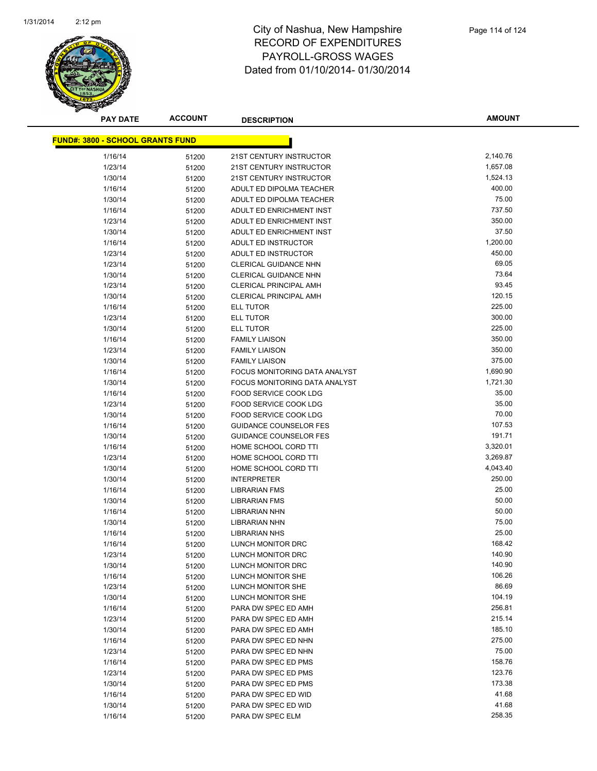

| <u> FUND#: 3800 - SCHOOL GRANTS FUND</u> |       |                                      |          |  |
|------------------------------------------|-------|--------------------------------------|----------|--|
|                                          |       |                                      |          |  |
| 1/16/14                                  | 51200 | 21ST CENTURY INSTRUCTOR              | 2,140.76 |  |
| 1/23/14                                  | 51200 | 21ST CENTURY INSTRUCTOR              | 1,657.08 |  |
| 1/30/14                                  | 51200 | 21ST CENTURY INSTRUCTOR              | 1,524.13 |  |
| 1/16/14                                  | 51200 | ADULT ED DIPOLMA TEACHER             | 400.00   |  |
| 1/30/14                                  | 51200 | ADULT ED DIPOLMA TEACHER             | 75.00    |  |
| 1/16/14                                  | 51200 | ADULT ED ENRICHMENT INST             | 737.50   |  |
| 1/23/14                                  | 51200 | ADULT ED ENRICHMENT INST             | 350.00   |  |
| 1/30/14                                  | 51200 | ADULT ED ENRICHMENT INST             | 37.50    |  |
| 1/16/14                                  | 51200 | ADULT ED INSTRUCTOR                  | 1,200.00 |  |
| 1/23/14                                  | 51200 | ADULT ED INSTRUCTOR                  | 450.00   |  |
| 1/23/14                                  | 51200 | <b>CLERICAL GUIDANCE NHN</b>         | 69.05    |  |
| 1/30/14                                  | 51200 | <b>CLERICAL GUIDANCE NHN</b>         | 73.64    |  |
| 1/23/14                                  | 51200 | <b>CLERICAL PRINCIPAL AMH</b>        | 93.45    |  |
| 1/30/14                                  | 51200 | <b>CLERICAL PRINCIPAL AMH</b>        | 120.15   |  |
| 1/16/14                                  | 51200 | ELL TUTOR                            | 225.00   |  |
| 1/23/14                                  | 51200 | <b>ELL TUTOR</b>                     | 300.00   |  |
| 1/30/14                                  | 51200 | ELL TUTOR                            | 225.00   |  |
| 1/16/14                                  | 51200 | <b>FAMILY LIAISON</b>                | 350.00   |  |
| 1/23/14                                  | 51200 | <b>FAMILY LIAISON</b>                | 350.00   |  |
| 1/30/14                                  | 51200 | <b>FAMILY LIAISON</b>                | 375.00   |  |
| 1/16/14                                  | 51200 | <b>FOCUS MONITORING DATA ANALYST</b> | 1,690.90 |  |
| 1/30/14                                  | 51200 | FOCUS MONITORING DATA ANALYST        | 1,721.30 |  |
| 1/16/14                                  | 51200 | <b>FOOD SERVICE COOK LDG</b>         | 35.00    |  |
| 1/23/14                                  | 51200 | FOOD SERVICE COOK LDG                | 35.00    |  |
| 1/30/14                                  | 51200 | FOOD SERVICE COOK LDG                | 70.00    |  |
| 1/16/14                                  | 51200 | <b>GUIDANCE COUNSELOR FES</b>        | 107.53   |  |
| 1/30/14                                  | 51200 | <b>GUIDANCE COUNSELOR FES</b>        | 191.71   |  |
| 1/16/14                                  | 51200 | HOME SCHOOL CORD TTI                 | 3,320.01 |  |
| 1/23/14                                  | 51200 | HOME SCHOOL CORD TTI                 | 3,269.87 |  |
| 1/30/14                                  | 51200 | HOME SCHOOL CORD TTI                 | 4,043.40 |  |
| 1/30/14                                  | 51200 | <b>INTERPRETER</b>                   | 250.00   |  |
| 1/16/14                                  | 51200 | <b>LIBRARIAN FMS</b>                 | 25.00    |  |
| 1/30/14                                  | 51200 | <b>LIBRARIAN FMS</b>                 | 50.00    |  |
| 1/16/14                                  | 51200 | <b>LIBRARIAN NHN</b>                 | 50.00    |  |
| 1/30/14                                  | 51200 | <b>LIBRARIAN NHN</b>                 | 75.00    |  |
| 1/16/14                                  | 51200 | <b>LIBRARIAN NHS</b>                 | 25.00    |  |
| 1/16/14                                  | 51200 | LUNCH MONITOR DRC                    | 168.42   |  |
| 1/23/14                                  | 51200 | LUNCH MONITOR DRC                    | 140.90   |  |
| 1/30/14                                  | 51200 | LUNCH MONITOR DRC                    | 140.90   |  |
| 1/16/14                                  | 51200 | LUNCH MONITOR SHE                    | 106.26   |  |
| 1/23/14                                  | 51200 | LUNCH MONITOR SHE                    | 86.69    |  |
| 1/30/14                                  | 51200 | LUNCH MONITOR SHE                    | 104.19   |  |
| 1/16/14                                  | 51200 | PARA DW SPEC ED AMH                  | 256.81   |  |
| 1/23/14                                  | 51200 | PARA DW SPEC ED AMH                  | 215.14   |  |
| 1/30/14                                  | 51200 | PARA DW SPEC ED AMH                  | 185.10   |  |
| 1/16/14                                  | 51200 | PARA DW SPEC ED NHN                  | 275.00   |  |
| 1/23/14                                  | 51200 | PARA DW SPEC ED NHN                  | 75.00    |  |
| 1/16/14                                  | 51200 | PARA DW SPEC ED PMS                  | 158.76   |  |
| 1/23/14                                  | 51200 | PARA DW SPEC ED PMS                  | 123.76   |  |
| 1/30/14                                  | 51200 | PARA DW SPEC ED PMS                  | 173.38   |  |
| 1/16/14                                  | 51200 | PARA DW SPEC ED WID                  | 41.68    |  |
| 1/30/14                                  | 51200 | PARA DW SPEC ED WID                  | 41.68    |  |
| 1/16/14                                  | 51200 | PARA DW SPEC ELM                     | 258.35   |  |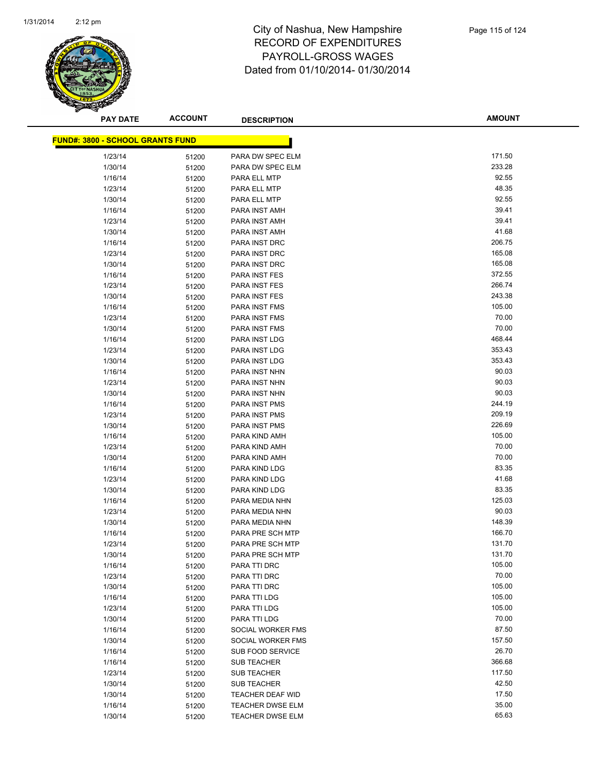

| <u> FUND#: 3800 - SCHOOL GRANTS FUND</u> |       |                         |                  |
|------------------------------------------|-------|-------------------------|------------------|
|                                          |       | PARA DW SPEC ELM        | 171.50           |
| 1/23/14                                  | 51200 |                         | 233.28           |
| 1/30/14                                  | 51200 | PARA DW SPEC ELM        | 92.55            |
| 1/16/14                                  | 51200 | PARA ELL MTP            | 48.35            |
| 1/23/14                                  | 51200 | PARA ELL MTP            |                  |
| 1/30/14                                  | 51200 | PARA ELL MTP            | 92.55            |
| 1/16/14                                  | 51200 | PARA INST AMH           | 39.41            |
| 1/23/14                                  | 51200 | PARA INST AMH           | 39.41            |
| 1/30/14                                  | 51200 | PARA INST AMH           | 41.68<br>206.75  |
| 1/16/14                                  | 51200 | PARA INST DRC           |                  |
| 1/23/14                                  | 51200 | PARA INST DRC           | 165.08<br>165.08 |
| 1/30/14                                  | 51200 | PARA INST DRC           |                  |
| 1/16/14                                  | 51200 | PARA INST FES           | 372.55<br>266.74 |
| 1/23/14                                  | 51200 | PARA INST FES           |                  |
| 1/30/14                                  | 51200 | PARA INST FES           | 243.38<br>105.00 |
| 1/16/14                                  | 51200 | PARA INST FMS           |                  |
| 1/23/14                                  | 51200 | PARA INST FMS           | 70.00<br>70.00   |
| 1/30/14                                  | 51200 | PARA INST FMS           |                  |
| 1/16/14                                  | 51200 | PARA INST LDG           | 468.44           |
| 1/23/14                                  | 51200 | PARA INST LDG           | 353.43           |
| 1/30/14                                  | 51200 | PARA INST LDG           | 353.43           |
| 1/16/14                                  | 51200 | PARA INST NHN           | 90.03            |
| 1/23/14                                  | 51200 | PARA INST NHN           | 90.03            |
| 1/30/14                                  | 51200 | PARA INST NHN           | 90.03            |
| 1/16/14                                  | 51200 | PARA INST PMS           | 244.19           |
| 1/23/14                                  | 51200 | PARA INST PMS           | 209.19           |
| 1/30/14                                  | 51200 | PARA INST PMS           | 226.69           |
| 1/16/14                                  | 51200 | PARA KIND AMH           | 105.00           |
| 1/23/14                                  | 51200 | PARA KIND AMH           | 70.00            |
| 1/30/14                                  | 51200 | PARA KIND AMH           | 70.00            |
| 1/16/14                                  | 51200 | PARA KIND LDG           | 83.35            |
| 1/23/14                                  | 51200 | PARA KIND LDG           | 41.68            |
| 1/30/14                                  | 51200 | PARA KIND LDG           | 83.35            |
| 1/16/14                                  | 51200 | PARA MEDIA NHN          | 125.03           |
| 1/23/14                                  | 51200 | PARA MEDIA NHN          | 90.03            |
| 1/30/14                                  | 51200 | PARA MEDIA NHN          | 148.39           |
| 1/16/14                                  | 51200 | PARA PRE SCH MTP        | 166.70           |
| 1/23/14                                  | 51200 | PARA PRE SCH MTP        | 131.70           |
| 1/30/14                                  | 51200 | PARA PRE SCH MTP        | 131.70           |
| 1/16/14                                  | 51200 | PARA TTI DRC            | 105.00           |
| 1/23/14                                  | 51200 | PARA TTI DRC            | 70.00<br>105.00  |
| 1/30/14                                  | 51200 | PARA TTI DRC            |                  |
| 1/16/14                                  | 51200 | PARA TTI LDG            | 105.00<br>105.00 |
| 1/23/14                                  | 51200 | PARA TTI LDG            | 70.00            |
| 1/30/14                                  | 51200 | PARA TTI LDG            |                  |
| 1/16/14                                  | 51200 | SOCIAL WORKER FMS       | 87.50<br>157.50  |
| 1/30/14                                  | 51200 | SOCIAL WORKER FMS       | 26.70            |
| 1/16/14                                  | 51200 | SUB FOOD SERVICE        | 366.68           |
| 1/16/14                                  | 51200 | <b>SUB TEACHER</b>      | 117.50           |
| 1/23/14                                  | 51200 | <b>SUB TEACHER</b>      | 42.50            |
| 1/30/14                                  | 51200 | <b>SUB TEACHER</b>      | 17.50            |
| 1/30/14                                  | 51200 | TEACHER DEAF WID        | 35.00            |
| 1/16/14                                  | 51200 | <b>TEACHER DWSE ELM</b> | 65.63            |
| 1/30/14                                  | 51200 | TEACHER DWSE ELM        |                  |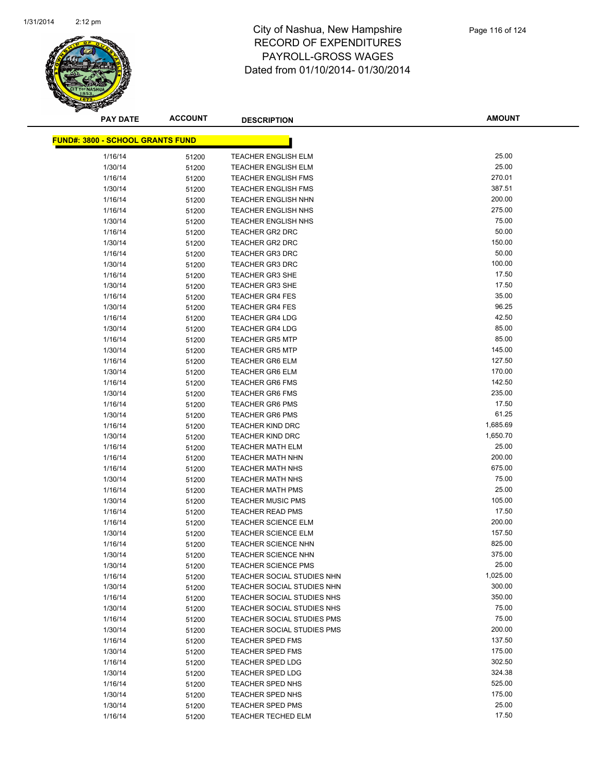

| <u> FUND#: 3800 - SCHOOL GRANTS FUND</u> |       |                            |          |
|------------------------------------------|-------|----------------------------|----------|
| 1/16/14                                  | 51200 | TEACHER ENGLISH ELM        | 25.00    |
| 1/30/14                                  | 51200 | <b>TEACHER ENGLISH ELM</b> | 25.00    |
| 1/16/14                                  | 51200 | <b>TEACHER ENGLISH FMS</b> | 270.01   |
| 1/30/14                                  | 51200 | <b>TEACHER ENGLISH FMS</b> | 387.51   |
| 1/16/14                                  | 51200 | <b>TEACHER ENGLISH NHN</b> | 200.00   |
| 1/16/14                                  | 51200 | <b>TEACHER ENGLISH NHS</b> | 275.00   |
| 1/30/14                                  | 51200 | <b>TEACHER ENGLISH NHS</b> | 75.00    |
| 1/16/14                                  |       | <b>TEACHER GR2 DRC</b>     | 50.00    |
| 1/30/14                                  | 51200 | <b>TEACHER GR2 DRC</b>     | 150.00   |
| 1/16/14                                  | 51200 | <b>TEACHER GR3 DRC</b>     | 50.00    |
| 1/30/14                                  | 51200 | <b>TEACHER GR3 DRC</b>     | 100.00   |
| 1/16/14                                  | 51200 | <b>TEACHER GR3 SHE</b>     | 17.50    |
| 1/30/14                                  | 51200 | <b>TEACHER GR3 SHE</b>     | 17.50    |
|                                          | 51200 |                            | 35.00    |
| 1/16/14                                  | 51200 | <b>TEACHER GR4 FES</b>     | 96.25    |
| 1/30/14                                  | 51200 | <b>TEACHER GR4 FES</b>     | 42.50    |
| 1/16/14                                  | 51200 | <b>TEACHER GR4 LDG</b>     | 85.00    |
| 1/30/14                                  | 51200 | <b>TEACHER GR4 LDG</b>     |          |
| 1/16/14                                  | 51200 | <b>TEACHER GR5 MTP</b>     | 85.00    |
| 1/30/14                                  | 51200 | <b>TEACHER GR5 MTP</b>     | 145.00   |
| 1/16/14                                  | 51200 | <b>TEACHER GR6 ELM</b>     | 127.50   |
| 1/30/14                                  | 51200 | <b>TEACHER GR6 ELM</b>     | 170.00   |
| 1/16/14                                  | 51200 | <b>TEACHER GR6 FMS</b>     | 142.50   |
| 1/30/14                                  | 51200 | <b>TEACHER GR6 FMS</b>     | 235.00   |
| 1/16/14                                  | 51200 | <b>TEACHER GR6 PMS</b>     | 17.50    |
| 1/30/14                                  | 51200 | <b>TEACHER GR6 PMS</b>     | 61.25    |
| 1/16/14                                  | 51200 | <b>TEACHER KIND DRC</b>    | 1,685.69 |
| 1/30/14                                  | 51200 | <b>TEACHER KIND DRC</b>    | 1,650.70 |
| 1/16/14                                  | 51200 | <b>TEACHER MATH ELM</b>    | 25.00    |
| 1/16/14                                  | 51200 | <b>TEACHER MATH NHN</b>    | 200.00   |
| 1/16/14                                  | 51200 | <b>TEACHER MATH NHS</b>    | 675.00   |
| 1/30/14                                  | 51200 | <b>TEACHER MATH NHS</b>    | 75.00    |
| 1/16/14                                  | 51200 | <b>TEACHER MATH PMS</b>    | 25.00    |
| 1/30/14                                  | 51200 | <b>TEACHER MUSIC PMS</b>   | 105.00   |
| 1/16/14                                  | 51200 | <b>TEACHER READ PMS</b>    | 17.50    |
| 1/16/14                                  | 51200 | <b>TEACHER SCIENCE ELM</b> | 200.00   |
| 1/30/14                                  | 51200 | TEACHER SCIENCE ELM        | 157.50   |
| 1/16/14                                  | 51200 | <b>TEACHER SCIENCE NHN</b> | 825.00   |
| 1/30/14                                  | 51200 | <b>TEACHER SCIENCE NHN</b> | 375.00   |
| 1/30/14                                  | 51200 | TEACHER SCIENCE PMS        | 25.00    |
| 1/16/14                                  | 51200 | TEACHER SOCIAL STUDIES NHN | 1,025.00 |
| 1/30/14                                  | 51200 | TEACHER SOCIAL STUDIES NHN | 300.00   |
| 1/16/14                                  | 51200 | TEACHER SOCIAL STUDIES NHS | 350.00   |
| 1/30/14                                  | 51200 | TEACHER SOCIAL STUDIES NHS | 75.00    |
| 1/16/14                                  | 51200 | TEACHER SOCIAL STUDIES PMS | 75.00    |
| 1/30/14                                  | 51200 | TEACHER SOCIAL STUDIES PMS | 200.00   |
| 1/16/14                                  | 51200 | <b>TEACHER SPED FMS</b>    | 137.50   |
| 1/30/14                                  | 51200 | <b>TEACHER SPED FMS</b>    | 175.00   |
| 1/16/14                                  | 51200 | <b>TEACHER SPED LDG</b>    | 302.50   |
| 1/30/14                                  | 51200 | <b>TEACHER SPED LDG</b>    | 324.38   |
| 1/16/14                                  | 51200 | TEACHER SPED NHS           | 525.00   |
| 1/30/14                                  | 51200 | TEACHER SPED NHS           | 175.00   |
| 1/30/14                                  | 51200 | <b>TEACHER SPED PMS</b>    | 25.00    |
| 1/16/14                                  | 51200 | TEACHER TECHED ELM         | 17.50    |
|                                          |       |                            |          |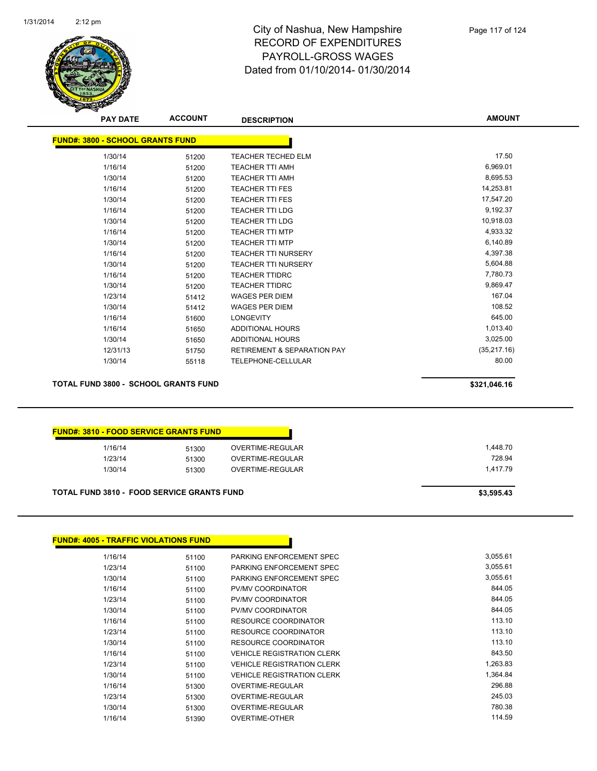

| <b>AMOUNT</b> | <b>DESCRIPTION</b>                     | <b>ACCOUNT</b> | <b>PAY DATE</b>                         |
|---------------|----------------------------------------|----------------|-----------------------------------------|
|               |                                        |                | <b>FUND#: 3800 - SCHOOL GRANTS FUND</b> |
| 17.50         | <b>TEACHER TECHED ELM</b>              | 51200          | 1/30/14                                 |
| 6,969.01      | <b>TEACHER TTI AMH</b>                 | 51200          | 1/16/14                                 |
| 8,695.53      | <b>TEACHER TTI AMH</b>                 | 51200          | 1/30/14                                 |
| 14,253.81     | <b>TEACHER TTI FES</b>                 | 51200          | 1/16/14                                 |
| 17,547.20     | <b>TEACHER TTI FES</b>                 | 51200          | 1/30/14                                 |
| 9,192.37      | <b>TEACHER TTI LDG</b>                 | 51200          | 1/16/14                                 |
| 10,918.03     | <b>TEACHER TTI LDG</b>                 | 51200          | 1/30/14                                 |
| 4,933.32      | <b>TEACHER TTI MTP</b>                 | 51200          | 1/16/14                                 |
| 6,140.89      | <b>TEACHER TTI MTP</b>                 | 51200          | 1/30/14                                 |
| 4,397.38      | <b>TEACHER TTI NURSERY</b>             | 51200          | 1/16/14                                 |
| 5,604.88      | <b>TEACHER TTI NURSERY</b>             | 51200          | 1/30/14                                 |
| 7,780.73      | <b>TEACHER TTIDRC</b>                  | 51200          | 1/16/14                                 |
| 9,869.47      | <b>TEACHER TTIDRC</b>                  | 51200          | 1/30/14                                 |
| 167.04        | <b>WAGES PER DIEM</b>                  | 51412          | 1/23/14                                 |
| 108.52        | <b>WAGES PER DIEM</b>                  | 51412          | 1/30/14                                 |
| 645.00        | <b>LONGEVITY</b>                       | 51600          | 1/16/14                                 |
| 1,013.40      | <b>ADDITIONAL HOURS</b>                | 51650          | 1/16/14                                 |
| 3,025.00      | <b>ADDITIONAL HOURS</b>                | 51650          | 1/30/14                                 |
| (35, 217.16)  | <b>RETIREMENT &amp; SEPARATION PAY</b> | 51750          | 12/31/13                                |
| 80.00         | TELEPHONE-CELLULAR                     | 55118          | 1/30/14                                 |

**TOTAL FUND 3800 - SCHOOL GRANTS FUND \$321,046.16** 

| 1/16/14 | 51300 | OVERTIME-REGULAR |
|---------|-------|------------------|
| 1/23/14 | 51300 | OVERTIME-REGULAR |
| 1/30/14 | 51300 | OVERTIME-REGULAR |

TOTAL FUND 3810 - FOOD SERVICE GRANTS FUND<br>
\$3,595.43

| <b>FUND#: 4005 - TRAFFIC VIOLATIONS FUND</b> |       |                                   |
|----------------------------------------------|-------|-----------------------------------|
| 1/16/14                                      | 51100 | PARKING ENFORCEMENT SPEC          |
| 1/23/14                                      | 51100 | PARKING ENFORCEMENT SPEC          |
| 1/30/14                                      | 51100 | PARKING ENFORCEMENT SPEC          |
| 1/16/14                                      | 51100 | <b>PV/MV COORDINATOR</b>          |
| 1/23/14                                      | 51100 | <b>PV/MV COORDINATOR</b>          |
| 1/30/14                                      | 51100 | <b>PV/MV COORDINATOR</b>          |
| 1/16/14                                      | 51100 | RESOURCE COORDINATOR              |
| 1/23/14                                      | 51100 | RESOURCE COORDINATOR              |
| 1/30/14                                      | 51100 | RESOURCE COORDINATOR              |
| 1/16/14                                      | 51100 | <b>VEHICLE REGISTRATION CLERK</b> |
| 1/23/14                                      | 51100 | <b>VEHICLE REGISTRATION CLERK</b> |
| 1/30/14                                      | 51100 | <b>VEHICLE REGISTRATION CLERK</b> |
| 1/16/14                                      | 51300 | OVERTIME-REGULAR                  |
| 1/23/14                                      | 51300 | OVERTIME-REGULAR                  |
| 1/30/14                                      | 51300 | OVERTIME-REGULAR                  |
| 1/16/14                                      | 51390 | <b>OVERTIME-OTHER</b>             |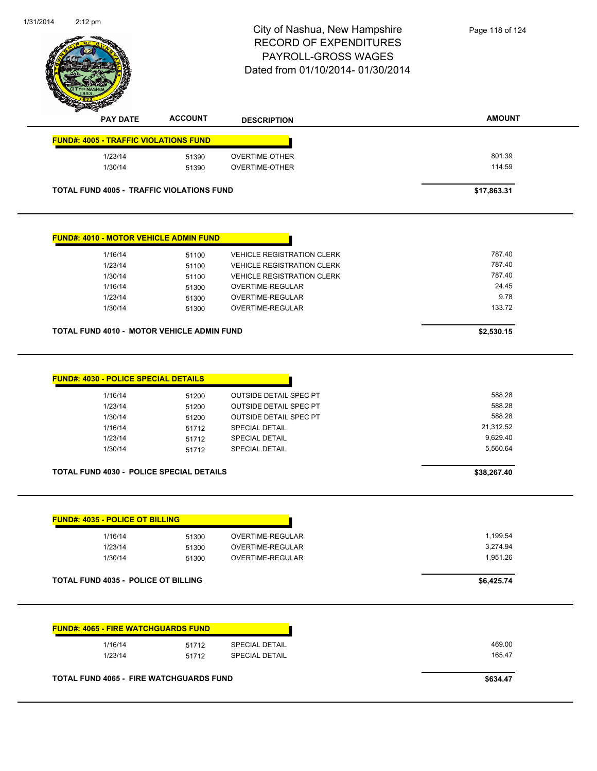|                                                                                                                                                                                                                                                                             |                | City of Nashua, New Hampshire<br><b>RECORD OF EXPENDITURES</b> | Page 118 of 124  |
|-----------------------------------------------------------------------------------------------------------------------------------------------------------------------------------------------------------------------------------------------------------------------------|----------------|----------------------------------------------------------------|------------------|
|                                                                                                                                                                                                                                                                             |                | PAYROLL-GROSS WAGES                                            |                  |
|                                                                                                                                                                                                                                                                             |                | Dated from 01/10/2014- 01/30/2014                              |                  |
|                                                                                                                                                                                                                                                                             |                |                                                                |                  |
|                                                                                                                                                                                                                                                                             |                |                                                                |                  |
| <b>PAY DATE</b>                                                                                                                                                                                                                                                             | <b>ACCOUNT</b> | <b>DESCRIPTION</b>                                             | <b>AMOUNT</b>    |
|                                                                                                                                                                                                                                                                             |                |                                                                |                  |
| <b>FUND#: 4005 - TRAFFIC VIOLATIONS FUND</b>                                                                                                                                                                                                                                |                |                                                                |                  |
| 1/23/14                                                                                                                                                                                                                                                                     | 51390          | <b>OVERTIME-OTHER</b>                                          | 801.39           |
| 1/30/14                                                                                                                                                                                                                                                                     | 51390          | OVERTIME-OTHER                                                 | 114.59           |
| <b>TOTAL FUND 4005 - TRAFFIC VIOLATIONS FUND</b>                                                                                                                                                                                                                            |                |                                                                | \$17,863.31      |
|                                                                                                                                                                                                                                                                             |                |                                                                |                  |
| <b>FUND#: 4010 - MOTOR VEHICLE ADMIN FUND</b>                                                                                                                                                                                                                               |                |                                                                |                  |
| 1/16/14                                                                                                                                                                                                                                                                     | 51100          | <b>VEHICLE REGISTRATION CLERK</b>                              | 787.40           |
| 1/23/14                                                                                                                                                                                                                                                                     | 51100          | <b>VEHICLE REGISTRATION CLERK</b>                              | 787.40<br>787.40 |
| 1/30/14<br>1/16/14                                                                                                                                                                                                                                                          | 51100<br>51300 | <b>VEHICLE REGISTRATION CLERK</b><br>OVERTIME-REGULAR          | 24.45            |
| 1/23/14                                                                                                                                                                                                                                                                     | 51300          | OVERTIME-REGULAR                                               | 9.78             |
| 1/30/14                                                                                                                                                                                                                                                                     | 51300          | OVERTIME-REGULAR                                               | 133.72           |
|                                                                                                                                                                                                                                                                             |                |                                                                |                  |
|                                                                                                                                                                                                                                                                             |                |                                                                |                  |
|                                                                                                                                                                                                                                                                             |                |                                                                | \$2,530.15       |
|                                                                                                                                                                                                                                                                             |                |                                                                |                  |
| 1/16/14                                                                                                                                                                                                                                                                     | 51200          | OUTSIDE DETAIL SPEC PT                                         | 588.28           |
| 1/23/14                                                                                                                                                                                                                                                                     | 51200          | OUTSIDE DETAIL SPEC PT                                         | 588.28           |
| 1/30/14                                                                                                                                                                                                                                                                     | 51200          | OUTSIDE DETAIL SPEC PT                                         | 588.28           |
| 1/16/14                                                                                                                                                                                                                                                                     | 51712          | SPECIAL DETAIL                                                 | 21,312.52        |
| 1/23/14                                                                                                                                                                                                                                                                     | 51712          | SPECIAL DETAIL                                                 | 9,629.40         |
| 1/30/14                                                                                                                                                                                                                                                                     | 51712          | <b>SPECIAL DETAIL</b>                                          | 5,560.64         |
|                                                                                                                                                                                                                                                                             |                |                                                                | \$38,267.40      |
|                                                                                                                                                                                                                                                                             |                |                                                                |                  |
| 1/16/14                                                                                                                                                                                                                                                                     | 51300          | OVERTIME-REGULAR                                               | 1,199.54         |
| 1/23/14                                                                                                                                                                                                                                                                     | 51300          | OVERTIME-REGULAR                                               | 3,274.94         |
| 1/30/14                                                                                                                                                                                                                                                                     | 51300          | OVERTIME-REGULAR                                               | 1,951.26         |
|                                                                                                                                                                                                                                                                             |                |                                                                | \$6,425.74       |
|                                                                                                                                                                                                                                                                             |                |                                                                |                  |
| TOTAL FUND 4010 - MOTOR VEHICLE ADMIN FUND<br><b>FUND#: 4030 - POLICE SPECIAL DETAILS</b><br>TOTAL FUND 4030 - POLICE SPECIAL DETAILS<br><b>FUND#: 4035 - POLICE OT BILLING</b><br><b>TOTAL FUND 4035 - POLICE OT BILLING</b><br><b>FUND#: 4065 - FIRE WATCHGUARDS FUND</b> |                |                                                                |                  |
| 1/16/14                                                                                                                                                                                                                                                                     | 51712          | SPECIAL DETAIL                                                 | 469.00           |
| 1/23/14                                                                                                                                                                                                                                                                     | 51712          | SPECIAL DETAIL                                                 | 165.47           |
|                                                                                                                                                                                                                                                                             |                |                                                                |                  |

1/31/2014

2:12 pm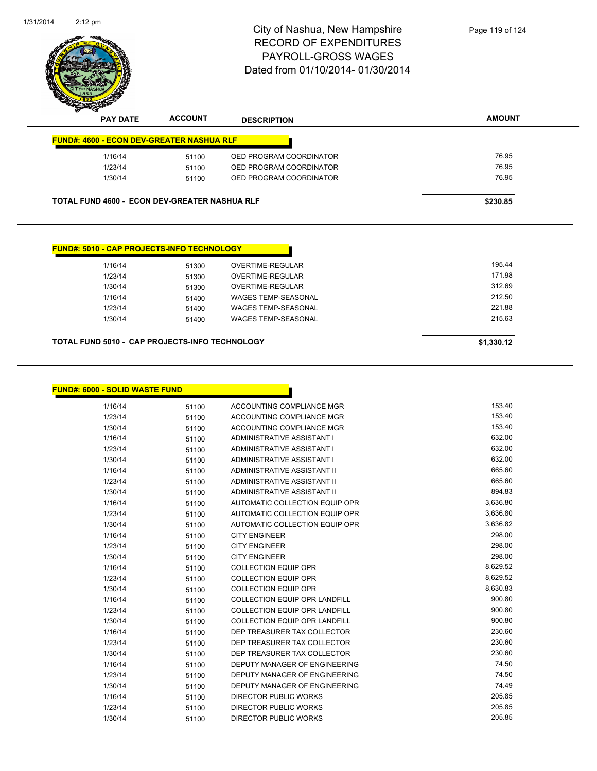

| 1/16/14 | 51100                                                | OED PROGRAM COORDINATOR | 76.95    |
|---------|------------------------------------------------------|-------------------------|----------|
| 1/23/14 | 51100                                                | OED PROGRAM COORDINATOR | 76.95    |
| 1/30/14 | 51100                                                | OED PROGRAM COORDINATOR | 76.95    |
|         | <b>TOTAL FUND 4600 - ECON DEV-GREATER NASHUA RLF</b> |                         | \$230.85 |
|         |                                                      |                         |          |

| 1/16/14 | 51300 | OVERTIME-REGULAR           | 195.44 |
|---------|-------|----------------------------|--------|
| 1/23/14 | 51300 | OVERTIME-REGULAR           | 171.98 |
| 1/30/14 | 51300 | OVERTIME-REGULAR           | 312.69 |
| 1/16/14 | 51400 | WAGES TEMP-SEASONAL        | 212.50 |
| 1/23/14 | 51400 | <b>WAGES TEMP-SEASONAL</b> | 221.88 |
| 1/30/14 | 51400 | <b>WAGES TEMP-SEASONAL</b> | 215.63 |
|         |       |                            |        |

#### **TOTAL FUND 5010 - CAP PROJECTS-INFO TECHNOLOGY \$1,330.12**

| <b>FUND#: 6000 - SOLID WASTE FUND</b> |       |                                      |          |
|---------------------------------------|-------|--------------------------------------|----------|
| 1/16/14                               | 51100 | ACCOUNTING COMPLIANCE MGR            | 153.40   |
| 1/23/14                               | 51100 | ACCOUNTING COMPLIANCE MGR            | 153.40   |
| 1/30/14                               | 51100 | ACCOUNTING COMPLIANCE MGR            | 153.40   |
| 1/16/14                               | 51100 | ADMINISTRATIVE ASSISTANT I           | 632.00   |
| 1/23/14                               | 51100 | ADMINISTRATIVE ASSISTANT I           | 632.00   |
| 1/30/14                               | 51100 | ADMINISTRATIVE ASSISTANT I           | 632.00   |
| 1/16/14                               | 51100 | ADMINISTRATIVE ASSISTANT II          | 665.60   |
| 1/23/14                               | 51100 | ADMINISTRATIVE ASSISTANT II          | 665.60   |
| 1/30/14                               | 51100 | ADMINISTRATIVE ASSISTANT II          | 894.83   |
| 1/16/14                               | 51100 | AUTOMATIC COLLECTION EQUIP OPR       | 3,636.80 |
| 1/23/14                               | 51100 | AUTOMATIC COLLECTION EQUIP OPR       | 3,636.80 |
| 1/30/14                               | 51100 | AUTOMATIC COLLECTION EQUIP OPR       | 3,636.82 |
| 1/16/14                               | 51100 | <b>CITY ENGINEER</b>                 | 298.00   |
| 1/23/14                               | 51100 | <b>CITY ENGINEER</b>                 | 298.00   |
| 1/30/14                               | 51100 | <b>CITY ENGINEER</b>                 | 298.00   |
| 1/16/14                               | 51100 | <b>COLLECTION EQUIP OPR</b>          | 8,629.52 |
| 1/23/14                               | 51100 | <b>COLLECTION EQUIP OPR</b>          | 8,629.52 |
| 1/30/14                               | 51100 | <b>COLLECTION EQUIP OPR</b>          | 8,630.83 |
| 1/16/14                               | 51100 | <b>COLLECTION EQUIP OPR LANDFILL</b> | 900.80   |
| 1/23/14                               | 51100 | <b>COLLECTION EQUIP OPR LANDFILL</b> | 900.80   |
| 1/30/14                               | 51100 | <b>COLLECTION EQUIP OPR LANDFILL</b> | 900.80   |
| 1/16/14                               | 51100 | DEP TREASURER TAX COLLECTOR          | 230.60   |
| 1/23/14                               | 51100 | DEP TREASURER TAX COLLECTOR          | 230.60   |
| 1/30/14                               | 51100 | DEP TREASURER TAX COLLECTOR          | 230.60   |
| 1/16/14                               | 51100 | <b>DEPUTY MANAGER OF ENGINEERING</b> | 74.50    |
| 1/23/14                               | 51100 | DEPUTY MANAGER OF ENGINEERING        | 74.50    |
| 1/30/14                               | 51100 | DEPUTY MANAGER OF ENGINEERING        | 74.49    |
| 1/16/14                               | 51100 | <b>DIRECTOR PUBLIC WORKS</b>         | 205.85   |
| 1/23/14                               | 51100 | <b>DIRECTOR PUBLIC WORKS</b>         | 205.85   |
| 1/30/14                               | 51100 | <b>DIRECTOR PUBLIC WORKS</b>         | 205.85   |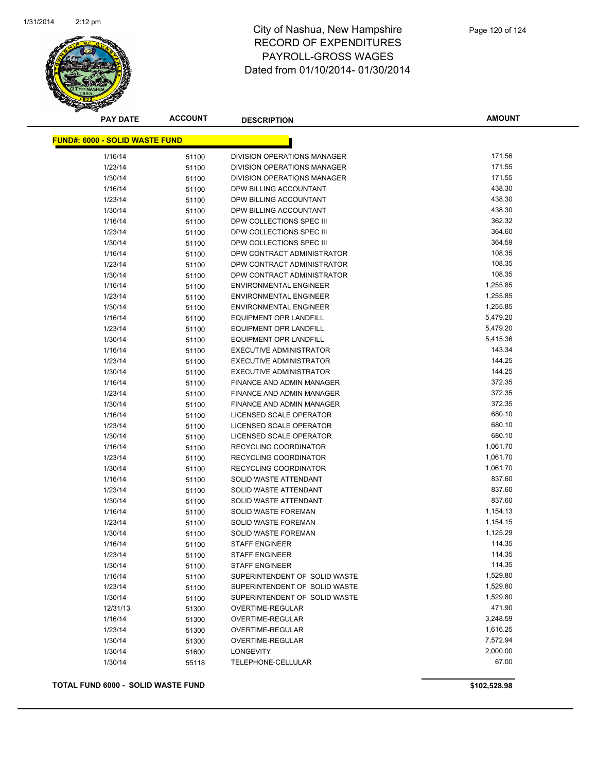

**AMOUNT**

| <u> FUND#: 6000 - SOLID WASTE FUND</u> |       |                                    |          |
|----------------------------------------|-------|------------------------------------|----------|
| 1/16/14                                | 51100 | DIVISION OPERATIONS MANAGER        | 171.56   |
| 1/23/14                                | 51100 | DIVISION OPERATIONS MANAGER        | 171.55   |
| 1/30/14                                | 51100 | <b>DIVISION OPERATIONS MANAGER</b> | 171.55   |
| 1/16/14                                | 51100 | DPW BILLING ACCOUNTANT             | 438.30   |
| 1/23/14                                | 51100 | DPW BILLING ACCOUNTANT             | 438.30   |
| 1/30/14                                | 51100 | DPW BILLING ACCOUNTANT             | 438.30   |
| 1/16/14                                | 51100 | DPW COLLECTIONS SPEC III           | 362.32   |
| 1/23/14                                | 51100 | DPW COLLECTIONS SPEC III           | 364.60   |
| 1/30/14                                | 51100 | DPW COLLECTIONS SPEC III           | 364.59   |
| 1/16/14                                | 51100 | DPW CONTRACT ADMINISTRATOR         | 108.35   |
| 1/23/14                                | 51100 | DPW CONTRACT ADMINISTRATOR         | 108.35   |
| 1/30/14                                | 51100 | DPW CONTRACT ADMINISTRATOR         | 108.35   |
| 1/16/14                                | 51100 | <b>ENVIRONMENTAL ENGINEER</b>      | 1,255.85 |
| 1/23/14                                | 51100 | <b>ENVIRONMENTAL ENGINEER</b>      | 1,255.85 |
| 1/30/14                                | 51100 | <b>ENVIRONMENTAL ENGINEER</b>      | 1,255.85 |
| 1/16/14                                | 51100 | <b>EQUIPMENT OPR LANDFILL</b>      | 5,479.20 |
| 1/23/14                                | 51100 | <b>EQUIPMENT OPR LANDFILL</b>      | 5,479.20 |
| 1/30/14                                | 51100 | <b>EQUIPMENT OPR LANDFILL</b>      | 5,415.36 |
| 1/16/14                                | 51100 | <b>EXECUTIVE ADMINISTRATOR</b>     | 143.34   |
| 1/23/14                                | 51100 | <b>EXECUTIVE ADMINISTRATOR</b>     | 144.25   |
| 1/30/14                                | 51100 | <b>EXECUTIVE ADMINISTRATOR</b>     | 144.25   |
| 1/16/14                                | 51100 | FINANCE AND ADMIN MANAGER          | 372.35   |
| 1/23/14                                | 51100 | FINANCE AND ADMIN MANAGER          | 372.35   |
| 1/30/14                                | 51100 | FINANCE AND ADMIN MANAGER          | 372.35   |
| 1/16/14                                | 51100 | LICENSED SCALE OPERATOR            | 680.10   |
| 1/23/14                                | 51100 | LICENSED SCALE OPERATOR            | 680.10   |
| 1/30/14                                | 51100 | LICENSED SCALE OPERATOR            | 680.10   |
| 1/16/14                                | 51100 | RECYCLING COORDINATOR              | 1,061.70 |
| 1/23/14                                | 51100 | RECYCLING COORDINATOR              | 1,061.70 |
| 1/30/14                                | 51100 | RECYCLING COORDINATOR              | 1,061.70 |
| 1/16/14                                | 51100 | SOLID WASTE ATTENDANT              | 837.60   |
| 1/23/14                                | 51100 | SOLID WASTE ATTENDANT              | 837.60   |
| 1/30/14                                | 51100 | SOLID WASTE ATTENDANT              | 837.60   |
| 1/16/14                                | 51100 | <b>SOLID WASTE FOREMAN</b>         | 1,154.13 |
| 1/23/14                                | 51100 | SOLID WASTE FOREMAN                | 1,154.15 |
| 1/30/14                                | 51100 | SOLID WASTE FOREMAN                | 1,125.29 |
| 1/16/14                                | 51100 | <b>STAFF ENGINEER</b>              | 114.35   |
| 1/23/14                                | 51100 | <b>STAFF ENGINEER</b>              | 114.35   |
| 1/30/14                                | 51100 | STAFF ENGINEER                     | 114.35   |
| 1/16/14                                | 51100 | SUPERINTENDENT OF SOLID WASTE      | 1,529.80 |
| 1/23/14                                | 51100 | SUPERINTENDENT OF SOLID WASTE      | 1,529.80 |
| 1/30/14                                | 51100 | SUPERINTENDENT OF SOLID WASTE      | 1,529.80 |
| 12/31/13                               | 51300 | OVERTIME-REGULAR                   | 471.90   |
| 1/16/14                                | 51300 | OVERTIME-REGULAR                   | 3,248.59 |
| 1/23/14                                | 51300 | OVERTIME-REGULAR                   | 1,616.25 |
| 1/30/14                                | 51300 | OVERTIME-REGULAR                   | 7,572.94 |
| 1/30/14                                | 51600 | <b>LONGEVITY</b>                   | 2,000.00 |
| 1/30/14                                | 55118 | TELEPHONE-CELLULAR                 | 67.00    |

**TOTAL FUND 6000 - SOLID WASTE FUND \$102,528.98**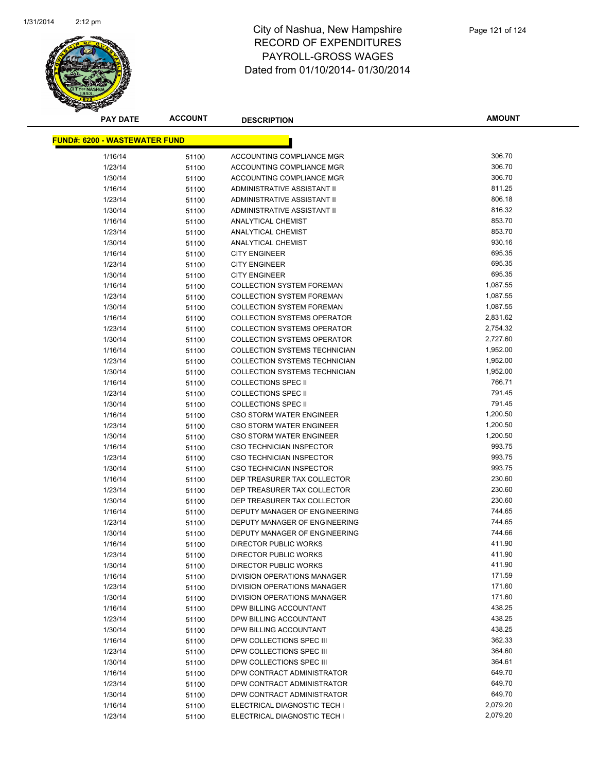

| <u> FUND#: 6200 - WASTEWATER FUND</u> |       |                                      |          |
|---------------------------------------|-------|--------------------------------------|----------|
| 1/16/14                               | 51100 | ACCOUNTING COMPLIANCE MGR            | 306.70   |
| 1/23/14                               | 51100 | ACCOUNTING COMPLIANCE MGR            | 306.70   |
| 1/30/14                               | 51100 | ACCOUNTING COMPLIANCE MGR            | 306.70   |
| 1/16/14                               | 51100 | ADMINISTRATIVE ASSISTANT II          | 811.25   |
| 1/23/14                               | 51100 | ADMINISTRATIVE ASSISTANT II          | 806.18   |
| 1/30/14                               | 51100 | ADMINISTRATIVE ASSISTANT II          | 816.32   |
| 1/16/14                               | 51100 | <b>ANALYTICAL CHEMIST</b>            | 853.70   |
| 1/23/14                               | 51100 | <b>ANALYTICAL CHEMIST</b>            | 853.70   |
| 1/30/14                               | 51100 | <b>ANALYTICAL CHEMIST</b>            | 930.16   |
| 1/16/14                               | 51100 | <b>CITY ENGINEER</b>                 | 695.35   |
| 1/23/14                               | 51100 | <b>CITY ENGINEER</b>                 | 695.35   |
| 1/30/14                               | 51100 | <b>CITY ENGINEER</b>                 | 695.35   |
| 1/16/14                               | 51100 | <b>COLLECTION SYSTEM FOREMAN</b>     | 1,087.55 |
| 1/23/14                               | 51100 | <b>COLLECTION SYSTEM FOREMAN</b>     | 1,087.55 |
| 1/30/14                               | 51100 | <b>COLLECTION SYSTEM FOREMAN</b>     | 1,087.55 |
| 1/16/14                               | 51100 | <b>COLLECTION SYSTEMS OPERATOR</b>   | 2,831.62 |
| 1/23/14                               | 51100 | <b>COLLECTION SYSTEMS OPERATOR</b>   | 2,754.32 |
| 1/30/14                               | 51100 | <b>COLLECTION SYSTEMS OPERATOR</b>   | 2,727.60 |
| 1/16/14                               | 51100 | <b>COLLECTION SYSTEMS TECHNICIAN</b> | 1,952.00 |
| 1/23/14                               | 51100 | COLLECTION SYSTEMS TECHNICIAN        | 1,952.00 |
| 1/30/14                               | 51100 | COLLECTION SYSTEMS TECHNICIAN        | 1,952.00 |
| 1/16/14                               | 51100 | <b>COLLECTIONS SPEC II</b>           | 766.71   |
| 1/23/14                               | 51100 | <b>COLLECTIONS SPEC II</b>           | 791.45   |
| 1/30/14                               | 51100 | <b>COLLECTIONS SPEC II</b>           | 791.45   |
| 1/16/14                               | 51100 | CSO STORM WATER ENGINEER             | 1,200.50 |
| 1/23/14                               | 51100 | <b>CSO STORM WATER ENGINEER</b>      | 1,200.50 |
| 1/30/14                               | 51100 | <b>CSO STORM WATER ENGINEER</b>      | 1,200.50 |
| 1/16/14                               | 51100 | <b>CSO TECHNICIAN INSPECTOR</b>      | 993.75   |
| 1/23/14                               | 51100 | <b>CSO TECHNICIAN INSPECTOR</b>      | 993.75   |
| 1/30/14                               | 51100 | CSO TECHNICIAN INSPECTOR             | 993.75   |
| 1/16/14                               | 51100 | DEP TREASURER TAX COLLECTOR          | 230.60   |
| 1/23/14                               | 51100 | DEP TREASURER TAX COLLECTOR          | 230.60   |
| 1/30/14                               | 51100 | DEP TREASURER TAX COLLECTOR          | 230.60   |
| 1/16/14                               | 51100 | DEPUTY MANAGER OF ENGINEERING        | 744.65   |
| 1/23/14                               | 51100 | DEPUTY MANAGER OF ENGINEERING        | 744.65   |
| 1/30/14                               | 51100 | DEPUTY MANAGER OF ENGINEERING        | 744.66   |
| 1/16/14                               | 51100 | <b>DIRECTOR PUBLIC WORKS</b>         | 411.90   |
| 1/23/14                               | 51100 | <b>DIRECTOR PUBLIC WORKS</b>         | 411.90   |
| 1/30/14                               | 51100 | DIRECTOR PUBLIC WORKS                | 411.90   |
| 1/16/14                               | 51100 | DIVISION OPERATIONS MANAGER          | 171.59   |
| 1/23/14                               | 51100 | DIVISION OPERATIONS MANAGER          | 171.60   |
| 1/30/14                               | 51100 | DIVISION OPERATIONS MANAGER          | 171.60   |
| 1/16/14                               | 51100 | DPW BILLING ACCOUNTANT               | 438.25   |
| 1/23/14                               | 51100 | DPW BILLING ACCOUNTANT               | 438.25   |
| 1/30/14                               | 51100 | DPW BILLING ACCOUNTANT               | 438.25   |
| 1/16/14                               | 51100 | DPW COLLECTIONS SPEC III             | 362.33   |
| 1/23/14                               | 51100 | DPW COLLECTIONS SPEC III             | 364.60   |
| 1/30/14                               | 51100 | DPW COLLECTIONS SPEC III             | 364.61   |
| 1/16/14                               | 51100 | DPW CONTRACT ADMINISTRATOR           | 649.70   |
| 1/23/14                               | 51100 | DPW CONTRACT ADMINISTRATOR           | 649.70   |
| 1/30/14                               | 51100 | DPW CONTRACT ADMINISTRATOR           | 649.70   |
| 1/16/14                               | 51100 | ELECTRICAL DIAGNOSTIC TECH I         | 2,079.20 |
| 1/23/14                               | 51100 | ELECTRICAL DIAGNOSTIC TECH I         | 2,079.20 |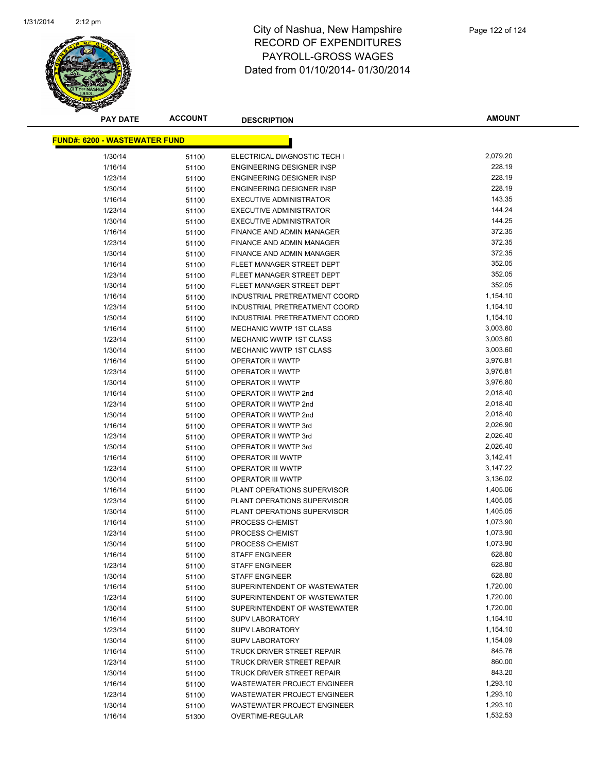

| <u> FUND#: 6200 - WASTEWATER FUND</u> |       |                                    |          |
|---------------------------------------|-------|------------------------------------|----------|
| 1/30/14                               | 51100 | ELECTRICAL DIAGNOSTIC TECH I       | 2,079.20 |
| 1/16/14                               | 51100 | ENGINEERING DESIGNER INSP          | 228.19   |
| 1/23/14                               | 51100 | ENGINEERING DESIGNER INSP          | 228.19   |
| 1/30/14                               | 51100 | ENGINEERING DESIGNER INSP          | 228.19   |
| 1/16/14                               | 51100 | <b>EXECUTIVE ADMINISTRATOR</b>     | 143.35   |
| 1/23/14                               | 51100 | <b>EXECUTIVE ADMINISTRATOR</b>     | 144.24   |
| 1/30/14                               | 51100 | <b>EXECUTIVE ADMINISTRATOR</b>     | 144.25   |
| 1/16/14                               | 51100 | <b>FINANCE AND ADMIN MANAGER</b>   | 372.35   |
| 1/23/14                               | 51100 | FINANCE AND ADMIN MANAGER          | 372.35   |
| 1/30/14                               | 51100 | FINANCE AND ADMIN MANAGER          | 372.35   |
| 1/16/14                               | 51100 | FLEET MANAGER STREET DEPT          | 352.05   |
| 1/23/14                               | 51100 | FLEET MANAGER STREET DEPT          | 352.05   |
| 1/30/14                               | 51100 | FLEET MANAGER STREET DEPT          | 352.05   |
| 1/16/14                               | 51100 | INDUSTRIAL PRETREATMENT COORD      | 1,154.10 |
| 1/23/14                               | 51100 | INDUSTRIAL PRETREATMENT COORD      | 1,154.10 |
| 1/30/14                               | 51100 | INDUSTRIAL PRETREATMENT COORD      | 1,154.10 |
| 1/16/14                               | 51100 | MECHANIC WWTP 1ST CLASS            | 3,003.60 |
| 1/23/14                               | 51100 | MECHANIC WWTP 1ST CLASS            | 3,003.60 |
| 1/30/14                               | 51100 | MECHANIC WWTP 1ST CLASS            | 3,003.60 |
| 1/16/14                               | 51100 | OPERATOR II WWTP                   | 3,976.81 |
| 1/23/14                               | 51100 | OPERATOR II WWTP                   | 3,976.81 |
| 1/30/14                               | 51100 | OPERATOR II WWTP                   | 3,976.80 |
| 1/16/14                               | 51100 | OPERATOR II WWTP 2nd               | 2,018.40 |
| 1/23/14                               | 51100 | OPERATOR II WWTP 2nd               | 2,018.40 |
| 1/30/14                               | 51100 | OPERATOR II WWTP 2nd               | 2,018.40 |
| 1/16/14                               | 51100 | OPERATOR II WWTP 3rd               | 2,026.90 |
| 1/23/14                               | 51100 | OPERATOR II WWTP 3rd               | 2,026.40 |
| 1/30/14                               | 51100 | OPERATOR II WWTP 3rd               | 2,026.40 |
| 1/16/14                               | 51100 | <b>OPERATOR III WWTP</b>           | 3,142.41 |
| 1/23/14                               | 51100 | OPERATOR III WWTP                  | 3,147.22 |
| 1/30/14                               | 51100 | OPERATOR III WWTP                  | 3,136.02 |
| 1/16/14                               | 51100 | PLANT OPERATIONS SUPERVISOR        | 1,405.06 |
| 1/23/14                               | 51100 | PLANT OPERATIONS SUPERVISOR        | 1,405.05 |
| 1/30/14                               | 51100 | PLANT OPERATIONS SUPERVISOR        | 1,405.05 |
| 1/16/14                               | 51100 | PROCESS CHEMIST                    | 1,073.90 |
| 1/23/14                               | 51100 | PROCESS CHEMIST                    | 1,073.90 |
| 1/30/14                               | 51100 | PROCESS CHEMIST                    | 1,073.90 |
| 1/16/14                               | 51100 | <b>STAFF ENGINEER</b>              | 628.80   |
| 1/23/14                               | 51100 | <b>STAFF ENGINEER</b>              | 628.80   |
| 1/30/14                               | 51100 | <b>STAFF ENGINEER</b>              | 628.80   |
| 1/16/14                               | 51100 | SUPERINTENDENT OF WASTEWATER       | 1,720.00 |
| 1/23/14                               | 51100 | SUPERINTENDENT OF WASTEWATER       | 1,720.00 |
| 1/30/14                               | 51100 | SUPERINTENDENT OF WASTEWATER       | 1,720.00 |
| 1/16/14                               | 51100 | <b>SUPV LABORATORY</b>             | 1,154.10 |
| 1/23/14                               | 51100 | <b>SUPV LABORATORY</b>             | 1,154.10 |
| 1/30/14                               | 51100 | <b>SUPV LABORATORY</b>             | 1,154.09 |
| 1/16/14                               | 51100 | <b>TRUCK DRIVER STREET REPAIR</b>  | 845.76   |
| 1/23/14                               | 51100 | TRUCK DRIVER STREET REPAIR         | 860.00   |
| 1/30/14                               | 51100 | <b>TRUCK DRIVER STREET REPAIR</b>  | 843.20   |
| 1/16/14                               | 51100 | WASTEWATER PROJECT ENGINEER        | 1,293.10 |
| 1/23/14                               | 51100 | <b>WASTEWATER PROJECT ENGINEER</b> | 1,293.10 |
| 1/30/14                               | 51100 | WASTEWATER PROJECT ENGINEER        | 1,293.10 |
| 1/16/14                               | 51300 | OVERTIME-REGULAR                   | 1,532.53 |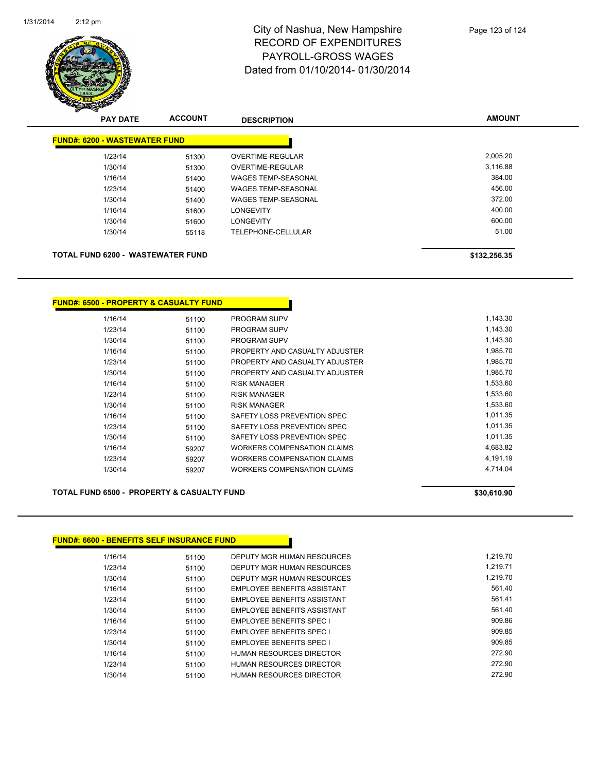

|                                      | <b>PAY DATE</b> | <b>ACCOUNT</b> | <b>DESCRIPTION</b>         | <b>AMOUNT</b> |
|--------------------------------------|-----------------|----------------|----------------------------|---------------|
| <b>FUND#: 6200 - WASTEWATER FUND</b> |                 |                |                            |               |
| 1/23/14                              |                 | 51300          | <b>OVERTIME-REGULAR</b>    | 2,005.20      |
| 1/30/14                              |                 | 51300          | <b>OVERTIME-REGULAR</b>    | 3,116.88      |
| 1/16/14                              |                 | 51400          | <b>WAGES TEMP-SEASONAL</b> | 384.00        |
| 1/23/14                              |                 | 51400          | <b>WAGES TEMP-SEASONAL</b> | 456.00        |
| 1/30/14                              |                 | 51400          | <b>WAGES TEMP-SEASONAL</b> | 372.00        |
| 1/16/14                              |                 | 51600          | <b>LONGEVITY</b>           | 400.00        |
| 1/30/14                              |                 | 51600          | <b>LONGEVITY</b>           | 600.00        |
| 1/30/14                              |                 | 55118          | TELEPHONE-CELLULAR         | 51.00         |
|                                      |                 |                |                            |               |
| TOTAL FUND 6200 - WASTEWATER FUND    |                 |                |                            | \$132,256.35  |

#### **FUND#: 6500 - PROPERTY & CASUALTY FUND**

| 1/16/14 | 51100 | <b>PROGRAM SUPV</b>            | 1.143.30 |
|---------|-------|--------------------------------|----------|
| 1/23/14 | 51100 | <b>PROGRAM SUPV</b>            | 1,143.30 |
| 1/30/14 | 51100 | <b>PROGRAM SUPV</b>            | 1,143.30 |
| 1/16/14 | 51100 | PROPERTY AND CASUALTY ADJUSTER | 1,985.70 |
| 1/23/14 | 51100 | PROPERTY AND CASUALTY ADJUSTER | 1.985.70 |
| 1/30/14 | 51100 | PROPERTY AND CASUALTY ADJUSTER | 1.985.70 |
| 1/16/14 | 51100 | <b>RISK MANAGER</b>            | 1,533.60 |
| 1/23/14 | 51100 | <b>RISK MANAGER</b>            | 1.533.60 |
| 1/30/14 | 51100 | <b>RISK MANAGER</b>            | 1,533.60 |
| 1/16/14 | 51100 | SAFETY LOSS PREVENTION SPEC    | 1.011.35 |
| 1/23/14 | 51100 | SAFETY LOSS PREVENTION SPEC    | 1,011.35 |
| 1/30/14 | 51100 | SAFETY LOSS PREVENTION SPEC    | 1.011.35 |
| 1/16/14 | 59207 | WORKERS COMPENSATION CLAIMS    | 4,683.82 |
| 1/23/14 | 59207 | WORKERS COMPENSATION CLAIMS    | 4.191.19 |
| 1/30/14 | 59207 | WORKERS COMPENSATION CLAIMS    | 4.714.04 |
|         |       |                                |          |

#### **TOTAL FUND 6500 - PROPERTY & CASUALTY FUND \$30,610.90 \$30,610.90**

#### **FUND#: 6600 - BENEFITS SELF INSURANCE FUND**

| 1/16/14 | 51100 | DEPUTY MGR HUMAN RESOURCES      | 1.219.70 |
|---------|-------|---------------------------------|----------|
| 1/23/14 | 51100 | DEPUTY MGR HUMAN RESOURCES      | 1.219.71 |
| 1/30/14 | 51100 | DEPUTY MGR HUMAN RESOURCES      | 1.219.70 |
| 1/16/14 | 51100 | EMPLOYEE BENEFITS ASSISTANT     | 561.40   |
| 1/23/14 | 51100 | EMPLOYEE BENEFITS ASSISTANT     | 561.41   |
| 1/30/14 | 51100 | EMPLOYEE BENEFITS ASSISTANT     | 561.40   |
| 1/16/14 | 51100 | <b>EMPLOYEE BENEFITS SPEC I</b> | 909.86   |
| 1/23/14 | 51100 | <b>EMPLOYEE BENEFITS SPEC I</b> | 909.85   |
| 1/30/14 | 51100 | <b>EMPLOYEE BENEFITS SPEC I</b> | 909.85   |
| 1/16/14 | 51100 | HUMAN RESOURCES DIRECTOR        | 272.90   |
| 1/23/14 | 51100 | HUMAN RESOURCES DIRECTOR        | 272.90   |
| 1/30/14 | 51100 | HUMAN RESOURCES DIRECTOR        | 272.90   |
|         |       |                                 |          |